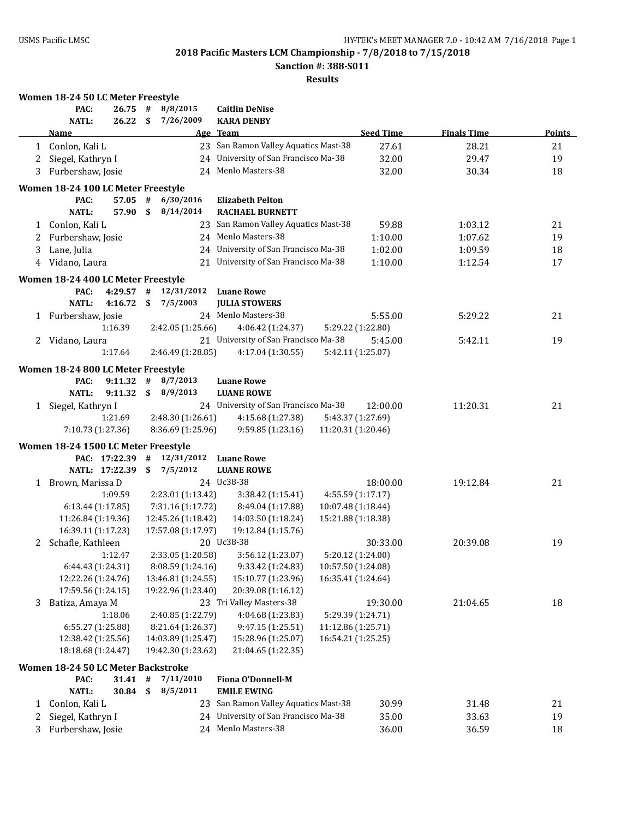**Sanction #: 388-S011**

|   | Women 18-24 50 LC Meter Freestyle                   |      |                                          |                                      |                    |                   |                    |               |
|---|-----------------------------------------------------|------|------------------------------------------|--------------------------------------|--------------------|-------------------|--------------------|---------------|
|   | PAC:<br>26.75                                       | #    | 8/8/2015                                 | <b>Caitlin DeNise</b>                |                    |                   |                    |               |
|   | <b>NATL:</b><br>26.22                               | \$   | 7/26/2009                                | <b>KARA DENBY</b>                    |                    |                   |                    |               |
|   | <b>Name</b>                                         |      |                                          | Age Team                             |                    | <b>Seed Time</b>  | <b>Finals Time</b> | <b>Points</b> |
|   | 1 Conlon, Kali L                                    |      |                                          | 23 San Ramon Valley Aquatics Mast-38 |                    | 27.61             | 28.21              | 21            |
| 2 | Siegel, Kathryn I                                   |      |                                          | 24 University of San Francisco Ma-38 |                    | 32.00             | 29.47              | 19            |
| 3 | Furbershaw, Josie                                   |      |                                          | 24 Menlo Masters-38                  |                    | 32.00             | 30.34              | 18            |
|   | Women 18-24 100 LC Meter Freestyle                  |      |                                          |                                      |                    |                   |                    |               |
|   | PAC:<br>57.05                                       | #    | 6/30/2016                                | <b>Elizabeth Pelton</b>              |                    |                   |                    |               |
|   | <b>NATL:</b><br>57.90                               | \$   | 8/14/2014                                | <b>RACHAEL BURNETT</b>               |                    |                   |                    |               |
| 1 | Conlon, Kali L                                      |      | 23                                       | San Ramon Valley Aquatics Mast-38    |                    | 59.88             | 1:03.12            | 21            |
| 2 | Furbershaw, Josie                                   |      |                                          | 24 Menlo Masters-38                  |                    | 1:10.00           | 1:07.62            | 19            |
| 3 | Lane, Julia                                         |      |                                          | 24 University of San Francisco Ma-38 |                    | 1:02.00           | 1:09.59            | 18            |
|   | 4 Vidano, Laura                                     |      |                                          | 21 University of San Francisco Ma-38 |                    | 1:10.00           | 1:12.54            | 17            |
|   | Women 18-24 400 LC Meter Freestyle                  |      |                                          |                                      |                    |                   |                    |               |
|   | PAC:<br>4:29.57                                     | #    | 12/31/2012                               | <b>Luane Rowe</b>                    |                    |                   |                    |               |
|   | <b>NATL:</b><br>4:16.72                             | \$   | 7/5/2003                                 | <b>JULIA STOWERS</b>                 |                    |                   |                    |               |
|   | 1 Furbershaw, Josie                                 |      |                                          | 24 Menlo Masters-38                  |                    | 5:55.00           | 5:29.22            | 21            |
|   | 1:16.39                                             |      | 2:42.05 (1:25.66)                        | 4:06.42 (1:24.37)                    |                    | 5:29.22 (1:22.80) |                    |               |
| 2 | Vidano, Laura                                       |      |                                          | 21 University of San Francisco Ma-38 |                    | 5:45.00           | 5:42.11            | 19            |
|   | 1:17.64                                             |      | 2:46.49 (1:28.85)                        | 4:17.04 (1:30.55)                    |                    | 5:42.11 (1:25.07) |                    |               |
|   | Women 18-24 800 LC Meter Freestyle                  |      |                                          |                                      |                    |                   |                    |               |
|   | PAC:<br>9:11.32                                     | #    | 8/7/2013                                 | <b>Luane Rowe</b>                    |                    |                   |                    |               |
|   | <b>NATL:</b><br>9:11.32                             | \$   | 8/9/2013                                 | <b>LUANE ROWE</b>                    |                    |                   |                    |               |
| 1 | Siegel, Kathryn I                                   |      |                                          | 24 University of San Francisco Ma-38 |                    | 12:00.00          | 11:20.31           | 21            |
|   | 1:21.69                                             |      | 2:48.30 (1:26.61)                        | 4:15.68 (1:27.38)                    |                    | 5:43.37 (1:27.69) |                    |               |
|   | 7:10.73 (1:27.36)                                   |      | 8:36.69 (1:25.96)                        | 9:59.85 (1:23.16)                    | 11:20.31 (1:20.46) |                   |                    |               |
|   | Women 18-24 1500 LC Meter Freestyle                 |      |                                          |                                      |                    |                   |                    |               |
|   | PAC: 17:22.39                                       | #    | 12/31/2012                               | <b>Luane Rowe</b>                    |                    |                   |                    |               |
|   | NATL: 17:22.39                                      | \$   | 7/5/2012                                 | <b>LUANE ROWE</b>                    |                    |                   |                    |               |
| 1 | Brown, Marissa D                                    |      |                                          | 24 Uc38-38                           |                    | 18:00.00          | 19:12.84           | 21            |
|   | 1:09.59                                             |      | 2:23.01 (1:13.42)                        | 3:38.42 (1:15.41)                    |                    | 4:55.59 (1:17.17) |                    |               |
|   | 6:13.44(1:17.85)                                    |      | 7:31.16 (1:17.72)                        | 8:49.04 (1:17.88)                    | 10:07.48 (1:18.44) |                   |                    |               |
|   | 11:26.84 (1:19.36)                                  |      | 12:45.26 (1:18.42)                       | 14:03.50 (1:18.24)                   | 15:21.88 (1:18.38) |                   |                    |               |
|   | 16:39.11 (1:17.23)                                  |      | 17:57.08 (1:17.97)                       | 19:12.84 (1:15.76)                   |                    |                   |                    |               |
|   | 2 Schafle, Kathleen                                 |      |                                          | 20 Uc38-38                           |                    | 30:33.00          | 20:39.08           | 19            |
|   | 1:12.47                                             |      | 2:33.05 (1:20.58)                        | 3:56.12 (1:23.07)                    |                    | 5:20.12 (1:24.00) |                    |               |
|   | 6:44.43 (1:24.31)                                   |      | 8:08.59 (1:24.16)                        | 9:33.42 (1:24.83)                    | 10:57.50 (1:24.08) |                   |                    |               |
|   | 12:22.26 (1:24.76)                                  |      | 13:46.81 (1:24.55)                       | 15:10.77 (1:23.96)                   | 16:35.41 (1:24.64) |                   |                    |               |
|   | 17:59.56 (1:24.15)                                  |      | 19:22.96 (1:23.40)                       | 20:39.08 (1:16.12)                   |                    |                   |                    |               |
| 3 | Batiza, Amaya M                                     |      |                                          | 23 Tri Valley Masters-38             |                    | 19:30.00          | 21:04.65           | 18            |
|   | 1:18.06                                             |      | 2:40.85 (1:22.79)                        | 4:04.68 (1:23.83)                    |                    | 5:29.39 (1:24.71) |                    |               |
|   | 6:55.27 (1:25.88)                                   |      | 8:21.64 (1:26.37)                        | 9:47.15 (1:25.51)                    | 11:12.86 (1:25.71) |                   |                    |               |
|   | 12:38.42 (1:25.56)                                  |      | 14:03.89 (1:25.47)<br>19:42.30 (1:23.62) | 15:28.96 (1:25.07)                   | 16:54.21 (1:25.25) |                   |                    |               |
|   | 18:18.68 (1:24.47)                                  |      |                                          | 21:04.65 (1:22.35)                   |                    |                   |                    |               |
|   | Women 18-24 50 LC Meter Backstroke<br>PAC:<br>31.41 | $\#$ | 7/11/2010                                | <b>Fiona O'Donnell-M</b>             |                    |                   |                    |               |
|   | <b>NATL:</b><br>30.84                               | \$   | 8/5/2011                                 | <b>EMILE EWING</b>                   |                    |                   |                    |               |
| 1 | Conlon, Kali L                                      |      | 23                                       | San Ramon Valley Aquatics Mast-38    |                    | 30.99             | 31.48              | 21            |
| 2 | Siegel, Kathryn I                                   |      | 24                                       | University of San Francisco Ma-38    |                    | 35.00             | 33.63              | 19            |
| 3 | Furbershaw, Josie                                   |      |                                          | 24 Menlo Masters-38                  |                    | 36.00             | 36.59              | 18            |
|   |                                                     |      |                                          |                                      |                    |                   |                    |               |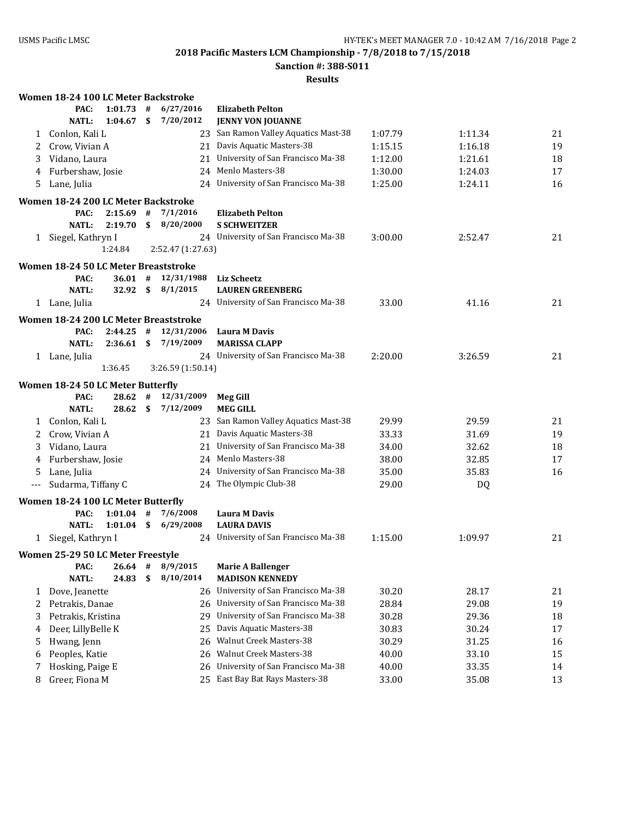**Sanction #: 388-S011**

|       | Women 18-24 100 LC Meter Backstroke           |              |    |                   |                                              |         |         |    |
|-------|-----------------------------------------------|--------------|----|-------------------|----------------------------------------------|---------|---------|----|
|       | PAC:                                          | 1:01.73      | #  | 6/27/2016         | <b>Elizabeth Pelton</b>                      |         |         |    |
|       | <b>NATL:</b>                                  | 1:04.67      | \$ | 7/20/2012         | <b>JENNY VON JOUANNE</b>                     |         |         |    |
| 1     | Conlon, Kali L                                |              |    |                   | 23 San Ramon Valley Aquatics Mast-38         | 1:07.79 | 1:11.34 | 21 |
| 2     | Crow, Vivian A                                |              |    |                   | 21 Davis Aquatic Masters-38                  | 1:15.15 | 1:16.18 | 19 |
| 3     | Vidano, Laura                                 |              |    |                   | 21 University of San Francisco Ma-38         | 1:12.00 | 1:21.61 | 18 |
| 4     | Furbershaw, Josie                             |              |    |                   | 24 Menlo Masters-38                          | 1:30.00 | 1:24.03 | 17 |
| 5     | Lane, Julia                                   |              |    |                   | 24 University of San Francisco Ma-38         | 1:25.00 | 1:24.11 | 16 |
|       | Women 18-24 200 LC Meter Backstroke           |              |    |                   |                                              |         |         |    |
|       | PAC:                                          | $2:15.69$ #  |    | 7/1/2016          | <b>Elizabeth Pelton</b>                      |         |         |    |
|       | <b>NATL:</b>                                  | 2:19.70      | \$ | 8/20/2000         | <b>S SCHWEITZER</b>                          |         |         |    |
|       | 1 Siegel, Kathryn I                           |              |    |                   | 24 University of San Francisco Ma-38         | 3:00.00 | 2:52.47 | 21 |
|       |                                               | 1:24.84      |    | 2:52.47 (1:27.63) |                                              |         |         |    |
|       | Women 18-24 50 LC Meter Breaststroke          |              |    |                   |                                              |         |         |    |
|       | PAC:                                          | $36.01$ #    |    | 12/31/1988        | <b>Liz Scheetz</b>                           |         |         |    |
|       | <b>NATL:</b>                                  | 32.92 S      |    | 8/1/2015          | <b>LAUREN GREENBERG</b>                      |         |         |    |
|       | 1 Lane, Julia                                 |              |    |                   | 24 University of San Francisco Ma-38         | 33.00   | 41.16   | 21 |
|       |                                               |              |    |                   |                                              |         |         |    |
|       | Women 18-24 200 LC Meter Breaststroke<br>PAC: | 2:44.25      |    | 12/31/2006        |                                              |         |         |    |
|       | <b>NATL:</b>                                  | $2:36.61$ \$ | #  | 7/19/2009         | <b>Laura M Davis</b><br><b>MARISSA CLAPP</b> |         |         |    |
|       | 1 Lane, Julia                                 |              |    |                   | 24 University of San Francisco Ma-38         | 2:20.00 | 3:26.59 | 21 |
|       |                                               | 1:36.45      |    | 3:26.59 (1:50.14) |                                              |         |         |    |
|       |                                               |              |    |                   |                                              |         |         |    |
|       | Women 18-24 50 LC Meter Butterfly             |              |    |                   |                                              |         |         |    |
|       | PAC:                                          | 28.62        | #  | 12/31/2009        | <b>Meg Gill</b>                              |         |         |    |
|       | <b>NATL:</b>                                  | 28.62 S      |    | 7/12/2009         | <b>MEG GILL</b>                              |         |         |    |
|       | 1 Conlon, Kali L                              |              |    |                   | 23 San Ramon Valley Aquatics Mast-38         | 29.99   | 29.59   | 21 |
| 2     | Crow, Vivian A                                |              |    |                   | 21 Davis Aquatic Masters-38                  | 33.33   | 31.69   | 19 |
| 3     | Vidano, Laura                                 |              |    |                   | 21 University of San Francisco Ma-38         | 34.00   | 32.62   | 18 |
| 4     | Furbershaw, Josie                             |              |    |                   | 24 Menlo Masters-38                          | 38.00   | 32.85   | 17 |
| 5     | Lane, Julia                                   |              |    |                   | 24 University of San Francisco Ma-38         | 35.00   | 35.83   | 16 |
| $---$ | Sudarma, Tiffany C                            |              |    |                   | 24 The Olympic Club-38                       | 29.00   | DQ      |    |
|       | Women 18-24 100 LC Meter Butterfly            |              |    |                   |                                              |         |         |    |
|       | PAC:                                          | $1:01.04$ #  |    | 7/6/2008          | <b>Laura M Davis</b>                         |         |         |    |
|       | <b>NATL:</b>                                  | $1:01.04$ \$ |    | 6/29/2008         | <b>LAURA DAVIS</b>                           |         |         |    |
|       | 1 Siegel, Kathryn I                           |              |    |                   | 24 University of San Francisco Ma-38         | 1:15.00 | 1:09.97 | 21 |
|       | Women 25-29 50 LC Meter Freestyle             |              |    |                   |                                              |         |         |    |
|       | PAC:                                          | $26.64$ #    |    | 8/9/2015          | <b>Marie A Ballenger</b>                     |         |         |    |
|       | <b>NATL:</b>                                  | 24.83        | \$ | 8/10/2014         | <b>MADISON KENNEDY</b>                       |         |         |    |
| 1     | Dove, Jeanette                                |              |    |                   | 26 University of San Francisco Ma-38         | 30.20   | 28.17   | 21 |
| 2     | Petrakis, Danae                               |              |    |                   | 26 University of San Francisco Ma-38         | 28.84   | 29.08   | 19 |
| 3     | Petrakis, Kristina                            |              |    | 29                | University of San Francisco Ma-38            | 30.28   | 29.36   | 18 |
| 4     | Deer, LillyBelle K                            |              |    | 25                | Davis Aquatic Masters-38                     | 30.83   | 30.24   | 17 |
| 5     | Hwang, Jenn                                   |              |    |                   | 26 Walnut Creek Masters-38                   | 30.29   | 31.25   | 16 |
| 6     | Peoples, Katie                                |              |    |                   | 26 Walnut Creek Masters-38                   | 40.00   | 33.10   | 15 |
| 7     | Hosking, Paige E                              |              |    | 26                | University of San Francisco Ma-38            | 40.00   | 33.35   | 14 |
| 8     | Greer, Fiona M                                |              |    |                   | 25 East Bay Bat Rays Masters-38              | 33.00   | 35.08   | 13 |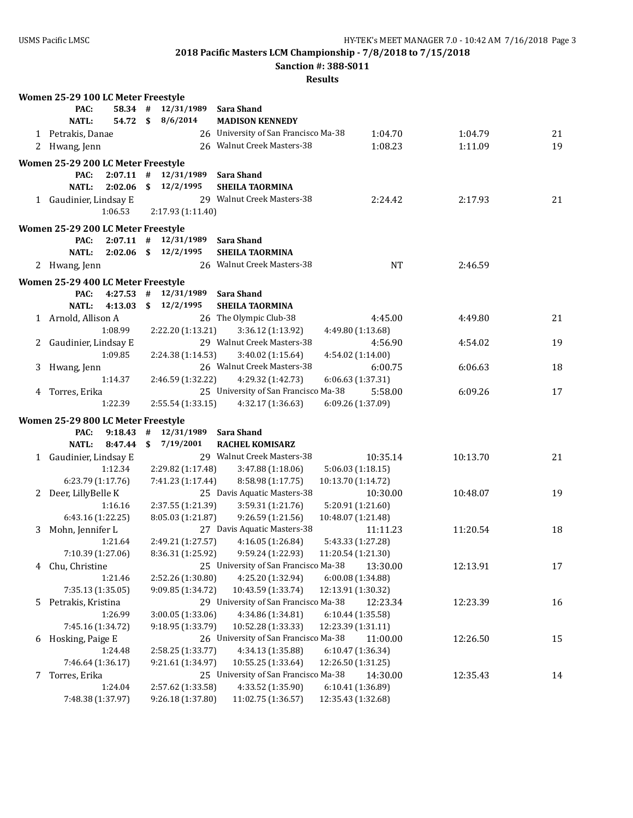**Women 25-29 100 LC Meter Freestyle**

**2018 Pacific Masters LCM Championship - 7/8/2018 to 7/15/2018**

**Sanction #: 388-S011**

|   | PAC:                               | 58.34 #     | 12/31/1989                | Sara Shand                                    |                    |          |    |
|---|------------------------------------|-------------|---------------------------|-----------------------------------------------|--------------------|----------|----|
|   | <b>NATL:</b>                       | 54.72       | 8/6/2014<br>$\mathbf{s}$  | <b>MADISON KENNEDY</b>                        |                    |          |    |
|   | 1 Petrakis, Danae                  |             |                           | 26 University of San Francisco Ma-38          | 1:04.70            | 1:04.79  | 21 |
|   | 2 Hwang, Jenn                      |             |                           | 26 Walnut Creek Masters-38                    | 1:08.23            | 1:11.09  | 19 |
|   | Women 25-29 200 LC Meter Freestyle |             |                           |                                               |                    |          |    |
|   | PAC:                               |             | $2:07.11$ # $12/31/1989$  | Sara Shand                                    |                    |          |    |
|   | NATL:<br>2:02.06                   |             | \$12/2/1995               | <b>SHEILA TAORMINA</b>                        |                    |          |    |
|   | 1 Gaudinier, Lindsay E             |             |                           | 29 Walnut Creek Masters-38                    | 2:24.42            | 2:17.93  | 21 |
|   | 1:06.53                            |             | 2:17.93 (1:11.40)         |                                               |                    |          |    |
|   | Women 25-29 200 LC Meter Freestyle |             |                           |                                               |                    |          |    |
|   | PAC:                               |             | $2:07.11$ # $12/31/1989$  | <b>Sara Shand</b>                             |                    |          |    |
|   | <b>NATL:</b>                       |             | $2:02.06$ \$ $12/2/1995$  | <b>SHEILA TAORMINA</b>                        |                    |          |    |
|   | 2 Hwang, Jenn                      |             |                           | 26 Walnut Creek Masters-38                    | <b>NT</b>          | 2:46.59  |    |
|   | Women 25-29 400 LC Meter Freestyle |             |                           |                                               |                    |          |    |
|   | PAC:                               | $4:27.53$ # | 12/31/1989                | <b>Sara Shand</b>                             |                    |          |    |
|   | NATL:<br>4:13.03                   |             | $\mathbf{s}$<br>12/2/1995 | <b>SHEILA TAORMINA</b>                        |                    |          |    |
|   | 1 Arnold, Allison A                |             |                           | 26 The Olympic Club-38                        | 4:45.00            | 4:49.80  | 21 |
|   | 1:08.99                            |             | 2:22.20 (1:13.21)         | 3:36.12 (1:13.92)                             | 4:49.80 (1:13.68)  |          |    |
|   | 2 Gaudinier, Lindsay E             |             |                           | 29 Walnut Creek Masters-38                    | 4:56.90            | 4:54.02  | 19 |
|   | 1:09.85                            |             | 2:24.38 (1:14.53)         | 3:40.02 (1:15.64)                             | 4:54.02 (1:14.00)  |          |    |
|   | 3 Hwang, Jenn                      |             |                           | 26 Walnut Creek Masters-38                    | 6:00.75            | 6:06.63  | 18 |
|   | 1:14.37                            |             | 2:46.59 (1:32.22)         | 4:29.32 (1:42.73)                             | 6:06.63 (1:37.31)  |          |    |
|   | 4 Torres, Erika                    |             |                           | 25 University of San Francisco Ma-38          | 5:58.00            | 6:09.26  | 17 |
|   | 1:22.39                            |             | 2:55.54 (1:33.15)         | 4:32.17 (1:36.63)                             | 6:09.26 (1:37.09)  |          |    |
|   | Women 25-29 800 LC Meter Freestyle |             |                           |                                               |                    |          |    |
|   | 9:18.43<br>PAC:                    |             | #<br>12/31/1989           | Sara Shand                                    |                    |          |    |
|   | <b>NATL:</b><br>8:47.44            |             | \$<br>7/19/2001           | <b>RACHEL KOMISARZ</b>                        |                    |          |    |
|   | 1 Gaudinier, Lindsay E             |             |                           | 29 Walnut Creek Masters-38                    | 10:35.14           | 10:13.70 | 21 |
|   | 1:12.34                            |             | 2:29.82 (1:17.48)         | 3:47.88 (1:18.06)                             | 5:06.03 (1:18.15)  |          |    |
|   | 6:23.79 (1:17.76)                  |             | 7:41.23 (1:17.44)         | 8:58.98 (1:17.75)                             | 10:13.70 (1:14.72) |          |    |
|   | 2 Deer, LillyBelle K               |             |                           | 25 Davis Aquatic Masters-38                   | 10:30.00           | 10:48.07 | 19 |
|   | 1:16.16                            |             | 2:37.55 (1:21.39)         | 3:59.31 (1:21.76)                             | 5:20.91 (1:21.60)  |          |    |
|   | 6:43.16 (1:22.25)                  |             | 8:05.03 (1:21.87)         | 9:26.59 (1:21.56)                             | 10:48.07 (1:21.48) |          |    |
|   | 3 Mohn, Jennifer L                 |             |                           | 27 Davis Aquatic Masters-38                   | 11:11.23           | 11:20.54 | 18 |
|   | 1:21.64                            |             | 2:49.21 (1:27.57)         | 4:16.05 (1:26.84)                             | 5:43.33 (1:27.28)  |          |    |
|   | 7:10.39 (1:27.06)                  |             | 8:36.31 (1:25.92)         | 9:59.24 (1:22.93)                             | 11:20.54 (1:21.30) |          |    |
|   | 4 Chu, Christine                   |             |                           | 25 University of San Francisco Ma-38 13:30.00 |                    | 12:13.91 | 17 |
|   | 1:21.46                            |             | 2:52.26 (1:30.80)         | 4:25.20 (1:32.94)                             | 6:00.08 (1:34.88)  |          |    |
|   | 7:35.13 (1:35.05)                  |             | 9:09.85 (1:34.72)         | 10:43.59 (1:33.74)                            | 12:13.91 (1:30.32) |          |    |
|   | 5 Petrakis, Kristina               |             |                           | 29 University of San Francisco Ma-38          | 12:23.34           | 12:23.39 | 16 |
|   | 1:26.99                            |             | 3:00.05 (1:33.06)         | 4:34.86 (1:34.81)                             | 6:10.44 (1:35.58)  |          |    |
|   | 7:45.16 (1:34.72)                  |             | 9:18.95 (1:33.79)         | 10:52.28 (1:33.33)                            | 12:23.39 (1:31.11) |          |    |
| 6 | Hosking, Paige E                   |             |                           | 26 University of San Francisco Ma-38          | 11:00.00           | 12:26.50 | 15 |
|   | 1:24.48                            |             | 2:58.25 (1:33.77)         | 4:34.13 (1:35.88)                             | 6:10.47 (1:36.34)  |          |    |
|   | 7:46.64 (1:36.17)                  |             | 9:21.61 (1:34.97)         | 10:55.25 (1:33.64)                            | 12:26.50 (1:31.25) |          |    |
| 7 | Torres, Erika                      |             |                           | 25 University of San Francisco Ma-38          | 14:30.00           | 12:35.43 | 14 |
|   | 1:24.04                            |             | 2:57.62 (1:33.58)         | 4:33.52 (1:35.90)                             | 6:10.41 (1:36.89)  |          |    |
|   | 7:48.38 (1:37.97)                  |             | 9:26.18 (1:37.80)         | 11:02.75 (1:36.57)                            | 12:35.43 (1:32.68) |          |    |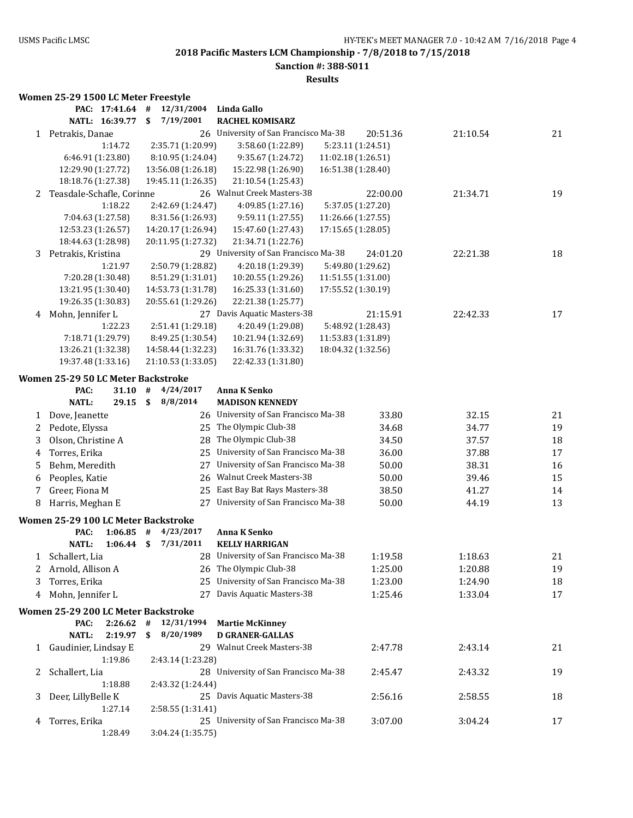**Sanction #: 388-S011**

#### **Results**

# **Women 25-29 1500 LC Meter Freestyle**

|              | PAC: 17:41.64                       |         | #    | 12/31/2004         | Linda Gallo                          |                    |                   |          |    |
|--------------|-------------------------------------|---------|------|--------------------|--------------------------------------|--------------------|-------------------|----------|----|
|              | NATL: 16:39.77                      |         | \$   | 7/19/2001          | <b>RACHEL KOMISARZ</b>               |                    |                   |          |    |
| 1            | Petrakis, Danae                     |         |      |                    | 26 University of San Francisco Ma-38 |                    | 20:51.36          | 21:10.54 | 21 |
|              |                                     | 1:14.72 |      | 2:35.71 (1:20.99)  | 3:58.60 (1:22.89)                    |                    | 5:23.11 (1:24.51) |          |    |
|              | 6:46.91 (1:23.80)                   |         |      | 8:10.95 (1:24.04)  | 9:35.67 (1:24.72)                    | 11:02.18 (1:26.51) |                   |          |    |
|              | 12:29.90 (1:27.72)                  |         |      | 13:56.08 (1:26.18) | 15:22.98 (1:26.90)                   | 16:51.38 (1:28.40) |                   |          |    |
|              | 18:18.76 (1:27.38)                  |         |      | 19:45.11 (1:26.35) | 21:10.54 (1:25.43)                   |                    |                   |          |    |
| 2            | Teasdale-Schafle, Corinne           |         |      |                    | 26 Walnut Creek Masters-38           |                    | 22:00.00          | 21:34.71 | 19 |
|              |                                     | 1:18.22 |      | 2:42.69 (1:24.47)  | 4:09.85 (1:27.16)                    |                    | 5:37.05 (1:27.20) |          |    |
|              | 7:04.63 (1:27.58)                   |         |      | 8:31.56 (1:26.93)  | 9:59.11 (1:27.55)                    | 11:26.66 (1:27.55) |                   |          |    |
|              | 12:53.23 (1:26.57)                  |         |      | 14:20.17 (1:26.94) | 15:47.60 (1:27.43)                   | 17:15.65 (1:28.05) |                   |          |    |
|              | 18:44.63 (1:28.98)                  |         |      | 20:11.95 (1:27.32) | 21:34.71 (1:22.76)                   |                    |                   |          |    |
| 3            | Petrakis, Kristina                  |         |      |                    | 29 University of San Francisco Ma-38 |                    | 24:01.20          | 22:21.38 | 18 |
|              |                                     | 1:21.97 |      | 2:50.79 (1:28.82)  | 4:20.18 (1:29.39)                    |                    | 5:49.80 (1:29.62) |          |    |
|              | 7:20.28 (1:30.48)                   |         |      | 8:51.29 (1:31.01)  | 10:20.55 (1:29.26)                   | 11:51.55 (1:31.00) |                   |          |    |
|              | 13:21.95 (1:30.40)                  |         |      | 14:53.73 (1:31.78) | 16:25.33 (1:31.60)                   | 17:55.52 (1:30.19) |                   |          |    |
|              | 19:26.35 (1:30.83)                  |         |      | 20:55.61 (1:29.26) | 22:21.38 (1:25.77)                   |                    |                   |          |    |
| 4            | Mohn, Jennifer L                    |         |      |                    | 27 Davis Aquatic Masters-38          |                    | 21:15.91          | 22:42.33 | 17 |
|              |                                     | 1:22.23 |      | 2:51.41 (1:29.18)  | 4:20.49 (1:29.08)                    |                    | 5:48.92 (1:28.43) |          |    |
|              | 7:18.71 (1:29.79)                   |         |      | 8:49.25 (1:30.54)  | 10:21.94 (1:32.69)                   | 11:53.83 (1:31.89) |                   |          |    |
|              | 13:26.21 (1:32.38)                  |         |      | 14:58.44 (1:32.23) | 16:31.76 (1:33.32)                   | 18:04.32 (1:32.56) |                   |          |    |
|              | 19:37.48 (1:33.16)                  |         |      | 21:10.53 (1:33.05) | 22:42.33 (1:31.80)                   |                    |                   |          |    |
|              |                                     |         |      |                    |                                      |                    |                   |          |    |
|              | Women 25-29 50 LC Meter Backstroke  |         |      |                    |                                      |                    |                   |          |    |
|              | PAC:                                | 31.10   | $\#$ | 4/24/2017          | <b>Anna K Senko</b>                  |                    |                   |          |    |
|              | <b>NATL:</b>                        | 29.15   | \$   | 8/8/2014           | <b>MADISON KENNEDY</b>               |                    |                   |          |    |
| 1            | Dove, Jeanette                      |         |      |                    | 26 University of San Francisco Ma-38 |                    | 33.80             | 32.15    | 21 |
| 2            | Pedote, Elyssa                      |         |      | 25                 | The Olympic Club-38                  |                    | 34.68             | 34.77    | 19 |
| 3            | Olson, Christine A                  |         |      | 28                 | The Olympic Club-38                  |                    | 34.50             | 37.57    | 18 |
| 4            | Torres, Erika                       |         |      | 25                 | University of San Francisco Ma-38    |                    | 36.00             | 37.88    | 17 |
| 5            | Behm, Meredith                      |         |      | 27                 | University of San Francisco Ma-38    |                    | 50.00             | 38.31    | 16 |
| 6            | Peoples, Katie                      |         |      | 26                 | Walnut Creek Masters-38              |                    | 50.00             | 39.46    | 15 |
| 7            | Greer, Fiona M                      |         |      | 25                 | East Bay Bat Rays Masters-38         |                    | 38.50             | 41.27    | 14 |
| 8            | Harris, Meghan E                    |         |      | 27                 | University of San Francisco Ma-38    |                    | 50.00             | 44.19    | 13 |
|              |                                     |         |      |                    |                                      |                    |                   |          |    |
|              | Women 25-29 100 LC Meter Backstroke |         |      |                    |                                      |                    |                   |          |    |
|              | PAC:                                | 1:06.85 | #    | 4/23/2017          | <b>Anna K Senko</b>                  |                    |                   |          |    |
|              | <b>NATL:</b>                        | 1:06.44 | \$   | 7/31/2011          | <b>KELLY HARRIGAN</b>                |                    |                   |          |    |
|              | 1 Schallert, Lia                    |         |      |                    | 28 University of San Francisco Ma-38 |                    | 1:19.58           | 1:18.63  | 21 |
|              | 2 Arnold, Allison A                 |         |      |                    | 26 The Olympic Club-38               |                    | 1:25.00           | 1:20.88  | 19 |
| 3            | Torres, Erika                       |         |      |                    | 25 University of San Francisco Ma-38 |                    | 1:23.00           | 1:24.90  | 18 |
| 4            | Mohn, Jennifer L                    |         |      |                    | 27 Davis Aquatic Masters-38          |                    | 1:25.46           | 1:33.04  | 17 |
|              |                                     |         |      |                    |                                      |                    |                   |          |    |
|              | Women 25-29 200 LC Meter Backstroke |         |      |                    |                                      |                    |                   |          |    |
|              | PAC:                                | 2:26.62 | #    | 12/31/1994         | <b>Martie McKinney</b>               |                    |                   |          |    |
|              | <b>NATL:</b>                        | 2:19.97 | \$   | 8/20/1989          | <b>D GRANER-GALLAS</b>               |                    |                   |          |    |
|              | 1 Gaudinier, Lindsay E              |         |      |                    | 29 Walnut Creek Masters-38           |                    | 2:47.78           | 2:43.14  | 21 |
|              |                                     | 1:19.86 |      | 2:43.14 (1:23.28)  |                                      |                    |                   |          |    |
| $\mathbf{Z}$ | Schallert, Lia                      |         |      |                    | 28 University of San Francisco Ma-38 |                    | 2:45.47           | 2:43.32  | 19 |
|              |                                     | 1:18.88 |      | 2:43.32 (1:24.44)  |                                      |                    |                   |          |    |
| 3            | Deer, LillyBelle K                  |         |      |                    | 25 Davis Aquatic Masters-38          |                    | 2:56.16           | 2:58.55  | 18 |
|              |                                     | 1:27.14 |      | 2:58.55 (1:31.41)  |                                      |                    |                   |          |    |
| 4            | Torres, Erika                       |         |      |                    | 25 University of San Francisco Ma-38 |                    | 3:07.00           | 3:04.24  | 17 |
|              |                                     | 1:28.49 |      | 3:04.24 (1:35.75)  |                                      |                    |                   |          |    |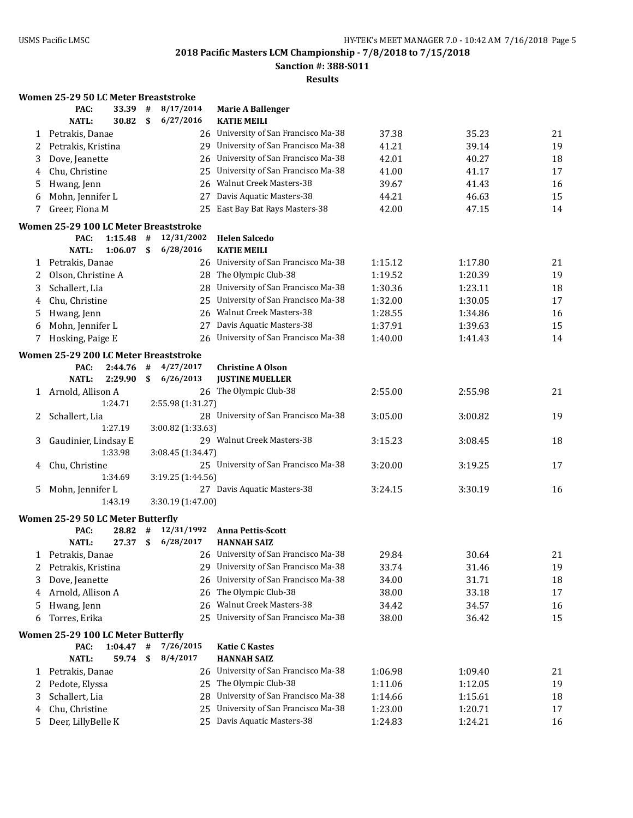**Sanction #: 388-S011**

|    | Women 25-29 50 LC Meter Breaststroke  |      |                   |                                      |         |         |    |
|----|---------------------------------------|------|-------------------|--------------------------------------|---------|---------|----|
|    | PAC:<br>33.39                         | #    | 8/17/2014         | <b>Marie A Ballenger</b>             |         |         |    |
|    | <b>NATL:</b><br>30.82                 | \$   | 6/27/2016         | <b>KATIE MEILI</b>                   |         |         |    |
|    | 1 Petrakis, Danae                     |      |                   | 26 University of San Francisco Ma-38 | 37.38   | 35.23   | 21 |
| 2  | Petrakis, Kristina                    |      |                   | 29 University of San Francisco Ma-38 | 41.21   | 39.14   | 19 |
| 3  | Dove, Jeanette                        |      | 26                | University of San Francisco Ma-38    | 42.01   | 40.27   | 18 |
| 4  | Chu, Christine                        |      | 25                | University of San Francisco Ma-38    | 41.00   | 41.17   | 17 |
| 5  | Hwang, Jenn                           |      | 26                | Walnut Creek Masters-38              | 39.67   | 41.43   | 16 |
| 6  | Mohn, Jennifer L                      |      | 27                | Davis Aquatic Masters-38             | 44.21   | 46.63   | 15 |
| 7  | Greer, Fiona M                        |      |                   | 25 East Bay Bat Rays Masters-38      | 42.00   | 47.15   | 14 |
|    | Women 25-29 100 LC Meter Breaststroke |      |                   |                                      |         |         |    |
|    | PAC:<br>$1:15.48$ #                   |      | 12/31/2002        | <b>Helen Salcedo</b>                 |         |         |    |
|    | <b>NATL:</b><br>1:06.07               | \$   | 6/28/2016         | <b>KATIE MEILI</b>                   |         |         |    |
| 1  | Petrakis, Danae                       |      |                   | 26 University of San Francisco Ma-38 | 1:15.12 | 1:17.80 | 21 |
| 2  | Olson, Christine A                    |      |                   | 28 The Olympic Club-38               | 1:19.52 | 1:20.39 | 19 |
| 3  | Schallert, Lia                        |      | 28                | University of San Francisco Ma-38    | 1:30.36 | 1:23.11 | 18 |
| 4  | Chu, Christine                        |      | 25                | University of San Francisco Ma-38    | 1:32.00 | 1:30.05 | 17 |
| 5  | Hwang, Jenn                           |      | 26                | <b>Walnut Creek Masters-38</b>       | 1:28.55 | 1:34.86 | 16 |
| 6  | Mohn, Jennifer L                      |      | 27                | Davis Aquatic Masters-38             | 1:37.91 | 1:39.63 | 15 |
| 7  | Hosking, Paige E                      |      | 26                | University of San Francisco Ma-38    | 1:40.00 | 1:41.43 | 14 |
|    | Women 25-29 200 LC Meter Breaststroke |      |                   |                                      |         |         |    |
|    | PAC:<br>2:44.76                       | #    | 4/27/2017         | <b>Christine A Olson</b>             |         |         |    |
|    | <b>NATL:</b><br>2:29.90               | \$   | 6/26/2013         | <b>JUSTINE MUELLER</b>               |         |         |    |
| 1  | Arnold, Allison A                     |      |                   | 26 The Olympic Club-38               | 2:55.00 | 2:55.98 | 21 |
|    | 1:24.71                               |      | 2:55.98 (1:31.27) |                                      |         |         |    |
| 2  | Schallert, Lia                        |      |                   | 28 University of San Francisco Ma-38 | 3:05.00 | 3:00.82 | 19 |
|    | 1:27.19                               |      | 3:00.82 (1:33.63) |                                      |         |         |    |
| 3  | Gaudinier, Lindsay E                  |      |                   | 29 Walnut Creek Masters-38           | 3:15.23 | 3:08.45 | 18 |
|    | 1:33.98                               |      | 3:08.45 (1:34.47) |                                      |         |         |    |
| 4  | Chu, Christine                        |      |                   | 25 University of San Francisco Ma-38 | 3:20.00 | 3:19.25 | 17 |
|    | 1:34.69                               |      | 3:19.25 (1:44.56) |                                      |         |         |    |
| 5. | Mohn, Jennifer L                      |      |                   | 27 Davis Aquatic Masters-38          | 3:24.15 | 3:30.19 | 16 |
|    | 1:43.19                               |      | 3:30.19 (1:47.00) |                                      |         |         |    |
|    | Women 25-29 50 LC Meter Butterfly     |      |                   |                                      |         |         |    |
|    | PAC:<br>28.82                         | #    | 12/31/1992        | <b>Anna Pettis-Scott</b>             |         |         |    |
|    | 27.37 S<br><b>NATL:</b>               |      | 6/28/2017         | <b>HANNAH SAIZ</b>                   |         |         |    |
| 1  | Petrakis, Danae                       |      |                   | 26 University of San Francisco Ma-38 | 29.84   | 30.64   | 21 |
| 2  | Petrakis, Kristina                    |      | 29                | University of San Francisco Ma-38    | 33.74   | 31.46   | 19 |
| 3  | Dove, Jeanette                        |      | 26                | University of San Francisco Ma-38    | 34.00   | 31.71   | 18 |
| 4  | Arnold, Allison A                     |      | 26                | The Olympic Club-38                  | 38.00   | 33.18   | 17 |
| 5  | Hwang, Jenn                           |      | 26                | Walnut Creek Masters-38              | 34.42   | 34.57   | 16 |
| 6  | Torres, Erika                         |      | 25                | University of San Francisco Ma-38    | 38.00   | 36.42   | 15 |
|    | Women 25-29 100 LC Meter Butterfly    |      |                   |                                      |         |         |    |
|    | PAC:<br>1:04.47                       | $\#$ | 7/26/2015         | <b>Katie C Kastes</b>                |         |         |    |
|    | <b>NATL:</b><br>59.74                 | \$   | 8/4/2017          | <b>HANNAH SAIZ</b>                   |         |         |    |
| 1  | Petrakis, Danae                       |      |                   | 26 University of San Francisco Ma-38 | 1:06.98 | 1:09.40 | 21 |
| 2  | Pedote, Elyssa                        |      |                   | 25 The Olympic Club-38               | 1:11.06 | 1:12.05 | 19 |
| 3  | Schallert, Lia                        |      | 28                | University of San Francisco Ma-38    | 1:14.66 | 1:15.61 | 18 |
| 4  | Chu, Christine                        |      | 25                | University of San Francisco Ma-38    | 1:23.00 | 1:20.71 | 17 |
| 5  | Deer, LillyBelle K                    |      |                   | 25 Davis Aquatic Masters-38          | 1:24.83 | 1:24.21 | 16 |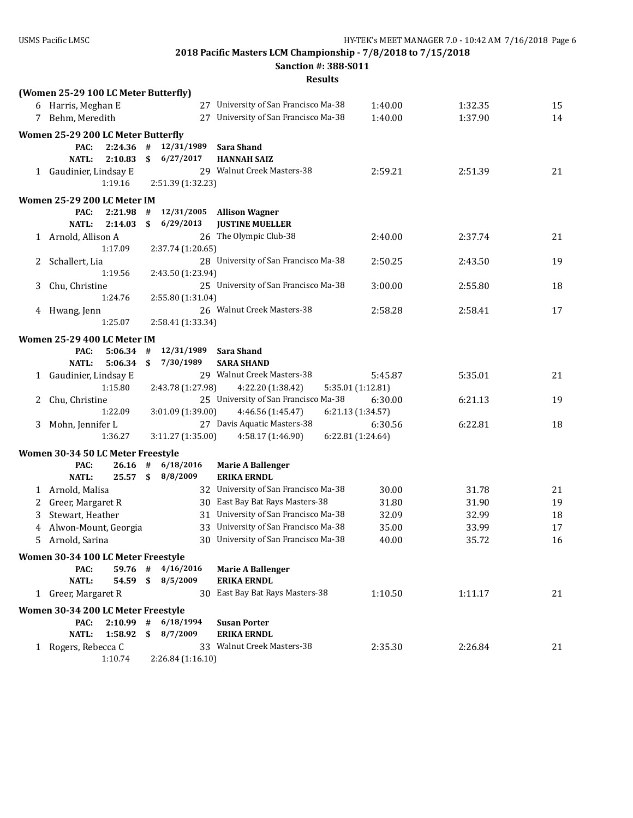**Sanction #: 388-S011**

|    | (Women 25-29 100 LC Meter Butterfly) |             |              |                   |                                      |                   |         |    |
|----|--------------------------------------|-------------|--------------|-------------------|--------------------------------------|-------------------|---------|----|
|    | 6 Harris, Meghan E                   |             |              |                   | 27 University of San Francisco Ma-38 | 1:40.00           | 1:32.35 | 15 |
|    | 7 Behm, Meredith                     |             |              | 27                | University of San Francisco Ma-38    | 1:40.00           | 1:37.90 | 14 |
|    | Women 25-29 200 LC Meter Butterfly   |             |              |                   |                                      |                   |         |    |
|    | PAC:                                 | 2:24.36     | #            | 12/31/1989        | <b>Sara Shand</b>                    |                   |         |    |
|    | <b>NATL:</b>                         | 2:10.83     | \$           | 6/27/2017         | <b>HANNAH SAIZ</b>                   |                   |         |    |
|    | 1 Gaudinier, Lindsay E               |             |              |                   | 29 Walnut Creek Masters-38           | 2:59.21           | 2:51.39 | 21 |
|    |                                      | 1:19.16     |              | 2:51.39 (1:32.23) |                                      |                   |         |    |
|    | Women 25-29 200 LC Meter IM          |             |              |                   |                                      |                   |         |    |
|    | PAC:                                 | 2:21.98     | #            | 12/31/2005        | <b>Allison Wagner</b>                |                   |         |    |
|    | <b>NATL:</b>                         | 2:14.03     | \$           | 6/29/2013         | <b>JUSTINE MUELLER</b>               |                   |         |    |
|    | 1 Arnold, Allison A                  |             |              |                   | 26 The Olympic Club-38               | 2:40.00           | 2:37.74 | 21 |
|    |                                      | 1:17.09     |              | 2:37.74 (1:20.65) |                                      |                   |         |    |
| 2  | Schallert, Lia                       |             |              |                   | 28 University of San Francisco Ma-38 | 2:50.25           | 2:43.50 | 19 |
|    |                                      | 1:19.56     |              | 2:43.50 (1:23.94) |                                      |                   |         |    |
| 3  | Chu, Christine                       |             |              |                   | 25 University of San Francisco Ma-38 | 3:00.00           | 2:55.80 | 18 |
|    |                                      | 1:24.76     |              | 2:55.80 (1:31.04) |                                      |                   |         |    |
|    | 4 Hwang, Jenn                        |             |              |                   | 26 Walnut Creek Masters-38           | 2:58.28           | 2:58.41 | 17 |
|    |                                      | 1:25.07     |              | 2:58.41 (1:33.34) |                                      |                   |         |    |
|    | Women 25-29 400 LC Meter IM          |             |              |                   |                                      |                   |         |    |
|    | PAC:                                 | 5:06.34     | #            | 12/31/1989        | <b>Sara Shand</b>                    |                   |         |    |
|    | <b>NATL:</b>                         | 5:06.34     | \$           | 7/30/1989         | <b>SARA SHAND</b>                    |                   |         |    |
|    | 1 Gaudinier, Lindsay E               |             |              |                   | 29 Walnut Creek Masters-38           | 5:45.87           | 5:35.01 | 21 |
|    |                                      | 1:15.80     |              | 2:43.78 (1:27.98) | 4:22.20 (1:38.42)                    | 5:35.01 (1:12.81) |         |    |
| 2  | Chu, Christine                       |             |              |                   | 25 University of San Francisco Ma-38 | 6:30.00           | 6:21.13 | 19 |
|    |                                      | 1:22.09     |              | 3:01.09 (1:39.00) | 4:46.56 (1:45.47)                    | 6:21.13 (1:34.57) |         |    |
| 3  | Mohn, Jennifer L                     |             |              |                   | 27 Davis Aquatic Masters-38          | 6:30.56           | 6:22.81 | 18 |
|    |                                      | 1:36.27     |              | 3:11.27 (1:35.00) | 4:58.17 (1:46.90)                    | 6:22.81 (1:24.64) |         |    |
|    | Women 30-34 50 LC Meter Freestyle    |             |              |                   |                                      |                   |         |    |
|    | PAC:                                 | 26.16       | #            | 6/18/2016         | <b>Marie A Ballenger</b>             |                   |         |    |
|    | <b>NATL:</b>                         | 25.57       | $\mathbf{s}$ | 8/8/2009          | <b>ERIKA ERNDL</b>                   |                   |         |    |
|    | 1 Arnold, Malisa                     |             |              |                   | 32 University of San Francisco Ma-38 | 30.00             | 31.78   | 21 |
| 2  | Greer, Margaret R                    |             |              |                   | 30 East Bay Bat Rays Masters-38      | 31.80             | 31.90   | 19 |
| 3  | Stewart, Heather                     |             |              |                   | 31 University of San Francisco Ma-38 | 32.09             | 32.99   | 18 |
| 4  | Alwon-Mount, Georgia                 |             |              |                   | 33 University of San Francisco Ma-38 | 35.00             | 33.99   | 17 |
| 5. | Arnold, Sarina                       |             |              |                   | 30 University of San Francisco Ma-38 | 40.00             | 35.72   | 16 |
|    | Women 30-34 100 LC Meter Freestyle   |             |              |                   |                                      |                   |         |    |
|    | PAC:                                 | 59.76 #     |              | 4/16/2016         | <b>Marie A Ballenger</b>             |                   |         |    |
|    | <b>NATL:</b>                         | 54.59 \$    |              | 8/5/2009          | <b>ERIKA ERNDL</b>                   |                   |         |    |
|    | 1 Greer, Margaret R                  |             |              |                   | 30 East Bay Bat Rays Masters-38      | 1:10.50           | 1:11.17 | 21 |
|    | Women 30-34 200 LC Meter Freestyle   |             |              |                   |                                      |                   |         |    |
|    | PAC:                                 | $2:10.99$ # |              | 6/18/1994         | <b>Susan Porter</b>                  |                   |         |    |
|    | <b>NATL:</b>                         | 1:58.92     | \$           | 8/7/2009          | <b>ERIKA ERNDL</b>                   |                   |         |    |
|    | 1 Rogers, Rebecca C                  |             |              |                   | 33 Walnut Creek Masters-38           | 2:35.30           | 2:26.84 | 21 |
|    |                                      | 1:10.74     |              | 2:26.84 (1:16.10) |                                      |                   |         |    |
|    |                                      |             |              |                   |                                      |                   |         |    |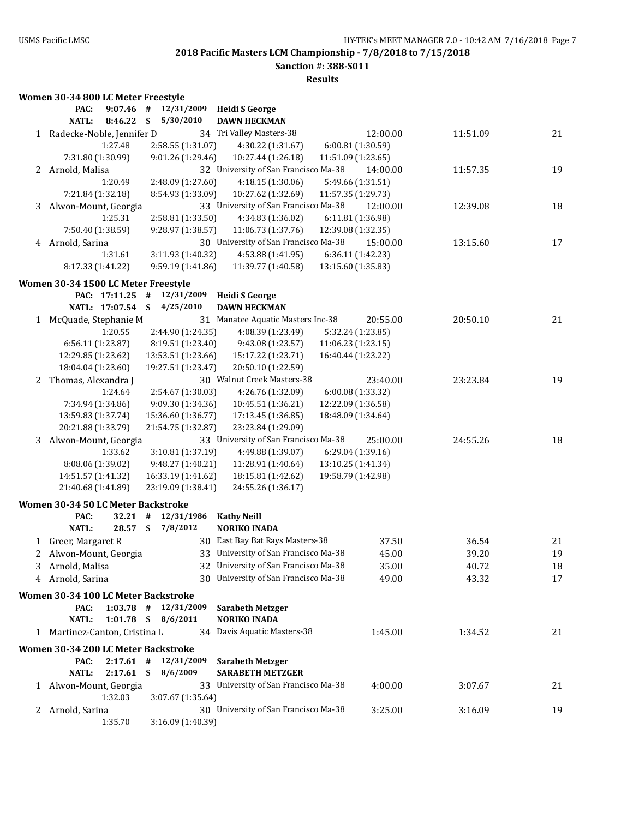**Sanction #: 388-S011**

|   | Women 30-34 800 LC Meter Freestyle         |                    |                                           |                    |          |          |
|---|--------------------------------------------|--------------------|-------------------------------------------|--------------------|----------|----------|
|   | PAC:<br>9:07.46                            | 12/31/2009<br>#    | <b>Heidi S George</b>                     |                    |          |          |
|   | <b>NATL:</b><br>8:46.22                    | \$<br>5/30/2010    | <b>DAWN HECKMAN</b>                       |                    |          |          |
|   | 1 Radecke-Noble, Jennifer D                |                    | 34 Tri Valley Masters-38                  | 12:00.00           | 11:51.09 | 21       |
|   | 1:27.48                                    | 2:58.55 (1:31.07)  | 4:30.22 (1:31.67)                         | 6:00.81 (1:30.59)  |          |          |
|   | 7:31.80 (1:30.99)                          | 9:01.26 (1:29.46)  | 10:27.44 (1:26.18)                        | 11:51.09 (1:23.65) |          |          |
|   | 2 Arnold, Malisa                           |                    | 32 University of San Francisco Ma-38      | 14:00.00           | 11:57.35 | 19       |
|   | 1:20.49                                    | 2:48.09 (1:27.60)  | 4:18.15 (1:30.06)                         | 5:49.66 (1:31.51)  |          |          |
|   | 7:21.84 (1:32.18)                          | 8:54.93 (1:33.09)  | 10:27.62 (1:32.69)                        | 11:57.35 (1:29.73) |          |          |
| 3 | Alwon-Mount, Georgia                       |                    | 33 University of San Francisco Ma-38      | 12:00.00           | 12:39.08 | 18       |
|   | 1:25.31                                    | 2:58.81 (1:33.50)  | 4:34.83 (1:36.02)                         | 6:11.81 (1:36.98)  |          |          |
|   | 7:50.40 (1:38.59)                          | 9:28.97 (1:38.57)  | 11:06.73 (1:37.76)                        | 12:39.08 (1:32.35) |          |          |
|   | 4 Arnold, Sarina                           |                    | 30 University of San Francisco Ma-38      | 15:00.00           | 13:15.60 | 17       |
|   | 1:31.61                                    | 3:11.93 (1:40.32)  | 4:53.88 (1:41.95)                         | 6:36.11 (1:42.23)  |          |          |
|   | 8:17.33 (1:41.22)                          | 9:59.19 (1:41.86)  | 11:39.77 (1:40.58)                        | 13:15.60 (1:35.83) |          |          |
|   | Women 30-34 1500 LC Meter Freestyle        |                    |                                           |                    |          |          |
|   | PAC: 17:11.25                              | 12/31/2009<br>#    | <b>Heidi S George</b>                     |                    |          |          |
|   | NATL: 17:07.54                             | - \$<br>4/25/2010  | <b>DAWN HECKMAN</b>                       |                    |          |          |
| 1 | McQuade, Stephanie M                       |                    | 31 Manatee Aquatic Masters Inc-38         | 20:55.00           | 20:50.10 | 21       |
|   | 1:20.55                                    | 2:44.90 (1:24.35)  | 4:08.39 (1:23.49)                         | 5:32.24 (1:23.85)  |          |          |
|   | 6:56.11 (1:23.87)                          | 8:19.51 (1:23.40)  | 9:43.08 (1:23.57)                         | 11:06.23 (1:23.15) |          |          |
|   | 12:29.85 (1:23.62)                         | 13:53.51 (1:23.66) | 15:17.22 (1:23.71)                        | 16:40.44 (1:23.22) |          |          |
|   | 18:04.04 (1:23.60)                         | 19:27.51 (1:23.47) | 20:50.10 (1:22.59)                        |                    |          |          |
| 2 | Thomas, Alexandra J                        |                    | 30 Walnut Creek Masters-38                | 23:40.00           | 23:23.84 | 19       |
|   | 1:24.64                                    | 2:54.67 (1:30.03)  | 4:26.76 (1:32.09)                         | 6:00.08 (1:33.32)  |          |          |
|   | 7:34.94 (1:34.86)                          | 9:09.30 (1:34.36)  | 10:45.51 (1:36.21)                        | 12:22.09 (1:36.58) |          |          |
|   | 13:59.83 (1:37.74)                         | 15:36.60 (1:36.77) | 17:13.45 (1:36.85)                        | 18:48.09 (1:34.64) |          |          |
|   | 20:21.88 (1:33.79)                         | 21:54.75 (1:32.87) | 23:23.84 (1:29.09)                        |                    |          |          |
| 3 | Alwon-Mount, Georgia                       |                    | 33 University of San Francisco Ma-38      | 25:00.00           | 24:55.26 | 18       |
|   | 1:33.62                                    | 3:10.81 (1:37.19)  | 4:49.88 (1:39.07)                         | 6:29.04 (1:39.16)  |          |          |
|   | 8:08.06 (1:39.02)                          | 9:48.27 (1:40.21)  | 11:28.91 (1:40.64)                        | 13:10.25 (1:41.34) |          |          |
|   | 14:51.57 (1:41.32)                         | 16:33.19 (1:41.62) | 18:15.81 (1:42.62)                        | 19:58.79 (1:42.98) |          |          |
|   | 21:40.68 (1:41.89)                         | 23:19.09 (1:38.41) | 24:55.26 (1:36.17)                        |                    |          |          |
|   |                                            |                    |                                           |                    |          |          |
|   | Women 30-34 50 LC Meter Backstroke<br>PAC: | 12/31/1986<br>#    |                                           |                    |          |          |
|   | 32.21<br><b>NATL:</b><br>28.57             | \$<br>7/8/2012     | <b>Kathy Neill</b><br><b>NORIKO INADA</b> |                    |          |          |
|   |                                            |                    | 30 East Bay Bat Rays Masters-38           |                    |          |          |
|   | 1 Greer, Margaret R                        |                    | 33 University of San Francisco Ma-38      | 37.50              | 36.54    | 21<br>19 |
|   | Alwon-Mount, Georgia                       |                    |                                           | 45.00              | 39.20    |          |
| 3 | Arnold, Malisa                             |                    | 32 University of San Francisco Ma-38      | 35.00              | 40.72    | 18       |
| 4 | Arnold, Sarina                             |                    | 30 University of San Francisco Ma-38      | 49.00              | 43.32    | 17       |
|   | Women 30-34 100 LC Meter Backstroke        |                    |                                           |                    |          |          |
|   | PAC:<br>$1:03.78$ #                        | 12/31/2009         | <b>Sarabeth Metzger</b>                   |                    |          |          |
|   | $1:01.78$ \$<br>NATL:                      | 8/6/2011           | <b>NORIKO INADA</b>                       |                    |          |          |
|   | 1 Martinez-Canton, Cristina L              |                    | 34 Davis Aquatic Masters-38               | 1:45.00            | 1:34.52  | 21       |
|   | Women 30-34 200 LC Meter Backstroke        |                    |                                           |                    |          |          |
|   | $2:17.61$ #<br>PAC:                        | 12/31/2009         | <b>Sarabeth Metzger</b>                   |                    |          |          |
|   | <b>NATL:</b><br>$2:17.61$ \$               | 8/6/2009           | <b>SARABETH METZGER</b>                   |                    |          |          |
|   | 1 Alwon-Mount, Georgia                     |                    | 33 University of San Francisco Ma-38      | 4:00.00            | 3:07.67  | 21       |
|   | 1:32.03                                    | 3:07.67 (1:35.64)  |                                           |                    |          |          |
|   | 2 Arnold, Sarina                           |                    | 30 University of San Francisco Ma-38      | 3:25.00            | 3:16.09  | 19       |
|   | 1:35.70                                    | 3:16.09 (1:40.39)  |                                           |                    |          |          |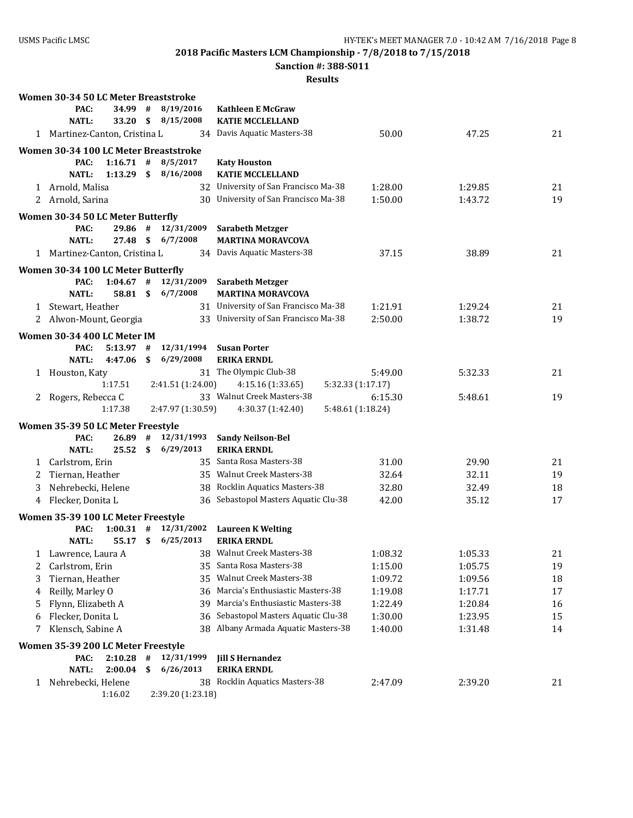**Sanction #: 388-S011**

|   | Women 30-34 50 LC Meter Breaststroke       |                        |    |                         |                                               |         |         |    |
|---|--------------------------------------------|------------------------|----|-------------------------|-----------------------------------------------|---------|---------|----|
|   | PAC:                                       | 34.99                  | #  | 8/19/2016               | <b>Kathleen E McGraw</b>                      |         |         |    |
|   | <b>NATL:</b>                               | 33.20                  | \$ | 8/15/2008               | <b>KATIE MCCLELLAND</b>                       |         |         |    |
|   | 1 Martinez-Canton, Cristina L              |                        |    |                         | 34 Davis Aquatic Masters-38                   | 50.00   | 47.25   | 21 |
|   | Women 30-34 100 LC Meter Breaststroke      |                        |    |                         |                                               |         |         |    |
|   | PAC:                                       | $1:16.71$ #            |    | 8/5/2017                | <b>Katy Houston</b>                           |         |         |    |
|   | <b>NATL:</b>                               | $1:13.29$ \$           |    | 8/16/2008               | <b>KATIE MCCLELLAND</b>                       |         |         |    |
|   | 1 Arnold, Malisa                           |                        |    |                         | 32 University of San Francisco Ma-38          | 1:28.00 | 1:29.85 | 21 |
|   | 2 Arnold, Sarina                           |                        |    |                         | 30 University of San Francisco Ma-38          | 1:50.00 | 1:43.72 | 19 |
|   | Women 30-34 50 LC Meter Butterfly          |                        |    |                         |                                               |         |         |    |
|   | PAC:                                       | 29.86 #                |    | 12/31/2009              | <b>Sarabeth Metzger</b>                       |         |         |    |
|   | <b>NATL:</b>                               | 27.48 S                |    | 6/7/2008                | <b>MARTINA MORAVCOVA</b>                      |         |         |    |
|   | 1 Martinez-Canton, Cristina L              |                        |    |                         | 34 Davis Aquatic Masters-38                   | 37.15   | 38.89   | 21 |
|   | Women 30-34 100 LC Meter Butterfly         |                        |    |                         |                                               |         |         |    |
|   | PAC:                                       | $1:04.67$ #            |    | 12/31/2009              | <b>Sarabeth Metzger</b>                       |         |         |    |
|   | <b>NATL:</b>                               | 58.81 \$               |    | 6/7/2008                | <b>MARTINA MORAVCOVA</b>                      |         |         |    |
|   | 1 Stewart, Heather                         |                        |    |                         | 31 University of San Francisco Ma-38          | 1:21.91 | 1:29.24 | 21 |
|   | 2 Alwon-Mount, Georgia                     |                        |    |                         | 33 University of San Francisco Ma-38          | 2:50.00 | 1:38.72 | 19 |
|   | Women 30-34 400 LC Meter IM                |                        |    |                         |                                               |         |         |    |
|   | PAC:                                       | $5:13.97$ #            |    | 12/31/1994              | <b>Susan Porter</b>                           |         |         |    |
|   | NATL:                                      | 4:47.06                | \$ | 6/29/2008               | <b>ERIKA ERNDL</b>                            |         |         |    |
| 1 | Houston, Katy                              |                        |    |                         | 31 The Olympic Club-38                        | 5:49.00 | 5:32.33 | 21 |
|   |                                            | 1:17.51                |    | 2:41.51 (1:24.00)       | 4:15.16 (1:33.65)<br>5:32.33 (1:17.17)        |         |         |    |
| 2 | Rogers, Rebecca C                          |                        |    |                         | 33 Walnut Creek Masters-38                    | 6:15.30 | 5:48.61 | 19 |
|   |                                            | 1:17.38                |    | 2:47.97 (1:30.59)       | 4:30.37 (1:42.40)<br>5:48.61 (1:18.24)        |         |         |    |
|   | Women 35-39 50 LC Meter Freestyle          |                        |    |                         |                                               |         |         |    |
|   | PAC:                                       | 26.89                  | #  | 12/31/1993              | <b>Sandy Neilson-Bel</b>                      |         |         |    |
|   | <b>NATL:</b>                               | 25.52                  | \$ | 6/29/2013               | <b>ERIKA ERNDL</b>                            |         |         |    |
|   | 1 Carlstrom, Erin                          |                        |    |                         | 35 Santa Rosa Masters-38                      | 31.00   | 29.90   | 21 |
| 2 | Tiernan, Heather                           |                        |    |                         | 35 Walnut Creek Masters-38                    | 32.64   | 32.11   | 19 |
| 3 | Nehrebecki, Helene                         |                        |    |                         | 38 Rocklin Aquatics Masters-38                | 32.80   | 32.49   | 18 |
| 4 | Flecker, Donita L                          |                        |    |                         | 36 Sebastopol Masters Aquatic Clu-38          | 42.00   | 35.12   | 17 |
|   |                                            |                        |    |                         |                                               |         |         |    |
|   | Women 35-39 100 LC Meter Freestyle<br>PAC: | $1:00.31$ #            |    | 12/31/2002              | <b>Laureen K Welting</b>                      |         |         |    |
|   | <b>NATL:</b>                               | 55.17 \$               |    | 6/25/2013               | <b>ERIKA ERNDL</b>                            |         |         |    |
|   | 1 Lawrence, Laura A                        |                        |    |                         | 38 Walnut Creek Masters-38                    | 1:08.32 | 1:05.33 | 21 |
| 2 | Carlstrom, Erin                            |                        |    |                         | 35 Santa Rosa Masters-38                      | 1:15.00 | 1:05.75 | 19 |
| 3 | Tiernan, Heather                           |                        |    |                         | 35 Walnut Creek Masters-38                    | 1:09.72 | 1:09.56 | 18 |
| 4 | Reilly, Marley O                           |                        |    |                         | 36 Marcia's Enthusiastic Masters-38           | 1:19.08 | 1:17.71 | 17 |
| 5 | Flynn, Elizabeth A                         |                        |    |                         | 39 Marcia's Enthusiastic Masters-38           | 1:22.49 | 1:20.84 | 16 |
| 6 | Flecker, Donita L                          |                        |    |                         | 36 Sebastopol Masters Aquatic Clu-38          | 1:30.00 | 1:23.95 | 15 |
| 7 | Klensch, Sabine A                          |                        |    |                         | 38 Albany Armada Aquatic Masters-38           | 1:40.00 | 1:31.48 | 14 |
|   |                                            |                        |    |                         |                                               |         |         |    |
|   | Women 35-39 200 LC Meter Freestyle         |                        |    |                         |                                               |         |         |    |
|   | PAC:<br><b>NATL:</b>                       | $2:10.28$ #<br>2:00.04 | \$ | 12/31/1999<br>6/26/2013 | <b>Jill S Hernandez</b><br><b>ERIKA ERNDL</b> |         |         |    |
|   | Nehrebecki, Helene                         |                        |    |                         | 38 Rocklin Aquatics Masters-38                | 2:47.09 | 2:39.20 | 21 |
| 1 |                                            | 1:16.02                |    | 2:39.20 (1:23.18)       |                                               |         |         |    |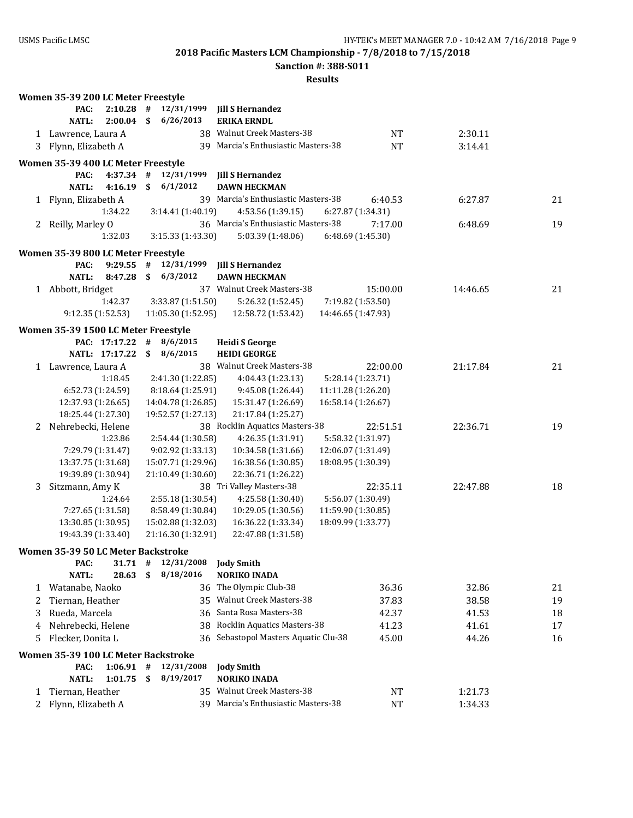**Sanction #: 388-S011**

|   | Women 35-39 200 LC Meter Freestyle  |                |               |                          |                                              |                    |          |    |
|---|-------------------------------------|----------------|---------------|--------------------------|----------------------------------------------|--------------------|----------|----|
|   | PAC:                                | 2:10.28        | #             | 12/31/1999               | <b>Jill S Hernandez</b>                      |                    |          |    |
|   | <b>NATL:</b>                        | $2:00.04$ \$   |               | 6/26/2013                | <b>ERIKA ERNDL</b>                           |                    |          |    |
|   | 1 Lawrence, Laura A                 |                |               |                          | 38 Walnut Creek Masters-38                   | NT                 | 2:30.11  |    |
|   | 3 Flynn, Elizabeth A                |                |               |                          | 39 Marcia's Enthusiastic Masters-38          | <b>NT</b>          | 3:14.41  |    |
|   | Women 35-39 400 LC Meter Freestyle  |                |               |                          |                                              |                    |          |    |
|   | PAC:                                | $4:37.34$ #    |               | 12/31/1999               | <b>Jill S Hernandez</b>                      |                    |          |    |
|   | NATL:                               | 4:16.19        | $\mathbf{\$}$ | 6/1/2012                 | <b>DAWN HECKMAN</b>                          |                    |          |    |
|   | 1 Flynn, Elizabeth A                |                |               |                          | 39 Marcia's Enthusiastic Masters-38          | 6:40.53            | 6:27.87  | 21 |
|   |                                     | 1:34.22        |               | 3:14.41 (1:40.19)        | 4:53.56 (1:39.15)                            | 6:27.87 (1:34.31)  |          |    |
|   | 2 Reilly, Marley O                  |                |               |                          | 36 Marcia's Enthusiastic Masters-38          | 7:17.00            | 6:48.69  | 19 |
|   |                                     | 1:32.03        |               | 3:15.33 (1:43.30)        | 5:03.39 (1:48.06)                            | 6:48.69 (1:45.30)  |          |    |
|   | Women 35-39 800 LC Meter Freestyle  |                |               |                          |                                              |                    |          |    |
|   | PAC:                                |                |               | $9:29.55$ # $12/31/1999$ | <b>Jill S Hernandez</b>                      |                    |          |    |
|   | <b>NATL:</b>                        | 8:47.28        | $\mathsf{\$}$ | 6/3/2012                 | <b>DAWN HECKMAN</b>                          |                    |          |    |
|   | 1 Abbott, Bridget                   |                |               |                          | 37 Walnut Creek Masters-38                   | 15:00.00           | 14:46.65 | 21 |
|   |                                     | 1:42.37        |               | 3:33.87 (1:51.50)        | 5:26.32 (1:52.45)                            | 7:19.82 (1:53.50)  |          |    |
|   | 9:12.35 (1:52.53)                   |                |               | 11:05.30 (1:52.95)       | 12:58.72 (1:53.42)                           | 14:46.65 (1:47.93) |          |    |
|   |                                     |                |               |                          |                                              |                    |          |    |
|   | Women 35-39 1500 LC Meter Freestyle | PAC: 17:17.22  | #             | 8/6/2015                 |                                              |                    |          |    |
|   |                                     | NATL: 17:17.22 | $\mathbf{s}$  | 8/6/2015                 | <b>Heidi S George</b><br><b>HEIDI GEORGE</b> |                    |          |    |
|   |                                     |                |               |                          | 38 Walnut Creek Masters-38                   | 22:00.00           | 21:17.84 | 21 |
|   | 1 Lawrence, Laura A                 | 1:18.45        |               | 2:41.30 (1:22.85)        | 4:04.43 (1:23.13)                            | 5:28.14 (1:23.71)  |          |    |
|   | 6:52.73 (1:24.59)                   |                |               | 8:18.64 (1:25.91)        | 9:45.08 (1:26.44)                            | 11:11.28 (1:26.20) |          |    |
|   | 12:37.93 (1:26.65)                  |                |               | 14:04.78 (1:26.85)       | 15:31.47 (1:26.69)                           | 16:58.14 (1:26.67) |          |    |
|   | 18:25.44 (1:27.30)                  |                |               | 19:52.57 (1:27.13)       | 21:17.84 (1:25.27)                           |                    |          |    |
|   | 2 Nehrebecki, Helene                |                |               |                          | 38 Rocklin Aquatics Masters-38               | 22:51.51           | 22:36.71 | 19 |
|   |                                     | 1:23.86        |               | 2:54.44 (1:30.58)        | 4:26.35 (1:31.91)                            | 5:58.32 (1:31.97)  |          |    |
|   | 7:29.79 (1:31.47)                   |                |               | 9:02.92 (1:33.13)        | 10:34.58 (1:31.66)                           | 12:06.07 (1:31.49) |          |    |
|   | 13:37.75 (1:31.68)                  |                |               | 15:07.71 (1:29.96)       | 16:38.56 (1:30.85)                           | 18:08.95 (1:30.39) |          |    |
|   | 19:39.89 (1:30.94)                  |                |               | 21:10.49 (1:30.60)       | 22:36.71 (1:26.22)                           |                    |          |    |
| 3 | Sitzmann, Amy K                     |                |               |                          | 38 Tri Valley Masters-38                     | 22:35.11           | 22:47.88 | 18 |
|   |                                     | 1:24.64        |               | 2:55.18 (1:30.54)        | 4:25.58 (1:30.40)                            | 5:56.07 (1:30.49)  |          |    |
|   | 7:27.65 (1:31.58)                   |                |               | 8:58.49 (1:30.84)        | 10:29.05 (1:30.56)                           | 11:59.90 (1:30.85) |          |    |
|   | 13:30.85 (1:30.95)                  |                |               | 15:02.88 (1:32.03)       | 16:36.22 (1:33.34)                           | 18:09.99 (1:33.77) |          |    |
|   | 19:43.39 (1:33.40)                  |                |               | 21:16.30 (1:32.91)       | 22:47.88 (1:31.58)                           |                    |          |    |
|   | Women 35-39 50 LC Meter Backstroke  |                |               |                          |                                              |                    |          |    |
|   | PAC:                                | 31.71          | #             | 12/31/2008               | <b>Jody Smith</b>                            |                    |          |    |
|   | <b>NATL:</b>                        | 28.63          | \$            | 8/18/2016                | <b>NORIKO INADA</b>                          |                    |          |    |
| 1 | Watanabe, Naoko                     |                |               |                          | 36 The Olympic Club-38                       | 36.36              | 32.86    | 21 |
| 2 | Tiernan, Heather                    |                |               |                          | 35 Walnut Creek Masters-38                   | 37.83              | 38.58    | 19 |
| 3 | Rueda, Marcela                      |                |               |                          | 36 Santa Rosa Masters-38                     | 42.37              | 41.53    | 18 |
| 4 | Nehrebecki, Helene                  |                |               |                          | 38 Rocklin Aquatics Masters-38               | 41.23              | 41.61    | 17 |
| 5 | Flecker, Donita L                   |                |               |                          | 36 Sebastopol Masters Aquatic Clu-38         | 45.00              | 44.26    | 16 |
|   | Women 35-39 100 LC Meter Backstroke |                |               |                          |                                              |                    |          |    |
|   | PAC:                                | $1:06.91$ #    |               | 12/31/2008               | <b>Jody Smith</b>                            |                    |          |    |
|   | <b>NATL:</b>                        | 1:01.75        | \$            | 8/19/2017                | <b>NORIKO INADA</b>                          |                    |          |    |
| 1 | Tiernan, Heather                    |                |               |                          | 35 Walnut Creek Masters-38                   | NT                 | 1:21.73  |    |
| 2 | Flynn, Elizabeth A                  |                |               |                          | 39 Marcia's Enthusiastic Masters-38          | <b>NT</b>          | 1:34.33  |    |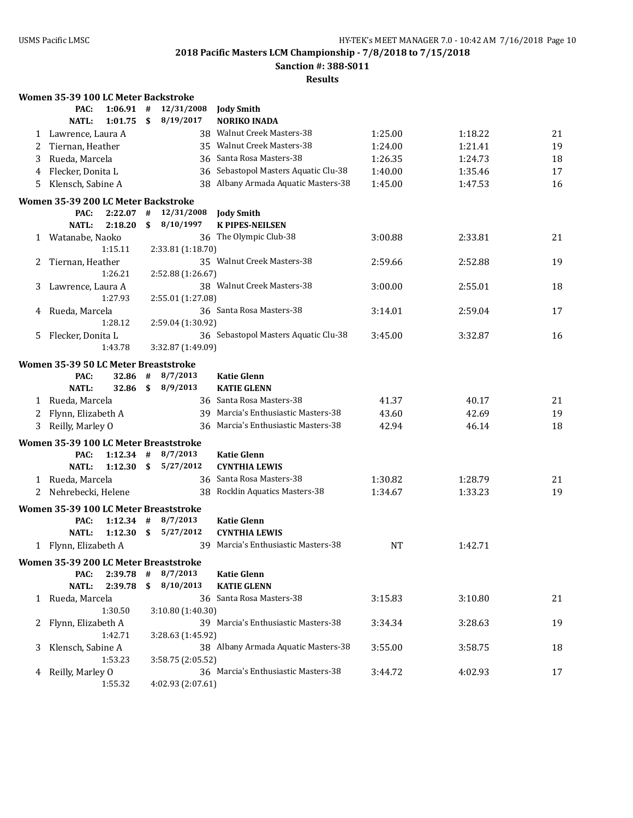**Sanction #: 388-S011**

|        | Women 35-39 100 LC Meter Backstroke          |             |      |                   |                                      |                |                |    |
|--------|----------------------------------------------|-------------|------|-------------------|--------------------------------------|----------------|----------------|----|
|        | PAC:                                         | 1:06.91     | #    | 12/31/2008        | <b>Jody Smith</b>                    |                |                |    |
|        | <b>NATL:</b>                                 | 1:01.75     | \$   | 8/19/2017         | <b>NORIKO INADA</b>                  |                |                |    |
|        | 1 Lawrence, Laura A                          |             |      |                   | 38 Walnut Creek Masters-38           | 1:25.00        | 1:18.22        | 21 |
| 2      | Tiernan, Heather                             |             |      |                   | 35 Walnut Creek Masters-38           | 1:24.00        | 1:21.41        | 19 |
| 3      | Rueda, Marcela                               |             |      |                   | 36 Santa Rosa Masters-38             | 1:26.35        | 1:24.73        | 18 |
| 4      | Flecker, Donita L                            |             |      |                   | 36 Sebastopol Masters Aquatic Clu-38 | 1:40.00        | 1:35.46        | 17 |
| 5      | Klensch, Sabine A                            |             |      |                   | 38 Albany Armada Aquatic Masters-38  | 1:45.00        | 1:47.53        | 16 |
|        | Women 35-39 200 LC Meter Backstroke          |             |      |                   |                                      |                |                |    |
|        | PAC:                                         | 2:22.07     | #    | 12/31/2008        | <b>Jody Smith</b>                    |                |                |    |
|        | <b>NATL:</b>                                 | 2:18.20     | \$   | 8/10/1997         | <b>K PIPES-NEILSEN</b>               |                |                |    |
| 1      | Watanabe, Naoko                              |             |      |                   | 36 The Olympic Club-38               | 3:00.88        | 2:33.81        | 21 |
|        |                                              | 1:15.11     |      | 2:33.81 (1:18.70) |                                      |                |                |    |
| 2      | Tiernan, Heather                             |             |      |                   | 35 Walnut Creek Masters-38           | 2:59.66        | 2:52.88        | 19 |
|        |                                              | 1:26.21     |      | 2:52.88 (1:26.67) |                                      |                |                |    |
| 3      | Lawrence, Laura A                            |             |      |                   | 38 Walnut Creek Masters-38           | 3:00.00        | 2:55.01        | 18 |
|        |                                              | 1:27.93     |      | 2:55.01 (1:27.08) |                                      |                |                |    |
| 4      | Rueda, Marcela                               |             |      |                   | 36 Santa Rosa Masters-38             | 3:14.01        | 2:59.04        | 17 |
|        |                                              | 1:28.12     |      | 2:59.04 (1:30.92) |                                      |                |                |    |
| 5.     | Flecker, Donita L                            |             |      |                   | 36 Sebastopol Masters Aquatic Clu-38 | 3:45.00        | 3:32.87        | 16 |
|        |                                              | 1:43.78     |      | 3:32.87 (1:49.09) |                                      |                |                |    |
|        |                                              |             |      |                   |                                      |                |                |    |
|        | Women 35-39 50 LC Meter Breaststroke<br>PAC: | 32.86       | $\#$ | 8/7/2013          | <b>Katie Glenn</b>                   |                |                |    |
|        | <b>NATL:</b>                                 | 32.86       | \$   | 8/9/2013          | <b>KATIE GLENN</b>                   |                |                |    |
|        | 1 Rueda, Marcela                             |             |      |                   | 36 Santa Rosa Masters-38             | 41.37          | 40.17          | 21 |
|        | Flynn, Elizabeth A                           |             |      |                   | 39 Marcia's Enthusiastic Masters-38  |                |                | 19 |
| 2<br>3 | Reilly, Marley O                             |             |      |                   | 36 Marcia's Enthusiastic Masters-38  | 43.60<br>42.94 | 42.69<br>46.14 | 18 |
|        |                                              |             |      |                   |                                      |                |                |    |
|        | Women 35-39 100 LC Meter Breaststroke        |             |      |                   |                                      |                |                |    |
|        | PAC:                                         | $1:12.34$ # |      | 8/7/2013          | <b>Katie Glenn</b>                   |                |                |    |
|        | <b>NATL:</b>                                 | 1:12.30     | - \$ | 5/27/2012         | <b>CYNTHIA LEWIS</b>                 |                |                |    |
|        | 1 Rueda, Marcela                             |             |      |                   | 36 Santa Rosa Masters-38             | 1:30.82        | 1:28.79        | 21 |
| 2      | Nehrebecki, Helene                           |             |      |                   | 38 Rocklin Aquatics Masters-38       | 1:34.67        | 1:33.23        | 19 |
|        | Women 35-39 100 LC Meter Breaststroke        |             |      |                   |                                      |                |                |    |
|        | PAC:                                         | 1:12.34     | #    | 8/7/2013          | <b>Katie Glenn</b>                   |                |                |    |
|        | <b>NATL:</b>                                 | 1:12.30     | - \$ | 5/27/2012         | <b>CYNTHIA LEWIS</b>                 |                |                |    |
|        | 1 Flynn, Elizabeth A                         |             |      |                   | 39 Marcia's Enthusiastic Masters-38  | <b>NT</b>      | 1:42.71        |    |
|        | Women 35-39 200 LC Meter Breaststroke        |             |      |                   |                                      |                |                |    |
|        | PAC:                                         | 2:39.78     | #    | 8/7/2013          | <b>Katie Glenn</b>                   |                |                |    |
|        | <b>NATL:</b>                                 | 2:39.78     | \$   | 8/10/2013         | <b>KATIE GLENN</b>                   |                |                |    |
|        | 1 Rueda, Marcela                             |             |      |                   | 36 Santa Rosa Masters-38             | 3:15.83        | 3:10.80        | 21 |
|        |                                              | 1:30.50     |      | 3:10.80 (1:40.30) |                                      |                |                |    |
| 2      | Flynn, Elizabeth A                           |             |      |                   | 39 Marcia's Enthusiastic Masters-38  | 3:34.34        | 3:28.63        | 19 |
|        |                                              | 1:42.71     |      | 3:28.63 (1:45.92) |                                      |                |                |    |
| 3      | Klensch, Sabine A                            |             |      |                   | 38 Albany Armada Aquatic Masters-38  | 3:55.00        | 3:58.75        | 18 |
|        |                                              | 1:53.23     |      | 3:58.75 (2:05.52) |                                      |                |                |    |
| 4      | Reilly, Marley O                             |             |      |                   | 36 Marcia's Enthusiastic Masters-38  | 3:44.72        | 4:02.93        | 17 |
|        |                                              | 1:55.32     |      | 4:02.93 (2:07.61) |                                      |                |                |    |
|        |                                              |             |      |                   |                                      |                |                |    |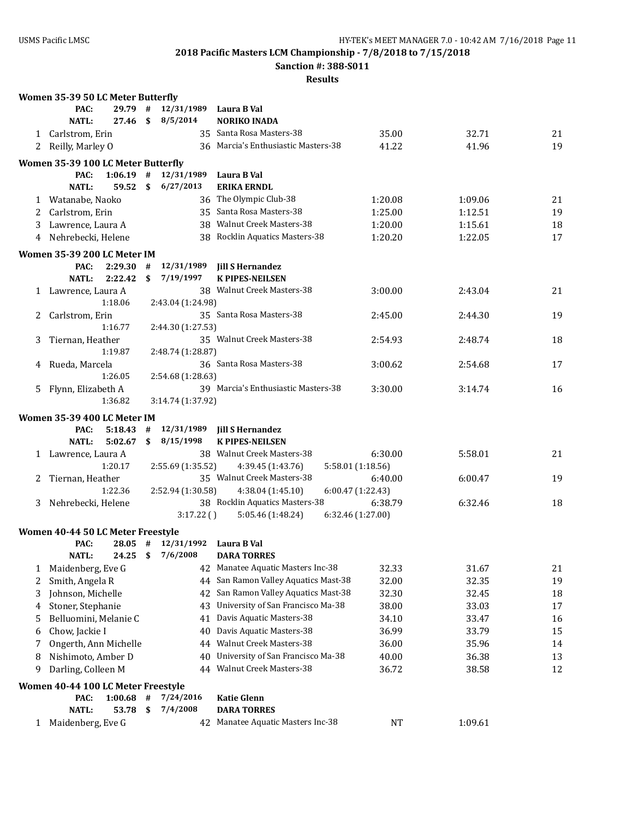**Sanction #: 388-S011**

|    | Women 35-39 50 LC Meter Butterfly   |    |                        |                                                   |         |         |    |
|----|-------------------------------------|----|------------------------|---------------------------------------------------|---------|---------|----|
|    | PAC:<br>29.79                       | #  | 12/31/1989             | Laura B Val                                       |         |         |    |
|    | <b>NATL:</b><br>27.46               | \$ | 8/5/2014               | <b>NORIKO INADA</b>                               |         |         |    |
|    | 1 Carlstrom, Erin                   |    |                        | 35 Santa Rosa Masters-38                          | 35.00   | 32.71   | 21 |
|    | 2 Reilly, Marley O                  |    |                        | 36 Marcia's Enthusiastic Masters-38               | 41.22   | 41.96   | 19 |
|    | Women 35-39 100 LC Meter Butterfly  |    |                        |                                                   |         |         |    |
|    | 1:06.19<br>PAC:                     | #  | 12/31/1989             | Laura B Val                                       |         |         |    |
|    | <b>NATL:</b><br>59.52               | \$ | 6/27/2013              | <b>ERIKA ERNDL</b>                                |         |         |    |
| 1  | Watanabe, Naoko                     |    |                        | 36 The Olympic Club-38                            | 1:20.08 | 1:09.06 | 21 |
| 2  | Carlstrom, Erin                     |    |                        | 35 Santa Rosa Masters-38                          | 1:25.00 | 1:12.51 | 19 |
| 3  | Lawrence, Laura A                   |    |                        | 38 Walnut Creek Masters-38                        | 1:20.00 | 1:15.61 | 18 |
| 4  | Nehrebecki, Helene                  |    |                        | 38 Rocklin Aquatics Masters-38                    | 1:20.20 | 1:22.05 | 17 |
|    | Women 35-39 200 LC Meter IM         |    |                        |                                                   |         |         |    |
|    | PAC:<br>2:29.30                     | #  | 12/31/1989             | <b>Jill S Hernandez</b>                           |         |         |    |
|    | NATL:<br>2:22.42                    | \$ | 7/19/1997              | <b>K PIPES-NEILSEN</b>                            |         |         |    |
|    | 1 Lawrence, Laura A                 |    |                        | 38 Walnut Creek Masters-38                        | 3:00.00 | 2:43.04 | 21 |
|    | 1:18.06                             |    | 2:43.04 (1:24.98)      |                                                   |         |         |    |
| 2  | Carlstrom, Erin                     |    |                        | 35 Santa Rosa Masters-38                          | 2:45.00 | 2:44.30 | 19 |
|    | 1:16.77                             |    | 2:44.30 (1:27.53)      |                                                   |         |         |    |
| 3  | Tiernan, Heather                    |    |                        | 35 Walnut Creek Masters-38                        | 2:54.93 | 2:48.74 | 18 |
|    | 1:19.87                             |    | 2:48.74 (1:28.87)      |                                                   |         |         |    |
| 4  | Rueda, Marcela<br>1:26.05           |    | 2:54.68 (1:28.63)      | 36 Santa Rosa Masters-38                          | 3:00.62 | 2:54.68 | 17 |
|    |                                     |    |                        | 39 Marcia's Enthusiastic Masters-38               | 3:30.00 | 3:14.74 | 16 |
| 5. | Flynn, Elizabeth A<br>1:36.82       |    | 3:14.74 (1:37.92)      |                                                   |         |         |    |
|    |                                     |    |                        |                                                   |         |         |    |
|    | Women 35-39 400 LC Meter IM<br>PAC: | #  | 12/31/1989             |                                                   |         |         |    |
|    | 5:18.43<br><b>NATL:</b><br>5:02.67  | \$ | 8/15/1998              | <b>Jill S Hernandez</b><br><b>K PIPES-NEILSEN</b> |         |         |    |
|    | 1 Lawrence, Laura A                 |    |                        | 38 Walnut Creek Masters-38                        | 6:30.00 | 5:58.01 | 21 |
|    | 1:20.17                             |    | 2:55.69 (1:35.52)      | 4:39.45 (1:43.76)<br>5:58.01 (1:18.56)            |         |         |    |
| 2  | Tiernan, Heather                    |    |                        | 35 Walnut Creek Masters-38                        | 6:40.00 | 6:00.47 | 19 |
|    | 1:22.36                             |    | 2:52.94 (1:30.58)      | 4:38.04 (1:45.10)<br>6:00.47 (1:22.43)            |         |         |    |
|    | 3 Nehrebecki, Helene                |    |                        | 38 Rocklin Aquatics Masters-38                    | 6:38.79 | 6:32.46 | 18 |
|    |                                     |    | 3:17.22()              | 5:05.46 (1:48.24)<br>6:32.46 (1:27.00)            |         |         |    |
|    | Women 40-44 50 LC Meter Freestyle   |    |                        |                                                   |         |         |    |
|    | PAC:                                |    | $28.05$ # $12/31/1992$ | Laura B Val                                       |         |         |    |
|    | <b>NATL:</b>                        |    | 24.25 \$ 7/6/2008      | <b>DARA TORRES</b>                                |         |         |    |
| 1  | Maidenberg, Eve G                   |    | 42                     | Manatee Aquatic Masters Inc-38                    | 32.33   | 31.67   | 21 |
| 2  | Smith, Angela R                     |    | 44                     | San Ramon Valley Aquatics Mast-38                 | 32.00   | 32.35   | 19 |
| 3  | Johnson, Michelle                   |    | 42                     | San Ramon Valley Aquatics Mast-38                 | 32.30   | 32.45   | 18 |
| 4  | Stoner, Stephanie                   |    | 43                     | University of San Francisco Ma-38                 | 38.00   | 33.03   | 17 |
| 5  | Belluomini, Melanie C               |    | 41                     | Davis Aquatic Masters-38                          | 34.10   | 33.47   | 16 |
| 6  | Chow, Jackie I                      |    | 40                     | Davis Aquatic Masters-38                          | 36.99   | 33.79   | 15 |
| 7  | Ongerth, Ann Michelle               |    | 44                     | <b>Walnut Creek Masters-38</b>                    | 36.00   | 35.96   | 14 |
| 8  | Nishimoto, Amber D                  |    | 40                     | University of San Francisco Ma-38                 | 40.00   | 36.38   | 13 |
| 9  | Darling, Colleen M                  |    | 44                     | <b>Walnut Creek Masters-38</b>                    | 36.72   | 38.58   | 12 |
|    | Women 40-44 100 LC Meter Freestyle  |    |                        |                                                   |         |         |    |
|    | 1:00.68<br>PAC:                     | #  | 7/24/2016              | <b>Katie Glenn</b>                                |         |         |    |
|    | <b>NATL:</b><br>53.78               | \$ | 7/4/2008               | <b>DARA TORRES</b>                                |         |         |    |
|    | 1 Maidenberg, Eve G                 |    |                        | 42 Manatee Aquatic Masters Inc-38                 | NT      | 1:09.61 |    |
|    |                                     |    |                        |                                                   |         |         |    |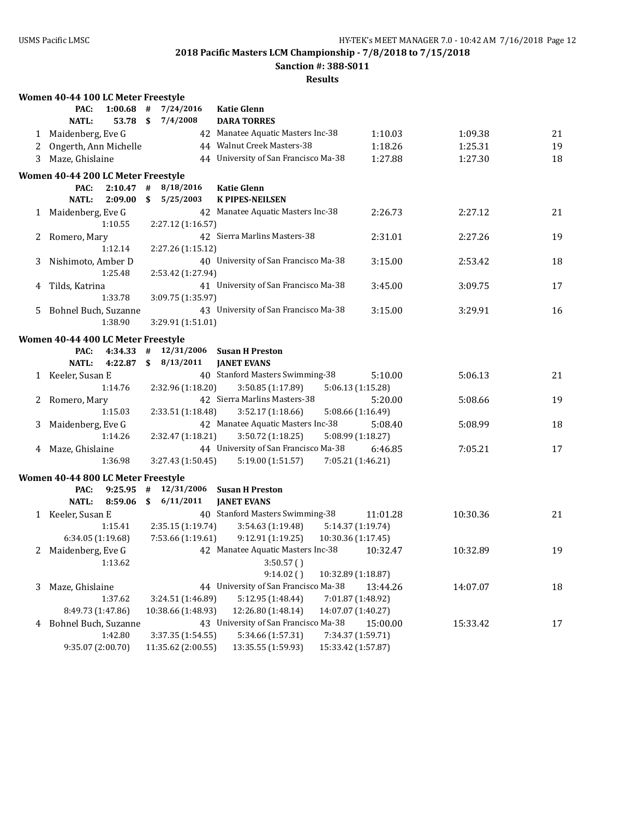**Sanction #: 388-S011**

|              | Women 40-44 100 LC Meter Freestyle |             |      |                    |                                                                          |          |          |    |
|--------------|------------------------------------|-------------|------|--------------------|--------------------------------------------------------------------------|----------|----------|----|
|              | PAC:                               | $1:00.68$ # |      | 7/24/2016          | <b>Katie Glenn</b>                                                       |          |          |    |
|              | <b>NATL:</b>                       | 53.78       | - \$ | 7/4/2008           | <b>DARA TORRES</b>                                                       |          |          |    |
|              | 1 Maidenberg, Eve G                |             |      |                    | 42 Manatee Aquatic Masters Inc-38                                        | 1:10.03  | 1:09.38  | 21 |
| 2            | Ongerth, Ann Michelle              |             |      |                    | 44 Walnut Creek Masters-38                                               | 1:18.26  | 1:25.31  | 19 |
| 3            | Maze, Ghislaine                    |             |      |                    | 44 University of San Francisco Ma-38                                     | 1:27.88  | 1:27.30  | 18 |
|              | Women 40-44 200 LC Meter Freestyle |             |      |                    |                                                                          |          |          |    |
|              | PAC:                               | $2:10.47$ # |      | 8/18/2016          | <b>Katie Glenn</b>                                                       |          |          |    |
|              | <b>NATL:</b><br>2:09.00            |             | \$   | 5/25/2003          | <b>K PIPES-NEILSEN</b>                                                   |          |          |    |
|              | 1 Maidenberg, Eve G                |             |      |                    | 42 Manatee Aquatic Masters Inc-38                                        | 2:26.73  | 2:27.12  | 21 |
|              | 1:10.55                            |             |      | 2:27.12 (1:16.57)  |                                                                          |          |          |    |
| 2            | Romero, Mary                       |             |      |                    | 42 Sierra Marlins Masters-38                                             | 2:31.01  | 2:27.26  | 19 |
|              | 1:12.14                            |             |      | 2:27.26 (1:15.12)  |                                                                          |          |          |    |
| 3            | Nishimoto, Amber D                 |             |      |                    | 40 University of San Francisco Ma-38                                     | 3:15.00  | 2:53.42  | 18 |
|              | 1:25.48                            |             |      | 2:53.42 (1:27.94)  |                                                                          |          |          |    |
| 4            | Tilds, Katrina                     |             |      |                    | 41 University of San Francisco Ma-38                                     | 3:45.00  | 3:09.75  | 17 |
|              | 1:33.78                            |             |      | 3:09.75 (1:35.97)  |                                                                          |          |          |    |
|              | 5 Bohnel Buch, Suzanne             |             |      |                    | 43 University of San Francisco Ma-38                                     | 3:15.00  | 3:29.91  | 16 |
|              | 1:38.90                            |             |      | 3:29.91 (1:51.01)  |                                                                          |          |          |    |
|              | Women 40-44 400 LC Meter Freestyle |             |      |                    |                                                                          |          |          |    |
|              | PAC:<br>4:34.33                    |             |      |                    | # 12/31/2006 Susan H Preston                                             |          |          |    |
|              | NATL:<br>4:22.87                   |             |      | \$8/13/2011        | <b>JANET EVANS</b>                                                       |          |          |    |
|              | 1 Keeler, Susan E                  |             |      |                    | 40 Stanford Masters Swimming-38                                          | 5:10.00  | 5:06.13  | 21 |
|              | 1:14.76                            |             |      | 2:32.96 (1:18.20)  | 3:50.85(1:17.89)<br>5:06.13 (1:15.28)                                    |          |          |    |
|              | 2 Romero, Mary                     |             |      |                    | 42 Sierra Marlins Masters-38                                             | 5:20.00  | 5:08.66  | 19 |
|              | 1:15.03                            |             |      | 2:33.51 (1:18.48)  | 3:52.17(1:18.66)<br>5:08.66 (1:16.49)                                    |          |          |    |
| 3            | Maidenberg, Eve G                  |             |      |                    | 42 Manatee Aquatic Masters Inc-38                                        | 5:08.40  | 5:08.99  | 18 |
|              | 1:14.26                            |             |      | 2:32.47 (1:18.21)  | 3:50.72 (1:18.25)<br>5:08.99 (1:18.27)                                   |          |          |    |
|              | 4 Maze, Ghislaine<br>1:36.98       |             |      |                    | 44 University of San Francisco Ma-38<br>7:05.21 (1:46.21)                | 6:46.85  | 7:05.21  | 17 |
|              |                                    |             |      | 3:27.43 (1:50.45)  | 5:19.00 (1:51.57)                                                        |          |          |    |
|              | Women 40-44 800 LC Meter Freestyle |             |      |                    |                                                                          |          |          |    |
|              | PAC:                               |             |      |                    | 9:25.95 $\#$ 12/31/2006 Susan H Preston                                  |          |          |    |
|              | <b>NATL:</b><br>8:59.06            |             |      | \$6/11/2011        | <b>JANET EVANS</b>                                                       |          |          |    |
|              | 1 Keeler, Susan E<br>1:15.41       |             |      | 2:35.15 (1:19.74)  | 40 Stanford Masters Swimming-38<br>3:54.63(1:19.48)<br>5:14.37 (1:19.74) | 11:01.28 | 10:30.36 | 21 |
|              | 6:34.05 (1:19.68)                  |             |      | 7:53.66 (1:19.61)  | 9:12.91(1:19.25)<br>10:30.36 (1:17.45)                                   |          |          |    |
|              | Maidenberg, Eve G                  |             |      |                    | 42 Manatee Aquatic Masters Inc-38                                        |          | 10:32.89 | 19 |
| $\mathbf{2}$ | 1:13.62                            |             |      |                    | 3:50.57()                                                                | 10:32.47 |          |    |
|              |                                    |             |      |                    | 9:14.02()<br>10:32.89 (1:18.87)                                          |          |          |    |
| 3            | Maze, Ghislaine                    |             |      |                    | 44 University of San Francisco Ma-38                                     | 13:44.26 | 14:07.07 | 18 |
|              | 1:37.62                            |             |      | 3:24.51 (1:46.89)  | 7:01.87 (1:48.92)<br>5:12.95 (1:48.44)                                   |          |          |    |
|              | 8:49.73 (1:47.86)                  |             |      | 10:38.66 (1:48.93) | 12:26.80 (1:48.14)<br>14:07.07 (1:40.27)                                 |          |          |    |
|              | 4 Bohnel Buch, Suzanne             |             |      |                    | 43 University of San Francisco Ma-38                                     | 15:00.00 | 15:33.42 | 17 |
|              | 1:42.80                            |             |      | 3:37.35 (1:54.55)  | 5:34.66 (1:57.31)<br>7:34.37 (1:59.71)                                   |          |          |    |
|              | 9:35.07 (2:00.70)                  |             |      | 11:35.62 (2:00.55) | 13:35.55 (1:59.93)<br>15:33.42 (1:57.87)                                 |          |          |    |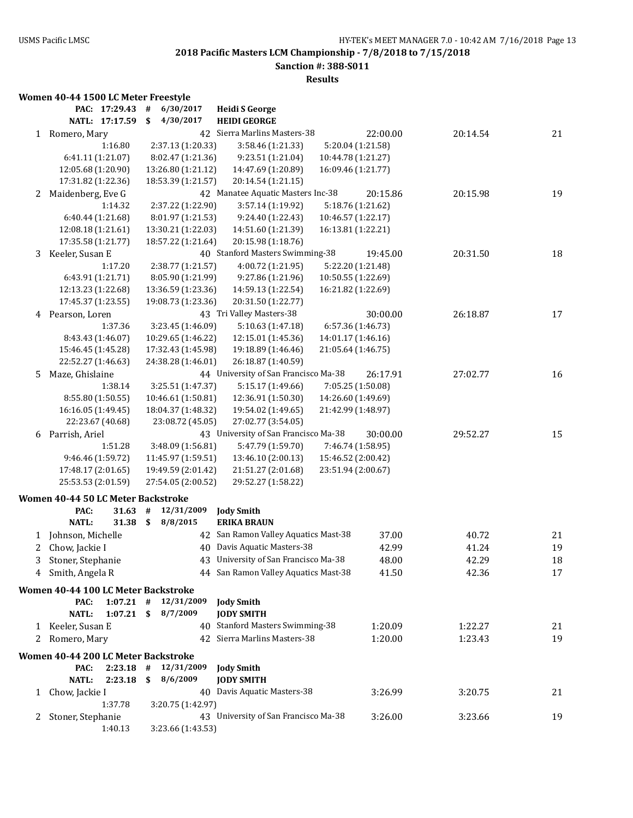### **Sanction #: 388-S011**

#### **Results**

#### **Women 40-44 1500 LC Meter Freestyle**

|    | PAC: 17:29.43                           | 6/30/2017<br>#                           | <b>Heidi S George</b>                    |                                         |          |    |
|----|-----------------------------------------|------------------------------------------|------------------------------------------|-----------------------------------------|----------|----|
|    | NATL: 17:17.59                          | 4/30/2017<br>\$                          | <b>HEIDI GEORGE</b>                      |                                         |          |    |
|    | 1 Romero, Mary                          |                                          | 42 Sierra Marlins Masters-38             | 22:00.00                                | 20:14.54 | 21 |
|    | 1:16.80                                 | 2:37.13 (1:20.33)                        | 3:58.46 (1:21.33)                        | 5:20.04 (1:21.58)                       |          |    |
|    | 6:41.11 (1:21.07)                       | 8:02.47 (1:21.36)                        | 9:23.51 (1:21.04)                        | 10:44.78 (1:21.27)                      |          |    |
|    | 12:05.68 (1:20.90)                      | 13:26.80 (1:21.12)                       | 14:47.69 (1:20.89)                       | 16:09.46 (1:21.77)                      |          |    |
|    | 17:31.82 (1:22.36)                      | 18:53.39 (1:21.57)                       | 20:14.54 (1:21.15)                       |                                         |          |    |
| 2  | Maidenberg, Eve G                       |                                          | 42 Manatee Aquatic Masters Inc-38        | 20:15.86                                | 20:15.98 | 19 |
|    | 1:14.32                                 | 2:37.22 (1:22.90)                        | 3:57.14 (1:19.92)                        | 5:18.76 (1:21.62)                       |          |    |
|    | 6:40.44 (1:21.68)                       | 8:01.97 (1:21.53)                        | 9:24.40 (1:22.43)                        | 10:46.57 (1:22.17)                      |          |    |
|    | 12:08.18 (1:21.61)                      | 13:30.21 (1:22.03)                       | 14:51.60 (1:21.39)                       | 16:13.81 (1:22.21)                      |          |    |
|    | 17:35.58 (1:21.77)                      | 18:57.22 (1:21.64)                       | 20:15.98 (1:18.76)                       |                                         |          |    |
| 3  | Keeler, Susan E                         |                                          | 40 Stanford Masters Swimming-38          | 19:45.00                                | 20:31.50 | 18 |
|    | 1:17.20                                 | 2:38.77 (1:21.57)                        | 4:00.72 (1:21.95)                        | 5:22.20 (1:21.48)                       |          |    |
|    | 6:43.91 (1:21.71)                       | 8:05.90 (1:21.99)                        | 9:27.86 (1:21.96)                        | 10:50.55 (1:22.69)                      |          |    |
|    | 12:13.23 (1:22.68)                      | 13:36.59 (1:23.36)                       | 14:59.13 (1:22.54)                       | 16:21.82 (1:22.69)                      |          |    |
|    | 17:45.37 (1:23.55)                      | 19:08.73 (1:23.36)                       | 20:31.50 (1:22.77)                       |                                         |          |    |
|    | 4 Pearson, Loren                        |                                          | 43 Tri Valley Masters-38                 | 30:00.00                                | 26:18.87 | 17 |
|    | 1:37.36                                 | 3:23.45 (1:46.09)                        | 5:10.63 (1:47.18)                        | 6:57.36 (1:46.73)                       |          |    |
|    | 8:43.43 (1:46.07)                       | 10:29.65 (1:46.22)                       | 12:15.01 (1:45.36)                       | 14:01.17 (1:46.16)                      |          |    |
|    | 15:46.45 (1:45.28)                      | 17:32.43 (1:45.98)                       | 19:18.89 (1:46.46)                       | 21:05.64 (1:46.75)                      |          |    |
|    | 22:52.27 (1:46.63)                      | 24:38.28 (1:46.01)                       | 26:18.87 (1:40.59)                       |                                         |          |    |
| 5. | Maze, Ghislaine                         |                                          | 44 University of San Francisco Ma-38     | 26:17.91                                | 27:02.77 | 16 |
|    | 1:38.14                                 | 3:25.51 (1:47.37)                        | 5:15.17 (1:49.66)                        | 7:05.25 (1:50.08)<br>14:26.60 (1:49.69) |          |    |
|    | 8:55.80 (1:50.55)<br>16:16.05 (1:49.45) | 10:46.61 (1:50.81)<br>18:04.37 (1:48.32) | 12:36.91 (1:50.30)<br>19:54.02 (1:49.65) | 21:42.99 (1:48.97)                      |          |    |
|    | 22:23.67 (40.68)                        | 23:08.72 (45.05)                         | 27:02.77 (3:54.05)                       |                                         |          |    |
| 6  | Parrish, Ariel                          |                                          | 43 University of San Francisco Ma-38     | 30:00.00                                | 29:52.27 | 15 |
|    | 1:51.28                                 | 3:48.09 (1:56.81)                        | 5:47.79 (1:59.70)                        | 7:46.74 (1:58.95)                       |          |    |
|    | 9:46.46 (1:59.72)                       | 11:45.97 (1:59.51)                       | 13:46.10 (2:00.13)                       | 15:46.52 (2:00.42)                      |          |    |
|    | 17:48.17 (2:01.65)                      | 19:49.59 (2:01.42)                       | 21:51.27 (2:01.68)                       | 23:51.94 (2:00.67)                      |          |    |
|    | 25:53.53 (2:01.59)                      | 27:54.05 (2:00.52)                       | 29:52.27 (1:58.22)                       |                                         |          |    |
|    | Women 40-44 50 LC Meter Backstroke      |                                          |                                          |                                         |          |    |
|    | PAC:<br>31.63                           | 12/31/2009<br>#                          | <b>Jody Smith</b>                        |                                         |          |    |
|    | <b>NATL:</b><br>31.38                   | \$<br>8/8/2015                           | <b>ERIKA BRAUN</b>                       |                                         |          |    |
| 1  | Johnson, Michelle                       |                                          | 42 San Ramon Valley Aquatics Mast-38     | 37.00                                   | 40.72    | 21 |
| 2  | Chow, Jackie I                          | 40                                       | Davis Aquatic Masters-38                 | 42.99                                   | 41.24    | 19 |
| 3  | Stoner, Stephanie                       |                                          | 43 University of San Francisco Ma-38     | 48.00                                   | 42.29    | 18 |
|    | 4 Smith, Angela R                       |                                          | 44 San Ramon Valley Aquatics Mast-38     | 41.50                                   | 42.36    | 17 |
|    |                                         |                                          |                                          |                                         |          |    |
|    | Women 40-44 100 LC Meter Backstroke     |                                          |                                          |                                         |          |    |
|    | PAC:                                    | $1:07.21$ # $12/31/2009$                 | <b>Jody Smith</b>                        |                                         |          |    |
|    | <b>NATL:</b><br>$1:07.21$ \$            | 8/7/2009                                 | <b>JODY SMITH</b>                        |                                         |          |    |
|    | 1 Keeler, Susan E                       |                                          | 40 Stanford Masters Swimming-38          | 1:20.09                                 | 1:22.27  | 21 |
|    | 2 Romero, Mary                          |                                          | 42 Sierra Marlins Masters-38             | 1:20.00                                 | 1:23.43  | 19 |
|    | Women 40-44 200 LC Meter Backstroke     |                                          |                                          |                                         |          |    |
|    | 2:23.18<br>PAC:                         | 12/31/2009<br>#                          | <b>Jody Smith</b>                        |                                         |          |    |
|    | <b>NATL:</b><br>2:23.18                 | \$<br>8/6/2009                           | <b>JODY SMITH</b>                        |                                         |          |    |
|    | 1 Chow, Jackie I                        |                                          | 40 Davis Aquatic Masters-38              | 3:26.99                                 | 3:20.75  | 21 |
|    | 1:37.78                                 | 3:20.75 (1:42.97)                        |                                          |                                         |          |    |
| 2  | Stoner, Stephanie                       |                                          | 43 University of San Francisco Ma-38     | 3:26.00                                 | 3:23.66  | 19 |
|    | 1:40.13                                 | 3:23.66 (1:43.53)                        |                                          |                                         |          |    |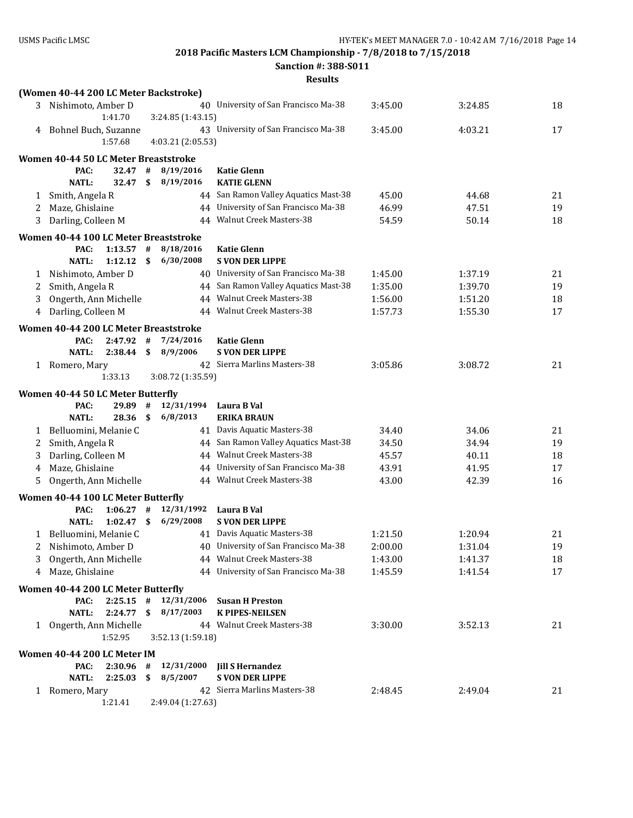**Sanction #: 388-S011**

|   | (Women 40-44 200 LC Meter Backstroke)                 |     |                   |                                                        |         |         |    |
|---|-------------------------------------------------------|-----|-------------------|--------------------------------------------------------|---------|---------|----|
|   | 3 Nishimoto, Amber D                                  |     |                   | 40 University of San Francisco Ma-38                   | 3:45.00 | 3:24.85 | 18 |
|   | 1:41.70                                               |     | 3:24.85 (1:43.15) |                                                        |         |         |    |
|   | 4 Bohnel Buch, Suzanne                                |     |                   | 43 University of San Francisco Ma-38                   | 3:45.00 | 4:03.21 | 17 |
|   | 1:57.68                                               |     | 4:03.21 (2:05.53) |                                                        |         |         |    |
|   | Women 40-44 50 LC Meter Breaststroke                  |     |                   |                                                        |         |         |    |
|   | PAC:<br>32.47                                         | #   | 8/19/2016         | <b>Katie Glenn</b>                                     |         |         |    |
|   | <b>NATL:</b><br>32.47                                 | \$  | 8/19/2016         | <b>KATIE GLENN</b>                                     |         |         |    |
| 1 | Smith, Angela R                                       |     |                   | 44 San Ramon Valley Aquatics Mast-38                   | 45.00   | 44.68   | 21 |
| 2 | Maze, Ghislaine                                       |     |                   | 44 University of San Francisco Ma-38                   | 46.99   | 47.51   | 19 |
| 3 | Darling, Colleen M                                    |     |                   | 44 Walnut Creek Masters-38                             | 54.59   | 50.14   | 18 |
|   | Women 40-44 100 LC Meter Breaststroke                 |     |                   |                                                        |         |         |    |
|   | PAC:<br>1:13.57                                       | #   | 8/18/2016         | <b>Katie Glenn</b>                                     |         |         |    |
|   | NATL:<br>1:12.12                                      | -\$ | 6/30/2008         | <b>S VON DER LIPPE</b>                                 |         |         |    |
| 1 | Nishimoto, Amber D                                    |     |                   | 40 University of San Francisco Ma-38                   | 1:45.00 | 1:37.19 | 21 |
| 2 | Smith, Angela R                                       |     |                   | 44 San Ramon Valley Aquatics Mast-38                   | 1:35.00 | 1:39.70 | 19 |
| 3 | Ongerth, Ann Michelle                                 |     |                   | 44 Walnut Creek Masters-38                             | 1:56.00 | 1:51.20 | 18 |
| 4 | Darling, Colleen M                                    |     |                   | 44 Walnut Creek Masters-38                             | 1:57.73 | 1:55.30 | 17 |
|   | Women 40-44 200 LC Meter Breaststroke                 |     |                   |                                                        |         |         |    |
|   | PAC:<br>2:47.92                                       | #   | 7/24/2016         | <b>Katie Glenn</b>                                     |         |         |    |
|   | NATL:<br>$2:38.44$ \$                                 |     | 8/9/2006          | <b>S VON DER LIPPE</b>                                 |         |         |    |
|   | 1 Romero, Mary                                        |     |                   | 42 Sierra Marlins Masters-38                           | 3:05.86 | 3:08.72 | 21 |
|   | 1:33.13                                               |     | 3:08.72 (1:35.59) |                                                        |         |         |    |
|   |                                                       |     |                   |                                                        |         |         |    |
|   | Women 40-44 50 LC Meter Butterfly<br>PAC:<br>29.89    | #   | 12/31/1994        | Laura B Val                                            |         |         |    |
|   | <b>NATL:</b><br>28.36                                 | \$  | 6/8/2013          | <b>ERIKA BRAUN</b>                                     |         |         |    |
| 1 | Belluomini, Melanie C                                 |     |                   | 41 Davis Aquatic Masters-38                            | 34.40   | 34.06   | 21 |
| 2 | Smith, Angela R                                       |     |                   | 44 San Ramon Valley Aquatics Mast-38                   | 34.50   | 34.94   | 19 |
| 3 | Darling, Colleen M                                    |     |                   | 44 Walnut Creek Masters-38                             | 45.57   | 40.11   | 18 |
| 4 | Maze, Ghislaine                                       |     |                   | 44 University of San Francisco Ma-38                   | 43.91   | 41.95   | 17 |
| 5 | Ongerth, Ann Michelle                                 |     |                   | 44 Walnut Creek Masters-38                             | 43.00   | 42.39   | 16 |
|   |                                                       |     |                   |                                                        |         |         |    |
|   | Women 40-44 100 LC Meter Butterfly<br>PAC:<br>1:06.27 | #   | 12/31/1992        |                                                        |         |         |    |
|   | <b>NATL:</b><br>1:02.47                               | -\$ | 6/29/2008         | Laura B Val<br><b>S VON DER LIPPE</b>                  |         |         |    |
|   | Belluomini, Melanie C                                 |     |                   | 41 Davis Aquatic Masters-38                            | 1:21.50 | 1:20.94 | 21 |
| 1 | 2 Nishimoto, Amber D                                  |     |                   | 40 University of San Francisco Ma-38                   | 2:00.00 | 1:31.04 | 19 |
| 3 | Ongerth, Ann Michelle                                 |     |                   | 44 Walnut Creek Masters-38                             | 1:43.00 | 1:41.37 | 18 |
| 4 | Maze, Ghislaine                                       |     |                   | 44 University of San Francisco Ma-38                   | 1:45.59 | 1:41.54 | 17 |
|   |                                                       |     |                   |                                                        |         |         |    |
|   | Women 40-44 200 LC Meter Butterfly                    |     |                   |                                                        |         |         |    |
|   | PAC:<br>$2:25.15$ #<br><b>NATL:</b>                   |     | 12/31/2006        | <b>Susan H Preston</b>                                 |         |         |    |
|   | $2:24.77$ \$                                          |     | 8/17/2003         | <b>K PIPES-NEILSEN</b><br>44 Walnut Creek Masters-38   | 3:30.00 | 3:52.13 | 21 |
|   | 1 Ongerth, Ann Michelle<br>1:52.95                    |     | 3:52.13 (1:59.18) |                                                        |         |         |    |
|   |                                                       |     |                   |                                                        |         |         |    |
|   | Women 40-44 200 LC Meter IM                           |     |                   |                                                        |         |         |    |
|   | PAC:<br>2:30.96                                       | #   | 12/31/2000        | <b>Jill S Hernandez</b>                                |         |         |    |
|   | <b>NATL:</b><br>2:25.03                               | \$  | 8/5/2007          | <b>S VON DER LIPPE</b><br>42 Sierra Marlins Masters-38 |         |         |    |
|   | 1 Romero, Mary<br>1:21.41                             |     | 2:49.04 (1:27.63) |                                                        | 2:48.45 | 2:49.04 | 21 |
|   |                                                       |     |                   |                                                        |         |         |    |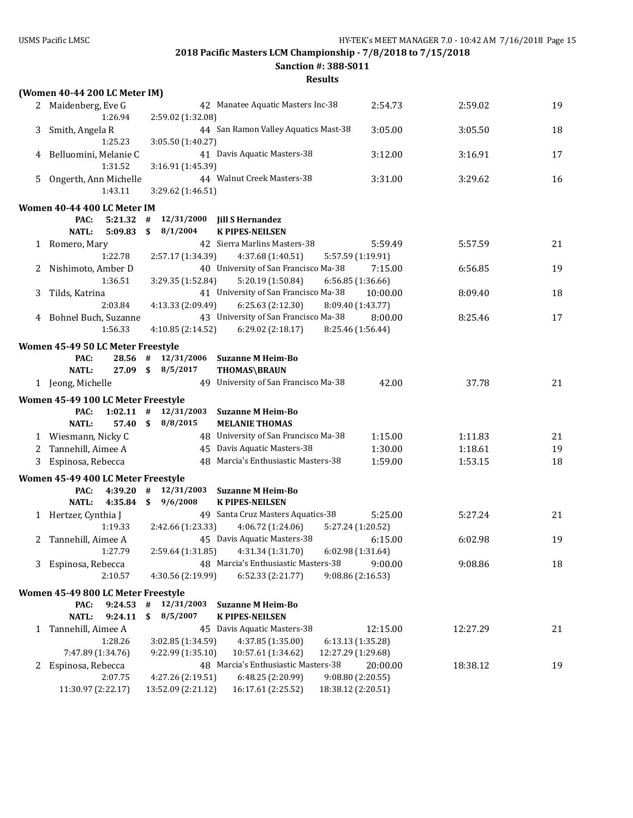**Sanction #: 388-S011**

| 2 Maidenberg, Eve G<br>19<br>42 Manatee Aquatic Masters Inc-38<br>2:54.73<br>2:59.02<br>1:26.94<br>2:59.02 (1:32.08)<br>3:05.00<br>Smith, Angela R<br>44 San Ramon Valley Aquatics Mast-38<br>3:05.50<br>18<br>3<br>1:25.23<br>3:05.50 (1:40.27)<br>Belluomini, Melanie C<br>41 Davis Aquatic Masters-38<br>3:12.00<br>17<br>3:16.91<br>4<br>1:31.52<br>3:16.91 (1:45.39)<br>44 Walnut Creek Masters-38<br>Ongerth, Ann Michelle<br>5<br>3:31.00<br>3:29.62<br>16<br>1:43.11<br>3:29.62 (1:46.51)<br>Women 40-44 400 LC Meter IM<br>12/31/2000<br>PAC:<br>5:21.32<br>#<br><b>Jill S Hernandez</b><br>8/1/2004<br><b>NATL:</b><br>5:09.83<br>\$<br><b>K PIPES-NEILSEN</b><br>42 Sierra Marlins Masters-38<br>5:59.49<br>21<br>1 Romero, Mary<br>5:57.59<br>1:22.78<br>2:57.17 (1:34.39)<br>4:37.68 (1:40.51)<br>5:57.59 (1:19.91)<br>40 University of San Francisco Ma-38<br>7:15.00<br>19<br>Nishimoto, Amber D<br>6:56.85<br>2<br>5:20.19 (1:50.84)<br>6:56.85 (1:36.66)<br>1:36.51<br>3:29.35 (1:52.84)<br>41 University of San Francisco Ma-38<br>18<br>Tilds, Katrina<br>10:00.00<br>8:09.40<br>3<br>2:03.84<br>6:25.63 (2:12.30)<br>8:09.40 (1:43.77)<br>4:13.33 (2:09.49)<br>43 University of San Francisco Ma-38<br>4 Bohnel Buch, Suzanne<br>8:00.00<br>17<br>8:25.46<br>1:56.33<br>4:10.85 (2:14.52)<br>6:29.02 (2:18.17)<br>8:25.46 (1:56.44)<br>Women 45-49 50 LC Meter Freestyle<br>PAC:<br>28.56#<br>12/31/2006<br><b>Suzanne M Heim-Bo</b><br>27.09<br>\$<br>8/5/2017<br><b>NATL:</b><br>THOMAS\BRAUN<br>49 University of San Francisco Ma-38<br>42.00<br>21<br>1 Jeong, Michelle<br>37.78<br>Women 45-49 100 LC Meter Freestyle<br>PAC:<br>1:02.11<br>#<br>12/31/2003<br><b>Suzanne M Heim-Bo</b><br>$\mathbf{s}$<br>8/8/2015<br><b>NATL:</b><br>57.40<br><b>MELANIE THOMAS</b><br>48 University of San Francisco Ma-38<br>1:15.00<br>21<br>1 Wiesmann, Nicky C<br>1:11.83<br>Tannehill, Aimee A<br>45 Davis Aquatic Masters-38<br>19<br>1:30.00<br>1:18.61<br>2<br>48 Marcia's Enthusiastic Masters-38<br>Espinosa, Rebecca<br>1:59.00<br>1:53.15<br>18<br>3<br>Women 45-49 400 LC Meter Freestyle<br>PAC:<br>4:39.20<br>#<br>12/31/2003<br><b>Suzanne M Heim-Bo</b><br>9/6/2008<br><b>NATL:</b><br>4:35.84<br>\$<br><b>K PIPES-NEILSEN</b><br>49 Santa Cruz Masters Aquatics-38<br>21<br>1 Hertzer, Cynthia J<br>5:25.00<br>5:27.24<br>2:42.66 (1:23.33)<br>4:06.72 (1:24.06)<br>1:19.33<br>5:27.24 (1:20.52)<br>45 Davis Aquatic Masters-38<br>19<br>2 Tannehill, Aimee A<br>6:15.00<br>6:02.98<br>1:27.79<br>2:59.64 (1:31.85)<br>4:31.34 (1:31.70)<br>6:02.98 (1:31.64)<br>48 Marcia's Enthusiastic Masters-38<br>9:00.00<br>9:08.86<br>18<br>Espinosa, Rebecca<br>3<br>4:30.56 (2:19.99)<br>9:08.86 (2:16.53)<br>2:10.57<br>6:52.33 (2:21.77)<br>Women 45-49 800 LC Meter Freestyle<br>PAC:<br>9:24.53<br>#<br>12/31/2003<br><b>Suzanne M Heim-Bo</b><br>8/5/2007<br><b>NATL:</b><br>9:24.11<br>\$<br><b>K PIPES-NEILSEN</b><br>Tannehill, Aimee A<br>45 Davis Aquatic Masters-38<br>12:15.00<br>12:27.29<br>21<br>$\mathbf{1}$<br>1:28.26<br>3:02.85 (1:34.59)<br>6:13.13 (1:35.28)<br>4:37.85 (1:35.00)<br>7:47.89 (1:34.76)<br>10:57.61 (1:34.62)<br>9:22.99 (1:35.10)<br>12:27.29 (1:29.68)<br>48 Marcia's Enthusiastic Masters-38<br>Espinosa, Rebecca<br>19<br>20:00.00<br>18:38.12<br>2<br>2:07.75<br>4:27.26 (2:19.51)<br>6:48.25 (2:20.99)<br>9:08.80 (2:20.55)<br>13:52.09 (2:21.12)<br>16:17.61 (2:25.52)<br>18:38.12 (2:20.51)<br>11:30.97 (2:22.17) | (Women 40-44 200 LC Meter IM) |  |  |  |
|---------------------------------------------------------------------------------------------------------------------------------------------------------------------------------------------------------------------------------------------------------------------------------------------------------------------------------------------------------------------------------------------------------------------------------------------------------------------------------------------------------------------------------------------------------------------------------------------------------------------------------------------------------------------------------------------------------------------------------------------------------------------------------------------------------------------------------------------------------------------------------------------------------------------------------------------------------------------------------------------------------------------------------------------------------------------------------------------------------------------------------------------------------------------------------------------------------------------------------------------------------------------------------------------------------------------------------------------------------------------------------------------------------------------------------------------------------------------------------------------------------------------------------------------------------------------------------------------------------------------------------------------------------------------------------------------------------------------------------------------------------------------------------------------------------------------------------------------------------------------------------------------------------------------------------------------------------------------------------------------------------------------------------------------------------------------------------------------------------------------------------------------------------------------------------------------------------------------------------------------------------------------------------------------------------------------------------------------------------------------------------------------------------------------------------------------------------------------------------------------------------------------------------------------------------------------------------------------------------------------------------------------------------------------------------------------------------------------------------------------------------------------------------------------------------------------------------------------------------------------------------------------------------------------------------------------------------------------------------------------------------------------------------------------------------------------------------------------------------------------------------------------------------------------------------------------------------------------------------------------------------------------------------------------------------------------------------------------------------------------------------------------------------------------------------------------------------------------------------------|-------------------------------|--|--|--|
|                                                                                                                                                                                                                                                                                                                                                                                                                                                                                                                                                                                                                                                                                                                                                                                                                                                                                                                                                                                                                                                                                                                                                                                                                                                                                                                                                                                                                                                                                                                                                                                                                                                                                                                                                                                                                                                                                                                                                                                                                                                                                                                                                                                                                                                                                                                                                                                                                                                                                                                                                                                                                                                                                                                                                                                                                                                                                                                                                                                                                                                                                                                                                                                                                                                                                                                                                                                                                                                                                       |                               |  |  |  |
|                                                                                                                                                                                                                                                                                                                                                                                                                                                                                                                                                                                                                                                                                                                                                                                                                                                                                                                                                                                                                                                                                                                                                                                                                                                                                                                                                                                                                                                                                                                                                                                                                                                                                                                                                                                                                                                                                                                                                                                                                                                                                                                                                                                                                                                                                                                                                                                                                                                                                                                                                                                                                                                                                                                                                                                                                                                                                                                                                                                                                                                                                                                                                                                                                                                                                                                                                                                                                                                                                       |                               |  |  |  |
|                                                                                                                                                                                                                                                                                                                                                                                                                                                                                                                                                                                                                                                                                                                                                                                                                                                                                                                                                                                                                                                                                                                                                                                                                                                                                                                                                                                                                                                                                                                                                                                                                                                                                                                                                                                                                                                                                                                                                                                                                                                                                                                                                                                                                                                                                                                                                                                                                                                                                                                                                                                                                                                                                                                                                                                                                                                                                                                                                                                                                                                                                                                                                                                                                                                                                                                                                                                                                                                                                       |                               |  |  |  |
|                                                                                                                                                                                                                                                                                                                                                                                                                                                                                                                                                                                                                                                                                                                                                                                                                                                                                                                                                                                                                                                                                                                                                                                                                                                                                                                                                                                                                                                                                                                                                                                                                                                                                                                                                                                                                                                                                                                                                                                                                                                                                                                                                                                                                                                                                                                                                                                                                                                                                                                                                                                                                                                                                                                                                                                                                                                                                                                                                                                                                                                                                                                                                                                                                                                                                                                                                                                                                                                                                       |                               |  |  |  |
|                                                                                                                                                                                                                                                                                                                                                                                                                                                                                                                                                                                                                                                                                                                                                                                                                                                                                                                                                                                                                                                                                                                                                                                                                                                                                                                                                                                                                                                                                                                                                                                                                                                                                                                                                                                                                                                                                                                                                                                                                                                                                                                                                                                                                                                                                                                                                                                                                                                                                                                                                                                                                                                                                                                                                                                                                                                                                                                                                                                                                                                                                                                                                                                                                                                                                                                                                                                                                                                                                       |                               |  |  |  |
|                                                                                                                                                                                                                                                                                                                                                                                                                                                                                                                                                                                                                                                                                                                                                                                                                                                                                                                                                                                                                                                                                                                                                                                                                                                                                                                                                                                                                                                                                                                                                                                                                                                                                                                                                                                                                                                                                                                                                                                                                                                                                                                                                                                                                                                                                                                                                                                                                                                                                                                                                                                                                                                                                                                                                                                                                                                                                                                                                                                                                                                                                                                                                                                                                                                                                                                                                                                                                                                                                       |                               |  |  |  |
|                                                                                                                                                                                                                                                                                                                                                                                                                                                                                                                                                                                                                                                                                                                                                                                                                                                                                                                                                                                                                                                                                                                                                                                                                                                                                                                                                                                                                                                                                                                                                                                                                                                                                                                                                                                                                                                                                                                                                                                                                                                                                                                                                                                                                                                                                                                                                                                                                                                                                                                                                                                                                                                                                                                                                                                                                                                                                                                                                                                                                                                                                                                                                                                                                                                                                                                                                                                                                                                                                       |                               |  |  |  |
|                                                                                                                                                                                                                                                                                                                                                                                                                                                                                                                                                                                                                                                                                                                                                                                                                                                                                                                                                                                                                                                                                                                                                                                                                                                                                                                                                                                                                                                                                                                                                                                                                                                                                                                                                                                                                                                                                                                                                                                                                                                                                                                                                                                                                                                                                                                                                                                                                                                                                                                                                                                                                                                                                                                                                                                                                                                                                                                                                                                                                                                                                                                                                                                                                                                                                                                                                                                                                                                                                       |                               |  |  |  |
|                                                                                                                                                                                                                                                                                                                                                                                                                                                                                                                                                                                                                                                                                                                                                                                                                                                                                                                                                                                                                                                                                                                                                                                                                                                                                                                                                                                                                                                                                                                                                                                                                                                                                                                                                                                                                                                                                                                                                                                                                                                                                                                                                                                                                                                                                                                                                                                                                                                                                                                                                                                                                                                                                                                                                                                                                                                                                                                                                                                                                                                                                                                                                                                                                                                                                                                                                                                                                                                                                       |                               |  |  |  |
|                                                                                                                                                                                                                                                                                                                                                                                                                                                                                                                                                                                                                                                                                                                                                                                                                                                                                                                                                                                                                                                                                                                                                                                                                                                                                                                                                                                                                                                                                                                                                                                                                                                                                                                                                                                                                                                                                                                                                                                                                                                                                                                                                                                                                                                                                                                                                                                                                                                                                                                                                                                                                                                                                                                                                                                                                                                                                                                                                                                                                                                                                                                                                                                                                                                                                                                                                                                                                                                                                       |                               |  |  |  |
|                                                                                                                                                                                                                                                                                                                                                                                                                                                                                                                                                                                                                                                                                                                                                                                                                                                                                                                                                                                                                                                                                                                                                                                                                                                                                                                                                                                                                                                                                                                                                                                                                                                                                                                                                                                                                                                                                                                                                                                                                                                                                                                                                                                                                                                                                                                                                                                                                                                                                                                                                                                                                                                                                                                                                                                                                                                                                                                                                                                                                                                                                                                                                                                                                                                                                                                                                                                                                                                                                       |                               |  |  |  |
|                                                                                                                                                                                                                                                                                                                                                                                                                                                                                                                                                                                                                                                                                                                                                                                                                                                                                                                                                                                                                                                                                                                                                                                                                                                                                                                                                                                                                                                                                                                                                                                                                                                                                                                                                                                                                                                                                                                                                                                                                                                                                                                                                                                                                                                                                                                                                                                                                                                                                                                                                                                                                                                                                                                                                                                                                                                                                                                                                                                                                                                                                                                                                                                                                                                                                                                                                                                                                                                                                       |                               |  |  |  |
|                                                                                                                                                                                                                                                                                                                                                                                                                                                                                                                                                                                                                                                                                                                                                                                                                                                                                                                                                                                                                                                                                                                                                                                                                                                                                                                                                                                                                                                                                                                                                                                                                                                                                                                                                                                                                                                                                                                                                                                                                                                                                                                                                                                                                                                                                                                                                                                                                                                                                                                                                                                                                                                                                                                                                                                                                                                                                                                                                                                                                                                                                                                                                                                                                                                                                                                                                                                                                                                                                       |                               |  |  |  |
|                                                                                                                                                                                                                                                                                                                                                                                                                                                                                                                                                                                                                                                                                                                                                                                                                                                                                                                                                                                                                                                                                                                                                                                                                                                                                                                                                                                                                                                                                                                                                                                                                                                                                                                                                                                                                                                                                                                                                                                                                                                                                                                                                                                                                                                                                                                                                                                                                                                                                                                                                                                                                                                                                                                                                                                                                                                                                                                                                                                                                                                                                                                                                                                                                                                                                                                                                                                                                                                                                       |                               |  |  |  |
|                                                                                                                                                                                                                                                                                                                                                                                                                                                                                                                                                                                                                                                                                                                                                                                                                                                                                                                                                                                                                                                                                                                                                                                                                                                                                                                                                                                                                                                                                                                                                                                                                                                                                                                                                                                                                                                                                                                                                                                                                                                                                                                                                                                                                                                                                                                                                                                                                                                                                                                                                                                                                                                                                                                                                                                                                                                                                                                                                                                                                                                                                                                                                                                                                                                                                                                                                                                                                                                                                       |                               |  |  |  |
|                                                                                                                                                                                                                                                                                                                                                                                                                                                                                                                                                                                                                                                                                                                                                                                                                                                                                                                                                                                                                                                                                                                                                                                                                                                                                                                                                                                                                                                                                                                                                                                                                                                                                                                                                                                                                                                                                                                                                                                                                                                                                                                                                                                                                                                                                                                                                                                                                                                                                                                                                                                                                                                                                                                                                                                                                                                                                                                                                                                                                                                                                                                                                                                                                                                                                                                                                                                                                                                                                       |                               |  |  |  |
|                                                                                                                                                                                                                                                                                                                                                                                                                                                                                                                                                                                                                                                                                                                                                                                                                                                                                                                                                                                                                                                                                                                                                                                                                                                                                                                                                                                                                                                                                                                                                                                                                                                                                                                                                                                                                                                                                                                                                                                                                                                                                                                                                                                                                                                                                                                                                                                                                                                                                                                                                                                                                                                                                                                                                                                                                                                                                                                                                                                                                                                                                                                                                                                                                                                                                                                                                                                                                                                                                       |                               |  |  |  |
|                                                                                                                                                                                                                                                                                                                                                                                                                                                                                                                                                                                                                                                                                                                                                                                                                                                                                                                                                                                                                                                                                                                                                                                                                                                                                                                                                                                                                                                                                                                                                                                                                                                                                                                                                                                                                                                                                                                                                                                                                                                                                                                                                                                                                                                                                                                                                                                                                                                                                                                                                                                                                                                                                                                                                                                                                                                                                                                                                                                                                                                                                                                                                                                                                                                                                                                                                                                                                                                                                       |                               |  |  |  |
|                                                                                                                                                                                                                                                                                                                                                                                                                                                                                                                                                                                                                                                                                                                                                                                                                                                                                                                                                                                                                                                                                                                                                                                                                                                                                                                                                                                                                                                                                                                                                                                                                                                                                                                                                                                                                                                                                                                                                                                                                                                                                                                                                                                                                                                                                                                                                                                                                                                                                                                                                                                                                                                                                                                                                                                                                                                                                                                                                                                                                                                                                                                                                                                                                                                                                                                                                                                                                                                                                       |                               |  |  |  |
|                                                                                                                                                                                                                                                                                                                                                                                                                                                                                                                                                                                                                                                                                                                                                                                                                                                                                                                                                                                                                                                                                                                                                                                                                                                                                                                                                                                                                                                                                                                                                                                                                                                                                                                                                                                                                                                                                                                                                                                                                                                                                                                                                                                                                                                                                                                                                                                                                                                                                                                                                                                                                                                                                                                                                                                                                                                                                                                                                                                                                                                                                                                                                                                                                                                                                                                                                                                                                                                                                       |                               |  |  |  |
|                                                                                                                                                                                                                                                                                                                                                                                                                                                                                                                                                                                                                                                                                                                                                                                                                                                                                                                                                                                                                                                                                                                                                                                                                                                                                                                                                                                                                                                                                                                                                                                                                                                                                                                                                                                                                                                                                                                                                                                                                                                                                                                                                                                                                                                                                                                                                                                                                                                                                                                                                                                                                                                                                                                                                                                                                                                                                                                                                                                                                                                                                                                                                                                                                                                                                                                                                                                                                                                                                       |                               |  |  |  |
|                                                                                                                                                                                                                                                                                                                                                                                                                                                                                                                                                                                                                                                                                                                                                                                                                                                                                                                                                                                                                                                                                                                                                                                                                                                                                                                                                                                                                                                                                                                                                                                                                                                                                                                                                                                                                                                                                                                                                                                                                                                                                                                                                                                                                                                                                                                                                                                                                                                                                                                                                                                                                                                                                                                                                                                                                                                                                                                                                                                                                                                                                                                                                                                                                                                                                                                                                                                                                                                                                       |                               |  |  |  |
|                                                                                                                                                                                                                                                                                                                                                                                                                                                                                                                                                                                                                                                                                                                                                                                                                                                                                                                                                                                                                                                                                                                                                                                                                                                                                                                                                                                                                                                                                                                                                                                                                                                                                                                                                                                                                                                                                                                                                                                                                                                                                                                                                                                                                                                                                                                                                                                                                                                                                                                                                                                                                                                                                                                                                                                                                                                                                                                                                                                                                                                                                                                                                                                                                                                                                                                                                                                                                                                                                       |                               |  |  |  |
|                                                                                                                                                                                                                                                                                                                                                                                                                                                                                                                                                                                                                                                                                                                                                                                                                                                                                                                                                                                                                                                                                                                                                                                                                                                                                                                                                                                                                                                                                                                                                                                                                                                                                                                                                                                                                                                                                                                                                                                                                                                                                                                                                                                                                                                                                                                                                                                                                                                                                                                                                                                                                                                                                                                                                                                                                                                                                                                                                                                                                                                                                                                                                                                                                                                                                                                                                                                                                                                                                       |                               |  |  |  |
|                                                                                                                                                                                                                                                                                                                                                                                                                                                                                                                                                                                                                                                                                                                                                                                                                                                                                                                                                                                                                                                                                                                                                                                                                                                                                                                                                                                                                                                                                                                                                                                                                                                                                                                                                                                                                                                                                                                                                                                                                                                                                                                                                                                                                                                                                                                                                                                                                                                                                                                                                                                                                                                                                                                                                                                                                                                                                                                                                                                                                                                                                                                                                                                                                                                                                                                                                                                                                                                                                       |                               |  |  |  |
|                                                                                                                                                                                                                                                                                                                                                                                                                                                                                                                                                                                                                                                                                                                                                                                                                                                                                                                                                                                                                                                                                                                                                                                                                                                                                                                                                                                                                                                                                                                                                                                                                                                                                                                                                                                                                                                                                                                                                                                                                                                                                                                                                                                                                                                                                                                                                                                                                                                                                                                                                                                                                                                                                                                                                                                                                                                                                                                                                                                                                                                                                                                                                                                                                                                                                                                                                                                                                                                                                       |                               |  |  |  |
|                                                                                                                                                                                                                                                                                                                                                                                                                                                                                                                                                                                                                                                                                                                                                                                                                                                                                                                                                                                                                                                                                                                                                                                                                                                                                                                                                                                                                                                                                                                                                                                                                                                                                                                                                                                                                                                                                                                                                                                                                                                                                                                                                                                                                                                                                                                                                                                                                                                                                                                                                                                                                                                                                                                                                                                                                                                                                                                                                                                                                                                                                                                                                                                                                                                                                                                                                                                                                                                                                       |                               |  |  |  |
|                                                                                                                                                                                                                                                                                                                                                                                                                                                                                                                                                                                                                                                                                                                                                                                                                                                                                                                                                                                                                                                                                                                                                                                                                                                                                                                                                                                                                                                                                                                                                                                                                                                                                                                                                                                                                                                                                                                                                                                                                                                                                                                                                                                                                                                                                                                                                                                                                                                                                                                                                                                                                                                                                                                                                                                                                                                                                                                                                                                                                                                                                                                                                                                                                                                                                                                                                                                                                                                                                       |                               |  |  |  |
|                                                                                                                                                                                                                                                                                                                                                                                                                                                                                                                                                                                                                                                                                                                                                                                                                                                                                                                                                                                                                                                                                                                                                                                                                                                                                                                                                                                                                                                                                                                                                                                                                                                                                                                                                                                                                                                                                                                                                                                                                                                                                                                                                                                                                                                                                                                                                                                                                                                                                                                                                                                                                                                                                                                                                                                                                                                                                                                                                                                                                                                                                                                                                                                                                                                                                                                                                                                                                                                                                       |                               |  |  |  |
|                                                                                                                                                                                                                                                                                                                                                                                                                                                                                                                                                                                                                                                                                                                                                                                                                                                                                                                                                                                                                                                                                                                                                                                                                                                                                                                                                                                                                                                                                                                                                                                                                                                                                                                                                                                                                                                                                                                                                                                                                                                                                                                                                                                                                                                                                                                                                                                                                                                                                                                                                                                                                                                                                                                                                                                                                                                                                                                                                                                                                                                                                                                                                                                                                                                                                                                                                                                                                                                                                       |                               |  |  |  |
|                                                                                                                                                                                                                                                                                                                                                                                                                                                                                                                                                                                                                                                                                                                                                                                                                                                                                                                                                                                                                                                                                                                                                                                                                                                                                                                                                                                                                                                                                                                                                                                                                                                                                                                                                                                                                                                                                                                                                                                                                                                                                                                                                                                                                                                                                                                                                                                                                                                                                                                                                                                                                                                                                                                                                                                                                                                                                                                                                                                                                                                                                                                                                                                                                                                                                                                                                                                                                                                                                       |                               |  |  |  |
|                                                                                                                                                                                                                                                                                                                                                                                                                                                                                                                                                                                                                                                                                                                                                                                                                                                                                                                                                                                                                                                                                                                                                                                                                                                                                                                                                                                                                                                                                                                                                                                                                                                                                                                                                                                                                                                                                                                                                                                                                                                                                                                                                                                                                                                                                                                                                                                                                                                                                                                                                                                                                                                                                                                                                                                                                                                                                                                                                                                                                                                                                                                                                                                                                                                                                                                                                                                                                                                                                       |                               |  |  |  |
|                                                                                                                                                                                                                                                                                                                                                                                                                                                                                                                                                                                                                                                                                                                                                                                                                                                                                                                                                                                                                                                                                                                                                                                                                                                                                                                                                                                                                                                                                                                                                                                                                                                                                                                                                                                                                                                                                                                                                                                                                                                                                                                                                                                                                                                                                                                                                                                                                                                                                                                                                                                                                                                                                                                                                                                                                                                                                                                                                                                                                                                                                                                                                                                                                                                                                                                                                                                                                                                                                       |                               |  |  |  |
|                                                                                                                                                                                                                                                                                                                                                                                                                                                                                                                                                                                                                                                                                                                                                                                                                                                                                                                                                                                                                                                                                                                                                                                                                                                                                                                                                                                                                                                                                                                                                                                                                                                                                                                                                                                                                                                                                                                                                                                                                                                                                                                                                                                                                                                                                                                                                                                                                                                                                                                                                                                                                                                                                                                                                                                                                                                                                                                                                                                                                                                                                                                                                                                                                                                                                                                                                                                                                                                                                       |                               |  |  |  |
|                                                                                                                                                                                                                                                                                                                                                                                                                                                                                                                                                                                                                                                                                                                                                                                                                                                                                                                                                                                                                                                                                                                                                                                                                                                                                                                                                                                                                                                                                                                                                                                                                                                                                                                                                                                                                                                                                                                                                                                                                                                                                                                                                                                                                                                                                                                                                                                                                                                                                                                                                                                                                                                                                                                                                                                                                                                                                                                                                                                                                                                                                                                                                                                                                                                                                                                                                                                                                                                                                       |                               |  |  |  |
|                                                                                                                                                                                                                                                                                                                                                                                                                                                                                                                                                                                                                                                                                                                                                                                                                                                                                                                                                                                                                                                                                                                                                                                                                                                                                                                                                                                                                                                                                                                                                                                                                                                                                                                                                                                                                                                                                                                                                                                                                                                                                                                                                                                                                                                                                                                                                                                                                                                                                                                                                                                                                                                                                                                                                                                                                                                                                                                                                                                                                                                                                                                                                                                                                                                                                                                                                                                                                                                                                       |                               |  |  |  |
|                                                                                                                                                                                                                                                                                                                                                                                                                                                                                                                                                                                                                                                                                                                                                                                                                                                                                                                                                                                                                                                                                                                                                                                                                                                                                                                                                                                                                                                                                                                                                                                                                                                                                                                                                                                                                                                                                                                                                                                                                                                                                                                                                                                                                                                                                                                                                                                                                                                                                                                                                                                                                                                                                                                                                                                                                                                                                                                                                                                                                                                                                                                                                                                                                                                                                                                                                                                                                                                                                       |                               |  |  |  |
|                                                                                                                                                                                                                                                                                                                                                                                                                                                                                                                                                                                                                                                                                                                                                                                                                                                                                                                                                                                                                                                                                                                                                                                                                                                                                                                                                                                                                                                                                                                                                                                                                                                                                                                                                                                                                                                                                                                                                                                                                                                                                                                                                                                                                                                                                                                                                                                                                                                                                                                                                                                                                                                                                                                                                                                                                                                                                                                                                                                                                                                                                                                                                                                                                                                                                                                                                                                                                                                                                       |                               |  |  |  |
|                                                                                                                                                                                                                                                                                                                                                                                                                                                                                                                                                                                                                                                                                                                                                                                                                                                                                                                                                                                                                                                                                                                                                                                                                                                                                                                                                                                                                                                                                                                                                                                                                                                                                                                                                                                                                                                                                                                                                                                                                                                                                                                                                                                                                                                                                                                                                                                                                                                                                                                                                                                                                                                                                                                                                                                                                                                                                                                                                                                                                                                                                                                                                                                                                                                                                                                                                                                                                                                                                       |                               |  |  |  |
|                                                                                                                                                                                                                                                                                                                                                                                                                                                                                                                                                                                                                                                                                                                                                                                                                                                                                                                                                                                                                                                                                                                                                                                                                                                                                                                                                                                                                                                                                                                                                                                                                                                                                                                                                                                                                                                                                                                                                                                                                                                                                                                                                                                                                                                                                                                                                                                                                                                                                                                                                                                                                                                                                                                                                                                                                                                                                                                                                                                                                                                                                                                                                                                                                                                                                                                                                                                                                                                                                       |                               |  |  |  |
|                                                                                                                                                                                                                                                                                                                                                                                                                                                                                                                                                                                                                                                                                                                                                                                                                                                                                                                                                                                                                                                                                                                                                                                                                                                                                                                                                                                                                                                                                                                                                                                                                                                                                                                                                                                                                                                                                                                                                                                                                                                                                                                                                                                                                                                                                                                                                                                                                                                                                                                                                                                                                                                                                                                                                                                                                                                                                                                                                                                                                                                                                                                                                                                                                                                                                                                                                                                                                                                                                       |                               |  |  |  |
|                                                                                                                                                                                                                                                                                                                                                                                                                                                                                                                                                                                                                                                                                                                                                                                                                                                                                                                                                                                                                                                                                                                                                                                                                                                                                                                                                                                                                                                                                                                                                                                                                                                                                                                                                                                                                                                                                                                                                                                                                                                                                                                                                                                                                                                                                                                                                                                                                                                                                                                                                                                                                                                                                                                                                                                                                                                                                                                                                                                                                                                                                                                                                                                                                                                                                                                                                                                                                                                                                       |                               |  |  |  |
|                                                                                                                                                                                                                                                                                                                                                                                                                                                                                                                                                                                                                                                                                                                                                                                                                                                                                                                                                                                                                                                                                                                                                                                                                                                                                                                                                                                                                                                                                                                                                                                                                                                                                                                                                                                                                                                                                                                                                                                                                                                                                                                                                                                                                                                                                                                                                                                                                                                                                                                                                                                                                                                                                                                                                                                                                                                                                                                                                                                                                                                                                                                                                                                                                                                                                                                                                                                                                                                                                       |                               |  |  |  |
|                                                                                                                                                                                                                                                                                                                                                                                                                                                                                                                                                                                                                                                                                                                                                                                                                                                                                                                                                                                                                                                                                                                                                                                                                                                                                                                                                                                                                                                                                                                                                                                                                                                                                                                                                                                                                                                                                                                                                                                                                                                                                                                                                                                                                                                                                                                                                                                                                                                                                                                                                                                                                                                                                                                                                                                                                                                                                                                                                                                                                                                                                                                                                                                                                                                                                                                                                                                                                                                                                       |                               |  |  |  |
|                                                                                                                                                                                                                                                                                                                                                                                                                                                                                                                                                                                                                                                                                                                                                                                                                                                                                                                                                                                                                                                                                                                                                                                                                                                                                                                                                                                                                                                                                                                                                                                                                                                                                                                                                                                                                                                                                                                                                                                                                                                                                                                                                                                                                                                                                                                                                                                                                                                                                                                                                                                                                                                                                                                                                                                                                                                                                                                                                                                                                                                                                                                                                                                                                                                                                                                                                                                                                                                                                       |                               |  |  |  |
|                                                                                                                                                                                                                                                                                                                                                                                                                                                                                                                                                                                                                                                                                                                                                                                                                                                                                                                                                                                                                                                                                                                                                                                                                                                                                                                                                                                                                                                                                                                                                                                                                                                                                                                                                                                                                                                                                                                                                                                                                                                                                                                                                                                                                                                                                                                                                                                                                                                                                                                                                                                                                                                                                                                                                                                                                                                                                                                                                                                                                                                                                                                                                                                                                                                                                                                                                                                                                                                                                       |                               |  |  |  |
|                                                                                                                                                                                                                                                                                                                                                                                                                                                                                                                                                                                                                                                                                                                                                                                                                                                                                                                                                                                                                                                                                                                                                                                                                                                                                                                                                                                                                                                                                                                                                                                                                                                                                                                                                                                                                                                                                                                                                                                                                                                                                                                                                                                                                                                                                                                                                                                                                                                                                                                                                                                                                                                                                                                                                                                                                                                                                                                                                                                                                                                                                                                                                                                                                                                                                                                                                                                                                                                                                       |                               |  |  |  |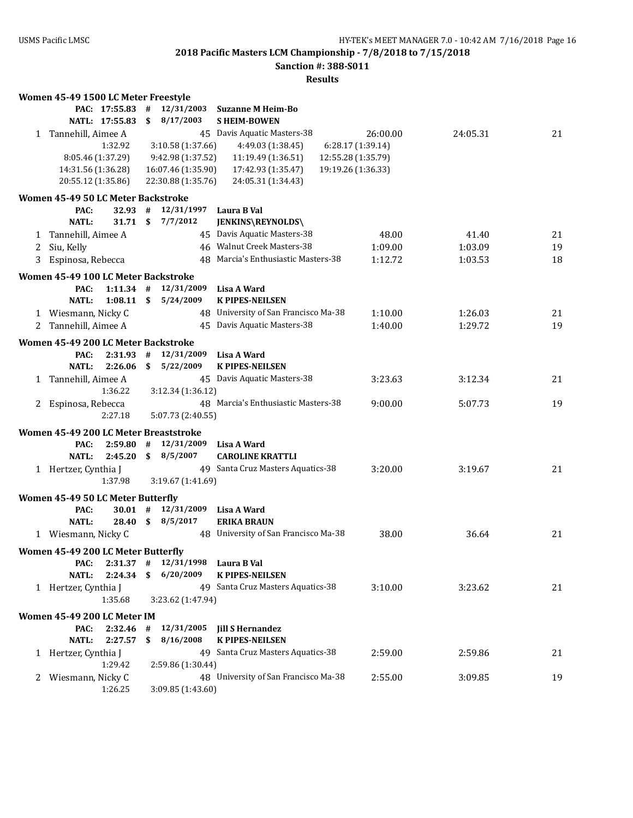**Sanction #: 388-S011**

|              | Women 45-49 1500 LC Meter Freestyle   |                |              |                    |                                      |                    |          |    |
|--------------|---------------------------------------|----------------|--------------|--------------------|--------------------------------------|--------------------|----------|----|
|              |                                       | PAC: 17:55.83  | #            | 12/31/2003         | <b>Suzanne M Heim-Bo</b>             |                    |          |    |
|              |                                       | NATL: 17:55.83 | \$           | 8/17/2003          | <b>SHEIM-BOWEN</b>                   |                    |          |    |
| 1            | Tannehill, Aimee A                    |                |              |                    | 45 Davis Aquatic Masters-38          | 26:00.00           | 24:05.31 | 21 |
|              |                                       | 1:32.92        |              | 3:10.58 (1:37.66)  | 4:49.03 (1:38.45)                    | 6:28.17 (1:39.14)  |          |    |
|              | 8:05.46 (1:37.29)                     |                |              | 9:42.98 (1:37.52)  | 11:19.49 (1:36.51)                   | 12:55.28 (1:35.79) |          |    |
|              | 14:31.56 (1:36.28)                    |                |              | 16:07.46 (1:35.90) | 17:42.93 (1:35.47)                   | 19:19.26 (1:36.33) |          |    |
|              | 20:55.12 (1:35.86)                    |                |              | 22:30.88 (1:35.76) | 24:05.31 (1:34.43)                   |                    |          |    |
|              | Women 45-49 50 LC Meter Backstroke    |                |              |                    |                                      |                    |          |    |
|              | PAC:                                  | 32.93          | #            | 12/31/1997         | Laura B Val                          |                    |          |    |
|              | <b>NATL:</b>                          | 31.71S         |              | 7/7/2012           | JENKINS\REYNOLDS\                    |                    |          |    |
| 1            | Tannehill, Aimee A                    |                |              |                    | 45 Davis Aquatic Masters-38          | 48.00              | 41.40    | 21 |
| 2            | Siu, Kelly                            |                |              |                    | 46 Walnut Creek Masters-38           | 1:09.00            | 1:03.09  | 19 |
| 3            | Espinosa, Rebecca                     |                |              |                    | 48 Marcia's Enthusiastic Masters-38  | 1:12.72            | 1:03.53  | 18 |
|              |                                       |                |              |                    |                                      |                    |          |    |
|              | Women 45-49 100 LC Meter Backstroke   |                |              |                    |                                      |                    |          |    |
|              | PAC:                                  | $1:11.34$ #    |              | 12/31/2009         | Lisa A Ward                          |                    |          |    |
|              | <b>NATL:</b>                          | $1:08.11$ \$   |              | 5/24/2009          | <b>K PIPES-NEILSEN</b>               |                    |          |    |
|              | 1 Wiesmann, Nicky C                   |                |              |                    | 48 University of San Francisco Ma-38 | 1:10.00            | 1:26.03  | 21 |
| 2            | Tannehill, Aimee A                    |                |              |                    | 45 Davis Aquatic Masters-38          | 1:40.00            | 1:29.72  | 19 |
|              | Women 45-49 200 LC Meter Backstroke   |                |              |                    |                                      |                    |          |    |
|              | PAC:                                  | 2:31.93        | #            | 12/31/2009         | Lisa A Ward                          |                    |          |    |
|              | <b>NATL:</b>                          | 2:26.06        | $\mathbf{s}$ | 5/22/2009          | <b>K PIPES-NEILSEN</b>               |                    |          |    |
| 1            | Tannehill, Aimee A                    |                |              |                    | 45 Davis Aquatic Masters-38          | 3:23.63            | 3:12.34  | 21 |
|              |                                       | 1:36.22        |              | 3:12.34 (1:36.12)  |                                      |                    |          |    |
| 2            | Espinosa, Rebecca                     |                |              |                    | 48 Marcia's Enthusiastic Masters-38  | 9:00.00            | 5:07.73  | 19 |
|              |                                       | 2:27.18        |              | 5:07.73 (2:40.55)  |                                      |                    |          |    |
|              | Women 45-49 200 LC Meter Breaststroke |                |              |                    |                                      |                    |          |    |
|              | PAC:                                  | 2:59.80        | #            | 12/31/2009         | Lisa A Ward                          |                    |          |    |
|              | <b>NATL:</b>                          | 2:45.20        |              | \$8/5/2007         | <b>CAROLINE KRATTLI</b>              |                    |          |    |
|              | 1 Hertzer, Cynthia J                  |                |              |                    | 49 Santa Cruz Masters Aquatics-38    | 3:20.00            | 3:19.67  | 21 |
|              |                                       | 1:37.98        |              | 3:19.67 (1:41.69)  |                                      |                    |          |    |
|              | Women 45-49 50 LC Meter Butterfly     |                |              |                    |                                      |                    |          |    |
|              | PAC:                                  | $30.01$ #      |              | 12/31/2009         | Lisa A Ward                          |                    |          |    |
|              | <b>NATL:</b>                          | 28.40          | $\mathbf{s}$ | 8/5/2017           | <b>ERIKA BRAUN</b>                   |                    |          |    |
|              | 1 Wiesmann, Nicky C                   |                |              |                    | 48 University of San Francisco Ma-38 | 38.00              | 36.64    | 21 |
|              |                                       |                |              |                    |                                      |                    |          |    |
|              | Women 45-49 200 LC Meter Butterfly    |                |              |                    |                                      |                    |          |    |
|              | PAC:                                  | $2:31.37$ #    |              | 12/31/1998         | Laura B Val                          |                    |          |    |
|              | <b>NATL:</b>                          | 2:24.34        | \$           | 6/20/2009          | <b>K PIPES-NEILSEN</b>               |                    |          |    |
|              | 1 Hertzer, Cynthia J                  |                |              |                    | 49 Santa Cruz Masters Aquatics-38    | 3:10.00            | 3:23.62  | 21 |
|              |                                       | 1:35.68        |              | 3:23.62 (1:47.94)  |                                      |                    |          |    |
|              | Women 45-49 200 LC Meter IM           |                |              |                    |                                      |                    |          |    |
|              | PAC:                                  | 2:32.46        | #            | 12/31/2005         | <b>Jill S Hernandez</b>              |                    |          |    |
|              | NATL:                                 | 2:27.57        | \$           | 8/16/2008          | <b>K PIPES-NEILSEN</b>               |                    |          |    |
|              | 1 Hertzer, Cynthia J                  |                |              |                    | 49 Santa Cruz Masters Aquatics-38    | 2:59.00            | 2:59.86  | 21 |
|              |                                       | 1:29.42        |              | 2:59.86 (1:30.44)  |                                      |                    |          |    |
| $\mathbf{Z}$ | Wiesmann, Nicky C                     |                |              |                    | 48 University of San Francisco Ma-38 | 2:55.00            | 3:09.85  | 19 |
|              |                                       | 1:26.25        |              | 3:09.85 (1:43.60)  |                                      |                    |          |    |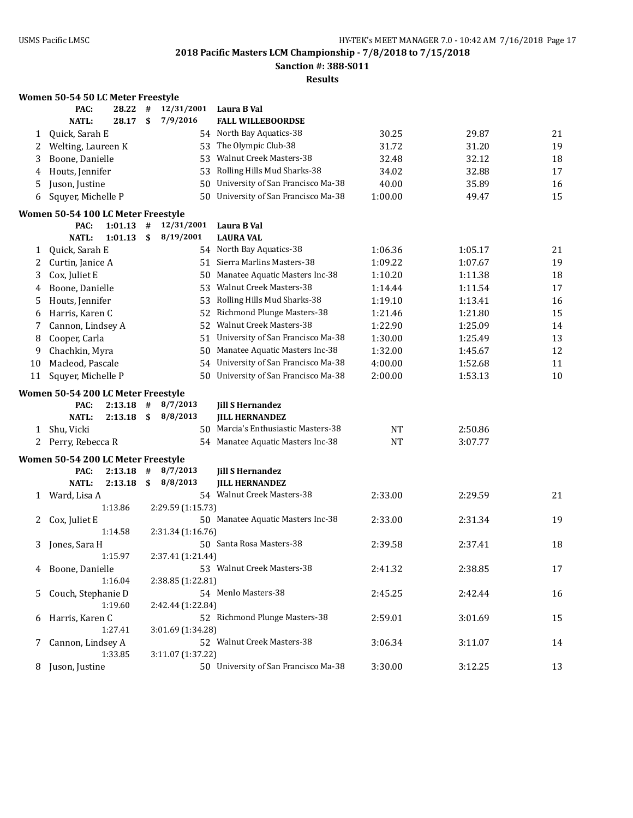**Sanction #: 388-S011**

|    | Women 50-54 50 LC Meter Freestyle  |              |      |                   |     |                                                                           |           |         |          |
|----|------------------------------------|--------------|------|-------------------|-----|---------------------------------------------------------------------------|-----------|---------|----------|
|    | PAC:                               | 28.22        | #    | 12/31/2001        |     | Laura B Val                                                               |           |         |          |
|    | <b>NATL:</b>                       | 28.17        | \$   | 7/9/2016          |     | <b>FALL WILLEBOORDSE</b>                                                  |           |         |          |
| 1  | Quick, Sarah E                     |              |      |                   |     | 54 North Bay Aquatics-38                                                  | 30.25     | 29.87   | 21       |
| 2  | Welting, Laureen K                 |              |      |                   |     | 53 The Olympic Club-38                                                    | 31.72     | 31.20   | 19       |
| 3  | Boone, Danielle                    |              |      |                   |     | 53 Walnut Creek Masters-38                                                | 32.48     | 32.12   | 18       |
| 4  | Houts, Jennifer                    |              |      |                   |     | 53 Rolling Hills Mud Sharks-38                                            | 34.02     | 32.88   | 17       |
| 5  | Juson, Justine                     |              |      |                   | 50  | University of San Francisco Ma-38                                         | 40.00     | 35.89   | 16       |
| 6  | Squyer, Michelle P                 |              |      |                   | 50  | University of San Francisco Ma-38                                         | 1:00.00   | 49.47   | 15       |
|    | Women 50-54 100 LC Meter Freestyle |              |      |                   |     |                                                                           |           |         |          |
|    | PAC:                               | 1:01.13      | #    | 12/31/2001        |     | Laura B Val                                                               |           |         |          |
|    | <b>NATL:</b>                       | 1:01.13      | \$   | 8/19/2001         |     | <b>LAURA VAL</b>                                                          |           |         |          |
| 1  | Quick, Sarah E                     |              |      |                   |     | 54 North Bay Aquatics-38                                                  | 1:06.36   | 1:05.17 | 21       |
| 2  | Curtin, Janice A                   |              |      |                   |     | 51 Sierra Marlins Masters-38                                              | 1:09.22   | 1:07.67 | 19       |
| 3  | Cox, Juliet E                      |              |      |                   |     | 50 Manatee Aquatic Masters Inc-38                                         | 1:10.20   | 1:11.38 | 18       |
| 4  | Boone, Danielle                    |              |      |                   |     | 53 Walnut Creek Masters-38                                                | 1:14.44   | 1:11.54 | 17       |
| 5  | Houts, Jennifer                    |              |      |                   |     | 53 Rolling Hills Mud Sharks-38                                            | 1:19.10   | 1:13.41 | 16       |
| 6  | Harris, Karen C                    |              |      |                   |     | 52 Richmond Plunge Masters-38                                             | 1:21.46   | 1:21.80 | 15       |
|    | Cannon, Lindsey A                  |              |      |                   |     | 52 Walnut Creek Masters-38                                                | 1:22.90   | 1:25.09 | 14       |
| 7  | Cooper, Carla                      |              |      |                   |     | 51 University of San Francisco Ma-38                                      |           |         | 13       |
| 8  | Chachkin, Myra                     |              |      |                   |     | 50 Manatee Aquatic Masters Inc-38                                         | 1:30.00   | 1:25.49 | 12       |
| 9  |                                    |              |      |                   |     |                                                                           | 1:32.00   | 1:45.67 |          |
| 10 | Macleod, Pascale                   |              |      |                   |     | 54 University of San Francisco Ma-38<br>University of San Francisco Ma-38 | 4:00.00   | 1:52.68 | 11<br>10 |
| 11 | Squyer, Michelle P                 |              |      |                   | 50. |                                                                           | 2:00.00   | 1:53.13 |          |
|    | Women 50-54 200 LC Meter Freestyle |              |      |                   |     |                                                                           |           |         |          |
|    | PAC:                               | $2:13.18$ #  |      | 8/7/2013          |     | <b>Jill S Hernandez</b>                                                   |           |         |          |
|    | <b>NATL:</b>                       | $2:13.18$ \$ |      | 8/8/2013          |     | <b>JILL HERNANDEZ</b>                                                     |           |         |          |
| 1  | Shu, Vicki                         |              |      |                   |     | 50 Marcia's Enthusiastic Masters-38                                       | <b>NT</b> | 2:50.86 |          |
|    | 2 Perry, Rebecca R                 |              |      |                   |     | 54 Manatee Aquatic Masters Inc-38                                         | <b>NT</b> | 3:07.77 |          |
|    | Women 50-54 200 LC Meter Freestyle |              |      |                   |     |                                                                           |           |         |          |
|    | PAC:                               | 2:13.18      | #    | 8/7/2013          |     | <b>Jill S Hernandez</b>                                                   |           |         |          |
|    | <b>NATL:</b>                       | 2:13.18      | - \$ | 8/8/2013          |     | <b>JILL HERNANDEZ</b>                                                     |           |         |          |
| 1  | Ward, Lisa A                       |              |      |                   |     | 54 Walnut Creek Masters-38                                                | 2:33.00   | 2:29.59 | 21       |
|    |                                    | 1:13.86      |      | 2:29.59 (1:15.73) |     |                                                                           |           |         |          |
| 2  | Cox, Juliet E                      |              |      |                   |     | 50 Manatee Aquatic Masters Inc-38                                         | 2:33.00   | 2:31.34 | 19       |
|    |                                    | 1:14.58      |      | 2:31.34 (1:16.76) |     |                                                                           |           |         |          |
| 3  | Jones, Sara H                      |              |      |                   |     | 50 Santa Rosa Masters-38                                                  | 2:39.58   | 2:37.41 | 18       |
|    |                                    | 1:15.97      |      | 2:37.41 (1:21.44) |     |                                                                           |           |         |          |
|    | 4 Boone, Danielle                  |              |      |                   |     | 53 Walnut Creek Masters-38                                                | 2:41.32   | 2:38.85 | 17       |
|    |                                    | 1:16.04      |      | 2:38.85 (1:22.81) |     |                                                                           |           |         |          |
| 5  | Couch, Stephanie D                 |              |      |                   |     | 54 Menlo Masters-38                                                       | 2:45.25   | 2:42.44 | 16       |
|    |                                    | 1:19.60      |      | 2:42.44 (1:22.84) |     |                                                                           |           |         |          |
| 6  | Harris, Karen C                    |              |      |                   |     | 52 Richmond Plunge Masters-38                                             | 2:59.01   | 3:01.69 | 15       |
|    |                                    | 1:27.41      |      | 3:01.69 (1:34.28) |     |                                                                           |           |         |          |
| 7  | Cannon, Lindsey A                  |              |      |                   |     | 52 Walnut Creek Masters-38                                                | 3:06.34   | 3:11.07 | 14       |
|    |                                    | 1:33.85      |      | 3:11.07 (1:37.22) |     |                                                                           |           |         |          |
|    | 8 Juson, Justine                   |              |      |                   |     | 50 University of San Francisco Ma-38                                      | 3:30.00   | 3:12.25 | 13       |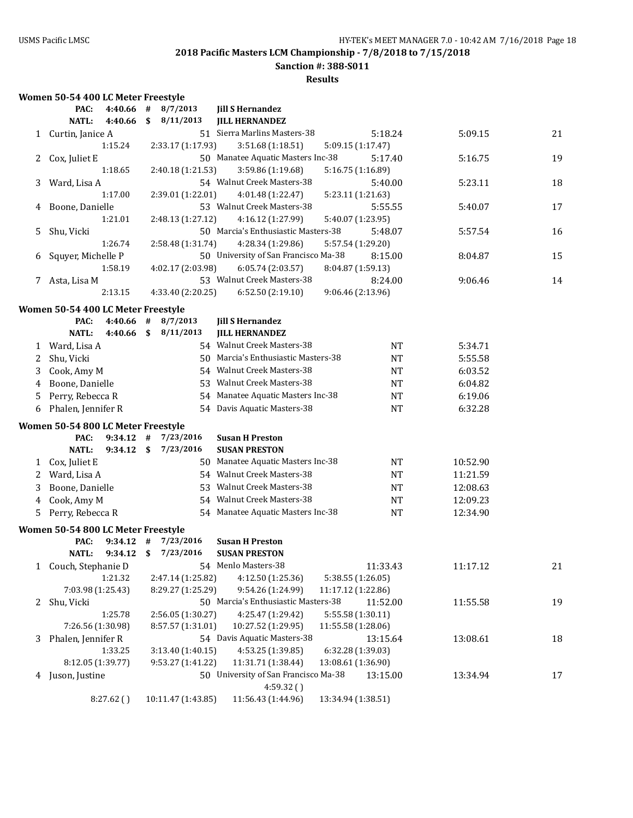**Sanction #: 388-S011**

**Results**

# **Women 50-54 400 LC Meter Freestyle**

|   | PAC:                               | 4:40.66            | #       | 8/7/2013              | <b>Jill S Hernandez</b>                          |                    |          |    |
|---|------------------------------------|--------------------|---------|-----------------------|--------------------------------------------------|--------------------|----------|----|
|   | <b>NATL:</b>                       | 4:40.66            | \$      | 8/11/2013             | <b>JILL HERNANDEZ</b>                            |                    |          |    |
| 1 | Curtin, Janice A                   |                    |         |                       | 51 Sierra Marlins Masters-38                     | 5:18.24            | 5:09.15  | 21 |
|   |                                    | 1:15.24            |         | 2:33.17 (1:17.93)     | 3:51.68 (1:18.51)                                | 5:09.15 (1:17.47)  |          |    |
| 2 | Cox, Juliet E                      |                    |         |                       | 50 Manatee Aquatic Masters Inc-38                | 5:17.40            | 5:16.75  | 19 |
|   |                                    | 1:18.65            |         | 2:40.18 (1:21.53)     | 3:59.86 (1:19.68)                                | 5:16.75 (1:16.89)  |          |    |
| 3 | Ward, Lisa A                       |                    |         |                       | 54 Walnut Creek Masters-38                       | 5:40.00            | 5:23.11  | 18 |
|   |                                    | 1:17.00            |         | 2:39.01 (1:22.01)     | 4:01.48 (1:22.47)                                | 5:23.11 (1:21.63)  |          |    |
| 4 | Boone, Danielle                    |                    |         |                       | 53 Walnut Creek Masters-38                       | 5:55.55            | 5:40.07  | 17 |
|   |                                    | 1:21.01            |         | 2:48.13 (1:27.12)     | 4:16.12 (1:27.99)                                | 5:40.07 (1:23.95)  |          |    |
| 5 | Shu, Vicki                         |                    |         |                       | 50 Marcia's Enthusiastic Masters-38              | 5:48.07            | 5:57.54  | 16 |
|   |                                    | 1:26.74            |         | 2:58.48 (1:31.74)     | 4:28.34 (1:29.86)                                | 5:57.54 (1:29.20)  |          |    |
| 6 | Squyer, Michelle P                 |                    |         |                       | 50 University of San Francisco Ma-38             | 8:15.00            | 8:04.87  | 15 |
|   |                                    | 1:58.19            |         | 4:02.17 (2:03.98)     | 6:05.74 (2:03.57)                                | 8:04.87 (1:59.13)  |          |    |
|   | 7 Asta, Lisa M                     |                    |         |                       | 53 Walnut Creek Masters-38                       | 8:24.00            | 9:06.46  | 14 |
|   |                                    | 2:13.15            |         | 4:33.40 (2:20.25)     | 6:52.50 (2:19.10)                                | 9:06.46 (2:13.96)  |          |    |
|   |                                    |                    |         |                       |                                                  |                    |          |    |
|   | Women 50-54 400 LC Meter Freestyle |                    |         |                       |                                                  |                    |          |    |
|   | PAC:<br><b>NATL:</b>               | 4:40.66<br>4:40.66 | #<br>\$ | 8/7/2013<br>8/11/2013 | <b>Jill S Hernandez</b><br><b>JILL HERNANDEZ</b> |                    |          |    |
|   |                                    |                    |         |                       | 54 Walnut Creek Masters-38                       |                    |          |    |
| 1 | Ward, Lisa A                       |                    |         |                       |                                                  | <b>NT</b>          | 5:34.71  |    |
| 2 | Shu, Vicki                         |                    |         |                       | 50 Marcia's Enthusiastic Masters-38              | <b>NT</b>          | 5:55.58  |    |
| 3 | Cook, Amy M                        |                    |         |                       | 54 Walnut Creek Masters-38                       | <b>NT</b>          | 6:03.52  |    |
| 4 | Boone, Danielle                    |                    |         |                       | 53 Walnut Creek Masters-38                       | <b>NT</b>          | 6:04.82  |    |
| 5 | Perry, Rebecca R                   |                    |         |                       | 54 Manatee Aquatic Masters Inc-38                | <b>NT</b>          | 6:19.06  |    |
| 6 | Phalen, Jennifer R                 |                    |         |                       | 54 Davis Aquatic Masters-38                      | <b>NT</b>          | 6:32.28  |    |
|   | Women 50-54 800 LC Meter Freestyle |                    |         |                       |                                                  |                    |          |    |
|   | PAC:                               | $9:34.12$ #        |         | 7/23/2016             | <b>Susan H Preston</b>                           |                    |          |    |
|   | <b>NATL:</b>                       | $9:34.12$ \$       |         | 7/23/2016             | <b>SUSAN PRESTON</b>                             |                    |          |    |
| 1 | Cox, Juliet E                      |                    |         |                       | 50 Manatee Aquatic Masters Inc-38                | <b>NT</b>          | 10:52.90 |    |
| 2 | Ward, Lisa A                       |                    |         |                       | 54 Walnut Creek Masters-38                       | <b>NT</b>          | 11:21.59 |    |
| 3 | Boone, Danielle                    |                    |         |                       | 53 Walnut Creek Masters-38                       | <b>NT</b>          | 12:08.63 |    |
| 4 | Cook, Amy M                        |                    |         |                       | 54 Walnut Creek Masters-38                       | <b>NT</b>          | 12:09.23 |    |
| 5 | Perry, Rebecca R                   |                    |         |                       | 54 Manatee Aquatic Masters Inc-38                | <b>NT</b>          | 12:34.90 |    |
|   |                                    |                    |         |                       |                                                  |                    |          |    |
|   | Women 50-54 800 LC Meter Freestyle |                    |         |                       |                                                  |                    |          |    |
|   | PAC:                               | 9:34.12            | #       | 7/23/2016             | <b>Susan H Preston</b>                           |                    |          |    |
|   | NATL:                              | 9:34.12            | \$      | 7/23/2016             | <b>SUSAN PRESTON</b>                             |                    |          |    |
|   | 1 Couch, Stephanie D               |                    |         |                       | 54 Menlo Masters-38                              | 11:33.43           | 11:17.12 | 21 |
|   |                                    | 1:21.32            |         | 2:47.14 (1:25.82)     | 4:12.50 (1:25.36)                                | 5:38.55 (1:26.05)  |          |    |
|   | 7:03.98 (1:25.43)                  |                    |         | 8:29.27 (1:25.29)     | 9:54.26 (1:24.99)                                | 11:17.12 (1:22.86) |          |    |
| 2 | Shu, Vicki                         |                    |         |                       | 50 Marcia's Enthusiastic Masters-38              | 11:52.00           | 11:55.58 | 19 |
|   |                                    | 1:25.78            |         | 2:56.05 (1:30.27)     | 4:25.47 (1:29.42)                                | 5:55.58 (1:30.11)  |          |    |
|   | 7:26.56 (1:30.98)                  |                    |         | 8:57.57 (1:31.01)     | 10:27.52 (1:29.95)                               | 11:55.58 (1:28.06) |          |    |
| 3 | Phalen, Jennifer R                 |                    |         |                       | 54 Davis Aquatic Masters-38                      | 13:15.64           | 13:08.61 | 18 |
|   |                                    | 1:33.25            |         | 3:13.40 (1:40.15)     | 4:53.25 (1:39.85)                                | 6:32.28 (1:39.03)  |          |    |
|   | 8:12.05 (1:39.77)                  |                    |         | 9:53.27 (1:41.22)     | 11:31.71 (1:38.44)                               | 13:08.61 (1:36.90) |          |    |
|   | 4 Juson, Justine                   |                    |         |                       | 50 University of San Francisco Ma-38             | 13:15.00           | 13:34.94 | 17 |
|   |                                    |                    |         |                       | 4:59.32()                                        |                    |          |    |
|   |                                    | 8:27.62()          |         | 10:11.47 (1:43.85)    | 11:56.43 (1:44.96)                               | 13:34.94 (1:38.51) |          |    |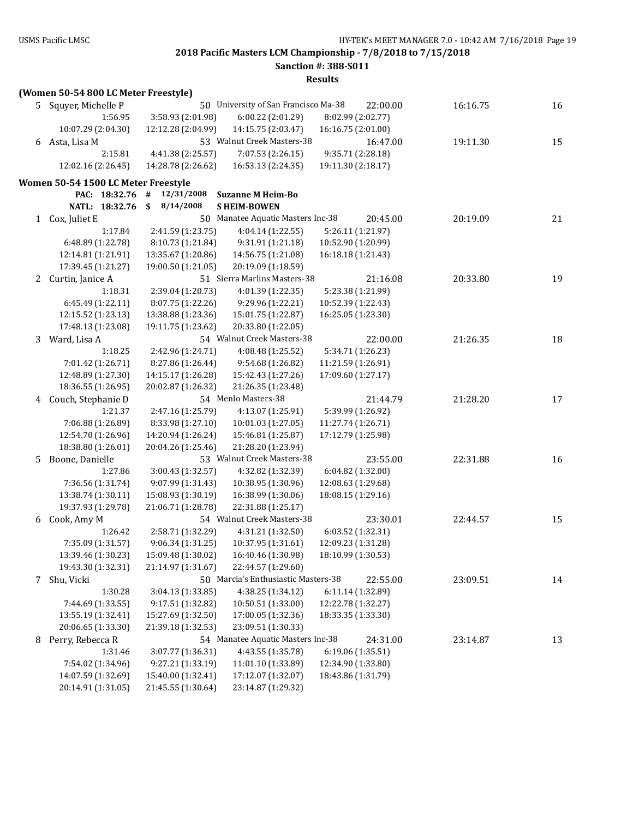**Sanction #: 388-S011**

|              | (Women 50-54 800 LC Meter Freestyle) |                    |                                      |                    |          |    |
|--------------|--------------------------------------|--------------------|--------------------------------------|--------------------|----------|----|
|              | 5 Squyer, Michelle P                 |                    | 50 University of San Francisco Ma-38 | 22:00.00           | 16:16.75 | 16 |
|              | 1:56.95                              | 3:58.93 (2:01.98)  | 6:00.22 (2:01.29)                    | 8:02.99 (2:02.77)  |          |    |
|              | 10:07.29 (2:04.30)                   | 12:12.28 (2:04.99) | 14:15.75 (2:03.47)                   | 16:16.75 (2:01.00) |          |    |
|              | 6 Asta, Lisa M                       |                    | 53 Walnut Creek Masters-38           | 16:47.00           | 19:11.30 | 15 |
|              | 2:15.81                              | 4:41.38 (2:25.57)  | 7:07.53 (2:26.15)                    | 9:35.71 (2:28.18)  |          |    |
|              | 12:02.16 (2:26.45)                   | 14:28.78 (2:26.62) | 16:53.13 (2:24.35)                   | 19:11.30 (2:18.17) |          |    |
|              | Women 50-54 1500 LC Meter Freestyle  |                    |                                      |                    |          |    |
|              | PAC: 18:32.76                        | #<br>12/31/2008    | <b>Suzanne M Heim-Bo</b>             |                    |          |    |
|              | NATL: 18:32.76                       | \$<br>8/14/2008    | <b>SHEIM-BOWEN</b>                   |                    |          |    |
| 1            | Cox, Juliet E                        |                    | 50 Manatee Aquatic Masters Inc-38    | 20:45.00           | 20:19.09 | 21 |
|              | 1:17.84                              | 2:41.59 (1:23.75)  | 4:04.14 (1:22.55)                    | 5:26.11 (1:21.97)  |          |    |
|              | 6:48.89 (1:22.78)                    | 8:10.73 (1:21.84)  | 9:31.91 (1:21.18)                    | 10:52.90 (1:20.99) |          |    |
|              | 12:14.81 (1:21.91)                   | 13:35.67 (1:20.86) | 14:56.75 (1:21.08)                   | 16:18.18 (1:21.43) |          |    |
|              | 17:39.45 (1:21.27)                   | 19:00.50 (1:21.05) | 20:19.09 (1:18.59)                   |                    |          |    |
| $\mathbf{Z}$ | Curtin, Janice A                     |                    | 51 Sierra Marlins Masters-38         | 21:16.08           | 20:33.80 | 19 |
|              | 1:18.31                              | 2:39.04 (1:20.73)  | 4:01.39 (1:22.35)                    | 5:23.38 (1:21.99)  |          |    |
|              | 6:45.49 (1:22.11)                    | 8:07.75 (1:22.26)  | 9:29.96 (1:22.21)                    | 10:52.39 (1:22.43) |          |    |
|              | 12:15.52 (1:23.13)                   | 13:38.88 (1:23.36) | 15:01.75 (1:22.87)                   | 16:25.05 (1:23.30) |          |    |
|              | 17:48.13 (1:23.08)                   | 19:11.75 (1:23.62) | 20:33.80 (1:22.05)                   |                    |          |    |
| 3            | Ward, Lisa A                         |                    | 54 Walnut Creek Masters-38           | 22:00.00           | 21:26.35 | 18 |
|              | 1:18.25                              | 2:42.96 (1:24.71)  | 4:08.48 (1:25.52)                    | 5:34.71 (1:26.23)  |          |    |
|              | 7:01.42 (1:26.71)                    | 8:27.86 (1:26.44)  | 9:54.68 (1:26.82)                    | 11:21.59 (1:26.91) |          |    |
|              | 12:48.89 (1:27.30)                   | 14:15.17 (1:26.28) | 15:42.43 (1:27.26)                   | 17:09.60 (1:27.17) |          |    |
|              | 18:36.55 (1:26.95)                   | 20:02.87 (1:26.32) | 21:26.35 (1:23.48)                   |                    |          |    |
| 4            | Couch, Stephanie D                   |                    | 54 Menlo Masters-38                  | 21:44.79           | 21:28.20 | 17 |
|              | 1:21.37                              | 2:47.16 (1:25.79)  | 4:13.07 (1:25.91)                    | 5:39.99 (1:26.92)  |          |    |
|              | 7:06.88 (1:26.89)                    | 8:33.98 (1:27.10)  | 10:01.03 (1:27.05)                   | 11:27.74 (1:26.71) |          |    |
|              | 12:54.70 (1:26.96)                   | 14:20.94 (1:26.24) | 15:46.81 (1:25.87)                   | 17:12.79 (1:25.98) |          |    |
|              | 18:38.80 (1:26.01)                   | 20:04.26 (1:25.46) | 21:28.20 (1:23.94)                   |                    |          |    |
| 5            | Boone, Danielle                      |                    | 53 Walnut Creek Masters-38           | 23:55.00           | 22:31.88 | 16 |
|              | 1:27.86                              | 3:00.43 (1:32.57)  | 4:32.82 (1:32.39)                    | 6:04.82 (1:32.00)  |          |    |
|              | 7:36.56 (1:31.74)                    | 9:07.99 (1:31.43)  | 10:38.95 (1:30.96)                   | 12:08.63 (1:29.68) |          |    |
|              | 13:38.74 (1:30.11)                   | 15:08.93 (1:30.19) | 16:38.99 (1:30.06)                   | 18:08.15 (1:29.16) |          |    |
|              | 19:37.93 (1:29.78)                   | 21:06.71 (1:28.78) | 22:31.88 (1:25.17)                   |                    |          |    |
| 6            | Cook, Amy M                          |                    | 54 Walnut Creek Masters-38           | 23:30.01           | 22:44.57 | 15 |
|              | 1:26.42                              | 2:58.71 (1:32.29)  | 4:31.21 (1:32.50)                    | 6:03.52 (1:32.31)  |          |    |
|              | 7:35.09 (1:31.57)                    | 9:06.34(1:31.25)   | 10:37.95 (1:31.61)                   | 12:09.23 (1:31.28) |          |    |
|              | 13:39.46 (1:30.23)                   | 15:09.48 (1:30.02) | 16:40.46 (1:30.98)                   | 18:10.99 (1:30.53) |          |    |
|              | 19:43.30 (1:32.31)                   | 21:14.97 (1:31.67) | 22:44.57 (1:29.60)                   |                    |          |    |
| 7            | Shu, Vicki                           |                    | 50 Marcia's Enthusiastic Masters-38  | 22:55.00           | 23:09.51 | 14 |
|              | 1:30.28                              | 3:04.13 (1:33.85)  | 4:38.25 (1:34.12)                    | 6:11.14 (1:32.89)  |          |    |
|              | 7:44.69 (1:33.55)                    | 9:17.51 (1:32.82)  | 10:50.51 (1:33.00)                   | 12:22.78 (1:32.27) |          |    |
|              | 13:55.19 (1:32.41)                   | 15:27.69 (1:32.50) | 17:00.05 (1:32.36)                   | 18:33.35 (1:33.30) |          |    |
|              | 20:06.65 (1:33.30)                   | 21:39.18 (1:32.53) | 23:09.51 (1:30.33)                   |                    |          |    |
| 8            | Perry, Rebecca R                     |                    | 54 Manatee Aquatic Masters Inc-38    | 24:31.00           | 23:14.87 | 13 |
|              | 1:31.46                              | 3:07.77 (1:36.31)  | 4:43.55 (1:35.78)                    | 6:19.06 (1:35.51)  |          |    |
|              | 7:54.02 (1:34.96)                    | 9:27.21 (1:33.19)  | 11:01.10 (1:33.89)                   | 12:34.90 (1:33.80) |          |    |
|              | 14:07.59 (1:32.69)                   | 15:40.00 (1:32.41) | 17:12.07 (1:32.07)                   | 18:43.86 (1:31.79) |          |    |
|              | 20:14.91 (1:31.05)                   | 21:45.55 (1:30.64) | 23:14.87 (1:29.32)                   |                    |          |    |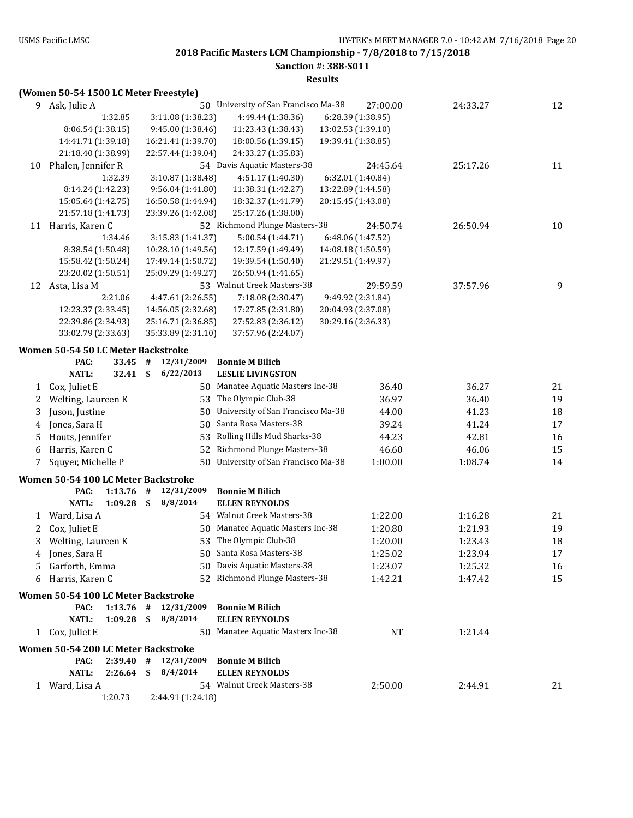# **Sanction #: 388-S011**

| 9  | Ask, Julie A                               |    |                    | 50 University of San Francisco Ma-38 |                    | 27:00.00          | 24:33.27 | 12 |
|----|--------------------------------------------|----|--------------------|--------------------------------------|--------------------|-------------------|----------|----|
|    | 1:32.85                                    |    | 3:11.08 (1:38.23)  | 4:49.44 (1:38.36)                    |                    | 6:28.39 (1:38.95) |          |    |
|    | 8:06.54 (1:38.15)                          |    | 9:45.00 (1:38.46)  | 11:23.43 (1:38.43)                   | 13:02.53 (1:39.10) |                   |          |    |
|    | 14:41.71 (1:39.18)                         |    | 16:21.41 (1:39.70) | 18:00.56 (1:39.15)                   | 19:39.41 (1:38.85) |                   |          |    |
|    | 21:18.40 (1:38.99)                         |    | 22:57.44 (1:39.04) | 24:33.27 (1:35.83)                   |                    |                   |          |    |
| 10 | Phalen, Jennifer R                         |    |                    | 54 Davis Aquatic Masters-38          |                    | 24:45.64          | 25:17.26 | 11 |
|    | 1:32.39                                    |    | 3:10.87 (1:38.48)  | 4:51.17 (1:40.30)                    |                    | 6:32.01 (1:40.84) |          |    |
|    | 8:14.24 (1:42.23)                          |    | 9:56.04 (1:41.80)  | 11:38.31 (1:42.27)                   | 13:22.89 (1:44.58) |                   |          |    |
|    | 15:05.64 (1:42.75)                         |    | 16:50.58 (1:44.94) | 18:32.37 (1:41.79)                   | 20:15.45 (1:43.08) |                   |          |    |
|    | 21:57.18 (1:41.73)                         |    | 23:39.26 (1:42.08) | 25:17.26 (1:38.00)                   |                    |                   |          |    |
|    | 11 Harris, Karen C                         |    |                    | 52 Richmond Plunge Masters-38        |                    | 24:50.74          | 26:50.94 | 10 |
|    | 1:34.46                                    |    | 3:15.83 (1:41.37)  | 5:00.54 (1:44.71)                    |                    | 6:48.06 (1:47.52) |          |    |
|    | 8:38.54 (1:50.48)                          |    | 10:28.10 (1:49.56) | 12:17.59 (1:49.49)                   | 14:08.18 (1:50.59) |                   |          |    |
|    | 15:58.42 (1:50.24)                         |    | 17:49.14 (1:50.72) | 19:39.54 (1:50.40)                   | 21:29.51 (1:49.97) |                   |          |    |
|    | 23:20.02 (1:50.51)                         |    | 25:09.29 (1:49.27) | 26:50.94 (1:41.65)                   |                    |                   |          |    |
| 12 | Asta, Lisa M                               |    |                    | 53 Walnut Creek Masters-38           |                    | 29:59.59          | 37:57.96 | 9  |
|    | 2:21.06                                    |    | 4:47.61 (2:26.55)  | 7:18.08 (2:30.47)                    |                    | 9:49.92 (2:31.84) |          |    |
|    | 12:23.37 (2:33.45)                         |    | 14:56.05 (2:32.68) | 17:27.85 (2:31.80)                   | 20:04.93 (2:37.08) |                   |          |    |
|    | 22:39.86 (2:34.93)                         |    | 25:16.71 (2:36.85) | 27:52.83 (2:36.12)                   | 30:29.16 (2:36.33) |                   |          |    |
|    | 33:02.79 (2:33.63)                         |    | 35:33.89 (2:31.10) | 37:57.96 (2:24.07)                   |                    |                   |          |    |
|    |                                            |    |                    |                                      |                    |                   |          |    |
|    | Women 50-54 50 LC Meter Backstroke         |    |                    |                                      |                    |                   |          |    |
|    | PAC:<br>33.45                              | #  | 12/31/2009         | <b>Bonnie M Bilich</b>               |                    |                   |          |    |
|    | <b>NATL:</b><br>32.41                      | \$ | 6/22/2013          | <b>LESLIE LIVINGSTON</b>             |                    |                   |          |    |
| 1  | Cox, Juliet E                              |    |                    | 50 Manatee Aquatic Masters Inc-38    |                    | 36.40             | 36.27    | 21 |
| 2  | Welting, Laureen K                         |    | 53                 | The Olympic Club-38                  |                    | 36.97             | 36.40    | 19 |
| 3  | Juson, Justine                             |    | 50                 | University of San Francisco Ma-38    |                    | 44.00             | 41.23    | 18 |
| 4  | Jones, Sara H                              |    | 50                 | Santa Rosa Masters-38                |                    | 39.24             | 41.24    | 17 |
| 5  | Houts, Jennifer                            |    | 53                 | Rolling Hills Mud Sharks-38          |                    | 44.23             | 42.81    | 16 |
| 6  | Harris, Karen C                            |    | 52                 | Richmond Plunge Masters-38           |                    | 46.60             | 46.06    | 15 |
| 7  | Squyer, Michelle P                         |    | 50                 | University of San Francisco Ma-38    |                    | 1:00.00           | 1:08.74  | 14 |
|    |                                            |    |                    |                                      |                    |                   |          |    |
|    | Women 50-54 100 LC Meter Backstroke        |    |                    |                                      |                    |                   |          |    |
|    | 1:13.76<br>PAC:                            | #  | 12/31/2009         | <b>Bonnie M Bilich</b>               |                    |                   |          |    |
|    | <b>NATL:</b><br>1:09.28                    | \$ | 8/8/2014           | <b>ELLEN REYNOLDS</b>                |                    |                   |          |    |
| 1  | Ward, Lisa A                               |    |                    | 54 Walnut Creek Masters-38           |                    | 1:22.00           | 1:16.28  | 21 |
| 2  | Cox, Juliet E                              |    |                    | 50 Manatee Aquatic Masters Inc-38    |                    | 1:20.80           | 1:21.93  | 19 |
| 3  | Welting, Laureen K                         |    | 53                 | The Olympic Club-38                  |                    | 1:20.00           | 1:23.43  | 18 |
| 4  | Jones, Sara H                              |    | 50                 | Santa Rosa Masters-38                |                    | 1:25.02           | 1:23.94  | 17 |
|    | 5 Garforth, Emma                           |    |                    | 50 Davis Aquatic Masters-38          |                    | 1:23.07           | 1:25.32  | 16 |
| 6  | Harris, Karen C                            |    |                    | 52 Richmond Plunge Masters-38        |                    | 1:42.21           | 1:47.42  | 15 |
|    | <b>Women 50-54 100 LC Meter Backstroke</b> |    |                    |                                      |                    |                   |          |    |
|    | PAC:<br>1:13.76                            | #  | 12/31/2009         | <b>Bonnie M Bilich</b>               |                    |                   |          |    |
|    | <b>NATL:</b><br>1:09.28                    | \$ | 8/8/2014           | <b>ELLEN REYNOLDS</b>                |                    |                   |          |    |
|    | 1 Cox, Juliet E                            |    |                    | 50 Manatee Aquatic Masters Inc-38    |                    | NT                | 1:21.44  |    |
|    |                                            |    |                    |                                      |                    |                   |          |    |
|    | <b>Women 50-54 200 LC Meter Backstroke</b> |    |                    |                                      |                    |                   |          |    |
|    | $2:39.40$ #<br>PAC:                        |    | 12/31/2009         | <b>Bonnie M Bilich</b>               |                    |                   |          |    |
|    | <b>NATL:</b><br>2:26.64                    | \$ | 8/4/2014           | <b>ELLEN REYNOLDS</b>                |                    |                   |          |    |
|    | 1 Ward, Lisa A                             |    |                    | 54 Walnut Creek Masters-38           |                    | 2:50.00           | 2:44.91  | 21 |
|    | 1:20.73                                    |    | 2:44.91 (1:24.18)  |                                      |                    |                   |          |    |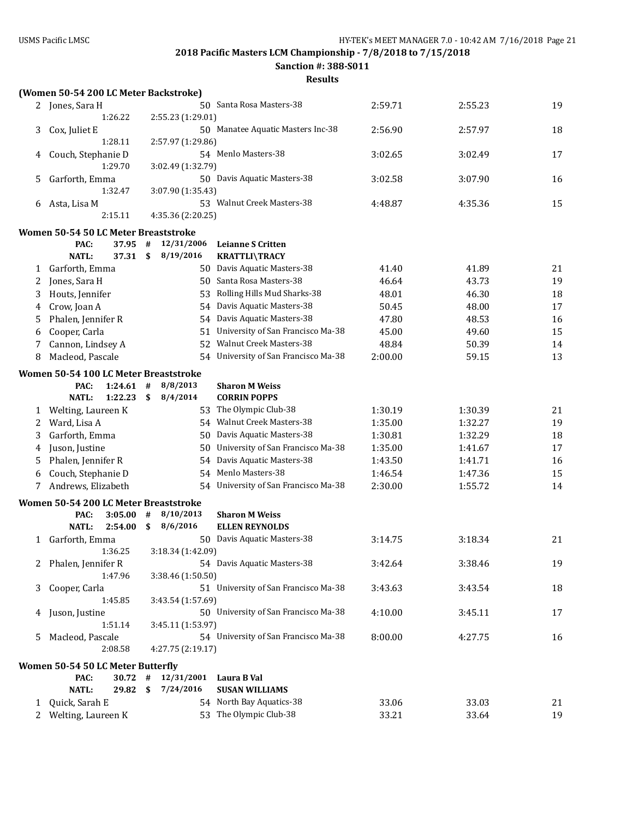**Sanction #: 388-S011**

|    | (Women 50-54 200 LC Meter Backstroke)         |             |              |                   |    |                                      |         |         |    |
|----|-----------------------------------------------|-------------|--------------|-------------------|----|--------------------------------------|---------|---------|----|
|    | 2 Jones, Sara H                               |             |              |                   |    | 50 Santa Rosa Masters-38             | 2:59.71 | 2:55.23 | 19 |
|    |                                               | 1:26.22     |              | 2:55.23 (1:29.01) |    |                                      |         |         |    |
| 3  | Cox, Juliet E                                 |             |              |                   |    | 50 Manatee Aquatic Masters Inc-38    | 2:56.90 | 2:57.97 | 18 |
|    |                                               | 1:28.11     |              | 2:57.97 (1:29.86) |    |                                      |         |         |    |
| 4  | Couch, Stephanie D                            |             |              |                   |    | 54 Menlo Masters-38                  | 3:02.65 | 3:02.49 | 17 |
|    |                                               | 1:29.70     |              | 3:02.49 (1:32.79) |    |                                      |         |         |    |
| 5. | Garforth, Emma                                |             |              |                   |    | 50 Davis Aquatic Masters-38          | 3:02.58 | 3:07.90 | 16 |
|    |                                               | 1:32.47     |              | 3:07.90 (1:35.43) |    |                                      |         |         |    |
| 6  | Asta, Lisa M                                  |             |              |                   |    | 53 Walnut Creek Masters-38           | 4:48.87 | 4:35.36 | 15 |
|    |                                               | 2:15.11     |              | 4:35.36 (2:20.25) |    |                                      |         |         |    |
|    | Women 50-54 50 LC Meter Breaststroke          |             |              |                   |    |                                      |         |         |    |
|    | PAC:                                          | 37.95       | #            | 12/31/2006        |    | <b>Leianne S Critten</b>             |         |         |    |
|    | <b>NATL:</b>                                  | 37.31       | \$           | 8/19/2016         |    | <b>KRATTLI\TRACY</b>                 |         |         |    |
| 1  | Garforth, Emma                                |             |              |                   |    | 50 Davis Aquatic Masters-38          | 41.40   | 41.89   | 21 |
| 2  | Jones, Sara H                                 |             |              |                   |    | 50 Santa Rosa Masters-38             | 46.64   | 43.73   | 19 |
| 3  | Houts, Jennifer                               |             |              |                   |    | 53 Rolling Hills Mud Sharks-38       | 48.01   | 46.30   | 18 |
| 4  | Crow, Joan A                                  |             |              |                   |    | 54 Davis Aquatic Masters-38          | 50.45   | 48.00   | 17 |
| 5  | Phalen, Jennifer R                            |             |              |                   |    | 54 Davis Aquatic Masters-38          | 47.80   | 48.53   | 16 |
| 6  | Cooper, Carla                                 |             |              |                   |    | 51 University of San Francisco Ma-38 | 45.00   | 49.60   | 15 |
|    | Cannon, Lindsey A                             |             |              |                   | 52 | Walnut Creek Masters-38              | 48.84   | 50.39   | 14 |
| 8  | Macleod, Pascale                              |             |              |                   |    | 54 University of San Francisco Ma-38 | 2:00.00 | 59.15   | 13 |
|    | Women 50-54 100 LC Meter Breaststroke         |             |              |                   |    |                                      |         |         |    |
|    | PAC:                                          | $1:24.61$ # |              | 8/8/2013          |    | <b>Sharon M Weiss</b>                |         |         |    |
|    | <b>NATL:</b>                                  | 1:22.23     | \$           | 8/4/2014          |    | <b>CORRIN POPPS</b>                  |         |         |    |
| 1  | Welting, Laureen K                            |             |              |                   |    | 53 The Olympic Club-38               | 1:30.19 | 1:30.39 | 21 |
| 2  | Ward, Lisa A                                  |             |              |                   |    | 54 Walnut Creek Masters-38           | 1:35.00 | 1:32.27 | 19 |
| 3  | Garforth, Emma                                |             |              |                   |    | 50 Davis Aquatic Masters-38          | 1:30.81 | 1:32.29 | 18 |
| 4  | Juson, Justine                                |             |              |                   |    | 50 University of San Francisco Ma-38 | 1:35.00 | 1:41.67 | 17 |
| 5  | Phalen, Jennifer R                            |             |              |                   |    | 54 Davis Aquatic Masters-38          | 1:43.50 | 1:41.71 | 16 |
| 6  | Couch, Stephanie D                            |             |              |                   |    | 54 Menlo Masters-38                  | 1:46.54 | 1:47.36 | 15 |
| 7  | Andrews, Elizabeth                            |             |              |                   |    | 54 University of San Francisco Ma-38 | 2:30.00 | 1:55.72 | 14 |
|    |                                               |             |              |                   |    |                                      |         |         |    |
|    | Women 50-54 200 LC Meter Breaststroke<br>PAC: | 3:05.00     | #            | 8/10/2013         |    | <b>Sharon M Weiss</b>                |         |         |    |
|    | <b>NATL:</b>                                  | 2:54.00     | $\mathbf{s}$ | 8/6/2016          |    | <b>ELLEN REYNOLDS</b>                |         |         |    |
| 1  | Garforth, Emma                                |             |              |                   |    | 50 Davis Aquatic Masters-38          | 3:14.75 | 3:18.34 | 21 |
|    |                                               | 1:36.25     |              | 3:18.34 (1:42.09) |    |                                      |         |         |    |
| 2  | Phalen, Jennifer R                            |             |              |                   |    | 54 Davis Aquatic Masters-38          | 3:42.64 | 3:38.46 | 19 |
|    |                                               | 1:47.96     |              | 3:38.46 (1:50.50) |    |                                      |         |         |    |
| 3  | Cooper, Carla                                 |             |              |                   |    | 51 University of San Francisco Ma-38 | 3:43.63 | 3:43.54 | 18 |
|    |                                               | 1:45.85     |              | 3:43.54 (1:57.69) |    |                                      |         |         |    |
| 4  | Juson, Justine                                |             |              |                   |    | 50 University of San Francisco Ma-38 | 4:10.00 | 3:45.11 | 17 |
|    |                                               | 1:51.14     |              | 3:45.11 (1:53.97) |    |                                      |         |         |    |
| 5  | Macleod, Pascale                              |             |              |                   |    | 54 University of San Francisco Ma-38 | 8:00.00 | 4:27.75 | 16 |
|    |                                               | 2:08.58     |              | 4:27.75 (2:19.17) |    |                                      |         |         |    |
|    | Women 50-54 50 LC Meter Butterfly             |             |              |                   |    |                                      |         |         |    |
|    | PAC:                                          | 30.72       | $\#$         | 12/31/2001        |    | Laura B Val                          |         |         |    |
|    | <b>NATL:</b>                                  | 29.82       | \$           | 7/24/2016         |    | <b>SUSAN WILLIAMS</b>                |         |         |    |
| 1  | Quick, Sarah E                                |             |              |                   |    | 54 North Bay Aquatics-38             | 33.06   | 33.03   | 21 |
|    | 2 Welting, Laureen K                          |             |              |                   |    | 53 The Olympic Club-38               | 33.21   | 33.64   | 19 |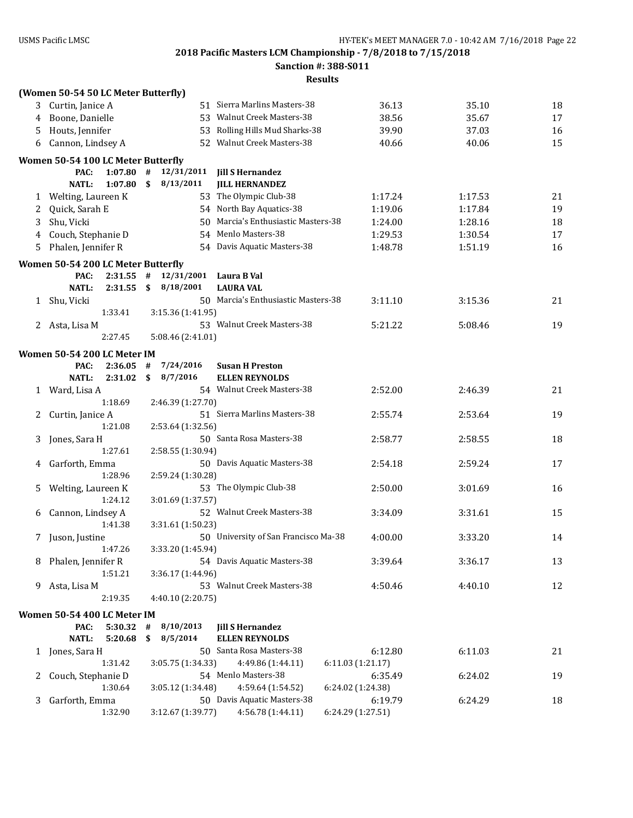**Sanction #: 388-S011**

|    | (Women 50-54 50 LC Meter Butterfly) |              |                   |                                                  |                   |         |    |
|----|-------------------------------------|--------------|-------------------|--------------------------------------------------|-------------------|---------|----|
|    | 3 Curtin, Janice A                  |              |                   | 51 Sierra Marlins Masters-38                     | 36.13             | 35.10   | 18 |
| 4  | Boone, Danielle                     |              |                   | 53 Walnut Creek Masters-38                       | 38.56             | 35.67   | 17 |
| 5  | Houts, Jennifer                     |              |                   | 53 Rolling Hills Mud Sharks-38                   | 39.90             | 37.03   | 16 |
| 6  | Cannon, Lindsey A                   |              |                   | 52 Walnut Creek Masters-38                       | 40.66             | 40.06   | 15 |
|    | Women 50-54 100 LC Meter Butterfly  |              |                   |                                                  |                   |         |    |
|    | 1:07.80<br>PAC:                     | #            | 12/31/2011        | <b>Jill S Hernandez</b>                          |                   |         |    |
|    | <b>NATL:</b><br>1:07.80             | $\mathbf{s}$ | 8/13/2011         | <b>JILL HERNANDEZ</b>                            |                   |         |    |
|    | 1 Welting, Laureen K                |              |                   | 53 The Olympic Club-38                           | 1:17.24           | 1:17.53 | 21 |
| 2  | Quick, Sarah E                      |              |                   | 54 North Bay Aquatics-38                         | 1:19.06           | 1:17.84 | 19 |
| 3  | Shu, Vicki                          |              |                   | 50 Marcia's Enthusiastic Masters-38              | 1:24.00           | 1:28.16 | 18 |
| 4  | Couch, Stephanie D                  |              |                   | 54 Menlo Masters-38                              | 1:29.53           | 1:30.54 | 17 |
| 5. | Phalen, Jennifer R                  |              |                   | 54 Davis Aquatic Masters-38                      | 1:48.78           | 1:51.19 | 16 |
|    | Women 50-54 200 LC Meter Butterfly  |              |                   |                                                  |                   |         |    |
|    | PAC:<br>2:31.55                     | #            | 12/31/2001        | Laura B Val                                      |                   |         |    |
|    | <b>NATL:</b><br>2:31.55             | \$           | 8/18/2001         | <b>LAURA VAL</b>                                 |                   |         |    |
| 1  | Shu, Vicki                          |              |                   | 50 Marcia's Enthusiastic Masters-38              | 3:11.10           | 3:15.36 | 21 |
|    | 1:33.41                             |              | 3:15.36 (1:41.95) |                                                  |                   |         |    |
| 2  | Asta, Lisa M                        |              |                   | 53 Walnut Creek Masters-38                       | 5:21.22           | 5:08.46 | 19 |
|    | 2:27.45                             |              | 5:08.46 (2:41.01) |                                                  |                   |         |    |
|    | Women 50-54 200 LC Meter IM         |              |                   |                                                  |                   |         |    |
|    | PAC:<br>2:36.05                     | #            | 7/24/2016         | <b>Susan H Preston</b>                           |                   |         |    |
|    | <b>NATL:</b><br>2:31.02             | \$           | 8/7/2016          | <b>ELLEN REYNOLDS</b>                            |                   |         |    |
| 1  | Ward, Lisa A                        |              |                   | 54 Walnut Creek Masters-38                       | 2:52.00           | 2:46.39 | 21 |
|    | 1:18.69                             |              | 2:46.39 (1:27.70) |                                                  |                   |         |    |
| 2  | Curtin, Janice A                    |              |                   | 51 Sierra Marlins Masters-38                     | 2:55.74           | 2:53.64 | 19 |
|    | 1:21.08                             |              | 2:53.64 (1:32.56) |                                                  |                   |         |    |
| 3  | Jones, Sara H                       |              |                   | 50 Santa Rosa Masters-38                         | 2:58.77           | 2:58.55 | 18 |
|    | 1:27.61                             |              | 2:58.55 (1:30.94) |                                                  |                   |         |    |
| 4  | Garforth, Emma                      |              |                   | 50 Davis Aquatic Masters-38                      | 2:54.18           | 2:59.24 | 17 |
|    | 1:28.96                             |              | 2:59.24 (1:30.28) |                                                  |                   |         |    |
| 5. | Welting, Laureen K                  |              |                   | 53 The Olympic Club-38                           | 2:50.00           | 3:01.69 | 16 |
|    | 1:24.12                             |              | 3:01.69 (1:37.57) |                                                  |                   |         |    |
| 6  | Cannon, Lindsey A                   |              |                   | 52 Walnut Creek Masters-38                       | 3:34.09           | 3:31.61 | 15 |
|    | 1:41.38                             |              | 3:31.61 (1:50.23) |                                                  |                   |         |    |
|    | 7 Juson, Justine                    |              |                   | 50 University of San Francisco Ma-38             | 4:00.00           | 3:33.20 | 14 |
|    | 1:47.26                             |              | 3:33.20 (1:45.94) |                                                  |                   |         |    |
| 8  | Phalen, Jennifer R<br>1:51.21       |              | 3:36.17 (1:44.96) | 54 Davis Aquatic Masters-38                      | 3:39.64           | 3:36.17 | 13 |
| 9. | Asta, Lisa M                        |              |                   | 53 Walnut Creek Masters-38                       | 4:50.46           | 4:40.10 | 12 |
|    | 2:19.35                             |              | 4:40.10 (2:20.75) |                                                  |                   |         |    |
|    |                                     |              |                   |                                                  |                   |         |    |
|    | Women 50-54 400 LC Meter IM         |              |                   |                                                  |                   |         |    |
|    | PAC:<br>$5:30.32$ #<br><b>NATL:</b> | \$           | 8/10/2013         | <b>Jill S Hernandez</b><br><b>ELLEN REYNOLDS</b> |                   |         |    |
|    | 5:20.68<br>1 Jones, Sara H          |              | 8/5/2014          | 50 Santa Rosa Masters-38                         | 6:12.80           | 6:11.03 | 21 |
|    | 1:31.42                             |              | 3:05.75 (1:34.33) | 4:49.86 (1:44.11)                                | 6:11.03 (1:21.17) |         |    |
| 2  | Couch, Stephanie D                  |              |                   | 54 Menlo Masters-38                              | 6:35.49           | 6:24.02 | 19 |
|    | 1:30.64                             |              | 3:05.12 (1:34.48) | 4:59.64 (1:54.52)                                | 6:24.02 (1:24.38) |         |    |
| 3  | Garforth, Emma                      |              |                   | 50 Davis Aquatic Masters-38                      | 6:19.79           | 6:24.29 | 18 |
|    | 1:32.90                             |              | 3:12.67 (1:39.77) | 4:56.78 (1:44.11)                                | 6:24.29 (1:27.51) |         |    |
|    |                                     |              |                   |                                                  |                   |         |    |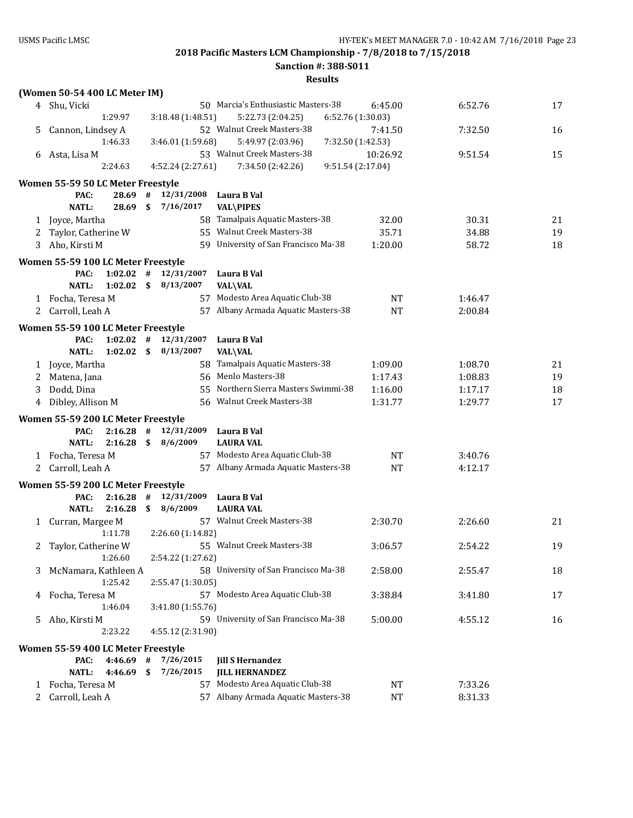**Sanction #: 388-S011**

|   | (Women 50-54 400 LC Meter IM)      |             |      |                   |    |                                      |                   |           |         |    |
|---|------------------------------------|-------------|------|-------------------|----|--------------------------------------|-------------------|-----------|---------|----|
|   | 4 Shu, Vicki                       |             |      |                   |    | 50 Marcia's Enthusiastic Masters-38  |                   | 6:45.00   | 6:52.76 | 17 |
|   |                                    | 1:29.97     |      | 3:18.48 (1:48.51) |    | 5:22.73 (2:04.25)                    | 6:52.76 (1:30.03) |           |         |    |
| 5 | Cannon, Lindsey A                  |             |      |                   |    | 52 Walnut Creek Masters-38           |                   | 7:41.50   | 7:32.50 | 16 |
|   |                                    | 1:46.33     |      | 3:46.01 (1:59.68) |    | 5:49.97 (2:03.96)                    | 7:32.50 (1:42.53) |           |         |    |
| 6 | Asta, Lisa M                       |             |      |                   |    | 53 Walnut Creek Masters-38           |                   | 10:26.92  | 9:51.54 | 15 |
|   |                                    | 2:24.63     |      | 4:52.24 (2:27.61) |    | 7:34.50 (2:42.26)                    | 9:51.54 (2:17.04) |           |         |    |
|   |                                    |             |      |                   |    |                                      |                   |           |         |    |
|   | Women 55-59 50 LC Meter Freestyle  |             |      |                   |    |                                      |                   |           |         |    |
|   | PAC:                               | 28.69       | #    | 12/31/2008        |    | Laura B Val                          |                   |           |         |    |
|   | <b>NATL:</b>                       | 28.69       | \$   | 7/16/2017         |    | <b>VAL\PIPES</b>                     |                   |           |         |    |
| 1 | Joyce, Martha                      |             |      |                   |    | 58 Tamalpais Aquatic Masters-38      |                   | 32.00     | 30.31   | 21 |
| 2 | Taylor, Catherine W                |             |      |                   |    | 55 Walnut Creek Masters-38           |                   | 35.71     | 34.88   | 19 |
| 3 | Aho, Kirsti M                      |             |      |                   |    | 59 University of San Francisco Ma-38 |                   | 1:20.00   | 58.72   | 18 |
|   | Women 55-59 100 LC Meter Freestyle |             |      |                   |    |                                      |                   |           |         |    |
|   | PAC:                               | $1:02.02$ # |      | 12/31/2007        |    | Laura B Val                          |                   |           |         |    |
|   | <b>NATL:</b>                       | 1:02.02     | - \$ | 8/13/2007         |    | <b>VAL\VAL</b>                       |                   |           |         |    |
|   | 1 Focha, Teresa M                  |             |      |                   |    | 57 Modesto Area Aquatic Club-38      |                   | <b>NT</b> | 1:46.47 |    |
| 2 | Carroll, Leah A                    |             |      |                   |    | 57 Albany Armada Aquatic Masters-38  |                   | <b>NT</b> | 2:00.84 |    |
|   |                                    |             |      |                   |    |                                      |                   |           |         |    |
|   | Women 55-59 100 LC Meter Freestyle |             |      |                   |    |                                      |                   |           |         |    |
|   | PAC:                               | 1:02.02     | #    | 12/31/2007        |    | Laura B Val                          |                   |           |         |    |
|   | <b>NATL:</b>                       | 1:02.02     | - \$ | 8/13/2007         |    | <b>VAL\VAL</b>                       |                   |           |         |    |
| 1 | Joyce, Martha                      |             |      |                   | 58 | Tamalpais Aquatic Masters-38         |                   | 1:09.00   | 1:08.70 | 21 |
| 2 | Matena, Jana                       |             |      |                   |    | 56 Menlo Masters-38                  |                   | 1:17.43   | 1:08.83 | 19 |
| 3 | Dodd, Dina                         |             |      |                   |    | 55 Northern Sierra Masters Swimmi-38 |                   | 1:16.00   | 1:17.17 | 18 |
| 4 | Dibley, Allison M                  |             |      |                   |    | 56 Walnut Creek Masters-38           |                   | 1:31.77   | 1:29.77 | 17 |
|   |                                    |             |      |                   |    |                                      |                   |           |         |    |
|   | Women 55-59 200 LC Meter Freestyle |             |      |                   |    |                                      |                   |           |         |    |
|   | PAC:                               | 2:16.28     | #    | 12/31/2009        |    | Laura B Val                          |                   |           |         |    |
|   | <b>NATL:</b>                       | 2:16.28     | \$   | 8/6/2009          |    | <b>LAURA VAL</b>                     |                   |           |         |    |
|   | 1 Focha, Teresa M                  |             |      |                   |    | 57 Modesto Area Aquatic Club-38      |                   | <b>NT</b> | 3:40.76 |    |
| 2 | Carroll, Leah A                    |             |      |                   |    | 57 Albany Armada Aquatic Masters-38  |                   | <b>NT</b> | 4:12.17 |    |
|   | Women 55-59 200 LC Meter Freestyle |             |      |                   |    |                                      |                   |           |         |    |
|   | PAC:                               | 2:16.28     | #    | 12/31/2009        |    | Laura B Val                          |                   |           |         |    |
|   | NATL:                              | 2:16.28     | \$   | 8/6/2009          |    | <b>LAURA VAL</b>                     |                   |           |         |    |
|   | 1 Curran, Margee M                 |             |      |                   |    | 57 Walnut Creek Masters-38           |                   | 2:30.70   | 2:26.60 | 21 |
|   |                                    | 1:11.78     |      | 2:26.60 (1:14.82) |    |                                      |                   |           |         |    |
| 2 | Taylor, Catherine W                |             |      |                   |    | 55 Walnut Creek Masters-38           |                   | 3:06.57   | 2:54.22 | 19 |
|   |                                    | 1:26.60     |      | 2:54.22 (1:27.62) |    |                                      |                   |           |         |    |
| 3 | McNamara, Kathleen A               |             |      |                   |    | 58 University of San Francisco Ma-38 |                   | 2:58.00   | 2:55.47 | 18 |
|   |                                    | 1:25.42     |      | 2:55.47 (1:30.05) |    |                                      |                   |           |         |    |
| 4 | Focha, Teresa M                    |             |      |                   |    | 57 Modesto Area Aquatic Club-38      |                   | 3:38.84   | 3:41.80 | 17 |
|   |                                    | 1:46.04     |      | 3:41.80 (1:55.76) |    |                                      |                   |           |         |    |
| 5 | Aho, Kirsti M                      |             |      |                   |    | 59 University of San Francisco Ma-38 |                   | 5:00.00   | 4:55.12 | 16 |
|   |                                    | 2:23.22     |      | 4:55.12 (2:31.90) |    |                                      |                   |           |         |    |
|   |                                    |             |      |                   |    |                                      |                   |           |         |    |
|   | Women 55-59 400 LC Meter Freestyle |             |      |                   |    |                                      |                   |           |         |    |
|   | PAC:                               | $4:46.69$ # |      | 7/26/2015         |    | <b>Jill S Hernandez</b>              |                   |           |         |    |
|   | NATL:                              | 4:46.69     | \$   | 7/26/2015         |    | <b>JILL HERNANDEZ</b>                |                   |           |         |    |
| 1 | Focha, Teresa M                    |             |      |                   |    | 57 Modesto Area Aquatic Club-38      |                   | NT        | 7:33.26 |    |
| 2 | Carroll, Leah A                    |             |      |                   |    | 57 Albany Armada Aquatic Masters-38  |                   | <b>NT</b> | 8:31.33 |    |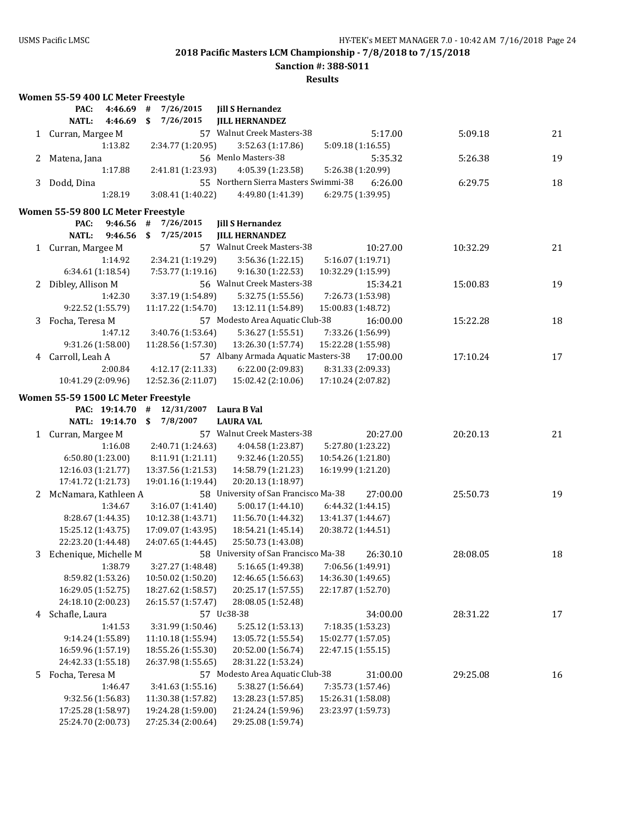**Sanction #: 388-S011**

|   | Women 55-59 400 LC Meter Freestyle       |                                          |                                          |                                         |          |    |
|---|------------------------------------------|------------------------------------------|------------------------------------------|-----------------------------------------|----------|----|
|   | PAC:<br>4:46.69                          | 7/26/2015<br>#                           | <b>Jill S Hernandez</b>                  |                                         |          |    |
|   | NATL:<br>4:46.69                         | \$<br>7/26/2015                          | <b>JILL HERNANDEZ</b>                    |                                         |          |    |
|   | 1 Curran, Margee M                       |                                          | 57 Walnut Creek Masters-38               | 5:17.00                                 | 5:09.18  | 21 |
|   | 1:13.82                                  | 2:34.77 (1:20.95)                        | 3:52.63 (1:17.86)                        | 5:09.18 (1:16.55)                       |          |    |
| 2 | Matena, Jana                             |                                          | 56 Menlo Masters-38                      | 5:35.32                                 | 5:26.38  | 19 |
|   | 1:17.88                                  | 2:41.81 (1:23.93)                        | 4:05.39 (1:23.58)                        | 5:26.38 (1:20.99)                       |          |    |
| 3 | Dodd, Dina                               |                                          | 55 Northern Sierra Masters Swimmi-38     | 6:26.00                                 | 6:29.75  | 18 |
|   | 1:28.19                                  | 3:08.41 (1:40.22)                        | 4:49.80 (1:41.39)                        | 6:29.75 (1:39.95)                       |          |    |
|   | Women 55-59 800 LC Meter Freestyle       |                                          |                                          |                                         |          |    |
|   | 9:46.56<br>PAC:                          | #<br>7/26/2015                           | <b>Jill S Hernandez</b>                  |                                         |          |    |
|   | 9:46.56<br>NATL:                         | 7/25/2015<br>\$                          | <b>JILL HERNANDEZ</b>                    |                                         |          |    |
|   | 1 Curran, Margee M                       |                                          | 57 Walnut Creek Masters-38               | 10:27.00                                | 10:32.29 | 21 |
|   | 1:14.92                                  | 2:34.21 (1:19.29)                        | 3:56.36 (1:22.15)                        | 5:16.07 (1:19.71)                       |          |    |
|   | 6:34.61 (1:18.54)                        | 7:53.77 (1:19.16)                        | 9:16.30 (1:22.53)                        | 10:32.29 (1:15.99)                      |          |    |
| 2 | Dibley, Allison M                        |                                          | 56 Walnut Creek Masters-38               | 15:34.21                                | 15:00.83 | 19 |
|   | 1:42.30                                  | 3:37.19 (1:54.89)                        | 5:32.75 (1:55.56)                        | 7:26.73 (1:53.98)                       |          |    |
|   | 9:22.52 (1:55.79)                        | 11:17.22 (1:54.70)                       | 13:12.11 (1:54.89)                       | 15:00.83 (1:48.72)                      |          |    |
| 3 | Focha, Teresa M                          |                                          | 57 Modesto Area Aquatic Club-38          | 16:00.00                                | 15:22.28 | 18 |
|   | 1:47.12                                  | 3:40.76 (1:53.64)                        | 5:36.27 (1:55.51)                        |                                         |          |    |
|   | 9:31.26 (1:58.00)                        | 11:28.56 (1:57.30)                       | 13:26.30 (1:57.74)                       | 7:33.26 (1:56.99)<br>15:22.28 (1:55.98) |          |    |
|   | Carroll, Leah A                          |                                          | 57 Albany Armada Aquatic Masters-38      | 17:00.00                                |          |    |
| 4 | 2:00.84                                  | 4:12.17 (2:11.33)                        |                                          | 8:31.33 (2:09.33)                       | 17:10.24 | 17 |
|   |                                          | 12:52.36 (2:11.07)                       | 6:22.00 (2:09.83)                        |                                         |          |    |
|   | 10:41.29 (2:09.96)                       |                                          | 15:02.42 (2:10.06)                       | 17:10.24 (2:07.82)                      |          |    |
|   | Women 55-59 1500 LC Meter Freestyle      |                                          |                                          |                                         |          |    |
|   | PAC: 19:14.70                            | 12/31/2007<br>#                          | Laura B Val                              |                                         |          |    |
|   | NATL: 19:14.70                           | \$<br>7/8/2007                           | <b>LAURA VAL</b>                         |                                         |          |    |
| 1 | Curran, Margee M                         |                                          | 57 Walnut Creek Masters-38               | 20:27.00                                | 20:20.13 | 21 |
|   | 1:16.08                                  | 2:40.71 (1:24.63)                        | 4:04.58 (1:23.87)                        | 5:27.80 (1:23.22)                       |          |    |
|   | 6:50.80 (1:23.00)                        | 8:11.91 (1:21.11)                        | 9:32.46 (1:20.55)                        | 10:54.26 (1:21.80)                      |          |    |
|   | 12:16.03 (1:21.77)                       |                                          |                                          |                                         |          |    |
|   |                                          | 13:37.56 (1:21.53)                       | 14:58.79 (1:21.23)                       | 16:19.99 (1:21.20)                      |          |    |
|   | 17:41.72 (1:21.73)                       | 19:01.16 (1:19.44)                       | 20:20.13 (1:18.97)                       |                                         |          |    |
|   | 2 McNamara, Kathleen A                   |                                          | 58 University of San Francisco Ma-38     | 27:00.00                                | 25:50.73 | 19 |
|   | 1:34.67                                  | 3:16.07 (1:41.40)                        | 5:00.17 (1:44.10)                        | 6:44.32 (1:44.15)                       |          |    |
|   | 8:28.67 (1:44.35)                        | 10:12.38 (1:43.71)                       | 11:56.70 (1:44.32)                       | 13:41.37 (1:44.67)                      |          |    |
|   | 15:25.12 (1:43.75)                       | 17:09.07 (1:43.95)                       | 18:54.21 (1:45.14)                       | 20:38.72 (1:44.51)                      |          |    |
|   | 22:23.20 (1:44.48)                       | 24:07.65 (1:44.45)                       | 25:50.73 (1:43.08)                       |                                         |          |    |
| 3 | Echenique, Michelle M                    |                                          | 58 University of San Francisco Ma-38     | 26:30.10                                | 28:08.05 | 18 |
|   | 1:38.79                                  | 3:27.27 (1:48.48)                        | 5:16.65 (1:49.38)                        | 7:06.56 (1:49.91)                       |          |    |
|   | 8:59.82 (1:53.26)                        | 10:50.02 (1:50.20)                       | 12:46.65 (1:56.63)                       | 14:36.30 (1:49.65)                      |          |    |
|   | 16:29.05 (1:52.75)                       | 18:27.62 (1:58.57)                       | 20:25.17 (1:57.55)                       | 22:17.87 (1:52.70)                      |          |    |
|   | 24:18.10 (2:00.23)                       | 26:15.57 (1:57.47)                       | 28:08.05 (1:52.48)                       |                                         |          |    |
|   | 4 Schafle, Laura                         |                                          | 57 Uc38-38                               | 34:00.00                                | 28:31.22 | 17 |
|   | 1:41.53                                  | 3:31.99 (1:50.46)                        | 5:25.12 (1:53.13)                        | 7:18.35 (1:53.23)                       |          |    |
|   | 9:14.24 (1:55.89)                        | 11:10.18 (1:55.94)                       | 13:05.72 (1:55.54)                       | 15:02.77 (1:57.05)                      |          |    |
|   | 16:59.96 (1:57.19)                       | 18:55.26 (1:55.30)                       | 20:52.00 (1:56.74)                       | 22:47.15 (1:55.15)                      |          |    |
|   | 24:42.33 (1:55.18)                       | 26:37.98 (1:55.65)                       | 28:31.22 (1:53.24)                       |                                         |          |    |
| 5 | Focha, Teresa M                          |                                          | 57 Modesto Area Aquatic Club-38          | 31:00.00                                | 29:25.08 | 16 |
|   | 1:46.47                                  | 3:41.63 (1:55.16)                        | 5:38.27 (1:56.64)                        | 7:35.73 (1:57.46)                       |          |    |
|   | 9:32.56 (1:56.83)                        | 11:30.38 (1:57.82)                       | 13:28.23 (1:57.85)                       | 15:26.31 (1:58.08)                      |          |    |
|   | 17:25.28 (1:58.97)<br>25:24.70 (2:00.73) | 19:24.28 (1:59.00)<br>27:25.34 (2:00.64) | 21:24.24 (1:59.96)<br>29:25.08 (1:59.74) | 23:23.97 (1:59.73)                      |          |    |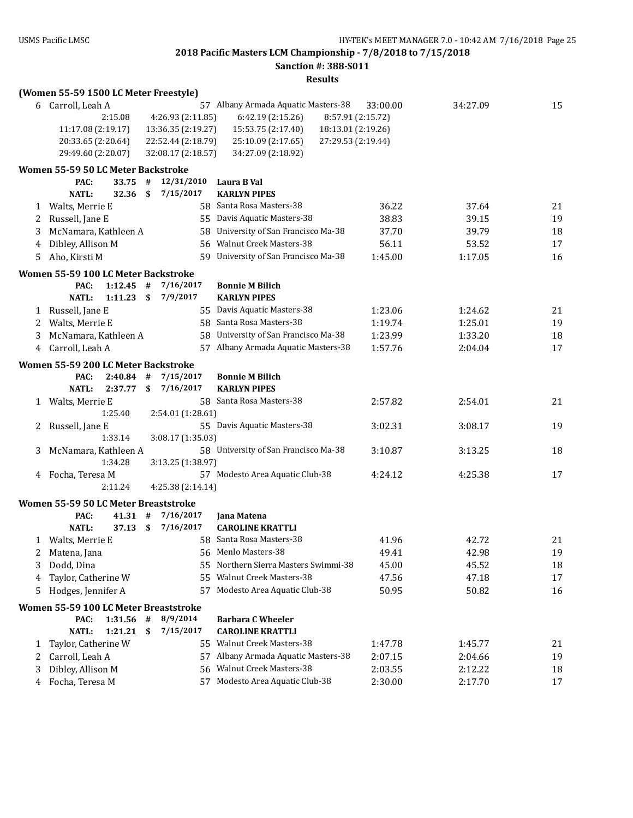**Sanction #: 388-S011**

|   | (Women 55-59 1500 LC Meter Freestyle) |         |    |                    |                                          |          |          |    |
|---|---------------------------------------|---------|----|--------------------|------------------------------------------|----------|----------|----|
|   | 6 Carroll, Leah A                     |         |    |                    | 57 Albany Armada Aquatic Masters-38      | 33:00.00 | 34:27.09 | 15 |
|   |                                       | 2:15.08 |    | 4:26.93 (2:11.85)  | 6:42.19 (2:15.26)<br>8:57.91 (2:15.72)   |          |          |    |
|   | 11:17.08 (2:19.17)                    |         |    | 13:36.35 (2:19.27) | 18:13.01 (2:19.26)<br>15:53.75 (2:17.40) |          |          |    |
|   | 20:33.65 (2:20.64)                    |         |    | 22:52.44 (2:18.79) | 25:10.09 (2:17.65)<br>27:29.53 (2:19.44) |          |          |    |
|   | 29:49.60 (2:20.07)                    |         |    | 32:08.17 (2:18.57) | 34:27.09 (2:18.92)                       |          |          |    |
|   | Women 55-59 50 LC Meter Backstroke    |         |    |                    |                                          |          |          |    |
|   | PAC:                                  | 33.75   | #  | 12/31/2010         | Laura B Val                              |          |          |    |
|   | <b>NATL:</b>                          | 32.36   | \$ | 7/15/2017          | <b>KARLYN PIPES</b>                      |          |          |    |
| 1 | Walts, Merrie E                       |         |    |                    | 58 Santa Rosa Masters-38                 | 36.22    | 37.64    | 21 |
| 2 | Russell, Jane E                       |         |    |                    | 55 Davis Aquatic Masters-38              | 38.83    | 39.15    | 19 |
| 3 | McNamara, Kathleen A                  |         |    |                    | 58 University of San Francisco Ma-38     | 37.70    | 39.79    | 18 |
| 4 | Dibley, Allison M                     |         |    |                    | 56 Walnut Creek Masters-38               | 56.11    | 53.52    | 17 |
| 5 | Aho, Kirsti M                         |         |    | 59                 | University of San Francisco Ma-38        | 1:45.00  | 1:17.05  | 16 |
|   | Women 55-59 100 LC Meter Backstroke   |         |    |                    |                                          |          |          |    |
|   | PAC:                                  | 1:12.45 | #  | 7/16/2017          | <b>Bonnie M Bilich</b>                   |          |          |    |
|   | <b>NATL:</b>                          | 1:11.23 | \$ | 7/9/2017           | <b>KARLYN PIPES</b>                      |          |          |    |
| 1 | Russell, Jane E                       |         |    |                    | 55 Davis Aquatic Masters-38              | 1:23.06  | 1:24.62  | 21 |
| 2 | Walts, Merrie E                       |         |    |                    | 58 Santa Rosa Masters-38                 | 1:19.74  | 1:25.01  | 19 |
| 3 | McNamara, Kathleen A                  |         |    | 58                 | University of San Francisco Ma-38        | 1:23.99  | 1:33.20  | 18 |
| 4 | Carroll, Leah A                       |         |    |                    | 57 Albany Armada Aquatic Masters-38      | 1:57.76  | 2:04.04  | 17 |
|   | Women 55-59 200 LC Meter Backstroke   |         |    |                    |                                          |          |          |    |
|   | PAC:                                  | 2:40.84 | #  | 7/15/2017          | <b>Bonnie M Bilich</b>                   |          |          |    |
|   | <b>NATL:</b>                          | 2:37.77 | \$ | 7/16/2017          | <b>KARLYN PIPES</b>                      |          |          |    |
| 1 | Walts, Merrie E                       |         |    |                    | 58 Santa Rosa Masters-38                 | 2:57.82  | 2:54.01  | 21 |
|   |                                       | 1:25.40 |    | 2:54.01 (1:28.61)  |                                          |          |          |    |
| 2 | Russell, Jane E                       |         |    |                    | 55 Davis Aquatic Masters-38              | 3:02.31  | 3:08.17  | 19 |
|   |                                       | 1:33.14 |    | 3:08.17 (1:35.03)  |                                          |          |          |    |
| 3 | McNamara, Kathleen A                  |         |    |                    | 58 University of San Francisco Ma-38     | 3:10.87  | 3:13.25  | 18 |
|   |                                       | 1:34.28 |    | 3:13.25 (1:38.97)  |                                          |          |          |    |
| 4 | Focha, Teresa M                       |         |    |                    | 57 Modesto Area Aquatic Club-38          | 4:24.12  | 4:25.38  | 17 |
|   |                                       | 2:11.24 |    | 4:25.38 (2:14.14)  |                                          |          |          |    |
|   | Women 55-59 50 LC Meter Breaststroke  |         |    |                    |                                          |          |          |    |
|   | PAC:                                  | 41.31   | #  | 7/16/2017          | <b>Jana Matena</b>                       |          |          |    |
|   | <b>NATL:</b>                          | 37.13   | \$ | 7/16/2017          | <b>CAROLINE KRATTLI</b>                  |          |          |    |
|   | 1 Walts, Merrie E                     |         |    |                    | 58 Santa Rosa Masters-38                 | 41.96    | 42.72    | 21 |
| 2 | Matena, Jana                          |         |    |                    | 56 Menlo Masters-38                      | 49.41    | 42.98    | 19 |
| 3 | Dodd, Dina                            |         |    | 55.                | Northern Sierra Masters Swimmi-38        | 45.00    | 45.52    | 18 |
| 4 | Taylor, Catherine W                   |         |    | 55                 | <b>Walnut Creek Masters-38</b>           | 47.56    | 47.18    | 17 |
| 5 | Hodges, Jennifer A                    |         |    | 57                 | Modesto Area Aquatic Club-38             | 50.95    | 50.82    | 16 |
|   | Women 55-59 100 LC Meter Breaststroke |         |    |                    |                                          |          |          |    |
|   | PAC:                                  | 1:31.56 | #  | 8/9/2014           | <b>Barbara C Wheeler</b>                 |          |          |    |
|   | <b>NATL:</b>                          | 1:21.21 | \$ | 7/15/2017          | <b>CAROLINE KRATTLI</b>                  |          |          |    |
| 1 | Taylor, Catherine W                   |         |    |                    | 55 Walnut Creek Masters-38               | 1:47.78  | 1:45.77  | 21 |
| 2 | Carroll, Leah A                       |         |    |                    | 57 Albany Armada Aquatic Masters-38      | 2:07.15  | 2:04.66  | 19 |
| 3 | Dibley, Allison M                     |         |    | 56                 | Walnut Creek Masters-38                  | 2:03.55  | 2:12.22  | 18 |
| 4 | Focha, Teresa M                       |         |    |                    | 57 Modesto Area Aquatic Club-38          | 2:30.00  | 2:17.70  | 17 |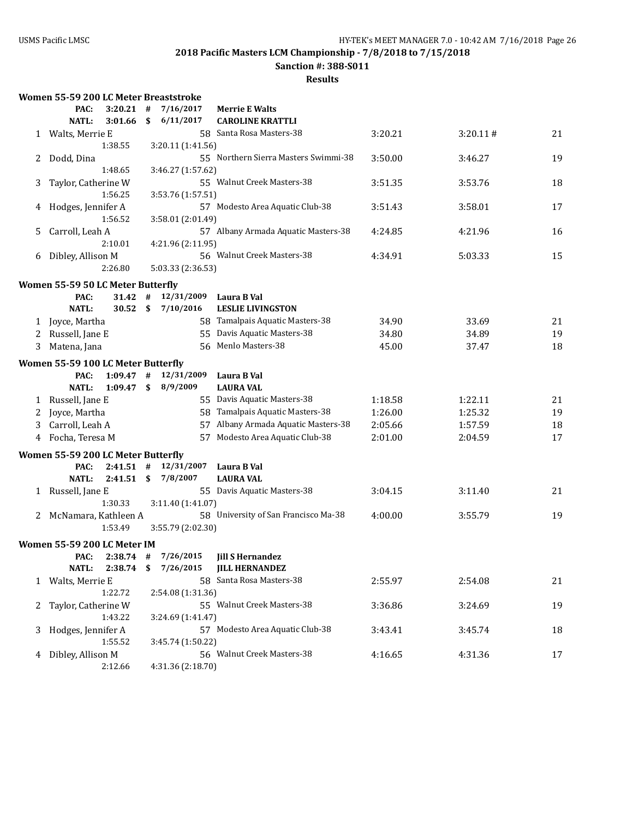**Sanction #: 388-S011**

|  |  |  |  | Women 55-59 200 LC Meter Breaststroke |
|--|--|--|--|---------------------------------------|
|--|--|--|--|---------------------------------------|

|   | PAC:                                       | 3:20.21     | #  | 7/16/2017         | <b>Merrie E Walts</b>                                          |         |          |    |
|---|--------------------------------------------|-------------|----|-------------------|----------------------------------------------------------------|---------|----------|----|
|   | <b>NATL:</b>                               | 3:01.66     | \$ | 6/11/2017         | <b>CAROLINE KRATTLI</b>                                        |         |          |    |
| 1 | Walts, Merrie E                            |             |    |                   | 58 Santa Rosa Masters-38                                       | 3:20.21 | 3:20.11# | 21 |
|   |                                            | 1:38.55     |    | 3:20.11 (1:41.56) |                                                                |         |          |    |
| 2 | Dodd, Dina                                 |             |    |                   | 55 Northern Sierra Masters Swimmi-38                           | 3:50.00 | 3:46.27  | 19 |
|   |                                            | 1:48.65     |    | 3:46.27 (1:57.62) |                                                                |         |          |    |
| 3 | Taylor, Catherine W                        |             |    |                   | 55 Walnut Creek Masters-38                                     | 3:51.35 | 3:53.76  | 18 |
|   |                                            | 1:56.25     |    | 3:53.76 (1:57.51) |                                                                |         |          |    |
| 4 | Hodges, Jennifer A                         |             |    |                   | 57 Modesto Area Aquatic Club-38                                | 3:51.43 | 3:58.01  | 17 |
|   |                                            | 1:56.52     |    | 3:58.01 (2:01.49) |                                                                |         |          |    |
| 5 | Carroll, Leah A                            |             |    |                   | 57 Albany Armada Aquatic Masters-38                            | 4:24.85 | 4:21.96  | 16 |
|   |                                            | 2:10.01     |    | 4:21.96 (2:11.95) |                                                                |         |          |    |
| 6 | Dibley, Allison M                          |             |    |                   | 56 Walnut Creek Masters-38                                     | 4:34.91 | 5:03.33  | 15 |
|   |                                            | 2:26.80     |    | 5:03.33 (2:36.53) |                                                                |         |          |    |
|   | Women 55-59 50 LC Meter Butterfly          |             |    |                   |                                                                |         |          |    |
|   | PAC:                                       | 31.42       | #  | 12/31/2009        | Laura B Val                                                    |         |          |    |
|   | <b>NATL:</b>                               | 30.52       | \$ | 7/10/2016         | <b>LESLIE LIVINGSTON</b>                                       |         |          |    |
| 1 | Joyce, Martha                              |             |    |                   | 58 Tamalpais Aquatic Masters-38                                | 34.90   | 33.69    | 21 |
| 2 | Russell, Jane E                            |             |    |                   | 55 Davis Aquatic Masters-38                                    | 34.80   | 34.89    | 19 |
| 3 | Matena, Jana                               |             |    |                   | 56 Menlo Masters-38                                            | 45.00   | 37.47    | 18 |
|   | Women 55-59 100 LC Meter Butterfly         |             |    |                   |                                                                |         |          |    |
|   | PAC:                                       | $1:09.47$ # |    | 12/31/2009        | Laura B Val                                                    |         |          |    |
|   | <b>NATL:</b>                               | 1:09.47     | \$ | 8/9/2009          | <b>LAURA VAL</b>                                               |         |          |    |
| 1 | Russell, Jane E                            |             |    |                   | 55 Davis Aquatic Masters-38                                    | 1:18.58 | 1:22.11  | 21 |
| 2 | Joyce, Martha                              |             |    |                   | 58 Tamalpais Aquatic Masters-38                                | 1:26.00 | 1:25.32  | 19 |
| 3 | Carroll, Leah A                            |             |    |                   | 57 Albany Armada Aquatic Masters-38                            | 2:05.66 | 1:57.59  | 18 |
| 4 | Focha, Teresa M                            |             |    | 57                | Modesto Area Aquatic Club-38                                   | 2:01.00 | 2:04.59  | 17 |
|   |                                            |             |    |                   |                                                                |         |          |    |
|   | Women 55-59 200 LC Meter Butterfly<br>PAC: | $2:41.51$ # |    | 12/31/2007        |                                                                |         |          |    |
|   | <b>NATL:</b>                               | 2:41.51     | \$ | 7/8/2007          | Laura B Val<br><b>LAURA VAL</b>                                |         |          |    |
|   | 1 Russell, Jane E                          |             |    |                   | 55 Davis Aquatic Masters-38                                    | 3:04.15 | 3:11.40  | 21 |
|   |                                            | 1:30.33     |    | 3:11.40 (1:41.07) |                                                                |         |          |    |
| 2 | McNamara, Kathleen A                       |             |    |                   | 58 University of San Francisco Ma-38                           | 4:00.00 | 3:55.79  | 19 |
|   |                                            | 1:53.49     |    | 3:55.79 (2:02.30) |                                                                |         |          |    |
|   |                                            |             |    |                   |                                                                |         |          |    |
|   | Women 55-59 200 LC Meter IM                |             |    | 7/26/2015         |                                                                |         |          |    |
|   | PAC:<br><b>NATL:</b>                       | $2:38.74$ # |    |                   | <b>Jill S Hernandez</b><br>2:38.74 \$ 7/26/2015 JILL HERNANDEZ |         |          |    |
|   |                                            |             |    |                   | 58 Santa Rosa Masters-38                                       | 2:55.97 | 2:54.08  | 21 |
|   | 1 Walts, Merrie E                          | 1:22.72     |    | 2:54.08 (1:31.36) |                                                                |         |          |    |
| 2 | Taylor, Catherine W                        |             |    |                   | 55 Walnut Creek Masters-38                                     | 3:36.86 | 3:24.69  | 19 |
|   |                                            | 1:43.22     |    | 3:24.69 (1:41.47) |                                                                |         |          |    |
| 3 | Hodges, Jennifer A                         |             |    |                   | 57 Modesto Area Aquatic Club-38                                | 3:43.41 | 3:45.74  | 18 |
|   |                                            | 1:55.52     |    | 3:45.74 (1:50.22) |                                                                |         |          |    |
| 4 | Dibley, Allison M                          |             |    |                   | 56 Walnut Creek Masters-38                                     | 4:16.65 | 4:31.36  | 17 |
|   |                                            | 2:12.66     |    | 4:31.36 (2:18.70) |                                                                |         |          |    |
|   |                                            |             |    |                   |                                                                |         |          |    |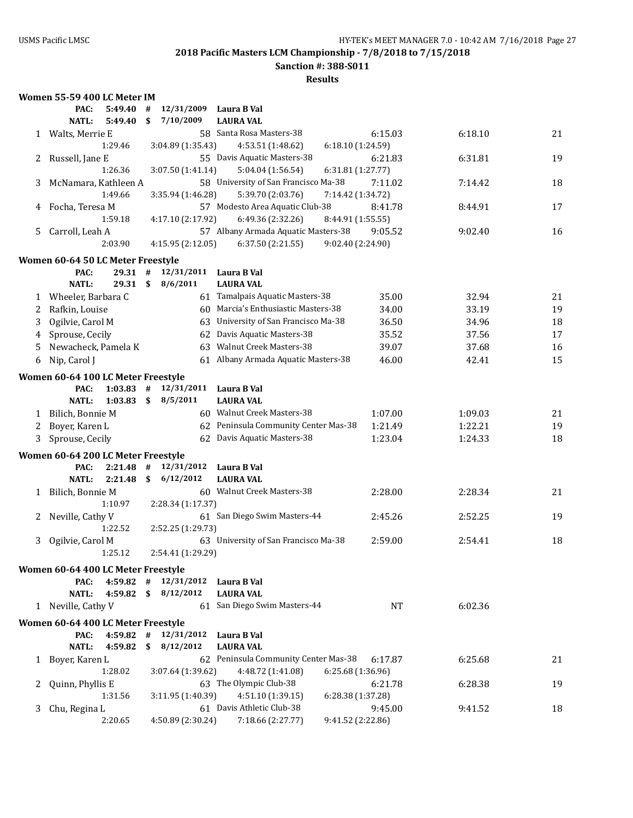**Sanction #: 388-S011**

|    | Women 55-59 400 LC Meter IM                |           |      |                          |                                                                     |         |         |    |
|----|--------------------------------------------|-----------|------|--------------------------|---------------------------------------------------------------------|---------|---------|----|
|    | PAC:                                       | 5:49.40   | #    | 12/31/2009               | Laura B Val                                                         |         |         |    |
|    | <b>NATL:</b>                               | 5:49.40   | \$   | 7/10/2009                | <b>LAURA VAL</b>                                                    |         |         |    |
|    | 1 Walts, Merrie E                          |           |      |                          | 58 Santa Rosa Masters-38                                            | 6:15.03 | 6:18.10 | 21 |
|    |                                            | 1:29.46   |      | 3:04.89 (1:35.43)        | 4:53.51 (1:48.62)<br>6:18.10 (1:24.59)                              |         |         |    |
| 2  | Russell, Jane E                            |           |      |                          | 55 Davis Aquatic Masters-38                                         | 6:21.83 | 6:31.81 | 19 |
|    |                                            | 1:26.36   |      | 3:07.50 (1:41.14)        | 5:04.04 (1:56.54)<br>6:31.81 (1:27.77)                              |         |         |    |
| 3  | McNamara, Kathleen A                       |           |      |                          | 58 University of San Francisco Ma-38                                | 7:11.02 | 7:14.42 | 18 |
|    |                                            | 1:49.66   |      | 3:35.94 (1:46.28)        | 5:39.70 (2:03.76)<br>7:14.42 (1:34.72)                              |         |         |    |
| 4  | Focha, Teresa M                            |           |      |                          | 57 Modesto Area Aquatic Club-38                                     | 8:41.78 | 8:44.91 | 17 |
|    |                                            | 1:59.18   |      | 4:17.10 (2:17.92)        | 6:49.36 (2:32.26)<br>8:44.91 (1:55.55)                              |         |         |    |
| 5. | Carroll, Leah A                            |           |      |                          | 57 Albany Armada Aquatic Masters-38                                 | 9:05.52 | 9:02.40 | 16 |
|    |                                            | 2:03.90   |      | 4:15.95 (2:12.05)        | 9:02.40 (2:24.90)<br>6:37.50(2:21.55)                               |         |         |    |
|    |                                            |           |      |                          |                                                                     |         |         |    |
|    | Women 60-64 50 LC Meter Freestyle<br>PAC:  | $29.31$ # |      | 12/31/2011               |                                                                     |         |         |    |
|    |                                            | 29.31 S   |      | 8/6/2011                 | Laura B Val<br><b>LAURA VAL</b>                                     |         |         |    |
|    | NATL:                                      |           |      |                          |                                                                     |         |         |    |
|    | 1 Wheeler, Barbara C                       |           |      |                          | 61 Tamalpais Aquatic Masters-38                                     | 35.00   | 32.94   | 21 |
| 2  | Rafkin, Louise                             |           |      |                          | 60 Marcia's Enthusiastic Masters-38                                 | 34.00   | 33.19   | 19 |
| 3  | Ogilvie, Carol M                           |           |      |                          | 63 University of San Francisco Ma-38                                | 36.50   | 34.96   | 18 |
| 4  | Sprouse, Cecily                            |           |      |                          | 62 Davis Aquatic Masters-38                                         | 35.52   | 37.56   | 17 |
| 5  | Newacheck, Pamela K                        |           |      |                          | 63 Walnut Creek Masters-38                                          | 39.07   | 37.68   | 16 |
| 6  | Nip, Carol J                               |           |      |                          | 61 Albany Armada Aquatic Masters-38                                 | 46.00   | 42.41   | 15 |
|    | Women 60-64 100 LC Meter Freestyle         |           |      |                          |                                                                     |         |         |    |
|    | PAC:                                       | 1:03.83   | $\#$ | 12/31/2011               | Laura B Val                                                         |         |         |    |
|    | <b>NATL:</b>                               | 1:03.83   | \$   | 8/5/2011                 | <b>LAURA VAL</b>                                                    |         |         |    |
| 1  | Bilich, Bonnie M                           |           |      |                          | 60 Walnut Creek Masters-38                                          | 1:07.00 | 1:09.03 | 21 |
| 2  | Boyer, Karen L                             |           |      |                          | 62 Peninsula Community Center Mas-38                                | 1:21.49 | 1:22.21 | 19 |
| 3  | Sprouse, Cecily                            |           |      |                          | 62 Davis Aquatic Masters-38                                         | 1:23.04 | 1:24.33 | 18 |
|    |                                            |           |      |                          |                                                                     |         |         |    |
|    | Women 60-64 200 LC Meter Freestyle         |           |      |                          |                                                                     |         |         |    |
|    | PAC:                                       | 2:21.48   | #    | 12/31/2012               | Laura B Val                                                         |         |         |    |
|    | <b>NATL:</b>                               | 2:21.48   | - \$ | 6/12/2012                | <b>LAURA VAL</b>                                                    |         |         |    |
| 1  | Bilich, Bonnie M                           |           |      |                          | 60 Walnut Creek Masters-38                                          | 2:28.00 | 2:28.34 | 21 |
|    |                                            | 1:10.97   |      | 2:28.34 (1:17.37)        |                                                                     |         |         |    |
| 2  | Neville, Cathy V                           |           |      |                          | 61 San Diego Swim Masters-44                                        | 2:45.26 | 2:52.25 | 19 |
|    |                                            | 1:22.52   |      | 2:52.25 (1:29.73)        |                                                                     |         |         |    |
| 3  | Ogilvie, Carol M                           |           |      |                          | 63 University of San Francisco Ma-38                                | 2:59.00 | 2:54.41 | 18 |
|    |                                            | 1:25.12   |      | 2:54.41 (1:29.29)        |                                                                     |         |         |    |
|    | Women 60-64 400 LC Meter Freestyle         |           |      |                          |                                                                     |         |         |    |
|    | PAC:                                       |           |      | $4:59.82$ # $12/31/2012$ | Laura B Val                                                         |         |         |    |
|    | <b>NATL:</b>                               |           |      | 4:59.82 \$ 8/12/2012     | <b>LAURA VAL</b>                                                    |         |         |    |
|    | 1 Neville, Cathy V                         |           |      |                          | 61 San Diego Swim Masters-44                                        | NT      | 6:02.36 |    |
|    |                                            |           |      |                          |                                                                     |         |         |    |
|    | Women 60-64 400 LC Meter Freestyle<br>PAC: |           |      | $4:59.82$ # $12/31/2012$ | Laura B Val                                                         |         |         |    |
|    | <b>NATL:</b>                               | 4:59.82   |      | \$8/12/2012              | <b>LAURA VAL</b>                                                    |         |         |    |
|    |                                            |           |      |                          | 62 Peninsula Community Center Mas-38                                |         |         |    |
|    | 1 Boyer, Karen L                           | 1:28.02   |      |                          | 4:48.72 (1:41.08)                                                   | 6:17.87 | 6:25.68 | 21 |
|    |                                            |           |      | 3:07.64 (1:39.62)        | 6:25.68 (1:36.96)<br>63 The Olympic Club-38                         |         |         |    |
| 2  | Quinn, Phyllis E                           | 1:31.56   |      |                          |                                                                     | 6:21.78 | 6:28.38 | 19 |
|    |                                            |           |      | 3:11.95 (1:40.39)        | 4:51.10 (1:39.15)<br>6:28.38 (1:37.28)<br>61 Davis Athletic Club-38 | 9:45.00 |         |    |
| 3  | Chu, Regina L                              | 2:20.65   |      | 4:50.89 (2:30.24)        | 7:18.66 (2:27.77)<br>9:41.52 (2:22.86)                              |         | 9:41.52 | 18 |
|    |                                            |           |      |                          |                                                                     |         |         |    |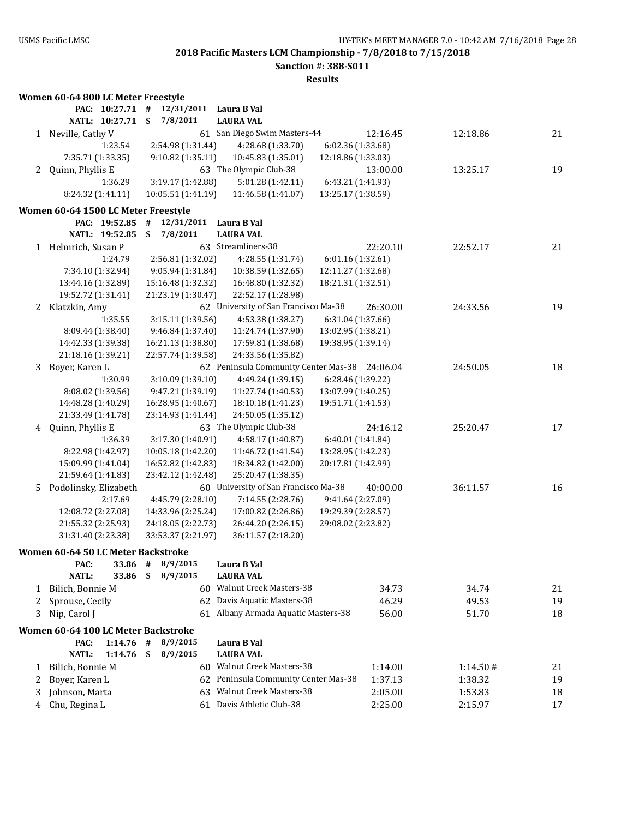**Sanction #: 388-S011**

|              | Women 60-64 800 LC Meter Freestyle            |                                         |                                                           |                               |          |    |
|--------------|-----------------------------------------------|-----------------------------------------|-----------------------------------------------------------|-------------------------------|----------|----|
|              | PAC: 10:27.71 #                               | 12/31/2011                              | Laura B Val                                               |                               |          |    |
|              | NATL: 10:27.71                                | 7/8/2011<br>\$                          | <b>LAURA VAL</b>                                          |                               |          |    |
| 1            | Neville, Cathy V                              |                                         | 61 San Diego Swim Masters-44                              | 12:16.45                      | 12:18.86 | 21 |
|              | 1:23.54                                       | 2:54.98 (1:31.44)                       | 4:28.68 (1:33.70)                                         | 6:02.36 (1:33.68)             |          |    |
|              | 7:35.71 (1:33.35)                             | 9:10.82 (1:35.11)                       | 10:45.83 (1:35.01)                                        | 12:18.86 (1:33.03)            |          |    |
| 2            | Quinn, Phyllis E                              |                                         | 63 The Olympic Club-38                                    | 13:00.00                      | 13:25.17 | 19 |
|              | 1:36.29                                       | 3:19.17 (1:42.88)                       | 5:01.28 (1:42.11)                                         | 6:43.21 (1:41.93)             |          |    |
|              | 8:24.32 (1:41.11)                             | 10:05.51 (1:41.19)                      | 11:46.58 (1:41.07)                                        | 13:25.17 (1:38.59)            |          |    |
|              | Women 60-64 1500 LC Meter Freestyle           |                                         |                                                           |                               |          |    |
|              | PAC: 19:52.85                                 | #<br>12/31/2011                         | Laura B Val                                               |                               |          |    |
|              | NATL: 19:52.85                                | 7/8/2011<br>\$                          | <b>LAURA VAL</b>                                          |                               |          |    |
| 1            | Helmrich, Susan P                             |                                         | 63 Streamliners-38                                        | 22:20.10                      | 22:52.17 | 21 |
|              | 1:24.79                                       | 2:56.81 (1:32.02)                       | 4:28.55 (1:31.74)                                         | 6:01.16 (1:32.61)             |          |    |
|              | 7:34.10 (1:32.94)                             | 9:05.94 (1:31.84)                       | 10:38.59 (1:32.65)                                        | 12:11.27 (1:32.68)            |          |    |
|              | 13:44.16 (1:32.89)                            | 15:16.48 (1:32.32)                      | 16:48.80 (1:32.32)                                        | 18:21.31 (1:32.51)            |          |    |
|              | 19:52.72 (1:31.41)                            | 21:23.19 (1:30.47)                      | 22:52.17 (1:28.98)                                        |                               |          |    |
| 2            | Klatzkin, Amy                                 |                                         | 62 University of San Francisco Ma-38                      | 26:30.00                      | 24:33.56 | 19 |
|              | 1:35.55                                       | 3:15.11 (1:39.56)                       | 4:53.38 (1:38.27)                                         | 6:31.04 (1:37.66)             |          |    |
|              | 8:09.44 (1:38.40)                             | 9:46.84 (1:37.40)                       | 11:24.74 (1:37.90)                                        | 13:02.95 (1:38.21)            |          |    |
|              | 14:42.33 (1:39.38)                            | 16:21.13 (1:38.80)                      | 17:59.81 (1:38.68)                                        | 19:38.95 (1:39.14)            |          |    |
|              | 21:18.16 (1:39.21)                            | 22:57.74 (1:39.58)                      | 24:33.56 (1:35.82)                                        |                               |          |    |
| 3            | Boyer, Karen L                                |                                         | 62 Peninsula Community Center Mas-38 24:06.04             |                               | 24:50.05 | 18 |
|              | 1:30.99                                       | 3:10.09 (1:39.10)                       | 4:49.24 (1:39.15)                                         | 6:28.46 (1:39.22)             |          |    |
|              | 8:08.02 (1:39.56)                             | 9:47.21 (1:39.19)                       | 11:27.74 (1:40.53)                                        | 13:07.99 (1:40.25)            |          |    |
|              | 14:48.28 (1:40.29)                            | 16:28.95 (1:40.67)                      | 18:10.18 (1:41.23)                                        | 19:51.71 (1:41.53)            |          |    |
|              | 21:33.49 (1:41.78)                            | 23:14.93 (1:41.44)                      | 24:50.05 (1:35.12)                                        |                               |          |    |
| 4            | Quinn, Phyllis E                              |                                         | 63 The Olympic Club-38                                    | 24:16.12                      | 25:20.47 | 17 |
|              | 1:36.39                                       | 3:17.30 (1:40.91)                       | 4:58.17 (1:40.87)                                         | 6:40.01 (1:41.84)             |          |    |
|              | 8:22.98 (1:42.97)                             | 10:05.18 (1:42.20)                      | 11:46.72 (1:41.54)                                        | 13:28.95 (1:42.23)            |          |    |
|              | 15:09.99 (1:41.04)                            | 16:52.82 (1:42.83)                      | 18:34.82 (1:42.00)                                        | 20:17.81 (1:42.99)            |          |    |
|              | 21:59.64 (1:41.83)                            | 23:42.12 (1:42.48)                      | 25:20.47 (1:38.35)                                        |                               |          |    |
| 5            | Podolinsky, Elizabeth<br>2:17.69              |                                         | 60 University of San Francisco Ma-38<br>7:14.55 (2:28.76) | 40:00.00<br>9:41.64 (2:27.09) | 36:11.57 | 16 |
|              | 12:08.72 (2:27.08)                            | 4:45.79 (2:28.10)<br>14:33.96 (2:25.24) | 17:00.82 (2:26.86)                                        | 19:29.39 (2:28.57)            |          |    |
|              | 21:55.32 (2:25.93)                            | 24:18.05 (2:22.73)                      | 26:44.20 (2:26.15)                                        | 29:08.02 (2:23.82)            |          |    |
|              | 31:31.40 (2:23.38)                            | 33:53.37 (2:21.97)                      | 36:11.57 (2:18.20)                                        |                               |          |    |
|              |                                               |                                         |                                                           |                               |          |    |
|              | Women 60-64 50 LC Meter Backstroke<br>33.86 # |                                         | Laura B Val                                               |                               |          |    |
|              | PAC:<br><b>NATL:</b><br>33.86                 | 8/9/2015<br>\$<br>8/9/2015              | <b>LAURA VAL</b>                                          |                               |          |    |
| 1            | Bilich, Bonnie M                              |                                         | 60 Walnut Creek Masters-38                                | 34.73                         | 34.74    | 21 |
|              | Sprouse, Cecily                               |                                         | 62 Davis Aquatic Masters-38                               | 46.29                         | 49.53    | 19 |
| 2<br>3       | Nip, Carol J                                  |                                         | 61 Albany Armada Aquatic Masters-38                       | 56.00                         | 51.70    | 18 |
|              |                                               |                                         |                                                           |                               |          |    |
|              | Women 60-64 100 LC Meter Backstroke           |                                         |                                                           |                               |          |    |
|              | 1:14.76<br>PAC:                               | 8/9/2015<br>#                           | Laura B Val                                               |                               |          |    |
|              | <b>NATL:</b><br>1:14.76                       | \$<br>8/9/2015                          | <b>LAURA VAL</b>                                          |                               |          |    |
| $\mathbf{1}$ | Bilich, Bonnie M                              |                                         | 60 Walnut Creek Masters-38                                | 1:14.00                       | 1:14.50# | 21 |
| 2            | Boyer, Karen L                                |                                         | 62 Peninsula Community Center Mas-38                      | 1:37.13                       | 1:38.32  | 19 |
| 3            | Johnson, Marta                                |                                         | 63 Walnut Creek Masters-38                                | 2:05.00                       | 1:53.83  | 18 |
| 4            | Chu, Regina L                                 |                                         | 61 Davis Athletic Club-38                                 | 2:25.00                       | 2:15.97  | 17 |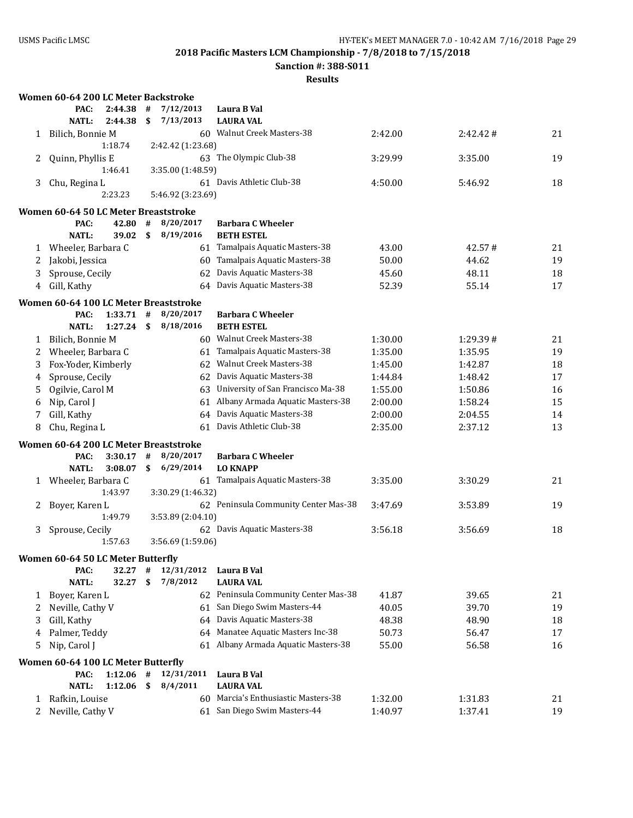**Sanction #: 388-S011**

|             | Women 60-64 200 LC Meter Backstroke   |             |              |                   |    |                                      |         |          |    |
|-------------|---------------------------------------|-------------|--------------|-------------------|----|--------------------------------------|---------|----------|----|
|             | PAC:                                  | 2:44.38     | #            | 7/12/2013         |    | Laura B Val                          |         |          |    |
|             | <b>NATL:</b>                          | 2:44.38     | \$           | 7/13/2013         |    | <b>LAURA VAL</b>                     |         |          |    |
| 1           | Bilich, Bonnie M                      |             |              |                   |    | 60 Walnut Creek Masters-38           | 2:42.00 | 2:42.42# | 21 |
|             |                                       | 1:18.74     |              | 2:42.42 (1:23.68) |    |                                      |         |          |    |
| 2           | Quinn, Phyllis E                      |             |              |                   |    | 63 The Olympic Club-38               | 3:29.99 | 3:35.00  | 19 |
|             |                                       | 1:46.41     |              | 3:35.00 (1:48.59) |    |                                      |         |          |    |
| 3           | Chu, Regina L                         |             |              |                   |    | 61 Davis Athletic Club-38            | 4:50.00 | 5:46.92  | 18 |
|             |                                       | 2:23.23     |              | 5:46.92 (3:23.69) |    |                                      |         |          |    |
|             | Women 60-64 50 LC Meter Breaststroke  |             |              |                   |    |                                      |         |          |    |
|             | PAC:                                  | 42.80       | #            | 8/20/2017         |    | <b>Barbara C Wheeler</b>             |         |          |    |
|             | <b>NATL:</b>                          | 39.02       | $\mathbf{s}$ | 8/19/2016         |    | <b>BETH ESTEL</b>                    |         |          |    |
|             | 1 Wheeler, Barbara C                  |             |              |                   |    | 61 Tamalpais Aquatic Masters-38      | 43.00   | 42.57#   | 21 |
| 2           | Jakobi, Jessica                       |             |              |                   |    | 60 Tamalpais Aquatic Masters-38      | 50.00   | 44.62    | 19 |
| 3           | Sprouse, Cecily                       |             |              |                   |    | 62 Davis Aquatic Masters-38          | 45.60   | 48.11    | 18 |
| 4           | Gill, Kathy                           |             |              |                   |    | 64 Davis Aquatic Masters-38          | 52.39   | 55.14    | 17 |
|             | Women 60-64 100 LC Meter Breaststroke |             |              |                   |    |                                      |         |          |    |
|             | PAC:                                  | $1:33.71$ # |              | 8/20/2017         |    | <b>Barbara C Wheeler</b>             |         |          |    |
|             | <b>NATL:</b>                          | 1:27.24     | \$           | 8/18/2016         |    | <b>BETH ESTEL</b>                    |         |          |    |
| 1           | Bilich, Bonnie M                      |             |              |                   |    | 60 Walnut Creek Masters-38           | 1:30.00 | 1:29.39# | 21 |
| 2           | Wheeler, Barbara C                    |             |              |                   |    | 61 Tamalpais Aquatic Masters-38      | 1:35.00 | 1:35.95  | 19 |
| 3           | Fox-Yoder, Kimberly                   |             |              |                   |    | 62 Walnut Creek Masters-38           | 1:45.00 | 1:42.87  | 18 |
| 4           | Sprouse, Cecily                       |             |              |                   |    | 62 Davis Aquatic Masters-38          | 1:44.84 | 1:48.42  | 17 |
| 5           | Ogilvie, Carol M                      |             |              |                   |    | 63 University of San Francisco Ma-38 | 1:55.00 | 1:50.86  | 16 |
| 6           | Nip, Carol J                          |             |              |                   | 61 | Albany Armada Aquatic Masters-38     | 2:00.00 | 1:58.24  | 15 |
| 7           | Gill, Kathy                           |             |              |                   |    | 64 Davis Aquatic Masters-38          | 2:00.00 | 2:04.55  | 14 |
| 8           | Chu, Regina L                         |             |              |                   |    | 61 Davis Athletic Club-38            | 2:35.00 | 2:37.12  | 13 |
|             | Women 60-64 200 LC Meter Breaststroke |             |              |                   |    |                                      |         |          |    |
|             | PAC:                                  | 3:30.17     | #            | 8/20/2017         |    | <b>Barbara C Wheeler</b>             |         |          |    |
|             | <b>NATL:</b>                          | 3:08.07     | \$           | 6/29/2014         |    | <b>LO KNAPP</b>                      |         |          |    |
| 1           | Wheeler, Barbara C                    |             |              |                   |    | 61 Tamalpais Aquatic Masters-38      | 3:35.00 | 3:30.29  | 21 |
|             |                                       | 1:43.97     |              | 3:30.29 (1:46.32) |    |                                      |         |          |    |
| 2           | Boyer, Karen L                        |             |              |                   |    | 62 Peninsula Community Center Mas-38 | 3:47.69 | 3:53.89  | 19 |
|             |                                       | 1:49.79     |              | 3:53.89 (2:04.10) |    |                                      |         |          |    |
| 3           | Sprouse, Cecily                       |             |              |                   |    | 62 Davis Aquatic Masters-38          | 3:56.18 | 3:56.69  | 18 |
|             |                                       | 1:57.63     |              | 3:56.69 (1:59.06) |    |                                      |         |          |    |
|             | Women 60-64 50 LC Meter Butterfly     |             |              |                   |    |                                      |         |          |    |
|             | PAC:                                  | 32.27       | #            | 12/31/2012        |    | Laura B Val                          |         |          |    |
|             | <b>NATL:</b>                          | 32.27       | \$           | 7/8/2012          |    | <b>LAURA VAL</b>                     |         |          |    |
| 1           | Boyer, Karen L                        |             |              |                   |    | 62 Peninsula Community Center Mas-38 | 41.87   | 39.65    | 21 |
| 2           | Neville, Cathy V                      |             |              |                   |    | 61 San Diego Swim Masters-44         | 40.05   | 39.70    | 19 |
| 3           | Gill, Kathy                           |             |              |                   |    | 64 Davis Aquatic Masters-38          | 48.38   | 48.90    | 18 |
| 4           | Palmer, Teddy                         |             |              |                   |    | 64 Manatee Aquatic Masters Inc-38    | 50.73   | 56.47    | 17 |
| 5           | Nip, Carol J                          |             |              |                   |    | 61 Albany Armada Aquatic Masters-38  | 55.00   | 56.58    | 16 |
|             | Women 60-64 100 LC Meter Butterfly    |             |              |                   |    |                                      |         |          |    |
|             | PAC:                                  | 1:12.06     | #            | 12/31/2011        |    | Laura B Val                          |         |          |    |
|             | <b>NATL:</b>                          | 1:12.06     | \$           | 8/4/2011          |    | <b>LAURA VAL</b>                     |         |          |    |
| 1           | Rafkin, Louise                        |             |              |                   |    | 60 Marcia's Enthusiastic Masters-38  | 1:32.00 | 1:31.83  | 21 |
| $2^{\circ}$ | Neville, Cathy V                      |             |              |                   |    | 61 San Diego Swim Masters-44         | 1:40.97 | 1:37.41  | 19 |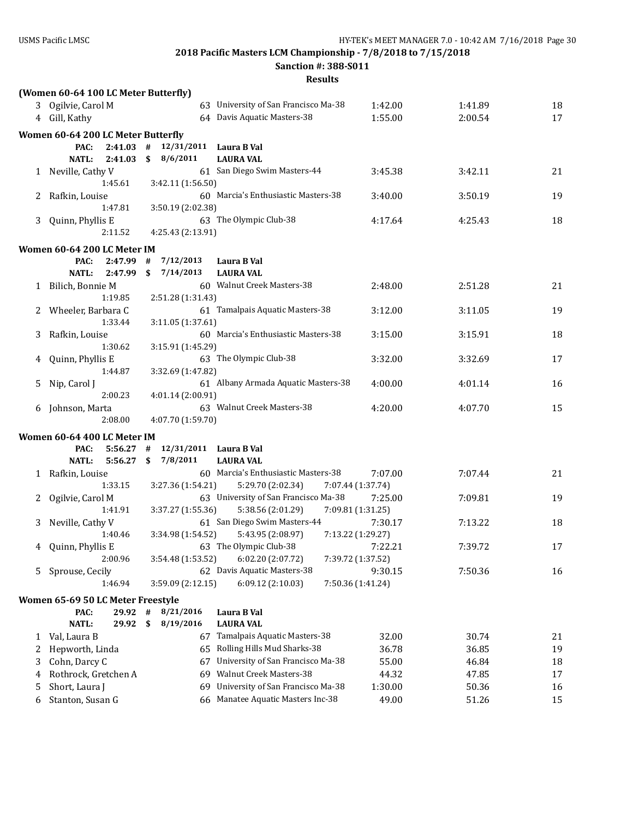**Sanction #: 388-S011**

|   | (Women 60-64 100 LC Meter Butterfly) |                   |                                                         |         |         |    |
|---|--------------------------------------|-------------------|---------------------------------------------------------|---------|---------|----|
|   | 3 Ogilvie, Carol M                   |                   | 63 University of San Francisco Ma-38                    | 1:42.00 | 1:41.89 | 18 |
|   | 4 Gill, Kathy                        |                   | 64 Davis Aquatic Masters-38                             | 1:55.00 | 2:00.54 | 17 |
|   | Women 60-64 200 LC Meter Butterfly   |                   |                                                         |         |         |    |
|   | PAC:<br>2:41.03                      | 12/31/2011<br>#   | Laura B Val                                             |         |         |    |
|   | <b>NATL:</b><br>2:41.03              | 8/6/2011<br>\$    | <b>LAURA VAL</b>                                        |         |         |    |
|   | 1 Neville, Cathy V                   |                   | 61 San Diego Swim Masters-44                            | 3:45.38 | 3:42.11 | 21 |
|   | 1:45.61                              | 3:42.11 (1:56.50) |                                                         |         |         |    |
| 2 | Rafkin, Louise                       |                   | 60 Marcia's Enthusiastic Masters-38                     | 3:40.00 | 3:50.19 | 19 |
|   | 1:47.81                              | 3:50.19 (2:02.38) |                                                         |         |         |    |
| 3 | Quinn, Phyllis E                     |                   | 63 The Olympic Club-38                                  | 4:17.64 | 4:25.43 | 18 |
|   | 2:11.52                              | 4:25.43 (2:13.91) |                                                         |         |         |    |
|   | Women 60-64 200 LC Meter IM          |                   |                                                         |         |         |    |
|   | PAC:<br>2:47.99                      | 7/12/2013<br>#    | Laura B Val                                             |         |         |    |
|   | 2:47.99<br><b>NATL:</b>              | \$<br>7/14/2013   | <b>LAURA VAL</b>                                        |         |         |    |
|   | 1 Bilich, Bonnie M                   |                   | 60 Walnut Creek Masters-38                              | 2:48.00 | 2:51.28 | 21 |
|   | 1:19.85                              | 2:51.28 (1:31.43) |                                                         |         |         |    |
|   | Wheeler, Barbara C                   |                   | 61 Tamalpais Aquatic Masters-38                         | 3:12.00 | 3:11.05 | 19 |
|   | 1:33.44                              | 3:11.05 (1:37.61) |                                                         |         |         |    |
| 3 | Rafkin, Louise                       |                   | 60 Marcia's Enthusiastic Masters-38                     | 3:15.00 | 3:15.91 | 18 |
|   | 1:30.62                              | 3:15.91 (1:45.29) |                                                         |         |         |    |
| 4 | Quinn, Phyllis E                     |                   | 63 The Olympic Club-38                                  | 3:32.00 | 3:32.69 | 17 |
|   | 1:44.87                              | 3:32.69 (1:47.82) |                                                         |         |         |    |
| 5 | Nip, Carol J                         |                   | 61 Albany Armada Aquatic Masters-38                     | 4:00.00 | 4:01.14 | 16 |
|   | 2:00.23                              | 4:01.14 (2:00.91) | 63 Walnut Creek Masters-38                              | 4:20.00 | 4:07.70 | 15 |
| 6 | Johnson, Marta<br>2:08.00            | 4:07.70 (1:59.70) |                                                         |         |         |    |
|   |                                      |                   |                                                         |         |         |    |
|   | Women 60-64 400 LC Meter IM          |                   |                                                         |         |         |    |
|   | 5:56.27<br>PAC:<br><b>NATL:</b>      | #                 | 12/31/2011 Laura B Val                                  |         |         |    |
|   | 5:56.27<br>1 Rafkin, Louise          | \$<br>7/8/2011    | <b>LAURA VAL</b><br>60 Marcia's Enthusiastic Masters-38 | 7:07.00 | 7:07.44 | 21 |
|   | 1:33.15                              | 3:27.36 (1:54.21) | 5:29.70 (2:02.34)<br>7:07.44 (1:37.74)                  |         |         |    |
| 2 | Ogilvie, Carol M                     |                   | 63 University of San Francisco Ma-38                    | 7:25.00 | 7:09.81 | 19 |
|   | 1:41.91                              | 3:37.27 (1:55.36) | 5:38.56 (2:01.29)<br>7:09.81 (1:31.25)                  |         |         |    |
| 3 | Neville, Cathy V                     |                   | 61 San Diego Swim Masters-44                            | 7:30.17 | 7:13.22 | 18 |
|   | 1:40.46                              | 3:34.98 (1:54.52) | 5:43.95 (2:08.97)<br>7:13.22 (1:29.27)                  |         |         |    |
|   | 4 Quinn, Phyllis E                   |                   | 63 The Olympic Club-38                                  | 7:22.21 | 7:39.72 | 17 |
|   | 2:00.96                              | 3:54.48 (1:53.52) | 6:02.20 (2:07.72)<br>7:39.72 (1:37.52)                  |         |         |    |
| 5 | Sprouse, Cecily                      |                   | 62 Davis Aquatic Masters-38                             | 9:30.15 | 7:50.36 | 16 |
|   | 1:46.94                              | 3:59.09 (2:12.15) | 7:50.36 (1:41.24)<br>6:09.12 (2:10.03)                  |         |         |    |
|   | Women 65-69 50 LC Meter Freestyle    |                   |                                                         |         |         |    |
|   | PAC:<br>29.92                        | $\#$<br>8/21/2016 | Laura B Val                                             |         |         |    |
|   | <b>NATL:</b><br>29.92                | 8/19/2016<br>\$   | <b>LAURA VAL</b>                                        |         |         |    |
| 1 | Val, Laura B                         | 67                | Tamalpais Aquatic Masters-38                            | 32.00   | 30.74   | 21 |
| 2 | Hepworth, Linda                      | 65                | Rolling Hills Mud Sharks-38                             | 36.78   | 36.85   | 19 |
| 3 | Cohn, Darcy C                        | 67                | University of San Francisco Ma-38                       | 55.00   | 46.84   | 18 |
| 4 | Rothrock, Gretchen A                 | 69                | Walnut Creek Masters-38                                 | 44.32   | 47.85   | 17 |
| 5 | Short, Laura J                       | 69                | University of San Francisco Ma-38                       | 1:30.00 | 50.36   | 16 |
| 6 | Stanton, Susan G                     | 66                | Manatee Aquatic Masters Inc-38                          | 49.00   | 51.26   | 15 |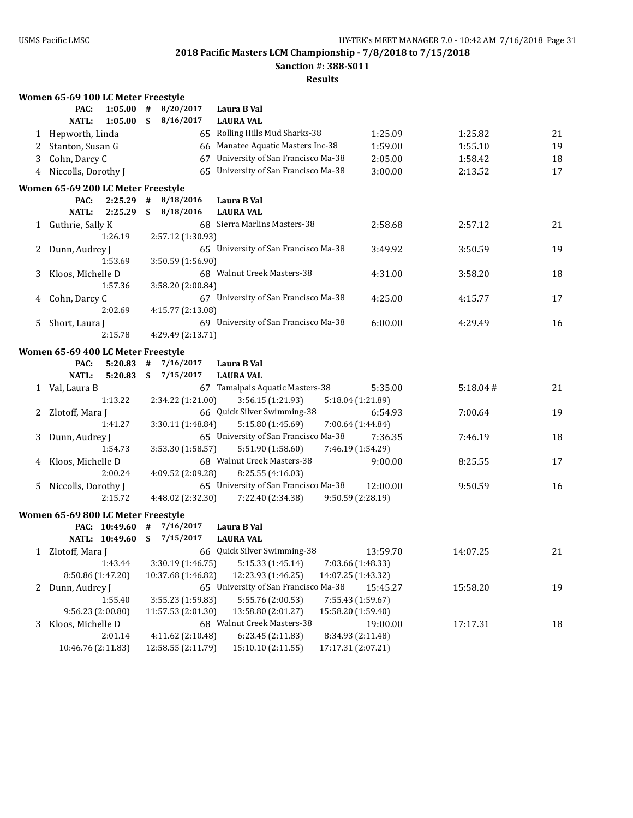**Sanction #: 388-S011**

|    | Women 65-69 100 LC Meter Freestyle |                    |                                                           |                    |          |    |
|----|------------------------------------|--------------------|-----------------------------------------------------------|--------------------|----------|----|
|    | PAC:<br>1:05.00                    | #<br>8/20/2017     | Laura B Val                                               |                    |          |    |
|    | <b>NATL:</b><br>1:05.00            | 8/16/2017<br>\$    | <b>LAURA VAL</b>                                          |                    |          |    |
| 1  | Hepworth, Linda                    |                    | 65 Rolling Hills Mud Sharks-38                            | 1:25.09            | 1:25.82  | 21 |
| 2  | Stanton, Susan G                   |                    | 66 Manatee Aquatic Masters Inc-38                         | 1:59.00            | 1:55.10  | 19 |
| 3  | Cohn, Darcy C                      |                    | 67 University of San Francisco Ma-38                      | 2:05.00            | 1:58.42  | 18 |
| 4  | Niccolls, Dorothy J                |                    | 65 University of San Francisco Ma-38                      | 3:00.00            | 2:13.52  | 17 |
|    | Women 65-69 200 LC Meter Freestyle |                    |                                                           |                    |          |    |
|    | PAC:<br>2:25.29                    | #<br>8/18/2016     | Laura B Val                                               |                    |          |    |
|    | <b>NATL:</b><br>2:25.29            | \$<br>8/18/2016    | <b>LAURA VAL</b>                                          |                    |          |    |
|    | 1 Guthrie, Sally K                 |                    | 68 Sierra Marlins Masters-38                              | 2:58.68            | 2:57.12  | 21 |
|    | 1:26.19                            | 2:57.12 (1:30.93)  |                                                           |                    |          |    |
| 2  | Dunn, Audrey J                     |                    | 65 University of San Francisco Ma-38                      | 3:49.92            | 3:50.59  | 19 |
|    | 1:53.69                            | 3:50.59 (1:56.90)  |                                                           |                    |          |    |
| 3  | Kloos, Michelle D                  |                    | 68 Walnut Creek Masters-38                                | 4:31.00            | 3:58.20  | 18 |
|    | 1:57.36                            | 3:58.20 (2:00.84)  |                                                           |                    |          |    |
| 4  | Cohn, Darcy C                      |                    | 67 University of San Francisco Ma-38                      | 4:25.00            | 4:15.77  | 17 |
|    | 2:02.69                            | 4:15.77 (2:13.08)  |                                                           |                    |          |    |
| 5. | Short, Laura J                     |                    | 69 University of San Francisco Ma-38                      | 6:00.00            | 4:29.49  | 16 |
|    | 2:15.78                            | 4:29.49 (2:13.71)  |                                                           |                    |          |    |
|    |                                    |                    |                                                           |                    |          |    |
|    | Women 65-69 400 LC Meter Freestyle |                    |                                                           |                    |          |    |
|    | PAC:<br>5:20.83                    | 7/16/2017<br>#     | Laura B Val                                               |                    |          |    |
|    | <b>NATL:</b><br>5:20.83            | 7/15/2017<br>\$    | <b>LAURA VAL</b>                                          |                    |          |    |
| 1  | Val, Laura B                       |                    | 67 Tamalpais Aquatic Masters-38                           | 5:35.00            | 5:18.04# | 21 |
|    | 1:13.22                            | 2:34.22 (1:21.00)  | 3:56.15 (1:21.93)                                         | 5:18.04 (1:21.89)  |          |    |
|    | Zlotoff, Mara J                    |                    | 66 Quick Silver Swimming-38                               | 6:54.93            | 7:00.64  | 19 |
|    | 1:41.27                            | 3:30.11 (1:48.84)  | 5:15.80 (1:45.69)<br>65 University of San Francisco Ma-38 | 7:00.64 (1:44.84)  |          |    |
| 3  | Dunn, Audrey J<br>1:54.73          |                    |                                                           | 7:36.35            | 7:46.19  | 18 |
|    |                                    | 3:53.30 (1:58.57)  | 5:51.90 (1:58.60)<br>68 Walnut Creek Masters-38           | 7:46.19 (1:54.29)  |          |    |
| 4  | Kloos, Michelle D<br>2:00.24       | 4:09.52 (2:09.28)  |                                                           | 9:00.00            | 8:25.55  | 17 |
| 5. |                                    |                    | 8:25.55 (4:16.03)<br>65 University of San Francisco Ma-38 | 12:00.00           | 9:50.59  | 16 |
|    | Niccolls, Dorothy J<br>2:15.72     |                    |                                                           | 9:50.59 (2:28.19)  |          |    |
|    |                                    | 4:48.02 (2:32.30)  | 7:22.40 (2:34.38)                                         |                    |          |    |
|    | Women 65-69 800 LC Meter Freestyle |                    |                                                           |                    |          |    |
|    | PAC: 10:49.60                      | #<br>7/16/2017     | Laura B Val                                               |                    |          |    |
|    | NATL: 10:49.60                     | 7/15/2017<br>\$.   | <b>LAURA VAL</b>                                          |                    |          |    |
|    | 1 Zlotoff, Mara J                  |                    | 66 Quick Silver Swimming-38                               | 13:59.70           | 14:07.25 | 21 |
|    | 1:43.44                            | 3:30.19 (1:46.75)  | 5:15.33 (1:45.14)                                         | 7:03.66 (1:48.33)  |          |    |
|    | 8:50.86 (1:47.20)                  | 10:37.68 (1:46.82) | 12:23.93 (1:46.25)                                        | 14:07.25 (1:43.32) |          |    |
| 2  | Dunn, Audrey J                     |                    | 65 University of San Francisco Ma-38                      | 15:45.27           | 15:58.20 | 19 |
|    | 1:55.40                            | 3:55.23 (1:59.83)  | 5:55.76 (2:00.53)                                         | 7:55.43 (1:59.67)  |          |    |
|    | 9:56.23 (2:00.80)                  | 11:57.53 (2:01.30) | 13:58.80 (2:01.27)                                        | 15:58.20 (1:59.40) |          |    |
| 3  | Kloos, Michelle D                  |                    | 68 Walnut Creek Masters-38                                | 19:00.00           | 17:17.31 | 18 |
|    | 2:01.14                            | 4:11.62 (2:10.48)  | 6:23.45 (2:11.83)                                         | 8:34.93 (2:11.48)  |          |    |
|    | 10:46.76 (2:11.83)                 | 12:58.55 (2:11.79) | 15:10.10 (2:11.55)                                        | 17:17.31 (2:07.21) |          |    |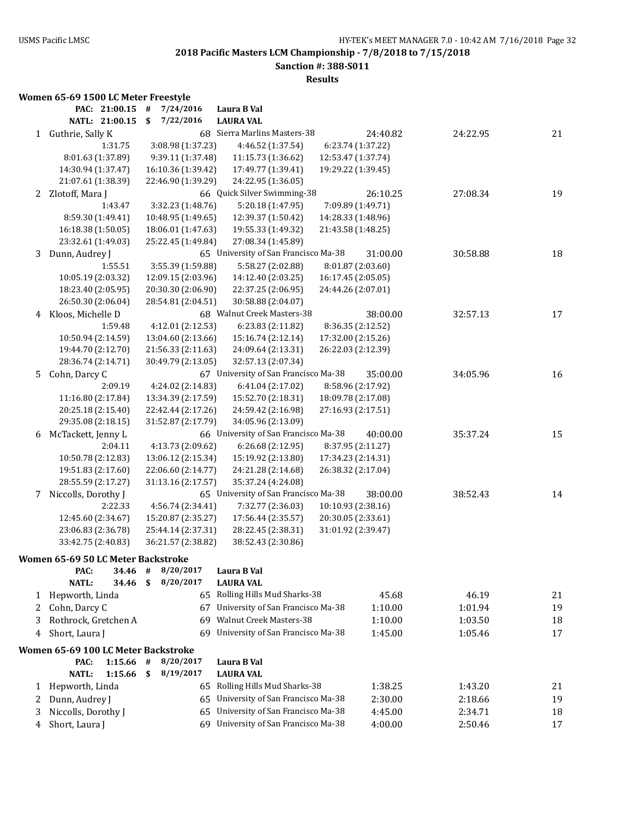### **Sanction #: 388-S011**

**Results**

# **Women 65-69 1500 LC Meter Freestyle**

|   | PAC: 21:00.15                              | 7/24/2016<br>#     | Laura B Val                              |          |          |    |
|---|--------------------------------------------|--------------------|------------------------------------------|----------|----------|----|
|   | NATL: 21:00.15                             | 7/22/2016<br>\$    | <b>LAURA VAL</b>                         |          |          |    |
| 1 | Guthrie, Sally K                           |                    | 68 Sierra Marlins Masters-38             | 24:40.82 | 24:22.95 | 21 |
|   | 1:31.75                                    | 3:08.98 (1:37.23)  | 4:46.52 (1:37.54)<br>6:23.74 (1:37.22)   |          |          |    |
|   | 8:01.63 (1:37.89)                          | 9:39.11 (1:37.48)  | 11:15.73 (1:36.62)<br>12:53.47 (1:37.74) |          |          |    |
|   | 14:30.94 (1:37.47)                         | 16:10.36 (1:39.42) | 17:49.77 (1:39.41)<br>19:29.22 (1:39.45) |          |          |    |
|   | 21:07.61 (1:38.39)                         | 22:46.90 (1:39.29) | 24:22.95 (1:36.05)                       |          |          |    |
|   | 2 Zlotoff, Mara J                          |                    | 66 Quick Silver Swimming-38              | 26:10.25 | 27:08.34 | 19 |
|   | 1:43.47                                    | 3:32.23 (1:48.76)  | 5:20.18 (1:47.95)<br>7:09.89 (1:49.71)   |          |          |    |
|   | 8:59.30 (1:49.41)                          | 10:48.95 (1:49.65) | 12:39.37 (1:50.42)<br>14:28.33 (1:48.96) |          |          |    |
|   | 16:18.38 (1:50.05)                         | 18:06.01 (1:47.63) | 19:55.33 (1:49.32)<br>21:43.58 (1:48.25) |          |          |    |
|   | 23:32.61 (1:49.03)                         | 25:22.45 (1:49.84) | 27:08.34 (1:45.89)                       |          |          |    |
| 3 | Dunn, Audrey J                             |                    | 65 University of San Francisco Ma-38     | 31:00.00 | 30:58.88 | 18 |
|   | 1:55.51                                    | 3:55.39 (1:59.88)  | 5:58.27 (2:02.88)<br>8:01.87 (2:03.60)   |          |          |    |
|   | 10:05.19 (2:03.32)                         | 12:09.15 (2:03.96) | 14:12.40 (2:03.25)<br>16:17.45 (2:05.05) |          |          |    |
|   | 18:23.40 (2:05.95)                         | 20:30.30 (2:06.90) | 22:37.25 (2:06.95)<br>24:44.26 (2:07.01) |          |          |    |
|   | 26:50.30 (2:06.04)                         | 28:54.81 (2:04.51) | 30:58.88 (2:04.07)                       |          |          |    |
|   | 4 Kloos, Michelle D                        |                    | 68 Walnut Creek Masters-38               | 38:00.00 | 32:57.13 | 17 |
|   | 1:59.48                                    | 4:12.01 (2:12.53)  | 6:23.83 (2:11.82)<br>8:36.35 (2:12.52)   |          |          |    |
|   | 10:50.94 (2:14.59)                         | 13:04.60 (2:13.66) | 17:32.00 (2:15.26)<br>15:16.74 (2:12.14) |          |          |    |
|   | 19:44.70 (2:12.70)                         | 21:56.33 (2:11.63) | 24:09.64 (2:13.31)<br>26:22.03 (2:12.39) |          |          |    |
|   | 28:36.74 (2:14.71)                         | 30:49.79 (2:13.05) | 32:57.13 (2:07.34)                       |          |          |    |
|   | 5 Cohn, Darcy C                            |                    | 67 University of San Francisco Ma-38     | 35:00.00 | 34:05.96 | 16 |
|   | 2:09.19                                    | 4:24.02 (2:14.83)  | 6:41.04 (2:17.02)<br>8:58.96 (2:17.92)   |          |          |    |
|   | 11:16.80 (2:17.84)                         | 13:34.39 (2:17.59) | 15:52.70 (2:18.31)<br>18:09.78 (2:17.08) |          |          |    |
|   | 20:25.18 (2:15.40)                         | 22:42.44 (2:17.26) | 24:59.42 (2:16.98)<br>27:16.93 (2:17.51) |          |          |    |
|   | 29:35.08 (2:18.15)                         | 31:52.87 (2:17.79) | 34:05.96 (2:13.09)                       |          |          |    |
| 6 | McTackett, Jenny L                         |                    | 66 University of San Francisco Ma-38     | 40:00.00 | 35:37.24 | 15 |
|   | 2:04.11                                    | 4:13.73 (2:09.62)  | 6:26.68 (2:12.95)<br>8:37.95 (2:11.27)   |          |          |    |
|   | 10:50.78 (2:12.83)                         | 13:06.12 (2:15.34) | 17:34.23 (2:14.31)<br>15:19.92 (2:13.80) |          |          |    |
|   | 19:51.83 (2:17.60)                         | 22:06.60 (2:14.77) | 24:21.28 (2:14.68)<br>26:38.32 (2:17.04) |          |          |    |
|   | 28:55.59 (2:17.27)                         | 31:13.16 (2:17.57) | 35:37.24 (4:24.08)                       |          |          |    |
|   | 7 Niccolls, Dorothy J                      |                    | 65 University of San Francisco Ma-38     | 38:00.00 | 38:52.43 | 14 |
|   | 2:22.33                                    | 4:56.74 (2:34.41)  | 7:32.77 (2:36.03)<br>10:10.93 (2:38.16)  |          |          |    |
|   | 12:45.60 (2:34.67)                         | 15:20.87 (2:35.27) | 17:56.44 (2:35.57)<br>20:30.05 (2:33.61) |          |          |    |
|   | 23:06.83 (2:36.78)                         | 25:44.14 (2:37.31) | 28:22.45 (2:38.31)<br>31:01.92 (2:39.47) |          |          |    |
|   | 33:42.75 (2:40.83)                         | 36:21.57 (2:38.82) | 38:52.43 (2:30.86)                       |          |          |    |
|   |                                            |                    |                                          |          |          |    |
|   | Women 65-69 50 LC Meter Backstroke         |                    |                                          |          |          |    |
|   | 34.46<br>PAC:                              | 8/20/2017<br>#     | Laura B Val                              |          |          |    |
|   | <b>NATL:</b><br>34.46                      | \$<br>8/20/2017    | <b>LAURA VAL</b>                         |          |          |    |
| 1 | Hepworth, Linda                            |                    | 65 Rolling Hills Mud Sharks-38           | 45.68    | 46.19    | 21 |
| 2 | Cohn, Darcy C                              | 67                 | University of San Francisco Ma-38        | 1:10.00  | 1:01.94  | 19 |
| 3 | Rothrock, Gretchen A                       | 69                 | Walnut Creek Masters-38                  | 1:10.00  | 1:03.50  | 18 |
| 4 | Short, Laura J                             | 69                 | University of San Francisco Ma-38        | 1:45.00  | 1:05.46  | 17 |
|   | Women 65-69 100 LC Meter Backstroke        |                    |                                          |          |          |    |
|   |                                            | $\#$<br>8/20/2017  |                                          |          |          |    |
|   | 1:15.66<br>PAC:<br><b>NATL:</b><br>1:15.66 | 8/19/2017<br>\$    | Laura B Val<br><b>LAURA VAL</b>          |          |          |    |
|   |                                            |                    |                                          | 1:38.25  |          |    |
| 1 | Hepworth, Linda                            |                    | 65 Rolling Hills Mud Sharks-38           |          | 1:43.20  | 21 |
| 2 | Dunn, Audrey J                             | 65                 | University of San Francisco Ma-38        | 2:30.00  | 2:18.66  | 19 |
| 3 | Niccolls, Dorothy J                        | 65                 | University of San Francisco Ma-38        | 4:45.00  | 2:34.71  | 18 |
| 4 | Short, Laura J                             | 69                 | University of San Francisco Ma-38        | 4:00.00  | 2:50.46  | 17 |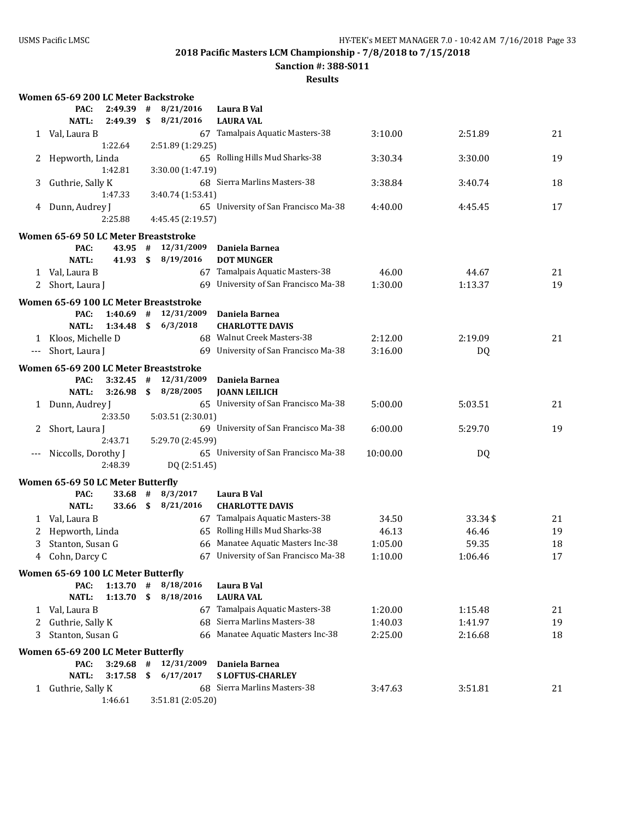**Sanction #: 388-S011**

|                      | Women 65-69 200 LC Meter Backstroke        |                    |    |                        |                                                                 |          |         |    |
|----------------------|--------------------------------------------|--------------------|----|------------------------|-----------------------------------------------------------------|----------|---------|----|
|                      | PAC:                                       | 2:49.39            | #  | 8/21/2016              | Laura B Val                                                     |          |         |    |
|                      | <b>NATL:</b>                               | 2:49.39            | \$ | 8/21/2016              | <b>LAURA VAL</b>                                                |          |         |    |
|                      | 1 Val, Laura B                             |                    |    |                        | 67 Tamalpais Aquatic Masters-38                                 | 3:10.00  | 2:51.89 | 21 |
|                      |                                            | 1:22.64            |    | 2:51.89 (1:29.25)      |                                                                 |          |         |    |
| 2                    | Hepworth, Linda                            |                    |    |                        | 65 Rolling Hills Mud Sharks-38                                  | 3:30.34  | 3:30.00 | 19 |
|                      |                                            | 1:42.81            |    | 3:30.00 (1:47.19)      |                                                                 |          |         |    |
| 3                    | Guthrie, Sally K                           |                    |    |                        | 68 Sierra Marlins Masters-38                                    | 3:38.84  | 3:40.74 | 18 |
|                      |                                            | 1:47.33            |    | 3:40.74 (1:53.41)      |                                                                 |          |         |    |
| 4                    | Dunn, Audrey J                             |                    |    |                        | 65 University of San Francisco Ma-38                            | 4:40.00  | 4:45.45 | 17 |
|                      |                                            | 2:25.88            |    | 4:45.45 (2:19.57)      |                                                                 |          |         |    |
|                      | Women 65-69 50 LC Meter Breaststroke       |                    |    |                        |                                                                 |          |         |    |
|                      | PAC:                                       | 43.95 #            |    | 12/31/2009             | Daniela Barnea                                                  |          |         |    |
|                      | <b>NATL:</b>                               | 41.93 \$           |    | 8/19/2016              | <b>DOT MUNGER</b>                                               |          |         |    |
|                      | 1 Val, Laura B                             |                    |    |                        | 67 Tamalpais Aquatic Masters-38                                 | 46.00    | 44.67   | 21 |
|                      | 2 Short, Laura J                           |                    |    |                        | 69 University of San Francisco Ma-38                            | 1:30.00  | 1:13.37 | 19 |
|                      | Women 65-69 100 LC Meter Breaststroke      |                    |    |                        |                                                                 |          |         |    |
|                      | PAC:                                       | $1:40.69$ #        |    | 12/31/2009             | Daniela Barnea                                                  |          |         |    |
|                      | <b>NATL:</b>                               | 1:34.48            | \$ | 6/3/2018               | <b>CHARLOTTE DAVIS</b>                                          |          |         |    |
|                      | 1 Kloos, Michelle D                        |                    |    |                        | 68 Walnut Creek Masters-38                                      | 2:12.00  | 2:19.09 | 21 |
| $\scriptstyle\cdots$ | Short, Laura J                             |                    |    |                        | 69 University of San Francisco Ma-38                            | 3:16.00  | DQ      |    |
|                      | Women 65-69 200 LC Meter Breaststroke      |                    |    |                        |                                                                 |          |         |    |
|                      | PAC:                                       | 3:32.45            | #  | 12/31/2009             | Daniela Barnea                                                  |          |         |    |
|                      | <b>NATL:</b>                               | 3:26.98            | \$ | 8/28/2005              | <b>JOANN LEILICH</b>                                            |          |         |    |
|                      | 1 Dunn, Audrey J                           |                    |    |                        | 65 University of San Francisco Ma-38                            | 5:00.00  | 5:03.51 | 21 |
|                      |                                            | 2:33.50            |    | 5:03.51 (2:30.01)      |                                                                 |          |         |    |
|                      | Short, Laura J                             |                    |    |                        | 69 University of San Francisco Ma-38                            | 6:00.00  | 5:29.70 | 19 |
|                      |                                            | 2:43.71            |    | 5:29.70 (2:45.99)      |                                                                 |          |         |    |
|                      | Niccolls, Dorothy J                        |                    |    |                        | 65 University of San Francisco Ma-38                            | 10:00.00 | DQ      |    |
|                      |                                            | 2:48.39            |    | DQ (2:51.45)           |                                                                 |          |         |    |
|                      | Women 65-69 50 LC Meter Butterfly          |                    |    |                        |                                                                 |          |         |    |
|                      | PAC:                                       | 33.68              | #  | 8/3/2017               | Laura B Val                                                     |          |         |    |
|                      | <b>NATL:</b>                               | 33.66 \$           |    | 8/21/2016              | <b>CHARLOTTE DAVIS</b>                                          |          |         |    |
| 1                    | Val, Laura B                               |                    |    |                        | 67 Tamalpais Aquatic Masters-38                                 | 34.50    | 33.34\$ | 21 |
|                      | Hepworth, Linda                            |                    |    |                        | 65 Rolling Hills Mud Sharks-38                                  | 46.13    | 46.46   | 19 |
| 3                    | Stanton, Susan G                           |                    |    |                        | 66 Manatee Aquatic Masters Inc-38                               | 1:05.00  | 59.35   | 18 |
|                      | 4 Cohn, Darcy C                            |                    |    |                        | 67 University of San Francisco Ma-38                            | 1:10.00  | 1:06.46 | 17 |
|                      |                                            |                    |    |                        |                                                                 |          |         |    |
|                      | Women 65-69 100 LC Meter Butterfly<br>PAC: |                    | #  |                        |                                                                 |          |         |    |
|                      | <b>NATL:</b>                               | 1:13.70<br>1:13.70 | \$ | 8/18/2016<br>8/18/2016 | Laura B Val<br><b>LAURA VAL</b>                                 |          |         |    |
|                      |                                            |                    |    |                        |                                                                 |          |         |    |
| 1                    | Val, Laura B                               |                    |    |                        | 67 Tamalpais Aquatic Masters-38<br>68 Sierra Marlins Masters-38 | 1:20.00  | 1:15.48 | 21 |
| 2                    | Guthrie, Sally K                           |                    |    |                        | 66 Manatee Aquatic Masters Inc-38                               | 1:40.03  | 1:41.97 | 19 |
| 3                    | Stanton, Susan G                           |                    |    |                        |                                                                 | 2:25.00  | 2:16.68 | 18 |
|                      | Women 65-69 200 LC Meter Butterfly         |                    |    |                        |                                                                 |          |         |    |
|                      | PAC:                                       | $3:29.68$ #        |    | 12/31/2009             | Daniela Barnea                                                  |          |         |    |
|                      | <b>NATL:</b>                               | 3:17.58            | \$ | 6/17/2017              | <b>SLOFTUS-CHARLEY</b>                                          |          |         |    |
|                      | 1 Guthrie, Sally K                         |                    |    |                        | 68 Sierra Marlins Masters-38                                    | 3:47.63  | 3:51.81 | 21 |
|                      |                                            | 1:46.61            |    | 3:51.81 (2:05.20)      |                                                                 |          |         |    |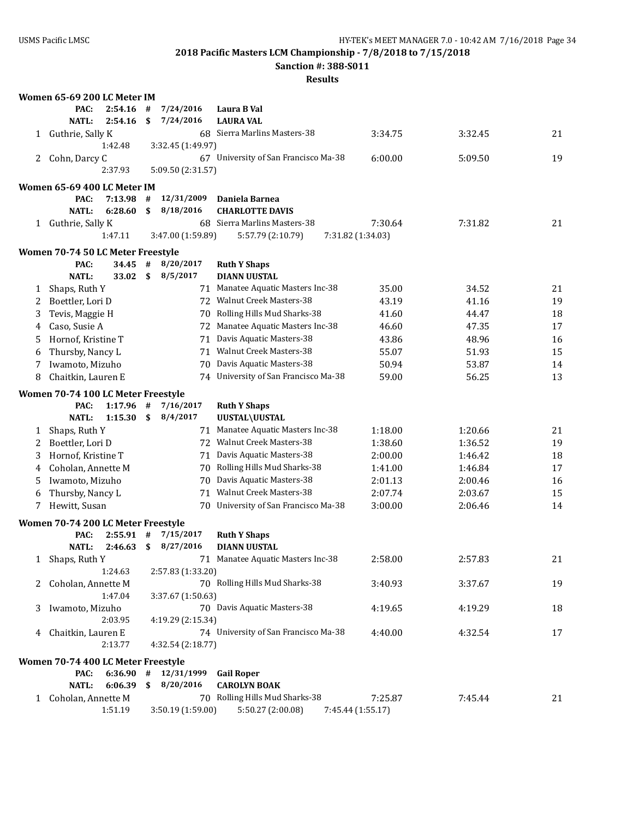**Sanction #: 388-S011**

|   | Women 65-69 200 LC Meter IM        |         |      |                   |                                      |                   |         |    |
|---|------------------------------------|---------|------|-------------------|--------------------------------------|-------------------|---------|----|
|   | PAC:                               | 2:54.16 | #    | 7/24/2016         | Laura B Val                          |                   |         |    |
|   | <b>NATL:</b>                       | 2:54.16 | \$   | 7/24/2016         | <b>LAURA VAL</b>                     |                   |         |    |
| 1 | Guthrie, Sally K                   |         |      |                   | 68 Sierra Marlins Masters-38         | 3:34.75           | 3:32.45 | 21 |
|   |                                    | 1:42.48 |      | 3:32.45 (1:49.97) |                                      |                   |         |    |
| 2 | Cohn, Darcy C                      |         |      |                   | 67 University of San Francisco Ma-38 | 6:00.00           | 5:09.50 | 19 |
|   |                                    | 2:37.93 |      | 5:09.50 (2:31.57) |                                      |                   |         |    |
|   | Women 65-69 400 LC Meter IM        |         |      |                   |                                      |                   |         |    |
|   | PAC:                               | 7:13.98 | #    | 12/31/2009        | Daniela Barnea                       |                   |         |    |
|   | <b>NATL:</b>                       | 6:28.60 | \$   | 8/18/2016         | <b>CHARLOTTE DAVIS</b>               |                   |         |    |
|   | 1 Guthrie, Sally K                 |         |      |                   | 68 Sierra Marlins Masters-38         | 7:30.64           | 7:31.82 | 21 |
|   |                                    | 1:47.11 |      | 3:47.00 (1:59.89) | 5:57.79 (2:10.79)                    | 7:31.82 (1:34.03) |         |    |
|   | Women 70-74 50 LC Meter Freestyle  |         |      |                   |                                      |                   |         |    |
|   | PAC:                               | 34.45   | $\#$ | 8/20/2017         | <b>Ruth Y Shaps</b>                  |                   |         |    |
|   | <b>NATL:</b>                       | 33.02   | \$   | 8/5/2017          | <b>DIANN UUSTAL</b>                  |                   |         |    |
| 1 | Shaps, Ruth Y                      |         |      |                   | 71 Manatee Aquatic Masters Inc-38    | 35.00             | 34.52   | 21 |
| 2 | Boettler, Lori D                   |         |      |                   | 72 Walnut Creek Masters-38           | 43.19             | 41.16   | 19 |
| 3 | Tevis, Maggie H                    |         |      |                   | 70 Rolling Hills Mud Sharks-38       | 41.60             | 44.47   | 18 |
| 4 | Caso, Susie A                      |         |      |                   | 72 Manatee Aquatic Masters Inc-38    | 46.60             | 47.35   | 17 |
| 5 | Hornof, Kristine T                 |         |      | 71                | Davis Aquatic Masters-38             | 43.86             | 48.96   | 16 |
| 6 | Thursby, Nancy L                   |         |      |                   | 71 Walnut Creek Masters-38           | 55.07             | 51.93   | 15 |
| 7 | Iwamoto, Mizuho                    |         |      |                   | 70 Davis Aquatic Masters-38          | 50.94             | 53.87   | 14 |
| 8 | Chaitkin, Lauren E                 |         |      |                   | 74 University of San Francisco Ma-38 | 59.00             | 56.25   | 13 |
|   |                                    |         |      |                   |                                      |                   |         |    |
|   | Women 70-74 100 LC Meter Freestyle |         |      |                   |                                      |                   |         |    |
|   | PAC:                               | 1:17.96 | #    | 7/16/2017         | <b>Ruth Y Shaps</b>                  |                   |         |    |
|   | <b>NATL:</b>                       | 1:15.30 | \$   | 8/4/2017          | UUSTAL\UUSTAL                        |                   |         |    |
| 1 | Shaps, Ruth Y                      |         |      |                   | 71 Manatee Aquatic Masters Inc-38    | 1:18.00           | 1:20.66 | 21 |
| 2 | Boettler, Lori D                   |         |      |                   | 72 Walnut Creek Masters-38           | 1:38.60           | 1:36.52 | 19 |
| 3 | Hornof, Kristine T                 |         |      |                   | 71 Davis Aquatic Masters-38          | 2:00.00           | 1:46.42 | 18 |
| 4 | Coholan, Annette M                 |         |      |                   | 70 Rolling Hills Mud Sharks-38       | 1:41.00           | 1:46.84 | 17 |
| 5 | Iwamoto, Mizuho                    |         |      |                   | 70 Davis Aquatic Masters-38          | 2:01.13           | 2:00.46 | 16 |
| 6 | Thursby, Nancy L                   |         |      |                   | 71 Walnut Creek Masters-38           | 2:07.74           | 2:03.67 | 15 |
| 7 | Hewitt, Susan                      |         |      |                   | 70 University of San Francisco Ma-38 | 3:00.00           | 2:06.46 | 14 |
|   | Women 70-74 200 LC Meter Freestyle |         |      |                   |                                      |                   |         |    |
|   | PAC:                               | 2:55.91 | #    | 7/15/2017         | <b>Ruth Y Shaps</b>                  |                   |         |    |
|   | <b>NATL:</b>                       | 2:46.63 | \$   | 8/27/2016         | <b>DIANN UUSTAL</b>                  |                   |         |    |
| 1 | Shaps, Ruth Y                      |         |      |                   | 71 Manatee Aquatic Masters Inc-38    | 2:58.00           | 2:57.83 | 21 |
|   |                                    | 1:24.63 |      | 2:57.83 (1:33.20) |                                      |                   |         |    |
| 2 | Coholan, Annette M                 |         |      |                   | 70 Rolling Hills Mud Sharks-38       | 3:40.93           | 3:37.67 | 19 |
|   |                                    | 1:47.04 |      | 3:37.67 (1:50.63) |                                      |                   |         |    |
| 3 | Iwamoto, Mizuho                    |         |      |                   | 70 Davis Aquatic Masters-38          | 4:19.65           | 4:19.29 | 18 |
|   |                                    | 2:03.95 |      | 4:19.29 (2:15.34) |                                      |                   |         |    |
| 4 | Chaitkin, Lauren E                 |         |      |                   | 74 University of San Francisco Ma-38 | 4:40.00           | 4:32.54 | 17 |
|   |                                    | 2:13.77 |      | 4:32.54 (2:18.77) |                                      |                   |         |    |
|   | Women 70-74 400 LC Meter Freestyle |         |      |                   |                                      |                   |         |    |
|   | PAC:                               | 6:36.90 | $\#$ | 12/31/1999        | <b>Gail Roper</b>                    |                   |         |    |
|   | <b>NATL:</b>                       | 6:06.39 | \$   | 8/20/2016         | <b>CAROLYN BOAK</b>                  |                   |         |    |
|   | 1 Coholan, Annette M               |         |      |                   | 70 Rolling Hills Mud Sharks-38       | 7:25.87           | 7:45.44 | 21 |
|   |                                    | 1:51.19 |      | 3:50.19 (1:59.00) | 5:50.27 (2:00.08)                    | 7:45.44 (1:55.17) |         |    |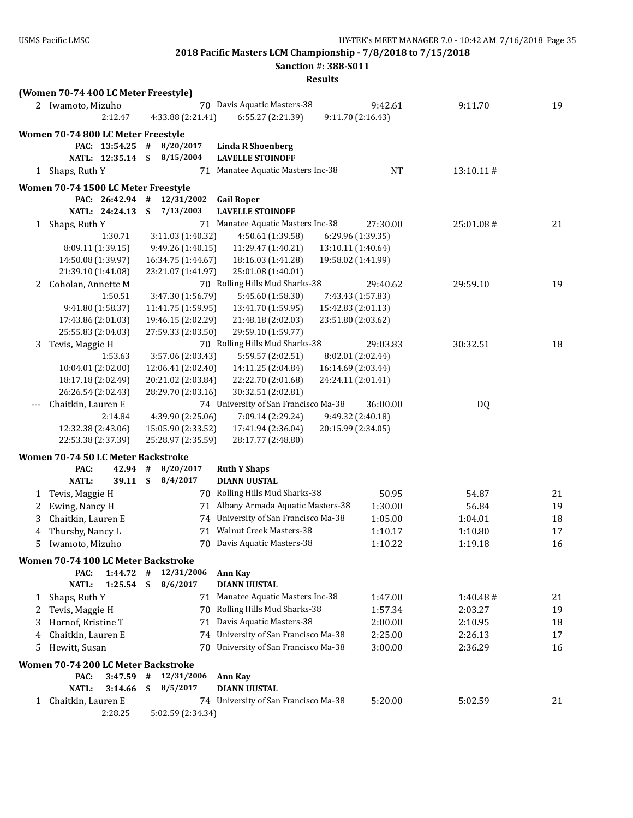**Sanction #: 388-S011**

|              | (Women 70-74 400 LC Meter Freestyle)     |              |                                          |                                          |                    |           |    |
|--------------|------------------------------------------|--------------|------------------------------------------|------------------------------------------|--------------------|-----------|----|
|              | 2 Iwamoto, Mizuho                        |              |                                          | 70 Davis Aquatic Masters-38              | 9:42.61            | 9:11.70   | 19 |
|              | 2:12.47                                  |              | 4:33.88 (2:21.41)                        | 6:55.27 (2:21.39)                        | 9:11.70 (2:16.43)  |           |    |
|              | Women 70-74 800 LC Meter Freestyle       |              |                                          |                                          |                    |           |    |
|              | PAC: 13:54.25                            | #            | 8/20/2017                                | <b>Linda R Shoenberg</b>                 |                    |           |    |
|              | NATL: 12:35.14                           | $\mathbf{s}$ | 8/15/2004                                | <b>LAVELLE STOINOFF</b>                  |                    |           |    |
|              | 1 Shaps, Ruth Y                          |              |                                          | 71 Manatee Aquatic Masters Inc-38        | <b>NT</b>          | 13:10.11# |    |
|              | Women 70-74 1500 LC Meter Freestyle      |              |                                          |                                          |                    |           |    |
|              | PAC: 26:42.94 #                          |              | 12/31/2002                               | <b>Gail Roper</b>                        |                    |           |    |
|              | NATL: 24:24.13                           | \$           | 7/13/2003                                | <b>LAVELLE STOINOFF</b>                  |                    |           |    |
| $\mathbf{1}$ | Shaps, Ruth Y                            |              |                                          | 71 Manatee Aquatic Masters Inc-38        | 27:30.00           | 25:01.08# | 21 |
|              | 1:30.71                                  |              | 3:11.03 (1:40.32)                        | 4:50.61 (1:39.58)                        | 6:29.96 (1:39.35)  |           |    |
|              | 8:09.11 (1:39.15)                        |              | 9:49.26 (1:40.15)                        | 11:29.47 (1:40.21)                       | 13:10.11 (1:40.64) |           |    |
|              | 14:50.08 (1:39.97)                       |              | 16:34.75 (1:44.67)                       | 18:16.03 (1:41.28)                       | 19:58.02 (1:41.99) |           |    |
|              | 21:39.10 (1:41.08)                       |              | 23:21.07 (1:41.97)                       | 25:01.08 (1:40.01)                       |                    |           |    |
| 2            | Coholan, Annette M                       |              |                                          | 70 Rolling Hills Mud Sharks-38           | 29:40.62           | 29:59.10  | 19 |
|              | 1:50.51                                  |              | 3:47.30 (1:56.79)                        | 5:45.60 (1:58.30)                        | 7:43.43 (1:57.83)  |           |    |
|              | 9:41.80 (1:58.37)                        |              | 11:41.75 (1:59.95)                       | 13:41.70 (1:59.95)                       | 15:42.83 (2:01.13) |           |    |
|              | 17:43.86 (2:01.03)                       |              | 19:46.15 (2:02.29)                       | 21:48.18 (2:02.03)                       | 23:51.80 (2:03.62) |           |    |
|              | 25:55.83 (2:04.03)                       |              | 27:59.33 (2:03.50)                       | 29:59.10 (1:59.77)                       |                    |           |    |
| 3            | Tevis, Maggie H                          |              |                                          | 70 Rolling Hills Mud Sharks-38           | 29:03.83           | 30:32.51  | 18 |
|              | 1:53.63                                  |              | 3:57.06 (2:03.43)                        | 5:59.57 (2:02.51)                        | 8:02.01 (2:02.44)  |           |    |
|              | 10:04.01 (2:02.00)                       |              | 12:06.41 (2:02.40)                       | 14:11.25 (2:04.84)                       | 16:14.69 (2:03.44) |           |    |
|              | 18:17.18 (2:02.49)                       |              | 20:21.02 (2:03.84)                       | 22:22.70 (2:01.68)                       | 24:24.11 (2:01.41) |           |    |
|              | 26:26.54 (2:02.43)                       |              | 28:29.70 (2:03.16)                       | 30:32.51 (2:02.81)                       |                    |           |    |
|              | Chaitkin, Lauren E                       |              |                                          | 74 University of San Francisco Ma-38     | 36:00.00           | DQ        |    |
|              | 2:14.84                                  |              | 4:39.90 (2:25.06)                        | 7:09.14 (2:29.24)                        | 9:49.32 (2:40.18)  |           |    |
|              | 12:32.38 (2:43.06)<br>22:53.38 (2:37.39) |              | 15:05.90 (2:33.52)<br>25:28.97 (2:35.59) | 17:41.94 (2:36.04)<br>28:17.77 (2:48.80) | 20:15.99 (2:34.05) |           |    |
|              |                                          |              |                                          |                                          |                    |           |    |
|              | Women 70-74 50 LC Meter Backstroke       |              |                                          |                                          |                    |           |    |
|              | PAC:<br>42.94 #                          |              | 8/20/2017                                | <b>Ruth Y Shaps</b>                      |                    |           |    |
|              | $39.11$ \$<br><b>NATL:</b>               |              | 8/4/2017                                 | <b>DIANN UUSTAL</b>                      |                    |           |    |
| 1            | Tevis, Maggie H                          |              |                                          | 70 Rolling Hills Mud Sharks-38           | 50.95              | 54.87     | 21 |
| 2            | Ewing, Nancy H                           |              |                                          | 71 Albany Armada Aquatic Masters-38      | 1:30.00            | 56.84     | 19 |
| 3            | Chaitkin, Lauren E                       |              |                                          | 74 University of San Francisco Ma-38     | 1:05.00            | 1:04.01   | 18 |
| 4            | Thursby, Nancy L                         |              |                                          | 71 Walnut Creek Masters-38               | 1:10.17            | 1:10.80   | 17 |
| 5            | Iwamoto, Mizuho                          |              |                                          | 70 Davis Aquatic Masters-38              | 1:10.22            | 1:19.18   | 16 |
|              | Women 70-74 100 LC Meter Backstroke      |              |                                          |                                          |                    |           |    |
|              | PAC:<br>1:44.72                          | #            | 12/31/2006                               | <b>Ann Kay</b>                           |                    |           |    |
|              | <b>NATL:</b><br>1:25.54                  | \$           | 8/6/2017                                 | <b>DIANN UUSTAL</b>                      |                    |           |    |
| 1            | Shaps, Ruth Y                            |              |                                          | 71 Manatee Aquatic Masters Inc-38        | 1:47.00            | 1:40.48#  | 21 |
| 2            | Tevis, Maggie H                          |              |                                          | 70 Rolling Hills Mud Sharks-38           | 1:57.34            | 2:03.27   | 19 |
| 3            | Hornof, Kristine T                       |              |                                          | 71 Davis Aquatic Masters-38              | 2:00.00            | 2:10.95   | 18 |
| 4            | Chaitkin, Lauren E                       |              |                                          | 74 University of San Francisco Ma-38     | 2:25.00            | 2:26.13   | 17 |
| 5            | Hewitt, Susan                            |              |                                          | 70 University of San Francisco Ma-38     | 3:00.00            | 2:36.29   | 16 |
|              | Women 70-74 200 LC Meter Backstroke      |              |                                          |                                          |                    |           |    |
|              | PAC:<br>3:47.59                          | #            | 12/31/2006                               | <b>Ann Kay</b>                           |                    |           |    |
|              | <b>NATL:</b><br>3:14.66                  | \$           | 8/5/2017                                 | <b>DIANN UUSTAL</b>                      |                    |           |    |
| 1            | Chaitkin, Lauren E                       |              |                                          | 74 University of San Francisco Ma-38     | 5:20.00            | 5:02.59   | 21 |
|              | 2:28.25                                  |              | 5:02.59 (2:34.34)                        |                                          |                    |           |    |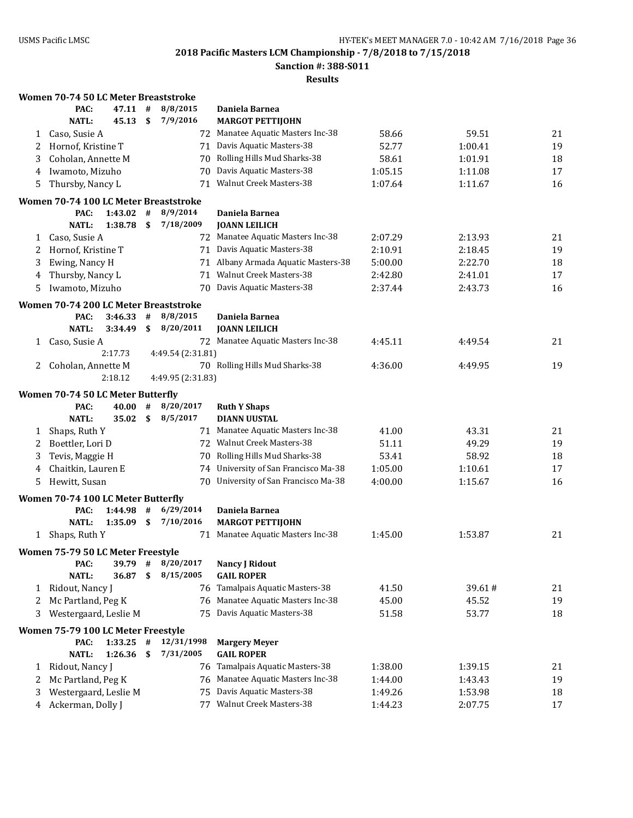**Sanction #: 388-S011**

|              | Women 70-74 50 LC Meter Breaststroke       |         |                           |                   |                                           |         |         |    |
|--------------|--------------------------------------------|---------|---------------------------|-------------------|-------------------------------------------|---------|---------|----|
|              | PAC:                                       | 47.11   | #                         | 8/8/2015          | Daniela Barnea                            |         |         |    |
|              | <b>NATL:</b>                               | 45.13   | \$                        | 7/9/2016          | <b>MARGOT PETTIJOHN</b>                   |         |         |    |
| 1            | Caso, Susie A                              |         |                           |                   | 72 Manatee Aquatic Masters Inc-38         | 58.66   | 59.51   | 21 |
| 2            | Hornof, Kristine T                         |         |                           |                   | 71 Davis Aquatic Masters-38               | 52.77   | 1:00.41 | 19 |
| 3            | Coholan, Annette M                         |         |                           |                   | 70 Rolling Hills Mud Sharks-38            | 58.61   | 1:01.91 | 18 |
| 4            | Iwamoto, Mizuho                            |         |                           | 70                | Davis Aquatic Masters-38                  | 1:05.15 | 1:11.08 | 17 |
| 5            | Thursby, Nancy L                           |         |                           |                   | 71 Walnut Creek Masters-38                | 1:07.64 | 1:11.67 | 16 |
|              | Women 70-74 100 LC Meter Breaststroke      |         |                           |                   |                                           |         |         |    |
|              | PAC:                                       | 1:43.02 | #                         | 8/9/2014          | Daniela Barnea                            |         |         |    |
|              | <b>NATL:</b>                               | 1:38.78 | $\boldsymbol{\mathsf{s}}$ | 7/18/2009         | <b>JOANN LEILICH</b>                      |         |         |    |
| $\mathbf{1}$ | Caso, Susie A                              |         |                           |                   | 72 Manatee Aquatic Masters Inc-38         | 2:07.29 | 2:13.93 | 21 |
| 2            | Hornof, Kristine T                         |         |                           |                   | 71 Davis Aquatic Masters-38               | 2:10.91 | 2:18.45 | 19 |
| 3            | Ewing, Nancy H                             |         |                           |                   | 71 Albany Armada Aquatic Masters-38       | 5:00.00 | 2:22.70 | 18 |
| 4            | Thursby, Nancy L                           |         |                           |                   | 71 Walnut Creek Masters-38                | 2:42.80 | 2:41.01 | 17 |
| 5            | Iwamoto, Mizuho                            |         |                           | 70.               | Davis Aquatic Masters-38                  | 2:37.44 | 2:43.73 | 16 |
|              |                                            |         |                           |                   |                                           |         |         |    |
|              | Women 70-74 200 LC Meter Breaststroke      |         |                           |                   |                                           |         |         |    |
|              | PAC:                                       | 3:46.33 | #                         | 8/8/2015          | Daniela Barnea                            |         |         |    |
|              | <b>NATL:</b>                               | 3:34.49 | \$                        | 8/20/2011         | <b>JOANN LEILICH</b>                      |         |         |    |
| 1            | Caso, Susie A                              |         |                           |                   | 72 Manatee Aquatic Masters Inc-38         | 4:45.11 | 4:49.54 | 21 |
|              |                                            | 2:17.73 |                           | 4:49.54 (2:31.81) |                                           |         |         |    |
| 2            | Coholan, Annette M                         |         |                           |                   | 70 Rolling Hills Mud Sharks-38            | 4:36.00 | 4:49.95 | 19 |
|              |                                            | 2:18.12 |                           | 4:49.95 (2:31.83) |                                           |         |         |    |
|              | Women 70-74 50 LC Meter Butterfly          |         |                           |                   |                                           |         |         |    |
|              | PAC:                                       | 40.00   | #                         |                   |                                           |         |         |    |
|              |                                            |         |                           | 8/20/2017         | <b>Ruth Y Shaps</b>                       |         |         |    |
|              | <b>NATL:</b>                               | 35.02   | \$                        | 8/5/2017          | <b>DIANN UUSTAL</b>                       |         |         |    |
| 1            | Shaps, Ruth Y                              |         |                           |                   | 71 Manatee Aquatic Masters Inc-38         | 41.00   | 43.31   | 21 |
| 2            | Boettler, Lori D                           |         |                           |                   | 72 Walnut Creek Masters-38                | 51.11   | 49.29   | 19 |
| 3            | Tevis, Maggie H                            |         |                           |                   | 70 Rolling Hills Mud Sharks-38            | 53.41   | 58.92   | 18 |
| 4            | Chaitkin, Lauren E                         |         |                           |                   | 74 University of San Francisco Ma-38      | 1:05.00 | 1:10.61 | 17 |
| 5            | Hewitt, Susan                              |         |                           |                   | 70 University of San Francisco Ma-38      | 4:00.00 | 1:15.67 | 16 |
|              |                                            |         |                           |                   |                                           |         |         |    |
|              | Women 70-74 100 LC Meter Butterfly         |         |                           |                   |                                           |         |         |    |
|              | PAC:                                       | 1:44.98 | #                         | 6/29/2014         | Daniela Barnea                            |         |         |    |
|              | <b>NATL:</b>                               | 1:35.09 | \$                        | 7/10/2016         | <b>MARGOT PETTIJOHN</b>                   |         |         |    |
| $\mathbf{1}$ | Shaps, Ruth Y                              |         |                           |                   | 71 Manatee Aquatic Masters Inc-38         | 1:45.00 | 1:53.87 | 21 |
|              | Women 75-79 50 LC Meter Freestyle          |         |                           |                   |                                           |         |         |    |
|              | PAC:                                       | 39.79   | #                         | 8/20/2017         | <b>Nancy J Ridout</b>                     |         |         |    |
|              | <b>NATL:</b>                               | 36.87   | S                         | 8/15/2005         | <b>GAIL ROPER</b>                         |         |         |    |
| 1            | Ridout, Nancy J                            |         |                           |                   | 76 Tamalpais Aquatic Masters-38           | 41.50   | 39.61#  | 21 |
| 2            | Mc Partland, Peg K                         |         |                           |                   | 76 Manatee Aquatic Masters Inc-38         | 45.00   | 45.52   | 19 |
| 3            | Westergaard, Leslie M                      |         |                           |                   | 75 Davis Aquatic Masters-38               | 51.58   | 53.77   | 18 |
|              |                                            |         |                           |                   |                                           |         |         |    |
|              | Women 75-79 100 LC Meter Freestyle<br>PAC: | 1:33.25 | #                         | 12/31/1998        |                                           |         |         |    |
|              | <b>NATL:</b>                               | 1:26.36 | \$                        | 7/31/2005         | <b>Margery Meyer</b><br><b>GAIL ROPER</b> |         |         |    |
| 1            | Ridout, Nancy J                            |         |                           |                   | 76 Tamalpais Aquatic Masters-38           | 1:38.00 | 1:39.15 | 21 |
| 2            | Mc Partland, Peg K                         |         |                           |                   | 76 Manatee Aquatic Masters Inc-38         | 1:44.00 | 1:43.43 | 19 |
| 3            | Westergaard, Leslie M                      |         |                           | 75                | Davis Aquatic Masters-38                  | 1:49.26 | 1:53.98 | 18 |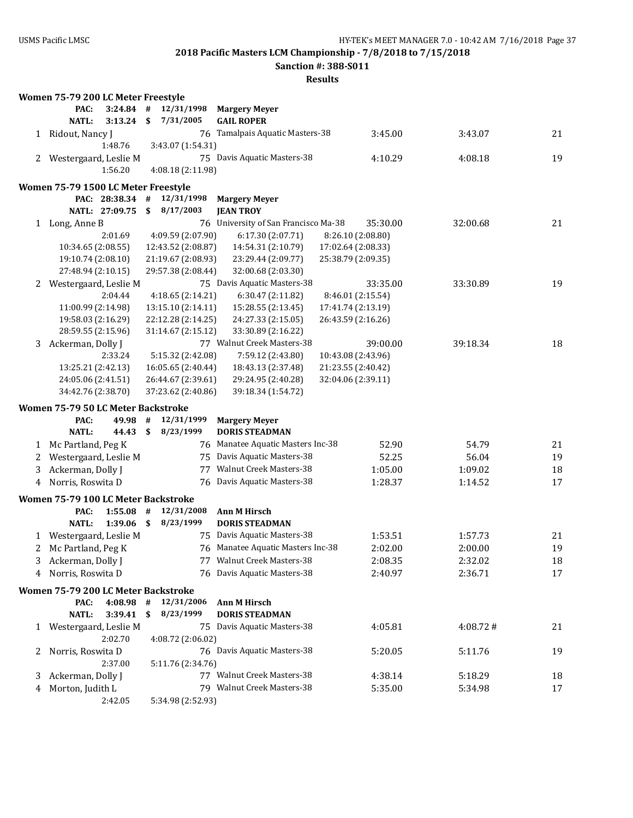**Sanction #: 388-S011**

|                | Women 75-79 200 LC Meter Freestyle  |                |    |                    |                                      |                    |          |    |
|----------------|-------------------------------------|----------------|----|--------------------|--------------------------------------|--------------------|----------|----|
|                | PAC:                                | 3:24.84        | #  | 12/31/1998         | <b>Margery Meyer</b>                 |                    |          |    |
|                | NATL:                               | 3:13.24        | \$ | 7/31/2005          | <b>GAIL ROPER</b>                    |                    |          |    |
|                | 1 Ridout, Nancy J                   |                |    |                    | 76 Tamalpais Aquatic Masters-38      | 3:45.00            | 3:43.07  | 21 |
|                |                                     | 1:48.76        |    | 3:43.07 (1:54.31)  |                                      |                    |          |    |
| 2              | Westergaard, Leslie M               |                |    |                    | 75 Davis Aquatic Masters-38          | 4:10.29            | 4:08.18  | 19 |
|                |                                     | 1:56.20        |    | 4:08.18 (2:11.98)  |                                      |                    |          |    |
|                | Women 75-79 1500 LC Meter Freestyle |                |    |                    |                                      |                    |          |    |
|                |                                     | PAC: 28:38.34  | #  | 12/31/1998         | <b>Margery Meyer</b>                 |                    |          |    |
|                |                                     | NATL: 27:09.75 | \$ | 8/17/2003          | <b>JEAN TROY</b>                     |                    |          |    |
| $\mathbf{1}$   | Long, Anne B                        |                |    |                    | 76 University of San Francisco Ma-38 | 35:30.00           | 32:00.68 | 21 |
|                |                                     | 2:01.69        |    | 4:09.59 (2:07.90)  | 6:17.30(2:07.71)                     | 8:26.10 (2:08.80)  |          |    |
|                | 10:34.65 (2:08.55)                  |                |    | 12:43.52 (2:08.87) | 14:54.31 (2:10.79)                   | 17:02.64 (2:08.33) |          |    |
|                | 19:10.74 (2:08.10)                  |                |    | 21:19.67 (2:08.93) | 23:29.44 (2:09.77)                   | 25:38.79 (2:09.35) |          |    |
|                | 27:48.94 (2:10.15)                  |                |    | 29:57.38 (2:08.44) | 32:00.68 (2:03.30)                   |                    |          |    |
| 2              | Westergaard, Leslie M               |                |    |                    | 75 Davis Aquatic Masters-38          | 33:35.00           | 33:30.89 | 19 |
|                |                                     | 2:04.44        |    | 4:18.65(2:14.21)   | 6:30.47 (2:11.82)                    | 8:46.01 (2:15.54)  |          |    |
|                | 11:00.99 (2:14.98)                  |                |    | 13:15.10 (2:14.11) | 15:28.55 (2:13.45)                   | 17:41.74 (2:13.19) |          |    |
|                | 19:58.03 (2:16.29)                  |                |    | 22:12.28 (2:14.25) | 24:27.33 (2:15.05)                   | 26:43.59 (2:16.26) |          |    |
|                | 28:59.55 (2:15.96)                  |                |    | 31:14.67 (2:15.12) | 33:30.89 (2:16.22)                   |                    |          |    |
| 3              | Ackerman, Dolly J                   |                |    |                    | 77 Walnut Creek Masters-38           | 39:00.00           | 39:18.34 | 18 |
|                |                                     | 2:33.24        |    | 5:15.32 (2:42.08)  | 7:59.12 (2:43.80)                    | 10:43.08 (2:43.96) |          |    |
|                | 13:25.21 (2:42.13)                  |                |    | 16:05.65 (2:40.44) | 18:43.13 (2:37.48)                   | 21:23.55 (2:40.42) |          |    |
|                | 24:05.06 (2:41.51)                  |                |    | 26:44.67 (2:39.61) | 29:24.95 (2:40.28)                   | 32:04.06 (2:39.11) |          |    |
|                | 34:42.76 (2:38.70)                  |                |    | 37:23.62 (2:40.86) | 39:18.34 (1:54.72)                   |                    |          |    |
|                | Women 75-79 50 LC Meter Backstroke  |                |    |                    |                                      |                    |          |    |
|                | PAC:                                | 49.98          | #  | 12/31/1999         | <b>Margery Meyer</b>                 |                    |          |    |
|                | <b>NATL:</b>                        | 44.43          | \$ | 8/23/1999          | <b>DORIS STEADMAN</b>                |                    |          |    |
| 1              | Mc Partland, Peg K                  |                |    |                    | 76 Manatee Aquatic Masters Inc-38    | 52.90              | 54.79    | 21 |
| 2              | Westergaard, Leslie M               |                |    |                    | 75 Davis Aquatic Masters-38          | 52.25              | 56.04    | 19 |
| 3              | Ackerman, Dolly J                   |                |    | 77                 | Walnut Creek Masters-38              | 1:05.00            | 1:09.02  | 18 |
| $\overline{4}$ | Norris, Roswita D                   |                |    |                    | 76 Davis Aquatic Masters-38          | 1:28.37            | 1:14.52  | 17 |
|                | Women 75-79 100 LC Meter Backstroke |                |    |                    |                                      |                    |          |    |
|                | PAC:                                | 1:55.08        | #  | 12/31/2008         | Ann M Hirsch                         |                    |          |    |
|                | <b>NATL:</b>                        | 1:39.06        | \$ | 8/23/1999          | <b>DORIS STEADMAN</b>                |                    |          |    |
| 1              | Westergaard, Leslie M               |                |    |                    | 75 Davis Aquatic Masters-38          | 1:53.51            | 1:57.73  | 21 |
| 2              | Mc Partland, Peg K                  |                |    |                    | 76 Manatee Aquatic Masters Inc-38    | 2:02.00            | 2:00.00  | 19 |
|                | Ackerman, Dolly J                   |                |    |                    | 77 Walnut Creek Masters-38           | 2:08.35            | 2:32.02  | 18 |
| 4              | Norris, Roswita D                   |                |    |                    | 76 Davis Aquatic Masters-38          | 2:40.97            | 2:36.71  | 17 |
|                | Women 75-79 200 LC Meter Backstroke |                |    |                    |                                      |                    |          |    |
|                | PAC:                                | 4:08.98        | #  | 12/31/2006         | Ann M Hirsch                         |                    |          |    |
|                | NATL:                               | 3:39.41        | \$ | 8/23/1999          | <b>DORIS STEADMAN</b>                |                    |          |    |
| 1              | Westergaard, Leslie M               |                |    |                    | 75 Davis Aquatic Masters-38          | 4:05.81            | 4:08.72# | 21 |
|                |                                     | 2:02.70        |    | 4:08.72 (2:06.02)  |                                      |                    |          |    |
| 2              | Norris, Roswita D                   |                |    |                    | 76 Davis Aquatic Masters-38          | 5:20.05            | 5:11.76  | 19 |
|                |                                     | 2:37.00        |    | 5:11.76 (2:34.76)  |                                      |                    |          |    |
| 3              | Ackerman, Dolly J                   |                |    |                    | 77 Walnut Creek Masters-38           | 4:38.14            | 5:18.29  | 18 |
| 4              | Morton, Judith L                    |                |    |                    | 79 Walnut Creek Masters-38           | 5:35.00            | 5:34.98  | 17 |
|                |                                     | 2:42.05        |    | 5:34.98 (2:52.93)  |                                      |                    |          |    |
|                |                                     |                |    |                    |                                      |                    |          |    |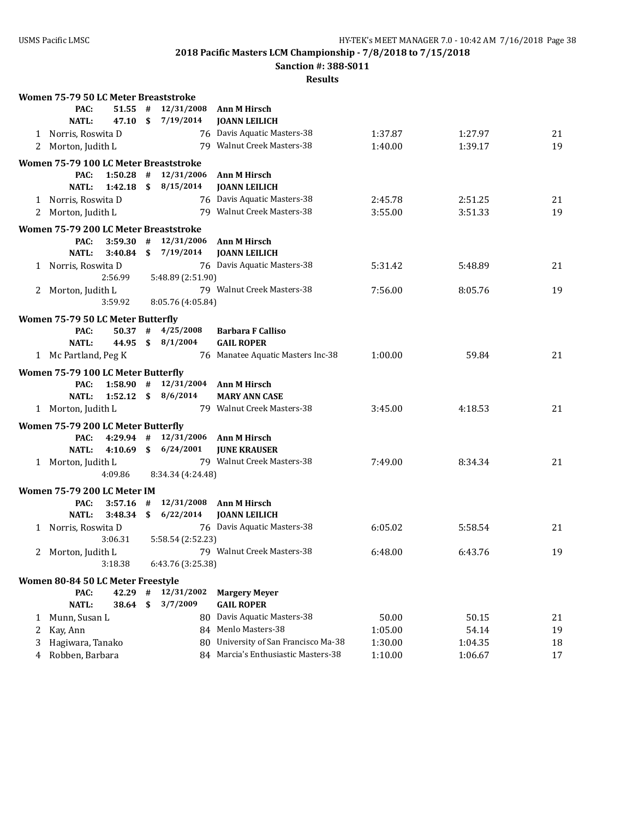**Sanction #: 388-S011**

|   | Women 75-79 50 LC Meter Breaststroke       |               |    |                           |                                                    |         |         |    |
|---|--------------------------------------------|---------------|----|---------------------------|----------------------------------------------------|---------|---------|----|
|   | PAC:                                       | $51.55$ #     |    | 12/31/2008                | Ann M Hirsch                                       |         |         |    |
|   | <b>NATL:</b>                               | 47.10<br>- \$ |    | 7/19/2014                 | <b>JOANN LEILICH</b>                               |         |         |    |
|   | 1 Norris, Roswita D                        |               |    |                           | 76 Davis Aquatic Masters-38                        | 1:37.87 | 1:27.97 | 21 |
|   | 2 Morton, Judith L                         |               |    |                           | 79 Walnut Creek Masters-38                         | 1:40.00 | 1:39.17 | 19 |
|   | Women 75-79 100 LC Meter Breaststroke      |               |    |                           |                                                    |         |         |    |
|   | PAC:                                       |               |    | $1:50.28$ # $12/31/2006$  | Ann M Hirsch                                       |         |         |    |
|   | <b>NATL:</b>                               |               |    | $1:42.18$ \$ $8/15/2014$  | <b>JOANN LEILICH</b>                               |         |         |    |
|   | 1 Norris, Roswita D                        |               |    |                           | 76 Davis Aquatic Masters-38                        | 2:45.78 | 2:51.25 | 21 |
|   | 2 Morton, Judith L                         |               |    |                           | 79 Walnut Creek Masters-38                         | 3:55.00 | 3:51.33 | 19 |
|   | Women 75-79 200 LC Meter Breaststroke      |               |    |                           |                                                    |         |         |    |
|   | PAC:                                       |               |    | $3:59.30$ # $12/31/2006$  | <b>Ann M Hirsch</b>                                |         |         |    |
|   | NATL:                                      |               |    | $3:40.84$ \$ $7/19/2014$  | <b>JOANN LEILICH</b>                               |         |         |    |
|   | 1 Norris, Roswita D                        |               |    |                           | 76 Davis Aquatic Masters-38                        | 5:31.42 | 5:48.89 | 21 |
|   | 2:56.99                                    |               |    | 5:48.89 (2:51.90)         |                                                    |         |         |    |
|   | 2 Morton, Judith L                         |               |    |                           | 79 Walnut Creek Masters-38                         | 7:56.00 | 8:05.76 | 19 |
|   | 3:59.92                                    |               |    | 8:05.76 (4:05.84)         |                                                    |         |         |    |
|   | Women 75-79 50 LC Meter Butterfly          |               |    |                           |                                                    |         |         |    |
|   | PAC:                                       |               |    | $50.37$ # $4/25/2008$     | <b>Barbara F Calliso</b>                           |         |         |    |
|   | <b>NATL:</b>                               |               |    | 44.95 \$ 8/1/2004         | <b>GAIL ROPER</b>                                  |         |         |    |
|   | 1 Mc Partland, Peg K                       |               |    |                           | 76 Manatee Aquatic Masters Inc-38                  | 1:00.00 | 59.84   | 21 |
|   | Women 75-79 100 LC Meter Butterfly         |               |    |                           |                                                    |         |         |    |
|   | PAC:                                       |               |    |                           | 1:58.90 $\#$ 12/31/2004 Ann M Hirsch               |         |         |    |
|   | NATL:                                      |               |    | $1:52.12 \quad $8/6/2014$ | <b>MARY ANN CASE</b>                               |         |         |    |
|   | 1 Morton, Judith L                         |               |    |                           | 79 Walnut Creek Masters-38                         | 3:45.00 | 4:18.53 | 21 |
|   |                                            |               |    |                           |                                                    |         |         |    |
|   | Women 75-79 200 LC Meter Butterfly<br>PAC: |               |    | 4:29.94 # 12/31/2006      | Ann M Hirsch                                       |         |         |    |
|   | <b>NATL:</b>                               |               |    | 4:10.69 \$ 6/24/2001      | <b>JUNE KRAUSER</b>                                |         |         |    |
|   | 1 Morton, Judith L                         |               |    |                           | 79 Walnut Creek Masters-38                         | 7:49.00 | 8:34.34 | 21 |
|   | 4:09.86                                    |               |    | 8:34.34 (4:24.48)         |                                                    |         |         |    |
|   |                                            |               |    |                           |                                                    |         |         |    |
|   | Women 75-79 200 LC Meter IM                |               |    |                           |                                                    |         |         |    |
|   | PAC:                                       | $3:57.16$ #   |    |                           | 12/31/2008 Ann M Hirsch                            |         |         |    |
|   | <b>NATL:</b>                               |               |    | $3:48.34$ \$ $6/22/2014$  | <b>JOANN LEILICH</b>                               |         |         |    |
|   | 1 Norris, Roswita D<br>3:06.31             |               |    | 5:58.54 (2:52.23)         | 76 Davis Aquatic Masters-38                        | 6:05.02 | 5:58.54 | 21 |
|   |                                            |               |    |                           | 79 Walnut Creek Masters-38                         | 6:48.00 | 6:43.76 | 19 |
|   | 2 Morton, Judith L<br>3:18.38              |               |    | 6:43.76 (3:25.38)         |                                                    |         |         |    |
|   |                                            |               |    |                           |                                                    |         |         |    |
|   | Women 80-84 50 LC Meter Freestyle          |               |    |                           |                                                    |         |         |    |
|   | PAC:                                       | 42.29         | #  | 12/31/2002                | <b>Margery Meyer</b>                               |         |         |    |
|   | <b>NATL:</b>                               | 38.64         | \$ | 3/7/2009                  | <b>GAIL ROPER</b>                                  |         |         |    |
| 1 | Munn, Susan L                              |               |    |                           | 80 Davis Aquatic Masters-38<br>84 Menlo Masters-38 | 50.00   | 50.15   | 21 |
| 2 | Kay, Ann                                   |               |    |                           | 80 University of San Francisco Ma-38               | 1:05.00 | 54.14   | 19 |
| 3 | Hagiwara, Tanako                           |               |    |                           |                                                    | 1:30.00 | 1:04.35 | 18 |
| 4 | Robben, Barbara                            |               |    |                           | 84 Marcia's Enthusiastic Masters-38                | 1:10.00 | 1:06.67 | 17 |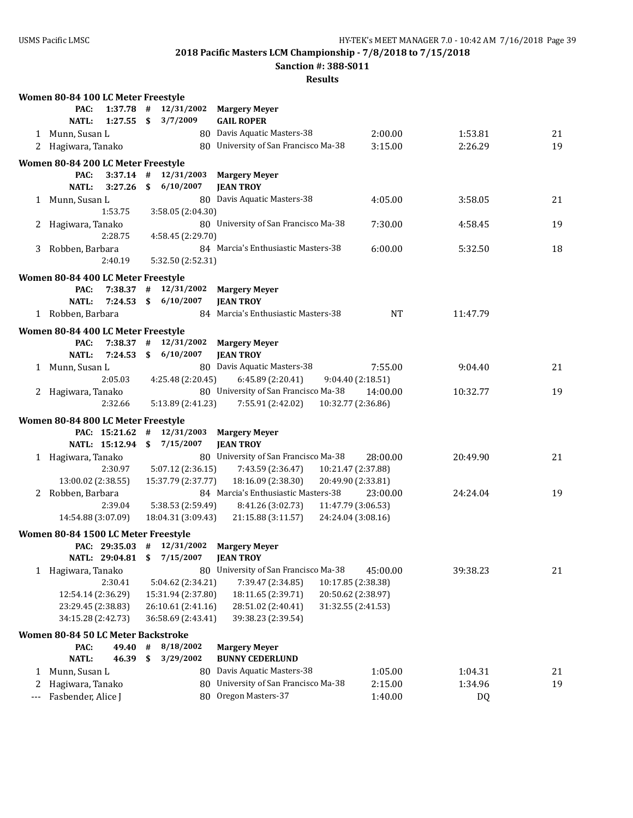**Sanction #: 388-S011**

|       | Women 80-84 100 LC Meter Freestyle  |      |                          |                                                  |                       |    |
|-------|-------------------------------------|------|--------------------------|--------------------------------------------------|-----------------------|----|
|       | $1:37.78$ #<br>PAC:                 |      | 12/31/2002               | <b>Margery Meyer</b>                             |                       |    |
|       | <b>NATL:</b><br>1:27.55             | - \$ | 3/7/2009                 | <b>GAIL ROPER</b>                                |                       |    |
|       | 1 Munn, Susan L                     |      |                          | 80 Davis Aquatic Masters-38<br>2:00.00           | 1:53.81               | 21 |
| 2     | Hagiwara, Tanako                    |      |                          | 80 University of San Francisco Ma-38<br>3:15.00  | 2:26.29               | 19 |
|       | Women 80-84 200 LC Meter Freestyle  |      |                          |                                                  |                       |    |
|       | PAC:                                |      | $3:37.14$ # $12/31/2003$ | <b>Margery Meyer</b>                             |                       |    |
|       | <b>NATL:</b><br>3:27.26             |      | \$6/10/2007              | <b>JEAN TROY</b>                                 |                       |    |
|       | 1 Munn, Susan L                     |      |                          | 80 Davis Aquatic Masters-38<br>4:05.00           | 3:58.05               | 21 |
|       | 1:53.75                             |      | 3:58.05 (2:04.30)        |                                                  |                       |    |
| 2     | Hagiwara, Tanako                    |      |                          | 80 University of San Francisco Ma-38<br>7:30.00  | 4:58.45               | 19 |
|       | 2:28.75                             |      | 4:58.45 (2:29.70)        |                                                  |                       |    |
|       | 3 Robben, Barbara                   |      |                          | 84 Marcia's Enthusiastic Masters-38<br>6:00.00   | 5:32.50               | 18 |
|       | 2:40.19                             |      | 5:32.50 (2:52.31)        |                                                  |                       |    |
|       | Women 80-84 400 LC Meter Freestyle  |      |                          |                                                  |                       |    |
|       | PAC:                                |      | $7:38.37$ # $12/31/2002$ | <b>Margery Meyer</b>                             |                       |    |
|       | $7:24.53$ \$<br><b>NATL:</b>        |      | 6/10/2007                | <b>JEAN TROY</b>                                 |                       |    |
|       | 1 Robben, Barbara                   |      |                          | 84 Marcia's Enthusiastic Masters-38              | <b>NT</b><br>11:47.79 |    |
|       |                                     |      |                          |                                                  |                       |    |
|       | Women 80-84 400 LC Meter Freestyle  |      |                          |                                                  |                       |    |
|       | PAC:<br>$7:38.37$ #                 |      |                          | 12/31/2002 Margery Meyer                         |                       |    |
|       | <b>NATL:</b><br>7:24.53             |      | \$6/10/2007              | <b>JEAN TROY</b>                                 |                       |    |
|       | 1 Munn, Susan L                     |      |                          | 80 Davis Aquatic Masters-38<br>7:55.00           | 9:04.40               | 21 |
|       | 2:05.03                             |      | 4:25.48 (2:20.45)        | 6:45.89 (2:20.41)<br>9:04.40 (2:18.51)           |                       |    |
|       | 2 Hagiwara, Tanako                  |      |                          | 80 University of San Francisco Ma-38<br>14:00.00 | 10:32.77              | 19 |
|       | 2:32.66                             |      | 5:13.89 (2:41.23)        | 7:55.91 (2:42.02)<br>10:32.77 (2:36.86)          |                       |    |
|       | Women 80-84 800 LC Meter Freestyle  |      |                          |                                                  |                       |    |
|       | PAC: 15:21.62                       | #    | 12/31/2003               | <b>Margery Meyer</b>                             |                       |    |
|       | NATL: 15:12.94 \$                   |      | 7/15/2007                | <b>JEAN TROY</b>                                 |                       |    |
|       | 1 Hagiwara, Tanako                  |      |                          | 80 University of San Francisco Ma-38<br>28:00.00 | 20:49.90              | 21 |
|       | 2:30.97                             |      | 5:07.12 (2:36.15)        | 7:43.59 (2:36.47)<br>10:21.47 (2:37.88)          |                       |    |
|       | 13:00.02 (2:38.55)                  |      | 15:37.79 (2:37.77)       | 18:16.09 (2:38.30)<br>20:49.90 (2:33.81)         |                       |    |
|       | 2 Robben, Barbara                   |      |                          | 84 Marcia's Enthusiastic Masters-38<br>23:00.00  | 24:24.04              | 19 |
|       | 2:39.04                             |      | 5:38.53 (2:59.49)        | 8:41.26 (3:02.73)<br>11:47.79 (3:06.53)          |                       |    |
|       | 14:54.88 (3:07.09)                  |      | 18:04.31 (3:09.43)       | 21:15.88 (3:11.57)<br>24:24.04 (3:08.16)         |                       |    |
|       | Women 80-84 1500 LC Meter Freestyle |      |                          |                                                  |                       |    |
|       | PAC: 29:35.03 # 12/31/2002          |      |                          | <b>Margery Meyer</b>                             |                       |    |
|       | NATL: 29:04.81                      | \$   | 7/15/2007                | <b>JEAN TROY</b>                                 |                       |    |
|       | 1 Hagiwara, Tanako                  |      | 80                       | University of San Francisco Ma-38<br>45:00.00    | 39:38.23              | 21 |
|       | 2:30.41                             |      | 5:04.62 (2:34.21)        | 7:39.47 (2:34.85)<br>10:17.85 (2:38.38)          |                       |    |
|       | 12:54.14 (2:36.29)                  |      | 15:31.94 (2:37.80)       | 20:50.62 (2:38.97)<br>18:11.65 (2:39.71)         |                       |    |
|       | 23:29.45 (2:38.83)                  |      | 26:10.61 (2:41.16)       | 28:51.02 (2:40.41)<br>31:32.55 (2:41.53)         |                       |    |
|       | 34:15.28 (2:42.73)                  |      | 36:58.69 (2:43.41)       | 39:38.23 (2:39.54)                               |                       |    |
|       | Women 80-84 50 LC Meter Backstroke  |      |                          |                                                  |                       |    |
|       | PAC:<br>49.40                       | $\#$ | 8/18/2002                | <b>Margery Meyer</b>                             |                       |    |
|       | <b>NATL:</b><br>46.39               | \$   | 3/29/2002                | <b>BUNNY CEDERLUND</b>                           |                       |    |
| 1     | Munn, Susan L                       |      |                          | 80 Davis Aquatic Masters-38<br>1:05.00           | 1:04.31               | 21 |
| 2     | Hagiwara, Tanako                    |      |                          | 80 University of San Francisco Ma-38<br>2:15.00  | 1:34.96               | 19 |
| $---$ | Fasbender, Alice J                  |      |                          | 80 Oregon Masters-37<br>1:40.00                  | <b>DQ</b>             |    |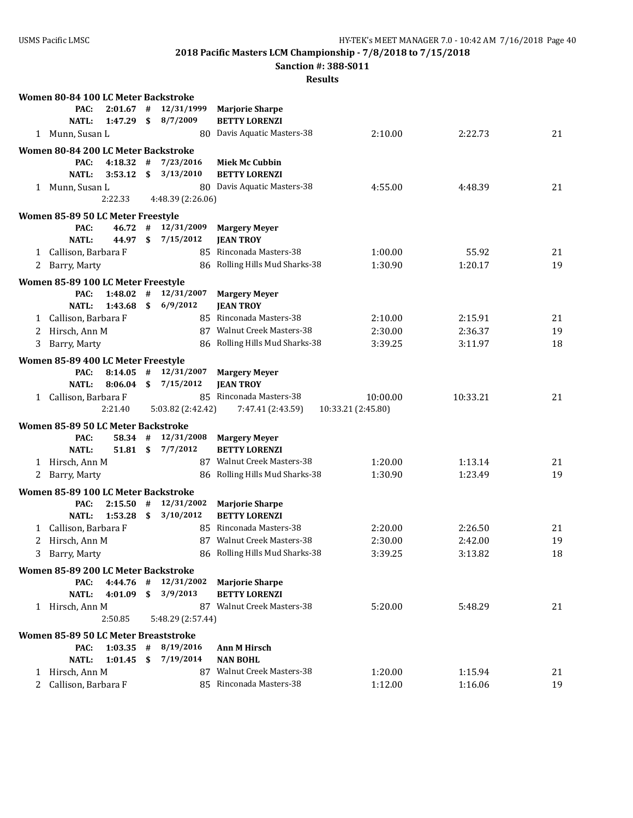**Sanction #: 388-S011**

|   | Women 80-84 100 LC Meter Backstroke  |              |      |                          |                                |                    |          |    |
|---|--------------------------------------|--------------|------|--------------------------|--------------------------------|--------------------|----------|----|
|   | PAC:                                 | 2:01.67      | #    | 12/31/1999               | <b>Marjorie Sharpe</b>         |                    |          |    |
|   | <b>NATL:</b>                         | 1:47.29      | \$   | 8/7/2009                 | <b>BETTY LORENZI</b>           |                    |          |    |
|   | 1 Munn, Susan L                      |              |      |                          | 80 Davis Aquatic Masters-38    | 2:10.00            | 2:22.73  | 21 |
|   | Women 80-84 200 LC Meter Backstroke  |              |      |                          |                                |                    |          |    |
|   | PAC:                                 | 4:18.32      | #    | 7/23/2016                | <b>Miek Mc Cubbin</b>          |                    |          |    |
|   | NATL:                                | 3:53.12      | \$   | 3/13/2010                | <b>BETTY LORENZI</b>           |                    |          |    |
|   | 1 Munn, Susan L                      |              |      |                          | 80 Davis Aquatic Masters-38    | 4:55.00            | 4:48.39  | 21 |
|   |                                      | 2:22.33      |      | 4:48.39 (2:26.06)        |                                |                    |          |    |
|   |                                      |              |      |                          |                                |                    |          |    |
|   | Women 85-89 50 LC Meter Freestyle    |              |      |                          |                                |                    |          |    |
|   | PAC:                                 | 46.72        | #    | 12/31/2009               | <b>Margery Meyer</b>           |                    |          |    |
|   | <b>NATL:</b>                         | 44.97        | \$   | 7/15/2012                | <b>JEAN TROY</b>               |                    |          |    |
| 1 | Callison, Barbara F                  |              |      |                          | 85 Rinconada Masters-38        | 1:00.00            | 55.92    | 21 |
| 2 | Barry, Marty                         |              |      |                          | 86 Rolling Hills Mud Sharks-38 | 1:30.90            | 1:20.17  | 19 |
|   | Women 85-89 100 LC Meter Freestyle   |              |      |                          |                                |                    |          |    |
|   | PAC:                                 | $1:48.02$ #  |      | 12/31/2007               | <b>Margery Meyer</b>           |                    |          |    |
|   | <b>NATL:</b>                         | $1:43.68$ \$ |      | 6/9/2012                 | <b>JEAN TROY</b>               |                    |          |    |
|   | 1 Callison, Barbara F                |              |      |                          | 85 Rinconada Masters-38        | 2:10.00            | 2:15.91  | 21 |
| 2 | Hirsch, Ann M                        |              |      |                          | 87 Walnut Creek Masters-38     | 2:30.00            | 2:36.37  | 19 |
| 3 | Barry, Marty                         |              |      |                          | 86 Rolling Hills Mud Sharks-38 | 3:39.25            | 3:11.97  | 18 |
|   |                                      |              |      |                          |                                |                    |          |    |
|   | Women 85-89 400 LC Meter Freestyle   |              |      |                          |                                |                    |          |    |
|   | PAC:                                 | 8:14.05      | #    | 12/31/2007               | <b>Margery Meyer</b>           |                    |          |    |
|   | NATL:                                | 8:06.04      | \$   | 7/15/2012                | <b>JEAN TROY</b>               |                    |          |    |
| 1 | Callison, Barbara F                  |              |      |                          | 85 Rinconada Masters-38        | 10:00.00           | 10:33.21 | 21 |
|   |                                      | 2:21.40      |      | 5:03.82 (2:42.42)        | 7:47.41 (2:43.59)              | 10:33.21 (2:45.80) |          |    |
|   | Women 85-89 50 LC Meter Backstroke   |              |      |                          |                                |                    |          |    |
|   | PAC:                                 | 58.34 #      |      | 12/31/2008               | <b>Margery Meyer</b>           |                    |          |    |
|   | <b>NATL:</b>                         | 51.81 \$     |      | 7/7/2012                 | <b>BETTY LORENZI</b>           |                    |          |    |
|   | 1 Hirsch, Ann M                      |              |      |                          | 87 Walnut Creek Masters-38     | 1:20.00            | 1:13.14  | 21 |
| 2 | Barry, Marty                         |              |      |                          | 86 Rolling Hills Mud Sharks-38 | 1:30.90            | 1:23.49  | 19 |
|   | Women 85-89 100 LC Meter Backstroke  |              |      |                          |                                |                    |          |    |
|   | PAC:                                 | 2:15.50      | #    | 12/31/2002               | <b>Marjorie Sharpe</b>         |                    |          |    |
|   | <b>NATL:</b>                         | 1:53.28      | \$   | 3/10/2012                | <b>BETTY LORENZI</b>           |                    |          |    |
| 1 | Callison, Barbara F                  |              |      |                          | 85 Rinconada Masters-38        | 2:20.00            | 2:26.50  | 21 |
| 2 | Hirsch, Ann M                        |              |      |                          | 87 Walnut Creek Masters-38     | 2:30.00            | 2:42.00  | 19 |
|   | 3 Barry, Marty                       |              |      |                          | 86 Rolling Hills Mud Sharks-38 | 3:39.25            | 3:13.82  | 18 |
|   |                                      |              |      |                          |                                |                    |          |    |
|   | Women 85-89 200 LC Meter Backstroke  |              |      |                          |                                |                    |          |    |
|   | PAC:                                 |              |      | $4:44.76$ # $12/31/2002$ | <b>Marjorie Sharpe</b>         |                    |          |    |
|   | <b>NATL:</b>                         |              |      | 4:01.09 \$ 3/9/2013      | <b>BETTY LORENZI</b>           |                    |          |    |
|   | 1 Hirsch, Ann M                      |              |      |                          | 87 Walnut Creek Masters-38     | 5:20.00            | 5:48.29  | 21 |
|   |                                      | 2:50.85      |      | 5:48.29 (2:57.44)        |                                |                    |          |    |
|   | Women 85-89 50 LC Meter Breaststroke |              |      |                          |                                |                    |          |    |
|   | PAC:                                 |              |      | $1:03.35$ # 8/19/2016    | <b>Ann M Hirsch</b>            |                    |          |    |
|   | NATL:                                | 1:01.45      | - \$ | 7/19/2014                | <b>NAN BOHL</b>                |                    |          |    |
|   | 1 Hirsch, Ann M                      |              |      |                          | 87 Walnut Creek Masters-38     | 1:20.00            | 1:15.94  | 21 |
|   | 2 Callison, Barbara F                |              |      |                          | 85 Rinconada Masters-38        | 1:12.00            | 1:16.06  | 19 |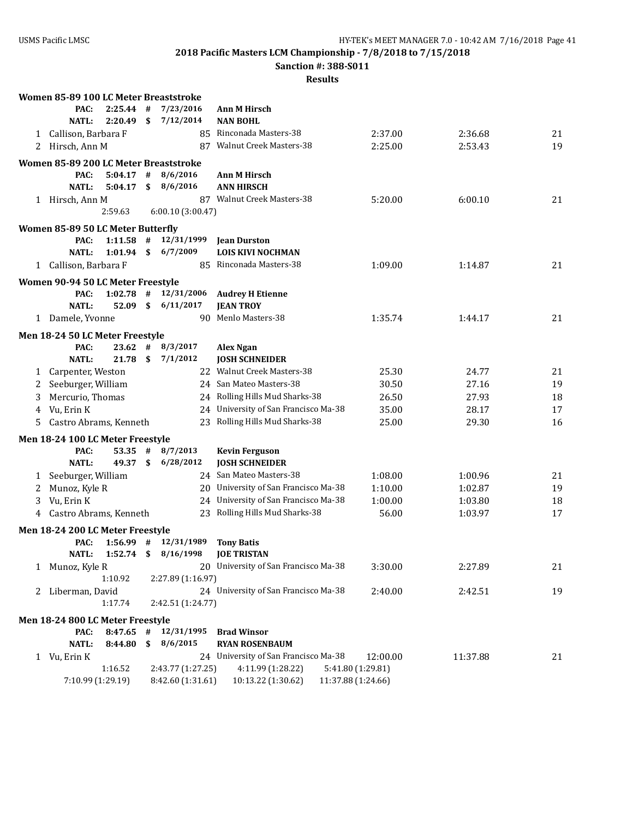**Sanction #: 388-S011**

|   | Women 85-89 100 LC Meter Breaststroke     |              |      |                          |                                                                                |                    |          |    |
|---|-------------------------------------------|--------------|------|--------------------------|--------------------------------------------------------------------------------|--------------------|----------|----|
|   | PAC:                                      | 2:25.44      | #    | 7/23/2016                | <b>Ann M Hirsch</b>                                                            |                    |          |    |
|   | <b>NATL:</b>                              | 2:20.49      | \$   | 7/12/2014                | <b>NAN BOHL</b>                                                                |                    |          |    |
|   | 1 Callison, Barbara F                     |              |      |                          | 85 Rinconada Masters-38                                                        | 2:37.00            | 2:36.68  | 21 |
|   | 2 Hirsch, Ann M                           |              |      |                          | 87 Walnut Creek Masters-38                                                     | 2:25.00            | 2:53.43  | 19 |
|   | Women 85-89 200 LC Meter Breaststroke     |              |      |                          |                                                                                |                    |          |    |
|   | PAC:                                      | $5:04.17$ #  |      | 8/6/2016                 | <b>Ann M Hirsch</b>                                                            |                    |          |    |
|   | <b>NATL:</b>                              | 5:04.17      | \$   | 8/6/2016                 | <b>ANN HIRSCH</b>                                                              |                    |          |    |
|   | 1 Hirsch, Ann M                           |              |      |                          | 87 Walnut Creek Masters-38                                                     | 5:20.00            | 6:00.10  | 21 |
|   |                                           | 2:59.63      |      | 6:00.10(3:00.47)         |                                                                                |                    |          |    |
|   |                                           |              |      |                          |                                                                                |                    |          |    |
|   | Women 85-89 50 LC Meter Butterfly<br>PAC: |              |      | $1:11.58$ # $12/31/1999$ | <b>Jean Durston</b>                                                            |                    |          |    |
|   | <b>NATL:</b>                              | $1:01.94$ \$ |      | 6/7/2009                 | <b>LOIS KIVI NOCHMAN</b>                                                       |                    |          |    |
|   |                                           |              |      |                          | 85 Rinconada Masters-38                                                        |                    |          | 21 |
|   | 1 Callison, Barbara F                     |              |      |                          |                                                                                | 1:09.00            | 1:14.87  |    |
|   | Women 90-94 50 LC Meter Freestyle         |              |      |                          |                                                                                |                    |          |    |
|   | PAC:                                      | 1:02.78      | #    | 12/31/2006               | <b>Audrey H Etienne</b>                                                        |                    |          |    |
|   | <b>NATL:</b>                              | 52.09        | \$   | 6/11/2017                | <b>JEAN TROY</b>                                                               |                    |          |    |
|   | 1 Damele, Yvonne                          |              |      |                          | 90 Menlo Masters-38                                                            | 1:35.74            | 1:44.17  | 21 |
|   | Men 18-24 50 LC Meter Freestyle           |              |      |                          |                                                                                |                    |          |    |
|   | PAC:                                      | $23.62$ #    |      | 8/3/2017                 | <b>Alex Ngan</b>                                                               |                    |          |    |
|   | <b>NATL:</b>                              | 21.78        | - \$ | 7/1/2012                 | <b>JOSH SCHNEIDER</b>                                                          |                    |          |    |
|   | 1 Carpenter, Weston                       |              |      |                          | 22 Walnut Creek Masters-38                                                     | 25.30              | 24.77    | 21 |
| 2 | Seeburger, William                        |              |      |                          | 24 San Mateo Masters-38                                                        | 30.50              | 27.16    | 19 |
| 3 | Mercurio, Thomas                          |              |      |                          | 24 Rolling Hills Mud Sharks-38                                                 | 26.50              | 27.93    | 18 |
| 4 | Vu, Erin K                                |              |      |                          | 24 University of San Francisco Ma-38                                           | 35.00              | 28.17    | 17 |
| 5 | Castro Abrams, Kenneth                    |              |      |                          | 23 Rolling Hills Mud Sharks-38                                                 | 25.00              | 29.30    | 16 |
|   | Men 18-24 100 LC Meter Freestyle          |              |      |                          |                                                                                |                    |          |    |
|   | PAC:                                      | $53.35$ #    |      | 8/7/2013                 | <b>Kevin Ferguson</b>                                                          |                    |          |    |
|   | <b>NATL:</b>                              | 49.37        | S.   | 6/28/2012                | <b>JOSH SCHNEIDER</b>                                                          |                    |          |    |
| 1 | Seeburger, William                        |              |      |                          | 24 San Mateo Masters-38                                                        | 1:08.00            | 1:00.96  | 21 |
| 2 | Munoz, Kyle R                             |              |      |                          | 20 University of San Francisco Ma-38                                           | 1:10.00            | 1:02.87  | 19 |
| 3 | Vu, Erin K                                |              |      |                          | 24 University of San Francisco Ma-38                                           | 1:00.00            | 1:03.80  | 18 |
| 4 | Castro Abrams, Kenneth                    |              |      |                          | 23 Rolling Hills Mud Sharks-38                                                 | 56.00              | 1:03.97  | 17 |
|   |                                           |              |      |                          |                                                                                |                    |          |    |
|   | Men 18-24 200 LC Meter Freestyle          |              |      |                          |                                                                                |                    |          |    |
|   | PAC:                                      |              |      | $1:56.99$ # $12/31/1989$ | <b>Tony Batis</b>                                                              |                    |          |    |
|   |                                           |              |      |                          | NATL: 1:52.74 \$ 8/16/1998 JOE TRISTAN<br>20 University of San Francisco Ma-38 |                    |          |    |
|   | 1 Munoz, Kyle R                           |              |      |                          |                                                                                | 3:30.00            | 2:27.89  | 21 |
|   |                                           | 1:10.92      |      | 2:27.89 (1:16.97)        |                                                                                |                    |          |    |
|   | 2 Liberman, David                         |              |      |                          | 24 University of San Francisco Ma-38                                           | 2:40.00            | 2:42.51  | 19 |
|   |                                           | 1:17.74      |      | 2:42.51 (1:24.77)        |                                                                                |                    |          |    |
|   | Men 18-24 800 LC Meter Freestyle          |              |      |                          |                                                                                |                    |          |    |
|   | PAC:                                      | 8:47.65      | #    | 12/31/1995               | <b>Brad Winsor</b>                                                             |                    |          |    |
|   | <b>NATL:</b>                              | 8:44.80      | \$   | 8/6/2015                 | <b>RYAN ROSENBAUM</b>                                                          |                    |          |    |
|   | 1 Vu, Erin K                              |              |      |                          | 24 University of San Francisco Ma-38                                           | 12:00.00           | 11:37.88 | 21 |
|   |                                           | 1:16.52      |      | 2:43.77 (1:27.25)        | 4:11.99 (1:28.22)                                                              | 5:41.80 (1:29.81)  |          |    |
|   | 7:10.99 (1:29.19)                         |              |      | 8:42.60 (1:31.61)        | 10:13.22 (1:30.62)                                                             | 11:37.88 (1:24.66) |          |    |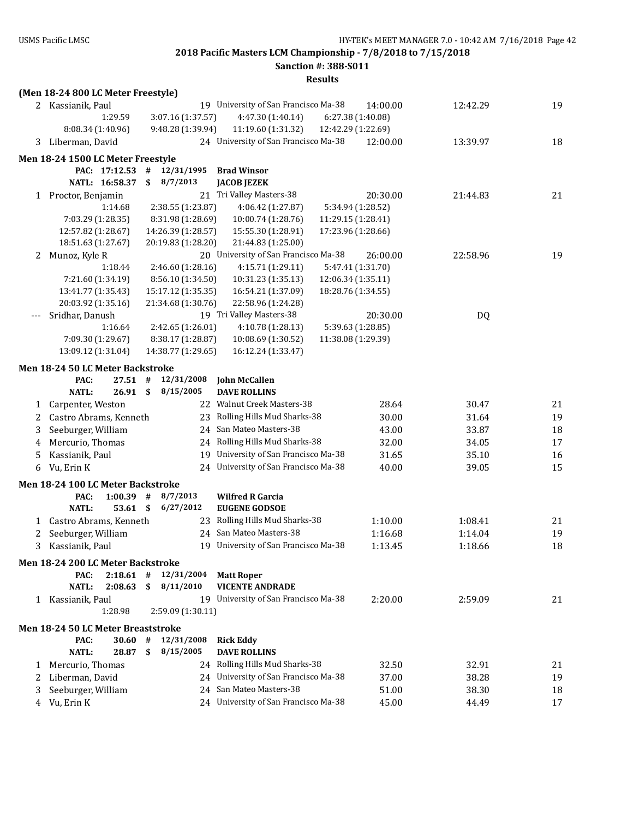**Sanction #: 388-S011**

|              | (Men 18-24 800 LC Meter Freestyle)             |                               |                                                            |                    |          |    |
|--------------|------------------------------------------------|-------------------------------|------------------------------------------------------------|--------------------|----------|----|
|              | 2 Kassianik, Paul                              |                               | 19 University of San Francisco Ma-38                       | 14:00.00           | 12:42.29 | 19 |
|              | 1:29.59                                        | 3:07.16 (1:37.57)             | 4:47.30 (1:40.14)                                          | 6:27.38 (1:40.08)  |          |    |
|              | 8:08.34 (1:40.96)                              | 9:48.28 (1:39.94)             | 11:19.60 (1:31.32)                                         | 12:42.29 (1:22.69) |          |    |
|              | 3 Liberman, David                              |                               | 24 University of San Francisco Ma-38                       | 12:00.00           | 13:39.97 | 18 |
|              |                                                |                               |                                                            |                    |          |    |
|              | Men 18-24 1500 LC Meter Freestyle              |                               |                                                            |                    |          |    |
|              | PAC: 17:12.53 #                                | 12/31/1995                    | <b>Brad Winsor</b>                                         |                    |          |    |
|              | NATL: 16:58.37                                 | 8/7/2013<br>\$                | <b>JACOB JEZEK</b>                                         |                    |          |    |
|              | 1 Proctor, Benjamin                            |                               | 21 Tri Valley Masters-38                                   | 20:30.00           | 21:44.83 | 21 |
|              | 1:14.68                                        | 2:38.55 (1:23.87)             | 4:06.42 (1:27.87)                                          | 5:34.94 (1:28.52)  |          |    |
|              | 7:03.29 (1:28.35)                              | 8:31.98 (1:28.69)             | 10:00.74 (1:28.76)                                         | 11:29.15 (1:28.41) |          |    |
|              | 12:57.82 (1:28.67)                             | 14:26.39 (1:28.57)            | 15:55.30 (1:28.91)                                         | 17:23.96 (1:28.66) |          |    |
|              | 18:51.63 (1:27.67)<br>Munoz, Kyle R            | 20:19.83 (1:28.20)            | 21:44.83 (1:25.00)<br>20 University of San Francisco Ma-38 | 26:00.00           | 22:58.96 | 19 |
| 2            | 1:18.44                                        | 2:46.60 (1:28.16)             | 4:15.71 (1:29.11)                                          | 5:47.41 (1:31.70)  |          |    |
|              | 7:21.60 (1:34.19)                              | 8:56.10 (1:34.50)             | 10:31.23 (1:35.13)                                         | 12:06.34 (1:35.11) |          |    |
|              | 13:41.77 (1:35.43)                             | 15:17.12 (1:35.35)            | 16:54.21 (1:37.09)                                         | 18:28.76 (1:34.55) |          |    |
|              | 20:03.92 (1:35.16)                             | 21:34.68 (1:30.76)            | 22:58.96 (1:24.28)                                         |                    |          |    |
|              | Sridhar, Danush                                |                               | 19 Tri Valley Masters-38                                   | 20:30.00           | DQ       |    |
|              | 1:16.64                                        | 2:42.65 (1:26.01)             | 4:10.78 (1:28.13)                                          | 5:39.63 (1:28.85)  |          |    |
|              | 7:09.30 (1:29.67)                              | 8:38.17 (1:28.87)             | 10:08.69 (1:30.52)                                         | 11:38.08 (1:29.39) |          |    |
|              | 13:09.12 (1:31.04)                             | 14:38.77 (1:29.65)            | 16:12.24 (1:33.47)                                         |                    |          |    |
|              | Men 18-24 50 LC Meter Backstroke               |                               |                                                            |                    |          |    |
|              | PAC:<br>$27.51$ #                              | 12/31/2008                    | <b>John McCallen</b>                                       |                    |          |    |
|              | <b>NATL:</b><br>26.91S                         | 8/15/2005                     | <b>DAVE ROLLINS</b>                                        |                    |          |    |
| $\mathbf{1}$ | Carpenter, Weston                              |                               | 22 Walnut Creek Masters-38                                 | 28.64              | 30.47    | 21 |
| 2            | Castro Abrams, Kenneth                         |                               | 23 Rolling Hills Mud Sharks-38                             | 30.00              | 31.64    | 19 |
| 3            | Seeburger, William                             |                               | 24 San Mateo Masters-38                                    | 43.00              | 33.87    | 18 |
| 4            | Mercurio, Thomas                               |                               | 24 Rolling Hills Mud Sharks-38                             | 32.00              | 34.05    | 17 |
| 5            | Kassianik, Paul                                |                               | 19 University of San Francisco Ma-38                       | 31.65              | 35.10    | 16 |
| 6            | Vu, Erin K                                     |                               | 24 University of San Francisco Ma-38                       | 40.00              | 39.05    | 15 |
|              | Men 18-24 100 LC Meter Backstroke              |                               |                                                            |                    |          |    |
|              | $1:00.39$ #<br>PAC:                            | 8/7/2013                      | <b>Wilfred R Garcia</b>                                    |                    |          |    |
|              | $53.61$ \$<br><b>NATL:</b>                     | 6/27/2012                     | <b>EUGENE GODSOE</b>                                       |                    |          |    |
|              | 1 Castro Abrams, Kenneth                       |                               | 23 Rolling Hills Mud Sharks-38                             | 1:10.00            | 1:08.41  | 21 |
| 2            | Seeburger, William                             |                               | 24 San Mateo Masters-38                                    | 1:16.68            | 1:14.04  | 19 |
| 3            | Kassianik, Paul                                |                               | 19 University of San Francisco Ma-38                       | 1:13.45            | 1:18.66  | 18 |
|              |                                                |                               |                                                            |                    |          |    |
|              | Men 18-24 200 LC Meter Backstroke              |                               |                                                            |                    |          |    |
|              | $2:18.61$ #<br>PAC:<br><b>NATL:</b><br>2:08.63 | 12/31/2004<br>8/11/2010<br>\$ | <b>Matt Roper</b><br><b>VICENTE ANDRADE</b>                |                    |          |    |
|              |                                                |                               | 19 University of San Francisco Ma-38                       |                    |          |    |
|              | 1 Kassianik, Paul<br>1:28.98                   | 2:59.09 (1:30.11)             |                                                            | 2:20.00            | 2:59.09  | 21 |
|              |                                                |                               |                                                            |                    |          |    |
|              | Men 18-24 50 LC Meter Breaststroke             |                               |                                                            |                    |          |    |
|              | PAC:<br>30.60                                  | $\#$<br>12/31/2008            | <b>Rick Eddy</b>                                           |                    |          |    |
|              | <b>NATL:</b><br>28.87 \$                       | 8/15/2005                     | <b>DAVE ROLLINS</b>                                        |                    |          |    |
| 1            | Mercurio, Thomas                               |                               | 24 Rolling Hills Mud Sharks-38                             | 32.50              | 32.91    | 21 |
| 2            | Liberman, David                                |                               | 24 University of San Francisco Ma-38                       | 37.00              | 38.28    | 19 |
| 3            | Seeburger, William                             |                               | 24 San Mateo Masters-38                                    | 51.00              | 38.30    | 18 |
|              | 4 Vu, Erin K                                   |                               | 24 University of San Francisco Ma-38                       | 45.00              | 44.49    | 17 |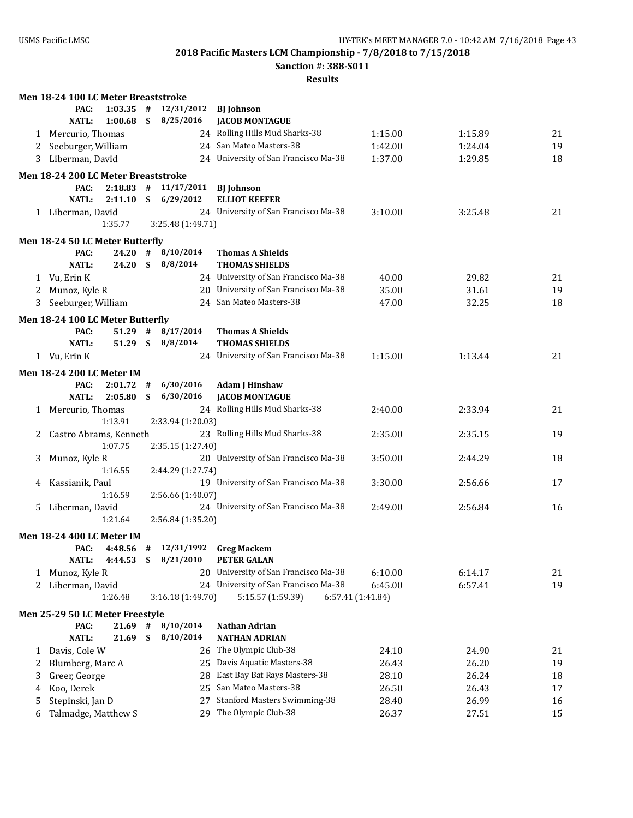**Sanction #: 388-S011**

|    | Men 18-24 100 LC Meter Breaststroke      |                    |      |                          |                                                  |                   |         |    |
|----|------------------------------------------|--------------------|------|--------------------------|--------------------------------------------------|-------------------|---------|----|
|    | PAC:                                     | $1:03.35$ #        |      | 12/31/2012               | <b>BJ</b> Johnson                                |                   |         |    |
|    | <b>NATL:</b>                             | 1:00.68            | \$   | 8/25/2016                | <b>JACOB MONTAGUE</b>                            |                   |         |    |
|    | 1 Mercurio, Thomas                       |                    |      |                          | 24 Rolling Hills Mud Sharks-38                   | 1:15.00           | 1:15.89 | 21 |
| 2  | Seeburger, William                       |                    |      |                          | 24 San Mateo Masters-38                          | 1:42.00           | 1:24.04 | 19 |
| 3  | Liberman, David                          |                    |      |                          | 24 University of San Francisco Ma-38             | 1:37.00           | 1:29.85 | 18 |
|    | Men 18-24 200 LC Meter Breaststroke      |                    |      |                          |                                                  |                   |         |    |
|    | PAC:                                     |                    |      | $2:18.83$ # $11/17/2011$ | <b>BJ</b> Johnson                                |                   |         |    |
|    | <b>NATL:</b>                             | 2:11.10            | \$   | 6/29/2012                | <b>ELLIOT KEEFER</b>                             |                   |         |    |
|    | 1 Liberman, David                        |                    |      |                          | 24 University of San Francisco Ma-38             | 3:10.00           | 3:25.48 | 21 |
|    |                                          | 1:35.77            |      | 3:25.48 (1:49.71)        |                                                  |                   |         |    |
|    | Men 18-24 50 LC Meter Butterfly          |                    |      |                          |                                                  |                   |         |    |
|    | PAC:                                     | 24.20              | #    | 8/10/2014                | <b>Thomas A Shields</b>                          |                   |         |    |
|    | <b>NATL:</b>                             | 24.20              | - \$ | 8/8/2014                 | <b>THOMAS SHIELDS</b>                            |                   |         |    |
|    | 1 Vu, Erin K                             |                    |      |                          | 24 University of San Francisco Ma-38             | 40.00             | 29.82   | 21 |
| 2  | Munoz, Kyle R                            |                    |      |                          | 20 University of San Francisco Ma-38             | 35.00             | 31.61   | 19 |
|    | Seeburger, William                       |                    |      |                          | 24 San Mateo Masters-38                          | 47.00             | 32.25   | 18 |
|    |                                          |                    |      |                          |                                                  |                   |         |    |
|    | Men 18-24 100 LC Meter Butterfly         |                    |      |                          |                                                  |                   |         |    |
|    | PAC:<br><b>NATL:</b>                     | $51.29$ #<br>51.29 | \$   | 8/17/2014<br>8/8/2014    | <b>Thomas A Shields</b><br><b>THOMAS SHIELDS</b> |                   |         |    |
|    | 1 Vu, Erin K                             |                    |      |                          | 24 University of San Francisco Ma-38             | 1:15.00           | 1:13.44 | 21 |
|    |                                          |                    |      |                          |                                                  |                   |         |    |
|    | <b>Men 18-24 200 LC Meter IM</b>         |                    |      |                          |                                                  |                   |         |    |
|    | PAC:                                     | $2:01.72$ #        |      | 6/30/2016                | <b>Adam J Hinshaw</b>                            |                   |         |    |
|    | <b>NATL:</b>                             | 2:05.80            | \$   | 6/30/2016                | <b>JACOB MONTAGUE</b>                            |                   |         |    |
|    | 1 Mercurio, Thomas                       |                    |      |                          | 24 Rolling Hills Mud Sharks-38                   | 2:40.00           | 2:33.94 | 21 |
|    |                                          | 1:13.91            |      | 2:33.94 (1:20.03)        |                                                  |                   |         |    |
|    | Castro Abrams, Kenneth                   |                    |      |                          | 23 Rolling Hills Mud Sharks-38                   | 2:35.00           | 2:35.15 | 19 |
|    |                                          | 1:07.75            |      | 2:35.15 (1:27.40)        | 20 University of San Francisco Ma-38             |                   |         |    |
| 3  | Munoz, Kyle R                            | 1:16.55            |      | 2:44.29 (1:27.74)        |                                                  | 3:50.00           | 2:44.29 | 18 |
|    | Kassianik, Paul                          |                    |      |                          | 19 University of San Francisco Ma-38             | 3:30.00           | 2:56.66 | 17 |
| 4  |                                          | 1:16.59            |      | 2:56.66 (1:40.07)        |                                                  |                   |         |    |
| 5. | Liberman, David                          |                    |      |                          | 24 University of San Francisco Ma-38             | 2:49.00           | 2:56.84 | 16 |
|    |                                          | 1:21.64            |      | 2:56.84 (1:35.20)        |                                                  |                   |         |    |
|    |                                          |                    |      |                          |                                                  |                   |         |    |
|    | <b>Men 18-24 400 LC Meter IM</b><br>PAC: |                    |      |                          | 12/31/1992 Greg Mackem                           |                   |         |    |
|    | <b>NATL:</b>                             | $4:48.56$ #        |      | 4:44.53 \$ 8/21/2010     | <b>PETER GALAN</b>                               |                   |         |    |
| 1  | Munoz, Kyle R                            |                    |      | 20                       | University of San Francisco Ma-38                | 6:10.00           | 6:14.17 | 21 |
| 2  | Liberman, David                          |                    |      |                          | 24 University of San Francisco Ma-38             | 6:45.00           | 6:57.41 | 19 |
|    |                                          | 1:26.48            |      | 3:16.18 (1:49.70)        | 5:15.57 (1:59.39)                                | 6:57.41 (1:41.84) |         |    |
|    |                                          |                    |      |                          |                                                  |                   |         |    |
|    | Men 25-29 50 LC Meter Freestyle<br>PAC:  | 21.69              | #    | 8/10/2014                | <b>Nathan Adrian</b>                             |                   |         |    |
|    | <b>NATL:</b>                             | 21.69              | \$   | 8/10/2014                | <b>NATHAN ADRIAN</b>                             |                   |         |    |
|    | 1 Davis, Cole W                          |                    |      |                          | 26 The Olympic Club-38                           | 24.10             | 24.90   | 21 |
| 2  | Blumberg, Marc A                         |                    |      |                          | 25 Davis Aquatic Masters-38                      | 26.43             | 26.20   | 19 |
| 3  | Greer, George                            |                    |      | 28                       | East Bay Bat Rays Masters-38                     | 28.10             | 26.24   | 18 |
| 4  | Koo, Derek                               |                    |      | 25                       | San Mateo Masters-38                             | 26.50             | 26.43   | 17 |
| 5  | Stepinski, Jan D                         |                    |      | 27                       | <b>Stanford Masters Swimming-38</b>              | 28.40             | 26.99   | 16 |
| 6  | Talmadge, Matthew S                      |                    |      |                          | 29 The Olympic Club-38                           | 26.37             | 27.51   | 15 |
|    |                                          |                    |      |                          |                                                  |                   |         |    |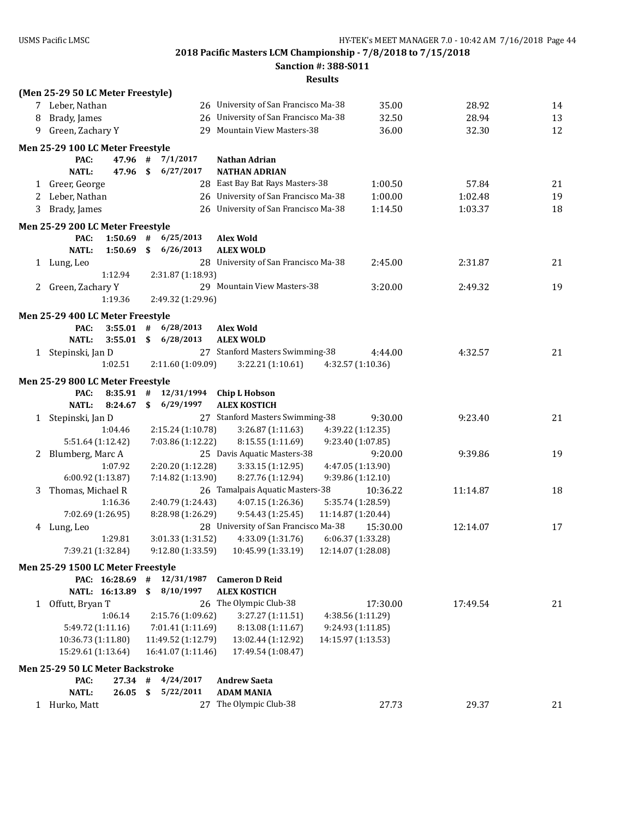**Sanction #: 388-S011**

|              | (Men 25-29 50 LC Meter Freestyle)                 |                                        |                                                             |                                        |          |    |
|--------------|---------------------------------------------------|----------------------------------------|-------------------------------------------------------------|----------------------------------------|----------|----|
|              | 7 Leber, Nathan                                   |                                        | 26 University of San Francisco Ma-38                        | 35.00                                  | 28.92    | 14 |
| 8            | Brady, James                                      |                                        | 26 University of San Francisco Ma-38                        | 32.50                                  | 28.94    | 13 |
| 9            | Green, Zachary Y                                  |                                        | 29 Mountain View Masters-38                                 | 36.00                                  | 32.30    | 12 |
|              | Men 25-29 100 LC Meter Freestyle                  |                                        |                                                             |                                        |          |    |
|              | PAC:<br>47.96 #                                   | 7/1/2017                               | Nathan Adrian                                               |                                        |          |    |
|              | 47.96 \$<br><b>NATL:</b>                          | 6/27/2017                              | <b>NATHAN ADRIAN</b>                                        |                                        |          |    |
|              | 1 Greer, George                                   |                                        | 28 East Bay Bat Rays Masters-38                             | 1:00.50                                | 57.84    | 21 |
|              | 2 Leber, Nathan                                   |                                        | 26 University of San Francisco Ma-38                        | 1:00.00                                | 1:02.48  | 19 |
| 3            | Brady, James                                      |                                        | 26 University of San Francisco Ma-38                        | 1:14.50                                | 1:03.37  | 18 |
|              | Men 25-29 200 LC Meter Freestyle                  |                                        |                                                             |                                        |          |    |
|              | $1:50.69$ #<br>PAC:                               | 6/25/2013                              | <b>Alex Wold</b>                                            |                                        |          |    |
|              | <b>NATL:</b><br>1:50.69                           | \$<br>6/26/2013                        | <b>ALEX WOLD</b>                                            |                                        |          |    |
|              | 1 Lung, Leo                                       |                                        | 28 University of San Francisco Ma-38                        | 2:45.00                                | 2:31.87  | 21 |
|              | 1:12.94                                           | 2:31.87 (1:18.93)                      |                                                             |                                        |          |    |
| 2            | Green, Zachary Y                                  |                                        | 29 Mountain View Masters-38                                 | 3:20.00                                | 2:49.32  | 19 |
|              | 1:19.36                                           | 2:49.32 (1:29.96)                      |                                                             |                                        |          |    |
|              | Men 25-29 400 LC Meter Freestyle                  |                                        |                                                             |                                        |          |    |
|              | $3:55.01$ #<br>PAC:                               | 6/28/2013                              | <b>Alex Wold</b>                                            |                                        |          |    |
|              | <b>NATL:</b><br>3:55.01                           | \$6/28/2013                            | <b>ALEX WOLD</b>                                            |                                        |          |    |
|              | 1 Stepinski, Jan D                                |                                        | 27 Stanford Masters Swimming-38                             | 4:44.00                                | 4:32.57  | 21 |
|              | 1:02.51                                           | 2:11.60 (1:09.09)                      | 3:22.21 (1:10.61)                                           | 4:32.57 (1:10.36)                      |          |    |
|              | Men 25-29 800 LC Meter Freestyle                  |                                        |                                                             |                                        |          |    |
|              | $8:35.91$ #<br>PAC:                               | 12/31/1994                             | <b>Chip L Hobson</b>                                        |                                        |          |    |
|              | <b>NATL:</b><br>8:24.67                           | $\mathbf{s}$<br>6/29/1997              | <b>ALEX KOSTICH</b>                                         |                                        |          |    |
| 1            | Stepinski, Jan D                                  |                                        | 27 Stanford Masters Swimming-38                             | 9:30.00                                | 9:23.40  | 21 |
|              | 1:04.46                                           | 2:15.24 (1:10.78)                      | 3:26.87(1:11.63)                                            | 4:39.22 (1:12.35)                      |          |    |
|              | 5:51.64 (1:12.42)                                 | 7:03.86 (1:12.22)                      | 8:15.55 (1:11.69)                                           | 9:23.40 (1:07.85)                      |          |    |
| 2            | Blumberg, Marc A                                  |                                        | 25 Davis Aquatic Masters-38                                 | 9:20.00                                | 9:39.86  | 19 |
|              | 1:07.92                                           | 2:20.20 (1:12.28)                      | 3:33.15 (1:12.95)                                           | 4:47.05 (1:13.90)                      |          |    |
|              | 6:00.92 (1:13.87)                                 | 7:14.82 (1:13.90)                      | 8:27.76 (1:12.94)                                           | 9:39.86 (1:12.10)                      |          |    |
| 3            | Thomas, Michael R                                 |                                        | 26 Tamalpais Aquatic Masters-38                             | 10:36.22                               | 11:14.87 | 18 |
|              | 1:16.36                                           | 2:40.79 (1:24.43)                      | 4:07.15 (1:26.36)                                           | 5:35.74 (1:28.59)                      |          |    |
|              | 7:02.69 (1:26.95)                                 | 8:28.98 (1:26.29)                      | 9:54.43 (1:25.45)<br>11:14.87 (1:20.44)                     |                                        |          |    |
|              | 4 Lung, Leo                                       |                                        | 28 University of San Francisco Ma-38                        | 15:30.00                               | 12:14.07 | 17 |
|              | 1:29.81                                           | 3:01.33 (1:31.52)                      | 4:33.09 (1:31.76)<br>$9:12.80(1:33.59)$ $10:45.99(1:33.19)$ | 6:06.37 (1:33.28)                      |          |    |
|              | 7:39.21 (1:32.84)                                 |                                        | 12:14.07 (1:28.08)                                          |                                        |          |    |
|              | Men 25-29 1500 LC Meter Freestyle                 |                                        |                                                             |                                        |          |    |
|              | PAC: 16:28.69 #                                   | 12/31/1987                             | <b>Cameron D Reid</b>                                       |                                        |          |    |
|              | NATL: 16:13.89                                    | \$<br>8/10/1997                        | <b>ALEX KOSTICH</b>                                         |                                        |          |    |
| $\mathbf{1}$ | Offutt, Bryan T                                   |                                        | 26 The Olympic Club-38                                      | 17:30.00                               | 17:49.54 | 21 |
|              | 1:06.14<br>5:49.72 (1:11.16)                      | 2:15.76 (1:09.62)<br>7:01.41 (1:11.69) | 3:27.27 (1:11.51)<br>8:13.08 (1:11.67)                      | 4:38.56 (1:11.29)<br>9:24.93 (1:11.85) |          |    |
|              | 10:36.73 (1:11.80)                                | 11:49.52 (1:12.79)                     | 14:15.97 (1:13.53)<br>13:02.44 (1:12.92)                    |                                        |          |    |
|              | 15:29.61 (1:13.64)                                | 16:41.07 (1:11.46)                     | 17:49.54 (1:08.47)                                          |                                        |          |    |
|              |                                                   |                                        |                                                             |                                        |          |    |
|              | Men 25-29 50 LC Meter Backstroke<br>PAC:<br>27.34 | #<br>4/24/2017                         | <b>Andrew Saeta</b>                                         |                                        |          |    |
|              | NATL:<br>26.05                                    | 5/22/2011<br>\$                        | <b>ADAM MANIA</b>                                           |                                        |          |    |
| $\mathbf{1}$ | Hurko, Matt                                       | 27                                     | The Olympic Club-38                                         | 27.73                                  | 29.37    | 21 |
|              |                                                   |                                        |                                                             |                                        |          |    |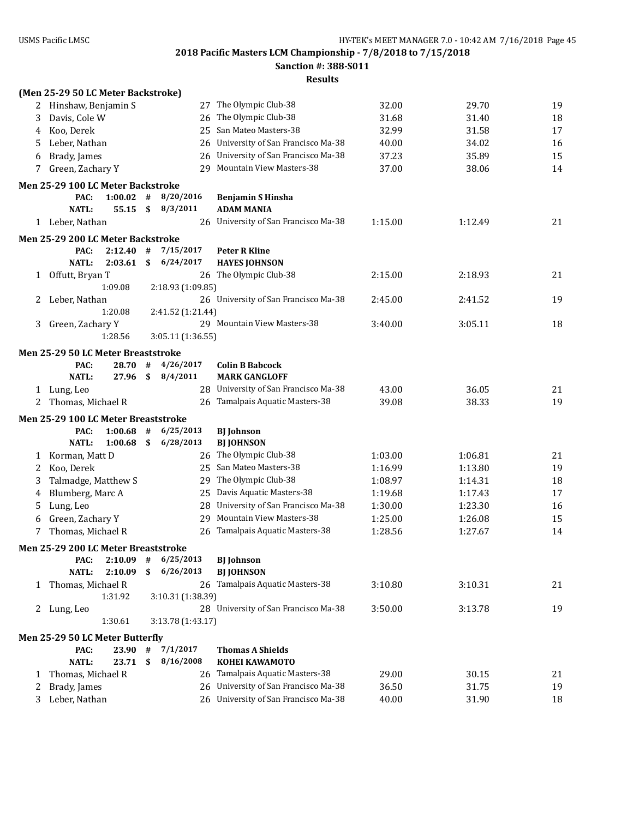**Sanction #: 388-S011**

|              | (Men 25-29 50 LC Meter Backstroke)      |                    |                 |                   |                                                |         |         |    |
|--------------|-----------------------------------------|--------------------|-----------------|-------------------|------------------------------------------------|---------|---------|----|
| 2            | Hinshaw, Benjamin S                     |                    |                 |                   | 27 The Olympic Club-38                         | 32.00   | 29.70   | 19 |
| 3            | Davis, Cole W                           |                    |                 |                   | 26 The Olympic Club-38                         | 31.68   | 31.40   | 18 |
| 4            | Koo, Derek                              |                    |                 |                   | 25 San Mateo Masters-38                        | 32.99   | 31.58   | 17 |
| 5            | Leber, Nathan                           |                    |                 |                   | 26 University of San Francisco Ma-38           | 40.00   | 34.02   | 16 |
| 6            | Brady, James                            |                    |                 |                   | 26 University of San Francisco Ma-38           | 37.23   | 35.89   | 15 |
| 7            | Green, Zachary Y                        |                    |                 |                   | 29 Mountain View Masters-38                    | 37.00   | 38.06   | 14 |
|              | Men 25-29 100 LC Meter Backstroke       |                    |                 |                   |                                                |         |         |    |
|              | PAC:                                    | $1:00.02$ #        |                 | 8/20/2016         | <b>Benjamin S Hinsha</b>                       |         |         |    |
|              | <b>NATL:</b>                            | 55.15              | $\mathbf{s}$    | 8/3/2011          | <b>ADAM MANIA</b>                              |         |         |    |
|              | 1 Leber, Nathan                         |                    |                 |                   | 26 University of San Francisco Ma-38           | 1:15.00 | 1:12.49 | 21 |
|              |                                         |                    |                 |                   |                                                |         |         |    |
|              | Men 25-29 200 LC Meter Backstroke       |                    |                 |                   |                                                |         |         |    |
|              | PAC:<br><b>NATL:</b>                    | 2:12.40<br>2:03.61 | #<br>\$         | 7/15/2017         | <b>Peter R Kline</b>                           |         |         |    |
|              |                                         |                    |                 | 6/24/2017         | <b>HAYES JOHNSON</b>                           |         |         |    |
| $\mathbf{1}$ | Offutt, Bryan T                         | 1:09.08            |                 | 2:18.93 (1:09.85) | 26 The Olympic Club-38                         | 2:15.00 | 2:18.93 | 21 |
| 2            | Leber, Nathan                           |                    |                 |                   | 26 University of San Francisco Ma-38           | 2:45.00 | 2:41.52 | 19 |
|              |                                         | 1:20.08            |                 | 2:41.52 (1:21.44) |                                                |         |         |    |
| 3            | Green, Zachary Y                        |                    |                 |                   | 29 Mountain View Masters-38                    | 3:40.00 | 3:05.11 | 18 |
|              |                                         | 1:28.56            |                 | 3:05.11 (1:36.55) |                                                |         |         |    |
|              |                                         |                    |                 |                   |                                                |         |         |    |
|              | Men 25-29 50 LC Meter Breaststroke      |                    |                 |                   |                                                |         |         |    |
|              | PAC:<br><b>NATL:</b>                    | 28.70<br>27.96     | #<br>$\sqrt{5}$ | 4/26/2017         | <b>Colin B Babcock</b><br><b>MARK GANGLOFF</b> |         |         |    |
|              |                                         |                    |                 | 8/4/2011          | 28 University of San Francisco Ma-38           |         |         |    |
|              | 1 Lung, Leo                             |                    |                 |                   |                                                | 43.00   | 36.05   | 21 |
|              |                                         |                    |                 |                   |                                                |         |         |    |
| 2            | Thomas, Michael R                       |                    |                 |                   | 26 Tamalpais Aquatic Masters-38                | 39.08   | 38.33   | 19 |
|              | Men 25-29 100 LC Meter Breaststroke     |                    |                 |                   |                                                |         |         |    |
|              | PAC:                                    | 1:00.68            | #               | 6/25/2013         | <b>BJ</b> Johnson                              |         |         |    |
|              | <b>NATL:</b>                            | 1:00.68            | \$              | 6/28/2013         | <b>BJ JOHNSON</b>                              |         |         |    |
| 1            | Korman, Matt D                          |                    |                 |                   | 26 The Olympic Club-38                         | 1:03.00 | 1:06.81 | 21 |
| 2            | Koo, Derek                              |                    |                 |                   | 25 San Mateo Masters-38                        | 1:16.99 | 1:13.80 | 19 |
| 3            | Talmadge, Matthew S                     |                    |                 |                   | 29 The Olympic Club-38                         | 1:08.97 | 1:14.31 | 18 |
| 4            | Blumberg, Marc A                        |                    |                 |                   | 25 Davis Aquatic Masters-38                    | 1:19.68 | 1:17.43 | 17 |
| 5            | Lung, Leo                               |                    |                 | 28                | University of San Francisco Ma-38              | 1:30.00 | 1:23.30 | 16 |
| 6            | Green, Zachary Y                        |                    |                 | 29                | <b>Mountain View Masters-38</b>                | 1:25.00 | 1:26.08 | 15 |
| 7            | Thomas, Michael R                       |                    |                 | 26                | Tamalpais Aquatic Masters-38                   | 1:28.56 | 1:27.67 | 14 |
|              | Men 25-29 200 LC Meter Breaststroke     |                    |                 |                   |                                                |         |         |    |
|              | PAC:                                    | 2:10.09            | #               | 6/25/2013         | <b>BJ</b> Johnson                              |         |         |    |
|              | <b>NATL:</b>                            | 2:10.09            | \$              | 6/26/2013         | <b>BJ JOHNSON</b>                              |         |         |    |
| 1            | Thomas, Michael R                       |                    |                 |                   | 26 Tamalpais Aquatic Masters-38                | 3:10.80 | 3:10.31 | 21 |
|              |                                         | 1:31.92            |                 | 3:10.31 (1:38.39) |                                                |         |         |    |
| $\mathbf{Z}$ | Lung, Leo                               |                    |                 |                   | 28 University of San Francisco Ma-38           | 3:50.00 | 3:13.78 | 19 |
|              |                                         | 1:30.61            |                 | 3:13.78 (1:43.17) |                                                |         |         |    |
|              |                                         |                    |                 |                   |                                                |         |         |    |
|              | Men 25-29 50 LC Meter Butterfly<br>PAC: | 23.90 #            |                 | 7/1/2017          | <b>Thomas A Shields</b>                        |         |         |    |
|              | <b>NATL:</b>                            | 23.71              | \$              | 8/16/2008         | <b>KOHEI KAWAMOTO</b>                          |         |         |    |
| 1            | Thomas, Michael R                       |                    |                 |                   | 26 Tamalpais Aquatic Masters-38                | 29.00   | 30.15   | 21 |
| 2            | Brady, James                            |                    |                 |                   | 26 University of San Francisco Ma-38           | 36.50   | 31.75   | 19 |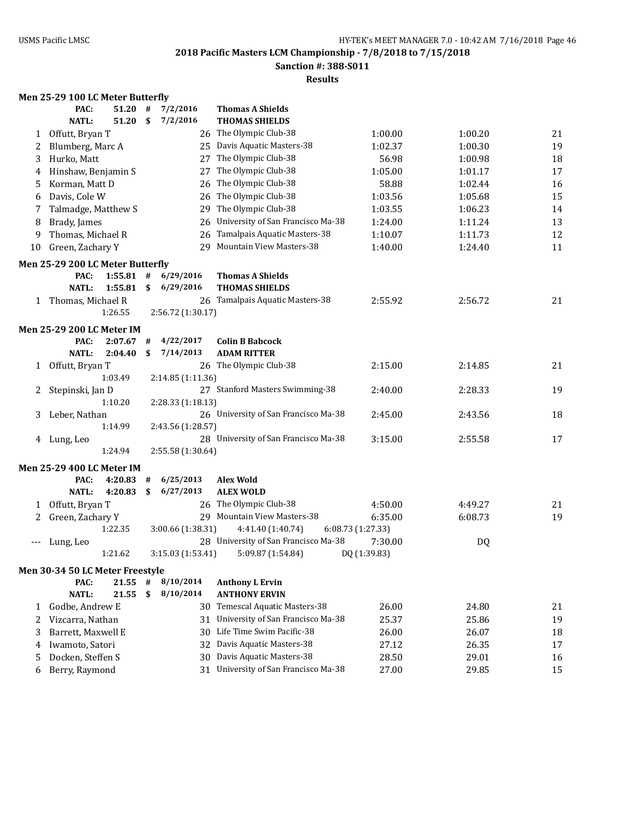**Sanction #: 388-S011**

### **Results**

# **Men 25-29 100 LC Meter Butterfly**

|       | PAC:                             | 51.20   | #    | 7/2/2016          | <b>Thomas A Shields</b>                |              |         |    |
|-------|----------------------------------|---------|------|-------------------|----------------------------------------|--------------|---------|----|
|       | <b>NATL:</b>                     | 51.20   | \$   | 7/2/2016          | <b>THOMAS SHIELDS</b>                  |              |         |    |
| 1     | Offutt, Bryan T                  |         |      |                   | 26 The Olympic Club-38                 | 1:00.00      | 1:00.20 | 21 |
| 2     | Blumberg, Marc A                 |         |      |                   | 25 Davis Aquatic Masters-38            | 1:02.37      | 1:00.30 | 19 |
| 3     | Hurko, Matt                      |         |      | 27                | The Olympic Club-38                    | 56.98        | 1:00.98 | 18 |
| 4     | Hinshaw, Benjamin S              |         |      | 27                | The Olympic Club-38                    | 1:05.00      | 1:01.17 | 17 |
| 5     | Korman, Matt D                   |         |      | 26                | The Olympic Club-38                    | 58.88        | 1:02.44 | 16 |
| 6     | Davis, Cole W                    |         |      | 26                | The Olympic Club-38                    | 1:03.56      | 1:05.68 | 15 |
| 7     | Talmadge, Matthew S              |         |      | 29                | The Olympic Club-38                    | 1:03.55      | 1:06.23 | 14 |
| 8     | Brady, James                     |         |      | 26                | University of San Francisco Ma-38      | 1:24.00      | 1:11.24 | 13 |
| 9     | Thomas, Michael R                |         |      | 26                | Tamalpais Aquatic Masters-38           | 1:10.07      | 1:11.73 | 12 |
| 10    | Green, Zachary Y                 |         |      | 29                | Mountain View Masters-38               | 1:40.00      | 1:24.40 | 11 |
|       | Men 25-29 200 LC Meter Butterfly |         |      |                   |                                        |              |         |    |
|       | PAC:                             | 1:55.81 | #    | 6/29/2016         | <b>Thomas A Shields</b>                |              |         |    |
|       | <b>NATL:</b>                     | 1:55.81 | \$   | 6/29/2016         | <b>THOMAS SHIELDS</b>                  |              |         |    |
|       | 1 Thomas, Michael R              |         |      |                   | 26 Tamalpais Aquatic Masters-38        | 2:55.92      | 2:56.72 | 21 |
|       |                                  | 1:26.55 |      | 2:56.72 (1:30.17) |                                        |              |         |    |
|       | <b>Men 25-29 200 LC Meter IM</b> |         |      |                   |                                        |              |         |    |
|       | PAC:                             | 2:07.67 | #    | 4/22/2017         | <b>Colin B Babcock</b>                 |              |         |    |
|       | <b>NATL:</b>                     | 2:04.40 | \$   | 7/14/2013         | <b>ADAM RITTER</b>                     |              |         |    |
|       | 1 Offutt, Bryan T                |         |      |                   | 26 The Olympic Club-38                 | 2:15.00      | 2:14.85 | 21 |
|       |                                  | 1:03.49 |      | 2:14.85 (1:11.36) |                                        |              |         |    |
| 2     | Stepinski, Jan D                 |         |      |                   | 27 Stanford Masters Swimming-38        | 2:40.00      | 2:28.33 | 19 |
|       |                                  | 1:10.20 |      | 2:28.33 (1:18.13) |                                        |              |         |    |
| 3     | Leber, Nathan                    |         |      |                   | 26 University of San Francisco Ma-38   | 2:45.00      | 2:43.56 | 18 |
|       |                                  | 1:14.99 |      | 2:43.56 (1:28.57) |                                        |              |         |    |
| 4     | Lung, Leo                        |         |      |                   | 28 University of San Francisco Ma-38   | 3:15.00      | 2:55.58 | 17 |
|       |                                  | 1:24.94 |      | 2:55.58 (1:30.64) |                                        |              |         |    |
|       | <b>Men 25-29 400 LC Meter IM</b> |         |      |                   |                                        |              |         |    |
|       | PAC:                             | 4:20.83 | #    | 6/25/2013         | <b>Alex Wold</b>                       |              |         |    |
|       | <b>NATL:</b>                     | 4:20.83 | \$   | 6/27/2013         | <b>ALEX WOLD</b>                       |              |         |    |
|       | 1 Offutt, Bryan T                |         |      |                   | 26 The Olympic Club-38                 | 4:50.00      | 4:49.27 | 21 |
| 2     | Green, Zachary Y                 |         |      |                   | 29 Mountain View Masters-38            | 6:35.00      | 6:08.73 | 19 |
|       |                                  | 1:22.35 |      | 3:00.66 (1:38.31) | 4:41.40 (1:40.74)<br>6:08.73 (1:27.33) |              |         |    |
| $---$ | Lung, Leo                        |         |      |                   | 28 University of San Francisco Ma-38   | 7:30.00      | DQ      |    |
|       |                                  | 1:21.62 |      | 3:15.03 (1:53.41) | 5:09.87 (1:54.84)                      | DQ (1:39.83) |         |    |
|       | Men 30-34 50 LC Meter Freestyle  |         |      |                   |                                        |              |         |    |
|       | PAC:                             | 21.55   | $\#$ | 8/10/2014         | <b>Anthony L Ervin</b>                 |              |         |    |
|       | <b>NATL:</b>                     | 21.55   | \$   | 8/10/2014         | <b>ANTHONY ERVIN</b>                   |              |         |    |
| 1     | Godbe, Andrew E                  |         |      | 30-               | Temescal Aquatic Masters-38            | 26.00        | 24.80   | 21 |
| 2     | Vizcarra, Nathan                 |         |      | 31                | University of San Francisco Ma-38      | 25.37        | 25.86   | 19 |
| 3     | Barrett, Maxwell E               |         |      | 30                | Life Time Swim Pacific-38              | 26.00        | 26.07   | 18 |
| 4     | Iwamoto, Satori                  |         |      | 32                | Davis Aquatic Masters-38               | 27.12        | 26.35   | 17 |
| 5     | Docken, Steffen S                |         |      | 30                | Davis Aquatic Masters-38               | 28.50        | 29.01   | 16 |
| 6     | Berry, Raymond                   |         |      |                   | 31 University of San Francisco Ma-38   | 27.00        | 29.85   | 15 |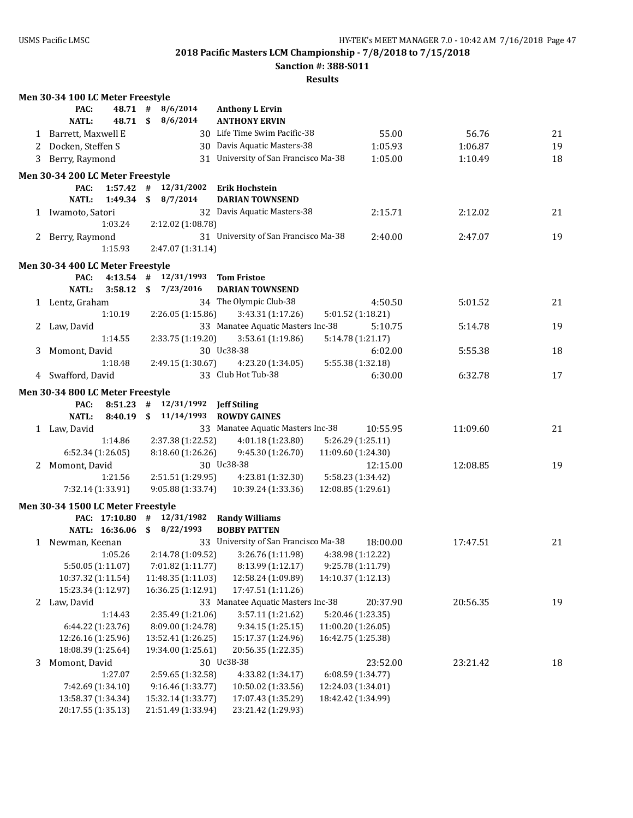**Sanction #: 388-S011**

|   | Men 30-34 100 LC Meter Freestyle  |             |                                   |                                                          |                    |          |          |    |
|---|-----------------------------------|-------------|-----------------------------------|----------------------------------------------------------|--------------------|----------|----------|----|
|   | PAC:                              | 48.71 #     | 8/6/2014                          | <b>Anthony L Ervin</b>                                   |                    |          |          |    |
|   | <b>NATL:</b>                      | 48.71 \$    | 8/6/2014                          | <b>ANTHONY ERVIN</b>                                     |                    |          |          |    |
|   | 1 Barrett, Maxwell E              |             |                                   | 30 Life Time Swim Pacific-38                             |                    | 55.00    | 56.76    | 21 |
|   | 2 Docken, Steffen S               |             |                                   | 30 Davis Aquatic Masters-38                              |                    | 1:05.93  | 1:06.87  | 19 |
|   | 3 Berry, Raymond                  |             |                                   | 31 University of San Francisco Ma-38                     |                    | 1:05.00  | 1:10.49  | 18 |
|   |                                   |             |                                   |                                                          |                    |          |          |    |
|   | Men 30-34 200 LC Meter Freestyle  |             |                                   |                                                          |                    |          |          |    |
|   | PAC:                              |             | $1:57.42$ # $12/31/2002$          | Erik Hochstein                                           |                    |          |          |    |
|   | <b>NATL:</b>                      | 1:49.34     | \$8/7/2014                        | <b>DARIAN TOWNSEND</b>                                   |                    |          |          |    |
|   | 1 Iwamoto, Satori                 |             |                                   | 32 Davis Aquatic Masters-38                              |                    | 2:15.71  | 2:12.02  | 21 |
|   |                                   | 1:03.24     | 2:12.02 (1:08.78)                 |                                                          |                    |          |          |    |
|   | 2 Berry, Raymond                  |             |                                   | 31 University of San Francisco Ma-38                     |                    | 2:40.00  | 2:47.07  | 19 |
|   |                                   | 1:15.93     | 2:47.07 (1:31.14)                 |                                                          |                    |          |          |    |
|   | Men 30-34 400 LC Meter Freestyle  |             |                                   |                                                          |                    |          |          |    |
|   | PAC:                              | $4:13.54$ # | 12/31/1993 Tom Fristoe            |                                                          |                    |          |          |    |
|   | <b>NATL:</b>                      | 3:58.12     | \$7/23/2016                       | <b>DARIAN TOWNSEND</b>                                   |                    |          |          |    |
|   | 1 Lentz, Graham                   |             |                                   | 34 The Olympic Club-38                                   |                    | 4:50.50  | 5:01.52  | 21 |
|   |                                   | 1:10.19     | 2:26.05(1:15.86)                  | 3:43.31 (1:17.26)                                        | 5:01.52 (1:18.21)  |          |          |    |
|   | 2 Law, David                      |             |                                   | 33 Manatee Aquatic Masters Inc-38                        |                    | 5:10.75  | 5:14.78  | 19 |
|   |                                   | 1:14.55     | 2:33.75 (1:19.20)                 | 3:53.61 (1:19.86)                                        | 5:14.78 (1:21.17)  |          |          |    |
| 3 | Momont, David                     |             |                                   | 30 Uc38-38                                               |                    | 6:02.00  | 5:55.38  | 18 |
|   |                                   | 1:18.48     | 2:49.15 (1:30.67)                 | 4:23.20 (1:34.05)                                        | 5:55.38 (1:32.18)  |          |          |    |
|   | 4 Swafford, David                 |             |                                   | 33 Club Hot Tub-38                                       |                    | 6:30.00  | 6:32.78  | 17 |
|   |                                   |             |                                   |                                                          |                    |          |          |    |
|   | Men 30-34 800 LC Meter Freestyle  |             |                                   |                                                          |                    |          |          |    |
|   | PAC:                              |             | 8:51.23 # 12/31/1992 Jeff Stiling |                                                          |                    |          |          |    |
|   | NATL:                             |             |                                   | 8:40.19 \$ 11/14/1993 ROWDY GAINES                       |                    |          |          |    |
|   | 1 Law, David                      |             |                                   | 33 Manatee Aquatic Masters Inc-38                        |                    | 10:55.95 | 11:09.60 | 21 |
|   |                                   | 1:14.86     | 2:37.38 (1:22.52)                 | 4:01.18 (1:23.80)                                        | 5:26.29 (1:25.11)  |          |          |    |
|   | 6:52.34 (1:26.05)                 |             | 8:18.60 (1:26.26)                 | 9:45.30 (1:26.70)                                        | 11:09.60 (1:24.30) |          |          |    |
|   | 2 Momont, David                   |             |                                   | 30 Uc38-38                                               |                    | 12:15.00 | 12:08.85 | 19 |
|   |                                   | 1:21.56     | 2:51.51 (1:29.95)                 | 4:23.81 (1:32.30)                                        | 5:58.23 (1:34.42)  |          |          |    |
|   | 7:32.14 (1:33.91)                 |             | 9:05.88 (1:33.74)                 | 10:39.24 (1:33.36)                                       | 12:08.85 (1:29.61) |          |          |    |
|   | Men 30-34 1500 LC Meter Freestyle |             |                                   |                                                          |                    |          |          |    |
|   |                                   |             |                                   | PAC: 17:10.80 # 12/31/1982 Randy Williams                |                    |          |          |    |
|   |                                   |             | NATL: 16:36.06 \$ 8/22/1993       | <b>BOBBY PATTEN</b>                                      |                    |          |          |    |
|   | 1 Newman, Keenan                  |             |                                   | 33 University of San Francisco Ma-38                     |                    | 18:00.00 | 17:47.51 | 21 |
|   |                                   | 1:05.26     |                                   | $2:14.78(1:09.52)$ $3:26.76(1:11.98)$ $4:38.98(1:12.22)$ |                    |          |          |    |
|   | 5:50.05 (1:11.07)                 |             | 7:01.82 (1:11.77)                 | 8:13.99 (1:12.17)                                        | 9:25.78 (1:11.79)  |          |          |    |
|   | 10:37.32 (1:11.54)                |             | 11:48.35 (1:11.03)                | 12:58.24 (1:09.89)                                       | 14:10.37 (1:12.13) |          |          |    |
|   | 15:23.34 (1:12.97)                |             | 16:36.25 (1:12.91)                | 17:47.51 (1:11.26)                                       |                    |          |          |    |
|   | 2 Law, David                      |             |                                   | 33 Manatee Aquatic Masters Inc-38                        |                    | 20:37.90 | 20:56.35 | 19 |
|   |                                   | 1:14.43     | 2:35.49 (1:21.06)                 | 3:57.11 (1:21.62)                                        | 5:20.46 (1:23.35)  |          |          |    |
|   | 6:44.22 (1:23.76)                 |             | 8:09.00 (1:24.78)                 | 9:34.15 (1:25.15)                                        | 11:00.20 (1:26.05) |          |          |    |
|   | 12:26.16 (1:25.96)                |             | 13:52.41 (1:26.25)                | 15:17.37 (1:24.96)                                       | 16:42.75 (1:25.38) |          |          |    |
|   | 18:08.39 (1:25.64)                |             | 19:34.00 (1:25.61)                | 20:56.35 (1:22.35)                                       |                    |          |          |    |
| 3 | Momont, David                     |             |                                   | 30 Uc38-38                                               |                    | 23:52.00 | 23:21.42 | 18 |
|   |                                   | 1:27.07     | 2:59.65 (1:32.58)                 | 4:33.82 (1:34.17)                                        | 6:08.59 (1:34.77)  |          |          |    |
|   | 7:42.69 (1:34.10)                 |             | 9:16.46 (1:33.77)                 | 10:50.02 (1:33.56)                                       | 12:24.03 (1:34.01) |          |          |    |
|   | 13:58.37 (1:34.34)                |             | 15:32.14 (1:33.77)                | 17:07.43 (1:35.29)                                       | 18:42.42 (1:34.99) |          |          |    |
|   | 20:17.55 (1:35.13)                |             | 21:51.49 (1:33.94)                | 23:21.42 (1:29.93)                                       |                    |          |          |    |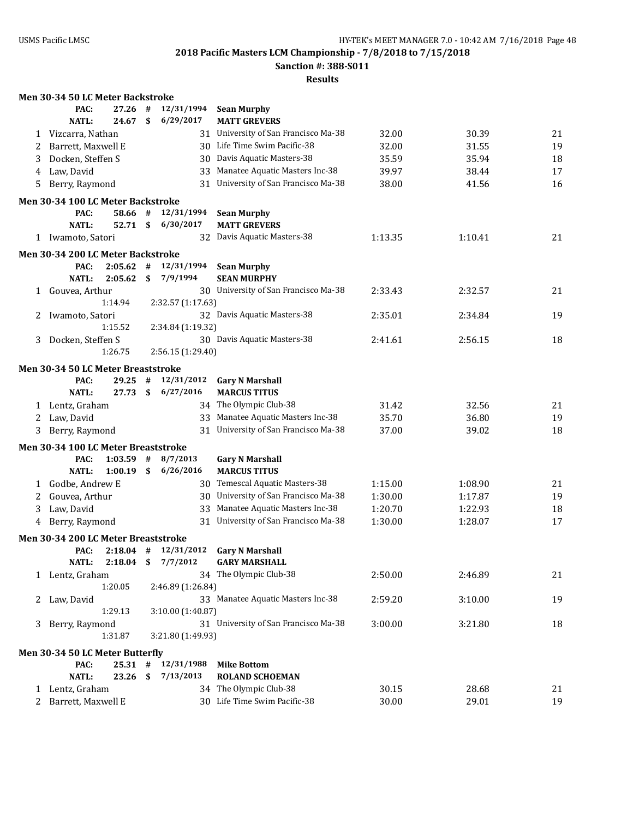**Men 30-34 50 LC Meter Backstroke**

**2018 Pacific Masters LCM Championship - 7/8/2018 to 7/15/2018**

**Sanction #: 388-S011**

|   | PAC:                                        | 27.26       | #   | 12/31/1994        | <b>Sean Murphy</b>                            |         |         |    |
|---|---------------------------------------------|-------------|-----|-------------------|-----------------------------------------------|---------|---------|----|
|   | <b>NATL:</b>                                | 24.67       | \$  | 6/29/2017         | <b>MATT GREVERS</b>                           |         |         |    |
| 1 | Vizcarra, Nathan                            |             |     |                   | 31 University of San Francisco Ma-38          | 32.00   | 30.39   | 21 |
| 2 | Barrett, Maxwell E                          |             |     |                   | 30 Life Time Swim Pacific-38                  | 32.00   | 31.55   | 19 |
| 3 | Docken, Steffen S                           |             |     | 30                | Davis Aquatic Masters-38                      | 35.59   | 35.94   | 18 |
| 4 | Law, David                                  |             |     | 33                | Manatee Aquatic Masters Inc-38                | 39.97   | 38.44   | 17 |
| 5 | Berry, Raymond                              |             |     |                   | 31 University of San Francisco Ma-38          | 38.00   | 41.56   | 16 |
|   | Men 30-34 100 LC Meter Backstroke           |             |     |                   |                                               |         |         |    |
|   | PAC:                                        | 58.66 #     |     | 12/31/1994        | <b>Sean Murphy</b>                            |         |         |    |
|   | <b>NATL:</b>                                | 52.71       | \$  | 6/30/2017         | <b>MATT GREVERS</b>                           |         |         |    |
|   | 1 Iwamoto, Satori                           |             |     |                   | 32 Davis Aquatic Masters-38                   | 1:13.35 | 1:10.41 | 21 |
|   | Men 30-34 200 LC Meter Backstroke           |             |     |                   |                                               |         |         |    |
|   | PAC:                                        | 2:05.62     | #   | 12/31/1994        | <b>Sean Murphy</b>                            |         |         |    |
|   | NATL:                                       | 2:05.62     | \$  | 7/9/1994          | <b>SEAN MURPHY</b>                            |         |         |    |
| 1 | Gouvea, Arthur                              |             |     |                   | 30 University of San Francisco Ma-38          | 2:33.43 | 2:32.57 | 21 |
|   |                                             | 1:14.94     |     | 2:32.57 (1:17.63) |                                               |         |         |    |
| 2 | Iwamoto, Satori                             |             |     |                   | 32 Davis Aquatic Masters-38                   | 2:35.01 | 2:34.84 | 19 |
|   |                                             | 1:15.52     |     | 2:34.84 (1:19.32) |                                               |         |         |    |
| 3 | Docken, Steffen S                           |             |     |                   | 30 Davis Aquatic Masters-38                   | 2:41.61 | 2:56.15 | 18 |
|   |                                             | 1:26.75     |     | 2:56.15 (1:29.40) |                                               |         |         |    |
|   | Men 30-34 50 LC Meter Breaststroke          |             |     |                   |                                               |         |         |    |
|   | PAC:                                        | 29.25       | #   | 12/31/2012        | <b>Gary N Marshall</b>                        |         |         |    |
|   | <b>NATL:</b>                                | 27.73       | \$  | 6/27/2016         | <b>MARCUS TITUS</b>                           |         |         |    |
| 1 | Lentz, Graham                               |             |     |                   | 34 The Olympic Club-38                        | 31.42   | 32.56   | 21 |
| 2 | Law, David                                  |             |     |                   | 33 Manatee Aquatic Masters Inc-38             | 35.70   | 36.80   | 19 |
| 3 | Berry, Raymond                              |             |     |                   | 31 University of San Francisco Ma-38          | 37.00   | 39.02   | 18 |
|   |                                             |             |     |                   |                                               |         |         |    |
|   | Men 30-34 100 LC Meter Breaststroke<br>PAC: | 1:03.59     | #   | 8/7/2013          |                                               |         |         |    |
|   | NATL:                                       | 1:00.19     | \$  | 6/26/2016         | <b>Gary N Marshall</b><br><b>MARCUS TITUS</b> |         |         |    |
|   |                                             |             |     |                   | 30 Temescal Aquatic Masters-38                | 1:15.00 | 1:08.90 | 21 |
| 1 | Godbe, Andrew E                             |             |     |                   | 30 University of San Francisco Ma-38          | 1:30.00 |         | 19 |
| 2 | Gouvea, Arthur                              |             |     |                   | Manatee Aquatic Masters Inc-38                |         | 1:17.87 |    |
| 3 | Law, David                                  |             |     | 33                | 31 University of San Francisco Ma-38          | 1:20.70 | 1:22.93 | 18 |
| 4 | Berry, Raymond                              |             |     |                   |                                               | 1:30.00 | 1:28.07 | 17 |
|   | Men 30-34 200 LC Meter Breaststroke         |             |     |                   |                                               |         |         |    |
|   | PAC:                                        | $2:18.04$ # |     | 12/31/2012        | <b>Gary N Marshall</b>                        |         |         |    |
|   | <b>NATL:</b>                                | 2:18.04     | \$  | 7/7/2012          | <b>GARY MARSHALL</b>                          |         |         |    |
|   | 1 Lentz, Graham                             |             |     |                   | 34 The Olympic Club-38                        | 2:50.00 | 2:46.89 | 21 |
|   |                                             | 1:20.05     |     | 2:46.89 (1:26.84) |                                               |         |         |    |
| 2 | Law, David                                  |             |     |                   | 33 Manatee Aquatic Masters Inc-38             | 2:59.20 | 3:10.00 | 19 |
|   |                                             | 1:29.13     |     | 3:10.00 (1:40.87) |                                               |         |         |    |
| 3 | Berry, Raymond                              |             |     |                   | 31 University of San Francisco Ma-38          | 3:00.00 | 3:21.80 | 18 |
|   |                                             | 1:31.87     |     | 3:21.80 (1:49.93) |                                               |         |         |    |
|   | Men 30-34 50 LC Meter Butterfly             |             |     |                   |                                               |         |         |    |
|   | PAC:                                        | $25.31$ #   |     | 12/31/1988        | <b>Mike Bottom</b>                            |         |         |    |
|   | <b>NATL:</b>                                | 23.26       | -\$ | 7/13/2013         | <b>ROLAND SCHOEMAN</b>                        |         |         |    |
|   | 1 Lentz, Graham                             |             |     |                   | 34 The Olympic Club-38                        | 30.15   | 28.68   | 21 |
|   | 2 Barrett, Maxwell E                        |             |     |                   | 30 Life Time Swim Pacific-38                  | 30.00   | 29.01   | 19 |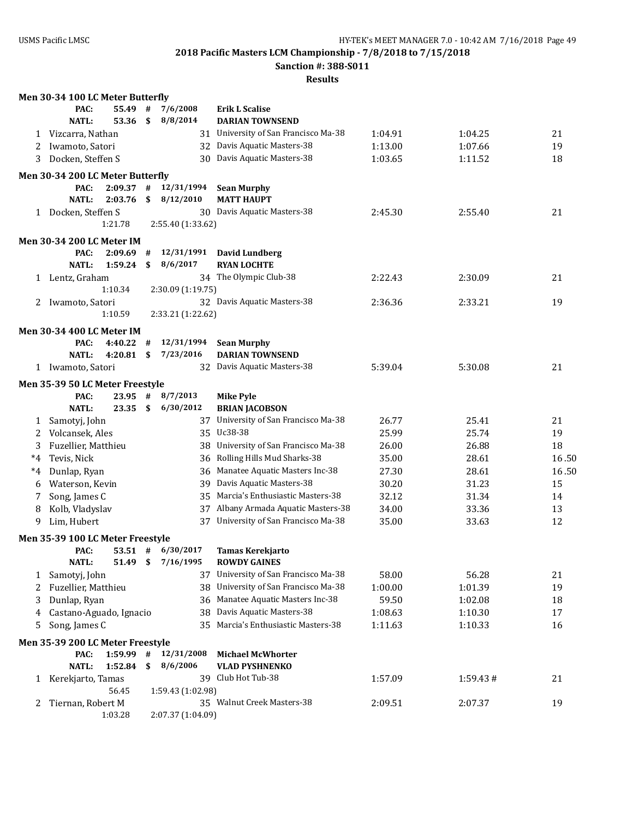**Sanction #: 388-S011**

|              | Men 30-34 100 LC Meter Butterfly                      |    |                   |                                   |         |          |       |
|--------------|-------------------------------------------------------|----|-------------------|-----------------------------------|---------|----------|-------|
|              | PAC:<br>55.49                                         | #  | 7/6/2008          | <b>Erik L Scalise</b>             |         |          |       |
|              | <b>NATL:</b><br>53.36                                 | \$ | 8/8/2014          | <b>DARIAN TOWNSEND</b>            |         |          |       |
| 1            | Vizcarra, Nathan                                      |    | 31                | University of San Francisco Ma-38 | 1:04.91 | 1:04.25  | 21    |
| 2            | Iwamoto, Satori                                       |    |                   | 32 Davis Aquatic Masters-38       | 1:13.00 | 1:07.66  | 19    |
| 3            | Docken, Steffen S                                     |    | 30                | Davis Aquatic Masters-38          | 1:03.65 | 1:11.52  | 18    |
|              | Men 30-34 200 LC Meter Butterfly                      |    |                   |                                   |         |          |       |
|              | PAC:<br>$2:09.37$ #                                   |    | 12/31/1994        | <b>Sean Murphy</b>                |         |          |       |
|              | <b>NATL:</b><br>2:03.76                               | \$ | 8/12/2010         | <b>MATT HAUPT</b>                 |         |          |       |
|              | 1 Docken, Steffen S                                   |    |                   | 30 Davis Aquatic Masters-38       | 2:45.30 | 2:55.40  | 21    |
|              | 1:21.78                                               |    | 2:55.40 (1:33.62) |                                   |         |          |       |
|              | <b>Men 30-34 200 LC Meter IM</b>                      |    |                   |                                   |         |          |       |
|              | PAC:<br>2:09.69                                       | #  | 12/31/1991        | <b>David Lundberg</b>             |         |          |       |
|              | <b>NATL:</b><br>1:59.24                               | \$ | 8/6/2017          | <b>RYAN LOCHTE</b>                |         |          |       |
|              | 1 Lentz, Graham                                       |    |                   | 34 The Olympic Club-38            | 2:22.43 | 2:30.09  | 21    |
|              | 1:10.34                                               |    | 2:30.09 (1:19.75) |                                   |         |          |       |
| 2            | Iwamoto, Satori                                       |    |                   | 32 Davis Aquatic Masters-38       | 2:36.36 | 2:33.21  | 19    |
|              | 1:10.59                                               |    | 2:33.21 (1:22.62) |                                   |         |          |       |
|              | <b>Men 30-34 400 LC Meter IM</b>                      |    |                   |                                   |         |          |       |
|              | PAC:<br>4:40.22                                       | #  | 12/31/1994        | <b>Sean Murphy</b>                |         |          |       |
|              | <b>NATL:</b><br>4:20.81                               | \$ | 7/23/2016         | <b>DARIAN TOWNSEND</b>            |         |          |       |
|              | 1 Iwamoto, Satori                                     |    |                   | 32 Davis Aquatic Masters-38       | 5:39.04 | 5:30.08  | 21    |
|              | Men 35-39 50 LC Meter Freestyle                       |    |                   |                                   |         |          |       |
|              | PAC:<br>23.95                                         | #  | 8/7/2013          | <b>Mike Pyle</b>                  |         |          |       |
|              | <b>NATL:</b><br>23.35                                 | \$ | 6/30/2012         | <b>BRIAN JACOBSON</b>             |         |          |       |
| 1            | Samotyj, John                                         |    | 37                | University of San Francisco Ma-38 | 26.77   | 25.41    | 21    |
| 2            | Volcansek, Ales                                       |    |                   | 35 Uc38-38                        | 25.99   | 25.74    | 19    |
| 3            | Fuzellier, Matthieu                                   |    | 38                | University of San Francisco Ma-38 | 26.00   | 26.88    | 18    |
| $^*4$        | Tevis, Nick                                           |    | 36                | Rolling Hills Mud Sharks-38       | 35.00   | 28.61    | 16.50 |
| $^*4$        | Dunlap, Ryan                                          |    | 36                | Manatee Aquatic Masters Inc-38    | 27.30   | 28.61    | 16.50 |
| 6            | Waterson, Kevin                                       |    | 39                | Davis Aquatic Masters-38          | 30.20   | 31.23    | 15    |
| 7            | Song, James C                                         |    | 35.               | Marcia's Enthusiastic Masters-38  | 32.12   | 31.34    | 14    |
| 8            | Kolb, Vladyslav                                       |    | 37                | Albany Armada Aquatic Masters-38  | 34.00   | 33.36    | 13    |
| 9            | Lim, Hubert                                           |    | 37                | University of San Francisco Ma-38 | 35.00   | 33.63    | 12    |
|              |                                                       |    |                   |                                   |         |          |       |
|              | Men 35-39 100 LC Meter Freestyle                      |    | 53.51 # 6/30/2017 | <b>Tamas Kerekjarto</b>           |         |          |       |
|              | PAC:<br><b>NATL:</b><br>51.49                         | \$ | 7/16/1995         | <b>ROWDY GAINES</b>               |         |          |       |
| 1            | Samotyj, John                                         |    | 37                | University of San Francisco Ma-38 | 58.00   | 56.28    | 21    |
| 2            | Fuzellier, Matthieu                                   |    | 38                | University of San Francisco Ma-38 | 1:00.00 | 1:01.39  | 19    |
| 3            | Dunlap, Ryan                                          |    | 36                | Manatee Aquatic Masters Inc-38    | 59.50   | 1:02.08  | 18    |
|              | Castano-Aguado, Ignacio                               |    | 38                | Davis Aquatic Masters-38          | 1:08.63 | 1:10.30  | 17    |
| 4<br>5       | Song, James C                                         |    | 35.               | Marcia's Enthusiastic Masters-38  | 1:11.63 | 1:10.33  | 16    |
|              |                                                       |    |                   |                                   |         |          |       |
|              | Men 35-39 200 LC Meter Freestyle<br>1:59.99 #<br>PAC: |    | 12/31/2008        | <b>Michael McWhorter</b>          |         |          |       |
|              | <b>NATL:</b><br>1:52.84                               | \$ | 8/6/2006          | <b>VLAD PYSHNENKO</b>             |         |          |       |
|              | 1 Kerekjarto, Tamas                                   |    |                   | 39 Club Hot Tub-38                | 1:57.09 | 1:59.43# | 21    |
|              | 56.45                                                 |    | 1:59.43 (1:02.98) |                                   |         |          |       |
| $\mathbf{z}$ | Tiernan, Robert M                                     |    |                   | 35 Walnut Creek Masters-38        | 2:09.51 | 2:07.37  | 19    |
|              | 1:03.28                                               |    | 2:07.37 (1:04.09) |                                   |         |          |       |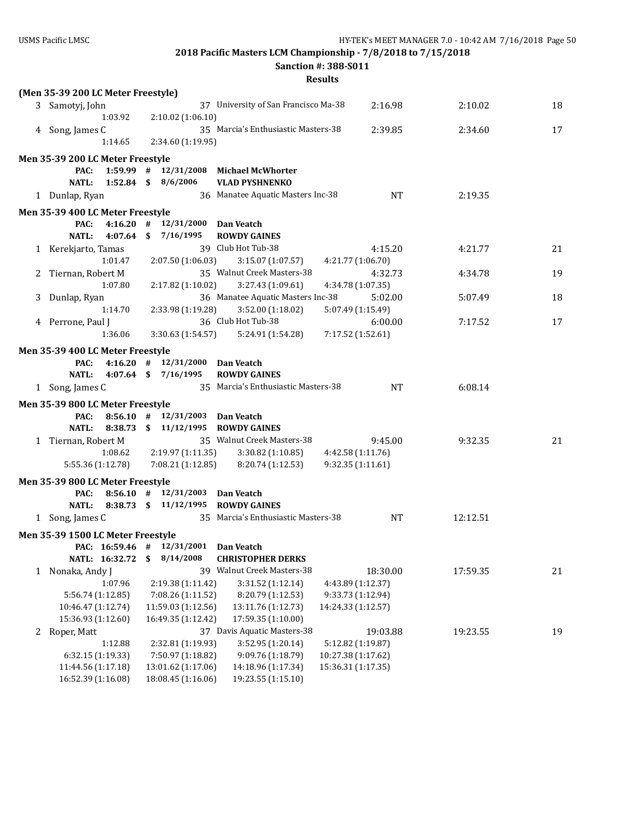**Sanction #: 388-S011**

|   | (Men 35-39 200 LC Meter Freestyle) |                                           |                                                  |          |    |
|---|------------------------------------|-------------------------------------------|--------------------------------------------------|----------|----|
|   | 3 Samotyj, John                    |                                           | 37 University of San Francisco Ma-38<br>2:16.98  | 2:10.02  | 18 |
|   | 1:03.92                            | 2:10.02 (1:06.10)                         |                                                  |          |    |
|   | 4 Song, James C                    |                                           | 35 Marcia's Enthusiastic Masters-38<br>2:39.85   | 2:34.60  | 17 |
|   | 1:14.65                            | 2:34.60 (1:19.95)                         |                                                  |          |    |
|   | Men 35-39 200 LC Meter Freestyle   |                                           |                                                  |          |    |
|   | PAC:                               | 1:59.99 $\#$ 12/31/2008 Michael McWhorter |                                                  |          |    |
|   | <b>NATL:</b>                       | $1:52.84$ \$ $8/6/2006$                   | <b>VLAD PYSHNENKO</b>                            |          |    |
|   | 1 Dunlap, Ryan                     |                                           | 36 Manatee Aquatic Masters Inc-38<br><b>NT</b>   | 2:19.35  |    |
|   | Men 35-39 400 LC Meter Freestyle   |                                           |                                                  |          |    |
|   | PAC:                               | 4:16.20 $\#$ 12/31/2000 Dan Veatch        |                                                  |          |    |
|   | <b>NATL:</b>                       | 4:07.64 \$ 7/16/1995                      | <b>ROWDY GAINES</b>                              |          |    |
|   | 1 Kerekjarto, Tamas                |                                           | 39 Club Hot Tub-38<br>4:15.20                    | 4:21.77  | 21 |
|   | 1:01.47                            | 2:07.50 (1:06.03)                         | 3:15.07 (1:07.57)<br>4:21.77 (1:06.70)           |          |    |
|   | 2 Tiernan, Robert M                |                                           | 35 Walnut Creek Masters-38<br>4:32.73            | 4:34.78  | 19 |
|   | 1:07.80                            | 2:17.82 (1:10.02)                         | 3:27.43 (1:09.61)<br>4:34.78 (1:07.35)           |          |    |
| 3 | Dunlap, Ryan                       |                                           | 36 Manatee Aquatic Masters Inc-38<br>5:02.00     | 5:07.49  | 18 |
|   | 1:14.70                            | 2:33.98 (1:19.28)                         | 3:52.00(1:18.02)<br>5:07.49 (1:15.49)            |          |    |
|   | 4 Perrone, Paul J                  |                                           | 36 Club Hot Tub-38<br>6:00.00                    | 7:17.52  | 17 |
|   | 1:36.06                            | 3:30.63 (1:54.57)                         | 7:17.52 (1:52.61)<br>5:24.91 (1:54.28)           |          |    |
|   | Men 35-39 400 LC Meter Freestyle   |                                           |                                                  |          |    |
|   | PAC:                               | 4:16.20 $\#$ 12/31/2000 Dan Veatch        |                                                  |          |    |
|   | NATL:                              | 4:07.64 \$ 7/16/1995                      | <b>ROWDY GAINES</b>                              |          |    |
|   | 1 Song, James C                    |                                           | 35 Marcia's Enthusiastic Masters-38<br><b>NT</b> | 6:08.14  |    |
|   | Men 35-39 800 LC Meter Freestyle   |                                           |                                                  |          |    |
|   | PAC:                               | 8:56.10 $\#$ 12/31/2003 Dan Veatch        |                                                  |          |    |
|   | NATL:                              | 8:38.73 \$ 11/12/1995 ROWDY GAINES        |                                                  |          |    |
|   | 1 Tiernan, Robert M                |                                           | 35 Walnut Creek Masters-38<br>9:45.00            | 9:32.35  | 21 |
|   | 1:08.62                            | 2:19.97 (1:11.35)                         | 3:30.82 (1:10.85)<br>4:42.58 (1:11.76)           |          |    |
|   | 5:55.36 (1:12.78)                  | 7:08.21 (1:12.85)                         | 9:32.35 (1:11.61)<br>8:20.74 (1:12.53)           |          |    |
|   | Men 35-39 800 LC Meter Freestyle   |                                           |                                                  |          |    |
|   | PAC:                               | $8:56.10$ # $12/31/2003$ Dan Veatch       |                                                  |          |    |
|   | <b>NATL:</b>                       | 8:38.73 \$ 11/12/1995 ROWDY GAINES        |                                                  |          |    |
|   | 1 Song, James C                    |                                           | 35 Marcia's Enthusiastic Masters-38<br>NT        | 12:12.51 |    |
|   |                                    |                                           |                                                  |          |    |
|   | Men 35-39 1500 LC Meter Freestyle  | PAC: $16:59.46$ # $12/31/2001$ Dan Veatch |                                                  |          |    |
|   | NATL: 16:32.72                     | 8/14/2008<br>\$                           | <b>CHRISTOPHER DERKS</b>                         |          |    |
| 1 | Nonaka, Andy J                     |                                           | 39 Walnut Creek Masters-38<br>18:30.00           | 17:59.35 | 21 |
|   | 1:07.96                            | 2:19.38 (1:11.42)                         | 3:31.52 (1:12.14)<br>4:43.89 (1:12.37)           |          |    |
|   | 5:56.74 (1:12.85)                  | 7:08.26 (1:11.52)                         | 8:20.79 (1:12.53)<br>9:33.73 (1:12.94)           |          |    |
|   | 10:46.47 (1:12.74)                 | 11:59.03 (1:12.56)                        | 13:11.76 (1:12.73)<br>14:24.33 (1:12.57)         |          |    |
|   | 15:36.93 (1:12.60)                 | 16:49.35 (1:12.42)                        | 17:59.35 (1:10.00)                               |          |    |
| 2 | Roper, Matt                        |                                           | 37 Davis Aquatic Masters-38<br>19:03.88          | 19:23.55 | 19 |
|   | 1:12.88                            | 2:32.81 (1:19.93)                         | 3:52.95 (1:20.14)<br>5:12.82 (1:19.87)           |          |    |
|   | 6:32.15 (1:19.33)                  | 7:50.97 (1:18.82)                         | 9:09.76 (1:18.79)<br>10:27.38 (1:17.62)          |          |    |
|   | 11:44.56 (1:17.18)                 | 13:01.62 (1:17.06)                        | 14:18.96 (1:17.34)<br>15:36.31 (1:17.35)         |          |    |
|   | 16:52.39 (1:16.08)                 | 18:08.45 (1:16.06)                        | 19:23.55 (1:15.10)                               |          |    |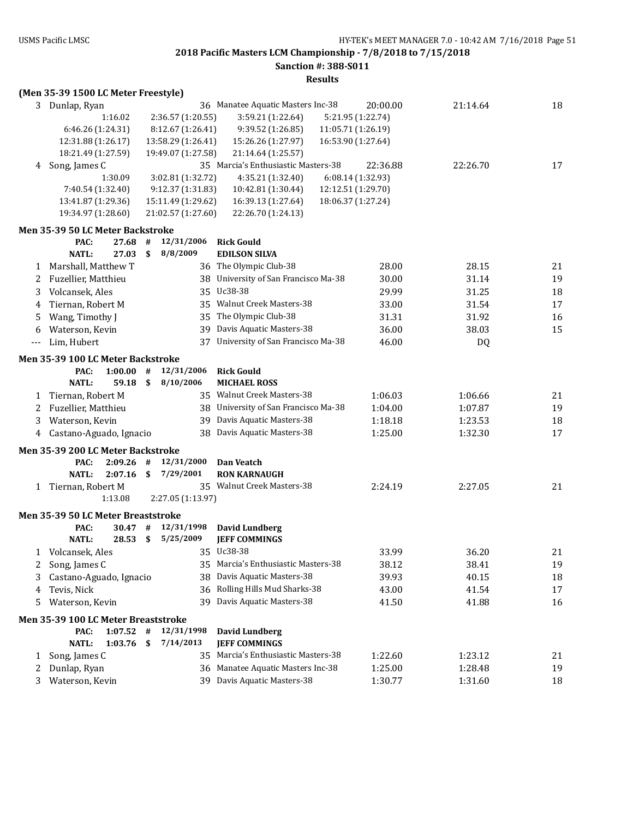**Sanction #: 388-S011**

|       | (Men 35-39 1500 LC Meter Freestyle)                  |      |                    |                                      |                    |          |    |
|-------|------------------------------------------------------|------|--------------------|--------------------------------------|--------------------|----------|----|
|       | 3 Dunlap, Ryan                                       |      |                    | 36 Manatee Aquatic Masters Inc-38    | 20:00.00           | 21:14.64 | 18 |
|       | 1:16.02                                              |      | 2:36.57 (1:20.55)  | 3:59.21 (1:22.64)                    | 5:21.95 (1:22.74)  |          |    |
|       | 6:46.26 (1:24.31)                                    |      | 8:12.67 (1:26.41)  | 9:39.52 (1:26.85)                    | 11:05.71 (1:26.19) |          |    |
|       | 12:31.88 (1:26.17)                                   |      | 13:58.29 (1:26.41) | 15:26.26 (1:27.97)                   | 16:53.90 (1:27.64) |          |    |
|       | 18:21.49 (1:27.59)                                   |      | 19:49.07 (1:27.58) | 21:14.64 (1:25.57)                   |                    |          |    |
|       | 4 Song, James C                                      |      |                    | 35 Marcia's Enthusiastic Masters-38  | 22:36.88           | 22:26.70 | 17 |
|       | 1:30.09                                              |      | 3:02.81 (1:32.72)  | 4:35.21 (1:32.40)                    | 6:08.14 (1:32.93)  |          |    |
|       | 7:40.54 (1:32.40)                                    |      | 9:12.37 (1:31.83)  | 10:42.81 (1:30.44)                   | 12:12.51 (1:29.70) |          |    |
|       | 13:41.87 (1:29.36)                                   |      | 15:11.49 (1:29.62) | 16:39.13 (1:27.64)                   | 18:06.37 (1:27.24) |          |    |
|       | 19:34.97 (1:28.60)                                   |      | 21:02.57 (1:27.60) | 22:26.70 (1:24.13)                   |                    |          |    |
|       | Men 35-39 50 LC Meter Backstroke                     |      |                    |                                      |                    |          |    |
|       | PAC:<br>27.68                                        | #    | 12/31/2006         | <b>Rick Gould</b>                    |                    |          |    |
|       | 27.03<br><b>NATL:</b>                                | -\$  | 8/8/2009           | <b>EDILSON SILVA</b>                 |                    |          |    |
| 1     | Marshall, Matthew T                                  |      |                    | 36 The Olympic Club-38               | 28.00              | 28.15    | 21 |
| 2     | Fuzellier, Matthieu                                  |      |                    | 38 University of San Francisco Ma-38 | 30.00              | 31.14    | 19 |
| 3     | Volcansek, Ales                                      |      |                    | 35 Uc38-38                           | 29.99              | 31.25    | 18 |
| 4     | Tiernan, Robert M                                    |      |                    | 35 Walnut Creek Masters-38           | 33.00              | 31.54    | 17 |
| 5     | Wang, Timothy J                                      |      |                    | 35 The Olympic Club-38               | 31.31              | 31.92    | 16 |
| 6     | Waterson, Kevin                                      |      |                    | 39 Davis Aquatic Masters-38          | 36.00              | 38.03    | 15 |
| $---$ | Lim, Hubert                                          |      |                    | 37 University of San Francisco Ma-38 | 46.00              | DQ       |    |
|       |                                                      |      |                    |                                      |                    |          |    |
|       | Men 35-39 100 LC Meter Backstroke<br>PAC:<br>1:00.00 | $\#$ | 12/31/2006         | <b>Rick Gould</b>                    |                    |          |    |
|       | <b>NATL:</b><br>59.18                                | \$   | 8/10/2006          | <b>MICHAEL ROSS</b>                  |                    |          |    |
|       |                                                      |      |                    | 35 Walnut Creek Masters-38           |                    |          |    |
| 1     | Tiernan, Robert M                                    |      |                    |                                      | 1:06.03            | 1:06.66  | 21 |
| 2     | Fuzellier, Matthieu                                  |      |                    | 38 University of San Francisco Ma-38 | 1:04.00            | 1:07.87  | 19 |
| 3     | Waterson, Kevin                                      |      |                    | 39 Davis Aquatic Masters-38          | 1:18.18            | 1:23.53  | 18 |
| 4     | Castano-Aguado, Ignacio                              |      |                    | 38 Davis Aquatic Masters-38          | 1:25.00            | 1:32.30  | 17 |
|       | Men 35-39 200 LC Meter Backstroke                    |      |                    |                                      |                    |          |    |
|       | $2:09.26$ #<br>PAC:                                  |      | 12/31/2000         | Dan Veatch                           |                    |          |    |
|       | <b>NATL:</b><br>$2:07.16$ \$                         |      | 7/29/2001          | <b>RON KARNAUGH</b>                  |                    |          |    |
| 1     | Tiernan, Robert M                                    |      |                    | 35 Walnut Creek Masters-38           | 2:24.19            | 2:27.05  | 21 |
|       | 1:13.08                                              |      | 2:27.05 (1:13.97)  |                                      |                    |          |    |
|       | Men 35-39 50 LC Meter Breaststroke                   |      |                    |                                      |                    |          |    |
|       | PAC:<br>30.47                                        | #    | 12/31/1998         | <b>David Lundberg</b>                |                    |          |    |
|       | NATL:<br>$28.53$ \$                                  |      | 5/25/2009          | <b>JEFF COMMINGS</b>                 |                    |          |    |
| 1     | Volcansek, Ales                                      |      |                    | 35 Uc38-38                           | 33.99              | 36.20    | 21 |
| 2     | Song, James C                                        |      |                    | 35 Marcia's Enthusiastic Masters-38  | 38.12              | 38.41    | 19 |
| 3     | Castano-Aguado, Ignacio                              |      |                    | 38 Davis Aquatic Masters-38          | 39.93              | 40.15    | 18 |
| 4     | Tevis, Nick                                          |      |                    | 36 Rolling Hills Mud Sharks-38       | 43.00              | 41.54    | 17 |
| 5     | Waterson, Kevin                                      |      |                    | 39 Davis Aquatic Masters-38          | 41.50              | 41.88    | 16 |
|       | Men 35-39 100 LC Meter Breaststroke                  |      |                    |                                      |                    |          |    |
|       | 1:07.52<br>PAC:                                      | #    | 12/31/1998         | <b>David Lundberg</b>                |                    |          |    |
|       | <b>NATL:</b><br>1:03.76                              | \$   | 7/14/2013          | <b>JEFF COMMINGS</b>                 |                    |          |    |
| 1     | Song, James C                                        |      | 35                 | Marcia's Enthusiastic Masters-38     | 1:22.60            | 1:23.12  | 21 |
| 2     | Dunlap, Ryan                                         |      |                    | 36 Manatee Aquatic Masters Inc-38    | 1:25.00            | 1:28.48  | 19 |
| 3     | Waterson, Kevin                                      |      |                    | 39 Davis Aquatic Masters-38          | 1:30.77            | 1:31.60  | 18 |
|       |                                                      |      |                    |                                      |                    |          |    |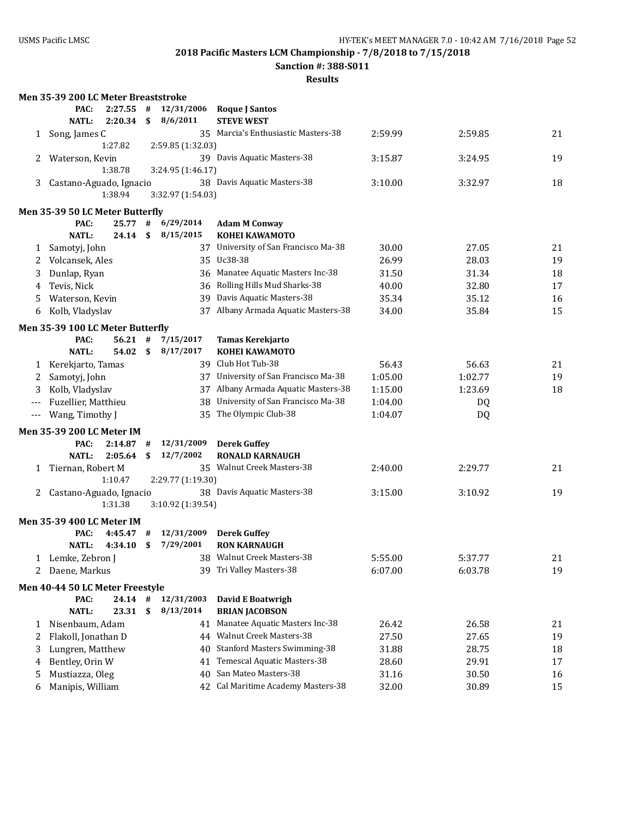**Sanction #: 388-S011**

|       | Men 35-39 200 LC Meter Breaststroke |           |    |                   |                                      |         |         |    |
|-------|-------------------------------------|-----------|----|-------------------|--------------------------------------|---------|---------|----|
|       | PAC:                                | 2:27.55   | #  | 12/31/2006        | <b>Roque J Santos</b>                |         |         |    |
|       | <b>NATL:</b>                        | 2:20.34   | \$ | 8/6/2011          | <b>STEVE WEST</b>                    |         |         |    |
|       | 1 Song, James C                     |           |    |                   | 35 Marcia's Enthusiastic Masters-38  | 2:59.99 | 2:59.85 | 21 |
|       |                                     | 1:27.82   |    | 2:59.85 (1:32.03) |                                      |         |         |    |
| 2     | Waterson, Kevin                     |           |    |                   | 39 Davis Aquatic Masters-38          | 3:15.87 | 3:24.95 | 19 |
|       |                                     | 1:38.78   |    | 3:24.95 (1:46.17) |                                      |         |         |    |
| 3     | Castano-Aguado, Ignacio             |           |    |                   | 38 Davis Aquatic Masters-38          | 3:10.00 | 3:32.97 | 18 |
|       |                                     | 1:38.94   |    | 3:32.97 (1:54.03) |                                      |         |         |    |
|       | Men 35-39 50 LC Meter Butterfly     |           |    |                   |                                      |         |         |    |
|       | PAC:                                | 25.77 #   |    | 6/29/2014         | <b>Adam M Conway</b>                 |         |         |    |
|       | <b>NATL:</b>                        | 24.14     | \$ | 8/15/2015         | <b>KOHEI KAWAMOTO</b>                |         |         |    |
| 1     | Samotyj, John                       |           |    |                   | 37 University of San Francisco Ma-38 | 30.00   | 27.05   | 21 |
| 2     | Volcansek, Ales                     |           |    |                   | 35 Uc38-38                           | 26.99   | 28.03   | 19 |
| 3     | Dunlap, Ryan                        |           |    |                   | 36 Manatee Aquatic Masters Inc-38    | 31.50   | 31.34   | 18 |
| 4     | Tevis, Nick                         |           |    |                   | 36 Rolling Hills Mud Sharks-38       | 40.00   | 32.80   | 17 |
| 5     | Waterson, Kevin                     |           |    |                   | 39 Davis Aquatic Masters-38          | 35.34   | 35.12   | 16 |
| 6     | Kolb, Vladyslav                     |           |    |                   | 37 Albany Armada Aquatic Masters-38  | 34.00   | 35.84   | 15 |
|       | Men 35-39 100 LC Meter Butterfly    |           |    |                   |                                      |         |         |    |
|       | PAC:                                | $56.21$ # |    | 7/15/2017         | Tamas Kerekjarto                     |         |         |    |
|       | <b>NATL:</b>                        | 54.02 S   |    | 8/17/2017         | <b>KOHEI KAWAMOTO</b>                |         |         |    |
|       | 1 Kerekjarto, Tamas                 |           |    |                   | 39 Club Hot Tub-38                   | 56.43   | 56.63   | 21 |
| 2     | Samotyj, John                       |           |    |                   | 37 University of San Francisco Ma-38 | 1:05.00 | 1:02.77 | 19 |
| 3     | Kolb, Vladyslav                     |           |    |                   | 37 Albany Armada Aquatic Masters-38  | 1:15.00 | 1:23.69 | 18 |
|       | Fuzellier, Matthieu                 |           |    | 38                | University of San Francisco Ma-38    | 1:04.00 | DQ      |    |
| $---$ | Wang, Timothy J                     |           |    |                   | 35 The Olympic Club-38               | 1:04.07 | DQ      |    |
|       | Men 35-39 200 LC Meter IM           |           |    |                   |                                      |         |         |    |
|       | PAC:                                | 2:14.87   | #  | 12/31/2009        | <b>Derek Guffey</b>                  |         |         |    |
|       | <b>NATL:</b>                        | 2:05.64   | \$ | 12/7/2002         | <b>RONALD KARNAUGH</b>               |         |         |    |
| 1     | Tiernan, Robert M                   |           |    |                   | 35 Walnut Creek Masters-38           | 2:40.00 | 2:29.77 | 21 |
|       |                                     | 1:10.47   |    | 2:29.77 (1:19.30) |                                      |         |         |    |
| 2     | Castano-Aguado, Ignacio             |           |    |                   | 38 Davis Aquatic Masters-38          | 3:15.00 | 3:10.92 | 19 |
|       |                                     | 1:31.38   |    | 3:10.92 (1:39.54) |                                      |         |         |    |
|       | <b>Men 35-39 400 LC Meter IM</b>    |           |    |                   |                                      |         |         |    |
|       | PAC:                                | 4:45.47   | #  | 12/31/2009        | <b>Derek Guffey</b>                  |         |         |    |
|       | <b>NATL:</b>                        | 4:34.10   | \$ | 7/29/2001         | <b>RON KARNAUGH</b>                  |         |         |    |
| 1     | Lemke, Zebron J                     |           |    |                   | 38 Walnut Creek Masters-38           | 5:55.00 | 5:37.77 | 21 |
| 2     | Daene, Markus                       |           |    |                   | 39 Tri Valley Masters-38             | 6:07.00 | 6:03.78 | 19 |
|       | Men 40-44 50 LC Meter Freestyle     |           |    |                   |                                      |         |         |    |
|       | PAC:                                | $24.14$ # |    | 12/31/2003        | David E Boatwrigh                    |         |         |    |
|       | <b>NATL:</b>                        | 23.31     | \$ | 8/13/2014         | <b>BRIAN JACOBSON</b>                |         |         |    |
| 1     | Nisenbaum, Adam                     |           |    |                   | 41 Manatee Aquatic Masters Inc-38    | 26.42   | 26.58   | 21 |
| 2     | Flakoll, Jonathan D                 |           |    |                   | 44 Walnut Creek Masters-38           | 27.50   | 27.65   | 19 |
| 3     | Lungren, Matthew                    |           |    | 40                | <b>Stanford Masters Swimming-38</b>  | 31.88   | 28.75   | 18 |
| 4     | Bentley, Orin W                     |           |    | 41                | Temescal Aquatic Masters-38          | 28.60   | 29.91   | 17 |
| 5     | Mustiazza, Oleg                     |           |    | 40                | San Mateo Masters-38                 | 31.16   | 30.50   | 16 |
| 6     | Manipis, William                    |           |    |                   | 42 Cal Maritime Academy Masters-38   | 32.00   | 30.89   | 15 |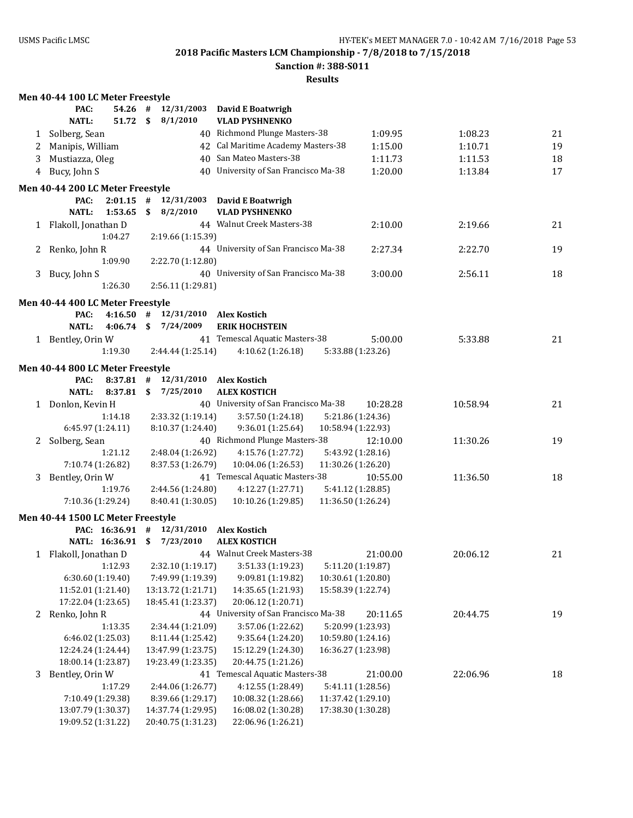**Sanction #: 388-S011**

|   | Men 40-44 100 LC Meter Freestyle         |             |      |                                          |                                          |                    |          |          |    |
|---|------------------------------------------|-------------|------|------------------------------------------|------------------------------------------|--------------------|----------|----------|----|
|   | PAC:                                     | $54.26$ #   |      | 12/31/2003                               | <b>David E Boatwrigh</b>                 |                    |          |          |    |
|   | <b>NATL:</b>                             | 51.72       | - \$ | 8/1/2010                                 | <b>VLAD PYSHNENKO</b>                    |                    |          |          |    |
|   | 1 Solberg, Sean                          |             |      |                                          | 40 Richmond Plunge Masters-38            |                    | 1:09.95  | 1:08.23  | 21 |
| 2 | Manipis, William                         |             |      |                                          | 42 Cal Maritime Academy Masters-38       |                    | 1:15.00  | 1:10.71  | 19 |
| 3 | Mustiazza, Oleg                          |             |      |                                          | 40 San Mateo Masters-38                  |                    | 1:11.73  | 1:11.53  | 18 |
| 4 | Bucy, John S                             |             |      |                                          | 40 University of San Francisco Ma-38     |                    | 1:20.00  | 1:13.84  | 17 |
|   | Men 40-44 200 LC Meter Freestyle         |             |      |                                          |                                          |                    |          |          |    |
|   | PAC:                                     |             |      | $2:01.15$ # $12/31/2003$                 | David E Boatwrigh                        |                    |          |          |    |
|   | <b>NATL:</b>                             | 1:53.65     | \$   | 8/2/2010                                 | <b>VLAD PYSHNENKO</b>                    |                    |          |          |    |
|   | 1 Flakoll, Jonathan D                    |             |      |                                          | 44 Walnut Creek Masters-38               |                    | 2:10.00  | 2:19.66  | 21 |
|   |                                          | 1:04.27     |      | 2:19.66 (1:15.39)                        |                                          |                    |          |          |    |
| 2 | Renko, John R                            |             |      |                                          | 44 University of San Francisco Ma-38     |                    | 2:27.34  | 2:22.70  | 19 |
|   |                                          | 1:09.90     |      | 2:22.70 (1:12.80)                        |                                          |                    |          |          |    |
| 3 | Bucy, John S                             |             |      |                                          | 40 University of San Francisco Ma-38     |                    | 3:00.00  | 2:56.11  | 18 |
|   |                                          | 1:26.30     |      | 2:56.11 (1:29.81)                        |                                          |                    |          |          |    |
|   |                                          |             |      |                                          |                                          |                    |          |          |    |
|   | Men 40-44 400 LC Meter Freestyle         |             |      |                                          |                                          |                    |          |          |    |
|   | PAC:                                     | 4:16.50     | #    | 12/31/2010                               | <b>Alex Kostich</b>                      |                    |          |          |    |
|   | <b>NATL:</b>                             | 4:06.74     | \$   | 7/24/2009                                | <b>ERIK HOCHSTEIN</b>                    |                    |          |          |    |
|   | 1 Bentley, Orin W                        |             |      |                                          | 41 Temescal Aquatic Masters-38           |                    | 5:00.00  | 5:33.88  | 21 |
|   |                                          | 1:19.30     |      | 2:44.44 (1:25.14)                        | 4:10.62 (1:26.18)                        | 5:33.88 (1:23.26)  |          |          |    |
|   | Men 40-44 800 LC Meter Freestyle         |             |      |                                          |                                          |                    |          |          |    |
|   | PAC:                                     | $8:37.81$ # |      | 12/31/2010 Alex Kostich                  |                                          |                    |          |          |    |
|   | <b>NATL:</b>                             | 8:37.81     | \$   | 7/25/2010                                | <b>ALEX KOSTICH</b>                      |                    |          |          |    |
|   | 1 Donlon, Kevin H                        |             |      |                                          | 40 University of San Francisco Ma-38     |                    | 10:28.28 | 10:58.94 | 21 |
|   |                                          | 1:14.18     |      | 2:33.32 (1:19.14)                        | 3:57.50 (1:24.18)                        | 5:21.86 (1:24.36)  |          |          |    |
|   | 6:45.97 (1:24.11)                        |             |      | 8:10.37 (1:24.40)                        | 9:36.01 (1:25.64)                        | 10:58.94 (1:22.93) |          |          |    |
| 2 | Solberg, Sean                            |             |      |                                          | 40 Richmond Plunge Masters-38            |                    | 12:10.00 | 11:30.26 | 19 |
|   |                                          | 1:21.12     |      | 2:48.04 (1:26.92)                        | 4:15.76 (1:27.72)                        | 5:43.92 (1:28.16)  |          |          |    |
|   | 7:10.74 (1:26.82)                        |             |      | 8:37.53 (1:26.79)                        | 10:04.06 (1:26.53)                       | 11:30.26 (1:26.20) |          |          |    |
| 3 | Bentley, Orin W                          |             |      |                                          | 41 Temescal Aquatic Masters-38           |                    | 10:55.00 | 11:36.50 | 18 |
|   |                                          | 1:19.76     |      | 2:44.56 (1:24.80)                        | 4:12.27 (1:27.71)                        | 5:41.12 (1:28.85)  |          |          |    |
|   | 7:10.36 (1:29.24)                        |             |      | 8:40.41 (1:30.05)                        | 10:10.26 (1:29.85)                       | 11:36.50 (1:26.24) |          |          |    |
|   | Men 40-44 1500 LC Meter Freestyle        |             |      |                                          |                                          |                    |          |          |    |
|   | PAC: 16:36.91 #                          |             |      | 12/31/2010                               | <b>Alex Kostich</b>                      |                    |          |          |    |
|   | NATL: 16:36.91 \$                        |             |      | 7/23/2010                                | <b>ALEX KOSTICH</b>                      |                    |          |          |    |
|   | 1 Flakoll, Jonathan D                    |             |      |                                          | 44 Walnut Creek Masters-38               |                    | 21:00.00 | 20:06.12 | 21 |
|   |                                          | 1:12.93     |      | 2:32.10 (1:19.17)                        | 3:51.33 (1:19.23)                        | 5:11.20 (1:19.87)  |          |          |    |
|   | 6:30.60 (1:19.40)                        |             |      | 7:49.99 (1:19.39)                        | 9:09.81 (1:19.82)                        | 10:30.61 (1:20.80) |          |          |    |
|   | 11:52.01 (1:21.40)                       |             |      | 13:13.72 (1:21.71)                       | 14:35.65 (1:21.93)                       | 15:58.39 (1:22.74) |          |          |    |
|   | 17:22.04 (1:23.65)                       |             |      | 18:45.41 (1:23.37)                       | 20:06.12 (1:20.71)                       |                    |          |          |    |
|   | 2 Renko, John R                          |             |      |                                          | 44 University of San Francisco Ma-38     |                    | 20:11.65 | 20:44.75 | 19 |
|   |                                          | 1:13.35     |      | 2:34.44 (1:21.09)                        | 3:57.06 (1:22.62)                        | 5:20.99 (1:23.93)  |          |          |    |
|   | 6:46.02 (1:25.03)                        |             |      | 8:11.44 (1:25.42)                        | 9:35.64(1:24.20)                         | 10:59.80 (1:24.16) |          |          |    |
|   | 12:24.24 (1:24.44)                       |             |      | 13:47.99 (1:23.75)                       | 15:12.29 (1:24.30)                       | 16:36.27 (1:23.98) |          |          |    |
|   | 18:00.14 (1:23.87)                       |             |      | 19:23.49 (1:23.35)                       | 20:44.75 (1:21.26)                       |                    |          |          |    |
| 3 | Bentley, Orin W                          |             |      |                                          | 41 Temescal Aquatic Masters-38           |                    | 21:00.00 | 22:06.96 | 18 |
|   |                                          | 1:17.29     |      | 2:44.06 (1:26.77)                        | 4:12.55 (1:28.49)                        | 5:41.11 (1:28.56)  |          |          |    |
|   | 7:10.49 (1:29.38)                        |             |      | 8:39.66 (1:29.17)                        | 10:08.32 (1:28.66)                       | 11:37.42 (1:29.10) |          |          |    |
|   | 13:07.79 (1:30.37)<br>19:09.52 (1:31.22) |             |      | 14:37.74 (1:29.95)<br>20:40.75 (1:31.23) | 16:08.02 (1:30.28)<br>22:06.96 (1:26.21) | 17:38.30 (1:30.28) |          |          |    |
|   |                                          |             |      |                                          |                                          |                    |          |          |    |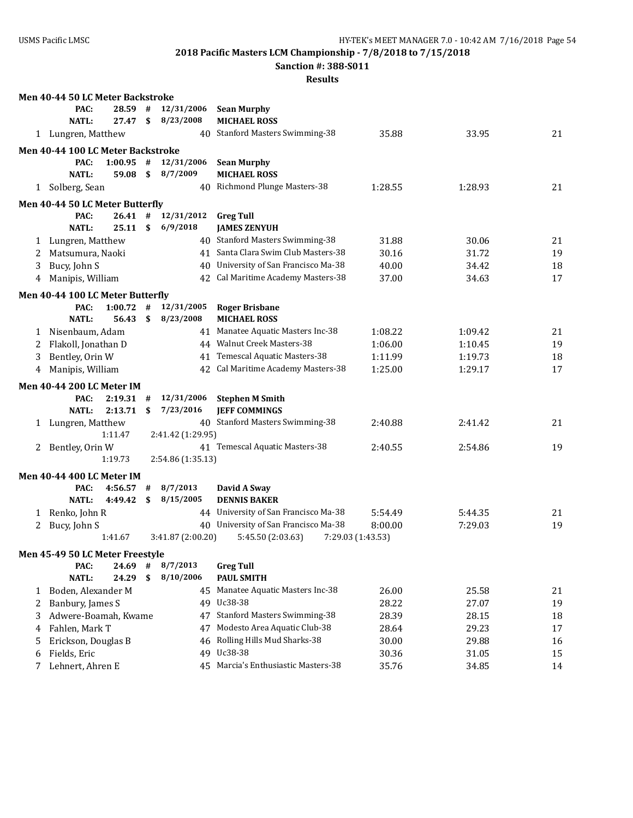**Sanction #: 388-S011**

|    | Men 40-44 50 LC Meter Backstroke  |             |                           |                   |                                                |                   |         |    |
|----|-----------------------------------|-------------|---------------------------|-------------------|------------------------------------------------|-------------------|---------|----|
|    | PAC:                              | 28.59       | #                         | 12/31/2006        | <b>Sean Murphy</b>                             |                   |         |    |
|    | <b>NATL:</b>                      | 27.47       | \$                        | 8/23/2008         | <b>MICHAEL ROSS</b>                            |                   |         |    |
|    | 1 Lungren, Matthew                |             |                           |                   | 40 Stanford Masters Swimming-38                | 35.88             | 33.95   | 21 |
|    | Men 40-44 100 LC Meter Backstroke |             |                           |                   |                                                |                   |         |    |
|    | PAC:                              | $1:00.95$ # |                           | 12/31/2006        | <b>Sean Murphy</b>                             |                   |         |    |
|    | <b>NATL:</b>                      | 59.08       | \$                        | 8/7/2009          | <b>MICHAEL ROSS</b>                            |                   |         |    |
|    | 1 Solberg, Sean                   |             |                           |                   | 40 Richmond Plunge Masters-38                  | 1:28.55           | 1:28.93 | 21 |
|    | Men 40-44 50 LC Meter Butterfly   |             |                           |                   |                                                |                   |         |    |
|    | PAC:                              | 26.41#      |                           | 12/31/2012        | <b>Greg Tull</b>                               |                   |         |    |
|    | <b>NATL:</b>                      | 25.11       | $\boldsymbol{\mathsf{s}}$ | 6/9/2018          | <b>JAMES ZENYUH</b>                            |                   |         |    |
| 1  | Lungren, Matthew                  |             |                           |                   | 40 Stanford Masters Swimming-38                | 31.88             | 30.06   | 21 |
| 2  | Matsumura, Naoki                  |             |                           |                   | 41 Santa Clara Swim Club Masters-38            | 30.16             | 31.72   | 19 |
| 3  | Bucy, John S                      |             |                           | 40                | University of San Francisco Ma-38              | 40.00             | 34.42   | 18 |
| 4  | Manipis, William                  |             |                           | 42                | Cal Maritime Academy Masters-38                | 37.00             | 34.63   | 17 |
|    | Men 40-44 100 LC Meter Butterfly  |             |                           |                   |                                                |                   |         |    |
|    | PAC:                              | 1:00.72     | #                         | 12/31/2005        | <b>Roger Brisbane</b>                          |                   |         |    |
|    | <b>NATL:</b>                      | 56.43       | $\mathbf{s}$              | 8/23/2008         | <b>MICHAEL ROSS</b>                            |                   |         |    |
| 1  | Nisenbaum, Adam                   |             |                           |                   | 41 Manatee Aquatic Masters Inc-38              | 1:08.22           | 1:09.42 | 21 |
| 2  | Flakoll, Jonathan D               |             |                           |                   | 44 Walnut Creek Masters-38                     | 1:06.00           | 1:10.45 | 19 |
| 3  | Bentley, Orin W                   |             |                           |                   | 41 Temescal Aquatic Masters-38                 | 1:11.99           | 1:19.73 | 18 |
| 4  | Manipis, William                  |             |                           |                   | 42 Cal Maritime Academy Masters-38             | 1:25.00           | 1:29.17 | 17 |
|    | <b>Men 40-44 200 LC Meter IM</b>  |             |                           |                   |                                                |                   |         |    |
|    | PAC:                              | 2:19.31     | #                         | 12/31/2006        | <b>Stephen M Smith</b>                         |                   |         |    |
|    | <b>NATL:</b>                      | 2:13.71     | \$                        | 7/23/2016         | <b>JEFF COMMINGS</b>                           |                   |         |    |
| 1  | Lungren, Matthew                  |             |                           |                   | 40 Stanford Masters Swimming-38                | 2:40.88           | 2:41.42 | 21 |
|    |                                   | 1:11.47     |                           | 2:41.42 (1:29.95) |                                                |                   |         |    |
| 2  | Bentley, Orin W                   |             |                           |                   | 41 Temescal Aquatic Masters-38                 | 2:40.55           | 2:54.86 | 19 |
|    |                                   | 1:19.73     |                           | 2:54.86 (1:35.13) |                                                |                   |         |    |
|    | <b>Men 40-44 400 LC Meter IM</b>  |             |                           |                   |                                                |                   |         |    |
|    | PAC:                              | 4:56.57     | #                         | 8/7/2013          | David A Sway                                   |                   |         |    |
|    | <b>NATL:</b>                      | 4:49.42     | \$                        | 8/15/2005         | <b>DENNIS BAKER</b>                            |                   |         |    |
| 1  | Renko, John R                     |             |                           |                   | 44 University of San Francisco Ma-38           | 5:54.49           | 5:44.35 | 21 |
| 2  | Bucy, John S                      |             |                           | 40                | University of San Francisco Ma-38              | 8:00.00           | 7:29.03 | 19 |
|    |                                   | 1:41.67     |                           | 3:41.87 (2:00.20) | 5:45.50 (2:03.63)                              | 7:29.03 (1:43.53) |         |    |
|    | Men 45-49 50 LC Meter Freestyle   |             |                           |                   |                                                |                   |         |    |
|    | PAC:                              | $24.69$ #   |                           | 8/7/2013          | <b>Greg Tull</b>                               |                   |         |    |
|    | <b>NATL:</b>                      | 24.29       | \$                        | 8/10/2006         | PAUL SMITH                                     |                   |         |    |
| 1  | Boden, Alexander M                |             |                           |                   | 45 Manatee Aquatic Masters Inc-38              | 26.00             | 25.58   | 21 |
| 2  | Banbury, James S                  |             |                           |                   | 49 Uc38-38                                     | 28.22             | 27.07   | 19 |
| 3  | Adwere-Boamah, Kwame              |             |                           | 47                | <b>Stanford Masters Swimming-38</b>            | 28.39             | 28.15   | 18 |
|    |                                   |             |                           |                   |                                                |                   |         |    |
| 4  | Fahlen, Mark T                    |             |                           | 47                | Modesto Area Aquatic Club-38                   | 28.64             | 29.23   | 17 |
| 5. | Erickson, Douglas B               |             |                           | 46                | Rolling Hills Mud Sharks-38                    | 30.00             | 29.88   | 16 |
| 6  | Fields, Eric<br>Lehnert, Ahren E  |             |                           | 49                | Uc38-38<br>45 Marcia's Enthusiastic Masters-38 | 30.36<br>35.76    | 31.05   | 15 |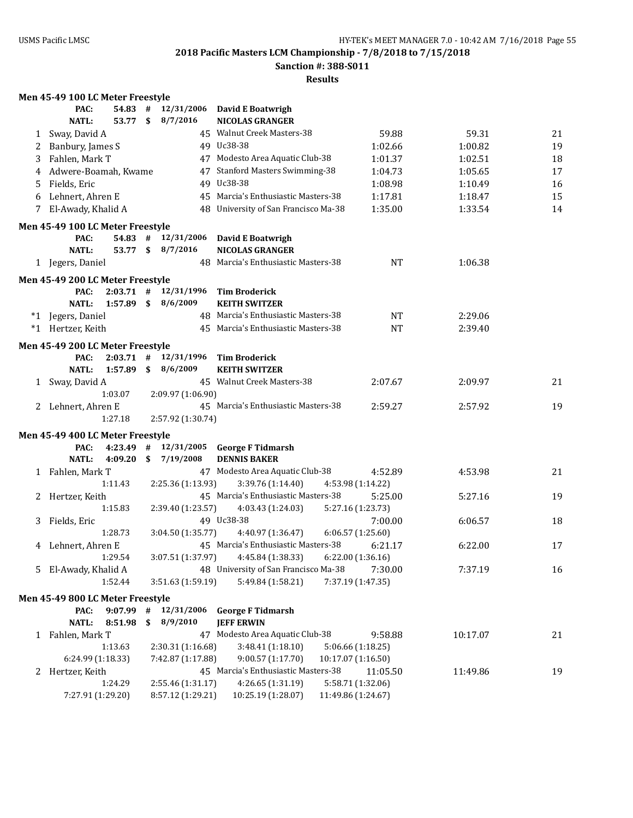**Sanction #: 388-S011**

#### **Results**

# **Men 45-49 100 LC Meter Freestyle**

|   | PAC:                             | 54.83       | #   |                   | 12/31/2006 David E Boatwrigh         |                    |          |    |
|---|----------------------------------|-------------|-----|-------------------|--------------------------------------|--------------------|----------|----|
|   | <b>NATL:</b>                     | 53.77       | \$  | 8/7/2016          | <b>NICOLAS GRANGER</b>               |                    |          |    |
| 1 | Sway, David A                    |             |     |                   | 45 Walnut Creek Masters-38           | 59.88              | 59.31    | 21 |
| 2 | Banbury, James S                 |             |     |                   | 49 Uc38-38                           | 1:02.66            | 1:00.82  | 19 |
| 3 | Fahlen, Mark T                   |             |     |                   | 47 Modesto Area Aquatic Club-38      | 1:01.37            | 1:02.51  | 18 |
| 4 | Adwere-Boamah, Kwame             |             |     |                   | 47 Stanford Masters Swimming-38      | 1:04.73            | 1:05.65  | 17 |
| 5 | Fields, Eric                     |             |     |                   | 49 Uc38-38                           | 1:08.98            | 1:10.49  | 16 |
| 6 | Lehnert, Ahren E                 |             |     |                   | 45 Marcia's Enthusiastic Masters-38  | 1:17.81            | 1:18.47  | 15 |
|   | El-Awady, Khalid A               |             |     |                   | 48 University of San Francisco Ma-38 | 1:35.00            | 1:33.54  | 14 |
|   |                                  |             |     |                   |                                      |                    |          |    |
|   | Men 45-49 100 LC Meter Freestyle |             |     |                   |                                      |                    |          |    |
|   | PAC:                             | $54.83$ #   |     | 12/31/2006        | David E Boatwrigh                    |                    |          |    |
|   | <b>NATL:</b>                     | 53.77       |     | \$8/7/2016        | <b>NICOLAS GRANGER</b>               |                    |          |    |
|   | 1 Jegers, Daniel                 |             |     |                   | 48 Marcia's Enthusiastic Masters-38  | <b>NT</b>          | 1:06.38  |    |
|   | Men 45-49 200 LC Meter Freestyle |             |     |                   |                                      |                    |          |    |
|   | PAC:                             | $2:03.71$ # |     | 12/31/1996        | <b>Tim Broderick</b>                 |                    |          |    |
|   | <b>NATL:</b>                     | 1:57.89     | \$  | 8/6/2009          | <b>KEITH SWITZER</b>                 |                    |          |    |
|   | *1 Jegers, Daniel                |             |     |                   | 48 Marcia's Enthusiastic Masters-38  | <b>NT</b>          | 2:29.06  |    |
|   | *1 Hertzer, Keith                |             |     |                   | 45 Marcia's Enthusiastic Masters-38  | <b>NT</b>          | 2:39.40  |    |
|   |                                  |             |     |                   |                                      |                    |          |    |
|   | Men 45-49 200 LC Meter Freestyle |             |     |                   |                                      |                    |          |    |
|   | PAC:                             | $2:03.71$ # |     | 12/31/1996        | <b>Tim Broderick</b>                 |                    |          |    |
|   | <b>NATL:</b>                     | 1:57.89     | \$  | 8/6/2009          | <b>KEITH SWITZER</b>                 |                    |          |    |
|   | 1 Sway, David A                  |             |     |                   | 45 Walnut Creek Masters-38           | 2:07.67            | 2:09.97  | 21 |
|   |                                  | 1:03.07     |     | 2:09.97 (1:06.90) |                                      |                    |          |    |
|   | 2 Lehnert, Ahren E               |             |     |                   | 45 Marcia's Enthusiastic Masters-38  | 2:59.27            | 2:57.92  | 19 |
|   |                                  | 1:27.18     |     | 2:57.92 (1:30.74) |                                      |                    |          |    |
|   | Men 45-49 400 LC Meter Freestyle |             |     |                   |                                      |                    |          |    |
|   | PAC:                             | 4:23.49     | #   | 12/31/2005        | <b>George F Tidmarsh</b>             |                    |          |    |
|   | <b>NATL:</b>                     | 4:09.20     | \$. | 7/19/2008         | <b>DENNIS BAKER</b>                  |                    |          |    |
|   | 1 Fahlen, Mark T                 |             |     |                   | 47 Modesto Area Aquatic Club-38      | 4:52.89            | 4:53.98  | 21 |
|   |                                  | 1:11.43     |     | 2:25.36 (1:13.93) | 3:39.76 (1:14.40)                    | 4:53.98 (1:14.22)  |          |    |
| 2 | Hertzer, Keith                   |             |     |                   | 45 Marcia's Enthusiastic Masters-38  | 5:25.00            | 5:27.16  | 19 |
|   |                                  | 1:15.83     |     | 2:39.40 (1:23.57) | 4:03.43 (1:24.03)                    | 5:27.16 (1:23.73)  |          |    |
| 3 | Fields, Eric                     |             |     |                   | 49 Uc38-38                           | 7:00.00            | 6:06.57  | 18 |
|   |                                  | 1:28.73     |     | 3:04.50 (1:35.77) | 4:40.97 (1:36.47)                    | 6:06.57(1:25.60)   |          |    |
| 4 | Lehnert, Ahren E                 |             |     |                   | 45 Marcia's Enthusiastic Masters-38  | 6:21.17            | 6:22.00  | 17 |
|   |                                  | 1:29.54     |     | 3:07.51 (1:37.97) | 4:45.84 (1:38.33)                    | 6:22.00 (1:36.16)  |          |    |
|   | 5 El-Awady, Khalid A             |             |     |                   | 48 University of San Francisco Ma-38 | 7:30.00            | 7:37.19  | 16 |
|   |                                  | 1:52.44     |     | 3:51.63 (1:59.19) | 5:49.84 (1:58.21)                    | 7:37.19 (1:47.35)  |          |    |
|   |                                  |             |     |                   |                                      |                    |          |    |
|   | Men 45-49 800 LC Meter Freestyle |             |     |                   |                                      |                    |          |    |
|   | PAC:                             | 9:07.99     | #   | 12/31/2006        | <b>George F Tidmarsh</b>             |                    |          |    |
|   | <b>NATL:</b>                     | 8:51.98     | \$  | 8/9/2010          | <b>JEFF ERWIN</b>                    |                    |          |    |
|   | 1 Fahlen, Mark T                 |             |     |                   | 47 Modesto Area Aquatic Club-38      | 9:58.88            | 10:17.07 | 21 |
|   |                                  | 1:13.63     |     | 2:30.31 (1:16.68) | 3:48.41 (1:18.10)                    | 5:06.66 (1:18.25)  |          |    |
|   | 6:24.99 (1:18.33)                |             |     | 7:42.87 (1:17.88) | 9:00.57 (1:17.70)                    | 10:17.07 (1:16.50) |          |    |
|   | 2 Hertzer, Keith                 |             |     |                   | 45 Marcia's Enthusiastic Masters-38  | 11:05.50           | 11:49.86 | 19 |
|   |                                  | 1:24.29     |     | 2:55.46 (1:31.17) | 4:26.65 (1:31.19)                    | 5:58.71 (1:32.06)  |          |    |
|   | 7:27.91 (1:29.20)                |             |     | 8:57.12 (1:29.21) | 10:25.19 (1:28.07)                   | 11:49.86 (1:24.67) |          |    |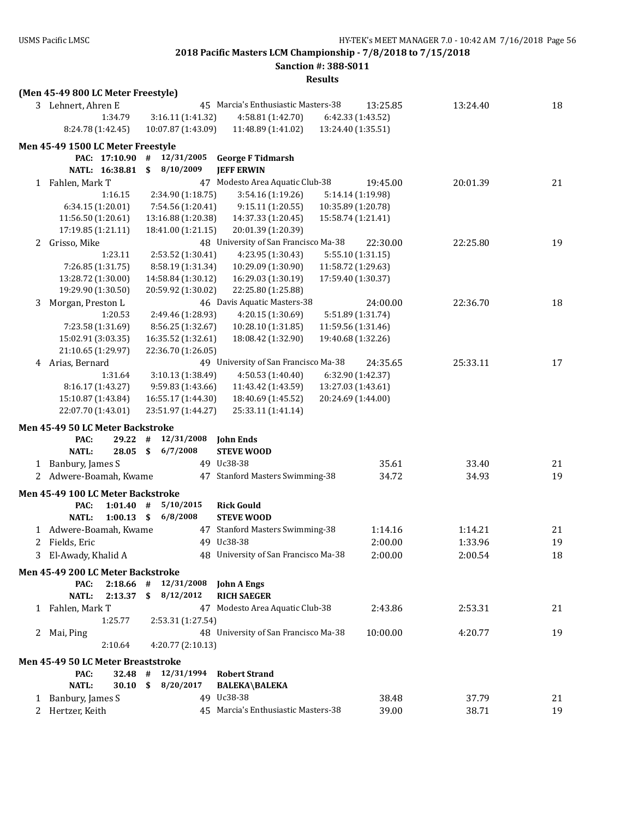**(Men 45-49 800 LC Meter Freestyle)**

**2018 Pacific Masters LCM Championship - 7/8/2018 to 7/15/2018**

**Sanction #: 388-S011**

| 3 | Lehnert, Ahren E                   |                                       | 45 Marcia's Enthusiastic Masters-38  | 13:25.85           | 13:24.40 | 18 |
|---|------------------------------------|---------------------------------------|--------------------------------------|--------------------|----------|----|
|   | 1:34.79                            | 3:16.11 (1:41.32)                     | 4:58.81 (1:42.70)                    | 6:42.33 (1:43.52)  |          |    |
|   | 8:24.78 (1:42.45)                  | 10:07.87 (1:43.09)                    | 11:48.89 (1:41.02)                   | 13:24.40 (1:35.51) |          |    |
|   | Men 45-49 1500 LC Meter Freestyle  |                                       |                                      |                    |          |    |
|   | PAC: 17:10.90                      | #<br>12/31/2005                       | <b>George F Tidmarsh</b>             |                    |          |    |
|   | NATL: 16:38.81                     | \$<br>8/10/2009                       | <b>JEFF ERWIN</b>                    |                    |          |    |
|   | 1 Fahlen, Mark T                   |                                       | 47 Modesto Area Aquatic Club-38      | 19:45.00           | 20:01.39 | 21 |
|   | 1:16.15                            | 2:34.90 (1:18.75)                     | 3:54.16 (1:19.26)                    | 5:14.14 (1:19.98)  |          |    |
|   | 6:34.15 (1:20.01)                  | 7:54.56 (1:20.41)                     | 9:15.11 (1:20.55)                    | 10:35.89 (1:20.78) |          |    |
|   | 11:56.50 (1:20.61)                 | 13:16.88 (1:20.38)                    | 14:37.33 (1:20.45)                   | 15:58.74 (1:21.41) |          |    |
|   | 17:19.85 (1:21.11)                 | 18:41.00 (1:21.15)                    | 20:01.39 (1:20.39)                   |                    |          |    |
| 2 | Grisso, Mike                       |                                       | 48 University of San Francisco Ma-38 | 22:30.00           | 22:25.80 | 19 |
|   | 1:23.11                            | 2:53.52 (1:30.41)                     | 4:23.95 (1:30.43)                    | 5:55.10 (1:31.15)  |          |    |
|   | 7:26.85 (1:31.75)                  | 8:58.19 (1:31.34)                     | 10:29.09 (1:30.90)                   | 11:58.72 (1:29.63) |          |    |
|   | 13:28.72 (1:30.00)                 | 14:58.84 (1:30.12)                    | 16:29.03 (1:30.19)                   | 17:59.40 (1:30.37) |          |    |
|   | 19:29.90 (1:30.50)                 | 20:59.92 (1:30.02)                    | 22:25.80 (1:25.88)                   |                    |          |    |
| 3 | Morgan, Preston L                  |                                       | 46 Davis Aquatic Masters-38          | 24:00.00           | 22:36.70 | 18 |
|   | 1:20.53                            | 2:49.46 (1:28.93)                     | 4:20.15 (1:30.69)                    | 5:51.89 (1:31.74)  |          |    |
|   | 7:23.58 (1:31.69)                  | 8:56.25 (1:32.67)                     | 10:28.10 (1:31.85)                   | 11:59.56 (1:31.46) |          |    |
|   | 15:02.91 (3:03.35)                 | 16:35.52 (1:32.61)                    | 18:08.42 (1:32.90)                   | 19:40.68 (1:32.26) |          |    |
|   | 21:10.65 (1:29.97)                 | 22:36.70 (1:26.05)                    |                                      |                    |          |    |
| 4 | Arias, Bernard                     |                                       | 49 University of San Francisco Ma-38 | 24:35.65           | 25:33.11 | 17 |
|   | 1:31.64                            | 3:10.13 (1:38.49)                     | 4:50.53 (1:40.40)                    | 6:32.90 (1:42.37)  |          |    |
|   | 8:16.17 (1:43.27)                  | 9:59.83 (1:43.66)                     | 11:43.42 (1:43.59)                   | 13:27.03 (1:43.61) |          |    |
|   | 15:10.87 (1:43.84)                 | 16:55.17 (1:44.30)                    | 18:40.69 (1:45.52)                   | 20:24.69 (1:44.00) |          |    |
|   | 22:07.70 (1:43.01)                 | 23:51.97 (1:44.27)                    | 25:33.11 (1:41.14)                   |                    |          |    |
|   | Men 45-49 50 LC Meter Backstroke   |                                       |                                      |                    |          |    |
|   | PAC:<br>29.22                      | 12/31/2008<br>#                       | <b>John Ends</b>                     |                    |          |    |
|   | <b>NATL:</b><br>28.05              | \$<br>6/7/2008                        | <b>STEVE WOOD</b>                    |                    |          |    |
| 1 | Banbury, James S                   |                                       | 49 Uc38-38                           | 35.61              | 33.40    | 21 |
| 2 | Adwere-Boamah, Kwame               |                                       | 47 Stanford Masters Swimming-38      | 34.72              | 34.93    | 19 |
|   | Men 45-49 100 LC Meter Backstroke  |                                       |                                      |                    |          |    |
|   | $1:01.40$ #                        | 5/10/2015                             | <b>Rick Gould</b>                    |                    |          |    |
|   | PAC:<br><b>NATL:</b><br>1:00.13    | $\boldsymbol{\mathsf{s}}$<br>6/8/2008 | <b>STEVE WOOD</b>                    |                    |          |    |
|   |                                    |                                       | 47 Stanford Masters Swimming-38      |                    | 1:14.21  |    |
|   | 1 Adwere-Boamah, Kwame             |                                       | 49 Uc38-38                           | 1:14.16            |          | 21 |
| 2 | Fields, Eric                       |                                       |                                      | 2:00.00            | 1:33.96  | 19 |
| 3 | El-Awady, Khalid A                 |                                       | 48 University of San Francisco Ma-38 | 2:00.00            | 2:00.54  | 18 |
|   | Men 45-49 200 LC Meter Backstroke  |                                       |                                      |                    |          |    |
|   | PAC:<br>2:18.66                    | 12/31/2008<br>#                       | <b>John A Engs</b>                   |                    |          |    |
|   | <b>NATL:</b><br>2:13.37            | 8/12/2012<br>\$                       | <b>RICH SAEGER</b>                   |                    |          |    |
|   | 1 Fahlen, Mark T                   |                                       | 47 Modesto Area Aquatic Club-38      | 2:43.86            | 2:53.31  | 21 |
|   | 1:25.77                            | 2:53.31 (1:27.54)                     |                                      |                    |          |    |
|   | 2 Mai, Ping                        |                                       | 48 University of San Francisco Ma-38 | 10:00.00           | 4:20.77  | 19 |
|   | 2:10.64                            | 4:20.77(2:10.13)                      |                                      |                    |          |    |
|   | Men 45-49 50 LC Meter Breaststroke |                                       |                                      |                    |          |    |
|   | 32.48<br>PAC:                      | $\#$<br>12/31/1994                    | <b>Robert Strand</b>                 |                    |          |    |
|   | <b>NATL:</b><br>30.10              | \$<br>8/20/2017                       | <b>BALEKA\BALEKA</b>                 |                    |          |    |
|   | 1 Banbury, James S                 |                                       | 49 Uc38-38                           | 38.48              | 37.79    | 21 |
|   | 2 Hertzer, Keith                   |                                       | 45 Marcia's Enthusiastic Masters-38  | 39.00              | 38.71    | 19 |
|   |                                    |                                       |                                      |                    |          |    |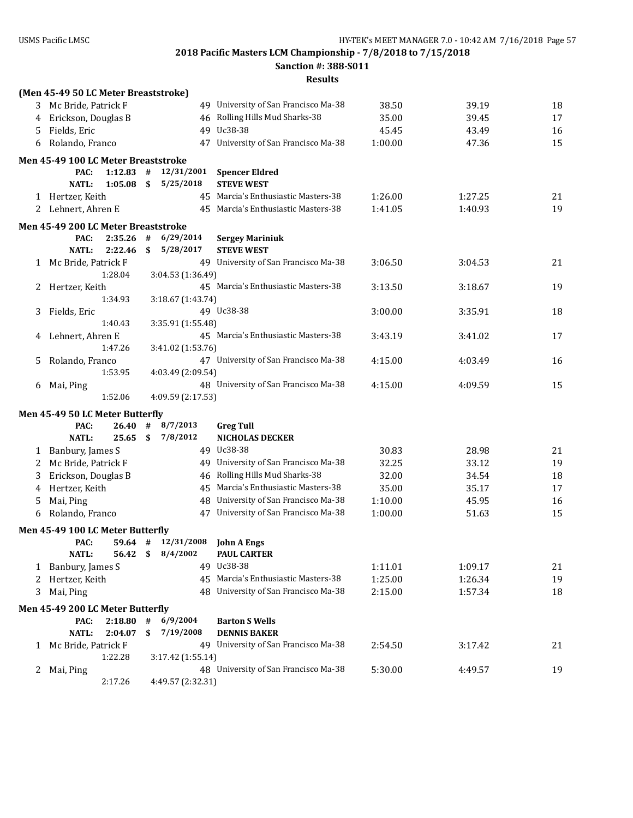**Sanction #: 388-S011**

|    | (Men 45-49 50 LC Meter Breaststroke) |                    |            |                         |                                             |         |         |    |
|----|--------------------------------------|--------------------|------------|-------------------------|---------------------------------------------|---------|---------|----|
|    | 3 Mc Bride, Patrick F                |                    |            |                         | 49 University of San Francisco Ma-38        | 38.50   | 39.19   | 18 |
| 4  | Erickson, Douglas B                  |                    |            |                         | 46 Rolling Hills Mud Sharks-38              | 35.00   | 39.45   | 17 |
| 5. | Fields, Eric                         |                    |            |                         | 49 Uc38-38                                  | 45.45   | 43.49   | 16 |
| 6  | Rolando, Franco                      |                    |            |                         | 47 University of San Francisco Ma-38        | 1:00.00 | 47.36   | 15 |
|    | Men 45-49 100 LC Meter Breaststroke  |                    |            |                         |                                             |         |         |    |
|    | PAC:<br><b>NATL:</b>                 | 1:12.83<br>1:05.08 | #<br>\$    | 12/31/2001<br>5/25/2018 | <b>Spencer Eldred</b><br><b>STEVE WEST</b>  |         |         |    |
|    | 1 Hertzer, Keith                     |                    |            |                         | 45 Marcia's Enthusiastic Masters-38         | 1:26.00 | 1:27.25 | 21 |
|    | 2 Lehnert, Ahren E                   |                    |            |                         | 45 Marcia's Enthusiastic Masters-38         | 1:41.05 | 1:40.93 | 19 |
|    | Men 45-49 200 LC Meter Breaststroke  |                    |            |                         |                                             |         |         |    |
|    | PAC:<br><b>NATL:</b>                 | 2:35.26<br>2:22.46 | $\#$<br>\$ | 6/29/2014<br>5/28/2017  | <b>Sergey Mariniuk</b><br><b>STEVE WEST</b> |         |         |    |
|    | 1 Mc Bride, Patrick F                |                    |            |                         | 49 University of San Francisco Ma-38        | 3:06.50 | 3:04.53 | 21 |
|    |                                      | 1:28.04            |            | 3:04.53 (1:36.49)       |                                             |         |         |    |
| 2  | Hertzer, Keith                       |                    |            |                         | 45 Marcia's Enthusiastic Masters-38         | 3:13.50 | 3:18.67 | 19 |
|    |                                      | 1:34.93            |            | 3:18.67 (1:43.74)       |                                             |         |         |    |
| 3  | Fields, Eric                         | 1:40.43            |            | 3:35.91 (1:55.48)       | 49 Uc38-38                                  | 3:00.00 | 3:35.91 | 18 |
| 4  | Lehnert, Ahren E                     |                    |            |                         | 45 Marcia's Enthusiastic Masters-38         | 3:43.19 | 3:41.02 | 17 |
|    |                                      | 1:47.26            |            | 3:41.02 (1:53.76)       |                                             |         |         |    |
| 5  | Rolando, Franco                      |                    |            |                         | 47 University of San Francisco Ma-38        | 4:15.00 | 4:03.49 | 16 |
|    |                                      | 1:53.95            |            | 4:03.49 (2:09.54)       |                                             |         |         |    |
| 6  | Mai, Ping                            |                    |            |                         | 48 University of San Francisco Ma-38        | 4:15.00 | 4:09.59 | 15 |
|    |                                      | 1:52.06            |            | 4:09.59 (2:17.53)       |                                             |         |         |    |
|    | Men 45-49 50 LC Meter Butterfly      |                    |            |                         |                                             |         |         |    |
|    | PAC:                                 | 26.40              | #          | 8/7/2013                | <b>Greg Tull</b>                            |         |         |    |
|    | <b>NATL:</b>                         | 25.65              | \$         | 7/8/2012                | NICHOLAS DECKER                             |         |         |    |
| 1  | Banbury, James S                     |                    |            |                         | 49 Uc38-38                                  | 30.83   | 28.98   | 21 |
| 2  | Mc Bride, Patrick F                  |                    |            |                         | 49 University of San Francisco Ma-38        | 32.25   | 33.12   | 19 |
| 3  | Erickson, Douglas B                  |                    |            |                         | 46 Rolling Hills Mud Sharks-38              | 32.00   | 34.54   | 18 |
| 4  | Hertzer, Keith                       |                    |            |                         | 45 Marcia's Enthusiastic Masters-38         | 35.00   | 35.17   | 17 |
| 5  | Mai, Ping                            |                    |            |                         | 48 University of San Francisco Ma-38        | 1:10.00 | 45.95   | 16 |
| 6  | Rolando, Franco                      |                    |            |                         | 47 University of San Francisco Ma-38        | 1:00.00 | 51.63   | 15 |
|    | Men 45-49 100 LC Meter Butterfly     |                    |            |                         |                                             |         |         |    |
|    | PAC:                                 |                    |            | $59.64$ # $12/31/2008$  | John A Engs                                 |         |         |    |
|    | <b>NATL:</b>                         |                    |            | 56.42 \$ 8/4/2002       | <b>PAUL CARTER</b>                          |         |         |    |
| 1  | Banbury, James S                     |                    |            |                         | 49 Uc38-38                                  | 1:11.01 | 1:09.17 | 21 |
| 2  | Hertzer, Keith                       |                    |            | 45                      | Marcia's Enthusiastic Masters-38            | 1:25.00 | 1:26.34 | 19 |
| 3  | Mai, Ping                            |                    |            |                         | 48 University of San Francisco Ma-38        | 2:15.00 | 1:57.34 | 18 |
|    | Men 45-49 200 LC Meter Butterfly     |                    |            |                         |                                             |         |         |    |
|    | PAC:                                 | 2:18.80            | #          | 6/9/2004                | <b>Barton S Wells</b>                       |         |         |    |
|    | <b>NATL:</b>                         | 2:04.07            | \$         | 7/19/2008               | <b>DENNIS BAKER</b>                         |         |         |    |
| 1  | Mc Bride, Patrick F                  |                    |            |                         | 49 University of San Francisco Ma-38        | 2:54.50 | 3:17.42 | 21 |
|    |                                      | 1:22.28            |            | 3:17.42 (1:55.14)       |                                             |         |         |    |
| 2  | Mai, Ping                            |                    |            |                         | 48 University of San Francisco Ma-38        | 5:30.00 | 4:49.57 | 19 |
|    |                                      | 2:17.26            |            | 4:49.57 (2:32.31)       |                                             |         |         |    |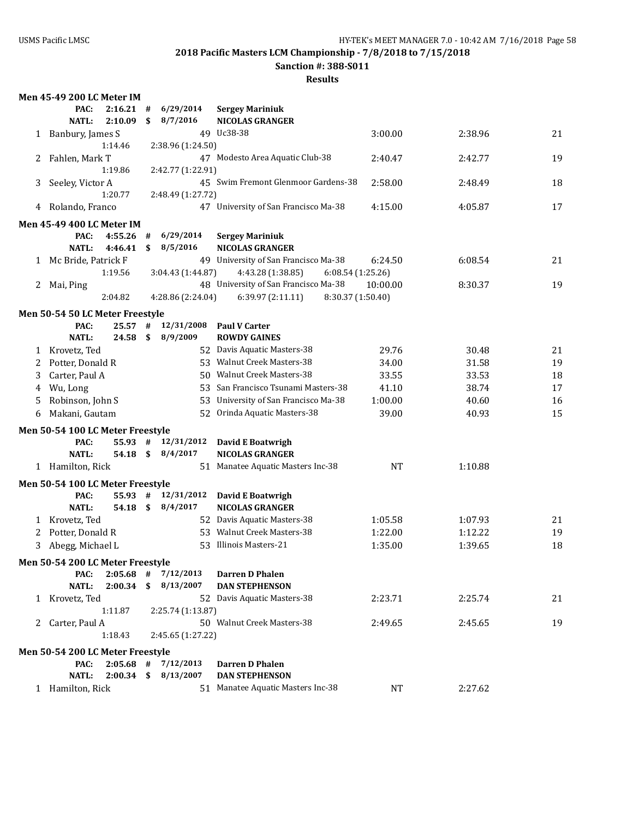**Sanction #: 388-S011**

|              | <b>Men 45-49 200 LC Meter IM</b> |    |                          |                                        |           |         |    |
|--------------|----------------------------------|----|--------------------------|----------------------------------------|-----------|---------|----|
|              | PAC:<br>2:16.21                  | #  | 6/29/2014                | <b>Sergey Mariniuk</b>                 |           |         |    |
|              | <b>NATL:</b><br>2:10.09          | \$ | 8/7/2016                 | <b>NICOLAS GRANGER</b>                 |           |         |    |
| $\mathbf{1}$ | Banbury, James S                 |    |                          | 49 Uc38-38                             | 3:00.00   | 2:38.96 | 21 |
|              | 1:14.46                          |    | 2:38.96 (1:24.50)        |                                        |           |         |    |
| 2            | Fahlen, Mark T                   |    |                          | 47 Modesto Area Aquatic Club-38        | 2:40.47   | 2:42.77 | 19 |
|              | 1:19.86                          |    | 2:42.77 (1:22.91)        |                                        |           |         |    |
| 3            | Seeley, Victor A                 |    |                          | 45 Swim Fremont Glenmoor Gardens-38    | 2:58.00   | 2:48.49 | 18 |
|              | 1:20.77                          |    | 2:48.49 (1:27.72)        |                                        |           |         |    |
| 4            | Rolando, Franco                  |    |                          | 47 University of San Francisco Ma-38   | 4:15.00   | 4:05.87 | 17 |
|              | Men 45-49 400 LC Meter IM        |    |                          |                                        |           |         |    |
|              | 4:55.26<br>PAC:                  | #  | 6/29/2014                | <b>Sergey Mariniuk</b>                 |           |         |    |
|              | <b>NATL:</b><br>4:46.41          | \$ | 8/5/2016                 | <b>NICOLAS GRANGER</b>                 |           |         |    |
|              | 1 Mc Bride, Patrick F            |    |                          | 49 University of San Francisco Ma-38   | 6:24.50   | 6:08.54 | 21 |
|              | 1:19.56                          |    | 3:04.43 (1:44.87)        | 4:43.28 (1:38.85)<br>6:08.54(1:25.26)  |           |         |    |
| 2            | Mai, Ping                        |    |                          | 48 University of San Francisco Ma-38   | 10:00.00  | 8:30.37 | 19 |
|              | 2:04.82                          |    | 4:28.86 (2:24.04)        | 6:39.97 (2:11.11)<br>8:30.37 (1:50.40) |           |         |    |
|              | Men 50-54 50 LC Meter Freestyle  |    |                          |                                        |           |         |    |
|              | PAC:<br>25.57                    | #  | 12/31/2008               | <b>Paul V Carter</b>                   |           |         |    |
|              | <b>NATL:</b><br>24.58            | \$ | 8/9/2009                 | <b>ROWDY GAINES</b>                    |           |         |    |
| 1            | Krovetz, Ted                     |    |                          | 52 Davis Aquatic Masters-38            | 29.76     | 30.48   | 21 |
| 2            | Potter, Donald R                 |    |                          | 53 Walnut Creek Masters-38             | 34.00     | 31.58   | 19 |
| 3            | Carter, Paul A                   |    |                          | 50 Walnut Creek Masters-38             | 33.55     | 33.53   | 18 |
| 4            | Wu, Long                         |    |                          | 53 San Francisco Tsunami Masters-38    | 41.10     | 38.74   | 17 |
| 5            | Robinson, John S                 |    | 53                       | University of San Francisco Ma-38      | 1:00.00   | 40.60   | 16 |
| 6            | Makani, Gautam                   |    | 52                       | Orinda Aquatic Masters-38              | 39.00     | 40.93   | 15 |
|              |                                  |    |                          |                                        |           |         |    |
|              | Men 50-54 100 LC Meter Freestyle |    |                          |                                        |           |         |    |
|              | PAC:<br>55.93#                   |    | 12/31/2012               | David E Boatwrigh                      |           |         |    |
|              | <b>NATL:</b><br>54.18 \$         |    | 8/4/2017                 | <b>NICOLAS GRANGER</b>                 |           |         |    |
|              | 1 Hamilton, Rick                 |    |                          | 51 Manatee Aquatic Masters Inc-38      | <b>NT</b> | 1:10.88 |    |
|              | Men 50-54 100 LC Meter Freestyle |    |                          |                                        |           |         |    |
|              | 55.93<br>PAC:                    | #  | 12/31/2012               | <b>David E Boatwrigh</b>               |           |         |    |
|              | <b>NATL:</b><br>54.18 \$         |    | 8/4/2017                 | <b>NICOLAS GRANGER</b>                 |           |         |    |
| 1            | Krovetz, Ted                     |    |                          | 52 Davis Aquatic Masters-38            | 1:05.58   | 1:07.93 | 21 |
| 2            | Potter, Donald R                 |    |                          | 53 Walnut Creek Masters-38             | 1:22.00   | 1:12.22 | 19 |
| 3            | Abegg, Michael L                 |    |                          | 53 Illinois Masters-21                 | 1:35.00   | 1:39.65 | 18 |
|              | Men 50-54 200 LC Meter Freestyle |    |                          |                                        |           |         |    |
|              | PAC:                             |    | $2:05.68$ # $7/12/2013$  | <b>Darren D Phalen</b>                 |           |         |    |
|              | <b>NATL:</b>                     |    | $2:00.34$ \$ $8/13/2007$ | <b>DAN STEPHENSON</b>                  |           |         |    |
|              | 1 Krovetz, Ted                   |    |                          | 52 Davis Aquatic Masters-38            | 2:23.71   | 2:25.74 | 21 |
|              | 1:11.87                          |    | 2:25.74 (1:13.87)        |                                        |           |         |    |
|              | 2 Carter, Paul A                 |    |                          | 50 Walnut Creek Masters-38             | 2:49.65   | 2:45.65 | 19 |
|              | 1:18.43                          |    | 2:45.65 (1:27.22)        |                                        |           |         |    |
|              | Men 50-54 200 LC Meter Freestyle |    |                          |                                        |           |         |    |
|              | $2:05.68$ #<br>PAC:              |    | 7/12/2013                | <b>Darren D Phalen</b>                 |           |         |    |
|              | <b>NATL:</b><br>$2:00.34$ \$     |    | 8/13/2007                | <b>DAN STEPHENSON</b>                  |           |         |    |
|              | 1 Hamilton, Rick                 |    |                          | 51 Manatee Aquatic Masters Inc-38      | NT        | 2:27.62 |    |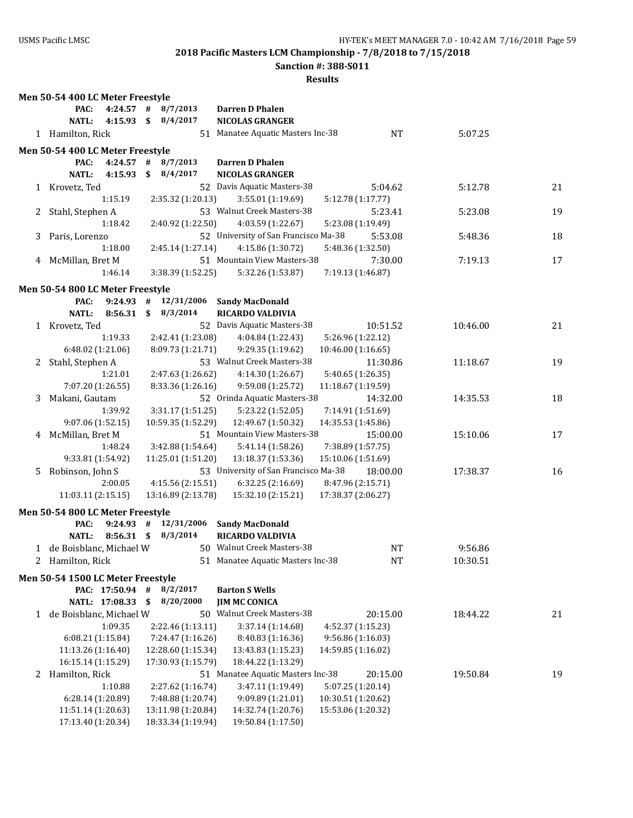**Sanction #: 388-S011**

|              | Men 50-54 400 LC Meter Freestyle                        |                             |                                                  |          |    |
|--------------|---------------------------------------------------------|-----------------------------|--------------------------------------------------|----------|----|
|              | PAC:<br>$4:24.57$ #                                     | 8/7/2013                    | Darren D Phalen                                  |          |    |
|              | $4:15.93$ \$<br><b>NATL:</b>                            | 8/4/2017                    | <b>NICOLAS GRANGER</b>                           |          |    |
|              | 1 Hamilton, Rick                                        |                             | 51 Manatee Aquatic Masters Inc-38<br><b>NT</b>   | 5:07.25  |    |
|              | Men 50-54 400 LC Meter Freestyle                        |                             |                                                  |          |    |
|              | PAC:                                                    | $4:24.57$ # $8/7/2013$      | <b>Darren D Phalen</b>                           |          |    |
|              | <b>NATL:</b><br>4:15.93                                 | \$<br>8/4/2017              | <b>NICOLAS GRANGER</b>                           |          |    |
| 1            | Krovetz, Ted                                            |                             | 52 Davis Aquatic Masters-38<br>5:04.62           | 5:12.78  | 21 |
|              | 1:15.19                                                 | 2:35.32 (1:20.13)           | 3:55.01 (1:19.69)<br>5:12.78 (1:17.77)           |          |    |
| 2.           | Stahl, Stephen A                                        |                             | 53 Walnut Creek Masters-38<br>5:23.41            | 5:23.08  | 19 |
|              | 1:18.42                                                 | 2:40.92 (1:22.50)           | 4:03.59 (1:22.67)<br>5:23.08 (1:19.49)           |          |    |
| 3            | Paris, Lorenzo                                          |                             | 52 University of San Francisco Ma-38<br>5:53.08  | 5:48.36  | 18 |
|              | 1:18.00                                                 | 2:45.14 (1:27.14)           | 5:48.36 (1:32.50)<br>4:15.86 (1:30.72)           |          |    |
|              | 4 McMillan, Bret M                                      |                             | 51 Mountain View Masters-38<br>7:30.00           | 7:19.13  | 17 |
|              | 1:46.14                                                 | 3:38.39 (1:52.25)           | 5:32.26 (1:53.87)<br>7:19.13 (1:46.87)           |          |    |
|              |                                                         |                             |                                                  |          |    |
|              | Men 50-54 800 LC Meter Freestyle<br>$9:24.93$ #<br>PAC: | 12/31/2006                  | <b>Sandy MacDonald</b>                           |          |    |
|              | <b>NATL:</b><br>$8:56.31$ \$                            | 8/3/2014                    | <b>RICARDO VALDIVIA</b>                          |          |    |
|              | 1 Krovetz, Ted                                          |                             | 52 Davis Aquatic Masters-38<br>10:51.52          | 10:46.00 | 21 |
|              | 1:19.33                                                 | 2:42.41 (1:23.08)           | 4:04.84 (1:22.43)<br>5:26.96 (1:22.12)           |          |    |
|              | 6:48.02 (1:21.06)                                       | 8:09.73 (1:21.71)           | 9:29.35 (1:19.62)<br>10:46.00 (1:16.65)          |          |    |
| 2            | Stahl, Stephen A                                        |                             | 53 Walnut Creek Masters-38<br>11:30.86           | 11:18.67 | 19 |
|              | 1:21.01                                                 | 2:47.63 (1:26.62)           | 4:14.30 (1:26.67)<br>5:40.65 (1:26.35)           |          |    |
|              | 7:07.20 (1:26.55)                                       | 8:33.36 (1:26.16)           | 9:59.08 (1:25.72)<br>11:18.67 (1:19.59)          |          |    |
| 3            | Makani, Gautam                                          |                             | 52 Orinda Aquatic Masters-38<br>14:32.00         | 14:35.53 | 18 |
|              | 1:39.92                                                 | 3:31.17 (1:51.25)           | 7:14.91 (1:51.69)<br>5:23.22 (1:52.05)           |          |    |
|              | 9:07.06 (1:52.15)                                       | 10:59.35 (1:52.29)          | 12:49.67 (1:50.32)<br>14:35.53 (1:45.86)         |          |    |
|              | 4 McMillan, Bret M                                      |                             | 51 Mountain View Masters-38<br>15:00.00          | 15:10.06 | 17 |
|              | 1:48.24                                                 | 3:42.88 (1:54.64)           | 7:38.89 (1:57.75)<br>5:41.14 (1:58.26)           |          |    |
|              | 9:33.81 (1:54.92)                                       | 11:25.01 (1:51.20)          | 13:18.37 (1:53.36)<br>15:10.06 (1:51.69)         |          |    |
| 5.           | Robinson, John S                                        |                             | 53 University of San Francisco Ma-38<br>18:00.00 | 17:38.37 | 16 |
|              | 2:00.05                                                 | 4:15.56 (2:15.51)           | 6:32.25 (2:16.69)<br>8:47.96 (2:15.71)           |          |    |
|              | 11:03.11 (2:15.15)                                      | 13:16.89 (2:13.78)          | 15:32.10 (2:15.21)<br>17:38.37 (2:06.27)         |          |    |
|              | Men 50-54 800 LC Meter Freestyle                        |                             |                                                  |          |    |
|              | $9:24.93$ #<br>PAC:                                     | 12/31/2006                  | <b>Sandy MacDonald</b>                           |          |    |
|              | $8:56.31$ \$<br>NATL:                                   | 8/3/2014                    | <b>RICARDO VALDIVIA</b>                          |          |    |
|              | 1 de Boisblanc, Michael W                               |                             | 50 Walnut Creek Masters-38<br>NT                 | 9:56.86  |    |
|              | 2 Hamilton, Rick                                        |                             | 51 Manatee Aquatic Masters Inc-38<br>NT          | 10:30.51 |    |
|              |                                                         |                             |                                                  |          |    |
|              | Men 50-54 1500 LC Meter Freestyle<br>PAC: 17:50.94 #    |                             |                                                  |          |    |
|              | NATL: 17:08.33                                          | 8/2/2017<br>8/20/2000<br>\$ | <b>Barton S Wells</b><br><b>JIM MC CONICA</b>    |          |    |
| $\mathbf{1}$ | de Boisblanc, Michael W                                 |                             | 50 Walnut Creek Masters-38<br>20:15.00           | 18:44.22 | 21 |
|              | 1:09.35                                                 | 2:22.46 (1:13.11)           | 4:52.37 (1:15.23)<br>3:37.14 (1:14.68)           |          |    |
|              | 6:08.21(1:15.84)                                        | 7:24.47 (1:16.26)           | 9:56.86 (1:16.03)<br>8:40.83 (1:16.36)           |          |    |
|              | 11:13.26 (1:16.40)                                      | 12:28.60 (1:15.34)          | 14:59.85 (1:16.02)<br>13:43.83 (1:15.23)         |          |    |
|              | 16:15.14 (1:15.29)                                      | 17:30.93 (1:15.79)          | 18:44.22 (1:13.29)                               |          |    |
| 2            | Hamilton, Rick                                          |                             | 51 Manatee Aquatic Masters Inc-38<br>20:15.00    | 19:50.84 | 19 |
|              | 1:10.88                                                 | 2:27.62 (1:16.74)           | 3:47.11 (1:19.49)<br>5:07.25 (1:20.14)           |          |    |
|              | 6:28.14 (1:20.89)                                       | 7:48.88 (1:20.74)           | 10:30.51 (1:20.62)<br>9:09.89 (1:21.01)          |          |    |
|              | 11:51.14 (1:20.63)                                      | 13:11.98 (1:20.84)          | 14:32.74 (1:20.76)<br>15:53.06 (1:20.32)         |          |    |
|              | 17:13.40 (1:20.34)                                      | 18:33.34 (1:19.94)          | 19:50.84 (1:17.50)                               |          |    |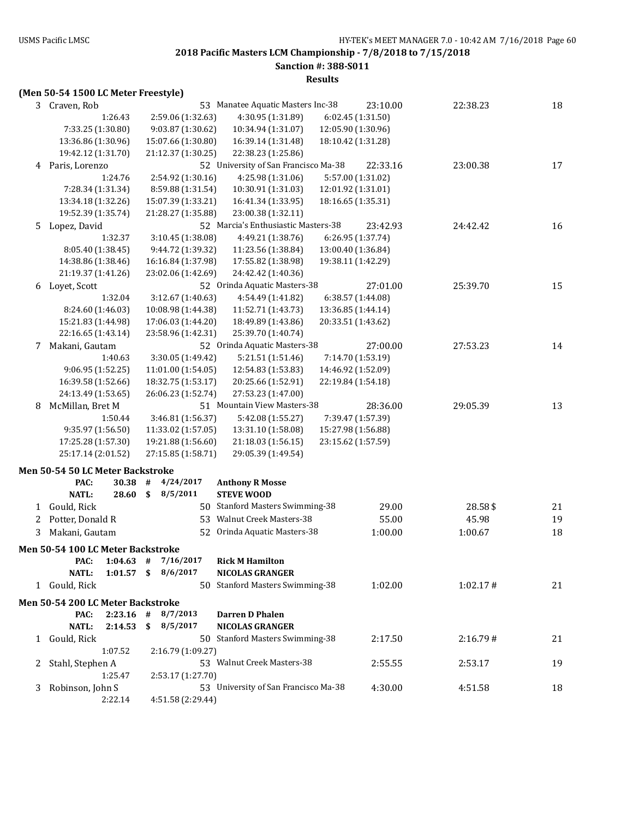**Sanction #: 388-S011**

**Results**

# **(Men 50-54 1500 LC Meter Freestyle)**

| 3 | Craven, Rob                       |             | 53                             | Manatee Aquatic Masters Inc-38       |                    | 23:10.00          | 22:38.23 | 18 |
|---|-----------------------------------|-------------|--------------------------------|--------------------------------------|--------------------|-------------------|----------|----|
|   |                                   | 1:26.43     | 2:59.06 (1:32.63)              | 4:30.95 (1:31.89)                    |                    | 6:02.45 (1:31.50) |          |    |
|   | 7:33.25 (1:30.80)                 |             | 9:03.87 (1:30.62)              | 10:34.94 (1:31.07)                   | 12:05.90 (1:30.96) |                   |          |    |
|   | 13:36.86 (1:30.96)                |             | 15:07.66 (1:30.80)             | 16:39.14 (1:31.48)                   | 18:10.42 (1:31.28) |                   |          |    |
|   | 19:42.12 (1:31.70)                |             | 21:12.37 (1:30.25)             | 22:38.23 (1:25.86)                   |                    |                   |          |    |
|   | 4 Paris, Lorenzo                  |             |                                | 52 University of San Francisco Ma-38 |                    | 22:33.16          | 23:00.38 | 17 |
|   |                                   | 1:24.76     | 2:54.92 (1:30.16)              | 4:25.98 (1:31.06)                    |                    | 5:57.00 (1:31.02) |          |    |
|   | 7:28.34 (1:31.34)                 |             | 8:59.88 (1:31.54)              | 10:30.91 (1:31.03)                   | 12:01.92 (1:31.01) |                   |          |    |
|   | 13:34.18 (1:32.26)                |             | 15:07.39 (1:33.21)             | 16:41.34 (1:33.95)                   | 18:16.65 (1:35.31) |                   |          |    |
|   | 19:52.39 (1:35.74)                |             | 21:28.27 (1:35.88)             | 23:00.38 (1:32.11)                   |                    |                   |          |    |
|   | 5 Lopez, David                    |             |                                | 52 Marcia's Enthusiastic Masters-38  |                    | 23:42.93          | 24:42.42 | 16 |
|   |                                   | 1:32.37     | 3:10.45 (1:38.08)              | 4:49.21 (1:38.76)                    |                    | 6:26.95 (1:37.74) |          |    |
|   | 8:05.40 (1:38.45)                 |             | 9:44.72 (1:39.32)              | 11:23.56 (1:38.84)                   | 13:00.40 (1:36.84) |                   |          |    |
|   | 14:38.86 (1:38.46)                |             | 16:16.84 (1:37.98)             | 17:55.82 (1:38.98)                   | 19:38.11 (1:42.29) |                   |          |    |
|   | 21:19.37 (1:41.26)                |             | 23:02.06 (1:42.69)             | 24:42.42 (1:40.36)                   |                    |                   |          |    |
| 6 | Loyet, Scott                      |             |                                | 52 Orinda Aquatic Masters-38         |                    | 27:01.00          | 25:39.70 | 15 |
|   |                                   | 1:32.04     | 3:12.67 (1:40.63)              | 4:54.49 (1:41.82)                    |                    | 6:38.57 (1:44.08) |          |    |
|   | 8:24.60 (1:46.03)                 |             | 10:08.98 (1:44.38)             | 11:52.71 (1:43.73)                   | 13:36.85 (1:44.14) |                   |          |    |
|   | 15:21.83 (1:44.98)                |             | 17:06.03 (1:44.20)             | 18:49.89 (1:43.86)                   | 20:33.51 (1:43.62) |                   |          |    |
|   | 22:16.65 (1:43.14)                |             | 23:58.96 (1:42.31)             | 25:39.70 (1:40.74)                   |                    |                   |          |    |
| 7 | Makani, Gautam                    |             |                                | 52 Orinda Aquatic Masters-38         |                    | 27:00.00          | 27:53.23 | 14 |
|   |                                   | 1:40.63     | 3:30.05 (1:49.42)              | 5:21.51 (1:51.46)                    |                    | 7:14.70 (1:53.19) |          |    |
|   | 9:06.95 (1:52.25)                 |             | 11:01.00 (1:54.05)             | 12:54.83 (1:53.83)                   | 14:46.92 (1:52.09) |                   |          |    |
|   | 16:39.58 (1:52.66)                |             | 18:32.75 (1:53.17)             | 20:25.66 (1:52.91)                   | 22:19.84 (1:54.18) |                   |          |    |
|   | 24:13.49 (1:53.65)                |             | 26:06.23 (1:52.74)             | 27:53.23 (1:47.00)                   |                    |                   |          |    |
| 8 | McMillan, Bret M                  |             |                                | 51 Mountain View Masters-38          |                    | 28:36.00          | 29:05.39 | 13 |
|   |                                   | 1:50.44     | 3:46.81 (1:56.37)              | 5:42.08 (1:55.27)                    |                    | 7:39.47 (1:57.39) |          |    |
|   | 9:35.97 (1:56.50)                 |             | 11:33.02 (1:57.05)             | 13:31.10 (1:58.08)                   | 15:27.98 (1:56.88) |                   |          |    |
|   | 17:25.28 (1:57.30)                |             | 19:21.88 (1:56.60)             | 21:18.03 (1:56.15)                   | 23:15.62 (1:57.59) |                   |          |    |
|   | 25:17.14 (2:01.52)                |             | 27:15.85 (1:58.71)             | 29:05.39 (1:49.54)                   |                    |                   |          |    |
|   |                                   |             |                                |                                      |                    |                   |          |    |
|   | Men 50-54 50 LC Meter Backstroke  |             |                                |                                      |                    |                   |          |    |
|   | PAC:                              | 30.38<br>#  | 4/24/2017                      | <b>Anthony R Mosse</b>               |                    |                   |          |    |
|   | <b>NATL:</b>                      | 28.60<br>\$ | 8/5/2011                       | <b>STEVE WOOD</b>                    |                    |                   |          |    |
|   | 1 Gould, Rick                     |             |                                | 50 Stanford Masters Swimming-38      |                    | 29.00             | 28.58\$  | 21 |
| 2 | Potter, Donald R                  |             |                                | 53 Walnut Creek Masters-38           |                    | 55.00             | 45.98    | 19 |
| 3 | Makani, Gautam                    |             | 52                             | Orinda Aquatic Masters-38            |                    | 1:00.00           | 1:00.67  | 18 |
|   | Men 50-54 100 LC Meter Backstroke |             |                                |                                      |                    |                   |          |    |
|   |                                   |             | PAC: $1:04.63$ # $7/16/2017$   | <b>Rick M Hamilton</b>               |                    |                   |          |    |
|   |                                   |             |                                |                                      |                    |                   |          |    |
|   |                                   |             |                                |                                      |                    |                   |          |    |
|   | <b>NATL:</b>                      |             | 1:01.57 $\frac{1}{2}$ 8/6/2017 | NICOLAS GRANGER                      |                    |                   |          |    |
|   | 1 Gould, Rick                     |             |                                | 50 Stanford Masters Swimming-38      |                    | 1:02.00           | 1:02.17# | 21 |
|   | Men 50-54 200 LC Meter Backstroke |             |                                |                                      |                    |                   |          |    |
|   | PAC:                              | $2:23.16$ # | 8/7/2013                       | <b>Darren D Phalen</b>               |                    |                   |          |    |
|   | <b>NATL:</b>                      | 2:14.53     | \$8/5/2017                     | <b>NICOLAS GRANGER</b>               |                    |                   |          |    |
|   | 1 Gould, Rick                     |             |                                | 50 Stanford Masters Swimming-38      |                    | 2:17.50           | 2:16.79# | 21 |
|   |                                   | 1:07.52     | 2:16.79 (1:09.27)              |                                      |                    |                   |          |    |
| 2 | Stahl, Stephen A                  |             |                                | 53 Walnut Creek Masters-38           |                    | 2:55.55           | 2:53.17  | 19 |
|   |                                   | 1:25.47     | 2:53.17 (1:27.70)              |                                      |                    |                   |          |    |
| 3 | Robinson, John S                  |             |                                | 53 University of San Francisco Ma-38 |                    | 4:30.00           | 4:51.58  | 18 |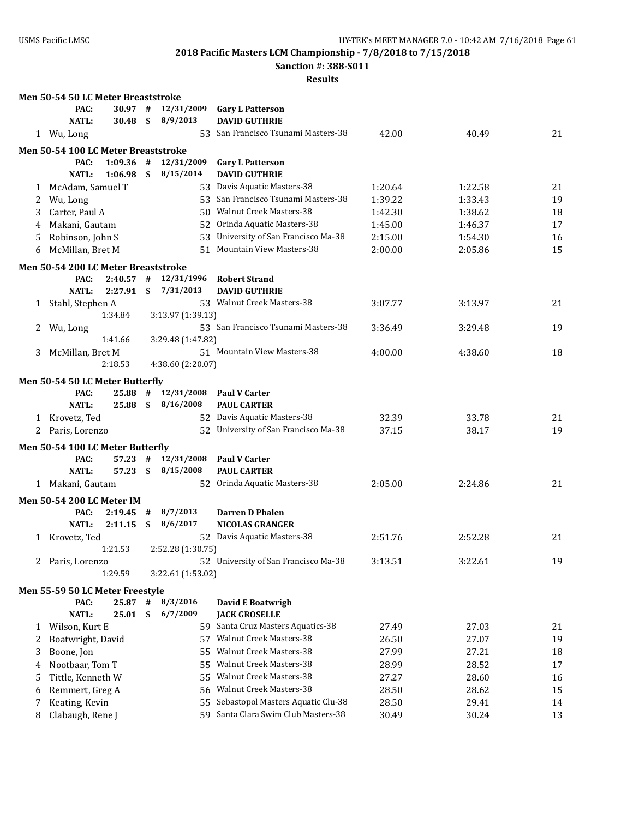**Men 50-54 50 LC Meter Breaststroke**

**2018 Pacific Masters LCM Championship - 7/8/2018 to 7/15/2018**

**Sanction #: 388-S011**

|              | PAC:                                | 30.97       | #  | 12/31/2009        | <b>Gary L Patterson</b>              |         |         |        |
|--------------|-------------------------------------|-------------|----|-------------------|--------------------------------------|---------|---------|--------|
|              | <b>NATL:</b>                        | 30.48       | \$ | 8/9/2013          | <b>DAVID GUTHRIE</b>                 |         |         |        |
|              | 1 Wu, Long                          |             |    |                   | 53 San Francisco Tsunami Masters-38  | 42.00   | 40.49   | 21     |
|              | Men 50-54 100 LC Meter Breaststroke |             |    |                   |                                      |         |         |        |
|              | PAC:                                | $1:09.36$ # |    | 12/31/2009        | <b>Gary L Patterson</b>              |         |         |        |
|              | NATL:                               | 1:06.98     | \$ | 8/15/2014         | <b>DAVID GUTHRIE</b>                 |         |         |        |
| 1            | McAdam, Samuel T                    |             |    |                   | 53 Davis Aquatic Masters-38          | 1:20.64 | 1:22.58 | 21     |
| 2            | Wu, Long                            |             |    |                   | 53 San Francisco Tsunami Masters-38  | 1:39.22 | 1:33.43 | 19     |
| 3            | Carter, Paul A                      |             |    |                   | 50 Walnut Creek Masters-38           | 1:42.30 | 1:38.62 | 18     |
| 4            | Makani, Gautam                      |             |    |                   | 52 Orinda Aquatic Masters-38         | 1:45.00 | 1:46.37 | 17     |
| 5            | Robinson, John S                    |             |    |                   | 53 University of San Francisco Ma-38 | 2:15.00 | 1:54.30 | 16     |
| 6            | McMillan, Bret M                    |             |    |                   | 51 Mountain View Masters-38          | 2:00.00 | 2:05.86 | 15     |
|              | Men 50-54 200 LC Meter Breaststroke |             |    |                   |                                      |         |         |        |
|              | PAC:                                | $2:40.57$ # |    | 12/31/1996        | <b>Robert Strand</b>                 |         |         |        |
|              | NATL:                               | 2:27.91     | \$ | 7/31/2013         | <b>DAVID GUTHRIE</b>                 |         |         |        |
| 1            | Stahl, Stephen A                    |             |    |                   | 53 Walnut Creek Masters-38           | 3:07.77 | 3:13.97 | 21     |
|              |                                     | 1:34.84     |    | 3:13.97 (1:39.13) |                                      |         |         |        |
| 2            | Wu, Long                            |             |    |                   | 53 San Francisco Tsunami Masters-38  | 3:36.49 | 3:29.48 | 19     |
|              |                                     | 1:41.66     |    | 3:29.48 (1:47.82) |                                      |         |         |        |
| 3            | McMillan, Bret M                    |             |    |                   | 51 Mountain View Masters-38          | 4:00.00 | 4:38.60 | 18     |
|              |                                     | 2:18.53     |    | 4:38.60 (2:20.07) |                                      |         |         |        |
|              | Men 50-54 50 LC Meter Butterfly     |             |    |                   |                                      |         |         |        |
|              | PAC:                                | 25.88       | #  | 12/31/2008        | <b>Paul V Carter</b>                 |         |         |        |
|              | <b>NATL:</b>                        | 25.88       | \$ | 8/16/2008         | <b>PAUL CARTER</b>                   |         |         |        |
|              | 1 Krovetz, Ted                      |             |    |                   | 52 Davis Aquatic Masters-38          | 32.39   | 33.78   | 21     |
|              | 2 Paris, Lorenzo                    |             |    |                   | 52 University of San Francisco Ma-38 | 37.15   | 38.17   | 19     |
|              | Men 50-54 100 LC Meter Butterfly    |             |    |                   |                                      |         |         |        |
|              | PAC:                                | 57.23#      |    | 12/31/2008        | <b>Paul V Carter</b>                 |         |         |        |
|              | NATL:                               | 57.23       | \$ | 8/15/2008         | <b>PAUL CARTER</b>                   |         |         |        |
|              | 1 Makani, Gautam                    |             |    |                   | 52 Orinda Aquatic Masters-38         | 2:05.00 | 2:24.86 | 21     |
|              | <b>Men 50-54 200 LC Meter IM</b>    |             |    |                   |                                      |         |         |        |
|              | PAC:                                | 2:19.45     | #  | 8/7/2013          | <b>Darren D Phalen</b>               |         |         |        |
|              | <b>NATL:</b>                        | 2:11.15     | \$ | 8/6/2017          | <b>NICOLAS GRANGER</b>               |         |         |        |
| $\mathbf{1}$ | Krovetz, Ted                        |             |    |                   | 52 Davis Aquatic Masters-38          | 2:51.76 | 2:52.28 | 21     |
|              |                                     | 1:21.53     |    | 2:52.28 (1:30.75) |                                      |         |         |        |
| 2            | Paris, Lorenzo                      |             |    |                   | 52 University of San Francisco Ma-38 | 3:13.51 | 3:22.61 | 19     |
|              |                                     | 1:29.59     |    | 3:22.61 (1:53.02) |                                      |         |         |        |
|              | Men 55-59 50 LC Meter Freestyle     |             |    |                   |                                      |         |         |        |
|              | PAC:                                | 25.87       | #  | 8/3/2016          | <b>David E Boatwrigh</b>             |         |         |        |
|              | <b>NATL:</b>                        | 25.01       | \$ | 6/7/2009          | <b>JACK GROSELLE</b>                 |         |         |        |
| 1            | Wilson, Kurt E                      |             |    |                   | 59 Santa Cruz Masters Aquatics-38    | 27.49   | 27.03   | 21     |
| 2            | Boatwright, David                   |             |    |                   | 57 Walnut Creek Masters-38           | 26.50   | 27.07   | 19     |
| 3            | Boone, Jon                          |             |    | 55                | <b>Walnut Creek Masters-38</b>       | 27.99   | 27.21   | 18     |
| 4            | Nootbaar, Tom T                     |             |    | 55                | <b>Walnut Creek Masters-38</b>       | 28.99   | 28.52   | $17\,$ |
| 5            | Tittle, Kenneth W                   |             |    | 55.               | <b>Walnut Creek Masters-38</b>       | 27.27   | 28.60   | 16     |
| 6            | Remmert, Greg A                     |             |    | 56                | Walnut Creek Masters-38              | 28.50   | 28.62   | 15     |
| 7            | Keating, Kevin                      |             |    | 55                | Sebastopol Masters Aquatic Clu-38    | 28.50   | 29.41   | 14     |
| 8            | Clabaugh, Rene J                    |             |    |                   | 59 Santa Clara Swim Club Masters-38  | 30.49   | 30.24   | 13     |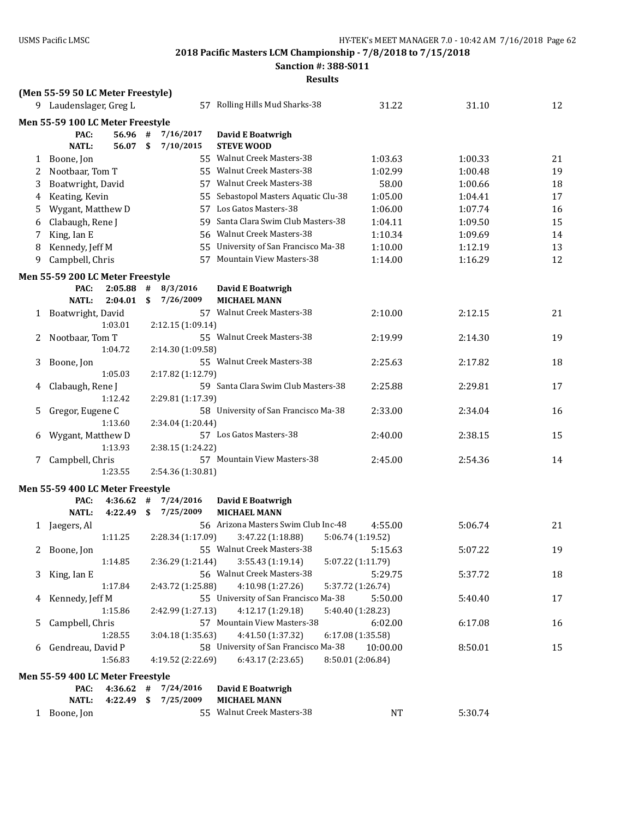**Sanction #: 388-S011**

|   | (Men 55-59 50 LC Meter Freestyle) |              |    |                   |                                      |                   |         |    |
|---|-----------------------------------|--------------|----|-------------------|--------------------------------------|-------------------|---------|----|
|   | 9 Laudenslager, Greg L            |              |    |                   | 57 Rolling Hills Mud Sharks-38       | 31.22             | 31.10   | 12 |
|   | Men 55-59 100 LC Meter Freestyle  |              |    |                   |                                      |                   |         |    |
|   | PAC:                              | 56.96 #      |    | 7/16/2017         | David E Boatwrigh                    |                   |         |    |
|   | <b>NATL:</b>                      | 56.07 \$     |    | 7/10/2015         | <b>STEVE WOOD</b>                    |                   |         |    |
| 1 | Boone, Jon                        |              |    |                   | 55 Walnut Creek Masters-38           | 1:03.63           | 1:00.33 | 21 |
| 2 | Nootbaar, Tom T                   |              |    |                   | 55 Walnut Creek Masters-38           | 1:02.99           | 1:00.48 | 19 |
| 3 | Boatwright, David                 |              |    |                   | 57 Walnut Creek Masters-38           | 58.00             | 1:00.66 | 18 |
| 4 | Keating, Kevin                    |              |    |                   | 55 Sebastopol Masters Aquatic Clu-38 | 1:05.00           | 1:04.41 | 17 |
| 5 | Wygant, Matthew D                 |              |    |                   | 57 Los Gatos Masters-38              | 1:06.00           | 1:07.74 | 16 |
| 6 | Clabaugh, Rene J                  |              |    |                   | 59 Santa Clara Swim Club Masters-38  | 1:04.11           | 1:09.50 | 15 |
| 7 | King, Ian E                       |              |    |                   | 56 Walnut Creek Masters-38           | 1:10.34           | 1:09.69 | 14 |
| 8 | Kennedy, Jeff M                   |              |    |                   | 55 University of San Francisco Ma-38 | 1:10.00           | 1:12.19 | 13 |
| 9 | Campbell, Chris                   |              |    |                   | 57 Mountain View Masters-38          | 1:14.00           | 1:16.29 | 12 |
|   | Men 55-59 200 LC Meter Freestyle  |              |    |                   |                                      |                   |         |    |
|   | PAC:                              | $2:05.88$ #  |    | 8/3/2016          | David E Boatwrigh                    |                   |         |    |
|   | <b>NATL:</b>                      | 2:04.01      | \$ | 7/26/2009         | <b>MICHAEL MANN</b>                  |                   |         |    |
|   | 1 Boatwright, David               |              |    |                   | 57 Walnut Creek Masters-38           | 2:10.00           | 2:12.15 | 21 |
|   |                                   | 1:03.01      |    | 2:12.15 (1:09.14) |                                      |                   |         |    |
| 2 | Nootbaar, Tom T                   |              |    |                   | 55 Walnut Creek Masters-38           | 2:19.99           | 2:14.30 | 19 |
|   |                                   | 1:04.72      |    | 2:14.30 (1:09.58) |                                      |                   |         |    |
| 3 | Boone, Jon                        |              |    |                   | 55 Walnut Creek Masters-38           | 2:25.63           | 2:17.82 | 18 |
|   |                                   | 1:05.03      |    | 2:17.82 (1:12.79) |                                      |                   |         |    |
| 4 | Clabaugh, Rene J                  |              |    |                   | 59 Santa Clara Swim Club Masters-38  | 2:25.88           | 2:29.81 | 17 |
|   |                                   | 1:12.42      |    | 2:29.81 (1:17.39) |                                      |                   |         |    |
| 5 | Gregor, Eugene C                  |              |    |                   | 58 University of San Francisco Ma-38 | 2:33.00           | 2:34.04 | 16 |
|   |                                   | 1:13.60      |    | 2:34.04 (1:20.44) |                                      |                   |         |    |
| 6 | Wygant, Matthew D                 |              |    |                   | 57 Los Gatos Masters-38              | 2:40.00           | 2:38.15 | 15 |
|   |                                   | 1:13.93      |    | 2:38.15 (1:24.22) |                                      |                   |         |    |
| 7 | Campbell, Chris                   |              |    |                   | 57 Mountain View Masters-38          | 2:45.00           | 2:54.36 | 14 |
|   |                                   | 1:23.55      |    | 2:54.36 (1:30.81) |                                      |                   |         |    |
|   | Men 55-59 400 LC Meter Freestyle  |              |    |                   |                                      |                   |         |    |
|   | PAC:                              | 4:36.62      | #  | 7/24/2016         | David E Boatwrigh                    |                   |         |    |
|   | <b>NATL:</b>                      | $4:22.49$ \$ |    | 7/25/2009         | <b>MICHAEL MANN</b>                  |                   |         |    |
|   | 1 Jaegers, Al                     |              |    |                   | 56 Arizona Masters Swim Club Inc-48  | 4:55.00           | 5:06.74 | 21 |
|   |                                   | 1:11.25      |    | 2:28.34 (1:17.09) | 3:47.22 (1:18.88)                    | 5:06.74 (1:19.52) |         |    |
|   | 2 Boone, Jon                      |              |    |                   | 55 Walnut Creek Masters-38           | 5:15.63           | 5:07.22 | 19 |
|   |                                   | 1:14.85      |    | 2:36.29 (1:21.44) | 3:55.43(1:19.14)                     | 5:07.22 (1:11.79) |         |    |
| 3 | King, Ian E                       |              |    |                   | 56 Walnut Creek Masters-38           | 5:29.75           | 5:37.72 | 18 |
|   |                                   | 1:17.84      |    | 2:43.72 (1:25.88) | 4:10.98 (1:27.26)                    | 5:37.72 (1:26.74) |         |    |
|   | 4 Kennedy, Jeff M                 |              |    |                   | 55 University of San Francisco Ma-38 | 5:50.00           | 5:40.40 | 17 |
|   |                                   | 1:15.86      |    | 2:42.99 (1:27.13) | 4:12.17 (1:29.18)                    | 5:40.40 (1:28.23) |         |    |
| 5 | Campbell, Chris                   |              |    |                   | 57 Mountain View Masters-38          | 6:02.00           | 6:17.08 | 16 |
|   |                                   | 1:28.55      |    | 3:04.18 (1:35.63) | 4:41.50 (1:37.32)                    | 6:17.08 (1:35.58) |         |    |
|   | 6 Gendreau, David P               |              |    |                   | 58 University of San Francisco Ma-38 | 10:00.00          | 8:50.01 | 15 |
|   |                                   | 1:56.83      |    | 4:19.52 (2:22.69) | 6:43.17 (2:23.65)                    | 8:50.01 (2:06.84) |         |    |
|   | Men 55-59 400 LC Meter Freestyle  |              |    |                   |                                      |                   |         |    |
|   | PAC:                              | $4:36.62$ #  |    | 7/24/2016         | David E Boatwrigh                    |                   |         |    |
|   | <b>NATL:</b>                      | $4:22.49$ \$ |    | 7/25/2009         | <b>MICHAEL MANN</b>                  |                   |         |    |
|   | 1 Boone, Jon                      |              |    |                   | 55 Walnut Creek Masters-38           | <b>NT</b>         | 5:30.74 |    |
|   |                                   |              |    |                   |                                      |                   |         |    |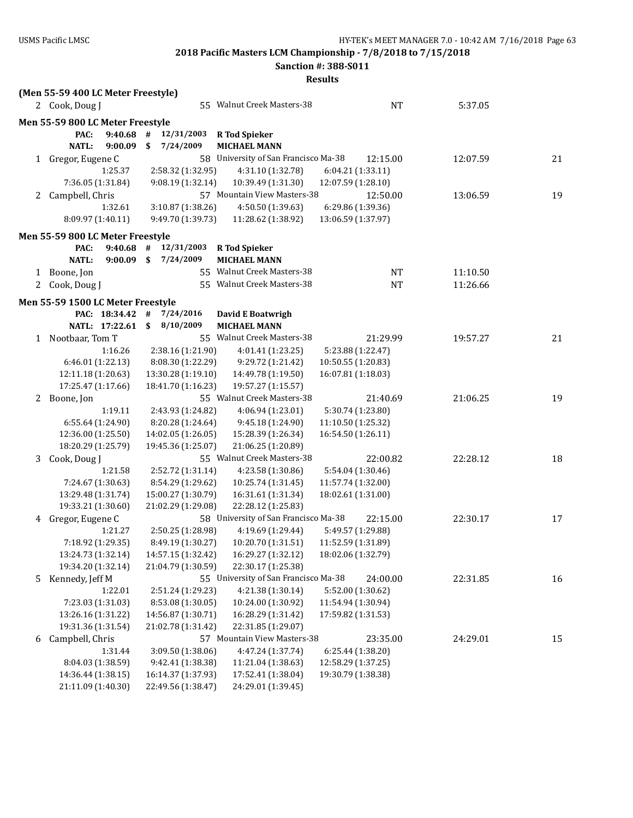**Sanction #: 388-S011**

|              | (Men 55-59 400 LC Meter Freestyle)         |                                          |                                             |                                          |          |    |
|--------------|--------------------------------------------|------------------------------------------|---------------------------------------------|------------------------------------------|----------|----|
|              | 2 Cook, Doug J                             |                                          | 55 Walnut Creek Masters-38                  | <b>NT</b>                                | 5:37.05  |    |
|              | Men 55-59 800 LC Meter Freestyle           |                                          |                                             |                                          |          |    |
|              | PAC:<br>9:40.68<br><b>NATL:</b><br>9:00.09 | 12/31/2003<br>#<br>7/24/2009<br>\$       | <b>R</b> Tod Spieker<br><b>MICHAEL MANN</b> |                                          |          |    |
|              | 1 Gregor, Eugene C                         |                                          | 58 University of San Francisco Ma-38        | 12:15.00                                 | 12:07.59 | 21 |
|              | 1:25.37                                    | 2:58.32 (1:32.95)                        | 4:31.10 (1:32.78)                           | 6:04.21 (1:33.11)                        |          |    |
|              | 7:36.05 (1:31.84)                          | 9:08.19 (1:32.14)                        | 10:39.49 (1:31.30)                          | 12:07.59 (1:28.10)                       |          |    |
|              | 2 Campbell, Chris                          |                                          | 57 Mountain View Masters-38                 | 12:50.00                                 | 13:06.59 | 19 |
|              | 1:32.61                                    | 3:10.87 (1:38.26)                        | 4:50.50 (1:39.63)                           | 6:29.86 (1:39.36)                        |          |    |
|              | 8:09.97 (1:40.11)                          | 9:49.70 (1:39.73)                        | 11:28.62 (1:38.92)                          | 13:06.59 (1:37.97)                       |          |    |
|              | Men 55-59 800 LC Meter Freestyle           |                                          |                                             |                                          |          |    |
|              | PAC:<br>9:40.68                            | 12/31/2003<br>#                          | <b>R</b> Tod Spieker                        |                                          |          |    |
|              | <b>NATL:</b><br>$9:00.09$ \$               | 7/24/2009                                | <b>MICHAEL MANN</b>                         |                                          |          |    |
|              | 1 Boone, Jon                               |                                          | 55 Walnut Creek Masters-38                  | NT                                       | 11:10.50 |    |
| 2            | Cook, Doug J                               |                                          | 55 Walnut Creek Masters-38                  | <b>NT</b>                                | 11:26.66 |    |
|              |                                            |                                          |                                             |                                          |          |    |
|              | Men 55-59 1500 LC Meter Freestyle          |                                          |                                             |                                          |          |    |
|              | PAC: 18:34.42                              | #<br>7/24/2016                           | David E Boatwrigh                           |                                          |          |    |
|              | NATL: 17:22.61                             | \$<br>8/10/2009                          | <b>MICHAEL MANN</b>                         |                                          |          |    |
| $\mathbf{1}$ | Nootbaar, Tom T                            |                                          | 55 Walnut Creek Masters-38                  | 21:29.99                                 | 19:57.27 | 21 |
|              | 1:16.26                                    | 2:38.16 (1:21.90)                        | 4:01.41 (1:23.25)                           | 5:23.88 (1:22.47)                        |          |    |
|              | 6:46.01 (1:22.13)                          | 8:08.30 (1:22.29)                        | 9:29.72 (1:21.42)                           | 10:50.55 (1:20.83)                       |          |    |
|              | 12:11.18 (1:20.63)                         | 13:30.28 (1:19.10)                       | 14:49.78 (1:19.50)                          | 16:07.81 (1:18.03)                       |          |    |
|              | 17:25.47 (1:17.66)                         | 18:41.70 (1:16.23)                       | 19:57.27 (1:15.57)                          |                                          |          |    |
|              | 2 Boone, Jon                               |                                          | 55 Walnut Creek Masters-38                  | 21:40.69                                 | 21:06.25 | 19 |
|              | 1:19.11                                    | 2:43.93 (1:24.82)                        | 4:06.94 (1:23.01)                           | 5:30.74 (1:23.80)                        |          |    |
|              | 6:55.64 (1:24.90)                          | 8:20.28 (1:24.64)                        | 9:45.18 (1:24.90)                           | 11:10.50 (1:25.32)                       |          |    |
|              | 12:36.00 (1:25.50)                         | 14:02.05 (1:26.05)                       | 15:28.39 (1:26.34)                          | 16:54.50 (1:26.11)                       |          |    |
|              | 18:20.29 (1:25.79)                         | 19:45.36 (1:25.07)                       | 21:06.25 (1:20.89)                          |                                          |          |    |
| 3            | Cook, Doug J                               |                                          | 55 Walnut Creek Masters-38                  | 22:00.82                                 | 22:28.12 | 18 |
|              | 1:21.58                                    | 2:52.72 (1:31.14)                        | 4:23.58 (1:30.86)                           | 5:54.04 (1:30.46)                        |          |    |
|              | 7:24.67 (1:30.63)                          | 8:54.29 (1:29.62)                        | 10:25.74 (1:31.45)                          | 11:57.74 (1:32.00)                       |          |    |
|              | 13:29.48 (1:31.74)                         | 15:00.27 (1:30.79)                       | 16:31.61 (1:31.34)                          | 18:02.61 (1:31.00)                       |          |    |
|              | 19:33.21 (1:30.60)                         | 21:02.29 (1:29.08)                       | 22:28.12 (1:25.83)                          |                                          |          |    |
| 4            | Gregor, Eugene C                           |                                          | 58 University of San Francisco Ma-38        | 22:15.00                                 | 22:30.17 | 17 |
|              | 1:21.27                                    | 2:50.25 (1:28.98)                        | 4:19.69 (1:29.44)                           | 5:49.57 (1:29.88)                        |          |    |
|              | 7:18.92 (1:29.35)<br>13:24.73 (1:32.14)    | 8:49.19 (1:30.27)                        | 10:20.70 (1:31.51)                          | 11:52.59 (1:31.89)<br>18:02.06 (1:32.79) |          |    |
|              | 19:34.20 (1:32.14)                         | 14:57.15 (1:32.42)<br>21:04.79 (1:30.59) | 16:29.27 (1:32.12)<br>22:30.17 (1:25.38)    |                                          |          |    |
|              | Kennedy, Jeff M                            |                                          | 55 University of San Francisco Ma-38        | 24:00.00                                 |          |    |
| 5            |                                            | 2:51.24 (1:29.23)                        |                                             |                                          | 22:31.85 | 16 |
|              | 1:22.01<br>7:23.03 (1:31.03)               |                                          | 4:21.38 (1:30.14)<br>10:24.00 (1:30.92)     | 5:52.00 (1:30.62)<br>11:54.94 (1:30.94)  |          |    |
|              | 13:26.16 (1:31.22)                         | 8:53.08 (1:30.05)                        |                                             | 17:59.82 (1:31.53)                       |          |    |
|              |                                            | 14:56.87 (1:30.71)                       | 16:28.29 (1:31.42)<br>22:31.85 (1:29.07)    |                                          |          |    |
|              | 19:31.36 (1:31.54)                         | 21:02.78 (1:31.42)                       | 57 Mountain View Masters-38                 | 23:35.00                                 | 24:29.01 |    |
| 6            | Campbell, Chris                            |                                          |                                             | 6:25.44 (1:38.20)                        |          | 15 |
|              | 1:31.44                                    | 3:09.50 (1:38.06)                        | 4:47.24 (1:37.74)                           |                                          |          |    |
|              | 8:04.03 (1:38.59)<br>14:36.44 (1:38.15)    | 9:42.41 (1:38.38)<br>16:14.37 (1:37.93)  | 11:21.04 (1:38.63)<br>17:52.41 (1:38.04)    | 12:58.29 (1:37.25)<br>19:30.79 (1:38.38) |          |    |
|              | 21:11.09 (1:40.30)                         | 22:49.56 (1:38.47)                       | 24:29.01 (1:39.45)                          |                                          |          |    |
|              |                                            |                                          |                                             |                                          |          |    |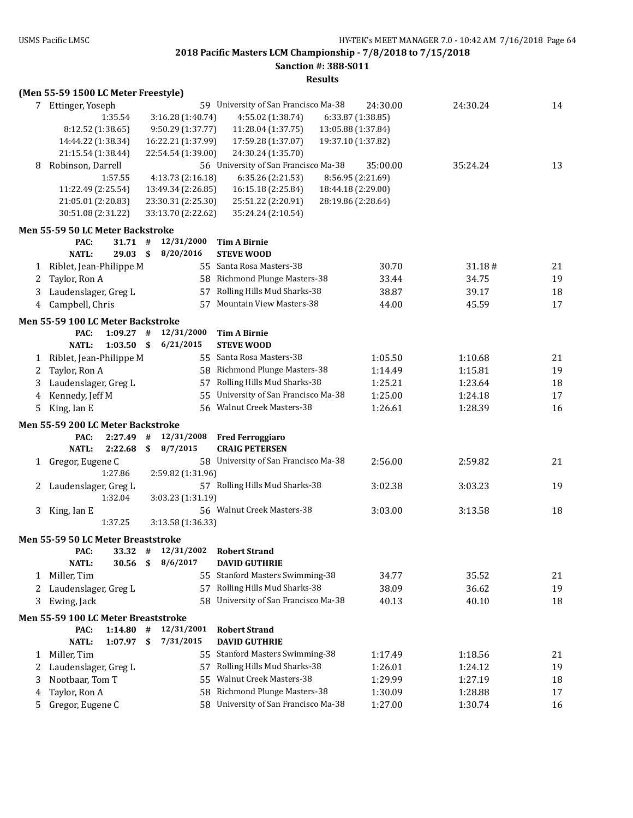**Sanction #: 388-S011**

|        | (Men 55-59 1500 LC Meter Freestyle)                    |    |                    |                                      |                    |          |    |
|--------|--------------------------------------------------------|----|--------------------|--------------------------------------|--------------------|----------|----|
|        | 7 Ettinger, Yoseph                                     |    |                    | 59 University of San Francisco Ma-38 | 24:30.00           | 24:30.24 | 14 |
|        | 1:35.54                                                |    | 3:16.28 (1:40.74)  | 4:55.02 (1:38.74)                    | 6:33.87 (1:38.85)  |          |    |
|        | 8:12.52 (1:38.65)                                      |    | 9:50.29 (1:37.77)  | 11:28.04 (1:37.75)                   | 13:05.88 (1:37.84) |          |    |
|        | 14:44.22 (1:38.34)                                     |    | 16:22.21 (1:37.99) | 17:59.28 (1:37.07)                   | 19:37.10 (1:37.82) |          |    |
|        | 21:15.54 (1:38.44)                                     |    | 22:54.54 (1:39.00) | 24:30.24 (1:35.70)                   |                    |          |    |
| 8      | Robinson, Darrell                                      |    |                    | 56 University of San Francisco Ma-38 | 35:00.00           | 35:24.24 | 13 |
|        | 1:57.55                                                |    | 4:13.73 (2:16.18)  | 6:35.26 (2:21.53)                    | 8:56.95 (2:21.69)  |          |    |
|        | 11:22.49 (2:25.54)                                     |    | 13:49.34 (2:26.85) | 16:15.18 (2:25.84)                   | 18:44.18 (2:29.00) |          |    |
|        | 21:05.01 (2:20.83)                                     |    | 23:30.31 (2:25.30) | 25:51.22 (2:20.91)                   | 28:19.86 (2:28.64) |          |    |
|        | 30:51.08 (2:31.22)                                     |    | 33:13.70 (2:22.62) | 35:24.24 (2:10.54)                   |                    |          |    |
|        | Men 55-59 50 LC Meter Backstroke                       |    |                    |                                      |                    |          |    |
|        | PAC:<br>$31.71$ #                                      |    | 12/31/2000         | <b>Tim A Birnie</b>                  |                    |          |    |
|        | <b>NATL:</b><br>$29.03$ \$                             |    | 8/20/2016          | <b>STEVE WOOD</b>                    |                    |          |    |
| 1      | Riblet, Jean-Philippe M                                |    |                    | 55 Santa Rosa Masters-38             | 30.70              | 31.18#   | 21 |
| 2      | Taylor, Ron A                                          |    |                    | 58 Richmond Plunge Masters-38        | 33.44              | 34.75    | 19 |
| 3      | Laudenslager, Greg L                                   |    |                    | 57 Rolling Hills Mud Sharks-38       | 38.87              | 39.17    | 18 |
| 4      | Campbell, Chris                                        |    |                    | 57 Mountain View Masters-38          | 44.00              | 45.59    | 17 |
|        | Men 55-59 100 LC Meter Backstroke                      |    |                    |                                      |                    |          |    |
|        | $1:09.27$ #<br>PAC:                                    |    | 12/31/2000         | Tim A Birnie                         |                    |          |    |
|        | <b>NATL:</b><br>1:03.50                                | \$ | 6/21/2015          | <b>STEVE WOOD</b>                    |                    |          |    |
| 1      | Riblet, Jean-Philippe M                                |    |                    | 55 Santa Rosa Masters-38             | 1:05.50            | 1:10.68  | 21 |
| 2      | Taylor, Ron A                                          |    |                    | 58 Richmond Plunge Masters-38        | 1:14.49            | 1:15.81  | 19 |
| 3      | Laudenslager, Greg L                                   |    |                    | 57 Rolling Hills Mud Sharks-38       | 1:25.21            | 1:23.64  | 18 |
| 4      | Kennedy, Jeff M                                        |    | 55                 | University of San Francisco Ma-38    | 1:25.00            | 1:24.18  | 17 |
| 5      | King, Ian E                                            |    |                    | 56 Walnut Creek Masters-38           | 1:26.61            | 1:28.39  | 16 |
|        | Men 55-59 200 LC Meter Backstroke                      |    |                    |                                      |                    |          |    |
|        | PAC:<br>2:27.49                                        | #  | 12/31/2008         | <b>Fred Ferroggiaro</b>              |                    |          |    |
|        | <b>NATL:</b><br>2:22.68                                | \$ | 8/7/2015           | <b>CRAIG PETERSEN</b>                |                    |          |    |
|        | 1 Gregor, Eugene C                                     |    |                    | 58 University of San Francisco Ma-38 | 2:56.00            | 2:59.82  | 21 |
|        | 1:27.86                                                |    | 2:59.82 (1:31.96)  |                                      |                    |          |    |
| 2      | Laudenslager, Greg L                                   |    |                    | 57 Rolling Hills Mud Sharks-38       | 3:02.38            | 3:03.23  | 19 |
|        | 1:32.04                                                |    | 3:03.23 (1:31.19)  |                                      |                    |          |    |
| 3      | King, Ian E                                            |    |                    | 56 Walnut Creek Masters-38           | 3:03.00            | 3:13.58  | 18 |
|        | 1:37.25                                                |    | 3:13.58 (1:36.33)  |                                      |                    |          |    |
|        | Men 55-59 50 LC Meter Breaststroke                     |    |                    |                                      |                    |          |    |
|        | PAC:<br>33.32                                          | #  | 12/31/2002         | <b>Robert Strand</b>                 |                    |          |    |
|        | <b>NATL:</b><br>30.56                                  | \$ | 8/6/2017           | <b>DAVID GUTHRIE</b>                 |                    |          |    |
| 1      | Miller, Tim                                            |    |                    | 55 Stanford Masters Swimming-38      | 34.77              | 35.52    | 21 |
| 2      | Laudenslager, Greg L                                   |    |                    | 57 Rolling Hills Mud Sharks-38       | 38.09              | 36.62    | 19 |
| 3      | Ewing, Jack                                            |    |                    | 58 University of San Francisco Ma-38 | 40.13              | 40.10    | 18 |
|        |                                                        |    |                    |                                      |                    |          |    |
|        | Men 55-59 100 LC Meter Breaststroke<br>PAC:<br>1:14.80 | #  | 12/31/2001         | <b>Robert Strand</b>                 |                    |          |    |
|        | <b>NATL:</b><br>1:07.97                                | \$ | 7/31/2015          | <b>DAVID GUTHRIE</b>                 |                    |          |    |
| 1      | Miller, Tim                                            |    |                    | 55 Stanford Masters Swimming-38      | 1:17.49            | 1:18.56  | 21 |
| 2      | Laudenslager, Greg L                                   |    |                    | 57 Rolling Hills Mud Sharks-38       | 1:26.01            | 1:24.12  | 19 |
| 3      | Nootbaar, Tom T                                        |    | 55                 | Walnut Creek Masters-38              | 1:29.99            | 1:27.19  | 18 |
|        | Taylor, Ron A                                          |    | 58                 | Richmond Plunge Masters-38           | 1:30.09            | 1:28.88  | 17 |
| 4<br>5 | Gregor, Eugene C                                       |    |                    | 58 University of San Francisco Ma-38 | 1:27.00            | 1:30.74  | 16 |
|        |                                                        |    |                    |                                      |                    |          |    |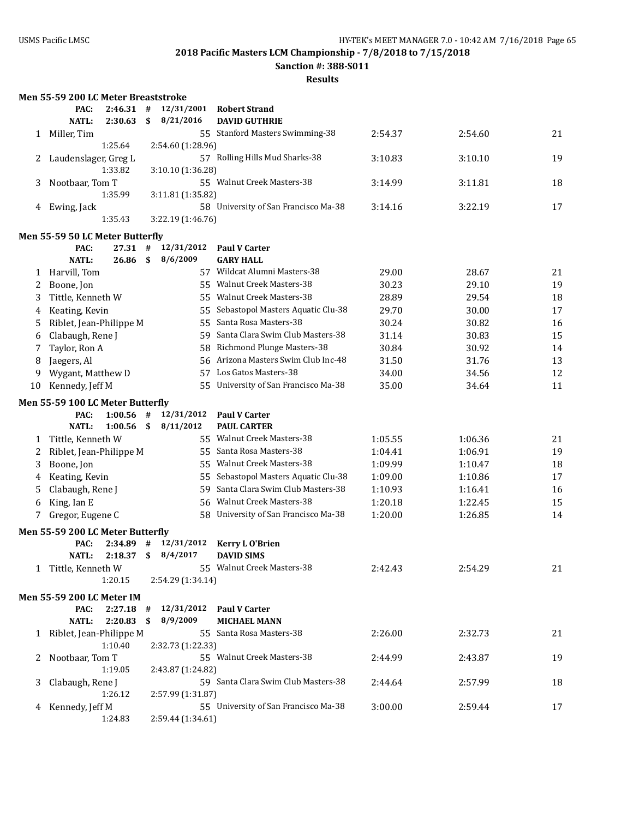**Sanction #: 388-S011**

|    | <b>Men 55-59 200 LC Meter Breaststroke</b> |                    |         |                        |                                             |         |         |    |
|----|--------------------------------------------|--------------------|---------|------------------------|---------------------------------------------|---------|---------|----|
|    | PAC:                                       | 2:46.31            | #       | 12/31/2001             | <b>Robert Strand</b>                        |         |         |    |
|    | <b>NATL:</b>                               | 2:30.63            | \$      | 8/21/2016              | <b>DAVID GUTHRIE</b>                        |         |         |    |
|    | 1 Miller, Tim                              |                    |         |                        | 55 Stanford Masters Swimming-38             | 2:54.37 | 2:54.60 | 21 |
|    |                                            | 1:25.64            |         | 2:54.60 (1:28.96)      |                                             |         |         |    |
| 2  | Laudenslager, Greg L                       |                    |         |                        | 57 Rolling Hills Mud Sharks-38              | 3:10.83 | 3:10.10 | 19 |
|    |                                            | 1:33.82            |         | 3:10.10 (1:36.28)      |                                             |         |         |    |
| 3  | Nootbaar, Tom T                            |                    |         |                        | 55 Walnut Creek Masters-38                  | 3:14.99 | 3:11.81 | 18 |
|    |                                            | 1:35.99            |         | 3:11.81 (1:35.82)      |                                             |         |         |    |
| 4  | Ewing, Jack                                |                    |         |                        | 58 University of San Francisco Ma-38        | 3:14.16 | 3:22.19 | 17 |
|    |                                            | 1:35.43            |         | 3:22.19 (1:46.76)      |                                             |         |         |    |
|    | Men 55-59 50 LC Meter Butterfly            |                    |         |                        |                                             |         |         |    |
|    | PAC:                                       | 27.31              | #       | 12/31/2012             | <b>Paul V Carter</b>                        |         |         |    |
|    | <b>NATL:</b>                               | 26.86              | \$      | 8/6/2009               | <b>GARY HALL</b>                            |         |         |    |
| 1  | Harvill, Tom                               |                    |         |                        | 57 Wildcat Alumni Masters-38                | 29.00   | 28.67   | 21 |
| 2  | Boone, Jon                                 |                    |         |                        | 55 Walnut Creek Masters-38                  | 30.23   | 29.10   | 19 |
| 3  | Tittle, Kenneth W                          |                    |         |                        | 55 Walnut Creek Masters-38                  | 28.89   | 29.54   | 18 |
| 4  | Keating, Kevin                             |                    |         | 55                     | Sebastopol Masters Aquatic Clu-38           | 29.70   | 30.00   | 17 |
| 5  | Riblet, Jean-Philippe M                    |                    |         | 55                     | Santa Rosa Masters-38                       | 30.24   | 30.82   | 16 |
| 6  | Clabaugh, Rene J                           |                    |         | 59.                    | Santa Clara Swim Club Masters-38            | 31.14   | 30.83   | 15 |
| 7  | Taylor, Ron A                              |                    |         | 58                     | Richmond Plunge Masters-38                  | 30.84   | 30.92   | 14 |
| 8  | Jaegers, Al                                |                    |         | 56                     | Arizona Masters Swim Club Inc-48            | 31.50   | 31.76   | 13 |
| 9  | Wygant, Matthew D                          |                    |         | 57                     | Los Gatos Masters-38                        | 34.00   | 34.56   | 12 |
| 10 | Kennedy, Jeff M                            |                    |         | 55.                    | University of San Francisco Ma-38           | 35.00   | 34.64   | 11 |
|    | Men 55-59 100 LC Meter Butterfly           |                    |         |                        |                                             |         |         |    |
|    | PAC:                                       | $1:00.56$ #        |         | 12/31/2012             | <b>Paul V Carter</b>                        |         |         |    |
|    | <b>NATL:</b>                               | 1:00.56            | \$      | 8/11/2012              | <b>PAUL CARTER</b>                          |         |         |    |
| 1  | Tittle, Kenneth W                          |                    |         |                        | 55 Walnut Creek Masters-38                  | 1:05.55 | 1:06.36 | 21 |
| 2  | Riblet, Jean-Philippe M                    |                    |         |                        | 55 Santa Rosa Masters-38                    | 1:04.41 | 1:06.91 | 19 |
| 3  | Boone, Jon                                 |                    |         | 55                     | Walnut Creek Masters-38                     | 1:09.99 | 1:10.47 | 18 |
| 4  | Keating, Kevin                             |                    |         | 55                     | Sebastopol Masters Aquatic Clu-38           | 1:09.00 | 1:10.86 | 17 |
| 5  | Clabaugh, Rene J                           |                    |         | 59                     | Santa Clara Swim Club Masters-38            | 1:10.93 | 1:16.41 | 16 |
| 6  | King, Ian E                                |                    |         | 56                     | <b>Walnut Creek Masters-38</b>              | 1:20.18 | 1:22.45 | 15 |
| 7  | Gregor, Eugene C                           |                    |         | 58                     | University of San Francisco Ma-38           | 1:20.00 | 1:26.85 | 14 |
|    | Men 55-59 200 LC Meter Butterfly           |                    |         |                        |                                             |         |         |    |
|    | PAC:                                       | 2:34.89            | #       | 12/31/2012             | <b>Kerry LO'Brien</b>                       |         |         |    |
|    | <b>NATL:</b>                               | $2:18.37$ \$       |         | 8/4/2017               | <b>DAVID SIMS</b>                           |         |         |    |
|    | 1 Tittle, Kenneth W                        |                    |         |                        | 55 Walnut Creek Masters-38                  | 2:42.43 | 2:54.29 | 21 |
|    |                                            | 1:20.15            |         | 2:54.29 (1:34.14)      |                                             |         |         |    |
|    |                                            |                    |         |                        |                                             |         |         |    |
|    | <b>Men 55-59 200 LC Meter IM</b><br>PAC:   |                    |         |                        |                                             |         |         |    |
|    | <b>NATL:</b>                               | 2:27.18<br>2:20.83 | #<br>\$ | 12/31/2012<br>8/9/2009 | <b>Paul V Carter</b><br><b>MICHAEL MANN</b> |         |         |    |
|    | 1 Riblet, Jean-Philippe M                  |                    |         |                        | 55 Santa Rosa Masters-38                    | 2:26.00 | 2:32.73 | 21 |
|    |                                            | 1:10.40            |         | 2:32.73 (1:22.33)      |                                             |         |         |    |
| 2  | Nootbaar, Tom T                            |                    |         |                        | 55 Walnut Creek Masters-38                  | 2:44.99 | 2:43.87 | 19 |
|    |                                            | 1:19.05            |         | 2:43.87 (1:24.82)      |                                             |         |         |    |
| 3  | Clabaugh, Rene J                           |                    |         |                        | 59 Santa Clara Swim Club Masters-38         | 2:44.64 | 2:57.99 | 18 |
|    |                                            | 1:26.12            |         | 2:57.99 (1:31.87)      |                                             |         |         |    |
|    | 4 Kennedy, Jeff M                          |                    |         |                        | 55 University of San Francisco Ma-38        | 3:00.00 | 2:59.44 | 17 |
|    |                                            | 1:24.83            |         | 2:59.44 (1:34.61)      |                                             |         |         |    |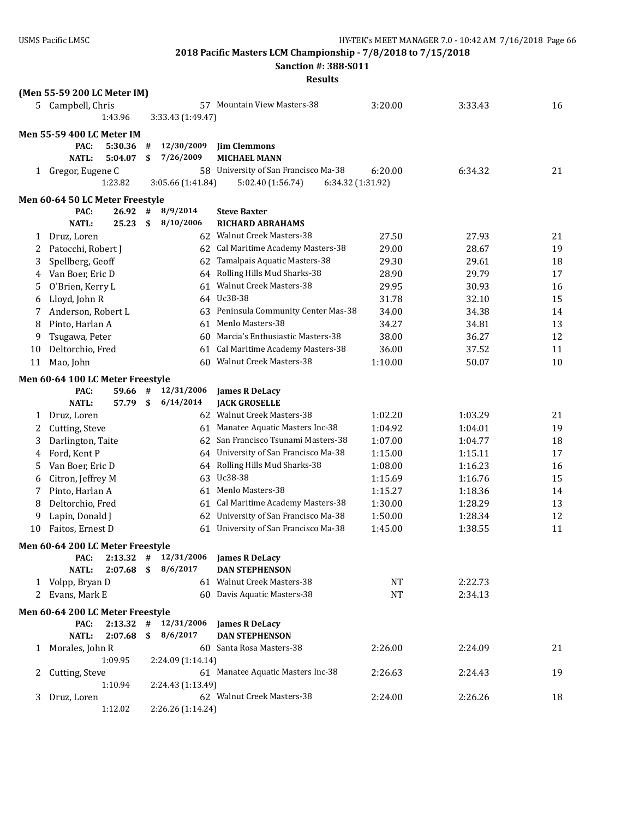**Sanction #: 388-S011**

|              | (Men 55-59 200 LC Meter IM)      |    |                          |                                        |           |         |    |
|--------------|----------------------------------|----|--------------------------|----------------------------------------|-----------|---------|----|
|              | 5 Campbell, Chris                |    |                          | 57 Mountain View Masters-38            | 3:20.00   | 3:33.43 | 16 |
|              | 1:43.96                          |    | 3:33.43 (1:49.47)        |                                        |           |         |    |
|              | <b>Men 55-59 400 LC Meter IM</b> |    |                          |                                        |           |         |    |
|              | PAC:<br>5:30.36                  | #  | 12/30/2009               | <b>Jim Clemmons</b>                    |           |         |    |
|              | <b>NATL:</b><br>5:04.07          | \$ | 7/26/2009                | <b>MICHAEL MANN</b>                    |           |         |    |
|              | 1 Gregor, Eugene C               |    |                          | 58 University of San Francisco Ma-38   | 6:20.00   | 6:34.32 | 21 |
|              | 1:23.82                          |    | 3:05.66 (1:41.84)        | 5:02.40 (1:56.74)<br>6:34.32 (1:31.92) |           |         |    |
|              | Men 60-64 50 LC Meter Freestyle  |    |                          |                                        |           |         |    |
|              | PAC:<br>26.92                    | #  | 8/9/2014                 | <b>Steve Baxter</b>                    |           |         |    |
|              | <b>NATL:</b><br>25.23            | \$ | 8/10/2006                | <b>RICHARD ABRAHAMS</b>                |           |         |    |
| 1            | Druz, Loren                      |    |                          | 62 Walnut Creek Masters-38             | 27.50     | 27.93   | 21 |
| 2            | Patocchi, Robert J               |    |                          | 62 Cal Maritime Academy Masters-38     | 29.00     | 28.67   | 19 |
| 3            | Spellberg, Geoff                 |    |                          | 62 Tamalpais Aquatic Masters-38        | 29.30     | 29.61   | 18 |
| 4            | Van Boer, Eric D                 |    |                          | 64 Rolling Hills Mud Sharks-38         | 28.90     | 29.79   | 17 |
| 5            | O'Brien, Kerry L                 |    |                          | 61 Walnut Creek Masters-38             | 29.95     | 30.93   | 16 |
| 6            | Lloyd, John R                    |    |                          | 64 Uc38-38                             | 31.78     | 32.10   | 15 |
| 7            | Anderson, Robert L               |    |                          | 63 Peninsula Community Center Mas-38   | 34.00     | 34.38   | 14 |
| 8            | Pinto, Harlan A                  |    | 61                       | Menlo Masters-38                       | 34.27     | 34.81   | 13 |
| 9            | Tsugawa, Peter                   |    | 60                       | Marcia's Enthusiastic Masters-38       | 38.00     | 36.27   | 12 |
| 10           | Deltorchio, Fred                 |    | 61                       | Cal Maritime Academy Masters-38        | 36.00     | 37.52   | 11 |
| 11           | Mao, John                        |    |                          | 60 Walnut Creek Masters-38             | 1:10.00   | 50.07   | 10 |
|              | Men 60-64 100 LC Meter Freestyle |    |                          |                                        |           |         |    |
|              | PAC:<br>59.66 #                  |    | 12/31/2006               | <b>James R DeLacy</b>                  |           |         |    |
|              | <b>NATL:</b><br>57.79            | \$ | 6/14/2014                | <b>JACK GROSELLE</b>                   |           |         |    |
| 1            | Druz, Loren                      |    |                          | 62 Walnut Creek Masters-38             | 1:02.20   | 1:03.29 | 21 |
| 2            | Cutting, Steve                   |    |                          | 61 Manatee Aquatic Masters Inc-38      | 1:04.92   | 1:04.01 | 19 |
| 3            | Darlington, Taite                |    |                          | 62 San Francisco Tsunami Masters-38    | 1:07.00   | 1:04.77 | 18 |
| 4            | Ford, Kent P                     |    |                          | 64 University of San Francisco Ma-38   | 1:15.00   | 1:15.11 | 17 |
| 5            | Van Boer, Eric D                 |    |                          | 64 Rolling Hills Mud Sharks-38         | 1:08.00   | 1:16.23 | 16 |
| 6            | Citron, Jeffrey M                |    |                          | 63 Uc38-38                             | 1:15.69   | 1:16.76 | 15 |
| 7            | Pinto, Harlan A                  |    |                          | 61 Menlo Masters-38                    | 1:15.27   | 1:18.36 | 14 |
| 8            | Deltorchio, Fred                 |    |                          | 61 Cal Maritime Academy Masters-38     | 1:30.00   | 1:28.29 | 13 |
| 9            | Lapin, Donald J                  |    |                          | 62 University of San Francisco Ma-38   | 1:50.00   | 1:28.34 | 12 |
| 10           | Faitos, Ernest D                 |    | 61                       | University of San Francisco Ma-38      | 1:45.00   | 1:38.55 | 11 |
|              | Men 60-64 200 LC Meter Freestyle |    |                          |                                        |           |         |    |
|              | PAC:                             |    | $2:13.32$ # $12/31/2006$ | <b>James R DeLacy</b>                  |           |         |    |
|              | 2:07.68<br><b>NATL:</b>          | S. | 8/6/2017                 | <b>DAN STEPHENSON</b>                  |           |         |    |
| $\mathbf{1}$ | Volpp, Bryan D                   |    |                          | 61 Walnut Creek Masters-38             | NT        | 2:22.73 |    |
| 2            | Evans, Mark E                    |    |                          | 60 Davis Aquatic Masters-38            | <b>NT</b> | 2:34.13 |    |
|              | Men 60-64 200 LC Meter Freestyle |    |                          |                                        |           |         |    |
|              | $2:13.32$ #<br>PAC:              |    | 12/31/2006               | <b>James R DeLacy</b>                  |           |         |    |
|              | 2:07.68<br><b>NATL:</b>          | \$ | 8/6/2017                 | <b>DAN STEPHENSON</b>                  |           |         |    |
| 1            | Morales, John R                  |    |                          | 60 Santa Rosa Masters-38               | 2:26.00   | 2:24.09 | 21 |
|              | 1:09.95                          |    | 2:24.09 (1:14.14)        |                                        |           |         |    |
| 2            | Cutting, Steve                   |    |                          | 61 Manatee Aquatic Masters Inc-38      | 2:26.63   | 2:24.43 | 19 |
|              | 1:10.94                          |    | 2:24.43 (1:13.49)        |                                        |           |         |    |
| 3            | Druz, Loren                      |    |                          | 62 Walnut Creek Masters-38             | 2:24.00   | 2:26.26 | 18 |
|              | 1:12.02                          |    | 2:26.26 (1:14.24)        |                                        |           |         |    |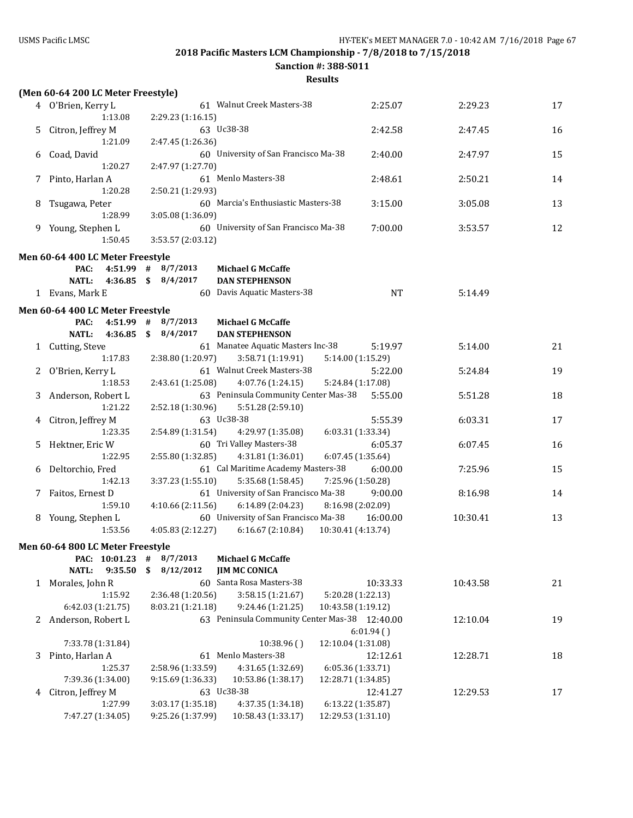**Sanction #: 388-S011**

|    | (Men 60-64 200 LC Meter Freestyle) |                        |                                               |                              |          |    |
|----|------------------------------------|------------------------|-----------------------------------------------|------------------------------|----------|----|
|    | 4 O'Brien, Kerry L                 |                        | 61 Walnut Creek Masters-38                    | 2:25.07                      | 2:29.23  | 17 |
|    | 1:13.08                            | 2:29.23 (1:16.15)      |                                               |                              |          |    |
| 5. | Citron, Jeffrey M                  |                        | 63 Uc38-38                                    | 2:42.58                      | 2:47.45  | 16 |
|    | 1:21.09                            | 2:47.45 (1:26.36)      |                                               |                              |          |    |
| 6  | Coad, David                        |                        | 60 University of San Francisco Ma-38          | 2:40.00                      | 2:47.97  | 15 |
|    | 1:20.27                            | 2:47.97 (1:27.70)      |                                               |                              |          |    |
| 7  | Pinto, Harlan A                    |                        | 61 Menlo Masters-38                           | 2:48.61                      | 2:50.21  | 14 |
|    | 1:20.28                            | 2:50.21 (1:29.93)      |                                               |                              |          |    |
| 8  | Tsugawa, Peter                     |                        | 60 Marcia's Enthusiastic Masters-38           | 3:15.00                      | 3:05.08  | 13 |
|    | 1:28.99                            | 3:05.08 (1:36.09)      |                                               |                              |          |    |
|    | 9 Young, Stephen L                 |                        | 60 University of San Francisco Ma-38          | 7:00.00                      | 3:53.57  | 12 |
|    | 1:50.45                            | 3:53.57 (2:03.12)      |                                               |                              |          |    |
|    | Men 60-64 400 LC Meter Freestyle   |                        |                                               |                              |          |    |
|    | PAC:                               | $4:51.99$ # $8/7/2013$ | <b>Michael G McCaffe</b>                      |                              |          |    |
|    | <b>NATL:</b>                       | 4:36.85 \$ 8/4/2017    | <b>DAN STEPHENSON</b>                         |                              |          |    |
|    | 1 Evans, Mark E                    |                        | 60 Davis Aquatic Masters-38                   | <b>NT</b>                    | 5:14.49  |    |
|    | Men 60-64 400 LC Meter Freestyle   |                        |                                               |                              |          |    |
|    | PAC:                               | $4:51.99$ # $8/7/2013$ | <b>Michael G McCaffe</b>                      |                              |          |    |
|    | <b>NATL:</b>                       | 4:36.85 \$ 8/4/2017    | <b>DAN STEPHENSON</b>                         |                              |          |    |
| 1  | Cutting, Steve                     |                        | 61 Manatee Aquatic Masters Inc-38             | 5:19.97                      | 5:14.00  | 21 |
|    | 1:17.83                            | 2:38.80 (1:20.97)      | 3:58.71 (1:19.91)                             | 5:14.00 (1:15.29)            |          |    |
| 2  | O'Brien, Kerry L                   |                        | 61 Walnut Creek Masters-38                    | 5:22.00                      | 5:24.84  | 19 |
|    | 1:18.53                            | 2:43.61 (1:25.08)      | 4:07.76 (1:24.15)                             | 5:24.84 (1:17.08)            |          |    |
| 3  | Anderson, Robert L                 |                        | 63 Peninsula Community Center Mas-38          | 5:55.00                      | 5:51.28  | 18 |
|    | 1:21.22                            | 2:52.18(1:30.96)       | 5:51.28 (2:59.10)                             |                              |          |    |
| 4  | Citron, Jeffrey M                  |                        | 63 Uc38-38                                    | 5:55.39                      | 6:03.31  | 17 |
|    | 1:23.35                            | 2:54.89 (1:31.54)      | 4:29.97 (1:35.08)<br>60 Tri Valley Masters-38 | 6:03.31 (1:33.34)<br>6:05.37 | 6:07.45  | 16 |
| 5. | Hektner, Eric W<br>1:22.95         | 2:55.80(1:32.85)       | 4:31.81 (1:36.01)                             | 6:07.45 (1:35.64)            |          |    |
| 6  | Deltorchio, Fred                   |                        | 61 Cal Maritime Academy Masters-38            | 6:00.00                      | 7:25.96  | 15 |
|    | 1:42.13                            | 3:37.23(1:55.10)       | 5:35.68 (1:58.45)                             | 7:25.96 (1:50.28)            |          |    |
|    | 7 Faitos, Ernest D                 |                        | 61 University of San Francisco Ma-38          | 9:00.00                      | 8:16.98  | 14 |
|    | 1:59.10                            | 4:10.66(2:11.56)       | 6:14.89 (2:04.23)                             | 8:16.98 (2:02.09)            |          |    |
|    | 8 Young, Stephen L                 |                        | 60 University of San Francisco Ma-38          | 16:00.00                     | 10:30.41 | 13 |
|    | 1:53.56                            | 4:05.83 (2:12.27)      | 6:16.67 (2:10.84)                             | 10:30.41 (4:13.74)           |          |    |
|    | Men 60-64 800 LC Meter Freestyle   |                        |                                               |                              |          |    |
|    | PAC: 10:01.23                      | 8/7/2013<br>#          | <b>Michael G McCaffe</b>                      |                              |          |    |
|    | 9:35.50<br><b>NATL:</b>            | \$<br>8/12/2012        | <b>JIM MC CONICA</b>                          |                              |          |    |
| 1  | Morales, John R                    |                        | 60 Santa Rosa Masters-38                      | 10:33.33                     | 10:43.58 | 21 |
|    | 1:15.92                            | 2:36.48 (1:20.56)      | 3:58.15 (1:21.67)                             | 5:20.28 (1:22.13)            |          |    |
|    | 6:42.03 (1:21.75)                  | 8:03.21 (1:21.18)      | 9:24.46 (1:21.25)                             | 10:43.58 (1:19.12)           |          |    |
|    | 2 Anderson, Robert L               |                        | 63 Peninsula Community Center Mas-38 12:40.00 |                              | 12:10.04 | 19 |
|    |                                    |                        |                                               | 6:01.94(                     |          |    |
|    | 7:33.78 (1:31.84)                  |                        | 10:38.96()                                    | 12:10.04 (1:31.08)           |          |    |
| 3  | Pinto, Harlan A                    |                        | 61 Menlo Masters-38                           | 12:12.61                     | 12:28.71 | 18 |
|    | 1:25.37                            | 2:58.96 (1:33.59)      | 4:31.65 (1:32.69)                             | 6:05.36 (1:33.71)            |          |    |
|    | 7:39.36 (1:34.00)                  | 9:15.69 (1:36.33)      | 10:53.86 (1:38.17)                            | 12:28.71 (1:34.85)           |          |    |
| 4  | Citron, Jeffrey M                  |                        | 63 Uc38-38                                    | 12:41.27                     | 12:29.53 | 17 |
|    | 1:27.99                            | 3:03.17 (1:35.18)      | 4:37.35 (1:34.18)                             | 6:13.22 (1:35.87)            |          |    |
|    | 7:47.27 (1:34.05)                  | 9:25.26 (1:37.99)      | 10:58.43 (1:33.17)                            | 12:29.53 (1:31.10)           |          |    |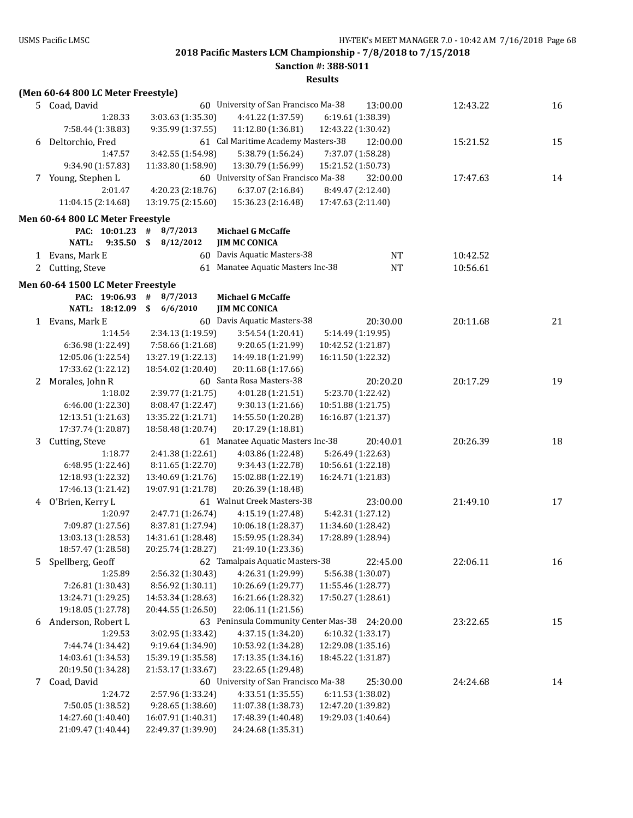**Sanction #: 388-S011**

|    | (Men 60-64 800 LC Meter Freestyle)      |                                         |                                               |                                          |          |    |
|----|-----------------------------------------|-----------------------------------------|-----------------------------------------------|------------------------------------------|----------|----|
|    | 5 Coad, David                           |                                         | 60 University of San Francisco Ma-38          | 13:00.00                                 | 12:43.22 | 16 |
|    | 1:28.33                                 | 3:03.63 (1:35.30)                       | 4:41.22 (1:37.59)                             | 6:19.61 (1:38.39)                        |          |    |
|    | 7:58.44 (1:38.83)                       | 9:35.99 (1:37.55)                       | 11:12.80 (1:36.81)                            | 12:43.22 (1:30.42)                       |          |    |
| 6  | Deltorchio, Fred                        |                                         | 61 Cal Maritime Academy Masters-38            | 12:00.00                                 | 15:21.52 | 15 |
|    | 1:47.57                                 | 3:42.55 (1:54.98)                       | 5:38.79 (1:56.24)                             | 7:37.07 (1:58.28)                        |          |    |
|    | 9:34.90 (1:57.83)                       | 11:33.80 (1:58.90)                      | 13:30.79 (1:56.99)                            | 15:21.52 (1:50.73)                       |          |    |
|    | 7 Young, Stephen L                      |                                         | 60 University of San Francisco Ma-38          | 32:00.00                                 | 17:47.63 | 14 |
|    | 2:01.47                                 | 4:20.23 (2:18.76)                       | 6:37.07 (2:16.84)                             | 8:49.47 (2:12.40)                        |          |    |
|    | 11:04.15 (2:14.68)                      | 13:19.75 (2:15.60)                      | 15:36.23 (2:16.48)                            | 17:47.63 (2:11.40)                       |          |    |
|    | Men 60-64 800 LC Meter Freestyle        |                                         |                                               |                                          |          |    |
|    | PAC: 10:01.23 #                         | 8/7/2013                                | <b>Michael G McCaffe</b>                      |                                          |          |    |
|    | <b>NATL:</b><br>9:35.50                 | \$<br>8/12/2012                         | <b>JIM MC CONICA</b>                          |                                          |          |    |
|    | 1 Evans, Mark E                         |                                         | 60 Davis Aquatic Masters-38                   | NT                                       | 10:42.52 |    |
| 2  | Cutting, Steve                          |                                         | 61 Manatee Aquatic Masters Inc-38             | $\rm{NT}$                                | 10:56.61 |    |
|    | Men 60-64 1500 LC Meter Freestyle       |                                         |                                               |                                          |          |    |
|    | PAC: 19:06.93                           | #<br>8/7/2013                           | <b>Michael G McCaffe</b>                      |                                          |          |    |
|    | NATL: 18:12.09                          | \$<br>6/6/2010                          | <b>JIM MC CONICA</b>                          |                                          |          |    |
|    | 1 Evans, Mark E                         |                                         | 60 Davis Aquatic Masters-38                   | 20:30.00                                 | 20:11.68 | 21 |
|    | 1:14.54                                 | 2:34.13 (1:19.59)                       | 3:54.54 (1:20.41)                             | 5:14.49 (1:19.95)                        |          |    |
|    | 6:36.98 (1:22.49)                       | 7:58.66 (1:21.68)                       | 9:20.65 (1:21.99)                             | 10:42.52 (1:21.87)                       |          |    |
|    | 12:05.06 (1:22.54)                      | 13:27.19 (1:22.13)                      | 14:49.18 (1:21.99)                            | 16:11.50 (1:22.32)                       |          |    |
|    | 17:33.62 (1:22.12)                      | 18:54.02 (1:20.40)                      | 20:11.68 (1:17.66)                            |                                          |          |    |
| 2  | Morales, John R                         |                                         | 60 Santa Rosa Masters-38                      | 20:20.20                                 | 20:17.29 | 19 |
|    | 1:18.02                                 | 2:39.77 (1:21.75)                       | 4:01.28 (1:21.51)                             | 5:23.70 (1:22.42)                        |          |    |
|    | 6:46.00 (1:22.30)                       | 8:08.47 (1:22.47)                       | 9:30.13 (1:21.66)                             | 10:51.88 (1:21.75)                       |          |    |
|    | 12:13.51 (1:21.63)                      | 13:35.22 (1:21.71)                      | 14:55.50 (1:20.28)                            | 16:16.87 (1:21.37)                       |          |    |
|    | 17:37.74 (1:20.87)                      | 18:58.48 (1:20.74)                      | 20:17.29 (1:18.81)                            |                                          |          |    |
| 3  | Cutting, Steve                          |                                         | 61 Manatee Aquatic Masters Inc-38             | 20:40.01                                 | 20:26.39 | 18 |
|    | 1:18.77                                 | 2:41.38 (1:22.61)                       | 4:03.86 (1:22.48)                             | 5:26.49 (1:22.63)                        |          |    |
|    | 6:48.95 (1:22.46)                       | 8:11.65 (1:22.70)                       | 9:34.43 (1:22.78)                             | 10:56.61 (1:22.18)                       |          |    |
|    | 12:18.93 (1:22.32)                      | 13:40.69 (1:21.76)                      | 15:02.88 (1:22.19)                            | 16:24.71 (1:21.83)                       |          |    |
|    | 17:46.13 (1:21.42)                      | 19:07.91 (1:21.78)                      | 20:26.39 (1:18.48)                            |                                          |          |    |
|    | 4 O'Brien, Kerry L                      |                                         | 61 Walnut Creek Masters-38                    | 23:00.00                                 | 21:49.10 | 17 |
|    | 1:20.97                                 | 2:47.71 (1:26.74)                       | 4:15.19 (1:27.48)                             | 5:42.31 (1:27.12)                        |          |    |
|    | 7:09.87 (1:27.56)<br>13:03.13 (1:28.53) | 8:37.81 (1:27.94)<br>14:31.61 (1:28.48) | 10:06.18 (1:28.37)<br>15:59.95 (1:28.34)      | 11:34.60 (1:28.42)<br>17:28.89 (1:28.94) |          |    |
|    | 18:57.47 (1:28.58)                      | 20:25.74 (1:28.27)                      | 21:49.10 (1:23.36)                            |                                          |          |    |
| 5. | Spellberg, Geoff                        |                                         | 62 Tamalpais Aquatic Masters-38               | 22:45.00                                 | 22:06.11 | 16 |
|    | 1:25.89                                 | 2:56.32 (1:30.43)                       | 4:26.31 (1:29.99)                             | 5:56.38 (1:30.07)                        |          |    |
|    | 7:26.81 (1:30.43)                       | 8:56.92 (1:30.11)                       | 10:26.69 (1:29.77)                            | 11:55.46 (1:28.77)                       |          |    |
|    | 13:24.71 (1:29.25)                      | 14:53.34 (1:28.63)                      | 16:21.66 (1:28.32)                            | 17:50.27 (1:28.61)                       |          |    |
|    | 19:18.05 (1:27.78)                      | 20:44.55 (1:26.50)                      | 22:06.11 (1:21.56)                            |                                          |          |    |
|    | 6 Anderson, Robert L                    |                                         | 63 Peninsula Community Center Mas-38 24:20.00 |                                          | 23:22.65 | 15 |
|    | 1:29.53                                 | 3:02.95 (1:33.42)                       | 4:37.15 (1:34.20)                             | 6:10.32 (1:33.17)                        |          |    |
|    | 7:44.74 (1:34.42)                       | 9:19.64 (1:34.90)                       | 10:53.92 (1:34.28)                            | 12:29.08 (1:35.16)                       |          |    |
|    | 14:03.61 (1:34.53)                      | 15:39.19 (1:35.58)                      | 17:13.35 (1:34.16)                            | 18:45.22 (1:31.87)                       |          |    |
|    | 20:19.50 (1:34.28)                      | 21:53.17 (1:33.67)                      | 23:22.65 (1:29.48)                            |                                          |          |    |
|    | 7 Coad, David                           |                                         | 60 University of San Francisco Ma-38          | 25:30.00                                 | 24:24.68 | 14 |
|    | 1:24.72                                 | 2:57.96 (1:33.24)                       | 4:33.51 (1:35.55)                             | 6:11.53 (1:38.02)                        |          |    |
|    | 7:50.05 (1:38.52)                       | 9:28.65 (1:38.60)                       | 11:07.38 (1:38.73)                            | 12:47.20 (1:39.82)                       |          |    |
|    | 14:27.60 (1:40.40)                      | 16:07.91 (1:40.31)                      | 17:48.39 (1:40.48)                            | 19:29.03 (1:40.64)                       |          |    |
|    | 21:09.47 (1:40.44)                      | 22:49.37 (1:39.90)                      | 24:24.68 (1:35.31)                            |                                          |          |    |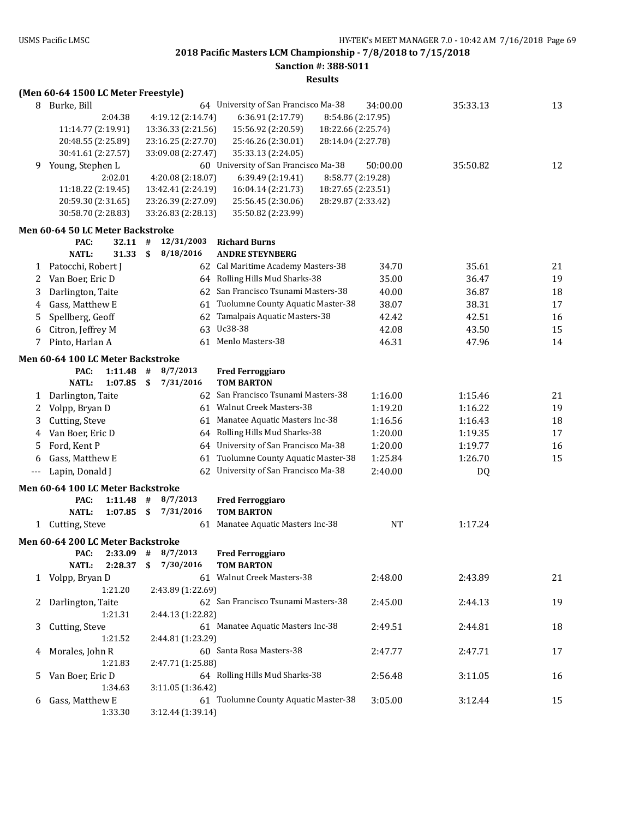**Sanction #: 388-S011**

|       |                                     |              |                    | Results                                  |           |          |    |
|-------|-------------------------------------|--------------|--------------------|------------------------------------------|-----------|----------|----|
|       | (Men 60-64 1500 LC Meter Freestyle) |              |                    |                                          |           |          |    |
| 8.    | Burke, Bill                         |              |                    | 64 University of San Francisco Ma-38     | 34:00.00  | 35:33.13 | 13 |
|       | 2:04.38                             |              | 4:19.12 (2:14.74)  | 8:54.86 (2:17.95)<br>6:36.91 (2:17.79)   |           |          |    |
|       | 11:14.77 (2:19.91)                  |              | 13:36.33 (2:21.56) | 15:56.92 (2:20.59)<br>18:22.66 (2:25.74) |           |          |    |
|       | 20:48.55 (2:25.89)                  |              | 23:16.25 (2:27.70) | 25:46.26 (2:30.01)<br>28:14.04 (2:27.78) |           |          |    |
|       | 30:41.61 (2:27.57)                  |              | 33:09.08 (2:27.47) | 35:33.13 (2:24.05)                       |           |          |    |
| 9.    | Young, Stephen L                    |              |                    | 60 University of San Francisco Ma-38     | 50:00.00  | 35:50.82 | 12 |
|       | 2:02.01                             |              | 4:20.08 (2:18.07)  | 8:58.77 (2:19.28)<br>6:39.49 (2:19.41)   |           |          |    |
|       | 11:18.22 (2:19.45)                  |              | 13:42.41 (2:24.19) | 16:04.14 (2:21.73)<br>18:27.65 (2:23.51) |           |          |    |
|       | 20:59.30 (2:31.65)                  |              | 23:26.39 (2:27.09) | 25:56.45 (2:30.06)<br>28:29.87 (2:33.42) |           |          |    |
|       | 30:58.70 (2:28.83)                  |              | 33:26.83 (2:28.13) | 35:50.82 (2:23.99)                       |           |          |    |
|       | Men 60-64 50 LC Meter Backstroke    |              |                    |                                          |           |          |    |
|       | $32.11$ #<br>PAC:                   |              | 12/31/2003         | <b>Richard Burns</b>                     |           |          |    |
|       | <b>NATL:</b><br>31.33               | \$           | 8/18/2016          | <b>ANDRE STEYNBERG</b>                   |           |          |    |
| 1     | Patocchi, Robert J                  |              |                    | 62 Cal Maritime Academy Masters-38       | 34.70     | 35.61    | 21 |
| 2     | Van Boer, Eric D                    |              |                    | 64 Rolling Hills Mud Sharks-38           | 35.00     | 36.47    | 19 |
| 3     | Darlington, Taite                   |              |                    | 62 San Francisco Tsunami Masters-38      | 40.00     | 36.87    | 18 |
| 4     | Gass, Matthew E                     |              |                    | 61 Tuolumne County Aquatic Master-38     | 38.07     | 38.31    | 17 |
| 5     | Spellberg, Geoff                    |              | 62                 | Tamalpais Aquatic Masters-38             | 42.42     | 42.51    | 16 |
| 6     | Citron, Jeffrey M                   |              |                    | 63 Uc38-38                               | 42.08     | 43.50    | 15 |
| 7     | Pinto, Harlan A                     |              | 61                 | Menlo Masters-38                         | 46.31     | 47.96    | 14 |
|       |                                     |              |                    |                                          |           |          |    |
|       | Men 60-64 100 LC Meter Backstroke   |              |                    |                                          |           |          |    |
|       | PAC:<br>1:11.48                     | #            | 8/7/2013           | <b>Fred Ferroggiaro</b>                  |           |          |    |
|       | <b>NATL:</b><br>1:07.85             | \$           | 7/31/2016          | <b>TOM BARTON</b>                        |           |          |    |
| 1     | Darlington, Taite                   |              |                    | 62 San Francisco Tsunami Masters-38      | 1:16.00   | 1:15.46  | 21 |
| 2     | Volpp, Bryan D                      |              |                    | 61 Walnut Creek Masters-38               | 1:19.20   | 1:16.22  | 19 |
| 3     | Cutting, Steve                      |              |                    | 61 Manatee Aquatic Masters Inc-38        | 1:16.56   | 1:16.43  | 18 |
| 4     | Van Boer, Eric D                    |              |                    | 64 Rolling Hills Mud Sharks-38           | 1:20.00   | 1:19.35  | 17 |
| 5     | Ford, Kent P                        |              |                    | 64 University of San Francisco Ma-38     | 1:20.00   | 1:19.77  | 16 |
| 6     | Gass, Matthew E                     |              | 61                 | Tuolumne County Aquatic Master-38        | 1:25.84   | 1:26.70  | 15 |
| $---$ | Lapin, Donald J                     |              |                    | 62 University of San Francisco Ma-38     | 2:40.00   | DQ       |    |
|       | Men 60-64 100 LC Meter Backstroke   |              |                    |                                          |           |          |    |
|       | PAC:<br>$1:11.48$ #                 |              | 8/7/2013           | <b>Fred Ferroggiaro</b>                  |           |          |    |
|       | <b>NATL:</b><br>1:07.85             | $\mathbf{s}$ | 7/31/2016          | <b>TOM BARTON</b>                        |           |          |    |
| 1     | Cutting, Steve                      |              |                    | 61 Manatee Aquatic Masters Inc-38        | <b>NT</b> | 1:17.24  |    |
|       | Men 60-64 200 LC Meter Backstroke   |              |                    |                                          |           |          |    |
|       | $2:33.09$ #<br>PAC:                 |              | 8/7/2013           | <b>Fred Ferroggiaro</b>                  |           |          |    |
|       | <b>NATL:</b><br>2:28.37             | \$           | 7/30/2016          | <b>TOM BARTON</b>                        |           |          |    |
| 1     | Volpp, Bryan D                      |              |                    | 61 Walnut Creek Masters-38               | 2:48.00   | 2:43.89  | 21 |
|       | 1:21.20                             |              | 2:43.89 (1:22.69)  |                                          |           |          |    |
|       | Darlington, Taite                   |              |                    | 62 San Francisco Tsunami Masters-38      | 2:45.00   | 2:44.13  | 19 |
|       | 1:21.31                             |              | 2:44.13 (1:22.82)  |                                          |           |          |    |
| 3     | Cutting, Steve                      |              |                    | 61 Manatee Aquatic Masters Inc-38        | 2:49.51   | 2:44.81  | 18 |
|       | 1:21.52                             |              | 2:44.81 (1:23.29)  |                                          |           |          |    |
| 4     | Morales, John R                     |              |                    | 60 Santa Rosa Masters-38                 | 2:47.77   | 2:47.71  | 17 |
|       | 1:21.83                             |              | 2:47.71 (1:25.88)  |                                          |           |          |    |
| 5     | Van Boer, Eric D                    |              |                    | 64 Rolling Hills Mud Sharks-38           | 2:56.48   | 3:11.05  | 16 |
|       | 1:34.63                             |              | 3:11.05 (1:36.42)  |                                          |           |          |    |
| 6     | Gass, Matthew E                     |              |                    | 61 Tuolumne County Aquatic Master-38     | 3:05.00   | 3:12.44  | 15 |
|       | 1:33.30                             |              | 3:12.44 (1:39.14)  |                                          |           |          |    |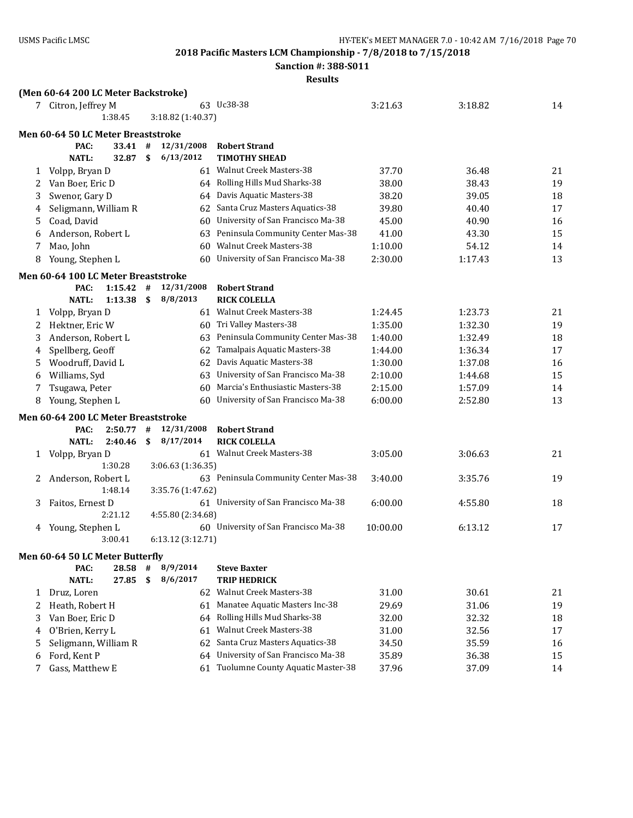**Sanction #: 388-S011**

#### **Results**

# **(Men 60-64 200 LC Meter Backstroke)** 7 Citron, Jeffrey M 63 Uc38-38 3:21.63 3:21.63 3:18.82 14 1:38.45 3:18.82 (1:40.37) **Men 60-64 50 LC Meter Breaststroke PAC: 33.41 # 12/31/2008 Robert Strand NATL: 32.87 \$ 6/13/2012 TIMOTHY SHEAD** 1 Volpp, Bryan D 61 Walnut Creek Masters-38 37.70 36.48 21 2 Van Boer, Eric D 64 Rolling Hills Mud Sharks-38 38.00 38.43 38.43 19 3 Swenor, Gary D 64 Davis Aquatic Masters-38 38.20 39.05 18 4 Seligmann, William R 62 Santa Cruz Masters Aquatics-38 39.80 40.40 17 5 Coad, David 60 University of San Francisco Ma-38 45.00 40.90 16 6 Anderson, Robert L 63 Peninsula Community Center Mas-38 41.00 43.30 15 7 Mao, John 60 Walnut Creek Masters-38 1:10.00 54.12 14 8 Young, Stephen L 60 University of San Francisco Ma-38 2:30.00 1:17.43 13 **Men 60-64 100 LC Meter Breaststroke PAC: 1:15.42 # 12/31/2008 Robert Strand NATL: 1:13.38 \$ 8/8/2013 RICK COLELLA** 1 Volpp, Bryan D 61 Walnut Creek Masters-38 1:24.45 1:23.73 21 2 Hektner, Eric W 60 Tri Valley Masters-38 1:35.00 1:32.30 19 3 Anderson, Robert L 63 Peninsula Community Center Mas-38 1:40.00 1:32.49 18 4 Spellberg, Geoff 62 Tamalpais Aquatic Masters-38 1:44.00 1:36.34 17 5 Woodruff, David L 62 Davis Aquatic Masters-38 1:30.00 1:37.08 16 6 Williams, Syd 63 University of San Francisco Ma-38 2:10.00 1:44.68 15 7 Tsugawa, Peter 60 Marcia's Enthusiastic Masters-38 2:15.00 1:57.09 14 8 Young, Stephen L 60 University of San Francisco Ma-38 6:00.00 2:52.80 13 **Men 60-64 200 LC Meter Breaststroke PAC: 2:50.77 # 12/31/2008 Robert Strand NATL: 2:40.46 \$ 8/17/2014 RICK COLELLA** 1 Volpp, Bryan D 61 Walnut Creek Masters-38 3:05.00 3:06.63 21 1:30.28 3:06.63 (1:36.35) 2 Anderson, Robert L 63 Peninsula Community Center Mas-38 3:40.00 3:35.76 19 1:48.14 3:35.76 (1:47.62) 3 Faitos, Ernest D 61 University of San Francisco Ma-38 6:00.00 4:55.80 18 2:21.12 4:55.80 (2:34.68) 4 Young, Stephen L 60 University of San Francisco Ma-38 10:00.00 6:13.12 17 3:00.41 6:13.12 (3:12.71) **Men 60-64 50 LC Meter Butterfly PAC: 28.58 # 8/9/2014 Steve Baxter NATL: 27.85 \$ 8/6/2017 TRIP HEDRICK** 1 Druz, Loren 62 Walnut Creek Masters-38 31.00 30.61 21 2 Heath, Robert H 61 Manatee Aquatic Masters Inc-38 29.69 31.06 31.06 3 Van Boer, Eric D 64 Rolling Hills Mud Sharks-38 32.00 32.32 18 4 O'Brien, Kerry L 61 Walnut Creek Masters-38 31.00 32.56 17 5 Seligmann, William R 62 Santa Cruz Masters Aquatics-38 34.50 35.59 16 6 Ford, Kent P 64 University of San Francisco Ma-38 35.89 36.38 15

7 Gass, Matthew E 61 Tuolumne County Aquatic Master-38 37.96 37.09 14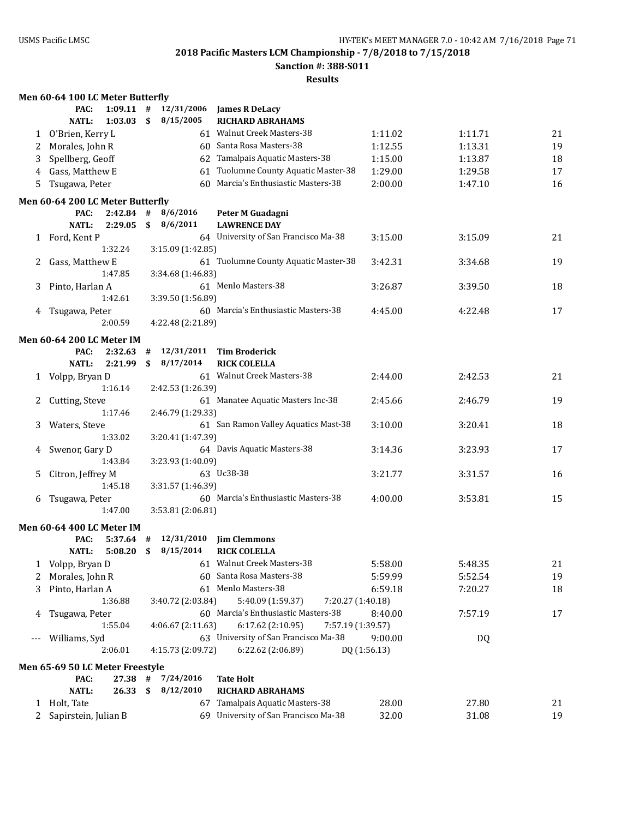**Sanction #: 388-S011**

|       | Men 60-64 100 LC Meter Butterfly |             |    |                   |                                        |              |         |    |
|-------|----------------------------------|-------------|----|-------------------|----------------------------------------|--------------|---------|----|
|       | PAC:                             | $1:09.11$ # |    | 12/31/2006        | <b>James R DeLacy</b>                  |              |         |    |
|       | <b>NATL:</b>                     | 1:03.03     | \$ | 8/15/2005         | <b>RICHARD ABRAHAMS</b>                |              |         |    |
|       | 1 O'Brien, Kerry L               |             |    |                   | 61 Walnut Creek Masters-38             | 1:11.02      | 1:11.71 | 21 |
| 2     | Morales, John R                  |             |    |                   | 60 Santa Rosa Masters-38               | 1:12.55      | 1:13.31 | 19 |
| 3     | Spellberg, Geoff                 |             |    |                   | 62 Tamalpais Aquatic Masters-38        | 1:15.00      | 1:13.87 | 18 |
| 4     | Gass, Matthew E                  |             |    |                   | 61 Tuolumne County Aquatic Master-38   | 1:29.00      | 1:29.58 | 17 |
| 5     | Tsugawa, Peter                   |             |    |                   | 60 Marcia's Enthusiastic Masters-38    | 2:00.00      | 1:47.10 | 16 |
|       | Men 60-64 200 LC Meter Butterfly |             |    |                   |                                        |              |         |    |
|       | PAC:                             | $2:42.84$ # |    | 8/6/2016          | Peter M Guadagni                       |              |         |    |
|       | <b>NATL:</b>                     | 2:29.05     | \$ | 8/6/2011          | <b>LAWRENCE DAY</b>                    |              |         |    |
|       | 1 Ford, Kent P                   |             |    |                   | 64 University of San Francisco Ma-38   | 3:15.00      | 3:15.09 | 21 |
|       |                                  | 1:32.24     |    | 3:15.09 (1:42.85) |                                        |              |         |    |
| 2     | Gass, Matthew E                  |             |    |                   | 61 Tuolumne County Aquatic Master-38   | 3:42.31      | 3:34.68 | 19 |
|       |                                  | 1:47.85     |    | 3:34.68 (1:46.83) |                                        |              |         |    |
| 3     | Pinto, Harlan A                  |             |    |                   | 61 Menlo Masters-38                    | 3:26.87      | 3:39.50 | 18 |
|       |                                  | 1:42.61     |    | 3:39.50 (1:56.89) |                                        |              |         |    |
| 4     | Tsugawa, Peter                   |             |    |                   | 60 Marcia's Enthusiastic Masters-38    | 4:45.00      | 4:22.48 | 17 |
|       |                                  | 2:00.59     |    | 4:22.48 (2:21.89) |                                        |              |         |    |
|       | Men 60-64 200 LC Meter IM        |             |    |                   |                                        |              |         |    |
|       | PAC:                             | 2:32.63     | #  | 12/31/2011        | <b>Tim Broderick</b>                   |              |         |    |
|       | <b>NATL:</b>                     | 2:21.99     | \$ | 8/17/2014         | <b>RICK COLELLA</b>                    |              |         |    |
|       | 1 Volpp, Bryan D                 |             |    |                   | 61 Walnut Creek Masters-38             | 2:44.00      | 2:42.53 | 21 |
|       |                                  | 1:16.14     |    | 2:42.53 (1:26.39) |                                        |              |         |    |
| 2     | Cutting, Steve                   |             |    |                   | 61 Manatee Aquatic Masters Inc-38      | 2:45.66      | 2:46.79 | 19 |
|       |                                  | 1:17.46     |    | 2:46.79 (1:29.33) |                                        |              |         |    |
| 3     | Waters, Steve                    |             |    |                   | 61 San Ramon Valley Aquatics Mast-38   | 3:10.00      | 3:20.41 | 18 |
|       |                                  | 1:33.02     |    | 3:20.41 (1:47.39) |                                        |              |         |    |
| 4     | Swenor, Gary D                   |             |    |                   | 64 Davis Aquatic Masters-38            | 3:14.36      | 3:23.93 | 17 |
|       |                                  | 1:43.84     |    | 3:23.93 (1:40.09) |                                        |              |         |    |
| 5.    | Citron, Jeffrey M                |             |    |                   | 63 Uc38-38                             | 3:21.77      | 3:31.57 | 16 |
|       |                                  | 1:45.18     |    | 3:31.57 (1:46.39) |                                        |              |         |    |
| 6     | Tsugawa, Peter                   |             |    |                   | 60 Marcia's Enthusiastic Masters-38    | 4:00.00      | 3:53.81 | 15 |
|       |                                  | 1:47.00     |    | 3:53.81 (2:06.81) |                                        |              |         |    |
|       | <b>Men 60-64 400 LC Meter IM</b> |             |    |                   |                                        |              |         |    |
|       | PAC:                             | $5:37.64$ # |    | 12/31/2010        | <b>Jim Clemmons</b>                    |              |         |    |
|       | <b>NATL:</b>                     | 5:08.20     | \$ | 8/15/2014         | <b>RICK COLELLA</b>                    |              |         |    |
| 1     | Volpp, Bryan D                   |             |    |                   | 61 Walnut Creek Masters-38             | 5:58.00      | 5:48.35 | 21 |
| 2     | Morales, John R                  |             |    |                   | 60 Santa Rosa Masters-38               | 5:59.99      | 5:52.54 | 19 |
| 3     | Pinto, Harlan A                  |             |    |                   | 61 Menlo Masters-38                    | 6:59.18      | 7:20.27 | 18 |
|       |                                  | 1:36.88     |    | 3:40.72 (2:03.84) | 5:40.09 (1:59.37)<br>7:20.27 (1:40.18) |              |         |    |
| 4     | Tsugawa, Peter                   |             |    |                   | 60 Marcia's Enthusiastic Masters-38    | 8:40.00      | 7:57.19 | 17 |
|       |                                  | 1:55.04     |    | 4:06.67 (2:11.63) | 6:17.62 (2:10.95)<br>7:57.19 (1:39.57) |              |         |    |
| $---$ | Williams, Syd                    |             |    |                   | 63 University of San Francisco Ma-38   | 9:00.00      | DQ      |    |
|       |                                  | 2:06.01     |    | 4:15.73 (2:09.72) | 6:22.62 (2:06.89)                      | DQ (1:56.13) |         |    |
|       |                                  |             |    |                   |                                        |              |         |    |
|       | Men 65-69 50 LC Meter Freestyle  |             |    |                   |                                        |              |         |    |
|       | PAC:                             | 27.38       | #  | 7/24/2016         | <b>Tate Holt</b>                       |              |         |    |
|       | <b>NATL:</b>                     | 26.33       | \$ | 8/12/2010         | <b>RICHARD ABRAHAMS</b>                |              |         |    |
|       | 1 Holt, Tate                     |             |    |                   | 67 Tamalpais Aquatic Masters-38        | 28.00        | 27.80   | 21 |
| 2     | Sapirstein, Julian B             |             |    |                   | 69 University of San Francisco Ma-38   | 32.00        | 31.08   | 19 |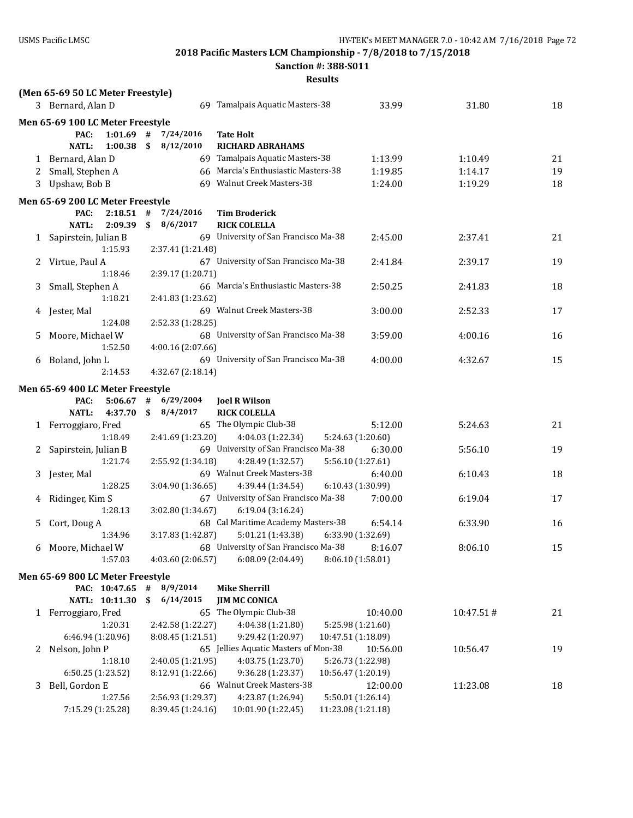**Sanction #: 388-S011**

|              | (Men 65-69 50 LC Meter Freestyle) |                           |                                              |                    |           |    |
|--------------|-----------------------------------|---------------------------|----------------------------------------------|--------------------|-----------|----|
|              | 3 Bernard, Alan D                 |                           | 69 Tamalpais Aquatic Masters-38              | 33.99              | 31.80     | 18 |
|              | Men 65-69 100 LC Meter Freestyle  |                           |                                              |                    |           |    |
|              | PAC:<br>$1:01.69$ #               | 7/24/2016                 | Tate Holt                                    |                    |           |    |
|              | <b>NATL:</b><br>1:00.38           | 8/12/2010<br>$\mathbf{s}$ | <b>RICHARD ABRAHAMS</b>                      |                    |           |    |
|              | 1 Bernard, Alan D                 |                           | 69 Tamalpais Aquatic Masters-38              | 1:13.99            | 1:10.49   | 21 |
| 2            | Small, Stephen A                  |                           | 66 Marcia's Enthusiastic Masters-38          | 1:19.85            | 1:14.17   | 19 |
| 3            | Upshaw, Bob B                     |                           | 69 Walnut Creek Masters-38                   | 1:24.00            | 1:19.29   | 18 |
|              | Men 65-69 200 LC Meter Freestyle  |                           |                                              |                    |           |    |
|              | PAC:<br>$2:18.51$ #               | 7/24/2016                 | <b>Tim Broderick</b>                         |                    |           |    |
|              | <b>NATL:</b><br>2:09.39           | 8/6/2017<br>\$            | <b>RICK COLELLA</b>                          |                    |           |    |
| $\mathbf{1}$ | Sapirstein, Julian B              |                           | 69 University of San Francisco Ma-38         | 2:45.00            | 2:37.41   | 21 |
|              | 1:15.93                           | 2:37.41 (1:21.48)         |                                              |                    |           |    |
| 2            | Virtue, Paul A                    |                           | 67 University of San Francisco Ma-38         | 2:41.84            | 2:39.17   | 19 |
|              | 1:18.46                           | 2:39.17 (1:20.71)         |                                              |                    |           |    |
| 3            | Small, Stephen A                  |                           | 66 Marcia's Enthusiastic Masters-38          | 2:50.25            | 2:41.83   | 18 |
|              | 1:18.21                           | 2:41.83 (1:23.62)         |                                              |                    |           |    |
| 4            | Jester, Mal                       |                           | 69 Walnut Creek Masters-38                   | 3:00.00            | 2:52.33   | 17 |
|              | 1:24.08                           | 2:52.33 (1:28.25)         |                                              |                    |           |    |
| 5            | Moore, Michael W                  |                           | 68 University of San Francisco Ma-38         | 3:59.00            | 4:00.16   | 16 |
|              | 1:52.50                           | 4:00.16 (2:07.66)         |                                              |                    |           |    |
| 6            | Boland, John L                    |                           | 69 University of San Francisco Ma-38         | 4:00.00            | 4:32.67   | 15 |
|              | 2:14.53                           | 4:32.67 (2:18.14)         |                                              |                    |           |    |
|              | Men 65-69 400 LC Meter Freestyle  |                           |                                              |                    |           |    |
|              | PAC:<br>5:06.67                   | #<br>6/29/2004            | <b>Joel R Wilson</b>                         |                    |           |    |
|              | <b>NATL:</b><br>4:37.70           | $\mathbf{s}$<br>8/4/2017  | <b>RICK COLELLA</b>                          |                    |           |    |
| 1            | Ferroggiaro, Fred                 |                           | 65 The Olympic Club-38                       | 5:12.00            | 5:24.63   | 21 |
|              | 1:18.49                           | 2:41.69 (1:23.20)         | 4:04.03 (1:22.34)                            | 5:24.63 (1:20.60)  |           |    |
| 2            | Sapirstein, Julian B              |                           | 69 University of San Francisco Ma-38         | 6:30.00            | 5:56.10   | 19 |
|              | 1:21.74                           | 2:55.92 (1:34.18)         | 4:28.49 (1:32.57)                            | 5:56.10 (1:27.61)  |           |    |
| 3            | Jester, Mal                       |                           | 69 Walnut Creek Masters-38                   | 6:40.00            | 6:10.43   | 18 |
|              | 1:28.25                           | 3:04.90 (1:36.65)         | 4:39.44 (1:34.54)                            | 6:10.43 (1:30.99)  |           |    |
| 4            | Ridinger, Kim S                   |                           | 67 University of San Francisco Ma-38         | 7:00.00            | 6:19.04   | 17 |
|              | 1:28.13                           | 3:02.80 (1:34.67)         | 6:19.04 (3:16.24)                            |                    |           |    |
| 5            | Cort, Doug A                      |                           | 68 Cal Maritime Academy Masters-38           | 6:54.14            | 6:33.90   | 16 |
|              | 1:34.96                           | 3:17.83 (1:42.87)         | 5:01.21 (1:43.38)                            | 6:33.90 (1:32.69)  |           |    |
|              | 6 Moore, Michael W                |                           | 68 University of San Francisco Ma-38 8:16.07 |                    | 8:06.10   | 15 |
|              | 1:57.03                           | 4:03.60(2:06.57)          | 6:08.09 (2:04.49)                            | 8:06.10 (1:58.01)  |           |    |
|              | Men 65-69 800 LC Meter Freestyle  |                           |                                              |                    |           |    |
|              | PAC: 10:47.65                     | 8/9/2014<br>#             | <b>Mike Sherrill</b>                         |                    |           |    |
|              | NATL: 10:11.30                    | 6/14/2015<br>\$           | <b>JIM MC CONICA</b>                         |                    |           |    |
|              | 1 Ferroggiaro, Fred               |                           | 65 The Olympic Club-38                       | 10:40.00           | 10:47.51# | 21 |
|              | 1:20.31                           | 2:42.58 (1:22.27)         | 4:04.38 (1:21.80)                            | 5:25.98 (1:21.60)  |           |    |
|              | 6:46.94 (1:20.96)                 | 8:08.45 (1:21.51)         | 9:29.42 (1:20.97)                            | 10:47.51 (1:18.09) |           |    |
|              | 2 Nelson, John P                  |                           | 65 Jellies Aquatic Masters of Mon-38         | 10:56.00           | 10:56.47  | 19 |
|              | 1:18.10                           | 2:40.05 (1:21.95)         | 4:03.75 (1:23.70)                            | 5:26.73 (1:22.98)  |           |    |
|              | 6:50.25 (1:23.52)                 | 8:12.91 (1:22.66)         | 9:36.28 (1:23.37)                            | 10:56.47 (1:20.19) |           |    |
| 3            | Bell, Gordon E                    |                           | 66 Walnut Creek Masters-38                   | 12:00.00           | 11:23.08  | 18 |
|              | 1:27.56                           | 2:56.93 (1:29.37)         | 4:23.87 (1:26.94)                            | 5:50.01 (1:26.14)  |           |    |
|              | 7:15.29 (1:25.28)                 | 8:39.45 (1:24.16)         | 10:01.90 (1:22.45)                           | 11:23.08 (1:21.18) |           |    |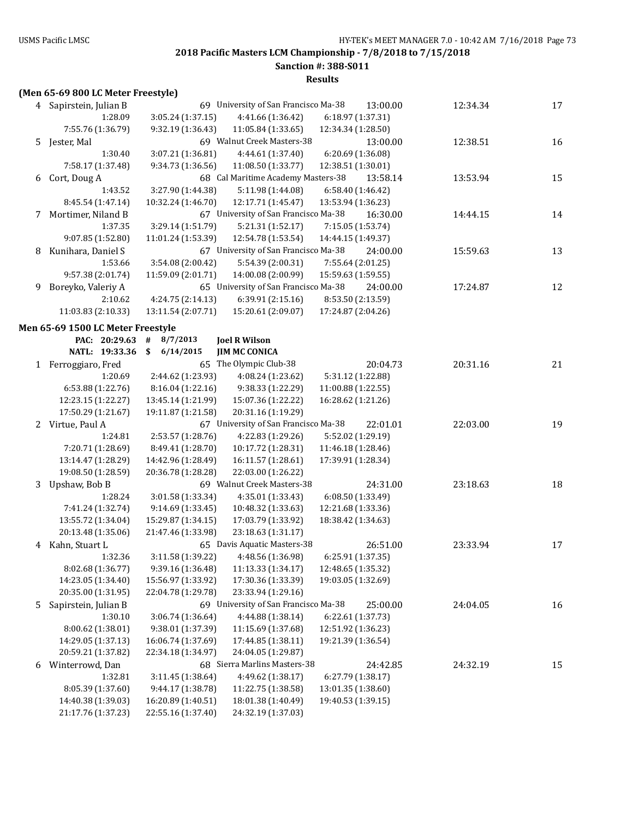**Sanction #: 388-S011**

| (Men 65-69 800 LC Meter Freestyle) |  |  |  |  |  |
|------------------------------------|--|--|--|--|--|
|------------------------------------|--|--|--|--|--|

|   | 4 Sapirstein, Julian B                   |                                          | 69 University of San Francisco Ma-38     |                    | 13:00.00 | 12:34.34 | 17 |
|---|------------------------------------------|------------------------------------------|------------------------------------------|--------------------|----------|----------|----|
|   | 1:28.09                                  | 3:05.24 (1:37.15)                        | 4:41.66 (1:36.42)                        | 6:18.97 (1:37.31)  |          |          |    |
|   | 7:55.76 (1:36.79)                        | 9:32.19 (1:36.43)                        | 11:05.84 (1:33.65)                       | 12:34.34 (1:28.50) |          |          |    |
|   | 5 Jester, Mal                            |                                          | 69 Walnut Creek Masters-38               |                    | 13:00.00 | 12:38.51 | 16 |
|   | 1:30.40                                  | 3:07.21 (1:36.81)                        | 4:44.61 (1:37.40)                        | 6:20.69 (1:36.08)  |          |          |    |
|   | 7:58.17 (1:37.48)                        | 9:34.73 (1:36.56)                        | 11:08.50 (1:33.77)                       | 12:38.51 (1:30.01) |          |          |    |
| 6 | Cort, Doug A                             |                                          | 68 Cal Maritime Academy Masters-38       |                    | 13:58.14 | 13:53.94 | 15 |
|   | 1:43.52                                  | 3:27.90 (1:44.38)                        | 5:11.98 (1:44.08)                        | 6:58.40 (1:46.42)  |          |          |    |
|   | 8:45.54 (1:47.14)                        | 10:32.24 (1:46.70)                       | 12:17.71 (1:45.47)                       | 13:53.94 (1:36.23) |          |          |    |
| 7 | Mortimer, Niland B                       |                                          | 67 University of San Francisco Ma-38     |                    | 16:30.00 | 14:44.15 | 14 |
|   | 1:37.35                                  | 3:29.14 (1:51.79)                        | 5:21.31 (1:52.17)                        | 7:15.05 (1:53.74)  |          |          |    |
|   | 9:07.85 (1:52.80)                        | 11:01.24 (1:53.39)                       | 12:54.78 (1:53.54)                       | 14:44.15 (1:49.37) |          |          |    |
| 8 | Kunihara, Daniel S                       |                                          | 67 University of San Francisco Ma-38     |                    | 24:00.00 | 15:59.63 | 13 |
|   | 1:53.66                                  | 3:54.08 (2:00.42)                        | 5:54.39 (2:00.31)                        | 7:55.64 (2:01.25)  |          |          |    |
|   | 9:57.38 (2:01.74)                        | 11:59.09 (2:01.71)                       | 14:00.08 (2:00.99)                       | 15:59.63 (1:59.55) |          |          |    |
| 9 | Boreyko, Valeriy A                       |                                          | 65 University of San Francisco Ma-38     |                    | 24:00.00 | 17:24.87 | 12 |
|   | 2:10.62                                  | 4:24.75 (2:14.13)                        | 6:39.91 (2:15.16)                        | 8:53.50 (2:13.59)  |          |          |    |
|   | 11:03.83 (2:10.33)                       | 13:11.54 (2:07.71)                       | 15:20.61 (2:09.07)                       | 17:24.87 (2:04.26) |          |          |    |
|   | Men 65-69 1500 LC Meter Freestyle        |                                          |                                          |                    |          |          |    |
|   | PAC: 20:29.63                            | 8/7/2013<br>#                            | <b>Joel R Wilson</b>                     |                    |          |          |    |
|   | NATL: 19:33.36                           | \$<br>6/14/2015                          | <b>JIM MC CONICA</b>                     |                    |          |          |    |
|   | 1 Ferroggiaro, Fred                      |                                          | 65 The Olympic Club-38                   |                    | 20:04.73 | 20:31.16 | 21 |
|   | 1:20.69                                  | 2:44.62 (1:23.93)                        | 4:08.24 (1:23.62)                        | 5:31.12 (1:22.88)  |          |          |    |
|   | 6:53.88 (1:22.76)                        | 8:16.04 (1:22.16)                        | 9:38.33 (1:22.29)                        | 11:00.88 (1:22.55) |          |          |    |
|   | 12:23.15 (1:22.27)                       | 13:45.14 (1:21.99)                       | 15:07.36 (1:22.22)                       | 16:28.62 (1:21.26) |          |          |    |
|   | 17:50.29 (1:21.67)                       | 19:11.87 (1:21.58)                       | 20:31.16 (1:19.29)                       |                    |          |          |    |
|   | 2 Virtue, Paul A                         |                                          | 67 University of San Francisco Ma-38     |                    | 22:01.01 | 22:03.00 | 19 |
|   | 1:24.81                                  | 2:53.57 (1:28.76)                        | 4:22.83 (1:29.26)                        | 5:52.02 (1:29.19)  |          |          |    |
|   | 7:20.71 (1:28.69)                        | 8:49.41 (1:28.70)                        | 10:17.72 (1:28.31)                       | 11:46.18 (1:28.46) |          |          |    |
|   | 13:14.47 (1:28.29)                       | 14:42.96 (1:28.49)                       | 16:11.57 (1:28.61)                       | 17:39.91 (1:28.34) |          |          |    |
|   | 19:08.50 (1:28.59)                       | 20:36.78 (1:28.28)                       | 22:03.00 (1:26.22)                       |                    |          |          |    |
| 3 | Upshaw, Bob B                            |                                          | 69 Walnut Creek Masters-38               |                    | 24:31.00 | 23:18.63 | 18 |
|   | 1:28.24                                  | 3:01.58 (1:33.34)                        | 4:35.01 (1:33.43)                        | 6:08.50 (1:33.49)  |          |          |    |
|   | 7:41.24 (1:32.74)                        | 9:14.69 (1:33.45)                        | 10:48.32 (1:33.63)                       | 12:21.68 (1:33.36) |          |          |    |
|   | 13:55.72 (1:34.04)                       | 15:29.87 (1:34.15)                       | 17:03.79 (1:33.92)                       | 18:38.42 (1:34.63) |          |          |    |
|   | 20:13.48 (1:35.06)                       | 21:47.46 (1:33.98)                       | 23:18.63 (1:31.17)                       |                    |          |          |    |
|   | 4 Kahn, Stuart L                         |                                          | 65 Davis Aquatic Masters-38              |                    | 26:51.00 | 23:33.94 | 17 |
|   | 1:32.36                                  | 3:11.58 (1:39.22)                        | 4:48.56 (1:36.98)                        | 6:25.91 (1:37.35)  |          |          |    |
|   | 8:02.68 (1:36.77)                        | 9:39.16 (1:36.48)                        | 11:13.33 (1:34.17)                       | 12:48.65 (1:35.32) |          |          |    |
|   | 14:23.05 (1:34.40)                       | 15:56.97 (1:33.92)                       | 17:30.36 (1:33.39)                       | 19:03.05 (1:32.69) |          |          |    |
|   | 20:35.00 (1:31.95)                       | 22:04.78 (1:29.78)                       | 23:33.94 (1:29.16)                       |                    |          |          |    |
| 5 |                                          |                                          |                                          |                    |          |          |    |
|   | Sapirstein, Julian B                     |                                          | 69 University of San Francisco Ma-38     |                    | 25:00.00 | 24:04.05 | 16 |
|   | 1:30.10                                  | 3:06.74 (1:36.64)                        | 4:44.88 (1:38.14)                        | 6:22.61 (1:37.73)  |          |          |    |
|   | 8:00.62 (1:38.01)                        | 9:38.01 (1:37.39)                        | 11:15.69 (1:37.68)                       | 12:51.92 (1:36.23) |          |          |    |
|   | 14:29.05 (1:37.13)                       | 16:06.74 (1:37.69)                       | 17:44.85 (1:38.11)                       | 19:21.39 (1:36.54) |          |          |    |
|   | 20:59.21 (1:37.82)                       | 22:34.18 (1:34.97)                       | 24:04.05 (1:29.87)                       |                    |          |          |    |
| 6 | Winterrowd, Dan                          |                                          | 68 Sierra Marlins Masters-38             |                    | 24:42.85 | 24:32.19 | 15 |
|   | 1:32.81                                  | 3:11.45 (1:38.64)                        | 4:49.62 (1:38.17)                        | 6:27.79(1:38.17)   |          |          |    |
|   | 8:05.39 (1:37.60)                        | 9:44.17 (1:38.78)                        | 11:22.75 (1:38.58)                       | 13:01.35 (1:38.60) |          |          |    |
|   | 14:40.38 (1:39.03)<br>21:17.76 (1:37.23) | 16:20.89 (1:40.51)<br>22:55.16 (1:37.40) | 18:01.38 (1:40.49)<br>24:32.19 (1:37.03) | 19:40.53 (1:39.15) |          |          |    |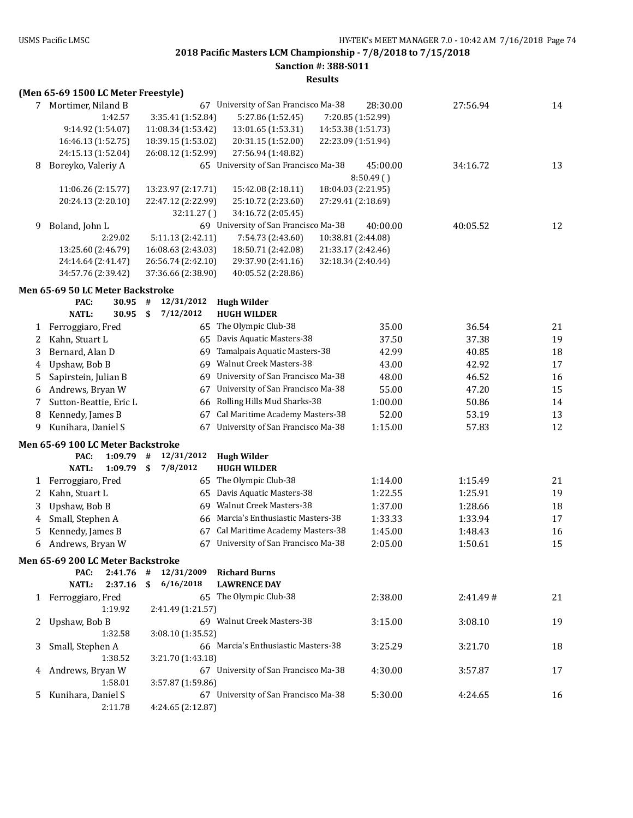### **Sanction #: 388-S011**

| 7      | Mortimer, Niland B                | 67                 | University of San Francisco Ma-38    | 28:30.00           | 27:56.94 | 14 |
|--------|-----------------------------------|--------------------|--------------------------------------|--------------------|----------|----|
|        | 1:42.57                           | 3:35.41 (1:52.84)  | 5:27.86 (1:52.45)                    | 7:20.85 (1:52.99)  |          |    |
|        | 9:14.92 (1:54.07)                 | 11:08.34 (1:53.42) | 13:01.65 (1:53.31)                   | 14:53.38 (1:51.73) |          |    |
|        | 16:46.13 (1:52.75)                | 18:39.15 (1:53.02) | 20:31.15 (1:52.00)                   | 22:23.09 (1:51.94) |          |    |
|        | 24:15.13 (1:52.04)                | 26:08.12 (1:52.99) | 27:56.94 (1:48.82)                   |                    |          |    |
| 8      | Boreyko, Valeriy A                |                    | 65 University of San Francisco Ma-38 | 45:00.00           | 34:16.72 | 13 |
|        |                                   |                    |                                      | 8:50.49(           |          |    |
|        | 11:06.26 (2:15.77)                | 13:23.97 (2:17.71) | 15:42.08 (2:18.11)                   | 18:04.03 (2:21.95) |          |    |
|        | 20:24.13 (2:20.10)                | 22:47.12 (2:22.99) | 25:10.72 (2:23.60)                   | 27:29.41 (2:18.69) |          |    |
|        |                                   | 32:11.27 ()        | 34:16.72 (2:05.45)                   |                    |          |    |
| 9      | Boland, John L                    |                    | 69 University of San Francisco Ma-38 | 40:00.00           | 40:05.52 | 12 |
|        | 2:29.02                           | 5:11.13 (2:42.11)  | 7:54.73 (2:43.60)                    | 10:38.81 (2:44.08) |          |    |
|        | 13:25.60 (2:46.79)                | 16:08.63 (2:43.03) | 18:50.71 (2:42.08)                   | 21:33.17 (2:42.46) |          |    |
|        | 24:14.64 (2:41.47)                | 26:56.74 (2:42.10) | 29:37.90 (2:41.16)                   | 32:18.34 (2:40.44) |          |    |
|        | 34:57.76 (2:39.42)                | 37:36.66 (2:38.90) | 40:05.52 (2:28.86)                   |                    |          |    |
|        | Men 65-69 50 LC Meter Backstroke  |                    |                                      |                    |          |    |
|        | PAC:<br>30.95                     | 12/31/2012<br>#    | <b>Hugh Wilder</b>                   |                    |          |    |
|        | <b>NATL:</b><br>30.95             | \$<br>7/12/2012    | <b>HUGH WILDER</b>                   |                    |          |    |
| 1      | Ferroggiaro, Fred                 | 65                 | The Olympic Club-38                  | 35.00              | 36.54    | 21 |
| 2      | Kahn, Stuart L                    | 65                 | Davis Aquatic Masters-38             | 37.50              | 37.38    | 19 |
| 3      | Bernard, Alan D                   | 69                 | Tamalpais Aquatic Masters-38         | 42.99              | 40.85    | 18 |
| 4      | Upshaw, Bob B                     | 69                 | <b>Walnut Creek Masters-38</b>       | 43.00              | 42.92    | 17 |
| 5      | Sapirstein, Julian B              | 69                 | University of San Francisco Ma-38    | 48.00              | 46.52    | 16 |
| 6      | Andrews, Bryan W                  | 67                 | University of San Francisco Ma-38    | 55.00              | 47.20    | 15 |
| 7      | Sutton-Beattie, Eric L            | 66                 | Rolling Hills Mud Sharks-38          | 1:00.00            | 50.86    | 14 |
| 8      | Kennedy, James B                  | 67                 | Cal Maritime Academy Masters-38      | 52.00              | 53.19    | 13 |
| 9      | Kunihara, Daniel S                | 67                 | University of San Francisco Ma-38    | 1:15.00            | 57.83    | 12 |
|        | Men 65-69 100 LC Meter Backstroke |                    |                                      |                    |          |    |
|        | PAC:<br>1:09.79                   | $\#$<br>12/31/2012 | <b>Hugh Wilder</b>                   |                    |          |    |
|        | <b>NATL:</b><br>1:09.79           | 7/8/2012<br>\$     | <b>HUGH WILDER</b>                   |                    |          |    |
| 1      | Ferroggiaro, Fred                 |                    | 65 The Olympic Club-38               | 1:14.00            | 1:15.49  | 21 |
| 2      | Kahn, Stuart L                    | 65                 | Davis Aquatic Masters-38             | 1:22.55            | 1:25.91  | 19 |
| 3      | Upshaw, Bob B                     | 69                 | <b>Walnut Creek Masters-38</b>       | 1:37.00            | 1:28.66  | 18 |
|        |                                   | 66                 | Marcia's Enthusiastic Masters-38     | 1:33.33            | 1:33.94  | 17 |
| 4<br>5 | Small, Stephen A                  | 67                 | Cal Maritime Academy Masters-38      | 1:45.00            |          | 16 |
|        | Kennedy, James B                  | 67                 | University of San Francisco Ma-38    |                    | 1:48.43  | 15 |
| 6      | Andrews, Bryan W                  |                    |                                      | 2:05.00            | 1:50.61  |    |
|        | Men 65-69 200 LC Meter Backstroke |                    |                                      |                    |          |    |
|        | PAC:<br>$2:41.76$ #               | 12/31/2009         | <b>Richard Burns</b>                 |                    |          |    |
|        | NATL:<br>2:37.16                  | 6/16/2018<br>\$    | <b>LAWRENCE DAY</b>                  |                    |          |    |
|        | 1 Ferroggiaro, Fred               |                    | 65 The Olympic Club-38               | 2:38.00            | 2:41.49# | 21 |
|        | 1:19.92                           | 2:41.49 (1:21.57)  |                                      |                    |          |    |
| 2      | Upshaw, Bob B                     |                    | 69 Walnut Creek Masters-38           | 3:15.00            | 3:08.10  | 19 |
|        | 1:32.58                           | 3:08.10 (1:35.52)  |                                      |                    |          |    |
| 3      | Small, Stephen A                  |                    | 66 Marcia's Enthusiastic Masters-38  | 3:25.29            | 3:21.70  | 18 |
|        | 1:38.52                           | 3:21.70 (1:43.18)  |                                      |                    |          |    |
| 4      | Andrews, Bryan W                  |                    | 67 University of San Francisco Ma-38 | 4:30.00            | 3:57.87  | 17 |
|        | 1:58.01                           | 3:57.87 (1:59.86)  |                                      |                    |          |    |
| 5      | Kunihara, Daniel S                |                    | 67 University of San Francisco Ma-38 | 5:30.00            | 4:24.65  | 16 |
|        | 2:11.78                           | 4:24.65 (2:12.87)  |                                      |                    |          |    |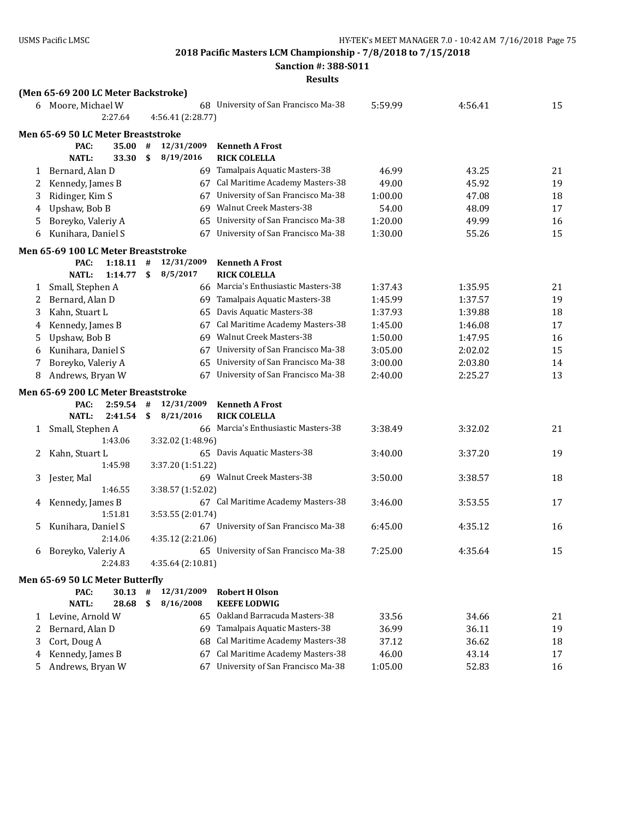**Sanction #: 388-S011**

|   | (Men 65-69 200 LC Meter Backstroke)         |         |    |                   |                                      |         |         |    |
|---|---------------------------------------------|---------|----|-------------------|--------------------------------------|---------|---------|----|
|   | 6 Moore, Michael W                          |         |    |                   | 68 University of San Francisco Ma-38 | 5:59.99 | 4:56.41 | 15 |
|   |                                             | 2:27.64 |    | 4:56.41 (2:28.77) |                                      |         |         |    |
|   | Men 65-69 50 LC Meter Breaststroke          |         |    |                   |                                      |         |         |    |
|   | PAC:                                        | 35.00   | #  | 12/31/2009        | <b>Kenneth A Frost</b>               |         |         |    |
|   | <b>NATL:</b>                                | 33.30   | \$ | 8/19/2016         | <b>RICK COLELLA</b>                  |         |         |    |
| 1 | Bernard, Alan D                             |         |    |                   | 69 Tamalpais Aquatic Masters-38      | 46.99   | 43.25   | 21 |
| 2 | Kennedy, James B                            |         |    |                   | 67 Cal Maritime Academy Masters-38   | 49.00   | 45.92   | 19 |
| 3 | Ridinger, Kim S                             |         |    | 67                | University of San Francisco Ma-38    | 1:00.00 | 47.08   | 18 |
| 4 | Upshaw, Bob B                               |         |    | 69                | <b>Walnut Creek Masters-38</b>       | 54.00   | 48.09   | 17 |
| 5 | Boreyko, Valeriy A                          |         |    | 65                | University of San Francisco Ma-38    | 1:20.00 | 49.99   | 16 |
| 6 | Kunihara, Daniel S                          |         |    | 67                | University of San Francisco Ma-38    | 1:30.00 | 55.26   | 15 |
|   | Men 65-69 100 LC Meter Breaststroke         |         |    |                   |                                      |         |         |    |
|   | PAC:                                        | 1:18.11 | #  | 12/31/2009        | <b>Kenneth A Frost</b>               |         |         |    |
|   | <b>NATL:</b>                                | 1:14.77 | \$ | 8/5/2017          | <b>RICK COLELLA</b>                  |         |         |    |
| 1 | Small, Stephen A                            |         |    |                   | 66 Marcia's Enthusiastic Masters-38  | 1:37.43 | 1:35.95 | 21 |
| 2 | Bernard, Alan D                             |         |    |                   | 69 Tamalpais Aquatic Masters-38      | 1:45.99 | 1:37.57 | 19 |
| 3 | Kahn, Stuart L                              |         |    | 65                | Davis Aquatic Masters-38             | 1:37.93 | 1:39.88 | 18 |
| 4 | Kennedy, James B                            |         |    | 67                | Cal Maritime Academy Masters-38      | 1:45.00 | 1:46.08 | 17 |
| 5 | Upshaw, Bob B                               |         |    | 69                | <b>Walnut Creek Masters-38</b>       | 1:50.00 | 1:47.95 | 16 |
| 6 | Kunihara, Daniel S                          |         |    | 67                | University of San Francisco Ma-38    | 3:05.00 | 2:02.02 | 15 |
| 7 | Boreyko, Valeriy A                          |         |    | 65                | University of San Francisco Ma-38    | 3:00.00 | 2:03.80 | 14 |
| 8 | Andrews, Bryan W                            |         |    |                   | 67 University of San Francisco Ma-38 | 2:40.00 | 2:25.27 | 13 |
|   |                                             |         |    |                   |                                      |         |         |    |
|   | Men 65-69 200 LC Meter Breaststroke<br>PAC: | 2:59.54 | #  | 12/31/2009        | <b>Kenneth A Frost</b>               |         |         |    |
|   | <b>NATL:</b>                                | 2:41.54 | \$ | 8/21/2016         | <b>RICK COLELLA</b>                  |         |         |    |
| 1 | Small, Stephen A                            |         |    |                   | 66 Marcia's Enthusiastic Masters-38  | 3:38.49 | 3:32.02 | 21 |
|   |                                             | 1:43.06 |    | 3:32.02 (1:48.96) |                                      |         |         |    |
| 2 | Kahn, Stuart L                              |         |    |                   | 65 Davis Aquatic Masters-38          | 3:40.00 | 3:37.20 | 19 |
|   |                                             | 1:45.98 |    | 3:37.20 (1:51.22) |                                      |         |         |    |
| 3 | Jester, Mal                                 |         |    |                   | 69 Walnut Creek Masters-38           | 3:50.00 | 3:38.57 | 18 |
|   |                                             | 1:46.55 |    | 3:38.57 (1:52.02) |                                      |         |         |    |
| 4 | Kennedy, James B                            |         |    |                   | 67 Cal Maritime Academy Masters-38   | 3:46.00 | 3:53.55 | 17 |
|   |                                             | 1:51.81 |    | 3:53.55 (2:01.74) |                                      |         |         |    |
| 5 | Kunihara, Daniel S                          |         |    |                   | 67 University of San Francisco Ma-38 | 6:45.00 | 4:35.12 | 16 |
|   |                                             | 2:14.06 |    | 4:35.12 (2:21.06) |                                      |         |         |    |
|   | 6 Boreyko, Valeriy A                        |         |    |                   | 65 University of San Francisco Ma-38 | 7:25.00 | 4:35.64 | 15 |
|   |                                             | 2:24.83 |    | 4:35.64 (2:10.81) |                                      |         |         |    |
|   | Men 65-69 50 LC Meter Butterfly             |         |    |                   |                                      |         |         |    |
|   | PAC:                                        | 30.13   | #  | 12/31/2009        | <b>Robert H Olson</b>                |         |         |    |
|   | <b>NATL:</b>                                | 28.68   | \$ | 8/16/2008         | <b>KEEFE LODWIG</b>                  |         |         |    |
| 1 | Levine, Arnold W                            |         |    | 65                | Oakland Barracuda Masters-38         | 33.56   | 34.66   | 21 |
| 2 | Bernard, Alan D                             |         |    | 69                | Tamalpais Aquatic Masters-38         | 36.99   | 36.11   | 19 |
| 3 | Cort, Doug A                                |         |    | 68                | Cal Maritime Academy Masters-38      | 37.12   | 36.62   | 18 |
| 4 | Kennedy, James B                            |         |    | 67                | Cal Maritime Academy Masters-38      | 46.00   | 43.14   | 17 |
| 5 | Andrews, Bryan W                            |         |    | 67                | University of San Francisco Ma-38    | 1:05.00 | 52.83   | 16 |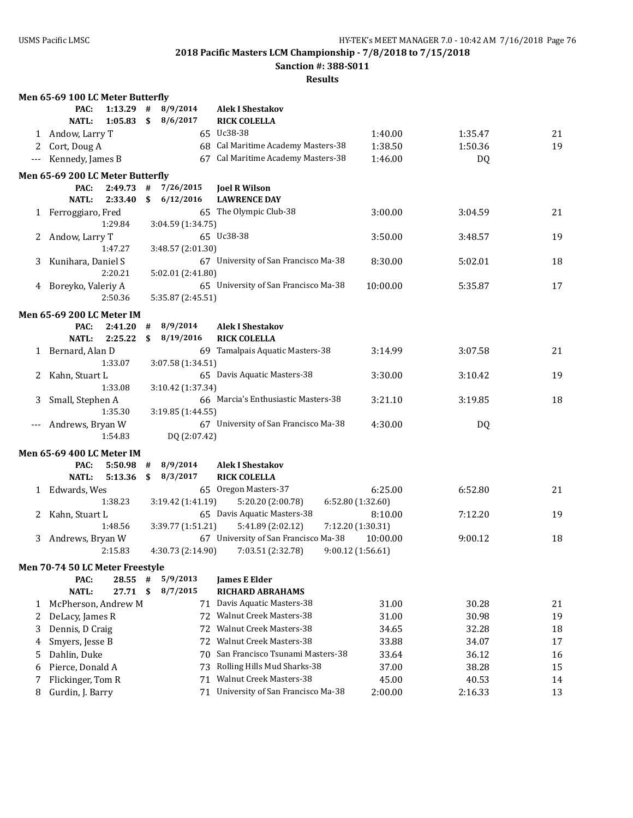**Sanction #: 388-S011**

|       | Men 65-69 100 LC Meter Butterfly |         |    |                   |                                      |                   |           |    |
|-------|----------------------------------|---------|----|-------------------|--------------------------------------|-------------------|-----------|----|
|       | PAC:                             | 1:13.29 | #  | 8/9/2014          | <b>Alek I Shestakov</b>              |                   |           |    |
|       | <b>NATL:</b>                     | 1:05.83 | \$ | 8/6/2017          | <b>RICK COLELLA</b>                  |                   |           |    |
|       | 1 Andow, Larry T                 |         |    |                   | 65 Uc38-38                           | 1:40.00           | 1:35.47   | 21 |
| 2     | Cort, Doug A                     |         |    |                   | 68 Cal Maritime Academy Masters-38   | 1:38.50           | 1:50.36   | 19 |
|       | Kennedy, James B                 |         |    |                   | 67 Cal Maritime Academy Masters-38   | 1:46.00           | <b>DQ</b> |    |
|       | Men 65-69 200 LC Meter Butterfly |         |    |                   |                                      |                   |           |    |
|       | PAC:                             | 2:49.73 | #  | 7/26/2015         | <b>Joel R Wilson</b>                 |                   |           |    |
|       | <b>NATL:</b>                     | 2:33.40 | \$ | 6/12/2016         | <b>LAWRENCE DAY</b>                  |                   |           |    |
|       | 1 Ferroggiaro, Fred              |         |    |                   | 65 The Olympic Club-38               | 3:00.00           | 3:04.59   | 21 |
|       |                                  | 1:29.84 |    | 3:04.59 (1:34.75) |                                      |                   |           |    |
| 2     | Andow, Larry T                   |         |    |                   | 65 Uc38-38                           | 3:50.00           | 3:48.57   | 19 |
|       |                                  | 1:47.27 |    | 3:48.57 (2:01.30) |                                      |                   |           |    |
| 3     | Kunihara, Daniel S               |         |    |                   | 67 University of San Francisco Ma-38 | 8:30.00           | 5:02.01   | 18 |
|       |                                  | 2:20.21 |    | 5:02.01 (2:41.80) |                                      |                   |           |    |
|       | 4 Boreyko, Valeriy A             |         |    |                   | 65 University of San Francisco Ma-38 | 10:00.00          | 5:35.87   | 17 |
|       |                                  | 2:50.36 |    | 5:35.87 (2:45.51) |                                      |                   |           |    |
|       | <b>Men 65-69 200 LC Meter IM</b> |         |    |                   |                                      |                   |           |    |
|       | PAC:                             | 2:41.20 | #  | 8/9/2014          | <b>Alek I Shestakov</b>              |                   |           |    |
|       | <b>NATL:</b>                     | 2:25.22 | \$ | 8/19/2016         | <b>RICK COLELLA</b>                  |                   |           |    |
|       | 1 Bernard, Alan D                |         |    |                   | 69 Tamalpais Aquatic Masters-38      | 3:14.99           | 3:07.58   | 21 |
|       |                                  | 1:33.07 |    | 3:07.58 (1:34.51) |                                      |                   |           |    |
| 2     | Kahn, Stuart L                   |         |    |                   | 65 Davis Aquatic Masters-38          | 3:30.00           | 3:10.42   | 19 |
|       |                                  | 1:33.08 |    | 3:10.42 (1:37.34) |                                      |                   |           |    |
| 3     | Small, Stephen A                 |         |    |                   | 66 Marcia's Enthusiastic Masters-38  | 3:21.10           | 3:19.85   | 18 |
|       |                                  | 1:35.30 |    | 3:19.85 (1:44.55) |                                      |                   |           |    |
| $---$ | Andrews, Bryan W                 |         |    |                   | 67 University of San Francisco Ma-38 | 4:30.00           | <b>DQ</b> |    |
|       |                                  | 1:54.83 |    | DQ (2:07.42)      |                                      |                   |           |    |
|       | <b>Men 65-69 400 LC Meter IM</b> |         |    |                   |                                      |                   |           |    |
|       | PAC:                             | 5:50.98 | #  | 8/9/2014          | <b>Alek I Shestakov</b>              |                   |           |    |
|       | <b>NATL:</b>                     | 5:13.36 | \$ | 8/3/2017          | <b>RICK COLELLA</b>                  |                   |           |    |
|       | 1 Edwards, Wes                   |         |    |                   | 65 Oregon Masters-37                 | 6:25.00           | 6:52.80   | 21 |
|       |                                  | 1:38.23 |    | 3:19.42 (1:41.19) | 5:20.20 (2:00.78)                    | 6:52.80 (1:32.60) |           |    |
| 2     | Kahn, Stuart L                   |         |    |                   | 65 Davis Aquatic Masters-38          | 8:10.00           | 7:12.20   | 19 |
|       |                                  | 1:48.56 |    | 3:39.77 (1:51.21) | 5:41.89 (2:02.12)                    | 7:12.20 (1:30.31) |           |    |
| 3     | Andrews, Bryan W                 |         |    |                   | 67 University of San Francisco Ma-38 | 10:00.00          | 9:00.12   | 18 |
|       |                                  | 2:15.83 |    | 4:30.73 (2:14.90) | 7:03.51 (2:32.78)                    | 9:00.12 (1:56.61) |           |    |
|       | Men 70-74 50 LC Meter Freestyle  |         |    |                   |                                      |                   |           |    |
|       | PAC:                             | 28.55   | #  | 5/9/2013          | <b>James E Elder</b>                 |                   |           |    |
|       | <b>NATL:</b>                     | 27.71   | \$ | 8/7/2015          | <b>RICHARD ABRAHAMS</b>              |                   |           |    |
| 1     | McPherson, Andrew M              |         |    |                   | 71 Davis Aquatic Masters-38          | 31.00             | 30.28     | 21 |
| 2     | DeLacy, James R                  |         |    |                   | 72 Walnut Creek Masters-38           | 31.00             | 30.98     | 19 |
| 3     | Dennis, D Craig                  |         |    |                   | 72 Walnut Creek Masters-38           | 34.65             | 32.28     | 18 |
| 4     | Smyers, Jesse B                  |         |    |                   | 72 Walnut Creek Masters-38           | 33.88             | 34.07     | 17 |
| 5     | Dahlin, Duke                     |         |    |                   | 70 San Francisco Tsunami Masters-38  | 33.64             | 36.12     | 16 |
| 6     | Pierce, Donald A                 |         |    | 73                | Rolling Hills Mud Sharks-38          | 37.00             | 38.28     | 15 |
| 7     | Flickinger, Tom R                |         |    | 71                | <b>Walnut Creek Masters-38</b>       | 45.00             | 40.53     | 14 |
| 8     | Gurdin, J. Barry                 |         |    |                   | 71 University of San Francisco Ma-38 | 2:00.00           | 2:16.33   | 13 |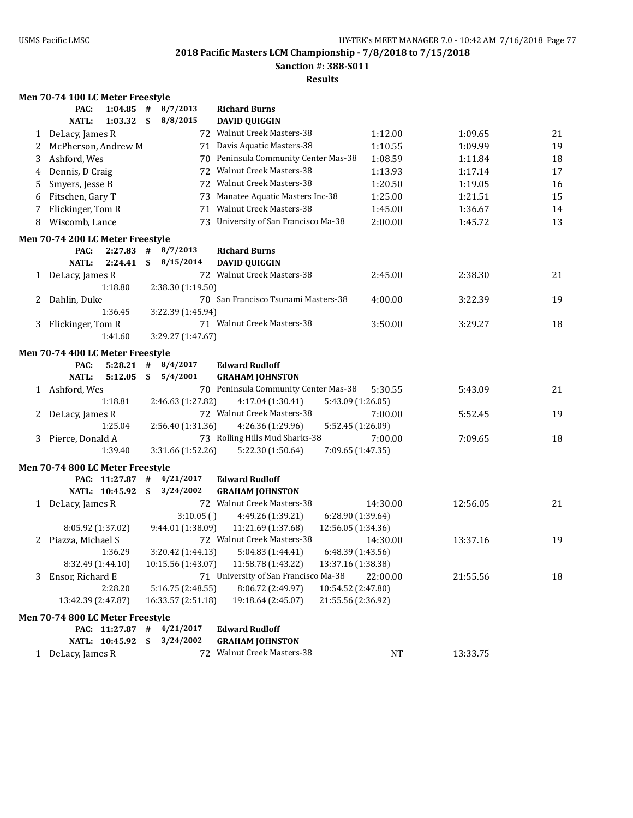**Sanction #: 388-S011**

#### **Results**

### **Men 70-74 100 LC Meter Freestyle**

|   | PAC:<br>1:04.85                  | #  | 8/7/2013           | <b>Richard Burns</b>                                        |          |          |    |
|---|----------------------------------|----|--------------------|-------------------------------------------------------------|----------|----------|----|
|   | <b>NATL:</b><br>1:03.32          | \$ | 8/8/2015           | <b>DAVID QUIGGIN</b>                                        |          |          |    |
| 1 | DeLacy, James R                  |    |                    | 72 Walnut Creek Masters-38                                  | 1:12.00  | 1:09.65  | 21 |
| 2 | McPherson, Andrew M              |    |                    | 71 Davis Aquatic Masters-38                                 | 1:10.55  | 1:09.99  | 19 |
| 3 | Ashford, Wes                     |    |                    | 70 Peninsula Community Center Mas-38                        | 1:08.59  | 1:11.84  | 18 |
| 4 | Dennis, D Craig                  |    |                    | 72 Walnut Creek Masters-38                                  | 1:13.93  | 1:17.14  | 17 |
| 5 | Smyers, Jesse B                  |    |                    | 72 Walnut Creek Masters-38                                  | 1:20.50  | 1:19.05  | 16 |
| 6 | Fitschen, Gary T                 |    |                    | 73 Manatee Aquatic Masters Inc-38                           | 1:25.00  | 1:21.51  | 15 |
| 7 | Flickinger, Tom R                |    |                    | 71 Walnut Creek Masters-38                                  | 1:45.00  | 1:36.67  | 14 |
| 8 | Wiscomb, Lance                   |    |                    | 73 University of San Francisco Ma-38                        | 2:00.00  | 1:45.72  | 13 |
|   | Men 70-74 200 LC Meter Freestyle |    |                    |                                                             |          |          |    |
|   | PAC:<br>2:27.83                  | #  | 8/7/2013           | <b>Richard Burns</b>                                        |          |          |    |
|   | <b>NATL:</b><br>2:24.41          | \$ | 8/15/2014          | <b>DAVID QUIGGIN</b>                                        |          |          |    |
| 1 | DeLacy, James R                  |    |                    | 72 Walnut Creek Masters-38                                  | 2:45.00  | 2:38.30  | 21 |
|   | 1:18.80                          |    | 2:38.30 (1:19.50)  |                                                             |          |          |    |
| 2 | Dahlin, Duke                     |    |                    | 70 San Francisco Tsunami Masters-38                         | 4:00.00  | 3:22.39  | 19 |
|   | 1:36.45                          |    | 3:22.39 (1:45.94)  |                                                             |          |          |    |
|   | 3 Flickinger, Tom R              |    |                    | 71 Walnut Creek Masters-38                                  | 3:50.00  | 3:29.27  | 18 |
|   | 1:41.60                          |    | 3:29.27 (1:47.67)  |                                                             |          |          |    |
|   | Men 70-74 400 LC Meter Freestyle |    |                    |                                                             |          |          |    |
|   | 5:28.21<br>PAC:                  | #  | 8/4/2017           | <b>Edward Rudloff</b>                                       |          |          |    |
|   | <b>NATL:</b><br>5:12.05          | \$ | 5/4/2001           | <b>GRAHAM JOHNSTON</b>                                      |          |          |    |
|   | 1 Ashford, Wes                   |    |                    | 70 Peninsula Community Center Mas-38                        | 5:30.55  | 5:43.09  | 21 |
|   | 1:18.81                          |    | 2:46.63 (1:27.82)  | 4:17.04 (1:30.41)<br>5:43.09 (1:26.05)                      |          |          |    |
| 2 | DeLacy, James R                  |    |                    | 72 Walnut Creek Masters-38                                  | 7:00.00  | 5:52.45  | 19 |
|   | 1:25.04                          |    | 2:56.40 (1:31.36)  | 4:26.36 (1:29.96)<br>5:52.45 (1:26.09)                      |          |          |    |
|   | 3 Pierce, Donald A               |    |                    | 73 Rolling Hills Mud Sharks-38                              | 7:00.00  | 7:09.65  | 18 |
|   | 1:39.40                          |    | 3:31.66 (1:52.26)  | 5:22.30 (1:50.64)<br>7:09.65 (1:47.35)                      |          |          |    |
|   | Men 70-74 800 LC Meter Freestyle |    |                    |                                                             |          |          |    |
|   | PAC: 11:27.87                    | #  | 4/21/2017          | <b>Edward Rudloff</b>                                       |          |          |    |
|   | NATL: 10:45.92                   | \$ | 3/24/2002          | <b>GRAHAM JOHNSTON</b>                                      |          |          |    |
|   | 1 DeLacy, James R                |    |                    | 72 Walnut Creek Masters-38                                  | 14:30.00 | 12:56.05 | 21 |
|   |                                  |    | 3:10.05()          | 4:49.26 (1:39.21)<br>6:28.90 (1:39.64)                      |          |          |    |
|   | 8:05.92 (1:37.02)                |    | 9:44.01 (1:38.09)  | 11:21.69 (1:37.68)<br>12:56.05 (1:34.36)                    |          |          |    |
|   | 2 Piazza, Michael S              |    |                    | 72 Walnut Creek Masters-38                                  | 14:30.00 | 13:37.16 | 19 |
|   | 1:36.29                          |    | 3:20.42 (1:44.13)  | 5:04.83 (1:44.41)<br>6:48.39 (1:43.56)                      |          |          |    |
|   | 8:32.49 (1:44.10)                |    |                    | 10:15.56 (1:43.07) 11:58.78 (1:43.22)<br>13:37.16 (1:38.38) |          |          |    |
|   | 3 Ensor, Richard E               |    |                    | 71 University of San Francisco Ma-38                        | 22:00.00 | 21:55.56 | 18 |
|   | 2:28.20                          |    | 5:16.75 (2:48.55)  | 8:06.72 (2:49.97)<br>10:54.52 (2:47.80)                     |          |          |    |
|   | 13:42.39 (2:47.87)               |    | 16:33.57 (2:51.18) | 19:18.64 (2:45.07)<br>21:55.56 (2:36.92)                    |          |          |    |
|   | Men 70-74 800 LC Meter Freestyle |    |                    |                                                             |          |          |    |
|   | PAC: 11:27.87 # 4/21/2017        |    |                    | <b>Edward Rudloff</b>                                       |          |          |    |
|   | NATL: 10:45.92 \$                |    | 3/24/2002          | <b>GRAHAM JOHNSTON</b>                                      |          |          |    |
|   | 1 DeLacy, James R                |    |                    | 72 Walnut Creek Masters-38                                  | NT       | 13:33.75 |    |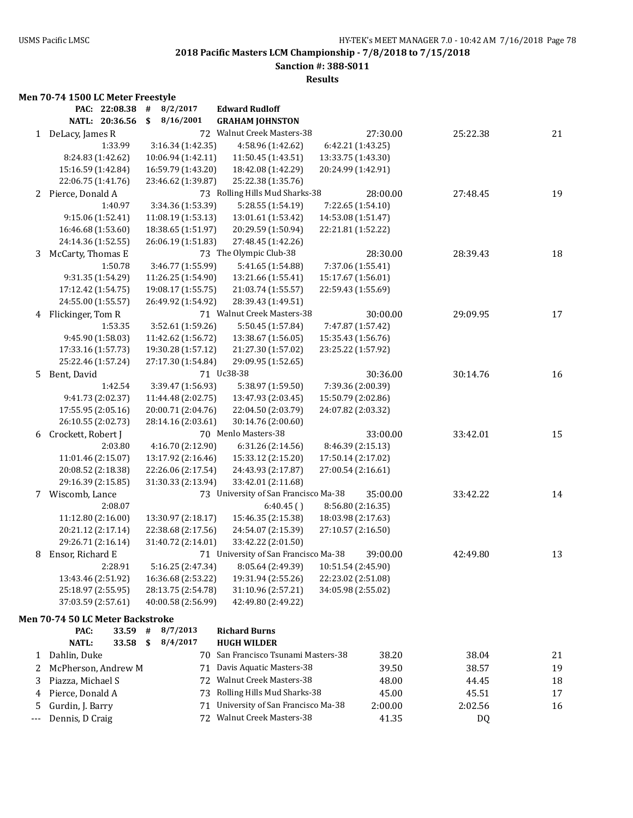**Sanction #: 388-S011**

#### **Results**

## **Men 70-74 1500 LC Meter Freestyle**

|                | PAC: 22:08.38                    | 8/2/2017<br>#      | <b>Edward Rudloff</b>                |                    |          |    |
|----------------|----------------------------------|--------------------|--------------------------------------|--------------------|----------|----|
|                | NATL: 20:36.56                   | 8/16/2001<br>\$    | <b>GRAHAM JOHNSTON</b>               |                    |          |    |
|                | 1 DeLacy, James R                |                    | 72 Walnut Creek Masters-38           | 27:30.00           | 25:22.38 | 21 |
|                | 1:33.99                          | 3:16.34 (1:42.35)  | 4:58.96 (1:42.62)                    | 6:42.21 (1:43.25)  |          |    |
|                | 8:24.83 (1:42.62)                | 10:06.94 (1:42.11) | 11:50.45 (1:43.51)                   | 13:33.75 (1:43.30) |          |    |
|                | 15:16.59 (1:42.84)               | 16:59.79 (1:43.20) | 18:42.08 (1:42.29)                   | 20:24.99 (1:42.91) |          |    |
|                | 22:06.75 (1:41.76)               | 23:46.62 (1:39.87) | 25:22.38 (1:35.76)                   |                    |          |    |
|                | 2 Pierce, Donald A               |                    | 73 Rolling Hills Mud Sharks-38       | 28:00.00           | 27:48.45 | 19 |
|                | 1:40.97                          | 3:34.36 (1:53.39)  | 5:28.55 (1:54.19)                    | 7:22.65 (1:54.10)  |          |    |
|                | 9:15.06 (1:52.41)                | 11:08.19 (1:53.13) | 13:01.61 (1:53.42)                   | 14:53.08 (1:51.47) |          |    |
|                | 16:46.68 (1:53.60)               | 18:38.65 (1:51.97) | 20:29.59 (1:50.94)                   | 22:21.81 (1:52.22) |          |    |
|                | 24:14.36 (1:52.55)               | 26:06.19 (1:51.83) | 27:48.45 (1:42.26)                   |                    |          |    |
| 3              | McCarty, Thomas E                |                    | 73 The Olympic Club-38               | 28:30.00           | 28:39.43 | 18 |
|                | 1:50.78                          | 3:46.77 (1:55.99)  | 5:41.65 (1:54.88)                    | 7:37.06 (1:55.41)  |          |    |
|                | 9:31.35 (1:54.29)                | 11:26.25 (1:54.90) | 13:21.66 (1:55.41)                   | 15:17.67 (1:56.01) |          |    |
|                | 17:12.42 (1:54.75)               | 19:08.17 (1:55.75) | 21:03.74 (1:55.57)                   | 22:59.43 (1:55.69) |          |    |
|                | 24:55.00 (1:55.57)               | 26:49.92 (1:54.92) | 28:39.43 (1:49.51)                   |                    |          |    |
|                | 4 Flickinger, Tom R              |                    | 71 Walnut Creek Masters-38           | 30:00.00           | 29:09.95 | 17 |
|                | 1:53.35                          | 3:52.61 (1:59.26)  | 5:50.45 (1:57.84)                    | 7:47.87 (1:57.42)  |          |    |
|                | 9:45.90 (1:58.03)                | 11:42.62 (1:56.72) | 13:38.67 (1:56.05)                   | 15:35.43 (1:56.76) |          |    |
|                | 17:33.16 (1:57.73)               | 19:30.28 (1:57.12) | 21:27.30 (1:57.02)                   | 23:25.22 (1:57.92) |          |    |
|                | 25:22.46 (1:57.24)               | 27:17.30 (1:54.84) | 29:09.95 (1:52.65)                   |                    |          |    |
| 5 <sup>1</sup> | Bent, David                      |                    | 71 Uc38-38                           | 30:36.00           | 30:14.76 | 16 |
|                | 1:42.54                          | 3:39.47 (1:56.93)  | 5:38.97 (1:59.50)                    | 7:39.36 (2:00.39)  |          |    |
|                | 9:41.73 (2:02.37)                | 11:44.48 (2:02.75) | 13:47.93 (2:03.45)                   | 15:50.79 (2:02.86) |          |    |
|                | 17:55.95 (2:05.16)               | 20:00.71 (2:04.76) | 22:04.50 (2:03.79)                   | 24:07.82 (2:03.32) |          |    |
|                | 26:10.55 (2:02.73)               | 28:14.16 (2:03.61) | 30:14.76 (2:00.60)                   |                    |          |    |
|                | 6 Crockett, Robert J             |                    | 70 Menlo Masters-38                  | 33:00.00           | 33:42.01 | 15 |
|                | 2:03.80                          | 4:16.70 (2:12.90)  | 6:31.26 (2:14.56)                    | 8:46.39 (2:15.13)  |          |    |
|                | 11:01.46 (2:15.07)               | 13:17.92 (2:16.46) | 15:33.12 (2:15.20)                   | 17:50.14 (2:17.02) |          |    |
|                | 20:08.52 (2:18.38)               | 22:26.06 (2:17.54) | 24:43.93 (2:17.87)                   | 27:00.54 (2:16.61) |          |    |
|                | 29:16.39 (2:15.85)               | 31:30.33 (2:13.94) | 33:42.01 (2:11.68)                   |                    |          |    |
|                | 7 Wiscomb, Lance                 |                    | 73 University of San Francisco Ma-38 | 35:00.00           | 33:42.22 | 14 |
|                | 2:08.07                          |                    | 6:40.45()                            | 8:56.80 (2:16.35)  |          |    |
|                | 11:12.80 (2:16.00)               | 13:30.97 (2:18.17) | 15:46.35 (2:15.38)                   | 18:03.98 (2:17.63) |          |    |
|                | 20:21.12 (2:17.14)               | 22:38.68 (2:17.56) | 24:54.07 (2:15.39)                   | 27:10.57 (2:16.50) |          |    |
|                | 29:26.71 (2:16.14)               | 31:40.72 (2:14.01) | 33:42.22 (2:01.50)                   |                    |          |    |
| 8              | Ensor, Richard E                 |                    | 71 University of San Francisco Ma-38 | 39:00.00           | 42:49.80 | 13 |
|                | 2:28.91                          | 5:16.25 (2:47.34)  | 8:05.64 (2:49.39)                    | 10:51.54 (2:45.90) |          |    |
|                | 13:43.46 (2:51.92)               | 16:36.68 (2:53.22) | 19:31.94 (2:55.26)                   | 22:23.02 (2:51.08) |          |    |
|                | 25:18.97 (2:55.95)               | 28:13.75 (2:54.78) | 31:10.96 (2:57.21)                   | 34:05.98 (2:55.02) |          |    |
|                | 37:03.59 (2:57.61)               | 40:00.58 (2:56.99) | 42:49.80 (2:49.22)                   |                    |          |    |
|                |                                  |                    |                                      |                    |          |    |
|                | Men 70-74 50 LC Meter Backstroke |                    |                                      |                    |          |    |
|                | PAC:<br>33.59                    | 8/7/2013<br>$\#$   | <b>Richard Burns</b>                 |                    |          |    |
|                | <b>NATL:</b><br>33.58            | 8/4/2017<br>\$     | <b>HUGH WILDER</b>                   |                    |          |    |
| 1              | Dahlin, Duke                     | 70                 | San Francisco Tsunami Masters-38     | 38.20              | 38.04    | 21 |
| 2              | McPherson, Andrew M              | 71                 | Davis Aquatic Masters-38             | 39.50              | 38.57    | 19 |
| 3              | Piazza, Michael S                | 72                 | Walnut Creek Masters-38              | 48.00              | 44.45    | 18 |
| 4              | Pierce, Donald A                 | 73                 | Rolling Hills Mud Sharks-38          | 45.00              | 45.51    | 17 |
| 5              | Gurdin, J. Barry                 | 71                 | University of San Francisco Ma-38    | 2:00.00            | 2:02.56  | 16 |
| ---            | Dennis, D Craig                  | 72                 | Walnut Creek Masters-38              | 41.35              | DQ       |    |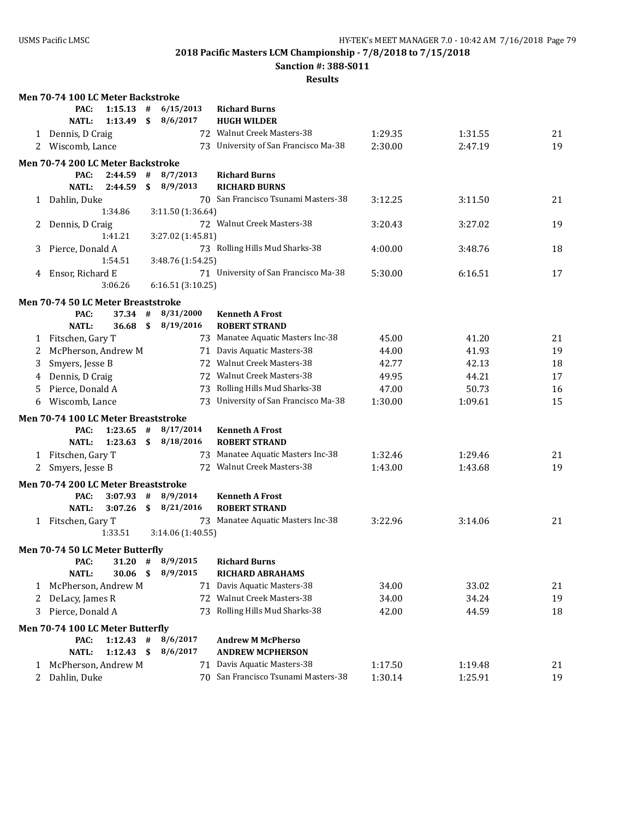**Sanction #: 388-S011**

| PAC:<br>$1:15.13$ #<br><b>Richard Burns</b><br>$1:13.49$ \$<br>8/6/2017<br><b>HUGH WILDER</b><br><b>NATL:</b><br>72 Walnut Creek Masters-38<br>1 Dennis, D Craig<br>1:29.35<br>1:31.55<br>21<br>2 Wiscomb, Lance<br>73 University of San Francisco Ma-38<br>2:30.00<br>19<br>2:47.19<br>Men 70-74 200 LC Meter Backstroke<br>#<br>8/7/2013<br><b>Richard Burns</b><br>PAC:<br>2:44.59<br><b>NATL:</b><br>2:44.59<br>\$<br>8/9/2013<br><b>RICHARD BURNS</b><br>70 San Francisco Tsunami Masters-38<br>1 Dahlin, Duke<br>21<br>3:12.25<br>3:11.50<br>3:11.50 (1:36.64)<br>1:34.86<br>72 Walnut Creek Masters-38<br>3:20.43<br>19<br>Dennis, D Craig<br>3:27.02<br>2.<br>1:41.21<br>3:27.02 (1:45.81)<br>73 Rolling Hills Mud Sharks-38<br>18<br>Pierce, Donald A<br>4:00.00<br>3:48.76<br>3<br>1:54.51<br>3:48.76 (1:54.25)<br>71 University of San Francisco Ma-38<br>5:30.00<br>17<br>Ensor, Richard E<br>6:16.51<br>4<br>3:06.26<br>6:16.51 (3:10.25)<br>Men 70-74 50 LC Meter Breaststroke<br>8/31/2000<br>PAC:<br>$37.34$ #<br><b>Kenneth A Frost</b><br><b>NATL:</b><br>36.68 S<br>8/19/2016<br><b>ROBERT STRAND</b><br>73 Manatee Aquatic Masters Inc-38<br>41.20<br>21<br>1 Fitschen, Gary T<br>45.00<br>71 Davis Aquatic Masters-38<br>McPherson, Andrew M<br>44.00<br>41.93<br>19<br>2<br>72 Walnut Creek Masters-38<br>Smyers, Jesse B<br>42.77<br>42.13<br>18<br>3<br>72 Walnut Creek Masters-38<br>17<br>Dennis, D Craig<br>49.95<br>44.21<br>4<br>73 Rolling Hills Mud Sharks-38<br>Pierce, Donald A<br>47.00<br>50.73<br>16<br>5<br>Wiscomb, Lance<br>73 University of San Francisco Ma-38<br>1:30.00<br>1:09.61<br>15<br>6<br>Men 70-74 100 LC Meter Breaststroke<br>PAC:<br>$1:23.65$ #<br>8/17/2014<br><b>Kenneth A Frost</b><br>8/18/2016<br><b>NATL:</b><br>1:23.63<br>\$<br><b>ROBERT STRAND</b><br>73 Manatee Aquatic Masters Inc-38<br>Fitschen, Gary T<br>1:32.46<br>1:29.46<br>21<br>1<br>72 Walnut Creek Masters-38<br>Smyers, Jesse B<br>1:43.00<br>1:43.68<br>19<br>2<br>Men 70-74 200 LC Meter Breaststroke<br>PAC:<br>3:07.93<br>#<br>8/9/2014<br><b>Kenneth A Frost</b><br><b>NATL:</b><br>$3:07.26$ \$ $8/21/2016$<br><b>ROBERT STRAND</b><br>73 Manatee Aquatic Masters Inc-38<br>21<br>1 Fitschen, Gary T<br>3:22.96<br>3:14.06<br>1:33.51<br>3:14.06 (1:40.55)<br>Men 70-74 50 LC Meter Butterfly<br>8/9/2015<br><b>Richard Burns</b><br>PAC:<br>31.20<br>#<br><b>NATL:</b><br>30.06<br>\$<br>8/9/2015<br><b>RICHARD ABRAHAMS</b><br>71 Davis Aquatic Masters-38<br>McPherson, Andrew M<br>34.00<br>33.02<br>21<br>1<br>72 Walnut Creek Masters-38<br>34.00<br>19<br>DeLacy, James R<br>34.24<br>2<br>73 Rolling Hills Mud Sharks-38<br>Pierce, Donald A<br>18<br>42.00<br>44.59<br>3<br>Men 70-74 100 LC Meter Butterfly<br>8/6/2017<br>1:12.43<br>#<br><b>Andrew M McPherso</b><br>PAC:<br><b>NATL:</b><br>1:12.43<br>\$<br>8/6/2017<br><b>ANDREW MCPHERSON</b><br>71 Davis Aquatic Masters-38<br>1:17.50<br>1:19.48<br>McPherson, Andrew M<br>21<br>1<br>70 San Francisco Tsunami Masters-38<br>2 Dahlin, Duke<br>1:30.14<br>1:25.91<br>19 | Men 70-74 100 LC Meter Backstroke |  |           |  |  |
|--------------------------------------------------------------------------------------------------------------------------------------------------------------------------------------------------------------------------------------------------------------------------------------------------------------------------------------------------------------------------------------------------------------------------------------------------------------------------------------------------------------------------------------------------------------------------------------------------------------------------------------------------------------------------------------------------------------------------------------------------------------------------------------------------------------------------------------------------------------------------------------------------------------------------------------------------------------------------------------------------------------------------------------------------------------------------------------------------------------------------------------------------------------------------------------------------------------------------------------------------------------------------------------------------------------------------------------------------------------------------------------------------------------------------------------------------------------------------------------------------------------------------------------------------------------------------------------------------------------------------------------------------------------------------------------------------------------------------------------------------------------------------------------------------------------------------------------------------------------------------------------------------------------------------------------------------------------------------------------------------------------------------------------------------------------------------------------------------------------------------------------------------------------------------------------------------------------------------------------------------------------------------------------------------------------------------------------------------------------------------------------------------------------------------------------------------------------------------------------------------------------------------------------------------------------------------------------------------------------------------------------------------------------------------------------------------------------------------------------------------------------------------------------------------------------------------------------------------------------------------------------------------------------------------------------------------------------------------------------------------------------------------------------------------------------------------------|-----------------------------------|--|-----------|--|--|
|                                                                                                                                                                                                                                                                                                                                                                                                                                                                                                                                                                                                                                                                                                                                                                                                                                                                                                                                                                                                                                                                                                                                                                                                                                                                                                                                                                                                                                                                                                                                                                                                                                                                                                                                                                                                                                                                                                                                                                                                                                                                                                                                                                                                                                                                                                                                                                                                                                                                                                                                                                                                                                                                                                                                                                                                                                                                                                                                                                                                                                                                                |                                   |  | 6/15/2013 |  |  |
|                                                                                                                                                                                                                                                                                                                                                                                                                                                                                                                                                                                                                                                                                                                                                                                                                                                                                                                                                                                                                                                                                                                                                                                                                                                                                                                                                                                                                                                                                                                                                                                                                                                                                                                                                                                                                                                                                                                                                                                                                                                                                                                                                                                                                                                                                                                                                                                                                                                                                                                                                                                                                                                                                                                                                                                                                                                                                                                                                                                                                                                                                |                                   |  |           |  |  |
|                                                                                                                                                                                                                                                                                                                                                                                                                                                                                                                                                                                                                                                                                                                                                                                                                                                                                                                                                                                                                                                                                                                                                                                                                                                                                                                                                                                                                                                                                                                                                                                                                                                                                                                                                                                                                                                                                                                                                                                                                                                                                                                                                                                                                                                                                                                                                                                                                                                                                                                                                                                                                                                                                                                                                                                                                                                                                                                                                                                                                                                                                |                                   |  |           |  |  |
|                                                                                                                                                                                                                                                                                                                                                                                                                                                                                                                                                                                                                                                                                                                                                                                                                                                                                                                                                                                                                                                                                                                                                                                                                                                                                                                                                                                                                                                                                                                                                                                                                                                                                                                                                                                                                                                                                                                                                                                                                                                                                                                                                                                                                                                                                                                                                                                                                                                                                                                                                                                                                                                                                                                                                                                                                                                                                                                                                                                                                                                                                |                                   |  |           |  |  |
|                                                                                                                                                                                                                                                                                                                                                                                                                                                                                                                                                                                                                                                                                                                                                                                                                                                                                                                                                                                                                                                                                                                                                                                                                                                                                                                                                                                                                                                                                                                                                                                                                                                                                                                                                                                                                                                                                                                                                                                                                                                                                                                                                                                                                                                                                                                                                                                                                                                                                                                                                                                                                                                                                                                                                                                                                                                                                                                                                                                                                                                                                |                                   |  |           |  |  |
|                                                                                                                                                                                                                                                                                                                                                                                                                                                                                                                                                                                                                                                                                                                                                                                                                                                                                                                                                                                                                                                                                                                                                                                                                                                                                                                                                                                                                                                                                                                                                                                                                                                                                                                                                                                                                                                                                                                                                                                                                                                                                                                                                                                                                                                                                                                                                                                                                                                                                                                                                                                                                                                                                                                                                                                                                                                                                                                                                                                                                                                                                |                                   |  |           |  |  |
|                                                                                                                                                                                                                                                                                                                                                                                                                                                                                                                                                                                                                                                                                                                                                                                                                                                                                                                                                                                                                                                                                                                                                                                                                                                                                                                                                                                                                                                                                                                                                                                                                                                                                                                                                                                                                                                                                                                                                                                                                                                                                                                                                                                                                                                                                                                                                                                                                                                                                                                                                                                                                                                                                                                                                                                                                                                                                                                                                                                                                                                                                |                                   |  |           |  |  |
|                                                                                                                                                                                                                                                                                                                                                                                                                                                                                                                                                                                                                                                                                                                                                                                                                                                                                                                                                                                                                                                                                                                                                                                                                                                                                                                                                                                                                                                                                                                                                                                                                                                                                                                                                                                                                                                                                                                                                                                                                                                                                                                                                                                                                                                                                                                                                                                                                                                                                                                                                                                                                                                                                                                                                                                                                                                                                                                                                                                                                                                                                |                                   |  |           |  |  |
|                                                                                                                                                                                                                                                                                                                                                                                                                                                                                                                                                                                                                                                                                                                                                                                                                                                                                                                                                                                                                                                                                                                                                                                                                                                                                                                                                                                                                                                                                                                                                                                                                                                                                                                                                                                                                                                                                                                                                                                                                                                                                                                                                                                                                                                                                                                                                                                                                                                                                                                                                                                                                                                                                                                                                                                                                                                                                                                                                                                                                                                                                |                                   |  |           |  |  |
|                                                                                                                                                                                                                                                                                                                                                                                                                                                                                                                                                                                                                                                                                                                                                                                                                                                                                                                                                                                                                                                                                                                                                                                                                                                                                                                                                                                                                                                                                                                                                                                                                                                                                                                                                                                                                                                                                                                                                                                                                                                                                                                                                                                                                                                                                                                                                                                                                                                                                                                                                                                                                                                                                                                                                                                                                                                                                                                                                                                                                                                                                |                                   |  |           |  |  |
|                                                                                                                                                                                                                                                                                                                                                                                                                                                                                                                                                                                                                                                                                                                                                                                                                                                                                                                                                                                                                                                                                                                                                                                                                                                                                                                                                                                                                                                                                                                                                                                                                                                                                                                                                                                                                                                                                                                                                                                                                                                                                                                                                                                                                                                                                                                                                                                                                                                                                                                                                                                                                                                                                                                                                                                                                                                                                                                                                                                                                                                                                |                                   |  |           |  |  |
|                                                                                                                                                                                                                                                                                                                                                                                                                                                                                                                                                                                                                                                                                                                                                                                                                                                                                                                                                                                                                                                                                                                                                                                                                                                                                                                                                                                                                                                                                                                                                                                                                                                                                                                                                                                                                                                                                                                                                                                                                                                                                                                                                                                                                                                                                                                                                                                                                                                                                                                                                                                                                                                                                                                                                                                                                                                                                                                                                                                                                                                                                |                                   |  |           |  |  |
|                                                                                                                                                                                                                                                                                                                                                                                                                                                                                                                                                                                                                                                                                                                                                                                                                                                                                                                                                                                                                                                                                                                                                                                                                                                                                                                                                                                                                                                                                                                                                                                                                                                                                                                                                                                                                                                                                                                                                                                                                                                                                                                                                                                                                                                                                                                                                                                                                                                                                                                                                                                                                                                                                                                                                                                                                                                                                                                                                                                                                                                                                |                                   |  |           |  |  |
|                                                                                                                                                                                                                                                                                                                                                                                                                                                                                                                                                                                                                                                                                                                                                                                                                                                                                                                                                                                                                                                                                                                                                                                                                                                                                                                                                                                                                                                                                                                                                                                                                                                                                                                                                                                                                                                                                                                                                                                                                                                                                                                                                                                                                                                                                                                                                                                                                                                                                                                                                                                                                                                                                                                                                                                                                                                                                                                                                                                                                                                                                |                                   |  |           |  |  |
|                                                                                                                                                                                                                                                                                                                                                                                                                                                                                                                                                                                                                                                                                                                                                                                                                                                                                                                                                                                                                                                                                                                                                                                                                                                                                                                                                                                                                                                                                                                                                                                                                                                                                                                                                                                                                                                                                                                                                                                                                                                                                                                                                                                                                                                                                                                                                                                                                                                                                                                                                                                                                                                                                                                                                                                                                                                                                                                                                                                                                                                                                |                                   |  |           |  |  |
|                                                                                                                                                                                                                                                                                                                                                                                                                                                                                                                                                                                                                                                                                                                                                                                                                                                                                                                                                                                                                                                                                                                                                                                                                                                                                                                                                                                                                                                                                                                                                                                                                                                                                                                                                                                                                                                                                                                                                                                                                                                                                                                                                                                                                                                                                                                                                                                                                                                                                                                                                                                                                                                                                                                                                                                                                                                                                                                                                                                                                                                                                |                                   |  |           |  |  |
|                                                                                                                                                                                                                                                                                                                                                                                                                                                                                                                                                                                                                                                                                                                                                                                                                                                                                                                                                                                                                                                                                                                                                                                                                                                                                                                                                                                                                                                                                                                                                                                                                                                                                                                                                                                                                                                                                                                                                                                                                                                                                                                                                                                                                                                                                                                                                                                                                                                                                                                                                                                                                                                                                                                                                                                                                                                                                                                                                                                                                                                                                |                                   |  |           |  |  |
|                                                                                                                                                                                                                                                                                                                                                                                                                                                                                                                                                                                                                                                                                                                                                                                                                                                                                                                                                                                                                                                                                                                                                                                                                                                                                                                                                                                                                                                                                                                                                                                                                                                                                                                                                                                                                                                                                                                                                                                                                                                                                                                                                                                                                                                                                                                                                                                                                                                                                                                                                                                                                                                                                                                                                                                                                                                                                                                                                                                                                                                                                |                                   |  |           |  |  |
|                                                                                                                                                                                                                                                                                                                                                                                                                                                                                                                                                                                                                                                                                                                                                                                                                                                                                                                                                                                                                                                                                                                                                                                                                                                                                                                                                                                                                                                                                                                                                                                                                                                                                                                                                                                                                                                                                                                                                                                                                                                                                                                                                                                                                                                                                                                                                                                                                                                                                                                                                                                                                                                                                                                                                                                                                                                                                                                                                                                                                                                                                |                                   |  |           |  |  |
|                                                                                                                                                                                                                                                                                                                                                                                                                                                                                                                                                                                                                                                                                                                                                                                                                                                                                                                                                                                                                                                                                                                                                                                                                                                                                                                                                                                                                                                                                                                                                                                                                                                                                                                                                                                                                                                                                                                                                                                                                                                                                                                                                                                                                                                                                                                                                                                                                                                                                                                                                                                                                                                                                                                                                                                                                                                                                                                                                                                                                                                                                |                                   |  |           |  |  |
|                                                                                                                                                                                                                                                                                                                                                                                                                                                                                                                                                                                                                                                                                                                                                                                                                                                                                                                                                                                                                                                                                                                                                                                                                                                                                                                                                                                                                                                                                                                                                                                                                                                                                                                                                                                                                                                                                                                                                                                                                                                                                                                                                                                                                                                                                                                                                                                                                                                                                                                                                                                                                                                                                                                                                                                                                                                                                                                                                                                                                                                                                |                                   |  |           |  |  |
|                                                                                                                                                                                                                                                                                                                                                                                                                                                                                                                                                                                                                                                                                                                                                                                                                                                                                                                                                                                                                                                                                                                                                                                                                                                                                                                                                                                                                                                                                                                                                                                                                                                                                                                                                                                                                                                                                                                                                                                                                                                                                                                                                                                                                                                                                                                                                                                                                                                                                                                                                                                                                                                                                                                                                                                                                                                                                                                                                                                                                                                                                |                                   |  |           |  |  |
|                                                                                                                                                                                                                                                                                                                                                                                                                                                                                                                                                                                                                                                                                                                                                                                                                                                                                                                                                                                                                                                                                                                                                                                                                                                                                                                                                                                                                                                                                                                                                                                                                                                                                                                                                                                                                                                                                                                                                                                                                                                                                                                                                                                                                                                                                                                                                                                                                                                                                                                                                                                                                                                                                                                                                                                                                                                                                                                                                                                                                                                                                |                                   |  |           |  |  |
|                                                                                                                                                                                                                                                                                                                                                                                                                                                                                                                                                                                                                                                                                                                                                                                                                                                                                                                                                                                                                                                                                                                                                                                                                                                                                                                                                                                                                                                                                                                                                                                                                                                                                                                                                                                                                                                                                                                                                                                                                                                                                                                                                                                                                                                                                                                                                                                                                                                                                                                                                                                                                                                                                                                                                                                                                                                                                                                                                                                                                                                                                |                                   |  |           |  |  |
|                                                                                                                                                                                                                                                                                                                                                                                                                                                                                                                                                                                                                                                                                                                                                                                                                                                                                                                                                                                                                                                                                                                                                                                                                                                                                                                                                                                                                                                                                                                                                                                                                                                                                                                                                                                                                                                                                                                                                                                                                                                                                                                                                                                                                                                                                                                                                                                                                                                                                                                                                                                                                                                                                                                                                                                                                                                                                                                                                                                                                                                                                |                                   |  |           |  |  |
|                                                                                                                                                                                                                                                                                                                                                                                                                                                                                                                                                                                                                                                                                                                                                                                                                                                                                                                                                                                                                                                                                                                                                                                                                                                                                                                                                                                                                                                                                                                                                                                                                                                                                                                                                                                                                                                                                                                                                                                                                                                                                                                                                                                                                                                                                                                                                                                                                                                                                                                                                                                                                                                                                                                                                                                                                                                                                                                                                                                                                                                                                |                                   |  |           |  |  |
|                                                                                                                                                                                                                                                                                                                                                                                                                                                                                                                                                                                                                                                                                                                                                                                                                                                                                                                                                                                                                                                                                                                                                                                                                                                                                                                                                                                                                                                                                                                                                                                                                                                                                                                                                                                                                                                                                                                                                                                                                                                                                                                                                                                                                                                                                                                                                                                                                                                                                                                                                                                                                                                                                                                                                                                                                                                                                                                                                                                                                                                                                |                                   |  |           |  |  |
|                                                                                                                                                                                                                                                                                                                                                                                                                                                                                                                                                                                                                                                                                                                                                                                                                                                                                                                                                                                                                                                                                                                                                                                                                                                                                                                                                                                                                                                                                                                                                                                                                                                                                                                                                                                                                                                                                                                                                                                                                                                                                                                                                                                                                                                                                                                                                                                                                                                                                                                                                                                                                                                                                                                                                                                                                                                                                                                                                                                                                                                                                |                                   |  |           |  |  |
|                                                                                                                                                                                                                                                                                                                                                                                                                                                                                                                                                                                                                                                                                                                                                                                                                                                                                                                                                                                                                                                                                                                                                                                                                                                                                                                                                                                                                                                                                                                                                                                                                                                                                                                                                                                                                                                                                                                                                                                                                                                                                                                                                                                                                                                                                                                                                                                                                                                                                                                                                                                                                                                                                                                                                                                                                                                                                                                                                                                                                                                                                |                                   |  |           |  |  |
|                                                                                                                                                                                                                                                                                                                                                                                                                                                                                                                                                                                                                                                                                                                                                                                                                                                                                                                                                                                                                                                                                                                                                                                                                                                                                                                                                                                                                                                                                                                                                                                                                                                                                                                                                                                                                                                                                                                                                                                                                                                                                                                                                                                                                                                                                                                                                                                                                                                                                                                                                                                                                                                                                                                                                                                                                                                                                                                                                                                                                                                                                |                                   |  |           |  |  |
|                                                                                                                                                                                                                                                                                                                                                                                                                                                                                                                                                                                                                                                                                                                                                                                                                                                                                                                                                                                                                                                                                                                                                                                                                                                                                                                                                                                                                                                                                                                                                                                                                                                                                                                                                                                                                                                                                                                                                                                                                                                                                                                                                                                                                                                                                                                                                                                                                                                                                                                                                                                                                                                                                                                                                                                                                                                                                                                                                                                                                                                                                |                                   |  |           |  |  |
|                                                                                                                                                                                                                                                                                                                                                                                                                                                                                                                                                                                                                                                                                                                                                                                                                                                                                                                                                                                                                                                                                                                                                                                                                                                                                                                                                                                                                                                                                                                                                                                                                                                                                                                                                                                                                                                                                                                                                                                                                                                                                                                                                                                                                                                                                                                                                                                                                                                                                                                                                                                                                                                                                                                                                                                                                                                                                                                                                                                                                                                                                |                                   |  |           |  |  |
|                                                                                                                                                                                                                                                                                                                                                                                                                                                                                                                                                                                                                                                                                                                                                                                                                                                                                                                                                                                                                                                                                                                                                                                                                                                                                                                                                                                                                                                                                                                                                                                                                                                                                                                                                                                                                                                                                                                                                                                                                                                                                                                                                                                                                                                                                                                                                                                                                                                                                                                                                                                                                                                                                                                                                                                                                                                                                                                                                                                                                                                                                |                                   |  |           |  |  |
|                                                                                                                                                                                                                                                                                                                                                                                                                                                                                                                                                                                                                                                                                                                                                                                                                                                                                                                                                                                                                                                                                                                                                                                                                                                                                                                                                                                                                                                                                                                                                                                                                                                                                                                                                                                                                                                                                                                                                                                                                                                                                                                                                                                                                                                                                                                                                                                                                                                                                                                                                                                                                                                                                                                                                                                                                                                                                                                                                                                                                                                                                |                                   |  |           |  |  |
|                                                                                                                                                                                                                                                                                                                                                                                                                                                                                                                                                                                                                                                                                                                                                                                                                                                                                                                                                                                                                                                                                                                                                                                                                                                                                                                                                                                                                                                                                                                                                                                                                                                                                                                                                                                                                                                                                                                                                                                                                                                                                                                                                                                                                                                                                                                                                                                                                                                                                                                                                                                                                                                                                                                                                                                                                                                                                                                                                                                                                                                                                |                                   |  |           |  |  |
|                                                                                                                                                                                                                                                                                                                                                                                                                                                                                                                                                                                                                                                                                                                                                                                                                                                                                                                                                                                                                                                                                                                                                                                                                                                                                                                                                                                                                                                                                                                                                                                                                                                                                                                                                                                                                                                                                                                                                                                                                                                                                                                                                                                                                                                                                                                                                                                                                                                                                                                                                                                                                                                                                                                                                                                                                                                                                                                                                                                                                                                                                |                                   |  |           |  |  |
|                                                                                                                                                                                                                                                                                                                                                                                                                                                                                                                                                                                                                                                                                                                                                                                                                                                                                                                                                                                                                                                                                                                                                                                                                                                                                                                                                                                                                                                                                                                                                                                                                                                                                                                                                                                                                                                                                                                                                                                                                                                                                                                                                                                                                                                                                                                                                                                                                                                                                                                                                                                                                                                                                                                                                                                                                                                                                                                                                                                                                                                                                |                                   |  |           |  |  |
|                                                                                                                                                                                                                                                                                                                                                                                                                                                                                                                                                                                                                                                                                                                                                                                                                                                                                                                                                                                                                                                                                                                                                                                                                                                                                                                                                                                                                                                                                                                                                                                                                                                                                                                                                                                                                                                                                                                                                                                                                                                                                                                                                                                                                                                                                                                                                                                                                                                                                                                                                                                                                                                                                                                                                                                                                                                                                                                                                                                                                                                                                |                                   |  |           |  |  |
|                                                                                                                                                                                                                                                                                                                                                                                                                                                                                                                                                                                                                                                                                                                                                                                                                                                                                                                                                                                                                                                                                                                                                                                                                                                                                                                                                                                                                                                                                                                                                                                                                                                                                                                                                                                                                                                                                                                                                                                                                                                                                                                                                                                                                                                                                                                                                                                                                                                                                                                                                                                                                                                                                                                                                                                                                                                                                                                                                                                                                                                                                |                                   |  |           |  |  |
|                                                                                                                                                                                                                                                                                                                                                                                                                                                                                                                                                                                                                                                                                                                                                                                                                                                                                                                                                                                                                                                                                                                                                                                                                                                                                                                                                                                                                                                                                                                                                                                                                                                                                                                                                                                                                                                                                                                                                                                                                                                                                                                                                                                                                                                                                                                                                                                                                                                                                                                                                                                                                                                                                                                                                                                                                                                                                                                                                                                                                                                                                |                                   |  |           |  |  |
|                                                                                                                                                                                                                                                                                                                                                                                                                                                                                                                                                                                                                                                                                                                                                                                                                                                                                                                                                                                                                                                                                                                                                                                                                                                                                                                                                                                                                                                                                                                                                                                                                                                                                                                                                                                                                                                                                                                                                                                                                                                                                                                                                                                                                                                                                                                                                                                                                                                                                                                                                                                                                                                                                                                                                                                                                                                                                                                                                                                                                                                                                |                                   |  |           |  |  |
|                                                                                                                                                                                                                                                                                                                                                                                                                                                                                                                                                                                                                                                                                                                                                                                                                                                                                                                                                                                                                                                                                                                                                                                                                                                                                                                                                                                                                                                                                                                                                                                                                                                                                                                                                                                                                                                                                                                                                                                                                                                                                                                                                                                                                                                                                                                                                                                                                                                                                                                                                                                                                                                                                                                                                                                                                                                                                                                                                                                                                                                                                |                                   |  |           |  |  |
|                                                                                                                                                                                                                                                                                                                                                                                                                                                                                                                                                                                                                                                                                                                                                                                                                                                                                                                                                                                                                                                                                                                                                                                                                                                                                                                                                                                                                                                                                                                                                                                                                                                                                                                                                                                                                                                                                                                                                                                                                                                                                                                                                                                                                                                                                                                                                                                                                                                                                                                                                                                                                                                                                                                                                                                                                                                                                                                                                                                                                                                                                |                                   |  |           |  |  |
|                                                                                                                                                                                                                                                                                                                                                                                                                                                                                                                                                                                                                                                                                                                                                                                                                                                                                                                                                                                                                                                                                                                                                                                                                                                                                                                                                                                                                                                                                                                                                                                                                                                                                                                                                                                                                                                                                                                                                                                                                                                                                                                                                                                                                                                                                                                                                                                                                                                                                                                                                                                                                                                                                                                                                                                                                                                                                                                                                                                                                                                                                |                                   |  |           |  |  |
|                                                                                                                                                                                                                                                                                                                                                                                                                                                                                                                                                                                                                                                                                                                                                                                                                                                                                                                                                                                                                                                                                                                                                                                                                                                                                                                                                                                                                                                                                                                                                                                                                                                                                                                                                                                                                                                                                                                                                                                                                                                                                                                                                                                                                                                                                                                                                                                                                                                                                                                                                                                                                                                                                                                                                                                                                                                                                                                                                                                                                                                                                |                                   |  |           |  |  |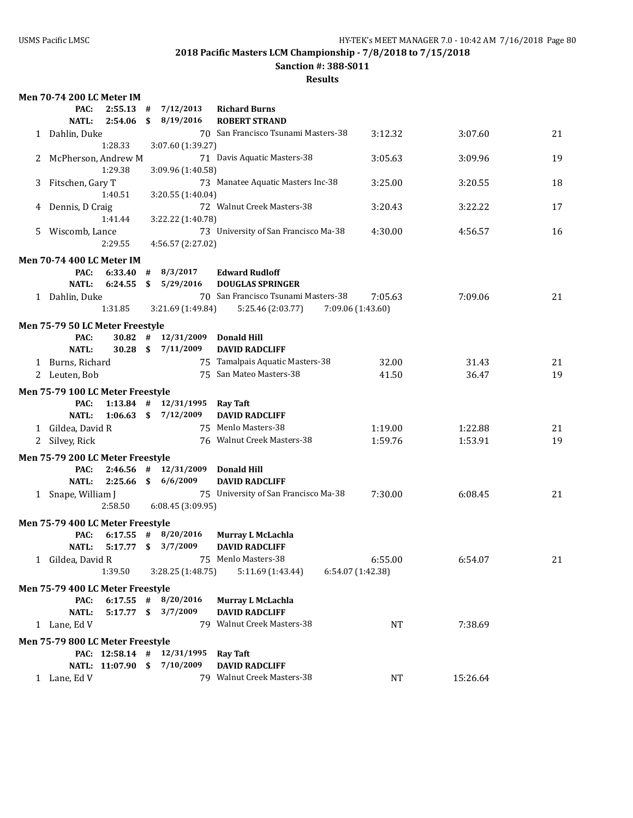### **Sanction #: 388-S011**

|    | <b>Men 70-74 200 LC Meter IM</b>         |                   |      |                          |                                      |                   |          |    |
|----|------------------------------------------|-------------------|------|--------------------------|--------------------------------------|-------------------|----------|----|
|    | PAC:                                     | 2:55.13           | #    | 7/12/2013                | <b>Richard Burns</b>                 |                   |          |    |
|    | <b>NATL:</b>                             | 2:54.06           | \$   | 8/19/2016                | <b>ROBERT STRAND</b>                 |                   |          |    |
|    | 1 Dahlin, Duke                           |                   |      |                          | 70 San Francisco Tsunami Masters-38  | 3:12.32           | 3:07.60  | 21 |
|    |                                          | 1:28.33           |      | 3:07.60 (1:39.27)        |                                      |                   |          |    |
| 2  | McPherson, Andrew M                      |                   |      |                          | 71 Davis Aquatic Masters-38          | 3:05.63           | 3:09.96  | 19 |
|    |                                          | 1:29.38           |      | 3:09.96 (1:40.58)        |                                      |                   |          |    |
| 3  | Fitschen, Gary T                         |                   |      |                          | 73 Manatee Aquatic Masters Inc-38    | 3:25.00           | 3:20.55  | 18 |
|    |                                          | 1:40.51           |      | 3:20.55 (1:40.04)        |                                      |                   |          |    |
| 4  | Dennis, D Craig                          |                   |      |                          | 72 Walnut Creek Masters-38           | 3:20.43           | 3:22.22  | 17 |
|    |                                          | 1:41.44           |      | 3:22.22 (1:40.78)        |                                      |                   |          |    |
| 5. | Wiscomb, Lance                           |                   |      |                          | 73 University of San Francisco Ma-38 | 4:30.00           | 4:56.57  | 16 |
|    |                                          | 2:29.55           |      | 4:56.57 (2:27.02)        |                                      |                   |          |    |
|    | <b>Men 70-74 400 LC Meter IM</b>         |                   |      |                          |                                      |                   |          |    |
|    | PAC:                                     | 6:33.40           | #    | 8/3/2017                 | <b>Edward Rudloff</b>                |                   |          |    |
|    | <b>NATL:</b>                             | 6:24.55           | - \$ | 5/29/2016                | <b>DOUGLAS SPRINGER</b>              |                   |          |    |
|    | 1 Dahlin, Duke                           |                   |      |                          | 70 San Francisco Tsunami Masters-38  | 7:05.63           | 7:09.06  | 21 |
|    |                                          | 1:31.85           |      | 3:21.69 (1:49.84)        | 5:25.46 (2:03.77)                    | 7:09.06 (1:43.60) |          |    |
|    | Men 75-79 50 LC Meter Freestyle          |                   |      |                          |                                      |                   |          |    |
|    | PAC:                                     | $30.82$ #         |      | 12/31/2009 Donald Hill   |                                      |                   |          |    |
|    | <b>NATL:</b>                             | $30.28$ \$        |      | 7/11/2009                | <b>DAVID RADCLIFF</b>                |                   |          |    |
|    | 1 Burns, Richard                         |                   |      |                          | 75 Tamalpais Aquatic Masters-38      | 32.00             | 31.43    | 21 |
|    | 2 Leuten, Bob                            |                   |      |                          | 75 San Mateo Masters-38              | 41.50             | 36.47    | 19 |
|    | Men 75-79 100 LC Meter Freestyle         |                   |      |                          |                                      |                   |          |    |
|    | PAC:                                     |                   |      | $1:13.84$ # $12/31/1995$ | <b>Ray Taft</b>                      |                   |          |    |
|    | <b>NATL:</b>                             | $1:06.63$ \$      |      | 7/12/2009                | <b>DAVID RADCLIFF</b>                |                   |          |    |
|    | 1 Gildea, David R                        |                   |      |                          | 75 Menlo Masters-38                  | 1:19.00           | 1:22.88  | 21 |
|    | 2 Silvey, Rick                           |                   |      |                          | 76 Walnut Creek Masters-38           | 1:59.76           | 1:53.91  | 19 |
|    | Men 75-79 200 LC Meter Freestyle         |                   |      |                          |                                      |                   |          |    |
|    | PAC:                                     | $2:46.56$ #       |      | 12/31/2009               | Donald Hill                          |                   |          |    |
|    | NATL:                                    | 2:25.66           |      | \$6/6/2009               | <b>DAVID RADCLIFF</b>                |                   |          |    |
|    | 1 Snape, William J                       |                   |      |                          | 75 University of San Francisco Ma-38 | 7:30.00           | 6:08.45  | 21 |
|    |                                          | 2:58.50           |      | 6:08.45 (3:09.95)        |                                      |                   |          |    |
|    |                                          |                   |      |                          |                                      |                   |          |    |
|    | Men 75-79 400 LC Meter Freestyle<br>PAC: | $6:17.55$ #       |      | 8/20/2016                | Murray L McLachla                    |                   |          |    |
|    | <b>NATL:</b>                             | $5:17.77$ \$      |      | 3/7/2009                 | <b>DAVID RADCLIFF</b>                |                   |          |    |
|    | 1 Gildea, David R                        |                   |      |                          | 75 Menlo Masters-38                  | 6:55.00           | 6:54.07  | 21 |
|    |                                          | 1:39.50           |      | 3:28.25(1:48.75)         | 5:11.69 (1:43.44)                    | 6:54.07 (1:42.38) |          |    |
|    |                                          |                   |      |                          |                                      |                   |          |    |
|    | Men 75-79 400 LC Meter Freestyle         |                   |      |                          |                                      |                   |          |    |
|    | PAC:                                     | $6:17.55$ #       |      | 8/20/2016                | Murray L McLachla                    |                   |          |    |
|    | <b>NATL:</b>                             | $5:17.77$ \$      |      | 3/7/2009                 | <b>DAVID RADCLIFF</b>                |                   |          |    |
|    | 1 Lane, Ed V                             |                   |      |                          | 79 Walnut Creek Masters-38           | NT                | 7:38.69  |    |
|    | Men 75-79 800 LC Meter Freestyle         |                   |      |                          |                                      |                   |          |    |
|    |                                          | PAC: 12:58.14 #   |      | 12/31/1995               | <b>Ray Taft</b>                      |                   |          |    |
|    |                                          | NATL: 11:07.90 \$ |      | 7/10/2009                | <b>DAVID RADCLIFF</b>                |                   |          |    |
|    | 1 Lane, Ed V                             |                   |      |                          | 79 Walnut Creek Masters-38           | NT                | 15:26.64 |    |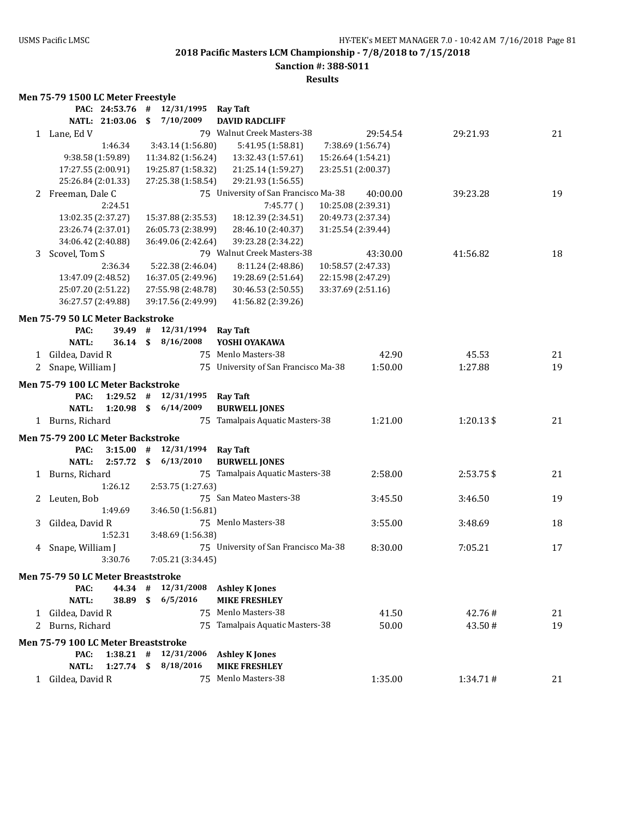### **Sanction #: 388-S011**

| Men 75-79 1500 LC Meter Freestyle |  |  |
|-----------------------------------|--|--|
|                                   |  |  |

|   |                                            | PAC: 24:53.76     | #            | 12/31/1995         | <b>Ray Taft</b>                      |                    |           |    |
|---|--------------------------------------------|-------------------|--------------|--------------------|--------------------------------------|--------------------|-----------|----|
|   |                                            | NATL: 21:03.06    | \$           | 7/10/2009          | <b>DAVID RADCLIFF</b>                |                    |           |    |
|   | 1 Lane, Ed V                               |                   |              |                    | 79 Walnut Creek Masters-38           | 29:54.54           | 29:21.93  | 21 |
|   |                                            | 1:46.34           |              | 3:43.14 (1:56.80)  | 5:41.95 (1:58.81)                    | 7:38.69 (1:56.74)  |           |    |
|   |                                            | 9:38.58 (1:59.89) |              | 11:34.82 (1:56.24) | 13:32.43 (1:57.61)                   | 15:26.64 (1:54.21) |           |    |
|   | 17:27.55 (2:00.91)                         |                   |              | 19:25.87 (1:58.32) | 21:25.14 (1:59.27)                   | 23:25.51 (2:00.37) |           |    |
|   | 25:26.84 (2:01.33)                         |                   |              | 27:25.38 (1:58.54) | 29:21.93 (1:56.55)                   |                    |           |    |
|   | 2 Freeman, Dale C                          |                   |              |                    | 75 University of San Francisco Ma-38 | 40:00.00           | 39:23.28  | 19 |
|   |                                            | 2:24.51           |              |                    | 7:45.77()                            | 10:25.08 (2:39.31) |           |    |
|   | 13:02.35 (2:37.27)                         |                   |              | 15:37.88 (2:35.53) | 18:12.39 (2:34.51)                   | 20:49.73 (2:37.34) |           |    |
|   | 23:26.74 (2:37.01)                         |                   |              | 26:05.73 (2:38.99) | 28:46.10 (2:40.37)                   | 31:25.54 (2:39.44) |           |    |
|   | 34:06.42 (2:40.88)                         |                   |              | 36:49.06 (2:42.64) | 39:23.28 (2:34.22)                   |                    |           |    |
| 3 | Scovel, Tom S                              |                   |              |                    | 79 Walnut Creek Masters-38           | 43:30.00           | 41:56.82  | 18 |
|   |                                            | 2:36.34           |              | 5:22.38 (2:46.04)  | 8:11.24 (2:48.86)                    | 10:58.57 (2:47.33) |           |    |
|   | 13:47.09 (2:48.52)                         |                   |              | 16:37.05 (2:49.96) | 19:28.69 (2:51.64)                   | 22:15.98 (2:47.29) |           |    |
|   | 25:07.20 (2:51.22)                         |                   |              | 27:55.98 (2:48.78) | 30:46.53 (2:50.55)                   | 33:37.69 (2:51.16) |           |    |
|   | 36:27.57 (2:49.88)                         |                   |              | 39:17.56 (2:49.99) | 41:56.82 (2:39.26)                   |                    |           |    |
|   |                                            |                   |              |                    |                                      |                    |           |    |
|   | Men 75-79 50 LC Meter Backstroke           |                   |              |                    |                                      |                    |           |    |
|   | PAC:                                       | 39.49             | #            | 12/31/1994         | <b>Ray Taft</b>                      |                    |           |    |
|   | <b>NATL:</b>                               | 36.14             | $\mathbf{s}$ | 8/16/2008          | YOSHI OYAKAWA                        |                    |           |    |
|   | 1 Gildea, David R                          |                   |              |                    | 75 Menlo Masters-38                  | 42.90              | 45.53     | 21 |
| 2 | Snape, William J                           |                   |              |                    | 75 University of San Francisco Ma-38 | 1:50.00            | 1:27.88   | 19 |
|   | <b>Men 75-79 100 LC Meter Backstroke</b>   |                   |              |                    |                                      |                    |           |    |
|   | PAC:                                       | 1:29.52           | #            | 12/31/1995         | <b>Ray Taft</b>                      |                    |           |    |
|   | <b>NATL:</b>                               | 1:20.98           | \$           | 6/14/2009          | <b>BURWELL JONES</b>                 |                    |           |    |
|   | 1 Burns, Richard                           |                   |              |                    | 75 Tamalpais Aquatic Masters-38      | 1:21.00            | 1:20.13\$ | 21 |
|   | Men 75-79 200 LC Meter Backstroke          |                   |              |                    |                                      |                    |           |    |
|   | PAC:                                       | 3:15.00           | #            | 12/31/1994         | <b>Ray Taft</b>                      |                    |           |    |
|   | <b>NATL:</b>                               | 2:57.72           | \$           | 6/13/2010          | <b>BURWELL JONES</b>                 |                    |           |    |
|   | 1 Burns, Richard                           |                   |              |                    | 75 Tamalpais Aquatic Masters-38      | 2:58.00            | 2:53.75\$ | 21 |
|   |                                            | 1:26.12           |              | 2:53.75 (1:27.63)  |                                      |                    |           |    |
| 2 | Leuten, Bob                                |                   |              |                    | 75 San Mateo Masters-38              | 3:45.50            | 3:46.50   | 19 |
|   |                                            | 1:49.69           |              | 3:46.50 (1:56.81)  |                                      |                    |           |    |
| 3 | Gildea, David R                            |                   |              |                    | 75 Menlo Masters-38                  | 3:55.00            | 3:48.69   | 18 |
|   |                                            | 1:52.31           |              | 3:48.69 (1:56.38)  |                                      |                    |           |    |
|   |                                            |                   |              |                    | 75 University of San Francisco Ma-38 | 8:30.00            | 7:05.21   | 17 |
| 4 | Snape, William J                           | 3:30.76           |              | 7:05.21 (3:34.45)  |                                      |                    |           |    |
|   |                                            |                   |              |                    |                                      |                    |           |    |
|   | Men 75-79 50 LC Meter Breaststroke         |                   |              |                    |                                      |                    |           |    |
|   | PAC:                                       | 44.34             | #            | 12/31/2008         | <b>Ashley K Jones</b>                |                    |           |    |
|   | <b>NATL:</b>                               | 38.89             | \$           | 6/5/2016           | <b>MIKE FRESHLEY</b>                 |                    |           |    |
|   | 1 Gildea, David R                          |                   |              |                    | 75 Menlo Masters-38                  | 41.50              | 42.76#    | 21 |
| 2 | Burns, Richard                             |                   |              | 75                 | Tamalpais Aquatic Masters-38         | 50.00              | 43.50#    | 19 |
|   | <b>Men 75-79 100 LC Meter Breaststroke</b> |                   |              |                    |                                      |                    |           |    |
|   | PAC:                                       | $1:38.21$ #       |              | 12/31/2006         | <b>Ashley K Jones</b>                |                    |           |    |
|   | <b>NATL:</b>                               | 1:27.74           | \$           | 8/18/2016          | <b>MIKE FRESHLEY</b>                 |                    |           |    |
| 1 | Gildea, David R                            |                   |              | 75                 | Menlo Masters-38                     | 1:35.00            | 1:34.71#  | 21 |
|   |                                            |                   |              |                    |                                      |                    |           |    |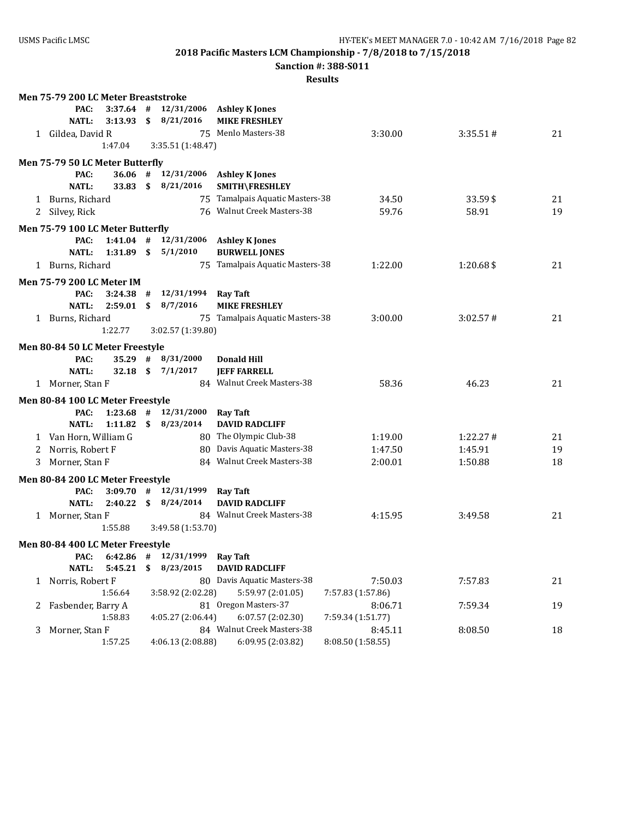**Sanction #: 388-S011**

|   | Men 75-79 200 LC Meter Breaststroke     |              |                          |                                                       |                   |           |    |
|---|-----------------------------------------|--------------|--------------------------|-------------------------------------------------------|-------------------|-----------|----|
|   | $3:37.64$ #<br>PAC:                     |              | 12/31/2006               | <b>Ashley K Jones</b>                                 |                   |           |    |
|   | <b>NATL:</b><br>3:13.93                 | \$           | 8/21/2016                | <b>MIKE FRESHLEY</b>                                  |                   |           |    |
|   | 1 Gildea, David R                       |              |                          | 75 Menlo Masters-38                                   | 3:30.00           | 3:35.51#  | 21 |
|   | 1:47.04                                 |              | 3:35.51 (1:48.47)        |                                                       |                   |           |    |
|   | Men 75-79 50 LC Meter Butterfly         |              |                          |                                                       |                   |           |    |
|   | PAC:                                    |              | $36.06$ # $12/31/2006$   | <b>Ashley K Jones</b>                                 |                   |           |    |
|   | <b>NATL:</b><br>33.83                   | $\mathbf{s}$ | 8/21/2016                | SMITH\FRESHLEY                                        |                   |           |    |
|   | 1 Burns, Richard                        |              |                          | 75 Tamalpais Aquatic Masters-38                       | 34.50             | 33.59\$   | 21 |
|   | 2 Silvey, Rick                          |              |                          | 76 Walnut Creek Masters-38                            | 59.76             | 58.91     | 19 |
|   | Men 75-79 100 LC Meter Butterfly        |              |                          |                                                       |                   |           |    |
|   | PAC:<br>$1:41.04$ #                     |              | 12/31/2006               | <b>Ashley K Jones</b>                                 |                   |           |    |
|   | <b>NATL:</b><br>1:31.89                 | \$           | 5/1/2010                 | <b>BURWELL JONES</b>                                  |                   |           |    |
|   | 1 Burns, Richard                        |              |                          | 75 Tamalpais Aquatic Masters-38                       | 1:22.00           | 1:20.68\$ | 21 |
|   | <b>Men 75-79 200 LC Meter IM</b>        |              |                          |                                                       |                   |           |    |
|   | 3:24.38<br>PAC:                         | #            | 12/31/1994               | <b>Ray Taft</b>                                       |                   |           |    |
|   | <b>NATL:</b><br>2:59.01                 | \$           | 8/7/2016                 | <b>MIKE FRESHLEY</b>                                  |                   |           |    |
|   | 1 Burns, Richard                        |              |                          | 75 Tamalpais Aquatic Masters-38                       | 3:00.00           | 3:02.57#  | 21 |
|   | 1:22.77                                 |              | 3:02.57 (1:39.80)        |                                                       |                   |           |    |
|   |                                         |              |                          |                                                       |                   |           |    |
|   | Men 80-84 50 LC Meter Freestyle<br>PAC: | $35.29$ #    | 8/31/2000                | <b>Donald Hill</b>                                    |                   |           |    |
|   | <b>NATL:</b><br>32.18                   | - \$         | 7/1/2017                 | <b>JEFF FARRELL</b>                                   |                   |           |    |
|   | 1 Morner, Stan F                        |              |                          | 84 Walnut Creek Masters-38                            | 58.36             | 46.23     | 21 |
|   |                                         |              |                          |                                                       |                   |           |    |
|   | Men 80-84 100 LC Meter Freestyle        |              |                          |                                                       |                   |           |    |
|   | PAC:<br>$1:23.68$ #<br>$1:11.82$ \$     |              | 12/31/2000<br>8/23/2014  | <b>Ray Taft</b>                                       |                   |           |    |
|   | <b>NATL:</b>                            |              |                          | <b>DAVID RADCLIFF</b>                                 |                   |           |    |
|   | 1 Van Horn, William G                   |              |                          | 80 The Olympic Club-38<br>80 Davis Aquatic Masters-38 | 1:19.00           | 1:22.27#  | 21 |
| 2 | Norris, Robert F                        |              |                          | 84 Walnut Creek Masters-38                            | 1:47.50           | 1:45.91   | 19 |
| 3 | Morner, Stan F                          |              |                          |                                                       | 2:00.01           | 1:50.88   | 18 |
|   | Men 80-84 200 LC Meter Freestyle        |              |                          |                                                       |                   |           |    |
|   | PAC:                                    |              | $3:09.70$ # $12/31/1999$ | <b>Ray Taft</b>                                       |                   |           |    |
|   | <b>NATL:</b><br>2:40.22                 |              | \$8/24/2014              | <b>DAVID RADCLIFF</b>                                 |                   |           |    |
|   | 1 Morner, Stan F                        |              |                          | 84 Walnut Creek Masters-38                            | 4:15.95           | 3:49.58   | 21 |
|   | 1:55.88                                 |              | 3:49.58 (1:53.70)        |                                                       |                   |           |    |
|   | Men 80-84 400 LC Meter Freestyle        |              |                          |                                                       |                   |           |    |
|   | PAC:<br>$6:42.86$ #                     |              | 12/31/1999               | <b>Ray Taft</b>                                       |                   |           |    |
|   | <b>NATL:</b><br>5:45.21                 | \$           | 8/23/2015                | <b>DAVID RADCLIFF</b>                                 |                   |           |    |
|   | 1 Norris, Robert F                      |              |                          | 80 Davis Aquatic Masters-38                           | 7:50.03           | 7:57.83   | 21 |
|   | 1:56.64                                 |              | 3:58.92 (2:02.28)        | 5:59.97 (2:01.05)                                     | 7:57.83 (1:57.86) |           |    |
|   | 2 Fasbender, Barry A                    |              |                          | 81 Oregon Masters-37                                  | 8:06.71           | 7:59.34   | 19 |
|   | 1:58.83                                 |              | 4:05.27 (2:06.44)        | 6:07.57(2:02.30)                                      | 7:59.34 (1:51.77) |           |    |
| 3 | Morner, Stan F                          |              |                          | 84 Walnut Creek Masters-38                            | 8:45.11           | 8:08.50   | 18 |
|   | 1:57.25                                 |              | 4:06.13 (2:08.88)        | 6:09.95 (2:03.82)                                     | 8:08.50 (1:58.55) |           |    |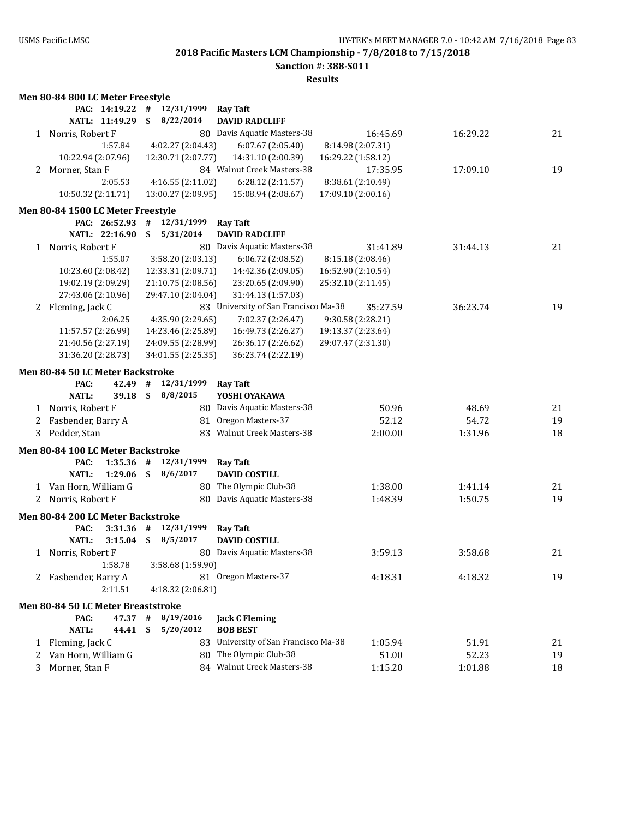**Sanction #: 388-S011**

|   | Men 80-84 800 LC Meter Freestyle   |      |                     |                                      |                    |          |    |
|---|------------------------------------|------|---------------------|--------------------------------------|--------------------|----------|----|
|   | PAC: 14:19.22                      | #    | 12/31/1999 Ray Taft |                                      |                    |          |    |
|   | NATL: 11:49.29                     | \$   | 8/22/2014           | <b>DAVID RADCLIFF</b>                |                    |          |    |
|   | 1 Norris, Robert F                 |      |                     | 80 Davis Aquatic Masters-38          | 16:45.69           | 16:29.22 | 21 |
|   | 1:57.84                            |      | 4:02.27 (2:04.43)   | 6:07.67(2:05.40)                     | 8:14.98 (2:07.31)  |          |    |
|   | 10:22.94 (2:07.96)                 |      | 12:30.71 (2:07.77)  | 14:31.10 (2:00.39)                   | 16:29.22 (1:58.12) |          |    |
| 2 | Morner, Stan F                     |      |                     | 84 Walnut Creek Masters-38           | 17:35.95           | 17:09.10 | 19 |
|   | 2:05.53                            |      | 4:16.55 (2:11.02)   | 6:28.12 (2:11.57)                    | 8:38.61 (2:10.49)  |          |    |
|   | 10:50.32 (2:11.71)                 |      | 13:00.27 (2:09.95)  | 15:08.94 (2:08.67)                   | 17:09.10 (2:00.16) |          |    |
|   | Men 80-84 1500 LC Meter Freestyle  |      |                     |                                      |                    |          |    |
|   | PAC: 26:52.93                      | #    | 12/31/1999          | <b>Ray Taft</b>                      |                    |          |    |
|   | NATL: 22:16.90                     | \$   | 5/31/2014           | <b>DAVID RADCLIFF</b>                |                    |          |    |
|   | 1 Norris, Robert F                 |      |                     | 80 Davis Aquatic Masters-38          | 31:41.89           | 31:44.13 | 21 |
|   |                                    |      |                     |                                      |                    |          |    |
|   | 1:55.07                            |      | 3:58.20 (2:03.13)   | 6:06.72 (2:08.52)                    | 8:15.18 (2:08.46)  |          |    |
|   | 10:23.60 (2:08.42)                 |      | 12:33.31 (2:09.71)  | 14:42.36 (2:09.05)                   | 16:52.90 (2:10.54) |          |    |
|   | 19:02.19 (2:09.29)                 |      | 21:10.75 (2:08.56)  | 23:20.65 (2:09.90)                   | 25:32.10 (2:11.45) |          |    |
|   | 27:43.06 (2:10.96)                 |      | 29:47.10 (2:04.04)  | 31:44.13 (1:57.03)                   |                    |          |    |
|   | 2 Fleming, Jack C                  |      |                     | 83 University of San Francisco Ma-38 | 35:27.59           | 36:23.74 | 19 |
|   | 2:06.25                            |      | 4:35.90 (2:29.65)   | 7:02.37 (2:26.47)                    | 9:30.58 (2:28.21)  |          |    |
|   | 11:57.57 (2:26.99)                 |      | 14:23.46 (2:25.89)  | 16:49.73 (2:26.27)                   | 19:13.37 (2:23.64) |          |    |
|   | 21:40.56 (2:27.19)                 |      | 24:09.55 (2:28.99)  | 26:36.17 (2:26.62)                   | 29:07.47 (2:31.30) |          |    |
|   | 31:36.20 (2:28.73)                 |      | 34:01.55 (2:25.35)  | 36:23.74 (2:22.19)                   |                    |          |    |
|   | Men 80-84 50 LC Meter Backstroke   |      |                     |                                      |                    |          |    |
|   | PAC:<br>42.49                      | #    | 12/31/1999          | <b>Ray Taft</b>                      |                    |          |    |
|   | <b>NATL:</b><br>39.18              | \$   | 8/8/2015            | YOSHI OYAKAWA                        |                    |          |    |
|   | 1 Norris, Robert F                 |      |                     | 80 Davis Aquatic Masters-38          | 50.96              | 48.69    | 21 |
| 2 | Fasbender, Barry A                 |      |                     | 81 Oregon Masters-37                 | 52.12              | 54.72    | 19 |
| 3 | Pedder, Stan                       |      |                     | 83 Walnut Creek Masters-38           | 2:00.00            | 1:31.96  | 18 |
|   |                                    |      |                     |                                      |                    |          |    |
|   | Men 80-84 100 LC Meter Backstroke  |      |                     |                                      |                    |          |    |
|   | 1:35.36<br>PAC:                    | #    | 12/31/1999          | <b>Ray Taft</b>                      |                    |          |    |
|   | <b>NATL:</b><br>1:29.06            | - \$ | 8/6/2017            | <b>DAVID COSTILL</b>                 |                    |          |    |
|   | 1 Van Horn, William G              |      |                     | 80 The Olympic Club-38               | 1:38.00            | 1:41.14  | 21 |
| 2 | Norris, Robert F                   |      |                     | 80 Davis Aquatic Masters-38          | 1:48.39            | 1:50.75  | 19 |
|   | Men 80-84 200 LC Meter Backstroke  |      |                     |                                      |                    |          |    |
|   | $3:31.36$ #<br>PAC:                |      | 12/31/1999          | <b>Ray Taft</b>                      |                    |          |    |
|   | <b>NATL:</b><br>$3:15.04$ \$       |      | 8/5/2017            | <b>DAVID COSTILL</b>                 |                    |          |    |
|   | 1 Norris, Robert F                 |      |                     | 80 Davis Aquatic Masters-38          | 3:59.13            | 3:58.68  | 21 |
|   | 1:58.78                            |      | 3:58.68 (1:59.90)   |                                      |                    |          |    |
|   | 2 Fasbender, Barry A               |      |                     | 81 Oregon Masters-37                 | 4:18.31            | 4:18.32  | 19 |
|   | 2:11.51                            |      |                     |                                      |                    |          |    |
|   |                                    |      | 4:18.32 (2:06.81)   |                                      |                    |          |    |
|   | Men 80-84 50 LC Meter Breaststroke |      |                     |                                      |                    |          |    |
|   | PAC:<br>47.37 #                    |      | 8/19/2016           | <b>Jack C Fleming</b>                |                    |          |    |
|   | <b>NATL:</b><br>44.41              | \$   | 5/20/2012           | <b>BOB BEST</b>                      |                    |          |    |
|   | 1 Fleming, Jack C                  |      |                     | 83 University of San Francisco Ma-38 | 1:05.94            | 51.91    | 21 |
| 2 | Van Horn, William G                |      |                     | 80 The Olympic Club-38               | 51.00              | 52.23    | 19 |
| 3 | Morner, Stan F                     |      |                     | 84 Walnut Creek Masters-38           | 1:15.20            | 1:01.88  | 18 |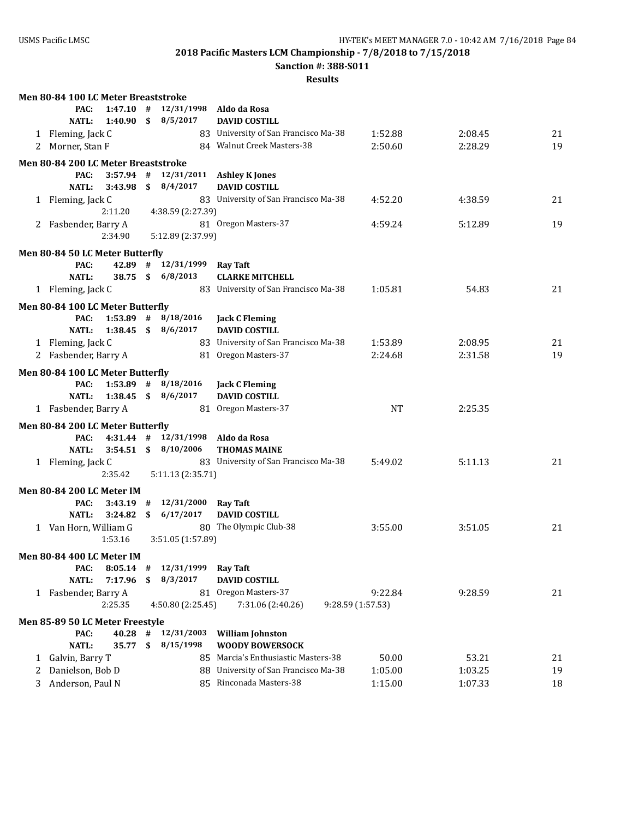**Sanction #: 388-S011**

|   | Men 80-84 100 LC Meter Breaststroke      |    |                             |                                               |                   |         |    |
|---|------------------------------------------|----|-----------------------------|-----------------------------------------------|-------------------|---------|----|
|   | $1:47.10$ #<br>PAC:                      |    | 12/31/1998 Aldo da Rosa     |                                               |                   |         |    |
|   | <b>NATL:</b><br>1:40.90                  |    | \$8/5/2017                  | <b>DAVID COSTILL</b>                          |                   |         |    |
|   | 1 Fleming, Jack C                        |    |                             | 83 University of San Francisco Ma-38          | 1:52.88           | 2:08.45 | 21 |
|   | 2 Morner, Stan F                         |    |                             | 84 Walnut Creek Masters-38                    | 2:50.60           | 2:28.29 | 19 |
|   | Men 80-84 200 LC Meter Breaststroke      |    |                             |                                               |                   |         |    |
|   | PAC:                                     |    |                             | 3:57.94 # 12/31/2011 Ashley K Jones           |                   |         |    |
|   | NATL:<br>3:43.98                         |    | \$8/4/2017                  | <b>DAVID COSTILL</b>                          |                   |         |    |
|   | 1 Fleming, Jack C                        |    |                             | 83 University of San Francisco Ma-38          | 4:52.20           | 4:38.59 | 21 |
|   | 2:11.20                                  |    | 4:38.59 (2:27.39)           |                                               |                   |         |    |
|   | 2 Fasbender, Barry A                     |    |                             | 81 Oregon Masters-37                          | 4:59.24           | 5:12.89 | 19 |
|   | 2:34.90                                  |    | 5:12.89 (2:37.99)           |                                               |                   |         |    |
|   | Men 80-84 50 LC Meter Butterfly          |    |                             |                                               |                   |         |    |
|   | PAC:                                     |    | 42.89 # 12/31/1999 Ray Taft |                                               |                   |         |    |
|   | <b>NATL:</b>                             |    | 38.75 \$ 6/8/2013           | <b>CLARKE MITCHELL</b>                        |                   |         |    |
|   | 1 Fleming, Jack C                        |    |                             | 83 University of San Francisco Ma-38          | 1:05.81           | 54.83   | 21 |
|   |                                          |    |                             |                                               |                   |         |    |
|   | Men 80-84 100 LC Meter Butterfly<br>PAC: |    | $1:53.89$ # $8/18/2016$     |                                               |                   |         |    |
|   | $1:38.45$ \$<br><b>NATL:</b>             |    | 8/6/2017                    | <b>Jack C Fleming</b><br><b>DAVID COSTILL</b> |                   |         |    |
|   | 1 Fleming, Jack C                        |    |                             | 83 University of San Francisco Ma-38          | 1:53.89           | 2:08.95 | 21 |
|   | 2 Fasbender, Barry A                     |    |                             | 81 Oregon Masters-37                          | 2:24.68           | 2:31.58 | 19 |
|   |                                          |    |                             |                                               |                   |         |    |
|   | Men 80-84 100 LC Meter Butterfly         |    |                             |                                               |                   |         |    |
|   | PAC:                                     |    | 1:53.89 # 8/18/2016         | <b>Jack C Fleming</b>                         |                   |         |    |
|   | NATL:                                    |    | 1:38.45 \$ $8/6/2017$       | <b>DAVID COSTILL</b>                          |                   |         |    |
|   | 1 Fasbender, Barry A                     |    |                             | 81 Oregon Masters-37                          | <b>NT</b>         | 2:25.35 |    |
|   | Men 80-84 200 LC Meter Butterfly         |    |                             |                                               |                   |         |    |
|   | PAC:                                     |    | $4:31.44$ # $12/31/1998$    | Aldo da Rosa                                  |                   |         |    |
|   | <b>NATL:</b>                             |    | $3:54.51$ \$ $8/10/2006$    | <b>THOMAS MAINE</b>                           |                   |         |    |
|   | 1 Fleming, Jack C                        |    |                             | 83 University of San Francisco Ma-38          | 5:49.02           | 5:11.13 | 21 |
|   | 2:35.42                                  |    | 5:11.13 (2:35.71)           |                                               |                   |         |    |
|   | <b>Men 80-84 200 LC Meter IM</b>         |    |                             |                                               |                   |         |    |
|   | PAC:<br>$3:43.19$ #                      |    | 12/31/2000                  | <b>Ray Taft</b>                               |                   |         |    |
|   | <b>NATL:</b><br>$3:24.82$ \$             |    | 6/17/2017                   | <b>DAVID COSTILL</b>                          |                   |         |    |
|   | 1 Van Horn, William G                    |    |                             | 80 The Olympic Club-38                        | 3:55.00           | 3:51.05 | 21 |
|   | 1:53.16                                  |    | 3:51.05 (1:57.89)           |                                               |                   |         |    |
|   | Men 80-84 400 LC Meter IM                |    |                             |                                               |                   |         |    |
|   | 8:05.14<br>PAC:                          | #  | 12/31/1999                  | <b>Ray Taft</b>                               |                   |         |    |
|   | <b>NATL:</b><br>7:17.96                  | \$ | 8/3/2017                    | <b>DAVID COSTILL</b>                          |                   |         |    |
|   | 1 Fasbender, Barry A                     |    |                             | 81 Oregon Masters-37                          | 9:22.84           | 9:28.59 | 21 |
|   | 2:25.35                                  |    | 4:50.80 (2:25.45)           | 7:31.06 (2:40.26)                             | 9:28.59 (1:57.53) |         |    |
|   | Men 85-89 50 LC Meter Freestyle          |    |                             |                                               |                   |         |    |
|   | PAC:<br>40.28                            | #  | 12/31/2003                  | <b>William Johnston</b>                       |                   |         |    |
|   | <b>NATL:</b><br>35.77                    | \$ | 8/15/1998                   | WOODY BOWERSOCK                               |                   |         |    |
| 1 | Galvin, Barry T                          |    |                             | 85 Marcia's Enthusiastic Masters-38           | 50.00             | 53.21   | 21 |
| 2 | Danielson, Bob D                         |    |                             | 88 University of San Francisco Ma-38          | 1:05.00           | 1:03.25 | 19 |
| 3 | Anderson, Paul N                         |    |                             | 85 Rinconada Masters-38                       | 1:15.00           | 1:07.33 | 18 |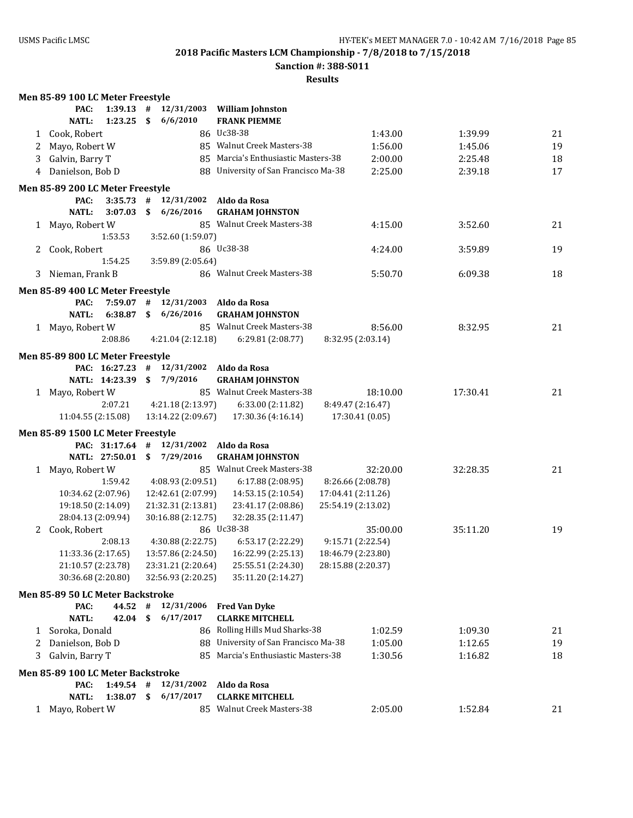**Sanction #: 388-S011**

|   | Men 85-89 100 LC Meter Freestyle  |                |      |                                         |                                                            |                    |          |    |
|---|-----------------------------------|----------------|------|-----------------------------------------|------------------------------------------------------------|--------------------|----------|----|
|   | PAC:                              | $1:39.13$ #    |      |                                         | 12/31/2003 William Johnston                                |                    |          |    |
|   | <b>NATL:</b>                      | 1:23.25        | - \$ | 6/6/2010                                | <b>FRANK PIEMME</b>                                        |                    |          |    |
|   | 1 Cook, Robert                    |                |      |                                         | 86 Uc38-38                                                 | 1:43.00            | 1:39.99  | 21 |
| 2 | Mayo, Robert W                    |                |      |                                         | 85 Walnut Creek Masters-38                                 | 1:56.00            | 1:45.06  | 19 |
| 3 | Galvin, Barry T                   |                |      |                                         | 85 Marcia's Enthusiastic Masters-38                        | 2:00.00            | 2:25.48  | 18 |
| 4 | Danielson, Bob D                  |                |      |                                         | 88 University of San Francisco Ma-38                       | 2:25.00            | 2:39.18  | 17 |
|   |                                   |                |      |                                         |                                                            |                    |          |    |
|   | Men 85-89 200 LC Meter Freestyle  |                |      |                                         |                                                            |                    |          |    |
|   | PAC:                              |                |      | $3:35.73$ # $12/31/2002$                | Aldo da Rosa                                               |                    |          |    |
|   | <b>NATL:</b>                      | 3:07.03        |      | \$6/26/2016                             | <b>GRAHAM JOHNSTON</b>                                     |                    |          |    |
|   | 1 Mayo, Robert W                  |                |      |                                         | 85 Walnut Creek Masters-38                                 | 4:15.00            | 3:52.60  | 21 |
|   |                                   | 1:53.53        |      | 3:52.60 (1:59.07)                       |                                                            |                    |          |    |
|   | 2 Cook, Robert                    |                |      |                                         | 86 Uc38-38                                                 | 4:24.00            | 3:59.89  | 19 |
|   |                                   | 1:54.25        |      | 3:59.89 (2:05.64)                       |                                                            |                    |          |    |
|   | 3 Nieman, Frank B                 |                |      |                                         | 86 Walnut Creek Masters-38                                 | 5:50.70            | 6:09.38  | 18 |
|   | Men 85-89 400 LC Meter Freestyle  |                |      |                                         |                                                            |                    |          |    |
|   | PAC:                              |                |      | $7:59.07$ # $12/31/2003$ Aldo da Rosa   |                                                            |                    |          |    |
|   | <b>NATL:</b>                      |                |      | 6:38.87 \$ 6/26/2016                    | <b>GRAHAM JOHNSTON</b>                                     |                    |          |    |
|   | 1 Mayo, Robert W                  |                |      |                                         | 85 Walnut Creek Masters-38                                 | 8:56.00            | 8:32.95  | 21 |
|   |                                   | 2:08.86        |      | 4:21.04 (2:12.18)                       | 6:29.81 (2:08.77)                                          | 8:32.95 (2:03.14)  |          |    |
|   |                                   |                |      |                                         |                                                            |                    |          |    |
|   | Men 85-89 800 LC Meter Freestyle  |                |      |                                         |                                                            |                    |          |    |
|   |                                   |                |      |                                         | PAC: 16:27.23 # 12/31/2002 Aldo da Rosa                    |                    |          |    |
|   |                                   | NATL: 14:23.39 |      | \$7/9/2016                              | <b>GRAHAM JOHNSTON</b>                                     |                    |          |    |
|   | 1 Mayo, Robert W                  |                |      |                                         | 85 Walnut Creek Masters-38                                 | 18:10.00           | 17:30.41 | 21 |
|   |                                   | 2:07.21        |      | 4:21.18 (2:13.97)                       | 6:33.00 (2:11.82)                                          | 8:49.47 (2:16.47)  |          |    |
|   | 11:04.55 (2:15.08)                |                |      |                                         | 13:14.22 (2:09.67) 17:30.36 (4:16.14)                      | 17:30.41 (0.05)    |          |    |
|   | Men 85-89 1500 LC Meter Freestyle |                |      |                                         |                                                            |                    |          |    |
|   |                                   |                |      | PAC: 31:17.64 # 12/31/2002 Aldo da Rosa |                                                            |                    |          |    |
|   |                                   |                |      | NATL: 27:50.01 \$ 7/29/2016             | <b>GRAHAM JOHNSTON</b>                                     |                    |          |    |
|   | 1 Mayo, Robert W                  |                |      |                                         | 85 Walnut Creek Masters-38                                 | 32:20.00           | 32:28.35 | 21 |
|   |                                   | 1:59.42        |      | 4:08.93 (2:09.51)                       | 6:17.88 (2:08.95)                                          | 8:26.66 (2:08.78)  |          |    |
|   | 10:34.62 (2:07.96)                |                |      | 12:42.61 (2:07.99)                      | 14:53.15 (2:10.54)                                         | 17:04.41 (2:11.26) |          |    |
|   | 19:18.50 (2:14.09)                |                |      | 21:32.31 (2:13.81)                      | 23:41.17 (2:08.86)                                         | 25:54.19 (2:13.02) |          |    |
|   | 28:04.13 (2:09.94)                |                |      | 30:16.88 (2:12.75)                      | 32:28.35 (2:11.47)                                         |                    |          |    |
|   | 2 Cook, Robert                    |                |      |                                         | 86 Uc38-38                                                 | 35:00.00           | 35:11.20 | 19 |
|   |                                   | 2:08.13        |      | 4:30.88 (2:22.75)                       | 6:53.17 (2:22.29)                                          | 9:15.71 (2:22.54)  |          |    |
|   | 11:33.36 (2:17.65)                |                |      |                                         | 13:57.86 (2:24.50)  16:22.99 (2:25.13)  18:46.79 (2:23.80) |                    |          |    |
|   | 21:10.57 (2:23.78)                |                |      | 23:31.21 (2:20.64)                      | 25:55.51 (2:24.30)                                         | 28:15.88 (2:20.37) |          |    |
|   | 30:36.68 (2:20.80)                |                |      | 32:56.93 (2:20.25)                      | 35:11.20 (2:14.27)                                         |                    |          |    |
|   | Men 85-89 50 LC Meter Backstroke  |                |      |                                         |                                                            |                    |          |    |
|   | PAC:                              | 44.52 #        |      | 12/31/2006                              | <b>Fred Van Dyke</b>                                       |                    |          |    |
|   | <b>NATL:</b>                      | 42.04          | \$   | 6/17/2017                               | <b>CLARKE MITCHELL</b>                                     |                    |          |    |
|   | 1 Soroka, Donald                  |                |      |                                         | 86 Rolling Hills Mud Sharks-38                             | 1:02.59            | 1:09.30  | 21 |
|   |                                   |                |      |                                         |                                                            |                    |          |    |
| 2 | Danielson, Bob D                  |                |      |                                         | 88 University of San Francisco Ma-38                       | 1:05.00            | 1:12.65  | 19 |
| 3 | Galvin, Barry T                   |                |      |                                         | 85 Marcia's Enthusiastic Masters-38                        | 1:30.56            | 1:16.82  | 18 |
|   | Men 85-89 100 LC Meter Backstroke |                |      |                                         |                                                            |                    |          |    |
|   | PAC:                              | $1:49.54$ #    |      | 12/31/2002                              | Aldo da Rosa                                               |                    |          |    |
|   | <b>NATL:</b>                      | 1:38.07        | \$   | 6/17/2017                               | <b>CLARKE MITCHELL</b>                                     |                    |          |    |
|   | 1 Mayo, Robert W                  |                |      |                                         | 85 Walnut Creek Masters-38                                 | 2:05.00            | 1:52.84  | 21 |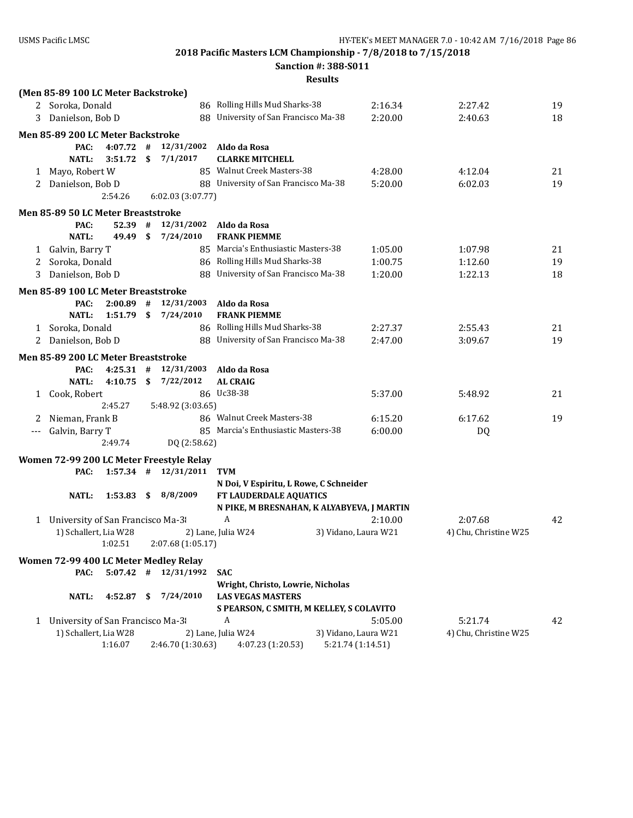**Sanction #: 388-S011**

|   | (Men 85-89 100 LC Meter Backstroke)              |              |    |                          |                                            |                      |         |                       |    |
|---|--------------------------------------------------|--------------|----|--------------------------|--------------------------------------------|----------------------|---------|-----------------------|----|
|   | 2 Soroka, Donald                                 |              |    |                          | 86 Rolling Hills Mud Sharks-38             |                      | 2:16.34 | 2:27.42               | 19 |
| 3 | Danielson, Bob D                                 |              |    |                          | 88 University of San Francisco Ma-38       |                      | 2:20.00 | 2:40.63               | 18 |
|   | Men 85-89 200 LC Meter Backstroke                |              |    |                          |                                            |                      |         |                       |    |
|   | PAC:                                             | 4:07.72      | #  | 12/31/2002               | Aldo da Rosa                               |                      |         |                       |    |
|   | <b>NATL:</b>                                     | 3:51.72      | \$ | 7/1/2017                 | <b>CLARKE MITCHELL</b>                     |                      |         |                       |    |
| 1 | Mayo, Robert W                                   |              |    |                          | 85 Walnut Creek Masters-38                 |                      | 4:28.00 | 4:12.04               | 21 |
| 2 | Danielson, Bob D                                 |              |    |                          | 88 University of San Francisco Ma-38       |                      | 5:20.00 | 6:02.03               | 19 |
|   |                                                  | 2:54.26      |    | 6:02.03 (3:07.77)        |                                            |                      |         |                       |    |
|   | Men 85-89 50 LC Meter Breaststroke               |              |    |                          |                                            |                      |         |                       |    |
|   | PAC:                                             | $52.39$ #    |    | 12/31/2002               | Aldo da Rosa                               |                      |         |                       |    |
|   | <b>NATL:</b>                                     | 49.49        | \$ | 7/24/2010                | <b>FRANK PIEMME</b>                        |                      |         |                       |    |
| 1 | Galvin, Barry T                                  |              |    |                          | 85 Marcia's Enthusiastic Masters-38        |                      | 1:05.00 | 1:07.98               | 21 |
| 2 | Soroka, Donald                                   |              |    |                          | 86 Rolling Hills Mud Sharks-38             |                      | 1:00.75 | 1:12.60               | 19 |
| 3 | Danielson, Bob D                                 |              |    |                          | 88 University of San Francisco Ma-38       |                      | 1:20.00 | 1:22.13               | 18 |
|   | Men 85-89 100 LC Meter Breaststroke              |              |    |                          |                                            |                      |         |                       |    |
|   | PAC:                                             | 2:00.89      | #  | 12/31/2003               | Aldo da Rosa                               |                      |         |                       |    |
|   | <b>NATL:</b>                                     | $1:51.79$ \$ |    | 7/24/2010                | <b>FRANK PIEMME</b>                        |                      |         |                       |    |
|   | 1 Soroka, Donald                                 |              |    |                          | 86 Rolling Hills Mud Sharks-38             |                      | 2:27.37 | 2:55.43               | 21 |
| 2 | Danielson, Bob D                                 |              |    |                          | 88 University of San Francisco Ma-38       |                      | 2:47.00 | 3:09.67               | 19 |
|   | Men 85-89 200 LC Meter Breaststroke              |              |    |                          |                                            |                      |         |                       |    |
|   | PAC:                                             | $4:25.31$ #  |    | 12/31/2003               | Aldo da Rosa                               |                      |         |                       |    |
|   | <b>NATL:</b>                                     | 4:10.75      | \$ | 7/22/2012                | <b>AL CRAIG</b>                            |                      |         |                       |    |
|   | 1 Cook, Robert                                   |              |    |                          | 86 Uc38-38                                 |                      | 5:37.00 | 5:48.92               | 21 |
|   |                                                  | 2:45.27      |    | 5:48.92 (3:03.65)        |                                            |                      |         |                       |    |
| 2 | Nieman, Frank B                                  |              |    |                          | 86 Walnut Creek Masters-38                 |                      | 6:15.20 | 6:17.62               | 19 |
|   | Galvin, Barry T                                  |              |    |                          | 85 Marcia's Enthusiastic Masters-38        |                      | 6:00.00 | DQ                    |    |
|   |                                                  | 2:49.74      |    | DQ (2:58.62)             |                                            |                      |         |                       |    |
|   |                                                  |              |    |                          |                                            |                      |         |                       |    |
|   | Women 72-99 200 LC Meter Freestyle Relay<br>PAC: |              |    | $1:57.34$ # $12/31/2011$ | <b>TVM</b>                                 |                      |         |                       |    |
|   |                                                  |              |    |                          | N Doi, V Espiritu, L Rowe, C Schneider     |                      |         |                       |    |
|   | <b>NATL:</b>                                     | 1:53.83      |    | \$8/8/2009               | FT LAUDERDALE AQUATICS                     |                      |         |                       |    |
|   |                                                  |              |    |                          | N PIKE, M BRESNAHAN, K ALYABYEVA, J MARTIN |                      |         |                       |    |
| 1 | University of San Francisco Ma-3                 |              |    |                          | A                                          |                      | 2:10.00 | 2:07.68               | 42 |
|   | 1) Schallert, Lia W28                            |              |    |                          | 2) Lane, Julia W24                         | 3) Vidano, Laura W21 |         | 4) Chu, Christine W25 |    |
|   |                                                  | 1:02.51      |    | 2:07.68 (1:05.17)        |                                            |                      |         |                       |    |
|   | Women 72-99 400 LC Meter Medley Relay            |              |    |                          |                                            |                      |         |                       |    |
|   | PAC:                                             | $5:07.42$ #  |    | 12/31/1992               | <b>SAC</b>                                 |                      |         |                       |    |
|   |                                                  |              |    |                          | Wright, Christo, Lowrie, Nicholas          |                      |         |                       |    |
|   | <b>NATL:</b>                                     | 4:52.87      | S  | 7/24/2010                | <b>LAS VEGAS MASTERS</b>                   |                      |         |                       |    |
|   |                                                  |              |    |                          | S PEARSON, C SMITH, M KELLEY, S COLAVITO   |                      |         |                       |    |
| 1 | University of San Francisco Ma-3                 |              |    |                          | A                                          |                      | 5:05.00 | 5:21.74               | 42 |
|   | 1) Schallert, Lia W28                            |              |    |                          | 2) Lane, Julia W24                         | 3) Vidano, Laura W21 |         | 4) Chu, Christine W25 |    |
|   |                                                  | 1:16.07      |    | 2:46.70 (1:30.63)        | 4:07.23 (1:20.53)                          | 5:21.74 (1:14.51)    |         |                       |    |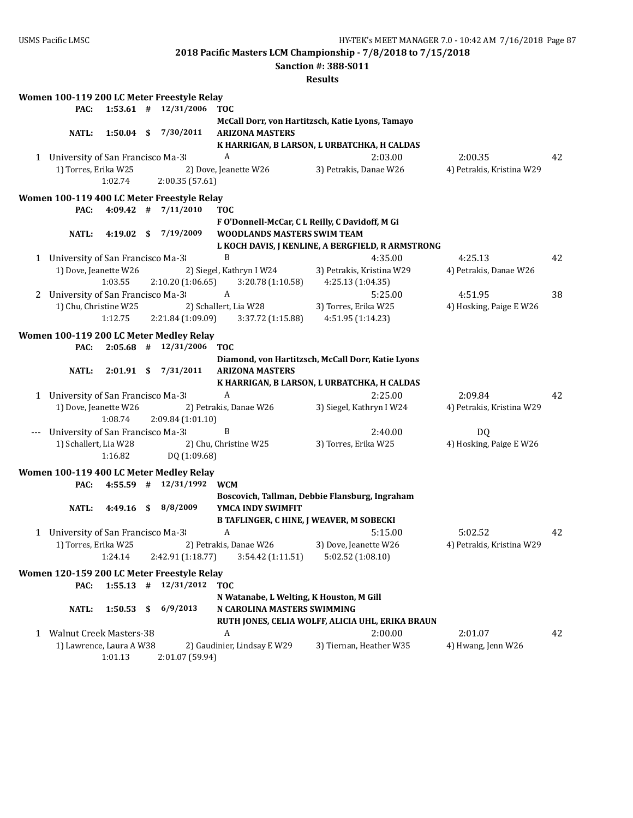**Sanction #: 388-S011**

|       |                                    |              | Women 100-119 200 LC Meter Freestyle Relay                            |                                                                             |                                                   |                           |    |
|-------|------------------------------------|--------------|-----------------------------------------------------------------------|-----------------------------------------------------------------------------|---------------------------------------------------|---------------------------|----|
|       | PAC:                               |              | $1:53.61$ # $12/31/2006$                                              | <b>TOC</b>                                                                  |                                                   |                           |    |
|       |                                    |              |                                                                       |                                                                             | McCall Dorr, von Hartitzsch, Katie Lyons, Tamayo  |                           |    |
|       | <b>NATL:</b>                       | $1:50.04$ \$ | 7/30/2011                                                             | <b>ARIZONA MASTERS</b>                                                      |                                                   |                           |    |
|       |                                    |              |                                                                       |                                                                             | K HARRIGAN, B LARSON, L URBATCHKA, H CALDAS       |                           |    |
|       | 1 University of San Francisco Ma-3 |              |                                                                       | $\boldsymbol{A}$                                                            | 2:03.00                                           | 2:00.35                   | 42 |
|       | 1) Torres, Erika W25               |              |                                                                       | 2) Dove, Jeanette W26                                                       | 3) Petrakis, Danae W26                            | 4) Petrakis, Kristina W29 |    |
|       |                                    | 1:02.74      | 2:00.35 (57.61)                                                       |                                                                             |                                                   |                           |    |
|       |                                    |              |                                                                       |                                                                             |                                                   |                           |    |
|       | PAC:                               |              | Women 100-119 400 LC Meter Freestyle Relay<br>$4:09.42$ # $7/11/2010$ | <b>TOC</b>                                                                  |                                                   |                           |    |
|       |                                    |              |                                                                       |                                                                             |                                                   |                           |    |
|       |                                    | $4:19.02$ \$ | 7/19/2009                                                             | F O'Donnell-McCar, C L Reilly, C Davidoff, M Gi                             |                                                   |                           |    |
|       | NATL:                              |              |                                                                       | WOODLANDS MASTERS SWIM TEAM                                                 | L KOCH DAVIS, J KENLINE, A BERGFIELD, R ARMSTRONG |                           |    |
|       |                                    |              |                                                                       | B                                                                           |                                                   |                           | 42 |
|       | 1 University of San Francisco Ma-3 |              |                                                                       |                                                                             | 4:35.00                                           | 4:25.13                   |    |
|       | 1) Dove, Jeanette W26              |              |                                                                       | 2) Siegel, Kathryn I W24                                                    | 3) Petrakis, Kristina W29                         | 4) Petrakis, Danae W26    |    |
|       |                                    | 1:03.55      | 2:10.20 (1:06.65)                                                     | 3:20.78(1:10.58)                                                            | 4:25.13 (1:04.35)                                 |                           |    |
|       | 2 University of San Francisco Ma-3 |              |                                                                       | $\mathbf{A}$                                                                | 5:25.00                                           | 4:51.95                   | 38 |
|       | 1) Chu, Christine W25              |              |                                                                       | 2) Schallert, Lia W28                                                       | 3) Torres, Erika W25                              | 4) Hosking, Paige E W26   |    |
|       |                                    | 1:12.75      | 2:21.84 (1:09.09)                                                     | 3:37.72 (1:15.88)                                                           | 4:51.95 (1:14.23)                                 |                           |    |
|       |                                    |              | Women 100-119 200 LC Meter Medley Relay                               |                                                                             |                                                   |                           |    |
|       | PAC:                               |              | $2:05.68$ # $12/31/2006$                                              | <b>TOC</b>                                                                  |                                                   |                           |    |
|       |                                    |              |                                                                       |                                                                             | Diamond, von Hartitzsch, McCall Dorr, Katie Lyons |                           |    |
|       | <b>NATL:</b>                       |              | 2:01.91 \$ 7/31/2011                                                  | <b>ARIZONA MASTERS</b>                                                      |                                                   |                           |    |
|       |                                    |              |                                                                       |                                                                             | K HARRIGAN, B LARSON, L URBATCHKA, H CALDAS       |                           |    |
|       | 1 University of San Francisco Ma-3 |              |                                                                       | A                                                                           | 2:25.00                                           | 2:09.84                   | 42 |
|       | 1) Dove, Jeanette W26              |              |                                                                       | 2) Petrakis, Danae W26                                                      | 3) Siegel, Kathryn I W24                          | 4) Petrakis, Kristina W29 |    |
|       |                                    | 1:08.74      | 2:09.84 (1:01.10)                                                     |                                                                             |                                                   |                           |    |
| $---$ | University of San Francisco Ma-3   |              |                                                                       | B                                                                           | 2:40.00                                           | DQ                        |    |
|       | 1) Schallert, Lia W28              |              |                                                                       | 2) Chu, Christine W25                                                       | 3) Torres, Erika W25                              | 4) Hosking, Paige E W26   |    |
|       |                                    | 1:16.82      | DQ (1:09.68)                                                          |                                                                             |                                                   |                           |    |
|       |                                    |              |                                                                       |                                                                             |                                                   |                           |    |
|       | PAC:                               |              | Women 100-119 400 LC Meter Medley Relay<br>$4:55.59$ # $12/31/1992$   | <b>WCM</b>                                                                  |                                                   |                           |    |
|       |                                    |              |                                                                       |                                                                             |                                                   |                           |    |
|       |                                    |              | 4:49.16 \$ 8/8/2009                                                   | YMCA INDY SWIMFIT                                                           | Boscovich, Tallman, Debbie Flansburg, Ingraham    |                           |    |
|       | NATL:                              |              |                                                                       |                                                                             |                                                   |                           |    |
|       |                                    |              |                                                                       | <b>B TAFLINGER, C HINE, J WEAVER, M SOBECKI</b><br>$\boldsymbol{A}$         | 5:15.00                                           |                           |    |
|       | 1 University of San Francisco Ma-3 |              |                                                                       |                                                                             |                                                   | 5:02.52                   | 42 |
|       | 1) Torres, Erika W25               |              |                                                                       | 2) Petrakis, Danae W26                                                      | 3) Dove, Jeanette W26                             | 4) Petrakis, Kristina W29 |    |
|       |                                    |              |                                                                       | $1:24.14$ $2:42.91$ $(1:18.77)$ $3:54.42$ $(1:11.51)$ $5:02.52$ $(1:08.10)$ |                                                   |                           |    |
|       |                                    |              | Women 120-159 200 LC Meter Freestyle Relay                            |                                                                             |                                                   |                           |    |
|       | PAC:                               | $1:55.13$ #  | 12/31/2012                                                            | <b>TOC</b>                                                                  |                                                   |                           |    |
|       |                                    |              |                                                                       | N Watanabe, L Welting, K Houston, M Gill                                    |                                                   |                           |    |
|       | <b>NATL:</b>                       | 1:50.53      | \$<br>6/9/2013                                                        | N CAROLINA MASTERS SWIMMING                                                 |                                                   |                           |    |
|       |                                    |              |                                                                       |                                                                             | RUTH JONES, CELIA WOLFF, ALICIA UHL, ERIKA BRAUN  |                           |    |
|       | 1 Walnut Creek Masters-38          |              |                                                                       | A                                                                           | 2:00.00                                           | 2:01.07                   | 42 |
|       | 1) Lawrence, Laura A W38           |              |                                                                       | 2) Gaudinier, Lindsay E W29                                                 | 3) Tiernan, Heather W35                           | 4) Hwang, Jenn W26        |    |
|       |                                    | 1:01.13      | 2:01.07 (59.94)                                                       |                                                                             |                                                   |                           |    |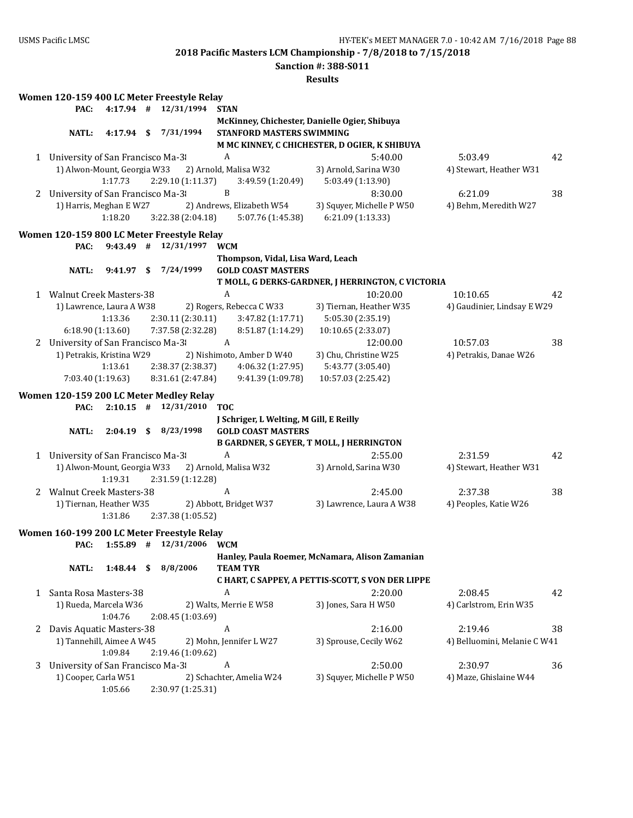**2018 Pacific Masters LCM Championship - 7/8/2018 to 7/15/2018 Sanction #: 388-S011**

|   |                                    |              |     |                                            |                                               | <b>Results</b>                                                |                              |    |
|---|------------------------------------|--------------|-----|--------------------------------------------|-----------------------------------------------|---------------------------------------------------------------|------------------------------|----|
|   |                                    |              |     | Women 120-159 400 LC Meter Freestyle Relay |                                               |                                                               |                              |    |
|   | PAC:                               | $4:17.94$ #  |     | 12/31/1994                                 | <b>STAN</b>                                   |                                                               |                              |    |
|   |                                    |              |     |                                            | McKinney, Chichester, Danielle Ogier, Shibuya |                                                               |                              |    |
|   | <b>NATL:</b>                       | $4:17.94$ \$ |     | 7/31/1994                                  | <b>STANFORD MASTERS SWIMMING</b>              |                                                               |                              |    |
|   |                                    |              |     |                                            |                                               | M MC KINNEY, C CHICHESTER, D OGIER, K SHIBUYA                 |                              |    |
|   | 1 University of San Francisco Ma-3 |              |     |                                            | A                                             | 5:40.00                                                       | 5:03.49                      | 42 |
|   | 1) Alwon-Mount, Georgia W33        |              |     |                                            | 2) Arnold, Malisa W32                         | 3) Arnold, Sarina W30                                         | 4) Stewart, Heather W31      |    |
|   |                                    | 1:17.73      |     | 2:29.10 (1:11.37)                          | 3:49.59 (1:20.49)                             | 5:03.49 (1:13.90)                                             |                              |    |
|   | 2 University of San Francisco Ma-3 |              |     |                                            | B                                             | 8:30.00                                                       | 6:21.09                      | 38 |
|   | 1) Harris, Meghan E W27            |              |     |                                            | 2) Andrews, Elizabeth W54                     | 3) Squyer, Michelle P W50                                     | 4) Behm, Meredith W27        |    |
|   |                                    | 1:18.20      |     | 3:22.38 (2:04.18)                          | 5:07.76 (1:45.38)                             | 6:21.09 (1:13.33)                                             |                              |    |
|   |                                    |              |     |                                            |                                               |                                                               |                              |    |
|   |                                    |              |     | Women 120-159 800 LC Meter Freestyle Relay |                                               |                                                               |                              |    |
|   | PAC:                               |              |     | $9:43.49$ # $12/31/1997$                   | <b>WCM</b>                                    |                                                               |                              |    |
|   |                                    |              |     |                                            | Thompson, Vidal, Lisa Ward, Leach             |                                                               |                              |    |
|   | NATL:                              | $9:41.97$ \$ |     | 7/24/1999                                  | <b>GOLD COAST MASTERS</b>                     |                                                               |                              |    |
|   |                                    |              |     |                                            | A                                             | T MOLL, G DERKS-GARDNER, J HERRINGTON, C VICTORIA<br>10:20.00 |                              |    |
|   | 1 Walnut Creek Masters-38          |              |     |                                            |                                               |                                                               | 10:10.65                     | 42 |
|   | 1) Lawrence, Laura A W38           |              |     |                                            | 2) Rogers, Rebecca C W33                      | 3) Tiernan, Heather W35                                       | 4) Gaudinier, Lindsay E W29  |    |
|   |                                    | 1:13.36      |     | 2:30.11 (2:30.11)                          | 3:47.82 (1:17.71)<br>8:51.87 (1:14.29)        | 5:05.30 (2:35.19)                                             |                              |    |
|   | 6:18.90 (1:13.60)                  |              |     | 7:37.58 (2:32.28)                          |                                               | 10:10.65 (2:33.07)                                            |                              |    |
|   | 2 University of San Francisco Ma-3 |              |     |                                            | A                                             | 12:00.00                                                      | 10:57.03                     | 38 |
|   | 1) Petrakis, Kristina W29          |              |     |                                            | 2) Nishimoto, Amber D W40                     | 3) Chu, Christine W25                                         | 4) Petrakis, Danae W26       |    |
|   |                                    | 1:13.61      |     | 2:38.37 (2:38.37)                          | 4:06.32 (1:27.95)                             | 5:43.77 (3:05.40)                                             |                              |    |
|   | 7:03.40 (1:19.63)                  |              |     | 8:31.61 (2:47.84)                          | 9:41.39 (1:09.78)                             | 10:57.03 (2:25.42)                                            |                              |    |
|   |                                    |              |     | Women 120-159 200 LC Meter Medley Relay    |                                               |                                                               |                              |    |
|   | PAC:                               | $2:10.15$ #  |     | 12/31/2010                                 | <b>TOC</b>                                    |                                                               |                              |    |
|   |                                    |              |     |                                            | J Schriger, L Welting, M Gill, E Reilly       |                                                               |                              |    |
|   | <b>NATL:</b>                       | $2:04.19$ \$ |     | 8/23/1998                                  | <b>GOLD COAST MASTERS</b>                     |                                                               |                              |    |
|   |                                    |              |     |                                            |                                               | <b>B GARDNER, S GEYER, T MOLL, J HERRINGTON</b>               |                              |    |
| 1 | University of San Francisco Ma-3   |              |     |                                            | A                                             | 2:55.00                                                       | 2:31.59                      | 42 |
|   | 1) Alwon-Mount, Georgia W33        |              |     |                                            | 2) Arnold, Malisa W32                         | 3) Arnold, Sarina W30                                         | 4) Stewart, Heather W31      |    |
|   |                                    | 1:19.31      |     | 2:31.59 (1:12.28)                          |                                               |                                                               |                              |    |
| 2 | <b>Walnut Creek Masters-38</b>     |              |     |                                            | A                                             | 2:45.00                                                       | 2:37.38                      | 38 |
|   | 1) Tiernan, Heather W35            |              |     |                                            | 2) Abbott, Bridget W37                        | 3) Lawrence, Laura A W38                                      | 4) Peoples, Katie W26        |    |
|   |                                    | 1:31.86      |     | 2:37.38 (1:05.52)                          |                                               |                                                               |                              |    |
|   |                                    |              |     | Women 160-199 200 LC Meter Freestyle Relay |                                               |                                                               |                              |    |
|   | PAC:                               | $1:55.89$ #  |     | 12/31/2006                                 | <b>WCM</b>                                    |                                                               |                              |    |
|   |                                    |              |     |                                            |                                               | Hanley, Paula Roemer, McNamara, Alison Zamanian               |                              |    |
|   | <b>NATL:</b>                       | 1:48.44      | -\$ | 8/8/2006                                   | <b>TEAM TYR</b>                               |                                                               |                              |    |
|   |                                    |              |     |                                            |                                               | C HART, C SAPPEY, A PETTIS-SCOTT, S VON DER LIPPE             |                              |    |
| 1 | Santa Rosa Masters-38              |              |     |                                            | A                                             | 2:20.00                                                       | 2:08.45                      | 42 |
|   | 1) Rueda, Marcela W36              |              |     |                                            | 2) Walts, Merrie E W58                        | 3) Jones, Sara H W50                                          | 4) Carlstrom, Erin W35       |    |
|   |                                    | 1:04.76      |     | 2:08.45 (1:03.69)                          |                                               |                                                               |                              |    |
| 2 | Davis Aquatic Masters-38           |              |     |                                            | A                                             | 2:16.00                                                       | 2:19.46                      | 38 |
|   | 1) Tannehill, Aimee A W45          |              |     |                                            | 2) Mohn, Jennifer L W27                       | 3) Sprouse, Cecily W62                                        | 4) Belluomini, Melanie C W41 |    |
|   |                                    | 1:09.84      |     |                                            |                                               |                                                               |                              |    |
| 3 |                                    |              |     |                                            |                                               |                                                               |                              |    |
|   |                                    |              |     | 2:19.46 (1:09.62)                          | A                                             |                                                               |                              |    |
|   | University of San Francisco Ma-3   |              |     |                                            |                                               | 2:50.00                                                       | 2:30.97                      | 36 |
|   | 1) Cooper, Carla W51               | 1:05.66      |     | 2:30.97 (1:25.31)                          | 2) Schachter, Amelia W24                      | 3) Squyer, Michelle P W50                                     | 4) Maze, Ghislaine W44       |    |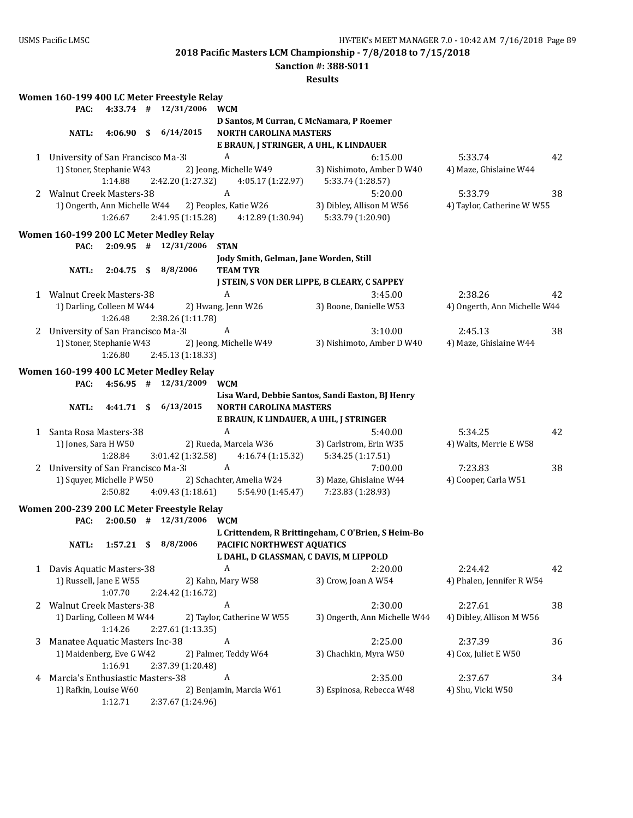**Sanction #: 388-S011**

|   |                                                                |              | Women 160-199 400 LC Meter Freestyle Relay                          |                                                                           |                                                           |                                       |    |
|---|----------------------------------------------------------------|--------------|---------------------------------------------------------------------|---------------------------------------------------------------------------|-----------------------------------------------------------|---------------------------------------|----|
|   | PAC:                                                           |              | 4:33.74 # 12/31/2006                                                | <b>WCM</b>                                                                |                                                           |                                       |    |
|   | <b>NATL:</b>                                                   |              | 4:06.90 \$ 6/14/2015                                                | D Santos, M Curran, C McNamara, P Roemer<br><b>NORTH CAROLINA MASTERS</b> |                                                           |                                       |    |
|   |                                                                |              |                                                                     | E BRAUN, J STRINGER, A UHL, K LINDAUER                                    |                                                           |                                       |    |
|   | 1 University of San Francisco Ma-3<br>1) Stoner, Stephanie W43 | 1:14.88      | 2:42.20 (1:27.32)                                                   | A<br>2) Jeong, Michelle W49<br>4:05.17 (1:22.97)                          | 6:15.00<br>3) Nishimoto, Amber D W40<br>5:33.74 (1:28.57) | 5:33.74<br>4) Maze, Ghislaine W44     | 42 |
|   | 2 Walnut Creek Masters-38<br>1) Ongerth, Ann Michelle W44      |              |                                                                     | $\mathbf{A}$<br>2) Peoples, Katie W26                                     | 5:20.00<br>3) Dibley, Allison M W56                       | 5:33.79<br>4) Taylor, Catherine W W55 | 38 |
|   |                                                                | 1:26.67      | 2:41.95 (1:15.28)                                                   | 4:12.89 (1:30.94)                                                         | 5:33.79 (1:20.90)                                         |                                       |    |
|   |                                                                |              | Women 160-199 200 LC Meter Medley Relay                             |                                                                           |                                                           |                                       |    |
|   | PAC:                                                           |              | $2:09.95$ # $12/31/2006$                                            | <b>STAN</b>                                                               |                                                           |                                       |    |
|   | <b>NATL:</b>                                                   |              | $2:04.75$ \$ 8/8/2006                                               | Jody Smith, Gelman, Jane Worden, Still<br><b>TEAM TYR</b>                 |                                                           |                                       |    |
|   |                                                                |              |                                                                     |                                                                           | J STEIN, S VON DER LIPPE, B CLEARY, C SAPPEY              |                                       |    |
|   | 1 Walnut Creek Masters-38                                      |              |                                                                     | A                                                                         | 3:45.00                                                   | 2:38.26                               | 42 |
|   | 1) Darling, Colleen M W44                                      | 1:26.48      | 2:38.26 (1:11.78)                                                   | 2) Hwang, Jenn W26                                                        | 3) Boone, Danielle W53                                    | 4) Ongerth, Ann Michelle W44          |    |
|   | 2 University of San Francisco Ma-3                             |              |                                                                     | A                                                                         | 3:10.00                                                   | 2:45.13                               | 38 |
|   | 1) Stoner, Stephanie W43                                       | 1:26.80      | 2:45.13 (1:18.33)                                                   | 2) Jeong, Michelle W49                                                    | 3) Nishimoto, Amber D W40                                 | 4) Maze, Ghislaine W44                |    |
|   | PAC:                                                           |              | Women 160-199 400 LC Meter Medley Relay<br>$4:56.95$ # $12/31/2009$ | <b>WCM</b>                                                                |                                                           |                                       |    |
|   |                                                                |              |                                                                     |                                                                           | Lisa Ward, Debbie Santos, Sandi Easton, BJ Henry          |                                       |    |
|   | <b>NATL:</b>                                                   | 4:41.71S     | 6/13/2015                                                           | <b>NORTH CAROLINA MASTERS</b>                                             |                                                           |                                       |    |
|   |                                                                |              |                                                                     | E BRAUN, K LINDAUER, A UHL, J STRINGER                                    |                                                           |                                       |    |
| 1 | Santa Rosa Masters-38                                          |              |                                                                     | $\boldsymbol{A}$                                                          | 5:40.00                                                   | 5:34.25                               | 42 |
|   | 1) Jones, Sara H W50                                           | 1:28.84      | 3:01.42 (1:32.58)                                                   | 2) Rueda, Marcela W36<br>4:16.74 (1:15.32)                                | 3) Carlstrom, Erin W35<br>5:34.25 (1:17.51)               | 4) Walts, Merrie E W58                |    |
|   | 2 University of San Francisco Ma-3                             |              |                                                                     | $\boldsymbol{A}$                                                          | 7:00.00                                                   | 7:23.83                               | 38 |
|   | 1) Squyer, Michelle P W50                                      | 2:50.82      | 4:09.43 (1:18.61)                                                   | 2) Schachter, Amelia W24<br>5:54.90 (1:45.47)                             | 3) Maze, Ghislaine W44<br>7:23.83 (1:28.93)               | 4) Cooper, Carla W51                  |    |
|   |                                                                |              | Women 200-239 200 LC Meter Freestyle Relay                          |                                                                           |                                                           |                                       |    |
|   | PAC:                                                           |              | $2:00.50$ # $12/31/2006$                                            | <b>WCM</b>                                                                |                                                           |                                       |    |
|   |                                                                |              |                                                                     |                                                                           | L Crittendem, R Brittingeham, C O'Brien, S Heim-Bo        |                                       |    |
|   | NATL:                                                          | $1:57.21$ \$ | 8/8/2006                                                            | PACIFIC NORTHWEST AQUATICS                                                |                                                           |                                       |    |
|   |                                                                |              |                                                                     | L DAHL, D GLASSMAN, C DAVIS, M LIPPOLD                                    |                                                           |                                       |    |
|   | 1 Davis Aquatic Masters-38                                     |              |                                                                     | A                                                                         | 2:20.00                                                   | 2:24.42                               | 42 |
|   | 1) Russell, Jane E W55                                         | 1:07.70      | 2:24.42 (1:16.72)                                                   | 2) Kahn, Mary W58                                                         | 3) Crow, Joan A W54                                       | 4) Phalen, Jennifer R W54             |    |
| 2 | <b>Walnut Creek Masters-38</b>                                 |              |                                                                     | A                                                                         | 2:30.00                                                   | 2:27.61                               | 38 |
|   | 1) Darling, Colleen M W44                                      | 1:14.26      | 2:27.61 (1:13.35)                                                   | 2) Taylor, Catherine W W55                                                | 3) Ongerth, Ann Michelle W44                              | 4) Dibley, Allison M W56              |    |
| 3 | Manatee Aquatic Masters Inc-38                                 |              |                                                                     | A                                                                         | 2:25.00                                                   | 2:37.39                               | 36 |
|   | 1) Maidenberg, Eve G W42                                       | 1:16.91      | 2:37.39 (1:20.48)                                                   | 2) Palmer, Teddy W64                                                      | 3) Chachkin, Myra W50                                     | 4) Cox, Juliet E W50                  |    |
| 4 | Marcia's Enthusiastic Masters-38                               |              |                                                                     | A                                                                         | 2:35.00                                                   | 2:37.67                               | 34 |
|   | 1) Rafkin, Louise W60                                          | 1:12.71      | 2:37.67 (1:24.96)                                                   | 2) Benjamin, Marcia W61                                                   | 3) Espinosa, Rebecca W48                                  | 4) Shu, Vicki W50                     |    |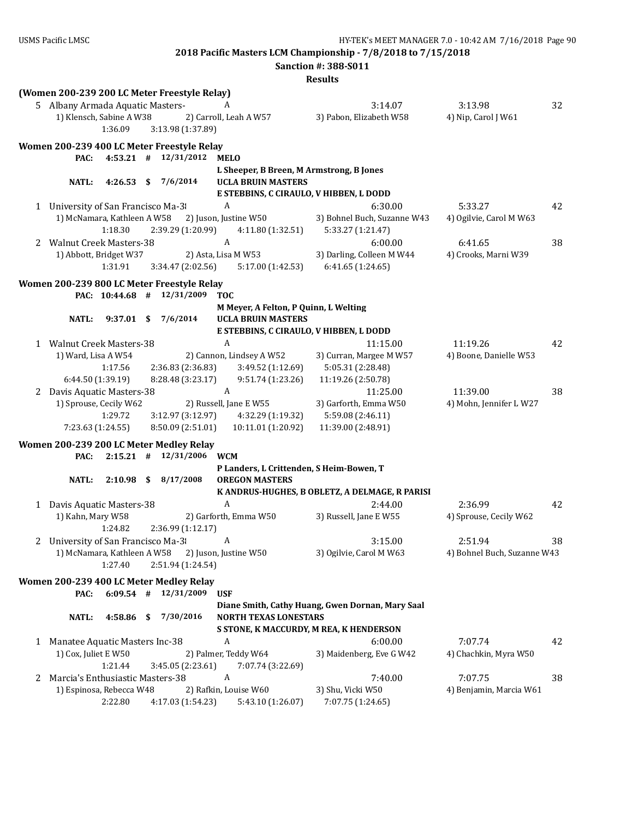|   |                                                          |                             |      |                                                                     |                                          | <b>Sanction #: 388-S011</b>                      |                             |    |
|---|----------------------------------------------------------|-----------------------------|------|---------------------------------------------------------------------|------------------------------------------|--------------------------------------------------|-----------------------------|----|
|   |                                                          |                             |      |                                                                     |                                          | <b>Results</b>                                   |                             |    |
|   |                                                          |                             |      | (Women 200-239 200 LC Meter Freestyle Relay)                        |                                          |                                                  |                             |    |
|   | 5 Albany Armada Aquatic Masters-                         |                             |      |                                                                     | A                                        | 3:14.07                                          | 3:13.98                     | 32 |
|   | 1) Klensch, Sabine A W38                                 |                             |      |                                                                     | 2) Carroll, Leah A W57                   | 3) Pabon, Elizabeth W58                          | 4) Nip, Carol J W61         |    |
|   |                                                          | 1:36.09                     |      | 3:13.98 (1:37.89)                                                   |                                          |                                                  |                             |    |
|   |                                                          |                             |      | Women 200-239 400 LC Meter Freestyle Relay                          |                                          |                                                  |                             |    |
|   | PAC:                                                     | $4:53.21$ #                 |      | 12/31/2012                                                          | <b>MELO</b>                              |                                                  |                             |    |
|   |                                                          |                             |      |                                                                     | L Sheeper, B Breen, M Armstrong, B Jones |                                                  |                             |    |
|   | <b>NATL:</b>                                             | 4:26.53                     | - \$ | 7/6/2014                                                            | <b>UCLA BRUIN MASTERS</b>                |                                                  |                             |    |
|   |                                                          |                             |      |                                                                     | E STEBBINS, C CIRAULO, V HIBBEN, L DODD  |                                                  |                             |    |
|   | 1 University of San Francisco Ma-3                       |                             |      |                                                                     | A                                        | 6:30.00                                          | 5:33.27                     | 42 |
|   | 1) McNamara, Kathleen A W58                              |                             |      |                                                                     | 2) Juson, Justine W50                    | 3) Bohnel Buch, Suzanne W43                      | 4) Ogilvie, Carol M W63     |    |
|   |                                                          | 1:18.30                     |      | 2:39.29 (1:20.99)                                                   | 4:11.80 (1:32.51)                        | 5:33.27 (1:21.47)                                |                             |    |
|   | 2 Walnut Creek Masters-38                                |                             |      |                                                                     | A                                        | 6:00.00                                          | 6:41.65                     | 38 |
|   | 1) Abbott, Bridget W37                                   |                             |      |                                                                     | 2) Asta, Lisa M W53                      | 3) Darling, Colleen M W44                        | 4) Crooks, Marni W39        |    |
|   |                                                          | 1:31.91                     |      | 3:34.47 (2:02.56)                                                   | 5:17.00 (1:42.53)                        | 6:41.65(1:24.65)                                 |                             |    |
|   |                                                          |                             |      | Women 200-239 800 LC Meter Freestyle Relay                          |                                          |                                                  |                             |    |
|   |                                                          | PAC: 10:44.68 #             |      | 12/31/2009                                                          | <b>TOC</b>                               |                                                  |                             |    |
|   |                                                          |                             |      |                                                                     | M Meyer, A Felton, P Quinn, L Welting    |                                                  |                             |    |
|   | <b>NATL:</b>                                             | $9:37.01$ \$                |      | 7/6/2014                                                            | <b>UCLA BRUIN MASTERS</b>                |                                                  |                             |    |
|   |                                                          |                             |      |                                                                     | E STEBBINS, C CIRAULO, V HIBBEN, L DODD  |                                                  |                             |    |
|   | 1 Walnut Creek Masters-38                                |                             |      |                                                                     | $\boldsymbol{A}$                         | 11:15.00                                         | 11:19.26                    | 42 |
|   | 1) Ward, Lisa A W54                                      |                             |      |                                                                     | 2) Cannon, Lindsey A W52                 | 3) Curran, Margee M W57                          | 4) Boone, Danielle W53      |    |
|   |                                                          | 1:17.56                     |      | 2:36.83 (2:36.83)                                                   | 3:49.52 (1:12.69)                        | 5:05.31 (2:28.48)                                |                             |    |
|   |                                                          | 6:44.50 (1:39.19)           |      | 8:28.48 (3:23.17)                                                   | 9:51.74 (1:23.26)                        | 11:19.26 (2:50.78)                               |                             |    |
|   | 2 Davis Aquatic Masters-38                               |                             |      |                                                                     | $\boldsymbol{A}$                         | 11:25.00                                         | 11:39.00                    | 38 |
|   | 1) Sprouse, Cecily W62                                   |                             |      |                                                                     | 2) Russell, Jane E W55                   | 3) Garforth, Emma W50                            | 4) Mohn, Jennifer L W27     |    |
|   |                                                          | 1:29.72                     |      | 3:12.97 (3:12.97)                                                   | 4:32.29 (1:19.32)                        | 5:59.08 (2:46.11)                                |                             |    |
|   |                                                          | 7:23.63 (1:24.55)           |      | 8:50.09 (2:51.01)                                                   | 10:11.01 (1:20.92)                       | 11:39.00 (2:48.91)                               |                             |    |
|   |                                                          |                             |      |                                                                     |                                          |                                                  |                             |    |
|   | PAC:                                                     |                             |      | Women 200-239 200 LC Meter Medley Relay<br>$2:15.21$ # $12/31/2006$ | <b>WCM</b>                               |                                                  |                             |    |
|   |                                                          |                             |      |                                                                     | P Landers, L Crittenden, S Heim-Bowen, T |                                                  |                             |    |
|   | <b>NATL:</b>                                             | 2:10.98                     |      | \$8/17/2008                                                         | <b>OREGON MASTERS</b>                    |                                                  |                             |    |
|   |                                                          |                             |      |                                                                     |                                          | K ANDRUS-HUGHES, B OBLETZ, A DELMAGE, R PARISI   |                             |    |
|   | 1 Davis Aquatic Masters-38                               |                             |      |                                                                     | $\boldsymbol{A}$                         | 2:44.00                                          | 2:36.99                     | 42 |
|   | 1) Kahn, Mary W58                                        |                             |      |                                                                     | 2) Garforth, Emma W50                    | 3) Russell, Jane E W55                           | 4) Sprouse, Cecily W62      |    |
|   |                                                          | 1:24.82                     |      | 2:36.99 (1:12.17)                                                   |                                          |                                                  |                             |    |
|   | 2 University of San Francisco Ma-3                       |                             |      |                                                                     | A                                        | 3:15.00                                          | 2:51.94                     | 38 |
|   |                                                          | 1) McNamara, Kathleen A W58 |      |                                                                     | 2) Juson, Justine W50                    | 3) Ogilvie, Carol M W63                          | 4) Bohnel Buch, Suzanne W43 |    |
|   |                                                          | 1:27.40                     |      | 2:51.94 (1:24.54)                                                   |                                          |                                                  |                             |    |
|   |                                                          |                             |      |                                                                     |                                          |                                                  |                             |    |
|   |                                                          |                             |      | Women 200-239 400 LC Meter Medley Relay                             |                                          |                                                  |                             |    |
|   | PAC:                                                     | $6:09.54$ #                 |      | 12/31/2009                                                          | <b>USF</b>                               |                                                  |                             |    |
|   |                                                          |                             |      | 7/30/2016                                                           | <b>NORTH TEXAS LONESTARS</b>             | Diane Smith, Cathy Huang, Gwen Dornan, Mary Saal |                             |    |
|   | <b>NATL:</b>                                             | $4:58.86$ \$                |      |                                                                     |                                          | S STONE, K MACCURDY, M REA, K HENDERSON          |                             |    |
|   |                                                          |                             |      |                                                                     | A                                        | 6:00.00                                          | 7:07.74                     |    |
|   | 1 Manatee Aquatic Masters Inc-38<br>1) Cox, Juliet E W50 |                             |      |                                                                     | 2) Palmer, Teddy W64                     | 3) Maidenberg, Eve G W42                         | 4) Chachkin, Myra W50       | 42 |
|   |                                                          | 1:21.44                     |      | 3:45.05 (2:23.61)                                                   | 7:07.74 (3:22.69)                        |                                                  |                             |    |
| 2 | Marcia's Enthusiastic Masters-38                         |                             |      |                                                                     | A                                        | 7:40.00                                          | 7:07.75                     | 38 |
|   |                                                          | 1) Espinosa, Rebecca W48    |      |                                                                     | 2) Rafkin, Louise W60                    | 3) Shu, Vicki W50                                | 4) Benjamin, Marcia W61     |    |
|   |                                                          | 2:22.80                     |      | 4:17.03 (1:54.23)                                                   | 5:43.10 (1:26.07)                        | 7:07.75 (1:24.65)                                |                             |    |
|   |                                                          |                             |      |                                                                     |                                          |                                                  |                             |    |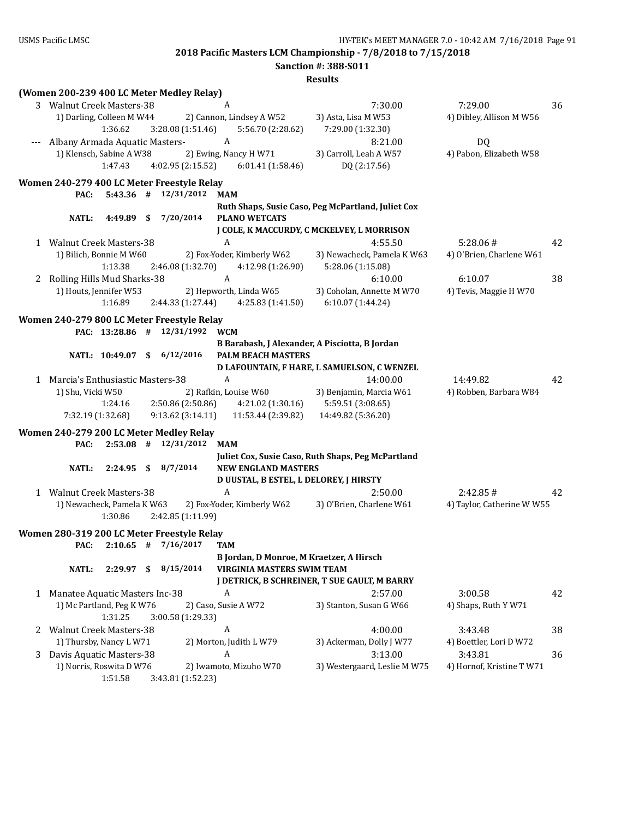**Sanction #: 388-S011**

| (Women 200-239 400 LC Meter Medley Relay)                                                  |                                                    |                            |    |
|--------------------------------------------------------------------------------------------|----------------------------------------------------|----------------------------|----|
| 3 Walnut Creek Masters-38<br>A                                                             | 7:30.00                                            | 7:29.00                    | 36 |
| 2) Cannon, Lindsey A W52<br>1) Darling, Colleen M W44                                      | 3) Asta, Lisa M W53                                | 4) Dibley, Allison M W56   |    |
| 1:36.62<br>3:28.08 (1:51.46)<br>5:56.70 (2:28.62)                                          | 7:29.00 (1:32.30)                                  |                            |    |
| A<br>Albany Armada Aquatic Masters-                                                        | 8:21.00                                            | <b>DQ</b>                  |    |
| 1) Klensch, Sabine A W38<br>2) Ewing, Nancy H W71                                          | 3) Carroll, Leah A W57                             | 4) Pabon, Elizabeth W58    |    |
| 1:47.43<br>4:02.95 (2:15.52)<br>6:01.41(1:58.46)                                           | DQ (2:17.56)                                       |                            |    |
|                                                                                            |                                                    |                            |    |
| Women 240-279 400 LC Meter Freestyle Relay                                                 |                                                    |                            |    |
| 12/31/2012<br>PAC:<br>$5:43.36$ #<br><b>MAM</b>                                            |                                                    |                            |    |
|                                                                                            | Ruth Shaps, Susie Caso, Peg McPartland, Juliet Cox |                            |    |
| 7/20/2014<br>NATL:<br>4:49.89<br>\$<br><b>PLANO WETCATS</b>                                |                                                    |                            |    |
|                                                                                            | J COLE, K MACCURDY, C MCKELVEY, L MORRISON         |                            |    |
| $\boldsymbol{A}$<br>1 Walnut Creek Masters-38                                              | 4:55.50                                            | 5:28.06#                   | 42 |
| 1) Bilich, Bonnie M W60<br>2) Fox-Yoder, Kimberly W62                                      | 3) Newacheck, Pamela K W63                         | 4) O'Brien, Charlene W61   |    |
| 1:13.38<br>2:46.08 (1:32.70)<br>4:12.98 (1:26.90)                                          | 5:28.06 (1:15.08)                                  |                            |    |
| A<br>2 Rolling Hills Mud Sharks-38                                                         | 6:10.00                                            | 6:10.07                    | 38 |
| 1) Houts, Jennifer W53<br>2) Hepworth, Linda W65                                           | 3) Coholan, Annette M W70                          | 4) Tevis, Maggie H W70     |    |
| 1:16.89<br>2:44.33 (1:27.44)<br>4:25.83 (1:41.50)                                          | 6:10.07 (1:44.24)                                  |                            |    |
| Women 240-279 800 LC Meter Freestyle Relay                                                 |                                                    |                            |    |
| 12/31/1992<br>PAC: 13:28.86 #<br><b>WCM</b>                                                |                                                    |                            |    |
|                                                                                            | B Barabash, J Alexander, A Pisciotta, B Jordan     |                            |    |
| 6/12/2016<br>NATL: 10:49.07 \$<br><b>PALM BEACH MASTERS</b>                                |                                                    |                            |    |
|                                                                                            | D LAFOUNTAIN, F HARE, L SAMUELSON, C WENZEL        |                            |    |
| $\boldsymbol{A}$<br>1 Marcia's Enthusiastic Masters-38                                     | 14:00.00                                           | 14:49.82                   | 42 |
| 1) Shu, Vicki W50<br>2) Rafkin, Louise W60                                                 | 3) Benjamin, Marcia W61                            | 4) Robben, Barbara W84     |    |
| 2:50.86 (2:50.86)<br>1:24.16<br>4:21.02 (1:30.16)                                          | 5:59.51 (3:08.65)                                  |                            |    |
| 9:13.62(3:14.11)<br>11:53.44 (2:39.82)<br>7:32.19 (1:32.68)                                | 14:49.82 (5:36.20)                                 |                            |    |
|                                                                                            |                                                    |                            |    |
| Women 240-279 200 LC Meter Medley Relay<br>$2:53.08$ #<br>12/31/2012<br>PAC:<br><b>MAM</b> |                                                    |                            |    |
|                                                                                            | Juliet Cox, Susie Caso, Ruth Shaps, Peg McPartland |                            |    |
| 8/7/2014<br><b>NATL:</b><br>2:24.95<br>- \$<br><b>NEW ENGLAND MASTERS</b>                  |                                                    |                            |    |
| D UUSTAL, B ESTEL, L DELOREY, J HIRSTY                                                     |                                                    |                            |    |
| $\boldsymbol{A}$<br>1 Walnut Creek Masters-38                                              | 2:50.00                                            | 2:42.85#                   | 42 |
| 1) Newacheck, Pamela K W63<br>2) Fox-Yoder, Kimberly W62                                   | 3) O'Brien, Charlene W61                           | 4) Taylor, Catherine W W55 |    |
| 1:30.86<br>2:42.85 (1:11.99)                                                               |                                                    |                            |    |
|                                                                                            |                                                    |                            |    |
| Women 280-319 200 LC Meter Freestyle Relay                                                 |                                                    |                            |    |
| PAC: $2:10.65$ # $7/16/2017$<br><b>TAM</b>                                                 |                                                    |                            |    |
| B Jordan, D Monroe, M Kraetzer, A Hirsch                                                   |                                                    |                            |    |
| 8/15/2014<br>VIRGINIA MASTERS SWIM TEAM<br><b>NATL:</b><br>2:29.97<br>- \$                 |                                                    |                            |    |
|                                                                                            | J DETRICK, B SCHREINER, T SUE GAULT, M BARRY       |                            |    |
| 1 Manatee Aquatic Masters Inc-38<br>A                                                      | 2:57.00                                            | 3:00.58                    | 42 |
| 1) Mc Partland, Peg K W76<br>2) Caso, Susie A W72                                          | 3) Stanton, Susan G W66                            | 4) Shaps, Ruth Y W71       |    |
| 1:31.25<br>3:00.58 (1:29.33)                                                               |                                                    |                            |    |
| 2 Walnut Creek Masters-38<br>A                                                             | 4:00.00                                            | 3:43.48                    | 38 |
| 2) Morton, Judith L W79<br>1) Thursby, Nancy L W71                                         | 3) Ackerman, Dolly J W77                           | 4) Boettler, Lori D W72    |    |
| Davis Aquatic Masters-38<br>A<br>3                                                         | 3:13.00                                            | 3:43.81                    | 36 |
| 1) Norris, Roswita D W76<br>2) Iwamoto, Mizuho W70                                         | 3) Westergaard, Leslie M W75                       | 4) Hornof, Kristine T W71  |    |
| 1:51.58<br>3:43.81 (1:52.23)                                                               |                                                    |                            |    |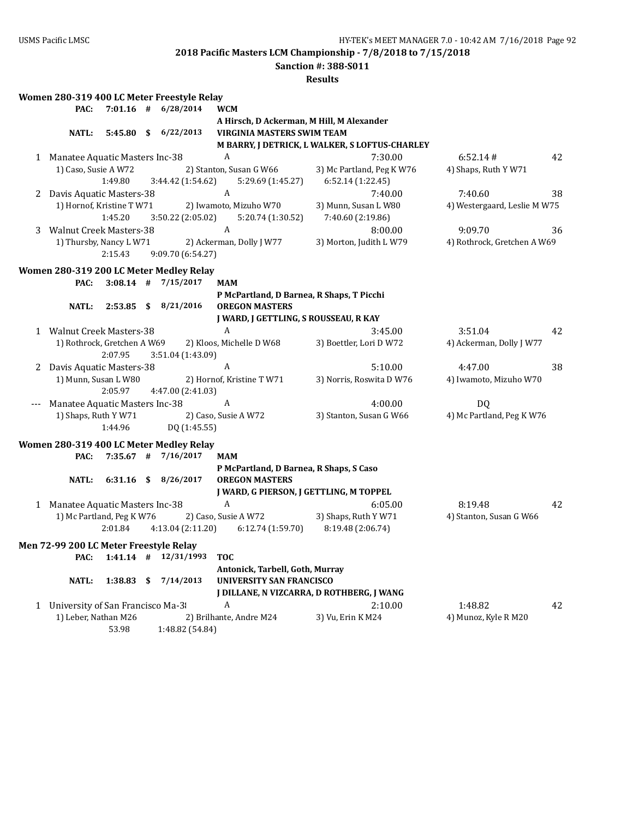**Sanction #: 388-S011**

|   | Women 280-319 400 LC Meter Freestyle Relay |              |                                                                    |                                                                    |                                                |                              |    |
|---|--------------------------------------------|--------------|--------------------------------------------------------------------|--------------------------------------------------------------------|------------------------------------------------|------------------------------|----|
|   | PAC:                                       |              | $7:01.16$ # $6/28/2014$                                            | <b>WCM</b>                                                         |                                                |                              |    |
|   |                                            |              |                                                                    | A Hirsch, D Ackerman, M Hill, M Alexander                          |                                                |                              |    |
|   | <b>NATL:</b>                               |              | 5:45.80 \$ 6/22/2013                                               | <b>VIRGINIA MASTERS SWIM TEAM</b>                                  |                                                |                              |    |
|   |                                            |              |                                                                    |                                                                    | M BARRY, J DETRICK, L WALKER, S LOFTUS-CHARLEY |                              |    |
|   | 1 Manatee Aquatic Masters Inc-38           |              |                                                                    | A                                                                  | 7:30.00                                        | 6:52.14#                     | 42 |
|   | 1) Caso, Susie A W72                       |              |                                                                    | 2) Stanton, Susan G W66                                            | 3) Mc Partland, Peg K W76                      | 4) Shaps, Ruth Y W71         |    |
|   |                                            | 1:49.80      | 3:44.42 (1:54.62)                                                  | 5:29.69 (1:45.27)                                                  | 6:52.14 (1:22.45)                              |                              |    |
| 2 | Davis Aquatic Masters-38                   |              |                                                                    | A                                                                  | 7:40.00                                        | 7:40.60                      | 38 |
|   | 1) Hornof, Kristine T W71                  |              |                                                                    | 2) Iwamoto, Mizuho W70                                             | 3) Munn, Susan L W80                           | 4) Westergaard, Leslie M W75 |    |
|   |                                            | 1:45.20      | 3:50.22 (2:05.02)                                                  | 5:20.74 (1:30.52)                                                  | 7:40.60 (2:19.86)                              |                              |    |
| 3 | <b>Walnut Creek Masters-38</b>             |              |                                                                    | $\boldsymbol{A}$                                                   | 8:00.00                                        | 9:09.70                      | 36 |
|   | 1) Thursby, Nancy L W71                    |              |                                                                    | 2) Ackerman, Dolly J W77                                           | 3) Morton, Judith L W79                        | 4) Rothrock, Gretchen A W69  |    |
|   |                                            | 2:15.43      | 9:09.70 (6:54.27)                                                  |                                                                    |                                                |                              |    |
|   |                                            |              |                                                                    |                                                                    |                                                |                              |    |
|   |                                            |              | Women 280-319 200 LC Meter Medley Relay<br>$3:08.14$ # $7/15/2017$ | <b>MAM</b>                                                         |                                                |                              |    |
|   | PAC:                                       |              |                                                                    |                                                                    |                                                |                              |    |
|   | <b>NATL:</b>                               |              | 2:53.85 \$ 8/21/2016                                               | P McPartland, D Barnea, R Shaps, T Picchi<br><b>OREGON MASTERS</b> |                                                |                              |    |
|   |                                            |              |                                                                    |                                                                    |                                                |                              |    |
|   |                                            |              |                                                                    | J WARD, J GETTLING, S ROUSSEAU, R KAY                              |                                                |                              |    |
|   | 1 Walnut Creek Masters-38                  |              |                                                                    | A                                                                  | 3:45.00                                        | 3:51.04                      | 42 |
|   | 1) Rothrock, Gretchen A W69                |              |                                                                    | 2) Kloos, Michelle D W68                                           | 3) Boettler, Lori D W72                        | 4) Ackerman, Dolly J W77     |    |
|   |                                            | 2:07.95      | 3:51.04 (1:43.09)                                                  |                                                                    |                                                |                              |    |
| 2 | Davis Aquatic Masters-38                   |              |                                                                    | A                                                                  | 5:10.00                                        | 4:47.00                      | 38 |
|   | 1) Munn, Susan L W80                       |              |                                                                    | 2) Hornof, Kristine T W71                                          | 3) Norris, Roswita D W76                       | 4) Iwamoto, Mizuho W70       |    |
|   |                                            | 2:05.97      | 4:47.00 (2:41.03)                                                  |                                                                    |                                                |                              |    |
|   | Manatee Aquatic Masters Inc-38             |              |                                                                    | A                                                                  | 4:00.00                                        | <b>DQ</b>                    |    |
|   | 1) Shaps, Ruth Y W71                       |              |                                                                    | 2) Caso, Susie A W72                                               | 3) Stanton, Susan G W66                        | 4) Mc Partland, Peg K W76    |    |
|   |                                            | 1:44.96      | DQ (1:45.55)                                                       |                                                                    |                                                |                              |    |
|   |                                            |              | Women 280-319 400 LC Meter Medley Relay                            |                                                                    |                                                |                              |    |
|   | PAC:                                       |              | 7:35.67 # 7/16/2017                                                | <b>MAM</b>                                                         |                                                |                              |    |
|   |                                            |              |                                                                    | P McPartland, D Barnea, R Shaps, S Caso                            |                                                |                              |    |
|   | <b>NATL:</b>                               |              | 6:31.16 \$ 8/26/2017                                               | <b>OREGON MASTERS</b>                                              |                                                |                              |    |
|   |                                            |              |                                                                    | J WARD, G PIERSON, J GETTLING, M TOPPEL                            |                                                |                              |    |
|   | 1 Manatee Aquatic Masters Inc-38           |              |                                                                    | A                                                                  | 6:05.00                                        | 8:19.48                      | 42 |
|   | 1) Mc Partland, Peg K W76                  |              |                                                                    | 2) Caso, Susie A W72                                               | 3) Shaps, Ruth Y W71                           | 4) Stanton, Susan G W66      |    |
|   |                                            | 2:01.84      | 4:13.04 (2:11.20)                                                  | 6:12.74 (1:59.70)                                                  | 8:19.48 (2:06.74)                              |                              |    |
|   |                                            |              |                                                                    |                                                                    |                                                |                              |    |
|   | Men 72-99 200 LC Meter Freestyle Relay     |              |                                                                    |                                                                    |                                                |                              |    |
|   |                                            |              | PAC: 1:41.14 # 12/31/1993 TOC                                      |                                                                    |                                                |                              |    |
|   |                                            |              |                                                                    | Antonick, Tarbell, Goth, Murray                                    |                                                |                              |    |
|   | <b>NATL:</b>                               | $1:38.83$ \$ | 7/14/2013                                                          | <b>UNIVERSITY SAN FRANCISCO</b>                                    |                                                |                              |    |
|   |                                            |              |                                                                    |                                                                    | J DILLANE, N VIZCARRA, D ROTHBERG, J WANG      |                              |    |
| 1 | University of San Francisco Ma-3           |              |                                                                    | A                                                                  | 2:10.00                                        | 1:48.82                      | 42 |
|   | 1) Leber, Nathan M26                       |              |                                                                    | 2) Brilhante, Andre M24                                            | 3) Vu, Erin K M24                              | 4) Munoz, Kyle R M20         |    |
|   |                                            | 53.98        | 1:48.82 (54.84)                                                    |                                                                    |                                                |                              |    |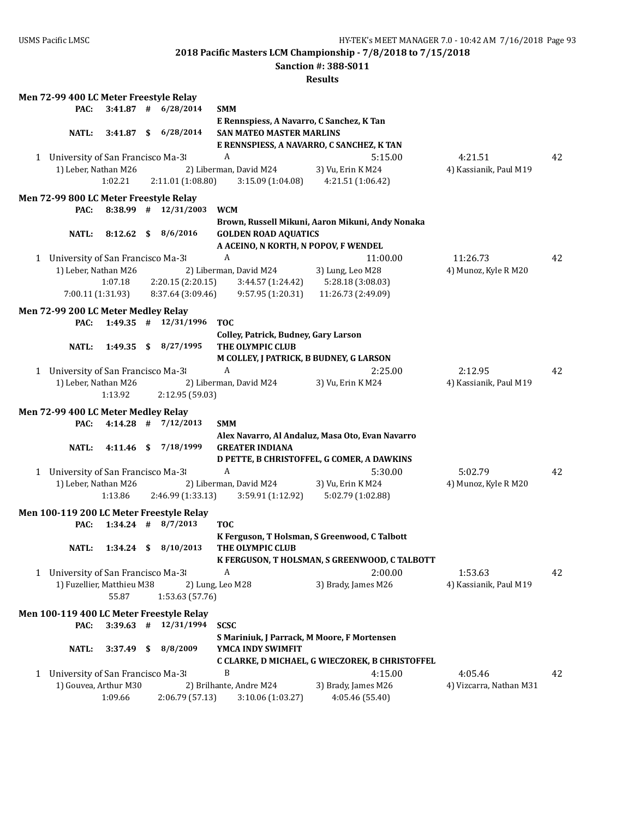**Sanction #: 388-S011**

|   | Men 72-99 400 LC Meter Freestyle Relay |              |                                          |                                             |                                                  |                         |    |
|---|----------------------------------------|--------------|------------------------------------------|---------------------------------------------|--------------------------------------------------|-------------------------|----|
|   | PAC:                                   | $3:41.87$ #  | 6/28/2014                                | <b>SMM</b>                                  |                                                  |                         |    |
|   |                                        |              |                                          | E Rennspiess, A Navarro, C Sanchez, K Tan   |                                                  |                         |    |
|   | <b>NATL:</b>                           |              | 3:41.87 \$ 6/28/2014                     | <b>SAN MATEO MASTER MARLINS</b>             |                                                  |                         |    |
|   |                                        |              |                                          |                                             | E RENNSPIESS, A NAVARRO, C SANCHEZ, K TAN        |                         |    |
|   | 1 University of San Francisco Ma-3     |              |                                          | A                                           | 5:15.00                                          | 4:21.51                 | 42 |
|   | 1) Leber, Nathan M26                   |              |                                          | 2) Liberman, David M24                      | 3) Vu, Erin K M24                                | 4) Kassianik, Paul M19  |    |
|   |                                        | 1:02.21      |                                          |                                             |                                                  |                         |    |
|   |                                        |              | 2:11.01 (1:08.80)                        | 3:15.09(1:04.08)                            | 4:21.51 (1:06.42)                                |                         |    |
|   | Men 72-99 800 LC Meter Freestyle Relay |              |                                          |                                             |                                                  |                         |    |
|   | PAC:                                   |              | 8:38.99 # 12/31/2003                     | <b>WCM</b>                                  |                                                  |                         |    |
|   |                                        |              |                                          |                                             | Brown, Russell Mikuni, Aaron Mikuni, Andy Nonaka |                         |    |
|   | <b>NATL:</b>                           | $8:12.62$ \$ | 8/6/2016                                 | <b>GOLDEN ROAD AQUATICS</b>                 |                                                  |                         |    |
|   |                                        |              |                                          | A ACEINO, N KORTH, N POPOV, F WENDEL        |                                                  |                         |    |
|   |                                        |              |                                          | A                                           |                                                  |                         |    |
| 1 | University of San Francisco Ma-3       |              |                                          |                                             | 11:00.00                                         | 11:26.73                | 42 |
|   | 1) Leber, Nathan M26                   |              |                                          | 2) Liberman, David M24                      | 3) Lung, Leo M28                                 | 4) Munoz, Kyle R M20    |    |
|   |                                        | 1:07.18      | 2:20.15(2:20.15)                         | 3:44.57 (1:24.42)                           | 5:28.18 (3:08.03)                                |                         |    |
|   | 7:00.11(1:31.93)                       |              | 8:37.64 (3:09.46)                        | 9:57.95(1:20.31)                            | 11:26.73 (2:49.09)                               |                         |    |
|   | Men 72-99 200 LC Meter Medley Relay    |              |                                          |                                             |                                                  |                         |    |
|   | PAC:                                   |              | $1:49.35$ # $12/31/1996$                 | <b>TOC</b>                                  |                                                  |                         |    |
|   |                                        |              |                                          |                                             |                                                  |                         |    |
|   |                                        |              |                                          | Colley, Patrick, Budney, Gary Larson        |                                                  |                         |    |
|   | NATL:                                  | $1:49.35$ \$ | 8/27/1995                                | THE OLYMPIC CLUB                            |                                                  |                         |    |
|   |                                        |              |                                          | M COLLEY, J PATRICK, B BUDNEY, G LARSON     |                                                  |                         |    |
|   | 1 University of San Francisco Ma-3     |              |                                          | $\boldsymbol{A}$                            | 2:25.00                                          | 2:12.95                 | 42 |
|   | 1) Leber, Nathan M26                   |              |                                          | 2) Liberman, David M24                      | 3) Vu, Erin K M24                                | 4) Kassianik, Paul M19  |    |
|   |                                        | 1:13.92      | 2:12.95 (59.03)                          |                                             |                                                  |                         |    |
|   |                                        |              |                                          |                                             |                                                  |                         |    |
|   | Men 72-99 400 LC Meter Medley Relay    |              |                                          |                                             |                                                  |                         |    |
|   | PAC:                                   | $4:14.28$ #  | 7/12/2013                                | <b>SMM</b>                                  |                                                  |                         |    |
|   |                                        |              |                                          |                                             | Alex Navarro, Al Andaluz, Masa Oto, Evan Navarro |                         |    |
|   | <b>NATL:</b>                           | $4:11.46$ \$ | 7/18/1999                                | <b>GREATER INDIANA</b>                      |                                                  |                         |    |
|   |                                        |              |                                          |                                             | D PETTE, B CHRISTOFFEL, G COMER, A DAWKINS       |                         |    |
|   | 1 University of San Francisco Ma-3     |              |                                          | A                                           | 5:30.00                                          | 5:02.79                 | 42 |
|   | 1) Leber, Nathan M26                   |              |                                          | 2) Liberman, David M24                      | 3) Vu, Erin K M24                                | 4) Munoz, Kyle R M20    |    |
|   |                                        | 1:13.86      | 2:46.99 (1:33.13)                        | 3:59.91(1:12.92)                            | 5:02.79 (1:02.88)                                |                         |    |
|   |                                        |              |                                          |                                             |                                                  |                         |    |
|   |                                        |              | Men 100-119 200 LC Meter Freestyle Relay |                                             |                                                  |                         |    |
|   | PAC:                                   |              | $1:34.24$ # 8/7/2013                     | <b>TOC</b>                                  |                                                  |                         |    |
|   |                                        |              |                                          |                                             | K Ferguson, T Holsman, S Greenwood, C Talbott    |                         |    |
|   | NATL:                                  |              | 1:34.24 \$ 8/10/2013                     | THE OLYMPIC CLUB                            |                                                  |                         |    |
|   |                                        |              |                                          |                                             | K FERGUSON, T HOLSMAN, S GREENWOOD, C TALBOTT    |                         |    |
|   |                                        |              |                                          |                                             |                                                  |                         |    |
|   | 1 University of San Francisco Ma-3     |              |                                          | A                                           | 2:00.00                                          | 1:53.63                 | 42 |
|   | 1) Fuzellier, Matthieu M38             |              |                                          | 2) Lung, Leo M28                            | 3) Brady, James M26                              | 4) Kassianik, Paul M19  |    |
|   |                                        | 55.87        | 1:53.63 (57.76)                          |                                             |                                                  |                         |    |
|   |                                        |              | Men 100-119 400 LC Meter Freestyle Relay |                                             |                                                  |                         |    |
|   |                                        |              | 12/31/1994                               |                                             |                                                  |                         |    |
|   | PAC:                                   | $3:39.63$ #  |                                          | <b>SCSC</b>                                 |                                                  |                         |    |
|   |                                        |              |                                          | S Mariniuk, J Parrack, M Moore, F Mortensen |                                                  |                         |    |
|   | <b>NATL:</b>                           | $3:37.49$ \$ | 8/8/2009                                 | YMCA INDY SWIMFIT                           |                                                  |                         |    |
|   |                                        |              |                                          |                                             | C CLARKE, D MICHAEL, G WIECZOREK, B CHRISTOFFEL  |                         |    |
| 1 | University of San Francisco Ma-3       |              |                                          | B                                           | 4:15.00                                          | 4:05.46                 | 42 |
|   | 1) Gouvea, Arthur M30                  |              |                                          | 2) Brilhante, Andre M24                     | 3) Brady, James M26                              | 4) Vizcarra, Nathan M31 |    |
|   |                                        | 1:09.66      | 2:06.79 (57.13)                          | 3:10.06 (1:03.27)                           | 4:05.46 (55.40)                                  |                         |    |
|   |                                        |              |                                          |                                             |                                                  |                         |    |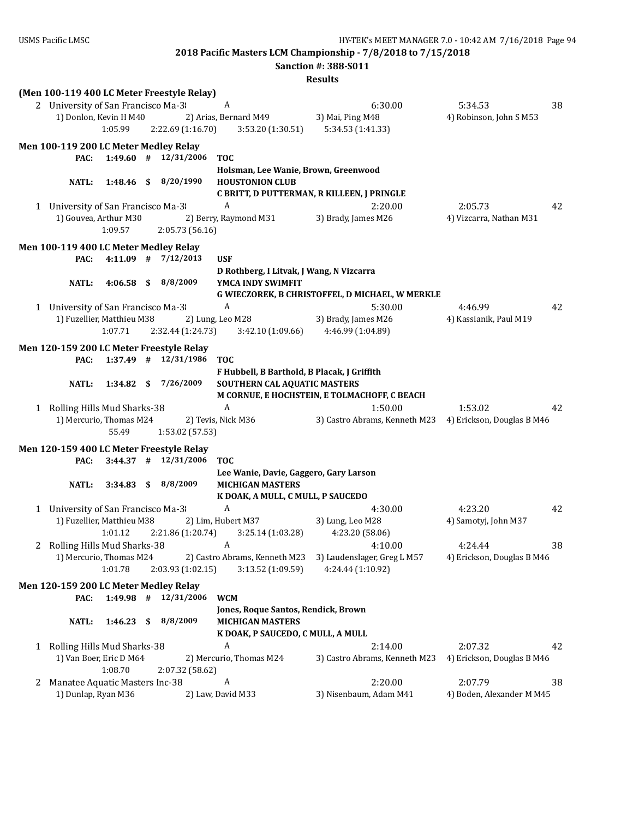|                                                                      |                                                              | <b>Sanction #: 388-S011</b>                     |                                             |  |
|----------------------------------------------------------------------|--------------------------------------------------------------|-------------------------------------------------|---------------------------------------------|--|
|                                                                      |                                                              | <b>Results</b>                                  |                                             |  |
| (Men 100-119 400 LC Meter Freestyle Relay)                           |                                                              |                                                 |                                             |  |
| 2 University of San Francisco Ma-3                                   | A                                                            | 6:30.00                                         | 38<br>5:34.53                               |  |
| 1) Donlon, Kevin H M40                                               | 2) Arias, Bernard M49                                        | 3) Mai, Ping M48                                | 4) Robinson, John S M53                     |  |
| 1:05.99<br>2:22.69 (1:16.70)                                         | 3:53.20 (1:30.51)                                            | 5:34.53 (1:41.33)                               |                                             |  |
| Men 100-119 200 LC Meter Medley Relay                                |                                                              |                                                 |                                             |  |
| $1:49.60$ # $12/31/2006$<br>PAC:                                     | <b>TOC</b>                                                   |                                                 |                                             |  |
|                                                                      | Holsman, Lee Wanie, Brown, Greenwood                         |                                                 |                                             |  |
| 8/20/1990<br>$1:48.46$ \$<br>NATL:                                   | <b>HOUSTONION CLUB</b>                                       |                                                 |                                             |  |
|                                                                      |                                                              | C BRITT, D PUTTERMAN, R KILLEEN, J PRINGLE      |                                             |  |
| 1 University of San Francisco Ma-3                                   | A                                                            | 2:20.00                                         | 2:05.73<br>42                               |  |
| 1) Gouvea, Arthur M30                                                | 2) Berry, Raymond M31                                        | 3) Brady, James M26                             | 4) Vizcarra, Nathan M31                     |  |
| 1:09.57<br>2:05.73 (56.16)                                           |                                                              |                                                 |                                             |  |
| Men 100-119 400 LC Meter Medley Relay                                |                                                              |                                                 |                                             |  |
| $4:11.09$ # $7/12/2013$<br>PAC:                                      | USF                                                          |                                                 |                                             |  |
|                                                                      | D Rothberg, I Litvak, J Wang, N Vizcarra                     |                                                 |                                             |  |
| 8/8/2009<br><b>NATL:</b><br>$4:06.58$ \$                             | YMCA INDY SWIMFIT                                            |                                                 |                                             |  |
|                                                                      |                                                              | G WIECZOREK, B CHRISTOFFEL, D MICHAEL, W MERKLE |                                             |  |
| 1 University of San Francisco Ma-3                                   | A                                                            | 5:30.00                                         | 42<br>4:46.99                               |  |
| 1) Fuzellier, Matthieu M38                                           | 2) Lung, Leo M28                                             | 3) Brady, James M26                             | 4) Kassianik, Paul M19                      |  |
| 1:07.71<br>2:32.44 (1:24.73)                                         | 3:42.10(1:09.66)                                             | 4:46.99 (1:04.89)                               |                                             |  |
|                                                                      |                                                              |                                                 |                                             |  |
| Men 120-159 200 LC Meter Freestyle Relay<br>$1:37.49$ # $12/31/1986$ | <b>TOC</b>                                                   |                                                 |                                             |  |
| PAC:                                                                 | F Hubbell, B Barthold, B Placak, J Griffith                  |                                                 |                                             |  |
| 7/26/2009<br>NATL:<br>$1:34.82$ \$                                   | SOUTHERN CAL AQUATIC MASTERS                                 |                                                 |                                             |  |
|                                                                      |                                                              | M CORNUE, E HOCHSTEIN, E TOLMACHOFF, C BEACH    |                                             |  |
| 1 Rolling Hills Mud Sharks-38                                        | A                                                            | 1:50.00                                         | 1:53.02<br>42                               |  |
| 1) Mercurio, Thomas M24                                              | 2) Tevis, Nick M36                                           | 3) Castro Abrams, Kenneth M23                   | 4) Erickson, Douglas B M46                  |  |
| 55.49<br>1:53.02 (57.53)                                             |                                                              |                                                 |                                             |  |
|                                                                      |                                                              |                                                 |                                             |  |
| Men 120-159 400 LC Meter Freestyle Relay                             |                                                              |                                                 |                                             |  |
| $3:44.37$ # $12/31/2006$<br>PAC:                                     | <b>TOC</b>                                                   |                                                 |                                             |  |
| 3:34.83 \$ 8/8/2009<br><b>NATL:</b>                                  | Lee Wanie, Davie, Gaggero, Gary Larson                       |                                                 |                                             |  |
|                                                                      | <b>MICHIGAN MASTERS</b><br>K DOAK, A MULL, C MULL, P SAUCEDO |                                                 |                                             |  |
| 1 University of San Francisco Ma-3                                   | $\boldsymbol{A}$                                             | 4:30.00                                         | 4:23.20<br>42                               |  |
| 1) Fuzellier, Matthieu M38                                           | 2) Lim, Hubert M37                                           | 3) Lung, Leo M28                                | 4) Samotyj, John M37                        |  |
| 1:01.12<br>2:21.86 (1:20.74)                                         | 3:25.14 (1:03.28)                                            | 4:23.20 (58.06)                                 |                                             |  |
| 2 Rolling Hills Mud Sharks-38                                        | A                                                            | 4:10.00                                         | 4:24.44<br>38                               |  |
| 1) Mercurio, Thomas M24                                              | 2) Castro Abrams, Kenneth M23                                | 3) Laudenslager, Greg L M57                     | 4) Erickson, Douglas B M46                  |  |
| 1:01.78<br>2:03.93 (1:02.15)                                         | 3:13.52 (1:09.59)                                            | 4:24.44 (1:10.92)                               |                                             |  |
|                                                                      |                                                              |                                                 |                                             |  |
| Men 120-159 200 LC Meter Medley Relay                                |                                                              |                                                 |                                             |  |
| 12/31/2006<br>$1:49.98$ #<br>PAC:                                    | <b>WCM</b>                                                   |                                                 |                                             |  |
|                                                                      | Jones, Roque Santos, Rendick, Brown                          |                                                 |                                             |  |
| 8/8/2009<br><b>NATL:</b><br>$1:46.23$ \$                             | <b>MICHIGAN MASTERS</b>                                      |                                                 |                                             |  |
|                                                                      | K DOAK, P SAUCEDO, C MULL, A MULL<br>A                       |                                                 |                                             |  |
| 1 Rolling Hills Mud Sharks-38<br>1) Van Boer, Eric D M64             | 2) Mercurio, Thomas M24                                      | 2:14.00<br>3) Castro Abrams, Kenneth M23        | 2:07.32<br>42<br>4) Erickson, Douglas B M46 |  |
| 1:08.70<br>2:07.32 (58.62)                                           |                                                              |                                                 |                                             |  |
| Manatee Aquatic Masters Inc-38<br>2                                  | A                                                            | 2:20.00                                         | 2:07.79<br>38                               |  |
| 1) Dunlap, Ryan M36                                                  | 2) Law, David M33                                            | 3) Nisenbaum, Adam M41                          | 4) Boden, Alexander M M45                   |  |
|                                                                      |                                                              |                                                 |                                             |  |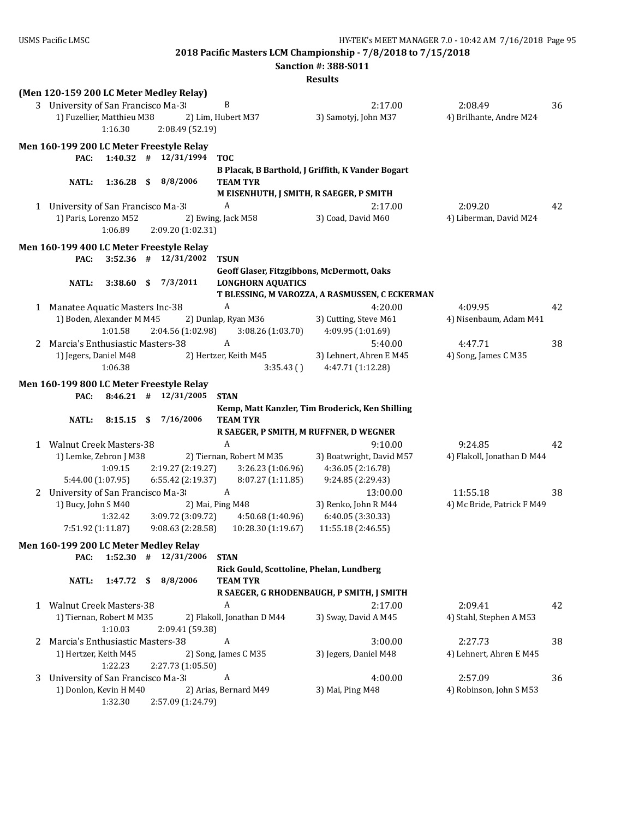**2018 Pacific Masters LCM Championship - 7/8/2018 to 7/15/2018 Sanction #: 388-S011**

|   |                                          |             |      |                          |                                            | <b>Results</b>                                            |                            |    |
|---|------------------------------------------|-------------|------|--------------------------|--------------------------------------------|-----------------------------------------------------------|----------------------------|----|
|   | (Men 120-159 200 LC Meter Medley Relay)  |             |      |                          |                                            |                                                           |                            |    |
|   | 3 University of San Francisco Ma-3       |             |      |                          | B                                          | 2:17.00                                                   | 2:08.49                    | 36 |
|   | 1) Fuzellier, Matthieu M38               |             |      |                          | 2) Lim, Hubert M37                         | 3) Samotyj, John M37                                      | 4) Brilhante, Andre M24    |    |
|   |                                          | 1:16.30     |      | 2:08.49 (52.19)          |                                            |                                                           |                            |    |
|   | Men 160-199 200 LC Meter Freestyle Relay |             |      |                          |                                            |                                                           |                            |    |
|   | PAC:                                     |             |      | $1:40.32$ # $12/31/1994$ | <b>TOC</b>                                 |                                                           |                            |    |
|   |                                          |             |      |                          |                                            | B Placak, B Barthold, J Griffith, K Vander Bogart         |                            |    |
|   | NATL:                                    | 1:36.28     | - \$ | 8/8/2006                 | <b>TEAM TYR</b>                            |                                                           |                            |    |
|   |                                          |             |      |                          | M EISENHUTH, J SMITH, R SAEGER, P SMITH    |                                                           |                            |    |
|   | 1 University of San Francisco Ma-3       |             |      |                          | A                                          | 2:17.00                                                   | 2:09.20                    | 42 |
|   | 1) Paris, Lorenzo M52                    |             |      |                          | 2) Ewing, Jack M58                         | 3) Coad, David M60                                        | 4) Liberman, David M24     |    |
|   |                                          | 1:06.89     |      | 2:09.20 (1:02.31)        |                                            |                                                           |                            |    |
|   | Men 160-199 400 LC Meter Freestyle Relay |             |      |                          |                                            |                                                           |                            |    |
|   | PAC:                                     | $3:52.36$ # |      | 12/31/2002               | <b>TSUN</b>                                |                                                           |                            |    |
|   |                                          |             |      |                          | Geoff Glaser, Fitzgibbons, McDermott, Oaks |                                                           |                            |    |
|   | <b>NATL:</b>                             | 3:38.60     | \$   | 7/3/2011                 | <b>LONGHORN AQUATICS</b>                   |                                                           |                            |    |
|   | 1 Manatee Aquatic Masters Inc-38         |             |      |                          | A                                          | T BLESSING, M VAROZZA, A RASMUSSEN, C ECKERMAN<br>4:20.00 | 4:09.95                    | 42 |
|   | 1) Boden, Alexander M M45                |             |      |                          | 2) Dunlap, Ryan M36                        | 3) Cutting, Steve M61                                     | 4) Nisenbaum, Adam M41     |    |
|   |                                          | 1:01.58     |      | 2:04.56 (1:02.98)        | 3:08.26 (1:03.70)                          | 4:09.95 (1:01.69)                                         |                            |    |
|   | 2 Marcia's Enthusiastic Masters-38       |             |      |                          | A                                          | 5:40.00                                                   | 4:47.71                    | 38 |
|   | 1) Jegers, Daniel M48                    |             |      |                          | 2) Hertzer, Keith M45                      | 3) Lehnert, Ahren E M45                                   | 4) Song, James C M35       |    |
|   |                                          | 1:06.38     |      |                          | 3:35.43()                                  | 4:47.71 (1:12.28)                                         |                            |    |
|   | Men 160-199 800 LC Meter Freestyle Relay |             |      |                          |                                            |                                                           |                            |    |
|   |                                          |             |      |                          |                                            |                                                           |                            |    |
|   |                                          |             |      |                          |                                            |                                                           |                            |    |
|   | PAC:                                     | $8:46.21$ # |      | 12/31/2005               | <b>STAN</b>                                |                                                           |                            |    |
|   | <b>NATL:</b>                             | 8:15.15     | - \$ | 7/16/2006                | <b>TEAM TYR</b>                            | Kemp, Matt Kanzler, Tim Broderick, Ken Shilling           |                            |    |
|   |                                          |             |      |                          | R SAEGER, P SMITH, M RUFFNER, D WEGNER     |                                                           |                            |    |
|   | 1 Walnut Creek Masters-38                |             |      |                          | A                                          | 9:10.00                                                   | 9:24.85                    | 42 |
|   | 1) Lemke, Zebron J M38                   |             |      |                          | 2) Tiernan, Robert M M35                   | 3) Boatwright, David M57                                  | 4) Flakoll, Jonathan D M44 |    |
|   |                                          | 1:09.15     |      | 2:19.27 (2:19.27)        | 3:26.23 (1:06.96)                          | 4:36.05 (2:16.78)                                         |                            |    |
|   | 5:44.00 (1:07.95)                        |             |      | 6:55.42 (2:19.37)        | 8:07.27 (1:11.85)                          | 9:24.85 (2:29.43)                                         |                            |    |
|   | 2 University of San Francisco Ma-3       |             |      |                          | $\boldsymbol{A}$                           | 13:00.00                                                  | 11:55.18                   | 38 |
|   | 1) Bucy, John S M40                      |             |      |                          | 2) Mai, Ping M48                           | 3) Renko, John R M44                                      | 4) Mc Bride, Patrick F M49 |    |
|   |                                          | 1:32.42     |      | 3:09.72 (3:09.72)        | 4:50.68 (1:40.96)                          | 6:40.05 (3:30.33)                                         |                            |    |
|   | 7:51.92 (1:11.87)                        |             |      | 9:08.63 (2:28.58)        | 10:28.30 (1:19.67)                         | 11:55.18 (2:46.55)                                        |                            |    |
|   | Men 160-199 200 LC Meter Medley Relay    |             |      |                          |                                            |                                                           |                            |    |
|   | PAC:                                     | $1:52.30$ # |      | 12/31/2006               | <b>STAN</b>                                |                                                           |                            |    |
|   |                                          |             |      |                          | Rick Gould, Scottoline, Phelan, Lundberg   |                                                           |                            |    |
|   | <b>NATL:</b>                             | 1:47.72     | \$   | 8/8/2006                 | <b>TEAM TYR</b>                            |                                                           |                            |    |
|   |                                          |             |      |                          |                                            | R SAEGER, G RHODENBAUGH, P SMITH, J SMITH                 |                            |    |
|   | 1 Walnut Creek Masters-38                |             |      |                          | A                                          | 2:17.00                                                   | 2:09.41                    | 42 |
|   | 1) Tiernan, Robert M M35                 | 1:10.03     |      | 2:09.41 (59.38)          | 2) Flakoll, Jonathan D M44                 | 3) Sway, David A M45                                      | 4) Stahl, Stephen A M53    |    |
|   | 2 Marcia's Enthusiastic Masters-38       |             |      |                          | A                                          | 3:00.00                                                   | 2:27.73                    | 38 |
|   | 1) Hertzer, Keith M45                    |             |      |                          | 2) Song, James C M35                       | 3) Jegers, Daniel M48                                     | 4) Lehnert, Ahren E M45    |    |
|   |                                          | 1:22.23     |      | 2:27.73 (1:05.50)        |                                            |                                                           |                            |    |
| 3 | University of San Francisco Ma-3         |             |      |                          | A                                          | 4:00.00                                                   | 2:57.09                    | 36 |
|   | 1) Donlon, Kevin H M40                   | 1:32.30     |      | 2:57.09 (1:24.79)        | 2) Arias, Bernard M49                      | 3) Mai, Ping M48                                          | 4) Robinson, John S M53    |    |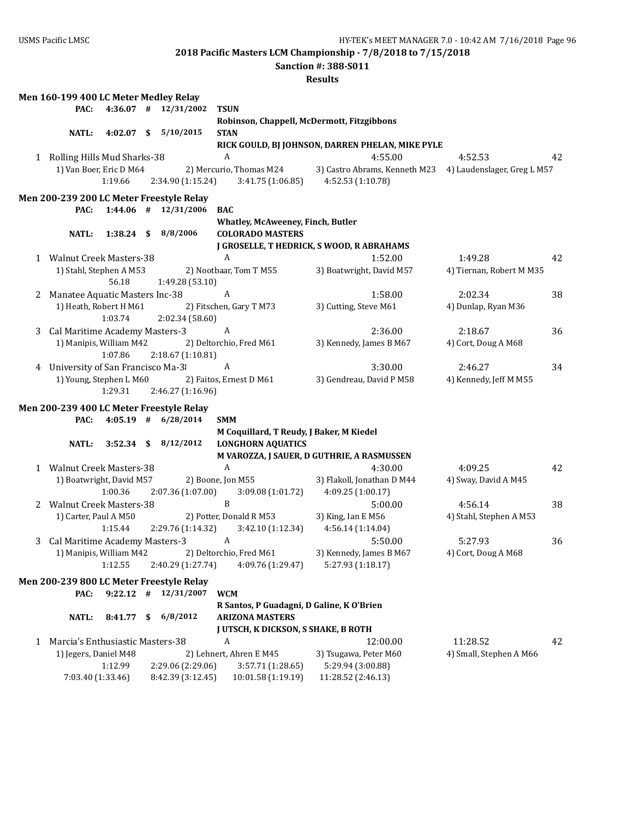**Sanction #: 388-S011**

|   | Men 160-199 400 LC Meter Medley Relay |             |                                          |                                                 |                                                                                   |                          |    |
|---|---------------------------------------|-------------|------------------------------------------|-------------------------------------------------|-----------------------------------------------------------------------------------|--------------------------|----|
|   | PAC:                                  |             | $4:36.07$ # $12/31/2002$                 | <b>TSUN</b>                                     |                                                                                   |                          |    |
|   |                                       |             |                                          |                                                 | Robinson, Chappell, McDermott, Fitzgibbons                                        |                          |    |
|   | <b>NATL:</b>                          |             | 4:02.07 \$ 5/10/2015                     | <b>STAN</b>                                     |                                                                                   |                          |    |
|   |                                       |             |                                          |                                                 | RICK GOULD, BJ JOHNSON, DARREN PHELAN, MIKE PYLE                                  |                          |    |
|   | 1 Rolling Hills Mud Sharks-38         |             |                                          | $\boldsymbol{A}$                                | 4:55.00                                                                           | 4:52.53                  | 42 |
|   | 1) Van Boer, Eric D M64               |             |                                          |                                                 | 2) Mercurio, Thomas M24 3) Castro Abrams, Kenneth M23 4) Laudenslager, Greg L M57 |                          |    |
|   |                                       | 1:19.66     | 2:34.90 (1:15.24)                        | 3:41.75 (1:06.85)                               | 4:52.53 (1:10.78)                                                                 |                          |    |
|   |                                       |             |                                          |                                                 |                                                                                   |                          |    |
|   |                                       |             | Men 200-239 200 LC Meter Freestyle Relay |                                                 |                                                                                   |                          |    |
|   | PAC:                                  |             | $1:44.06$ # $12/31/2006$                 | <b>BAC</b>                                      |                                                                                   |                          |    |
|   |                                       |             |                                          | <b>Whatley, McAweeney, Finch, Butler</b>        |                                                                                   |                          |    |
|   | <b>NATL:</b>                          |             | 1:38.24 \$ 8/8/2006                      | <b>COLORADO MASTERS</b>                         |                                                                                   |                          |    |
|   |                                       |             |                                          |                                                 | J GROSELLE, T HEDRICK, S WOOD, R ABRAHAMS                                         |                          |    |
|   | 1 Walnut Creek Masters-38             |             |                                          | A                                               | 1:52.00                                                                           | 1:49.28                  | 42 |
|   | 1) Stahl, Stephen A M53               |             |                                          | 2) Nootbaar, Tom T M55                          | 3) Boatwright, David M57                                                          | 4) Tiernan, Robert M M35 |    |
|   |                                       | 56.18       | 1:49.28 (53.10)                          |                                                 |                                                                                   |                          |    |
| 2 | Manatee Aquatic Masters Inc-38        |             |                                          | $\mathbf{A}$                                    | 1:58.00                                                                           | 2:02.34                  | 38 |
|   | 1) Heath, Robert H M61                |             |                                          | 2) Fitschen, Gary T M73                         | 3) Cutting, Steve M61                                                             | 4) Dunlap, Ryan M36      |    |
|   |                                       | 1:03.74     | 2:02.34 (58.60)                          |                                                 |                                                                                   |                          |    |
|   | 3 Cal Maritime Academy Masters-3      |             |                                          | A                                               | 2:36.00                                                                           | 2:18.67                  | 36 |
|   | 1) Manipis, William M42               |             |                                          | 2) Deltorchio, Fred M61                         | 3) Kennedy, James B M67                                                           | 4) Cort, Doug A M68      |    |
|   |                                       | 1:07.86     | 2:18.67 (1:10.81)                        |                                                 |                                                                                   |                          |    |
|   | 4 University of San Francisco Ma-3    |             |                                          | A                                               | 3:30.00                                                                           | 2:46.27                  | 34 |
|   |                                       |             |                                          | 1) Young, Stephen L M60 2) Faitos, Ernest D M61 | 3) Gendreau, David P M58                                                          | 4) Kennedy, Jeff M M55   |    |
|   |                                       | 1:29.31     | 2:46.27 (1:16.96)                        |                                                 |                                                                                   |                          |    |
|   |                                       |             |                                          |                                                 |                                                                                   |                          |    |
|   |                                       |             | Men 200-239 400 LC Meter Freestyle Relay |                                                 |                                                                                   |                          |    |
|   | PAC:                                  |             | $4:05.19$ # $6/28/2014$                  | <b>SMM</b>                                      |                                                                                   |                          |    |
|   |                                       |             |                                          | M Coquillard, T Reudy, J Baker, M Kiedel        |                                                                                   |                          |    |
|   | <b>NATL:</b>                          |             | 3:52.34 \$ 8/12/2012                     | <b>LONGHORN AQUATICS</b>                        |                                                                                   |                          |    |
|   |                                       |             |                                          |                                                 | M VAROZZA, J SAUER, D GUTHRIE, A RASMUSSEN                                        |                          |    |
|   | 1 Walnut Creek Masters-38             |             |                                          | $\boldsymbol{A}$                                | 4:30.00                                                                           | 4:09.25                  | 42 |
|   | 1) Boatwright, David M57              |             |                                          | 2) Boone, Jon M55                               | 3) Flakoll, Jonathan D M44                                                        | 4) Sway, David A M45     |    |
|   |                                       | 1:00.36     | 2:07.36 (1:07.00)                        |                                                 | $3:09.08(1:01.72)$ $4:09.25(1:00.17)$                                             |                          |    |
|   | 2 Walnut Creek Masters-38             |             |                                          | $\, {\bf B}$                                    | 5:00.00                                                                           | 4:56.14                  | 38 |
|   | 1) Carter, Paul A M50                 |             |                                          | 2) Potter, Donald R M53                         | 3) King, Ian E M56                                                                | 4) Stahl, Stephen A M53  |    |
|   |                                       | 1:15.44     |                                          | 2:29.76 (1:14.32) 3:42.10 (1:12.34)             | 4:56.14 (1:14.04)                                                                 |                          |    |
|   | 3 Cal Maritime Academy Masters-3      |             |                                          | A                                               | 5:50.00                                                                           | 5:27.93                  | 36 |
|   | 1) Manipis, William M42               |             |                                          | 2) Deltorchio, Fred M61                         | 3) Kennedy, James B M67                                                           | 4) Cort, Doug A M68      |    |
|   |                                       | 1:12.55     | 2:40.29 (1:27.74)                        | 4:09.76 (1:29.47)                               | 5:27.93 (1:18.17)                                                                 |                          |    |
|   |                                       |             |                                          |                                                 |                                                                                   |                          |    |
|   |                                       |             | Men 200-239 800 LC Meter Freestyle Relay |                                                 |                                                                                   |                          |    |
|   | PAC:                                  | $9:22.12$ # | 12/31/2007                               | <b>WCM</b>                                      |                                                                                   |                          |    |
|   |                                       |             |                                          | R Santos, P Guadagni, D Galine, K O'Brien       |                                                                                   |                          |    |
|   | <b>NATL:</b>                          | 8:41.77     | \$<br>6/8/2012                           | <b>ARIZONA MASTERS</b>                          |                                                                                   |                          |    |
|   |                                       |             |                                          | <b>J UTSCH, K DICKSON, S SHAKE, B ROTH</b>      |                                                                                   |                          |    |
| 1 | Marcia's Enthusiastic Masters-38      |             |                                          | A                                               | 12:00.00                                                                          | 11:28.52                 | 42 |
|   | 1) Jegers, Daniel M48                 |             |                                          | 2) Lehnert, Ahren E M45                         | 3) Tsugawa, Peter M60                                                             | 4) Small, Stephen A M66  |    |
|   |                                       | 1:12.99     | 2:29.06 (2:29.06)                        | 3:57.71 (1:28.65)                               | 5:29.94 (3:00.88)                                                                 |                          |    |
|   | 7:03.40 (1:33.46)                     |             | 8:42.39 (3:12.45)                        | 10:01.58 (1:19.19)                              | 11:28.52 (2:46.13)                                                                |                          |    |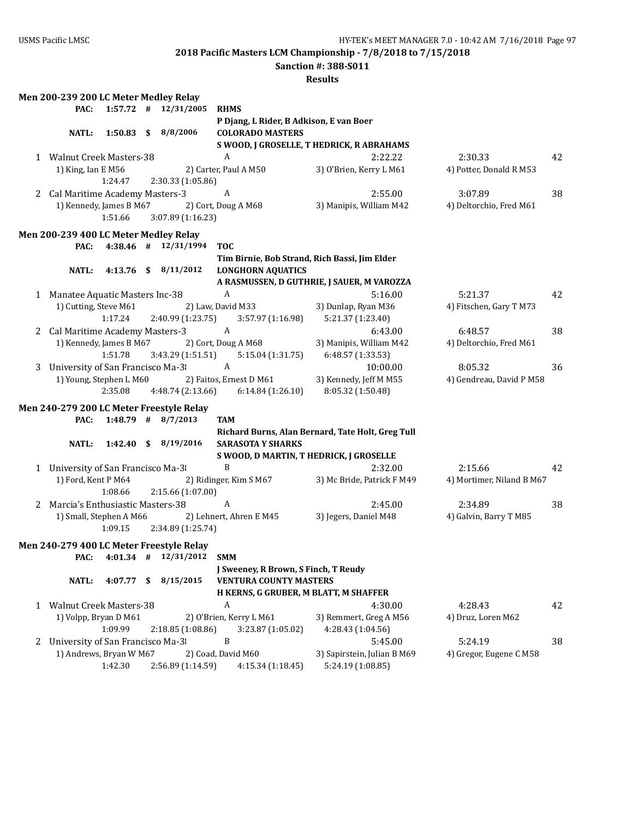**Sanction #: 388-S011**

|              | Men 200-239 200 LC Meter Medley Relay |         |    |                                          |                                                 |                                                   |                           |    |
|--------------|---------------------------------------|---------|----|------------------------------------------|-------------------------------------------------|---------------------------------------------------|---------------------------|----|
|              | PAC:                                  |         |    | $1:57.72$ # $12/31/2005$                 | <b>RHMS</b>                                     |                                                   |                           |    |
|              |                                       |         |    |                                          | P Djang, L Rider, B Adkison, E van Boer         |                                                   |                           |    |
|              | <b>NATL:</b>                          |         |    | $1:50.83$ \$ $8/8/2006$                  | <b>COLORADO MASTERS</b>                         |                                                   |                           |    |
|              |                                       |         |    |                                          |                                                 | S WOOD, J GROSELLE, T HEDRICK, R ABRAHAMS         |                           |    |
|              | 1 Walnut Creek Masters-38             |         |    |                                          | A                                               | 2:22.22                                           | 2:30.33                   | 42 |
|              | 1) King, Ian E M56                    |         |    |                                          | 2) Carter, Paul A M50                           | 3) O'Brien, Kerry L M61                           | 4) Potter, Donald R M53   |    |
|              |                                       | 1:24.47 |    | 2:30.33 (1:05.86)                        |                                                 |                                                   |                           |    |
|              | 2 Cal Maritime Academy Masters-3      |         |    |                                          | A                                               | 2:55.00                                           | 3:07.89                   | 38 |
|              | 1) Kennedy, James B M67               |         |    |                                          | 2) Cort, Doug A M68                             | 3) Manipis, William M42                           | 4) Deltorchio, Fred M61   |    |
|              |                                       | 1:51.66 |    |                                          |                                                 |                                                   |                           |    |
|              |                                       |         |    | 3:07.89 (1:16.23)                        |                                                 |                                                   |                           |    |
|              | Men 200-239 400 LC Meter Medley Relay |         |    |                                          |                                                 |                                                   |                           |    |
|              | PAC:                                  |         |    | 4:38.46 # 12/31/1994                     | <b>TOC</b>                                      |                                                   |                           |    |
|              |                                       |         |    |                                          | Tim Birnie, Bob Strand, Rich Bassi, Jim Elder   |                                                   |                           |    |
|              | <b>NATL:</b>                          |         |    | 4:13.76 \$ 8/11/2012                     | <b>LONGHORN AQUATICS</b>                        |                                                   |                           |    |
|              |                                       |         |    |                                          |                                                 | A RASMUSSEN, D GUTHRIE, J SAUER, M VAROZZA        |                           |    |
|              | 1 Manatee Aquatic Masters Inc-38      |         |    |                                          | A                                               | 5:16.00                                           | 5:21.37                   | 42 |
|              | 1) Cutting, Steve M61                 |         |    |                                          | 2) Law, David M33                               | 3) Dunlap, Ryan M36                               | 4) Fitschen, Gary T M73   |    |
|              |                                       | 1:17.24 |    | 2:40.99 (1:23.75)                        | 3:57.97 (1:16.98)                               | 5:21.37 (1:23.40)                                 |                           |    |
|              | 2 Cal Maritime Academy Masters-3      |         |    |                                          | A                                               | 6:43.00                                           | 6:48.57                   | 38 |
|              | 1) Kennedy, James B M67               |         |    |                                          | 2) Cort, Doug A M68                             | 3) Manipis, William M42                           | 4) Deltorchio, Fred M61   |    |
|              |                                       | 1:51.78 |    | 3:43.29 (1:51.51)                        | 5:15.04 (1:31.75)                               | 6:48.57 (1:33.53)                                 |                           |    |
| 3            | University of San Francisco Ma-3      |         |    |                                          | A                                               | 10:00.00                                          | 8:05.32                   | 36 |
|              | 1) Young, Stephen L M60               |         |    |                                          | 2) Faitos, Ernest D M61                         | 3) Kennedy, Jeff M M55                            | 4) Gendreau, David P M58  |    |
|              |                                       | 2:35.08 |    | 4:48.74 (2:13.66)                        | 6:14.84 (1:26.10)                               | 8:05.32 (1:50.48)                                 |                           |    |
|              |                                       |         |    |                                          |                                                 |                                                   |                           |    |
|              |                                       |         |    | Men 240-279 200 LC Meter Freestyle Relay |                                                 |                                                   |                           |    |
|              | PAC:                                  |         |    | $1:48.79$ # $8/7/2013$                   | <b>TAM</b>                                      |                                                   |                           |    |
|              |                                       |         |    |                                          |                                                 | Richard Burns, Alan Bernard, Tate Holt, Greg Tull |                           |    |
|              | <b>NATL:</b>                          |         |    | 1:42.40 \$ 8/19/2016                     | <b>SARASOTA Y SHARKS</b>                        |                                                   |                           |    |
|              |                                       |         |    |                                          | S WOOD, D MARTIN, T HEDRICK, J GROSELLE         |                                                   |                           |    |
|              | 1 University of San Francisco Ma-3    |         |    |                                          | B                                               | 2:32.00                                           | 2:15.66                   | 42 |
|              | 1) Ford, Kent P M64                   |         |    |                                          | 2) Ridinger, Kim S M67                          | 3) Mc Bride, Patrick F M49                        | 4) Mortimer, Niland B M67 |    |
|              |                                       | 1:08.66 |    | 2:15.66 (1:07.00)                        |                                                 |                                                   |                           |    |
|              | 2 Marcia's Enthusiastic Masters-38    |         |    |                                          | A                                               | 2:45.00                                           | 2:34.89                   | 38 |
|              |                                       |         |    |                                          | 1) Small, Stephen A M66 2) Lehnert, Ahren E M45 | 3) Jegers, Daniel M48                             | 4) Galvin, Barry T M85    |    |
|              |                                       | 1:09.15 |    | 2:34.89 (1:25.74)                        |                                                 |                                                   |                           |    |
|              |                                       |         |    |                                          |                                                 |                                                   |                           |    |
|              |                                       |         |    | Men 240-279 400 LC Meter Freestyle Relay |                                                 |                                                   |                           |    |
|              |                                       |         |    | PAC: 4:01.34 # 12/31/2012 SMM            |                                                 |                                                   |                           |    |
|              |                                       |         |    |                                          | J Sweeney, R Brown, S Finch, T Reudy            |                                                   |                           |    |
|              | <b>NATL:</b>                          | 4:07.77 | -S | 8/15/2015                                | <b>VENTURA COUNTY MASTERS</b>                   |                                                   |                           |    |
|              |                                       |         |    |                                          | H KERNS, G GRUBER, M BLATT, M SHAFFER           |                                                   |                           |    |
| $\mathbf{1}$ | <b>Walnut Creek Masters-38</b>        |         |    |                                          | A                                               | 4:30.00                                           | 4:28.43                   | 42 |
|              | 1) Volpp, Bryan D M61                 |         |    |                                          | 2) O'Brien, Kerry L M61                         | 3) Remmert, Greg A M56                            | 4) Druz, Loren M62        |    |
|              |                                       | 1:09.99 |    | 2:18.85 (1:08.86)                        | 3:23.87 (1:05.02)                               | 4:28.43 (1:04.56)                                 |                           |    |
| 2            | University of San Francisco Ma-3      |         |    |                                          | B                                               | 5:45.00                                           | 5:24.19                   | 38 |
|              | 1) Andrews, Bryan W M67               |         |    |                                          | 2) Coad, David M60                              | 3) Sapirstein, Julian B M69                       | 4) Gregor, Eugene C M58   |    |
|              |                                       | 1:42.30 |    | 2:56.89 (1:14.59)                        | 4:15.34 (1:18.45)                               | 5:24.19 (1:08.85)                                 |                           |    |
|              |                                       |         |    |                                          |                                                 |                                                   |                           |    |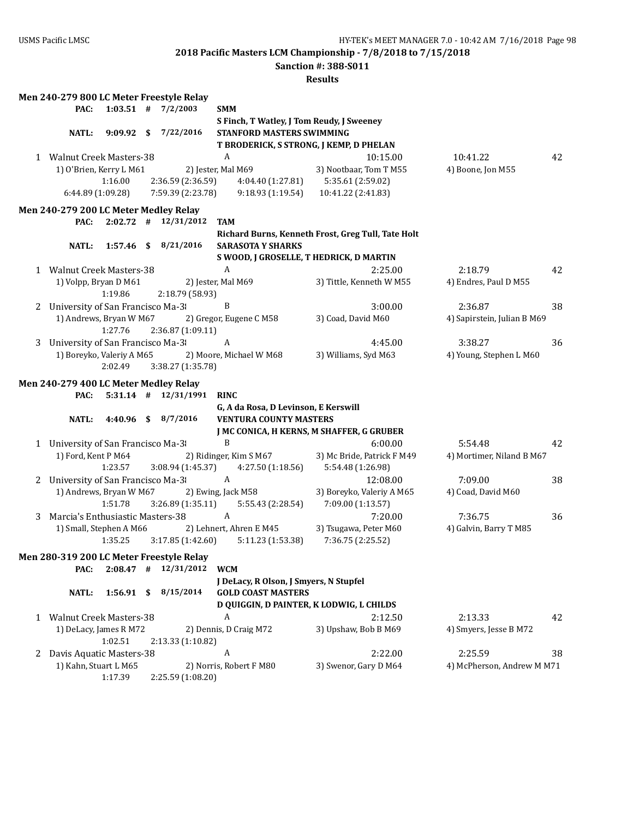**Sanction #: 388-S011**

|   |                                       |              |    | Men 240-279 800 LC Meter Freestyle Relay |                         |                                        |                                                    |                             |    |
|---|---------------------------------------|--------------|----|------------------------------------------|-------------------------|----------------------------------------|----------------------------------------------------|-----------------------------|----|
|   | PAC:                                  |              |    | $1:03.51$ # $7/2/2003$                   | <b>SMM</b>              |                                        |                                                    |                             |    |
|   |                                       |              |    |                                          |                         |                                        | S Finch, T Watley, J Tom Reudy, J Sweeney          |                             |    |
|   | <b>NATL:</b>                          | $9:09.92$ \$ |    | 7/22/2016                                |                         | STANFORD MASTERS SWIMMING              |                                                    |                             |    |
|   |                                       |              |    |                                          |                         |                                        | T BRODERICK, S STRONG, J KEMP, D PHELAN            |                             |    |
|   | 1 Walnut Creek Masters-38             |              |    |                                          | A                       |                                        | 10:15.00                                           | 10:41.22                    | 42 |
|   | 1) O'Brien, Kerry L M61               |              |    |                                          | 2) Jester, Mal M69      |                                        | 3) Nootbaar, Tom T M55                             | 4) Boone, Jon M55           |    |
|   |                                       | 1:16.00      |    | 2:36.59 (2:36.59)                        |                         |                                        | 4:04.40 (1:27.81) 5:35.61 (2:59.02)                |                             |    |
|   | 6:44.89 (1:09.28)                     |              |    | 7:59.39 (2:23.78)                        |                         | 9:18.93 (1:19.54)                      | 10:41.22 (2:41.83)                                 |                             |    |
|   |                                       |              |    |                                          |                         |                                        |                                                    |                             |    |
|   | Men 240-279 200 LC Meter Medley Relay |              |    |                                          |                         |                                        |                                                    |                             |    |
|   | PAC:                                  |              |    | $2:02.72$ # $12/31/2012$                 | <b>TAM</b>              |                                        |                                                    |                             |    |
|   |                                       |              |    |                                          |                         |                                        | Richard Burns, Kenneth Frost, Greg Tull, Tate Holt |                             |    |
|   | <b>NATL:</b>                          |              |    | 1:57.46 \$ 8/21/2016                     |                         | <b>SARASOTA Y SHARKS</b>               |                                                    |                             |    |
|   |                                       |              |    |                                          |                         |                                        | S WOOD, J GROSELLE, T HEDRICK, D MARTIN            |                             |    |
|   | 1 Walnut Creek Masters-38             |              |    |                                          | $\boldsymbol{A}$        |                                        | 2:25.00                                            | 2:18.79                     | 42 |
|   | 1) Volpp, Bryan D M61                 |              |    |                                          | 2) Jester, Mal M69      |                                        | 3) Tittle, Kenneth W M55                           | 4) Endres, Paul D M55       |    |
|   |                                       | 1:19.86      |    | 2:18.79 (58.93)                          |                         |                                        |                                                    |                             |    |
| 2 | University of San Francisco Ma-3      |              |    |                                          | $\, {\bf B}$            |                                        | 3:00.00                                            | 2:36.87                     | 38 |
|   | 1) Andrews, Bryan W M67               |              |    |                                          | 2) Gregor, Eugene C M58 |                                        | 3) Coad, David M60                                 | 4) Sapirstein, Julian B M69 |    |
|   |                                       | 1:27.76      |    | 2:36.87 (1:09.11)                        |                         |                                        |                                                    |                             |    |
| 3 | University of San Francisco Ma-3      |              |    |                                          | A                       |                                        | 4:45.00                                            | 3:38.27                     | 36 |
|   | 1) Boreyko, Valeriy A M65             |              |    |                                          |                         | 2) Moore, Michael W M68                | 3) Williams, Syd M63                               | 4) Young, Stephen L M60     |    |
|   |                                       | 2:02.49      |    | 3:38.27 (1:35.78)                        |                         |                                        |                                                    |                             |    |
|   | Men 240-279 400 LC Meter Medley Relay |              |    |                                          |                         |                                        |                                                    |                             |    |
|   | PAC:                                  |              |    | 5:31.14 # 12/31/1991 RINC                |                         |                                        |                                                    |                             |    |
|   |                                       |              |    |                                          |                         | G, A da Rosa, D Levinson, E Kerswill   |                                                    |                             |    |
|   | <b>NATL:</b>                          |              |    | 4:40.96 \$ 8/7/2016                      |                         | <b>VENTURA COUNTY MASTERS</b>          |                                                    |                             |    |
|   |                                       |              |    |                                          |                         |                                        | J MC CONICA, H KERNS, M SHAFFER, G GRUBER          |                             |    |
|   | 1 University of San Francisco Ma-3    |              |    |                                          | $\, {\bf B}$            |                                        | 6:00.00                                            | 5:54.48                     | 42 |
|   | 1) Ford, Kent P M64                   |              |    |                                          | 2) Ridinger, Kim S M67  |                                        | 3) Mc Bride, Patrick F M49                         | 4) Mortimer, Niland B M67   |    |
|   |                                       | 1:23.57      |    | 3:08.94 (1:45.37)                        |                         | 4:27.50 (1:18.56)                      | 5:54.48 (1:26.98)                                  |                             |    |
|   | 2 University of San Francisco Ma-3    |              |    |                                          | $\mathbf{A}$            |                                        | 12:08.00                                           | 7:09.00                     | 38 |
|   | 1) Andrews, Bryan W M67               |              |    |                                          | 2) Ewing, Jack M58      |                                        | 3) Boreyko, Valeriy A M65                          | 4) Coad, David M60          |    |
|   |                                       | 1:51.78      |    | 3:26.89 (1:35.11)                        |                         | 5:55.43 (2:28.54)                      | 7:09.00 (1:13.57)                                  |                             |    |
|   |                                       |              |    |                                          | $\mathbf{A}$            |                                        |                                                    |                             |    |
| 3 | Marcia's Enthusiastic Masters-38      |              |    |                                          |                         |                                        | 7:20.00                                            | 7:36.75                     | 36 |
|   | 1) Small, Stephen A M66               |              |    |                                          | 2) Lehnert, Ahren E M45 |                                        | 3) Tsugawa, Peter M60                              | 4) Galvin, Barry T M85      |    |
|   |                                       | 1:35.25      |    | 3:17.85(1:42.60)                         |                         | 5:11.23 (1:53.38)                      | 7:36.75 (2:25.52)                                  |                             |    |
|   |                                       |              |    | Men 280-319 200 LC Meter Freestyle Relay |                         |                                        |                                                    |                             |    |
|   | PAC:                                  | 2:08.47      | #  | 12/31/2012                               | <b>WCM</b>              |                                        |                                                    |                             |    |
|   |                                       |              |    |                                          |                         | J DeLacy, R Olson, J Smyers, N Stupfel |                                                    |                             |    |
|   | <b>NATL:</b>                          | 1:56.91      | \$ | 8/15/2014                                |                         | <b>GOLD COAST MASTERS</b>              |                                                    |                             |    |
|   |                                       |              |    |                                          |                         |                                        | D QUIGGIN, D PAINTER, K LODWIG, L CHILDS           |                             |    |
| 1 | <b>Walnut Creek Masters-38</b>        |              |    |                                          | A                       |                                        | 2:12.50                                            | 2:13.33                     | 42 |
|   | 1) DeLacy, James R M72                |              |    |                                          | 2) Dennis, D Craig M72  |                                        | 3) Upshaw, Bob B M69                               | 4) Smyers, Jesse B M72      |    |
|   |                                       | 1:02.51      |    | 2:13.33 (1:10.82)                        |                         |                                        |                                                    |                             |    |
| 2 | Davis Aquatic Masters-38              |              |    |                                          | A                       |                                        | 2:22.00                                            | 2:25.59                     | 38 |
|   | 1) Kahn, Stuart L M65                 |              |    |                                          | 2) Norris, Robert F M80 |                                        | 3) Swenor, Gary D M64                              | 4) McPherson, Andrew M M71  |    |
|   |                                       | 1:17.39      |    | 2:25.59 (1:08.20)                        |                         |                                        |                                                    |                             |    |
|   |                                       |              |    |                                          |                         |                                        |                                                    |                             |    |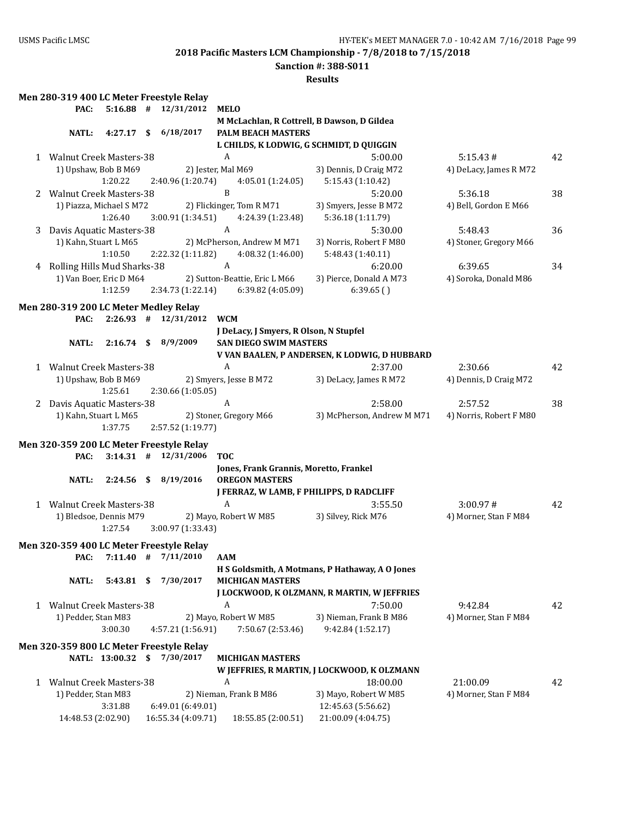### **Sanction #: 388-S011**

|   | Men 280-319 400 LC Meter Freestyle Relay |                |                          |                                             |                                                 |                         |    |
|---|------------------------------------------|----------------|--------------------------|---------------------------------------------|-------------------------------------------------|-------------------------|----|
|   | PAC:                                     |                | $5:16.88$ # 12/31/2012   | <b>MELO</b>                                 |                                                 |                         |    |
|   |                                          |                |                          | M McLachlan, R Cottrell, B Dawson, D Gildea |                                                 |                         |    |
|   | <b>NATL:</b>                             | 4:27.17        | \$<br>6/18/2017          | <b>PALM BEACH MASTERS</b>                   |                                                 |                         |    |
|   |                                          |                |                          | L CHILDS, K LODWIG, G SCHMIDT, D QUIGGIN    |                                                 |                         |    |
|   | 1 Walnut Creek Masters-38                |                |                          | $\boldsymbol{A}$                            | 5:00.00                                         | 5:15.43#                | 42 |
|   | 1) Upshaw, Bob B M69                     |                |                          | 2) Jester, Mal M69                          | 3) Dennis, D Craig M72                          | 4) DeLacy, James R M72  |    |
|   |                                          | 1:20.22        | 2:40.96 (1:20.74)        | 4:05.01 (1:24.05)                           | 5:15.43 (1:10.42)                               |                         |    |
|   | 2 Walnut Creek Masters-38                |                |                          | $\, {\bf B}$                                | 5:20.00                                         | 5:36.18                 | 38 |
|   | 1) Piazza, Michael S M72                 |                |                          | 2) Flickinger, Tom R M71                    | 3) Smyers, Jesse B M72                          | 4) Bell, Gordon E M66   |    |
|   |                                          | 1:26.40        | 3:00.91 (1:34.51)        | 4:24.39 (1:23.48)                           | 5:36.18 (1:11.79)                               |                         |    |
| 3 | Davis Aquatic Masters-38                 |                |                          | A                                           | 5:30.00                                         | 5:48.43                 | 36 |
|   | 1) Kahn, Stuart L M65                    |                |                          | 2) McPherson, Andrew M M71                  | 3) Norris, Robert F M80                         | 4) Stoner, Gregory M66  |    |
|   |                                          | 1:10.50        | 2:22.32 (1:11.82)        | 4:08.32 (1:46.00)                           | 5:48.43 (1:40.11)                               |                         |    |
| 4 | Rolling Hills Mud Sharks-38              |                |                          | $\boldsymbol{A}$                            | 6:20.00                                         | 6:39.65                 | 34 |
|   | 1) Van Boer, Eric D M64                  |                |                          | 2) Sutton-Beattie, Eric L M66               | 3) Pierce, Donald A M73                         | 4) Soroka, Donald M86   |    |
|   |                                          | 1:12.59        | 2:34.73 (1:22.14)        | 6:39.82 (4:05.09)                           | 6:39.65()                                       |                         |    |
|   |                                          |                |                          |                                             |                                                 |                         |    |
|   | Men 280-319 200 LC Meter Medley Relay    |                |                          |                                             |                                                 |                         |    |
|   | PAC:                                     |                | $2:26.93$ # $12/31/2012$ | <b>WCM</b>                                  |                                                 |                         |    |
|   |                                          |                |                          | J DeLacy, J Smyers, R Olson, N Stupfel      |                                                 |                         |    |
|   | <b>NATL:</b>                             | $2:16.74$ \$   | 8/9/2009                 | <b>SAN DIEGO SWIM MASTERS</b>               |                                                 |                         |    |
|   |                                          |                |                          |                                             | V VAN BAALEN, P ANDERSEN, K LODWIG, D HUBBARD   |                         |    |
|   | 1 Walnut Creek Masters-38                |                |                          | A                                           | 2:37.00                                         | 2:30.66                 | 42 |
|   | 1) Upshaw, Bob B M69                     |                |                          | 2) Smyers, Jesse B M72                      | 3) DeLacy, James R M72                          | 4) Dennis, D Craig M72  |    |
|   |                                          | 1:25.61        | 2:30.66 (1:05.05)        |                                             |                                                 |                         |    |
| 2 | Davis Aquatic Masters-38                 |                |                          | A                                           | 2:58.00                                         | 2:57.52                 | 38 |
|   | 1) Kahn, Stuart L M65                    |                |                          | 2) Stoner, Gregory M66                      | 3) McPherson, Andrew M M71                      | 4) Norris, Robert F M80 |    |
|   |                                          | 1:37.75        | 2:57.52 (1:19.77)        |                                             |                                                 |                         |    |
|   | Men 320-359 200 LC Meter Freestyle Relay |                |                          |                                             |                                                 |                         |    |
|   | PAC:                                     |                | $3:14.31$ # $12/31/2006$ | <b>TOC</b>                                  |                                                 |                         |    |
|   |                                          |                |                          | Jones, Frank Grannis, Moretto, Frankel      |                                                 |                         |    |
|   | <b>NATL:</b>                             | $2:24.56$ \$   | 8/19/2016                | <b>OREGON MASTERS</b>                       |                                                 |                         |    |
|   |                                          |                |                          | J FERRAZ, W LAMB, F PHILIPPS, D RADCLIFF    |                                                 |                         |    |
|   | 1 Walnut Creek Masters-38                |                |                          | $\boldsymbol{A}$                            | 3:55.50                                         | 3:00.97#                | 42 |
|   | 1) Bledsoe, Dennis M79                   |                |                          | 2) Mayo, Robert W M85                       | 3) Silvey, Rick M76                             | 4) Morner, Stan F M84   |    |
|   |                                          | 1:27.54        | 3:00.97 (1:33.43)        |                                             |                                                 |                         |    |
|   |                                          |                |                          |                                             |                                                 |                         |    |
|   | Men 320-359 400 LC Meter Freestyle Relay |                |                          |                                             |                                                 |                         |    |
|   | PAC:                                     | $7:11.40$ #    | 7/11/2010                | AAM                                         |                                                 |                         |    |
|   |                                          |                |                          |                                             | H S Goldsmith, A Motmans, P Hathaway, A O Jones |                         |    |
|   | <b>NATL:</b>                             | 5:43.81        | \$<br>7/30/2017          | <b>MICHIGAN MASTERS</b>                     |                                                 |                         |    |
|   |                                          |                |                          |                                             | J LOCKWOOD, K OLZMANN, R MARTIN, W JEFFRIES     |                         |    |
|   | 1 Walnut Creek Masters-38                |                |                          | A                                           | 7:50.00                                         | 9:42.84                 | 42 |
|   | 1) Pedder, Stan M83                      |                |                          | 2) Mayo, Robert W M85                       | 3) Nieman, Frank B M86                          | 4) Morner, Stan F M84   |    |
|   |                                          | 3:00.30        | 4:57.21 (1:56.91)        | 7:50.67 (2:53.46)                           | 9:42.84 (1:52.17)                               |                         |    |
|   | Men 320-359 800 LC Meter Freestyle Relay |                |                          |                                             |                                                 |                         |    |
|   |                                          | NATL: 13:00.32 | \$<br>7/30/2017          | <b>MICHIGAN MASTERS</b>                     |                                                 |                         |    |
|   |                                          |                |                          |                                             | W JEFFRIES, R MARTIN, J LOCKWOOD, K OLZMANN     |                         |    |
|   | 1 Walnut Creek Masters-38                |                |                          | A                                           | 18:00.00                                        | 21:00.09                | 42 |
|   | 1) Pedder, Stan M83                      |                |                          | 2) Nieman, Frank B M86                      | 3) Mayo, Robert W M85                           | 4) Morner, Stan F M84   |    |
|   |                                          | 3:31.88        | 6:49.01 (6:49.01)        |                                             | 12:45.63 (5:56.62)                              |                         |    |
|   | 14:48.53 (2:02.90)                       |                | 16:55.34 (4:09.71)       | 18:55.85 (2:00.51)                          | 21:00.09 (4:04.75)                              |                         |    |
|   |                                          |                |                          |                                             |                                                 |                         |    |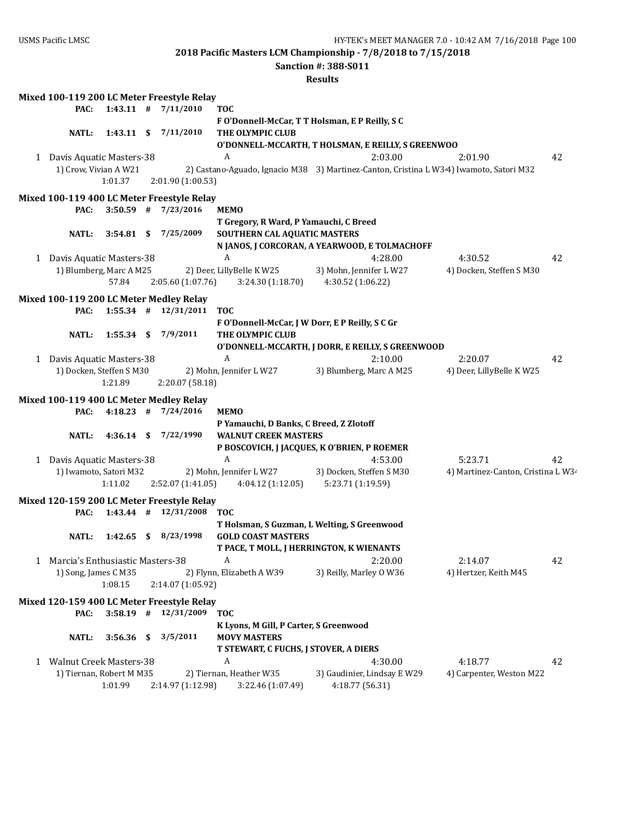**Sanction #: 388-S011**

|                                    |              | Mixed 100-119 200 LC Meter Freestyle Relay                             |                                                 |                                                    |                                                                                        |    |
|------------------------------------|--------------|------------------------------------------------------------------------|-------------------------------------------------|----------------------------------------------------|----------------------------------------------------------------------------------------|----|
| PAC:                               |              | $1:43.11$ # $7/11/2010$                                                | <b>TOC</b>                                      |                                                    |                                                                                        |    |
| <b>NATL:</b>                       |              | 1:43.11 \$ 7/11/2010                                                   | THE OLYMPIC CLUB                                | F O'Donnell-McCar, T T Holsman, E P Reilly, S C    |                                                                                        |    |
|                                    |              |                                                                        |                                                 | O'DONNELL-MCCARTH, T HOLSMAN, E REILLY, S GREENWOO |                                                                                        |    |
| 1 Davis Aquatic Masters-38         |              |                                                                        | A                                               | 2:03.00                                            | 2:01.90                                                                                | 42 |
| 1) Crow, Vivian A W21              |              |                                                                        |                                                 |                                                    | 2) Castano-Aguado, Ignacio M38 3) Martinez-Canton, Cristina L W34) Iwamoto, Satori M32 |    |
|                                    | 1:01.37      | 2:01.90 (1:00.53)                                                      |                                                 |                                                    |                                                                                        |    |
|                                    |              |                                                                        |                                                 |                                                    |                                                                                        |    |
| PAC:                               |              | Mixed 100-119 400 LC Meter Freestyle Relay<br>$3:50.59$ # $7/23/2016$  | <b>MEMO</b>                                     |                                                    |                                                                                        |    |
|                                    |              |                                                                        | T Gregory, R Ward, P Yamauchi, C Breed          |                                                    |                                                                                        |    |
| NATL:                              | $3:54.81$ \$ | 7/25/2009                                                              | SOUTHERN CAL AQUATIC MASTERS                    |                                                    |                                                                                        |    |
|                                    |              |                                                                        |                                                 | N JANOS, J CORCORAN, A YEARWOOD, E TOLMACHOFF      |                                                                                        |    |
| 1 Davis Aquatic Masters-38         |              |                                                                        | A                                               | 4:28.00                                            | 4:30.52                                                                                | 42 |
| 1) Blumberg, Marc A M25            |              |                                                                        | 2) Deer, LillyBelle K W25                       | 3) Mohn, Jennifer L W27                            | 4) Docken, Steffen S M30                                                               |    |
|                                    | 57.84        | 2:05.60 (1:07.76)                                                      | 3:24.30(1:18.70)                                | 4:30.52 (1:06.22)                                  |                                                                                        |    |
|                                    |              |                                                                        |                                                 |                                                    |                                                                                        |    |
| PAC:                               |              | Mixed 100-119 200 LC Meter Medley Relay<br>$1:55.34$ # $12/31/2011$    | <b>TOC</b>                                      |                                                    |                                                                                        |    |
|                                    |              |                                                                        | F O'Donnell-McCar, J W Dorr, E P Reilly, S C Gr |                                                    |                                                                                        |    |
| <b>NATL:</b>                       |              | 1:55.34 \$ 7/9/2011                                                    | THE OLYMPIC CLUB                                |                                                    |                                                                                        |    |
|                                    |              |                                                                        |                                                 | O'DONNELL-MCCARTH, J DORR, E REILLY, S GREENWOOD   |                                                                                        |    |
| 1 Davis Aquatic Masters-38         |              |                                                                        | A                                               | 2:10.00                                            | 2:20.07                                                                                | 42 |
| 1) Docken, Steffen S M30           |              |                                                                        | 2) Mohn, Jennifer LW27                          | 3) Blumberg, Marc A M25                            | 4) Deer, LillyBelle K W25                                                              |    |
|                                    | 1:21.89      | 2:20.07 (58.18)                                                        |                                                 |                                                    |                                                                                        |    |
|                                    |              | Mixed 100-119 400 LC Meter Medley Relay                                |                                                 |                                                    |                                                                                        |    |
| PAC:                               |              | $4:18.23$ # $7/24/2016$                                                | <b>MEMO</b>                                     |                                                    |                                                                                        |    |
|                                    |              |                                                                        | P Yamauchi, D Banks, C Breed, Z Zlotoff         |                                                    |                                                                                        |    |
| <b>NATL:</b>                       |              | 4:36.14 \$ 7/22/1990                                                   | <b>WALNUT CREEK MASTERS</b>                     |                                                    |                                                                                        |    |
|                                    |              |                                                                        |                                                 | P BOSCOVICH, J JACQUES, K O'BRIEN, P ROEMER        |                                                                                        |    |
| 1 Davis Aquatic Masters-38         |              |                                                                        | A                                               | 4:53.00                                            | 5:23.71                                                                                | 42 |
| 1) Iwamoto, Satori M32             |              |                                                                        | 2) Mohn, Jennifer LW27                          | 3) Docken, Steffen S M30                           | 4) Martinez-Canton, Cristina L W3.                                                     |    |
|                                    | 1:11.02      | 2:52.07 (1:41.05)                                                      | 4:04.12 (1:12.05)                               | 5:23.71 (1:19.59)                                  |                                                                                        |    |
|                                    |              |                                                                        |                                                 |                                                    |                                                                                        |    |
| PAC:                               |              | Mixed 120-159 200 LC Meter Freestyle Relay<br>$1:43.44$ # $12/31/2008$ | <b>TOC</b>                                      |                                                    |                                                                                        |    |
|                                    |              |                                                                        |                                                 | T Holsman, S Guzman, L Welting, S Greenwood        |                                                                                        |    |
| <b>NATL:</b>                       |              | 1:42.65 \$ 8/23/1998                                                   | <b>GOLD COAST MASTERS</b>                       |                                                    |                                                                                        |    |
|                                    |              |                                                                        | T PACE, T MOLL, J HERRINGTON, K WIENANTS        |                                                    |                                                                                        |    |
| 1 Marcia's Enthusiastic Masters-38 |              |                                                                        | A                                               | 2:20.00                                            | 2:14.07                                                                                | 42 |
| 1) Song, James C M35               |              |                                                                        | 2) Flynn, Elizabeth A W39                       | 3) Reilly, Marley O W36                            | 4) Hertzer, Keith M45                                                                  |    |
|                                    | 1:08.15      | 2:14.07 (1:05.92)                                                      |                                                 |                                                    |                                                                                        |    |
|                                    |              | Mixed 120-159 400 LC Meter Freestyle Relay                             |                                                 |                                                    |                                                                                        |    |
| PAC:                               |              | $3:58.19$ # $12/31/2009$                                               | <b>TOC</b>                                      |                                                    |                                                                                        |    |
|                                    |              |                                                                        | K Lyons, M Gill, P Carter, S Greenwood          |                                                    |                                                                                        |    |
| <b>NATL:</b>                       | 3:56.36      | \$<br>3/5/2011                                                         | <b>MOVY MASTERS</b>                             |                                                    |                                                                                        |    |
|                                    |              |                                                                        | T STEWART, C FUCHS, J STOVER, A DIERS           |                                                    |                                                                                        |    |
| 1 Walnut Creek Masters-38          |              |                                                                        | A                                               | 4:30.00                                            | 4:18.77                                                                                | 42 |
| 1) Tiernan, Robert M M35           |              |                                                                        | 2) Tiernan, Heather W35                         | 3) Gaudinier, Lindsay E W29                        | 4) Carpenter, Weston M22                                                               |    |
|                                    | 1:01.99      | 2:14.97 (1:12.98)                                                      | 3:22.46 (1:07.49)                               | 4:18.77 (56.31)                                    |                                                                                        |    |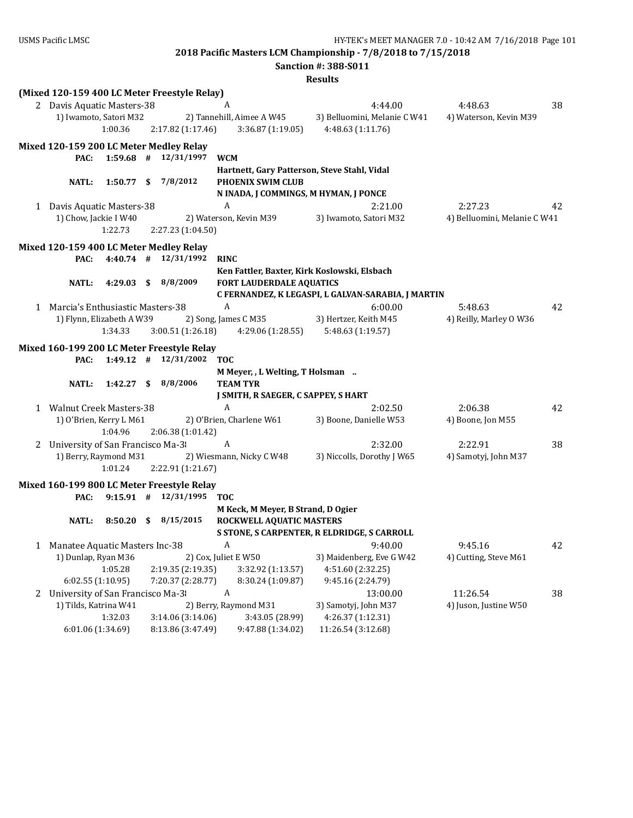|                                    |           |      |                                              |                                              | <b>Sanction #: 388-S011</b>                        |                              |    |
|------------------------------------|-----------|------|----------------------------------------------|----------------------------------------------|----------------------------------------------------|------------------------------|----|
|                                    |           |      |                                              |                                              | <b>Results</b>                                     |                              |    |
|                                    |           |      | (Mixed 120-159 400 LC Meter Freestyle Relay) |                                              |                                                    |                              |    |
| 2 Davis Aquatic Masters-38         |           |      |                                              | A                                            | 4:44.00                                            | 4:48.63                      | 38 |
| 1) Iwamoto, Satori M32             |           |      |                                              | 2) Tannehill, Aimee A W45                    | 3) Belluomini, Melanie C W41                       | 4) Waterson, Kevin M39       |    |
|                                    | 1:00.36   |      | 2:17.82 (1:17.46)                            | 3:36.87(1:19.05)                             | 4:48.63 (1:11.76)                                  |                              |    |
|                                    |           |      | Mixed 120-159 200 LC Meter Medley Relay      |                                              |                                                    |                              |    |
| PAC:                               |           |      | $1:59.68$ # $12/31/1997$                     | <b>WCM</b>                                   |                                                    |                              |    |
|                                    |           |      |                                              | Hartnett, Gary Patterson, Steve Stahl, Vidal |                                                    |                              |    |
| <b>NATL:</b>                       | 1:50.77 S |      | 7/8/2012                                     | PHOENIX SWIM CLUB                            |                                                    |                              |    |
|                                    |           |      |                                              | N INADA, J COMMINGS, M HYMAN, J PONCE        |                                                    |                              |    |
| 1 Davis Aquatic Masters-38         |           |      |                                              | A                                            | 2:21.00                                            | 2:27.23                      | 42 |
| 1) Chow, Jackie I W40              |           |      |                                              | 2) Waterson, Kevin M39                       | 3) Iwamoto, Satori M32                             | 4) Belluomini, Melanie C W41 |    |
|                                    | 1:22.73   |      | 2:27.23 (1:04.50)                            |                                              |                                                    |                              |    |
|                                    |           |      | Mixed 120-159 400 LC Meter Medley Relay      |                                              |                                                    |                              |    |
| PAC:                               |           |      | $4:40.74$ # $12/31/1992$                     | <b>RINC</b>                                  |                                                    |                              |    |
|                                    |           |      |                                              | Ken Fattler, Baxter, Kirk Koslowski, Elsbach |                                                    |                              |    |
| NATL:                              | 4:29.03   | - \$ | 8/8/2009                                     | <b>FORT LAUDERDALE AQUATICS</b>              |                                                    |                              |    |
|                                    |           |      |                                              |                                              | C FERNANDEZ, K LEGASPI, L GALVAN-SARABIA, J MARTIN |                              |    |
| 1 Marcia's Enthusiastic Masters-38 |           |      |                                              | $\boldsymbol{A}$                             | 6:00.00                                            | 5:48.63                      | 42 |
| 1) Flynn, Elizabeth A W39          |           |      |                                              | 2) Song, James C M35                         | 3) Hertzer, Keith M45                              | 4) Reilly, Marley O W36      |    |
|                                    | 1:34.33   |      | 3:00.51 (1:26.18)                            | 4:29.06 (1:28.55)                            | 5:48.63 (1:19.57)                                  |                              |    |
|                                    |           |      | Mixed 160-199 200 LC Meter Freestyle Relay   |                                              |                                                    |                              |    |
| PAC:                               |           |      | $1:49.12$ # $12/31/2002$                     | <b>TOC</b>                                   |                                                    |                              |    |
|                                    |           |      |                                              | M Meyer, , L Welting, T Holsman              |                                                    |                              |    |
| <b>NATL:</b>                       |           |      | 1:42.27 \$ 8/8/2006                          | <b>TEAM TYR</b>                              |                                                    |                              |    |
|                                    |           |      |                                              | J SMITH, R SAEGER, C SAPPEY, S HART          |                                                    |                              |    |
| 1 Walnut Creek Masters-38          |           |      |                                              | A                                            | 2:02.50                                            | 2:06.38                      | 42 |
| 1) O'Brien, Kerry L M61            |           |      |                                              | 2) O'Brien, Charlene W61                     | 3) Boone, Danielle W53                             | 4) Boone, Jon M55            |    |
|                                    | 1:04.96   |      | 2:06.38 (1:01.42)                            |                                              |                                                    |                              |    |
| 2 University of San Francisco Ma-3 |           |      |                                              | $\boldsymbol{A}$                             | 2:32.00                                            | 2:22.91                      | 38 |
| 1) Berry, Raymond M31              |           |      |                                              | 2) Wiesmann, Nicky C W48                     | 3) Niccolls, Dorothy J W65                         | 4) Samotyj, John M37         |    |
|                                    | 1:01.24   |      | 2:22.91 (1:21.67)                            |                                              |                                                    |                              |    |
|                                    |           |      | Mixed 160-199 800 LC Meter Freestyle Relay   |                                              |                                                    |                              |    |
| PAC:                               |           |      | $9:15.91$ # $12/31/1995$                     | <b>TOC</b>                                   |                                                    |                              |    |
|                                    |           |      |                                              | M Keck, M Meyer, B Strand, D Ogier           |                                                    |                              |    |
| <b>NATL:</b>                       |           |      | 8:50.20 \$ 8/15/2015                         | ROCKWELL AQUATIC MASTERS                     |                                                    |                              |    |
|                                    |           |      |                                              |                                              | S STONE, S CARPENTER, R ELDRIDGE, S CARROLL        |                              |    |
| 1 Manatee Aquatic Masters Inc-38   |           |      |                                              | A                                            | 9:40.00                                            | 9:45.16                      | 42 |
| 1) Dunlap, Ryan M36                |           |      |                                              | 2) Cox, Juliet E W50                         | 3) Maidenberg, Eve G W42                           | 4) Cutting, Steve M61        |    |
|                                    | 1:05.28   |      | 2:19.35 (2:19.35)                            | 3:32.92 (1:13.57)                            | 4:51.60 (2:32.25)                                  |                              |    |
| 6:02.55 (1:10.95)                  |           |      | 7:20.37 (2:28.77)                            | 8:30.24 (1:09.87)                            | 9:45.16 (2:24.79)                                  |                              |    |
| 2 University of San Francisco Ma-3 |           |      |                                              | $\boldsymbol{A}$                             | 13:00.00                                           | 11:26.54                     | 38 |
| 1) Tilds, Katrina W41              |           |      |                                              | 2) Berry, Raymond M31                        | 3) Samotyj, John M37                               | 4) Juson, Justine W50        |    |
| 6:01.06 (1:34.69)                  | 1:32.03   |      | 3:14.06 (3:14.06)<br>8:13.86 (3:47.49)       | 3:43.05 (28.99)<br>9:47.88 (1:34.02)         | 4:26.37 (1:12.31)<br>11:26.54 (3:12.68)            |                              |    |
|                                    |           |      |                                              |                                              |                                                    |                              |    |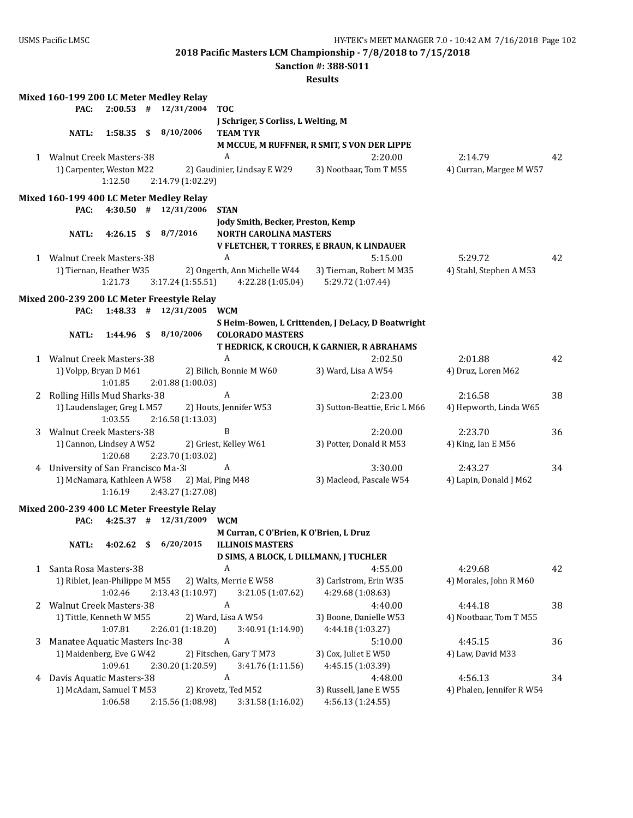**Sanction #: 388-S011**

|   | Mixed 160-199 200 LC Meter Medley Relay    |              |                          |                                        |                                                    |                           |    |
|---|--------------------------------------------|--------------|--------------------------|----------------------------------------|----------------------------------------------------|---------------------------|----|
|   | PAC:                                       |              | $2:00.53$ # $12/31/2004$ | <b>TOC</b>                             |                                                    |                           |    |
|   |                                            |              |                          | J Schriger, S Corliss, L Welting, M    |                                                    |                           |    |
|   | <b>NATL:</b>                               | $1:58.35$ \$ | 8/10/2006                | <b>TEAM TYR</b>                        |                                                    |                           |    |
|   |                                            |              |                          |                                        | M MCCUE, M RUFFNER, R SMIT, S VON DER LIPPE        |                           |    |
|   | 1 Walnut Creek Masters-38                  |              |                          | A                                      | 2:20.00                                            | 2:14.79                   | 42 |
|   | 1) Carpenter, Weston M22                   |              |                          | 2) Gaudinier, Lindsay E W29            | 3) Nootbaar, Tom T M55                             | 4) Curran, Margee M W57   |    |
|   |                                            | 1:12.50      | 2:14.79 (1:02.29)        |                                        |                                                    |                           |    |
|   | Mixed 160-199 400 LC Meter Medley Relay    |              |                          |                                        |                                                    |                           |    |
|   | PAC:                                       |              | $4:30.50$ # $12/31/2006$ | <b>STAN</b>                            |                                                    |                           |    |
|   |                                            |              |                          | Jody Smith, Becker, Preston, Kemp      |                                                    |                           |    |
|   | NATL:                                      | $4:26.15$ \$ | 8/7/2016                 | <b>NORTH CAROLINA MASTERS</b>          |                                                    |                           |    |
|   |                                            |              |                          |                                        | V FLETCHER, T TORRES, E BRAUN, K LINDAUER          |                           |    |
|   | 1 Walnut Creek Masters-38                  |              |                          | $\boldsymbol{A}$                       | 5:15.00                                            | 5:29.72                   | 42 |
|   | 1) Tiernan, Heather W35                    |              |                          | 2) Ongerth, Ann Michelle W44           | 3) Tiernan, Robert M M35                           | 4) Stahl, Stephen A M53   |    |
|   |                                            | 1:21.73      | 3:17.24(1:55.51)         | 4:22.28 (1:05.04)                      | 5:29.72 (1:07.44)                                  |                           |    |
|   |                                            |              |                          |                                        |                                                    |                           |    |
|   | Mixed 200-239 200 LC Meter Freestyle Relay |              |                          |                                        |                                                    |                           |    |
|   | PAC:                                       |              | $1:48.33$ # $12/31/2005$ | <b>WCM</b>                             |                                                    |                           |    |
|   |                                            |              |                          |                                        | S Heim-Bowen, L Crittenden, J DeLacy, D Boatwright |                           |    |
|   | <b>NATL:</b>                               | $1:44.96$ \$ | 8/10/2006                | <b>COLORADO MASTERS</b>                |                                                    |                           |    |
|   |                                            |              |                          |                                        | T HEDRICK, K CROUCH, K GARNIER, R ABRAHAMS         |                           |    |
|   | 1 Walnut Creek Masters-38                  |              |                          | A                                      | 2:02.50                                            | 2:01.88                   | 42 |
|   | 1) Volpp, Bryan D M61                      |              |                          | 2) Bilich, Bonnie M W60                | 3) Ward, Lisa A W54                                | 4) Druz, Loren M62        |    |
|   |                                            | 1:01.85      | 2:01.88 (1:00.03)        |                                        |                                                    |                           |    |
|   | 2 Rolling Hills Mud Sharks-38              |              |                          | A                                      | 2:23.00                                            | 2:16.58                   | 38 |
|   | 1) Laudenslager, Greg L M57                |              |                          | 2) Houts, Jennifer W53                 | 3) Sutton-Beattie, Eric L M66                      | 4) Hepworth, Linda W65    |    |
|   |                                            | 1:03.55      | 2:16.58 (1:13.03)        |                                        |                                                    |                           |    |
| 3 | <b>Walnut Creek Masters-38</b>             |              |                          | B                                      | 2:20.00                                            | 2:23.70                   | 36 |
|   | 1) Cannon, Lindsey A W52                   |              |                          | 2) Griest, Kelley W61                  | 3) Potter, Donald R M53                            | 4) King, Ian E M56        |    |
|   |                                            | 1:20.68      | 2:23.70 (1:03.02)        |                                        |                                                    |                           |    |
| 4 | University of San Francisco Ma-3           |              |                          | A                                      | 3:30.00                                            | 2:43.27                   | 34 |
|   | 1) McNamara, Kathleen A W58                |              |                          | 2) Mai, Ping M48                       | 3) Macleod, Pascale W54                            | 4) Lapin, Donald J M62    |    |
|   |                                            | 1:16.19      | 2:43.27 (1:27.08)        |                                        |                                                    |                           |    |
|   | Mixed 200-239 400 LC Meter Freestyle Relay |              |                          |                                        |                                                    |                           |    |
|   | PAC:                                       |              | $4:25.37$ # $12/31/2009$ | <b>WCM</b>                             |                                                    |                           |    |
|   |                                            |              |                          | M Curran, C O'Brien, K O'Brien, L Druz |                                                    |                           |    |
|   | NATL:                                      |              | 4:02.62 $$6/20/2015$     | <b>ILLINOIS MASTERS</b>                |                                                    |                           |    |
|   |                                            |              |                          | D SIMS, A BLOCK, L DILLMANN, J TUCHLER |                                                    |                           |    |
|   | 1 Santa Rosa Masters-38                    |              |                          | A                                      | 4:55.00                                            | 4:29.68                   | 42 |
|   | 1) Riblet, Jean-Philippe M M55             |              |                          | 2) Walts, Merrie E W58                 | 3) Carlstrom, Erin W35                             | 4) Morales, John R M60    |    |
|   |                                            | 1:02.46      | 2:13.43 (1:10.97)        | 3:21.05 (1:07.62)                      | 4:29.68 (1:08.63)                                  |                           |    |
|   | 2 Walnut Creek Masters-38                  |              |                          | A                                      | 4:40.00                                            | 4:44.18                   | 38 |
|   | 1) Tittle, Kenneth W M55                   |              |                          | 2) Ward, Lisa A W54                    | 3) Boone, Danielle W53                             | 4) Nootbaar, Tom T M55    |    |
|   |                                            | 1:07.81      | 2:26.01 (1:18.20)        | 3:40.91 (1:14.90)                      | 4:44.18 (1:03.27)                                  |                           |    |
| 3 | Manatee Aquatic Masters Inc-38             |              |                          | A                                      | 5:10.00                                            | 4:45.15                   | 36 |
|   | 1) Maidenberg, Eve G W42                   |              |                          | 2) Fitschen, Gary T M73                | 3) Cox, Juliet E W50                               | 4) Law, David M33         |    |
|   |                                            | 1:09.61      | 2:30.20 (1:20.59)        | 3:41.76 (1:11.56)                      | 4:45.15 (1:03.39)                                  |                           |    |
| 4 | Davis Aquatic Masters-38                   |              |                          | A                                      | 4:48.00                                            | 4:56.13                   | 34 |
|   | 1) McAdam, Samuel T M53                    |              |                          | 2) Krovetz, Ted M52                    | 3) Russell, Jane E W55                             | 4) Phalen, Jennifer R W54 |    |
|   |                                            | 1:06.58      | 2:15.56 (1:08.98)        | 3:31.58 (1:16.02)                      | 4:56.13 (1:24.55)                                  |                           |    |
|   |                                            |              |                          |                                        |                                                    |                           |    |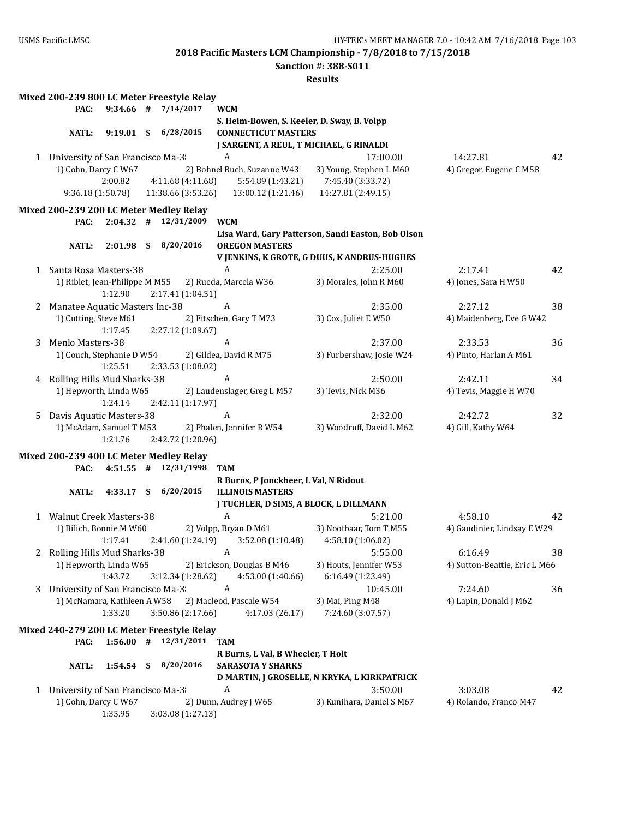**Sanction #: 388-S011**

|   |                                    |              | Mixed 200-239 800 LC Meter Freestyle Relay                          |                                                                           |                                                        |                               |    |
|---|------------------------------------|--------------|---------------------------------------------------------------------|---------------------------------------------------------------------------|--------------------------------------------------------|-------------------------------|----|
|   | PAC:                               |              | $9:34.66$ # $7/14/2017$                                             | <b>WCM</b>                                                                |                                                        |                               |    |
|   | <b>NATL:</b>                       |              | $9:19.01 \quad $6/28/2015$                                          | S. Heim-Bowen, S. Keeler, D. Sway, B. Volpp<br><b>CONNECTICUT MASTERS</b> |                                                        |                               |    |
|   |                                    |              |                                                                     | J SARGENT, A REUL, T MICHAEL, G RINALDI                                   |                                                        |                               |    |
|   | 1 University of San Francisco Ma-3 |              |                                                                     | A                                                                         | 17:00.00                                               | 14:27.81                      | 42 |
|   | 1) Cohn, Darcy C W67               |              |                                                                     | 2) Bohnel Buch, Suzanne W43                                               | 3) Young, Stephen L M60                                | 4) Gregor, Eugene C M58       |    |
|   |                                    | 2:00.82      | 4:11.68 (4:11.68)                                                   | 5:54.89 (1:43.21)                                                         | 7:45.40 (3:33.72)                                      |                               |    |
|   | 9:36.18 (1:50.78)                  |              | 11:38.66 (3:53.26)                                                  | 13:00.12 (1:21.46)                                                        | 14:27.81 (2:49.15)                                     |                               |    |
|   |                                    |              |                                                                     |                                                                           |                                                        |                               |    |
|   | PAC:                               |              | Mixed 200-239 200 LC Meter Medley Relay<br>$2:04.32$ # $12/31/2009$ | <b>WCM</b>                                                                |                                                        |                               |    |
|   |                                    |              |                                                                     |                                                                           | Lisa Ward, Gary Patterson, Sandi Easton, Bob Olson     |                               |    |
|   | NATL:                              | $2:01.98$ \$ | 8/20/2016                                                           | <b>OREGON MASTERS</b>                                                     |                                                        |                               |    |
|   | 1 Santa Rosa Masters-38            |              |                                                                     | A                                                                         | V JENKINS, K GROTE, G DUUS, K ANDRUS-HUGHES<br>2:25.00 | 2:17.41                       | 42 |
|   | 1) Riblet, Jean-Philippe M M55     |              |                                                                     | 2) Rueda, Marcela W36                                                     | 3) Morales, John R M60                                 | 4) Jones, Sara H W50          |    |
|   |                                    | 1:12.90      | 2:17.41 (1:04.51)                                                   |                                                                           |                                                        |                               |    |
| 2 | Manatee Aquatic Masters Inc-38     |              |                                                                     | A                                                                         | 2:35.00                                                | 2:27.12                       | 38 |
|   | 1) Cutting, Steve M61              |              |                                                                     | 2) Fitschen, Gary T M73                                                   | 3) Cox, Juliet E W50                                   | 4) Maidenberg, Eve G W42      |    |
|   |                                    | 1:17.45      | 2:27.12 (1:09.67)                                                   |                                                                           |                                                        |                               |    |
| 3 | Menlo Masters-38                   |              |                                                                     | A                                                                         | 2:37.00                                                | 2:33.53                       | 36 |
|   | 1) Couch, Stephanie D W54          |              |                                                                     | 2) Gildea, David R M75                                                    | 3) Furbershaw, Josie W24                               | 4) Pinto, Harlan A M61        |    |
|   |                                    | 1:25.51      | 2:33.53 (1:08.02)                                                   |                                                                           |                                                        |                               |    |
| 4 | Rolling Hills Mud Sharks-38        |              |                                                                     | A                                                                         | 2:50.00                                                | 2:42.11                       | 34 |
|   | 1) Hepworth, Linda W65             |              |                                                                     | 2) Laudenslager, Greg L M57                                               | 3) Tevis, Nick M36                                     | 4) Tevis, Maggie H W70        |    |
|   |                                    | 1:24.14      | 2:42.11 (1:17.97)                                                   |                                                                           |                                                        |                               |    |
| 5 | Davis Aquatic Masters-38           |              |                                                                     | A                                                                         | 2:32.00                                                | 2:42.72                       | 32 |
|   | 1) McAdam, Samuel T M53            |              |                                                                     | 2) Phalen, Jennifer R W54                                                 | 3) Woodruff, David L M62                               | 4) Gill, Kathy W64            |    |
|   |                                    | 1:21.76      | 2:42.72 (1:20.96)                                                   |                                                                           |                                                        |                               |    |
|   |                                    |              | Mixed 200-239 400 LC Meter Medley Relay                             |                                                                           |                                                        |                               |    |
|   | PAC:                               | $4:51.55$ #  | 12/31/1998                                                          | <b>TAM</b>                                                                |                                                        |                               |    |
|   |                                    |              |                                                                     | R Burns, P Jonckheer, L Val, N Ridout                                     |                                                        |                               |    |
|   | NATL:                              |              | 4:33.17 \$ 6/20/2015                                                | <b>ILLINOIS MASTERS</b>                                                   |                                                        |                               |    |
|   |                                    |              |                                                                     | J TUCHLER, D SIMS, A BLOCK, L DILLMANN                                    |                                                        |                               |    |
|   | 1 Walnut Creek Masters-38          |              |                                                                     | A                                                                         | 5:21.00                                                | 4:58.10                       | 42 |
|   | 1) Bilich, Bonnie M W60            |              |                                                                     | 2) Volpp, Bryan D M61                                                     | 3) Nootbaar, Tom T M55                                 | 4) Gaudinier, Lindsay E W29   |    |
|   |                                    | 1:17.41      | 2:41.60 (1:24.19)                                                   | 3:52.08 (1:10.48)                                                         | 4:58.10 (1:06.02)                                      |                               |    |
|   |                                    |              |                                                                     | 2 Rolling Hills Mud Sharks-38 A                                           | 5:55.00                                                | 6:16.49                       | 38 |
|   | 1) Hepworth, Linda W65             |              |                                                                     | 2) Erickson, Douglas B M46                                                | 3) Houts, Jennifer W53                                 | 4) Sutton-Beattie, Eric L M66 |    |
|   |                                    | 1:43.72      | 3:12.34 (1:28.62)                                                   | 4:53.00 (1:40.66)                                                         | 6:16.49 (1:23.49)                                      |                               |    |
| 3 | University of San Francisco Ma-3   |              |                                                                     | A                                                                         | 10:45.00                                               | 7:24.60                       | 36 |
|   | 1) McNamara, Kathleen A W58        |              |                                                                     | 2) Macleod, Pascale W54                                                   | 3) Mai, Ping M48                                       | 4) Lapin, Donald J M62        |    |
|   |                                    | 1:33.20      | 3:50.86 (2:17.66)                                                   | 4:17.03 (26.17)                                                           | 7:24.60 (3:07.57)                                      |                               |    |
|   |                                    |              | Mixed 240-279 200 LC Meter Freestyle Relay                          |                                                                           |                                                        |                               |    |
|   | PAC:                               |              | $1:56.00$ # $12/31/2011$                                            | <b>TAM</b>                                                                |                                                        |                               |    |
|   |                                    |              |                                                                     | R Burns, L Val, B Wheeler, T Holt                                         |                                                        |                               |    |
|   | <b>NATL:</b>                       | $1:54.54$ \$ | 8/20/2016                                                           | <b>SARASOTA Y SHARKS</b>                                                  |                                                        |                               |    |
|   |                                    |              |                                                                     |                                                                           | D MARTIN, J GROSELLE, N KRYKA, L KIRKPATRICK           |                               |    |
|   | 1 University of San Francisco Ma-3 |              |                                                                     | A                                                                         | 3:50.00                                                | 3:03.08                       | 42 |
|   | 1) Cohn, Darcy C W67               |              |                                                                     | 2) Dunn, Audrey J W65                                                     | 3) Kunihara, Daniel S M67                              | 4) Rolando, Franco M47        |    |
|   |                                    | 1:35.95      | 3:03.08 (1:27.13)                                                   |                                                                           |                                                        |                               |    |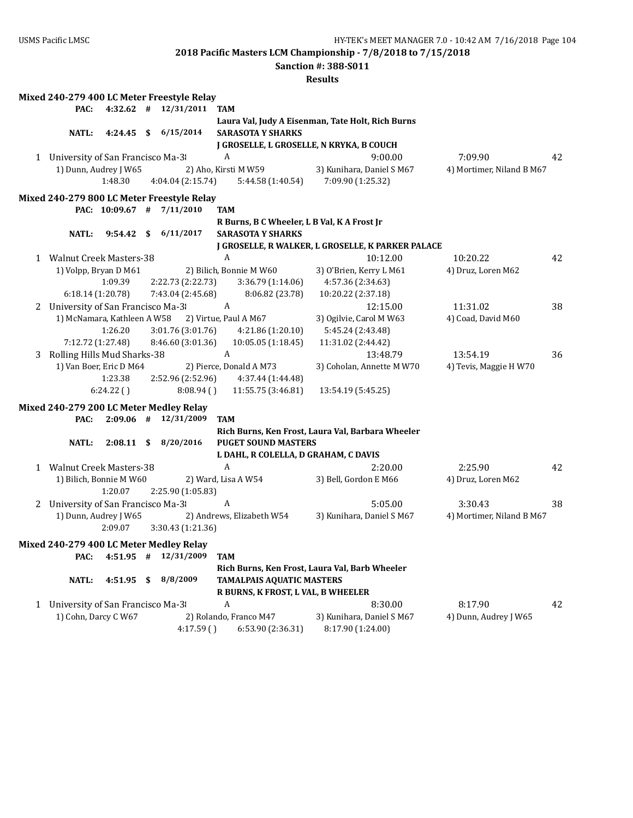**Sanction #: 388-S011**

|   |                                    |                             | Mixed 240-279 400 LC Meter Freestyle Relay                          |                                             |                                                   |                           |    |
|---|------------------------------------|-----------------------------|---------------------------------------------------------------------|---------------------------------------------|---------------------------------------------------|---------------------------|----|
|   | PAC:                               |                             | $4:32.62$ # $12/31/2011$                                            | <b>TAM</b>                                  |                                                   |                           |    |
|   |                                    |                             |                                                                     |                                             | Laura Val, Judy A Eisenman, Tate Holt, Rich Burns |                           |    |
|   | <b>NATL:</b>                       | $4:24.45$ \$                | 6/15/2014                                                           | <b>SARASOTA Y SHARKS</b>                    |                                                   |                           |    |
|   |                                    |                             |                                                                     | J GROSELLE, L GROSELLE, N KRYKA, B COUCH    |                                                   |                           |    |
|   | 1 University of San Francisco Ma-3 |                             |                                                                     | $\boldsymbol{A}$                            | 9:00.00                                           | 7:09.90                   | 42 |
|   |                                    | 1) Dunn, Audrey J W65       |                                                                     | 2) Aho, Kirsti M W59                        | 3) Kunihara, Daniel S M67                         | 4) Mortimer, Niland B M67 |    |
|   |                                    | 1:48.30                     | 4:04.04 (2:15.74)                                                   | 5:44.58 (1:40.54)                           | 7:09.90 (1:25.32)                                 |                           |    |
|   |                                    |                             | Mixed 240-279 800 LC Meter Freestyle Relay                          |                                             |                                                   |                           |    |
|   |                                    |                             | PAC: 10:09.67 # 7/11/2010                                           | <b>TAM</b>                                  |                                                   |                           |    |
|   |                                    |                             |                                                                     | R Burns, B C Wheeler, L B Val, K A Frost Jr |                                                   |                           |    |
|   | NATL:                              | $9:54.42 \quad$ \$          | 6/11/2017                                                           | <b>SARASOTA Y SHARKS</b>                    |                                                   |                           |    |
|   |                                    |                             |                                                                     |                                             | J GROSELLE, R WALKER, L GROSELLE, K PARKER PALACE |                           |    |
|   | 1 Walnut Creek Masters-38          |                             |                                                                     | $\boldsymbol{A}$                            | 10:12.00                                          | 10:20.22                  | 42 |
|   |                                    | 1) Volpp, Bryan D M61       |                                                                     | 2) Bilich, Bonnie M W60                     | 3) O'Brien, Kerry L M61                           | 4) Druz, Loren M62        |    |
|   |                                    | 1:09.39                     | 2:22.73 (2:22.73)                                                   | 3:36.79 (1:14.06)                           | 4:57.36 (2:34.63)                                 |                           |    |
|   |                                    | 6:18.14(1:20.78)            | 7:43.04 (2:45.68)                                                   | 8:06.82 (23.78)                             | 10:20.22 (2:37.18)                                |                           |    |
|   | 2 University of San Francisco Ma-3 |                             |                                                                     | $\mathbf{A}$                                | 12:15.00                                          | 11:31.02                  | 38 |
|   |                                    | 1) McNamara, Kathleen A W58 |                                                                     | 2) Virtue, Paul A M67                       | 3) Ogilvie, Carol M W63                           | 4) Coad, David M60        |    |
|   |                                    | 1:26.20                     | 3:01.76 (3:01.76)                                                   | 4:21.86(1:20.10)                            | 5:45.24 (2:43.48)                                 |                           |    |
|   |                                    | 7:12.72 (1:27.48)           | 8:46.60 (3:01.36)                                                   | 10:05.05 (1:18.45)                          | 11:31.02 (2:44.42)                                |                           |    |
| 3 | Rolling Hills Mud Sharks-38        |                             |                                                                     | $\boldsymbol{A}$                            | 13:48.79                                          | 13:54.19                  | 36 |
|   |                                    | 1) Van Boer, Eric D M64     |                                                                     | 2) Pierce, Donald A M73                     | 3) Coholan, Annette M W70                         | 4) Tevis, Maggie H W70    |    |
|   |                                    | 1:23.38                     | 2:52.96 (2:52.96)                                                   | 4:37.44 (1:44.48)                           |                                                   |                           |    |
|   |                                    | 6:24.22()                   | 8:08.94(                                                            | 11:55.75 (3:46.81)                          | 13:54.19 (5:45.25)                                |                           |    |
|   |                                    |                             |                                                                     |                                             |                                                   |                           |    |
|   | PAC:                               |                             | Mixed 240-279 200 LC Meter Medley Relay<br>$2:09.06$ # $12/31/2009$ | <b>TAM</b>                                  |                                                   |                           |    |
|   |                                    |                             |                                                                     |                                             | Rich Burns, Ken Frost, Laura Val, Barbara Wheeler |                           |    |
|   | NATL:                              | $2:08.11$ \$                | 8/20/2016                                                           | <b>PUGET SOUND MASTERS</b>                  |                                                   |                           |    |
|   |                                    |                             |                                                                     | L DAHL, R COLELLA, D GRAHAM, C DAVIS        |                                                   |                           |    |
|   | 1 Walnut Creek Masters-38          |                             |                                                                     | A                                           | 2:20.00                                           | 2:25.90                   | 42 |
|   |                                    | 1) Bilich, Bonnie M W60     |                                                                     | 2) Ward, Lisa A W54                         | 3) Bell, Gordon E M66                             | 4) Druz, Loren M62        |    |
|   |                                    | 1:20.07                     | 2:25.90 (1:05.83)                                                   |                                             |                                                   |                           |    |
|   | 2 University of San Francisco Ma-3 |                             |                                                                     | A                                           | 5:05.00                                           | 3:30.43                   | 38 |
|   |                                    | 1) Dunn, Audrey J W65       |                                                                     | 2) Andrews, Elizabeth W54                   | 3) Kunihara, Daniel S M67                         | 4) Mortimer, Niland B M67 |    |
|   |                                    | 2:09.07                     | 3:30.43 (1:21.36)                                                   |                                             |                                                   |                           |    |
|   |                                    |                             |                                                                     |                                             |                                                   |                           |    |
|   |                                    |                             | Mixed 240-279 400 LC Meter Medley Relay                             |                                             |                                                   |                           |    |
|   |                                    |                             | PAC: 4:51.95 # 12/31/2009                                           | <b>TAM</b>                                  |                                                   |                           |    |
|   |                                    |                             | 8/8/2009                                                            |                                             | Rich Burns, Ken Frost, Laura Val, Barb Wheeler    |                           |    |
|   | <b>NATL:</b>                       | 4:51.95 \$                  |                                                                     | <b>TAMALPAIS AQUATIC MASTERS</b>            |                                                   |                           |    |
|   |                                    |                             |                                                                     | R BURNS, K FROST, L VAL, B WHEELER<br>A     |                                                   |                           |    |
|   | 1 University of San Francisco Ma-3 | 1) Cohn, Darcy C W67        |                                                                     |                                             | 8:30.00<br>3) Kunihara, Daniel S M67              | 8:17.90                   | 42 |
|   |                                    |                             |                                                                     | 2) Rolando, Franco M47                      |                                                   | 4) Dunn, Audrey J W65     |    |
|   |                                    |                             | 4:17.59()                                                           | 6:53.90 (2:36.31)                           | 8:17.90 (1:24.00)                                 |                           |    |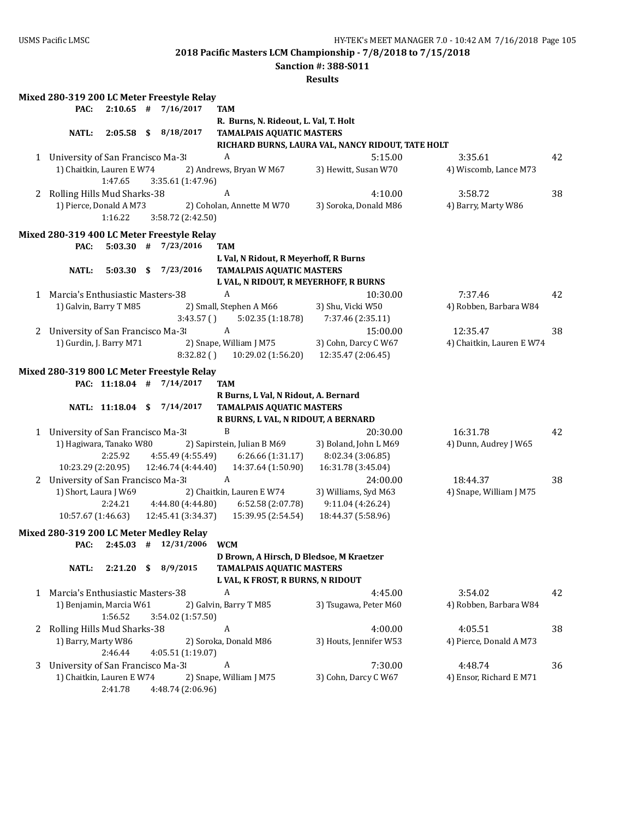**Sanction #: 388-S011**

|              | Mixed 280-319 200 LC Meter Freestyle Relay |                          |      |                    |           |                                                                          |                                                   |                           |    |
|--------------|--------------------------------------------|--------------------------|------|--------------------|-----------|--------------------------------------------------------------------------|---------------------------------------------------|---------------------------|----|
|              | PAC:                                       | $2:10.65$ #              |      | 7/16/2017          |           | <b>TAM</b>                                                               |                                                   |                           |    |
|              |                                            |                          |      |                    |           | R. Burns, N. Rideout, L. Val, T. Holt                                    |                                                   |                           |    |
|              | <b>NATL:</b>                               | $2:05.58$ \$             |      | 8/18/2017          |           | <b>TAMALPAIS AQUATIC MASTERS</b>                                         |                                                   |                           |    |
|              |                                            |                          |      |                    |           |                                                                          | RICHARD BURNS, LAURA VAL, NANCY RIDOUT, TATE HOLT |                           |    |
|              | 1 University of San Francisco Ma-3         |                          |      |                    |           | A                                                                        | 5:15.00                                           | 3:35.61                   | 42 |
|              | 1) Chaitkin, Lauren E W74                  |                          |      |                    |           | 2) Andrews, Bryan W M67                                                  | 3) Hewitt, Susan W70                              | 4) Wiscomb, Lance M73     |    |
|              |                                            | 1:47.65                  |      | 3:35.61 (1:47.96)  |           |                                                                          |                                                   |                           |    |
| 2            | Rolling Hills Mud Sharks-38                |                          |      |                    |           | A                                                                        | 4:10.00                                           | 3:58.72                   | 38 |
|              | 1) Pierce, Donald A M73                    |                          |      |                    |           | 2) Coholan, Annette M W70                                                | 3) Soroka, Donald M86                             | 4) Barry, Marty W86       |    |
|              |                                            | 1:16.22                  |      | 3:58.72 (2:42.50)  |           |                                                                          |                                                   |                           |    |
|              | Mixed 280-319 400 LC Meter Freestyle Relay |                          |      |                    |           |                                                                          |                                                   |                           |    |
|              | PAC:                                       | $5:03.30$ # $7/23/2016$  |      |                    |           | TAM                                                                      |                                                   |                           |    |
|              |                                            |                          |      |                    |           | L Val, N Ridout, R Meyerhoff, R Burns                                    |                                                   |                           |    |
|              | NATL:                                      | $5:03.30$ \$             |      | 7/23/2016          |           | <b>TAMALPAIS AQUATIC MASTERS</b>                                         |                                                   |                           |    |
|              |                                            |                          |      |                    |           |                                                                          | L VAL, N RIDOUT, R MEYERHOFF, R BURNS             |                           |    |
|              | 1 Marcia's Enthusiastic Masters-38         |                          |      |                    |           | A                                                                        | 10:30.00                                          | 7:37.46                   | 42 |
|              | 1) Galvin, Barry T M85                     |                          |      |                    |           | 2) Small, Stephen A M66                                                  | 3) Shu, Vicki W50                                 | 4) Robben, Barbara W84    |    |
|              |                                            |                          |      |                    | 3:43.57() | 5:02.35 (1:18.78)                                                        | 7:37.46 (2:35.11)                                 |                           |    |
| 2            | University of San Francisco Ma-3           |                          |      |                    |           | $\boldsymbol{A}$                                                         | 15:00.00                                          | 12:35.47                  | 38 |
|              | 1) Gurdin, J. Barry M71                    |                          |      |                    |           | 2) Snape, William J M75                                                  | 3) Cohn, Darcy C W67                              | 4) Chaitkin, Lauren E W74 |    |
|              |                                            |                          |      |                    | 8:32.82() | 10:29.02 (1:56.20)                                                       | 12:35.47 (2:06.45)                                |                           |    |
|              |                                            |                          |      |                    |           |                                                                          |                                                   |                           |    |
|              | Mixed 280-319 800 LC Meter Freestyle Relay | PAC: 11:18.04 #          |      | 7/14/2017          |           | <b>TAM</b>                                                               |                                                   |                           |    |
|              |                                            |                          |      |                    |           |                                                                          |                                                   |                           |    |
|              |                                            | NATL: 11:18.04 \$        |      | 7/14/2017          |           | R Burns, L Val, N Ridout, A. Bernard<br><b>TAMALPAIS AQUATIC MASTERS</b> |                                                   |                           |    |
|              |                                            |                          |      |                    |           | R BURNS, L VAL, N RIDOUT, A BERNARD                                      |                                                   |                           |    |
|              | 1 University of San Francisco Ma-3         |                          |      |                    |           | B                                                                        | 20:30.00                                          | 16:31.78                  | 42 |
|              | 1) Hagiwara, Tanako W80                    |                          |      |                    |           | 2) Sapirstein, Julian B M69                                              | 3) Boland, John L M69                             | 4) Dunn, Audrey J W65     |    |
|              |                                            | 2:25.92                  |      | 4:55.49 (4:55.49)  |           | 6:26.66 (1:31.17)                                                        | 8:02.34 (3:06.85)                                 |                           |    |
|              | 10:23.29 (2:20.95)                         |                          |      | 12:46.74 (4:44.40) |           | 14:37.64 (1:50.90)                                                       | 16:31.78 (3:45.04)                                |                           |    |
|              | 2 University of San Francisco Ma-3         |                          |      |                    |           | A                                                                        | 24:00.00                                          | 18:44.37                  | 38 |
|              | 1) Short, Laura J W69                      |                          |      |                    |           | 2) Chaitkin, Lauren E W74                                                | 3) Williams, Syd M63                              | 4) Snape, William J M75   |    |
|              |                                            | 2:24.21                  |      | 4:44.80 (4:44.80)  |           | 6:52.58 (2:07.78)                                                        | 9:11.04 (4:26.24)                                 |                           |    |
|              | 10:57.67 (1:46.63)                         |                          |      | 12:45.41 (3:34.37) |           | 15:39.95 (2:54.54)                                                       | 18:44.37 (5:58.96)                                |                           |    |
|              |                                            |                          |      |                    |           |                                                                          |                                                   |                           |    |
|              | Mixed 280-319 200 LC Meter Medley Relay    |                          |      |                    |           |                                                                          |                                                   |                           |    |
|              | PAC:                                       | $2:45.03$ # $12/31/2006$ |      |                    |           | <b>WCM</b>                                                               |                                                   |                           |    |
|              |                                            |                          |      |                    |           | D Brown, A Hirsch, D Bledsoe, M Kraetzer                                 |                                                   |                           |    |
|              | <b>NATL:</b>                               | 2:21.20                  | - \$ | 8/9/2015           |           | <b>TAMALPAIS AQUATIC MASTERS</b>                                         |                                                   |                           |    |
|              |                                            |                          |      |                    |           | L VAL, K FROST, R BURNS, N RIDOUT                                        |                                                   |                           |    |
| $\mathbf{1}$ | Marcia's Enthusiastic Masters-38           |                          |      |                    |           | A                                                                        | 4:45.00                                           | 3:54.02                   | 42 |
|              | 1) Benjamin, Marcia W61                    |                          |      |                    |           | 2) Galvin, Barry T M85                                                   | 3) Tsugawa, Peter M60                             | 4) Robben, Barbara W84    |    |
|              |                                            | 1:56.52                  |      | 3:54.02 (1:57.50)  |           |                                                                          |                                                   |                           |    |
| 2            | Rolling Hills Mud Sharks-38                |                          |      |                    |           | $\boldsymbol{A}$                                                         | 4:00.00                                           | 4:05.51                   | 38 |
|              | 1) Barry, Marty W86                        |                          |      |                    |           | 2) Soroka, Donald M86                                                    | 3) Houts, Jennifer W53                            | 4) Pierce, Donald A M73   |    |
|              |                                            | 2:46.44                  |      | 4:05.51 (1:19.07)  |           |                                                                          |                                                   |                           |    |
| 3            | University of San Francisco Ma-3           |                          |      |                    |           | $\boldsymbol{A}$                                                         | 7:30.00                                           | 4:48.74                   | 36 |
|              | 1) Chaitkin, Lauren E W74                  |                          |      |                    |           | 2) Snape, William J M75                                                  | 3) Cohn, Darcy C W67                              | 4) Ensor, Richard E M71   |    |
|              |                                            | 2:41.78                  |      | 4:48.74 (2:06.96)  |           |                                                                          |                                                   |                           |    |